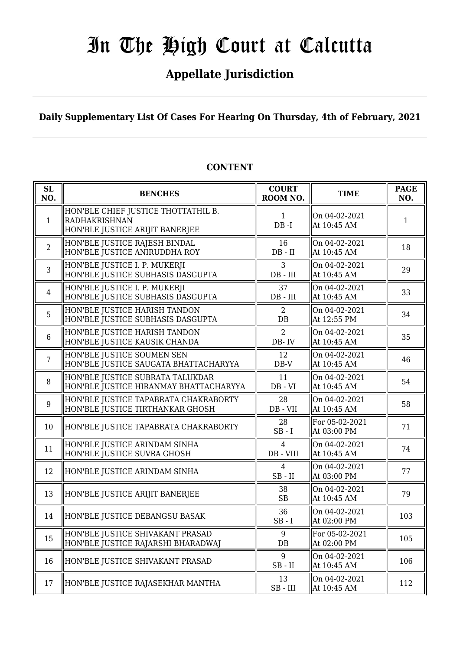### **Appellate Jurisdiction**

**Daily Supplementary List Of Cases For Hearing On Thursday, 4th of February, 2021**

| SL<br>NO.      | <b>BENCHES</b>                                                                                 | <b>COURT</b><br>ROOM NO.      | <b>TIME</b>                   | <b>PAGE</b><br>NO. |
|----------------|------------------------------------------------------------------------------------------------|-------------------------------|-------------------------------|--------------------|
| $\mathbf{1}$   | HON'BLE CHIEF JUSTICE THOTTATHIL B.<br><b>RADHAKRISHNAN</b><br>HON'BLE JUSTICE ARIJIT BANERJEE | $\mathbf{1}$<br>$DB - I$      | On 04-02-2021<br>At 10:45 AM  | 1                  |
| $\overline{2}$ | HON'BLE JUSTICE RAJESH BINDAL<br>HON'BLE JUSTICE ANIRUDDHA ROY                                 | 16<br>$DB - II$               | On 04-02-2021<br>At 10:45 AM  | 18                 |
| 3              | HON'BLE JUSTICE I. P. MUKERJI<br>HON'BLE JUSTICE SUBHASIS DASGUPTA                             | 3<br>$DB$ - $III$             | On 04-02-2021<br>At 10:45 AM  | 29                 |
| $\overline{4}$ | HON'BLE JUSTICE I. P. MUKERJI<br>HON'BLE JUSTICE SUBHASIS DASGUPTA                             | 37<br>DB - III                | On 04-02-2021<br>At 10:45 AM  | 33                 |
| 5              | HON'BLE JUSTICE HARISH TANDON<br>HON'BLE JUSTICE SUBHASIS DASGUPTA                             | 2<br>DB                       | On 04-02-2021<br>At 12:55 PM  | 34                 |
| 6              | HON'BLE JUSTICE HARISH TANDON<br>HON'BLE JUSTICE KAUSIK CHANDA                                 | $\overline{2}$<br>DB-IV       | On 04-02-2021<br>At 10:45 AM  | 35                 |
| $\overline{7}$ | HON'BLE JUSTICE SOUMEN SEN<br>HON'BLE JUSTICE SAUGATA BHATTACHARYYA                            | 12<br>$DB-V$                  | On 04-02-2021<br>At 10:45 AM  | 46                 |
| 8              | HON'BLE JUSTICE SUBRATA TALUKDAR<br>HON'BLE JUSTICE HIRANMAY BHATTACHARYYA                     | 11<br>$DB - VI$               | On 04-02-2021<br>At 10:45 AM  | 54                 |
| 9              | HON'BLE JUSTICE TAPABRATA CHAKRABORTY<br>HON'BLE JUSTICE TIRTHANKAR GHOSH                      | 28<br>DB - VII                | On 04-02-2021<br>At 10:45 AM  | 58                 |
| 10             | HON'BLE JUSTICE TAPABRATA CHAKRABORTY                                                          | 28<br>$SB-I$                  | For 05-02-2021<br>At 03:00 PM | 71                 |
| 11             | HON'BLE JUSTICE ARINDAM SINHA<br>HON'BLE JUSTICE SUVRA GHOSH                                   | $\overline{4}$<br>DB - VIII   | On 04-02-2021<br>At 10:45 AM  | 74                 |
| 12             | HON'BLE JUSTICE ARINDAM SINHA                                                                  | $\overline{4}$<br>$SB$ - $II$ | On 04-02-2021<br>At 03:00 PM  | 77                 |
| 13             | HON'BLE JUSTICE ARIJIT BANERJEE                                                                | 38<br>SB                      | On 04-02-2021<br>At 10:45 AM  | 79                 |
| 14             | HON'BLE JUSTICE DEBANGSU BASAK                                                                 | 36<br>$SB-I$                  | On 04-02-2021<br>At 02:00 PM  | 103                |
| 15             | HON'BLE JUSTICE SHIVAKANT PRASAD<br>HON'BLE JUSTICE RAJARSHI BHARADWAJ                         | 9<br>DB                       | For 05-02-2021<br>At 02:00 PM | 105                |
| 16             | HON'BLE JUSTICE SHIVAKANT PRASAD                                                               | 9<br>$SB$ - $II$              | On 04-02-2021<br>At 10:45 AM  | 106                |
| 17             | HON'BLE JUSTICE RAJASEKHAR MANTHA                                                              | 13<br>$SB$ - $III$            | On 04-02-2021<br>At 10:45 AM  | 112                |

#### **CONTENT**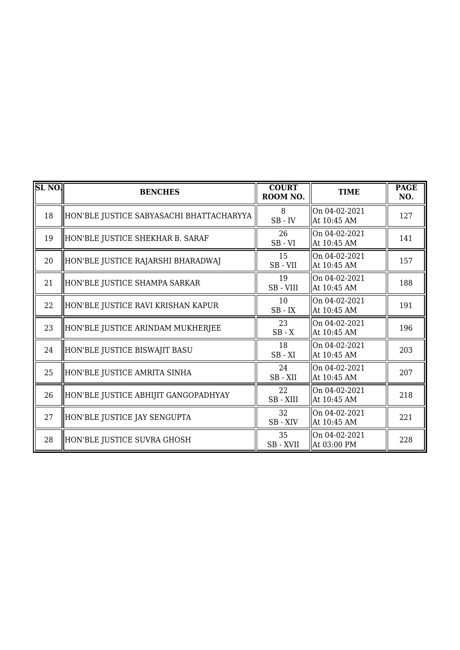| SL <sub>NO</sub> . | <b>BENCHES</b>                           | <b>COURT</b><br>ROOM NO.        | <b>TIME</b>                  | <b>PAGE</b><br>NO. |
|--------------------|------------------------------------------|---------------------------------|------------------------------|--------------------|
| 18                 | HON'BLE JUSTICE SABYASACHI BHATTACHARYYA | 8<br>$SB$ - $\operatorname{IV}$ | On 04-02-2021<br>At 10:45 AM | 127                |
| 19                 | HON'BLE JUSTICE SHEKHAR B. SARAF         | 26<br>$SB - VI$                 | On 04-02-2021<br>At 10:45 AM | 141                |
| 20                 | HON'BLE JUSTICE RAJARSHI BHARADWAJ       | 15<br>SB-VII                    | On 04-02-2021<br>At 10:45 AM | 157                |
| 21                 | HON'BLE JUSTICE SHAMPA SARKAR            | 19<br>SB - VIII                 | On 04-02-2021<br>At 10:45 AM | 188                |
| 22                 | HON'BLE JUSTICE RAVI KRISHAN KAPUR       | 10<br>$SB$ - $IX$               | On 04-02-2021<br>At 10:45 AM | 191                |
| 23                 | HON'BLE JUSTICE ARINDAM MUKHERJEE        | 23<br>$SB - X$                  | On 04-02-2021<br>At 10:45 AM | 196                |
| 24                 | HON'BLE JUSTICE BISWAJIT BASU            | 18<br>$SB - XI$                 | On 04-02-2021<br>At 10:45 AM | 203                |
| 25                 | HON'BLE JUSTICE AMRITA SINHA             | 24<br>SB-XII                    | On 04-02-2021<br>At 10:45 AM | 207                |
| 26                 | HON'BLE JUSTICE ABHIJIT GANGOPADHYAY     | 22<br>SB - XIII                 | On 04-02-2021<br>At 10:45 AM | 218                |
| 27                 | HON'BLE JUSTICE JAY SENGUPTA             | 32<br>SB-XIV                    | On 04-02-2021<br>At 10:45 AM | 221                |
| 28                 | HON'BLE JUSTICE SUVRA GHOSH              | 35<br>SB-XVII                   | On 04-02-2021<br>At 03:00 PM | 228                |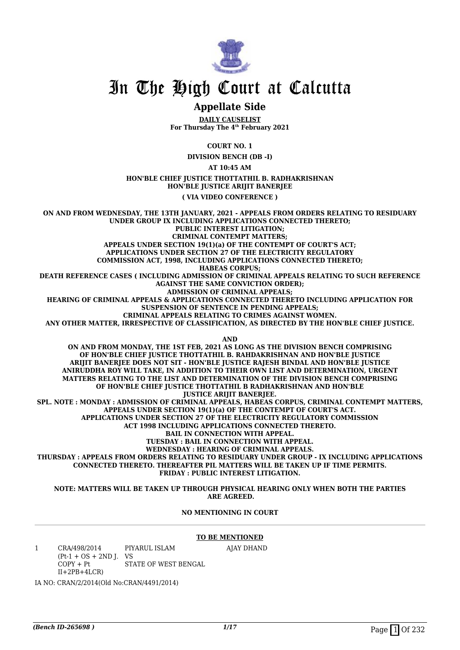

#### **Appellate Side**

**DAILY CAUSELIST For Thursday The 4th February 2021**

**COURT NO. 1**

**DIVISION BENCH (DB -I)**

**AT 10:45 AM**

**HON'BLE CHIEF JUSTICE THOTTATHIL B. RADHAKRISHNAN HON'BLE JUSTICE ARIJIT BANERJEE**

**( VIA VIDEO CONFERENCE )**

**ON AND FROM WEDNESDAY, THE 13TH JANUARY, 2021 - APPEALS FROM ORDERS RELATING TO RESIDUARY UNDER GROUP IX INCLUDING APPLICATIONS CONNECTED THERETO; PUBLIC INTEREST LITIGATION; CRIMINAL CONTEMPT MATTERS; APPEALS UNDER SECTION 19(1)(a) OF THE CONTEMPT OF COURT'S ACT; APPLICATIONS UNDER SECTION 27 OF THE ELECTRICITY REGULATORY COMMISSION ACT, 1998, INCLUDING APPLICATIONS CONNECTED THERETO; HABEAS CORPUS; DEATH REFERENCE CASES ( INCLUDING ADMISSION OF CRIMINAL APPEALS RELATING TO SUCH REFERENCE AGAINST THE SAME CONVICTION ORDER); ADMISSION OF CRIMINAL APPEALS; HEARING OF CRIMINAL APPEALS & APPLICATIONS CONNECTED THERETO INCLUDING APPLICATION FOR SUSPENSION OF SENTENCE IN PENDING APPEALS; CRIMINAL APPEALS RELATING TO CRIMES AGAINST WOMEN. ANY OTHER MATTER, IRRESPECTIVE OF CLASSIFICATION, AS DIRECTED BY THE HON'BLE CHIEF JUSTICE. AND ON AND FROM MONDAY, THE 1ST FEB, 2021 AS LONG AS THE DIVISION BENCH COMPRISING OF HON'BLE CHIEF JUSTICE THOTTATHIL B. RAHDAKRISHNAN AND HON'BLE JUSTICE ARIJIT BANERJEE DOES NOT SIT - HON'BLE JUSTICE RAJESH BINDAL AND HON'BLE JUSTICE ANIRUDDHA ROY WILL TAKE, IN ADDITION TO THEIR OWN LIST AND DETERMINATION, URGENT MATTERS RELATING TO THE LIST AND DETERMINATION OF THE DIVISION BENCH COMPRISING OF HON'BLE CHIEF JUSTICE THOTTATHIL B RADHAKRISHNAN AND HON'BLE** *JUSTICE ARIJIT BANERIEE.* **SPL. NOTE : MONDAY : ADMISSION OF CRIMINAL APPEALS, HABEAS CORPUS, CRIMINAL CONTEMPT MATTERS, APPEALS UNDER SECTION 19(1)(a) OF THE CONTEMPT OF COURT'S ACT. APPLICATIONS UNDER SECTION 27 OF THE ELECTRICITY REGULATORY COMMISSION ACT 1998 INCLUDING APPLICATIONS CONNECTED THERETO. BAIL IN CONNECTION WITH APPEAL. TUESDAY : BAIL IN CONNECTION WITH APPEAL. WEDNESDAY : HEARING OF CRIMINAL APPEALS. THURSDAY : APPEALS FROM ORDERS RELATING TO RESIDUARY UNDER GROUP - IX INCLUDING APPLICATIONS**

**CONNECTED THERETO. THEREAFTER PIL MATTERS WILL BE TAKEN UP IF TIME PERMITS. FRIDAY : PUBLIC INTEREST LITIGATION.**

**NOTE: MATTERS WILL BE TAKEN UP THROUGH PHYSICAL HEARING ONLY WHEN BOTH THE PARTIES ARE AGREED.**

#### **NO MENTIONING IN COURT**

#### **TO BE MENTIONED**

AJAY DHAND

1 CRA/498/2014  $(Pt-1 + OS + 2ND J. VS$  $COPY + Pt$  $II+2PB+4LCR$ PIYARUL ISLAM STATE OF WEST BENGAL

IA NO: CRAN/2/2014(Old No:CRAN/4491/2014)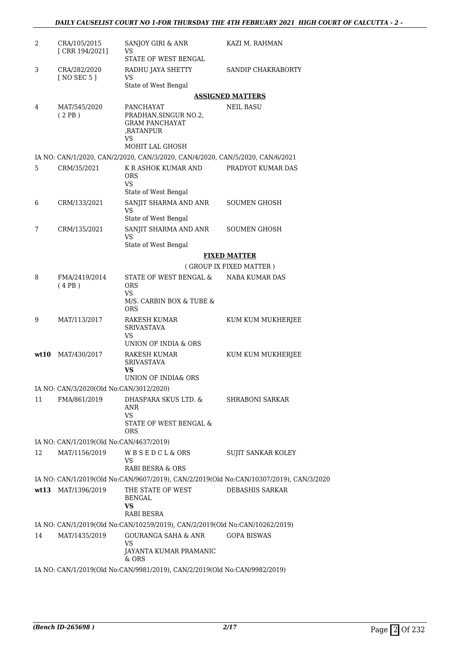| 2  | CRA/105/2015<br>[ CRR 194/2021]                         | SANJOY GIRI & ANR<br>VS                                                                           | KAZI M. RAHMAN                                                                         |  |  |  |  |
|----|---------------------------------------------------------|---------------------------------------------------------------------------------------------------|----------------------------------------------------------------------------------------|--|--|--|--|
|    |                                                         | STATE OF WEST BENGAL                                                                              |                                                                                        |  |  |  |  |
| 3  | CRA/282/2020<br><b>[NO SEC 5]</b>                       | RADHU JAYA SHETTY<br><b>VS</b>                                                                    | SANDIP CHAKRABORTY                                                                     |  |  |  |  |
|    |                                                         | State of West Bengal                                                                              |                                                                                        |  |  |  |  |
|    |                                                         |                                                                                                   | <b>ASSIGNED MATTERS</b>                                                                |  |  |  |  |
| 4  | MAT/545/2020<br>(2PB)                                   | PANCHAYAT<br>PRADHAN, SINGUR NO.2,<br><b>GRAM PANCHAYAT</b><br>.RATANPUR<br>VS<br>MOHIT LAL GHOSH | NEIL BASU                                                                              |  |  |  |  |
|    |                                                         | IA NO: CAN/1/2020, CAN/2/2020, CAN/3/2020, CAN/4/2020, CAN/5/2020, CAN/6/2021                     |                                                                                        |  |  |  |  |
| 5  | CRM/35/2021                                             | K R ASHOK KUMAR AND<br><b>ORS</b><br>VS<br>State of West Bengal                                   | PRADYOT KUMAR DAS                                                                      |  |  |  |  |
| 6  | CRM/133/2021                                            | SANJIT SHARMA AND ANR<br>VS<br>State of West Bengal                                               | <b>SOUMEN GHOSH</b>                                                                    |  |  |  |  |
| 7  | CRM/135/2021                                            | SANJIT SHARMA AND ANR<br>VS                                                                       | SOUMEN GHOSH                                                                           |  |  |  |  |
|    |                                                         | State of West Bengal                                                                              |                                                                                        |  |  |  |  |
|    |                                                         | <b>FIXED MATTER</b>                                                                               |                                                                                        |  |  |  |  |
|    |                                                         |                                                                                                   | (GROUP IX FIXED MATTER)                                                                |  |  |  |  |
| 8  | FMA/2419/2014<br>(4PB)                                  | STATE OF WEST BENGAL &<br><b>ORS</b><br>VS<br>M/S. CARBIN BOX & TUBE &                            | NABA KUMAR DAS                                                                         |  |  |  |  |
| 9  | MAT/113/2017                                            | <b>ORS</b><br>RAKESH KUMAR<br><b>SRIVASTAVA</b><br>VS                                             | KUM KUM MUKHERJEE                                                                      |  |  |  |  |
|    |                                                         | UNION OF INDIA & ORS                                                                              |                                                                                        |  |  |  |  |
|    | $wt10$ MAT/430/2017                                     | RAKESH KUMAR<br><b>SRIVASTAVA</b><br>VS                                                           | KUM KUM MUKHERJEE                                                                      |  |  |  |  |
|    |                                                         | UNION OF INDIA& ORS                                                                               |                                                                                        |  |  |  |  |
| 11 | IA NO: CAN/3/2020(Old No:CAN/3012/2020)<br>FMA/861/2019 | DHASPARA SKUS LTD. &<br>ANR<br>VS                                                                 | <b>SHRABONI SARKAR</b>                                                                 |  |  |  |  |
|    |                                                         | STATE OF WEST BENGAL &<br><b>ORS</b>                                                              |                                                                                        |  |  |  |  |
|    | IA NO: CAN/1/2019(Old No:CAN/4637/2019)                 |                                                                                                   |                                                                                        |  |  |  |  |
| 12 | MAT/1156/2019                                           | <b>WBSEDCL&amp;ORS</b><br>VS                                                                      | SUJIT SANKAR KOLEY                                                                     |  |  |  |  |
|    |                                                         | RABI BESRA & ORS                                                                                  |                                                                                        |  |  |  |  |
|    |                                                         |                                                                                                   | IA NO: CAN/1/2019(Old No:CAN/9607/2019), CAN/2/2019(Old No:CAN/10307/2019), CAN/3/2020 |  |  |  |  |
|    | wt13 MAT/1396/2019                                      | THE STATE OF WEST<br><b>BENGAL</b><br>VS                                                          | <b>DEBASHIS SARKAR</b>                                                                 |  |  |  |  |
|    |                                                         | <b>RABI BESRA</b>                                                                                 |                                                                                        |  |  |  |  |
|    |                                                         | IA NO: CAN/1/2019(Old No:CAN/10259/2019), CAN/2/2019(Old No:CAN/10262/2019)                       |                                                                                        |  |  |  |  |
| 14 | MAT/1435/2019                                           | GOURANGA SAHA & ANR<br><b>VS</b><br>JAYANTA KUMAR PRAMANIC                                        | <b>GOPA BISWAS</b>                                                                     |  |  |  |  |
|    |                                                         | & ORS                                                                                             |                                                                                        |  |  |  |  |
|    |                                                         | IA NO: CAN/1/2019(Old No:CAN/9981/2019), CAN/2/2019(Old No:CAN/9982/2019)                         |                                                                                        |  |  |  |  |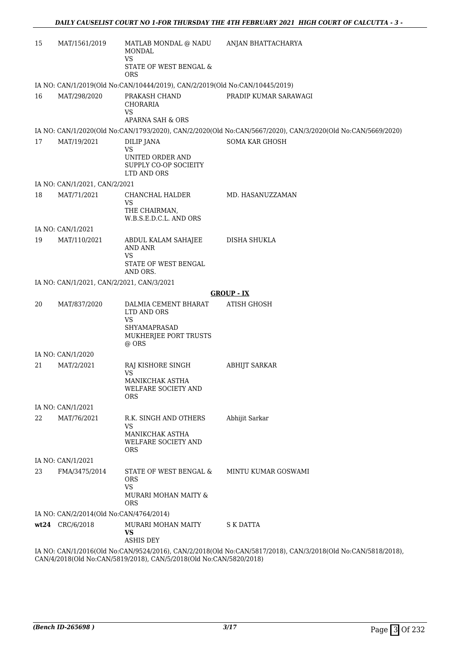| 15                                                                                                           | MAT/1561/2019                             | MATLAB MONDAL @ NADU<br><b>MONDAL</b><br><b>VS</b>                                         | ANJAN BHATTACHARYA                                                                                          |  |
|--------------------------------------------------------------------------------------------------------------|-------------------------------------------|--------------------------------------------------------------------------------------------|-------------------------------------------------------------------------------------------------------------|--|
|                                                                                                              |                                           | STATE OF WEST BENGAL &<br><b>ORS</b>                                                       |                                                                                                             |  |
|                                                                                                              |                                           | IA NO: CAN/1/2019(Old No:CAN/10444/2019), CAN/2/2019(Old No:CAN/10445/2019)                |                                                                                                             |  |
| 16                                                                                                           | MAT/298/2020                              | PRAKASH CHAND<br>CHORARIA<br><b>VS</b>                                                     | PRADIP KUMAR SARAWAGI                                                                                       |  |
|                                                                                                              |                                           | APARNA SAH & ORS                                                                           |                                                                                                             |  |
|                                                                                                              |                                           |                                                                                            | IA NO: CAN/1/2020(Old No:CAN/1793/2020), CAN/2/2020(Old No:CAN/5667/2020), CAN/3/2020(Old No:CAN/5669/2020) |  |
| 17                                                                                                           | MAT/19/2021                               | <b>DILIP JANA</b><br><b>VS</b><br>UNITED ORDER AND<br>SUPPLY CO-OP SOCIEITY<br>LTD AND ORS | SOMA KAR GHOSH                                                                                              |  |
|                                                                                                              | IA NO: CAN/1/2021, CAN/2/2021             |                                                                                            |                                                                                                             |  |
| 18                                                                                                           | MAT/71/2021                               | CHANCHAL HALDER<br>VS<br>THE CHAIRMAN,<br>W.B.S.E.D.C.L. AND ORS                           | MD. HASANUZZAMAN                                                                                            |  |
|                                                                                                              | IA NO: CAN/1/2021                         |                                                                                            |                                                                                                             |  |
| 19                                                                                                           | MAT/110/2021                              | ABDUL KALAM SAHAJEE<br>AND ANR<br><b>VS</b>                                                | DISHA SHUKLA                                                                                                |  |
|                                                                                                              |                                           | STATE OF WEST BENGAL<br>AND ORS.                                                           |                                                                                                             |  |
|                                                                                                              | IA NO: CAN/1/2021, CAN/2/2021, CAN/3/2021 |                                                                                            |                                                                                                             |  |
|                                                                                                              |                                           |                                                                                            | <b>GROUP - IX</b>                                                                                           |  |
| 20                                                                                                           | MAT/837/2020                              | DALMIA CEMENT BHARAT<br>LTD AND ORS<br><b>VS</b>                                           | <b>ATISH GHOSH</b>                                                                                          |  |
|                                                                                                              |                                           | SHYAMAPRASAD<br>MUKHERJEE PORT TRUSTS<br>@ ORS                                             |                                                                                                             |  |
|                                                                                                              | IA NO: CAN/1/2020                         |                                                                                            |                                                                                                             |  |
| 21                                                                                                           | MAT/2/2021                                | RAJ KISHORE SINGH<br><b>VS</b><br>MANIKCHAK ASTHA                                          | <b>ABHIJT SARKAR</b>                                                                                        |  |
|                                                                                                              |                                           | WELFARE SOCIETY AND<br><b>ORS</b>                                                          |                                                                                                             |  |
|                                                                                                              | IA NO: CAN/1/2021                         |                                                                                            |                                                                                                             |  |
| 22                                                                                                           | MAT/76/2021                               | R.K. SINGH AND OTHERS<br><b>VS</b>                                                         | Abhijit Sarkar                                                                                              |  |
|                                                                                                              |                                           | MANIKCHAK ASTHA<br>WELFARE SOCIETY AND<br><b>ORS</b>                                       |                                                                                                             |  |
|                                                                                                              | IA NO: CAN/1/2021                         |                                                                                            |                                                                                                             |  |
| 23                                                                                                           | FMA/3475/2014                             | STATE OF WEST BENGAL &<br><b>ORS</b><br><b>VS</b><br>MURARI MOHAN MAITY &                  | MINTU KUMAR GOSWAMI                                                                                         |  |
|                                                                                                              |                                           | ORS                                                                                        |                                                                                                             |  |
|                                                                                                              | IA NO: CAN/2/2014(Old No:CAN/4764/2014)   |                                                                                            |                                                                                                             |  |
|                                                                                                              | wt24 CRC/6/2018                           | MURARI MOHAN MAITY<br><b>VS</b><br><b>ASHIS DEY</b>                                        | <b>S K DATTA</b>                                                                                            |  |
| IA NO: CAN/1/2016(Old No:CAN/9524/2016), CAN/2/2018(Old No:CAN/5817/2018), CAN/3/2018(Old No:CAN/5818/2018), |                                           |                                                                                            |                                                                                                             |  |

CAN/4/2018(Old No:CAN/5819/2018), CAN/5/2018(Old No:CAN/5820/2018)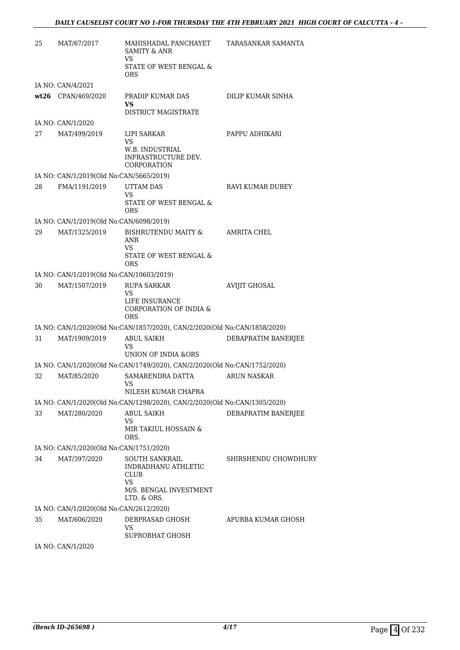| 25 | MAT/67/2017                              | MAHISHADAL PANCHAYET<br><b>SAMITY &amp; ANR</b><br>VS                                         | TARASANKAR SAMANTA   |
|----|------------------------------------------|-----------------------------------------------------------------------------------------------|----------------------|
|    |                                          | STATE OF WEST BENGAL &<br><b>ORS</b>                                                          |                      |
|    | IA NO: CAN/4/2021                        |                                                                                               |                      |
|    | wt26 CPAN/469/2020                       | PRADIP KUMAR DAS<br><b>VS</b><br><b>DISTRICT MAGISTRATE</b>                                   | DILIP KUMAR SINHA    |
|    | IA NO: CAN/1/2020                        |                                                                                               |                      |
| 27 | MAT/499/2019                             | LIPI SARKAR<br><b>VS</b>                                                                      | PAPPU ADHIKARI       |
|    |                                          | W.B. INDUSTRIAL<br>INFRASTRUCTURE DEV.<br><b>CORPORATION</b>                                  |                      |
|    | IA NO: CAN/1/2019(Old No:CAN/5665/2019)  |                                                                                               |                      |
| 28 | FMA/1191/2019                            | <b>UTTAM DAS</b><br>VS                                                                        | RAVI KUMAR DUBEY     |
|    |                                          | STATE OF WEST BENGAL &<br><b>ORS</b>                                                          |                      |
|    | IA NO: CAN/1/2019(Old No:CAN/6098/2019)  |                                                                                               |                      |
| 29 | MAT/1325/2019                            | BISHRUTENDU MAITY &<br>ANR<br>VS                                                              | AMRITA CHEL          |
|    |                                          | STATE OF WEST BENGAL &<br><b>ORS</b>                                                          |                      |
|    | IA NO: CAN/1/2019(Old No:CAN/10603/2019) |                                                                                               |                      |
| 30 | MAT/1507/2019                            | <b>RUPA SARKAR</b><br>VS                                                                      | <b>AVIJIT GHOSAL</b> |
|    |                                          | LIFE INSURANCE<br>CORPORATION OF INDIA &<br><b>ORS</b>                                        |                      |
|    |                                          | IA NO: CAN/1/2020(Old No:CAN/1857/2020), CAN/2/2020(Old No:CAN/1858/2020)                     |                      |
| 31 | MAT/1909/2019                            | <b>ABUL SAIKH</b><br>VS                                                                       | DEBAPRATIM BANERJEE  |
|    |                                          | <b>UNION OF INDIA &amp;ORS</b>                                                                |                      |
| 32 | MAT/85/2020                              | IA NO: CAN/1/2020(Old No:CAN/1749/2020), CAN/2/2020(Old No:CAN/1752/2020)<br>SAMARENDRA DATTA | <b>ARUN NASKAR</b>   |
|    |                                          | VS FOR THE STREET<br>NILESH KUMAR CHAPRA                                                      |                      |
|    |                                          | IA NO: CAN/1/2020(Old No:CAN/1298/2020), CAN/2/2020(Old No:CAN/1305/2020)                     |                      |
| 33 | MAT/280/2020                             | <b>ABUL SAIKH</b><br>VS                                                                       | DEBAPRATIM BANERJEE  |
|    |                                          | MIR TAKIUL HOSSAIN &<br>ORS.                                                                  |                      |
|    | IA NO: CAN/1/2020(Old No:CAN/1751/2020)  |                                                                                               |                      |
| 34 | MAT/397/2020                             | <b>SOUTH SANKRAIL</b><br><b>INDRADHANU ATHLETIC</b><br><b>CLUB</b><br>VS                      | SHIRSHENDU CHOWDHURY |
|    |                                          | M/S. BENGAL INVESTMENT<br>LTD. & ORS.                                                         |                      |
|    | IA NO: CAN/1/2020(Old No:CAN/2612/2020)  |                                                                                               |                      |
| 35 | MAT/606/2020                             | DEBPRASAD GHOSH<br>VS<br>SUPROBHAT GHOSH                                                      | APURBA KUMAR GHOSH   |
|    | IA NO: CAN/1/2020                        |                                                                                               |                      |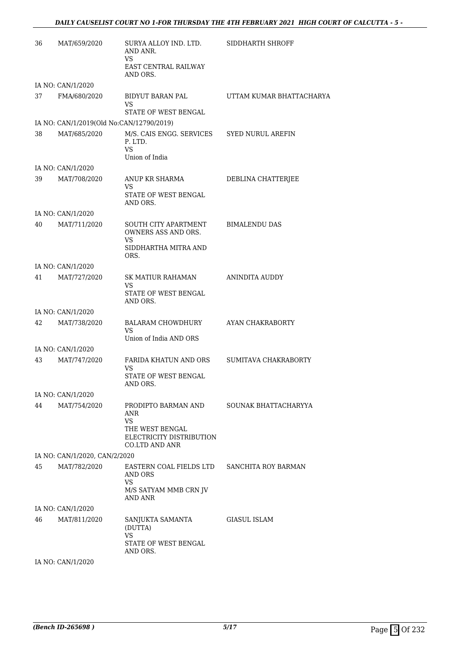| 36 | MAT/659/2020                             | SURYA ALLOY IND. LTD.<br>AND ANR.<br>VS.                                                                        | SIDDHARTH SHROFF         |
|----|------------------------------------------|-----------------------------------------------------------------------------------------------------------------|--------------------------|
|    |                                          | <b>EAST CENTRAL RAILWAY</b><br>AND ORS.                                                                         |                          |
|    | IA NO: CAN/1/2020                        |                                                                                                                 |                          |
| 37 | FMA/680/2020                             | BIDYUT BARAN PAL<br><b>VS</b><br>STATE OF WEST BENGAL                                                           | UTTAM KUMAR BHATTACHARYA |
|    | IA NO: CAN/1/2019(Old No:CAN/12790/2019) |                                                                                                                 |                          |
| 38 | MAT/685/2020                             | M/S. CAIS ENGG. SERVICES<br>P. LTD.<br>VS.<br>Union of India                                                    | <b>SYED NURUL AREFIN</b> |
|    | IA NO: CAN/1/2020                        |                                                                                                                 |                          |
| 39 | MAT/708/2020                             | ANUP KR SHARMA<br><b>VS</b><br>STATE OF WEST BENGAL<br>AND ORS.                                                 | DEBLINA CHATTERJEE       |
|    | IA NO: CAN/1/2020                        |                                                                                                                 |                          |
| 40 | MAT/711/2020                             | SOUTH CITY APARTMENT<br>OWNERS ASS AND ORS.<br><b>VS</b><br>SIDDHARTHA MITRA AND<br>ORS.                        | <b>BIMALENDU DAS</b>     |
|    | IA NO: CAN/1/2020                        |                                                                                                                 |                          |
| 41 | MAT/727/2020                             | SK MATIUR RAHAMAN<br>VS<br>STATE OF WEST BENGAL<br>AND ORS.                                                     | ANINDITA AUDDY           |
|    | IA NO: CAN/1/2020                        |                                                                                                                 |                          |
| 42 | MAT/738/2020                             | BALARAM CHOWDHURY<br><b>VS</b><br>Union of India AND ORS                                                        | AYAN CHAKRABORTY         |
|    | IA NO: CAN/1/2020                        |                                                                                                                 |                          |
| 43 | MAT/747/2020                             | FARIDA KHATUN AND ORS<br>VS<br>STATE OF WEST BENGAL<br>AND ORS.                                                 | SUMITAVA CHAKRABORTY     |
|    | IA NO: CAN/1/2020                        |                                                                                                                 |                          |
| 44 | MAT/754/2020                             | PRODIPTO BARMAN AND<br>ANR<br><b>VS</b><br>THE WEST BENGAL<br>ELECTRICITY DISTRIBUTION<br><b>CO.LTD AND ANR</b> | SOUNAK BHATTACHARYYA     |
|    | IA NO: CAN/1/2020, CAN/2/2020            |                                                                                                                 |                          |
| 45 | MAT/782/2020                             | EASTERN COAL FIELDS LTD<br>AND ORS<br>VS<br>M/S SATYAM MMB CRN JV<br><b>AND ANR</b>                             | SANCHITA ROY BARMAN      |
|    | IA NO: CAN/1/2020                        |                                                                                                                 |                          |
| 46 | MAT/811/2020                             | SANJUKTA SAMANTA<br>(DUTTA)<br><b>VS</b><br>STATE OF WEST BENGAL<br>AND ORS.                                    | <b>GIASUL ISLAM</b>      |
|    | IA NO: CAN/1/2020                        |                                                                                                                 |                          |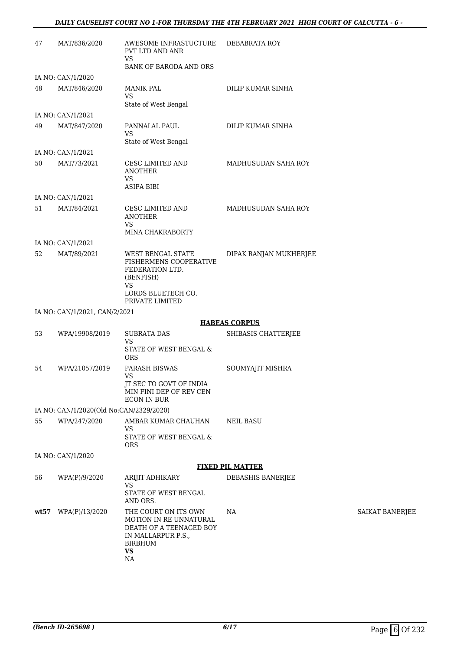| 47   | MAT/836/2020                            | AWESOME INFRASTUCTURE<br>PVT LTD AND ANR<br>VS.<br><b>BANK OF BARODA AND ORS</b>                                        | DEBABRATA ROY           |
|------|-----------------------------------------|-------------------------------------------------------------------------------------------------------------------------|-------------------------|
|      | IA NO: CAN/1/2020                       |                                                                                                                         |                         |
| 48   | MAT/846/2020                            | MANIK PAL<br><b>VS</b>                                                                                                  | DILIP KUMAR SINHA       |
|      | IA NO: CAN/1/2021                       | State of West Bengal                                                                                                    |                         |
| 49   | MAT/847/2020                            | PANNALAL PAUL                                                                                                           | DILIP KUMAR SINHA       |
|      |                                         | VS<br>State of West Bengal                                                                                              |                         |
|      | IA NO: CAN/1/2021                       |                                                                                                                         |                         |
| 50   | MAT/73/2021                             | CESC LIMITED AND<br><b>ANOTHER</b><br>VS.<br><b>ASIFA BIBI</b>                                                          | MADHUSUDAN SAHA ROY     |
|      | IA NO: CAN/1/2021                       |                                                                                                                         |                         |
| 51   | MAT/84/2021                             | CESC LIMITED AND<br><b>ANOTHER</b><br>VS.<br>MINA CHAKRABORTY                                                           | MADHUSUDAN SAHA ROY     |
|      | IA NO: CAN/1/2021                       |                                                                                                                         |                         |
| 52   | MAT/89/2021                             | WEST BENGAL STATE<br>FISHERMENS COOPERATIVE<br>FEDERATION LTD.<br>(BENFISH)<br><b>VS</b><br>LORDS BLUETECH CO.          | DIPAK RANJAN MUKHERJEE  |
|      |                                         | PRIVATE LIMITED                                                                                                         |                         |
|      | IA NO: CAN/1/2021, CAN/2/2021           |                                                                                                                         |                         |
|      |                                         |                                                                                                                         | <b>HABEAS CORPUS</b>    |
| 53   | WPA/19908/2019                          | <b>SUBRATA DAS</b><br>VS<br>STATE OF WEST BENGAL &<br><b>ORS</b>                                                        | SHIBASIS CHATTERJEE     |
| 54   | WPA/21057/2019                          | <b>PARASH BISWAS</b><br>VS                                                                                              | SOUMYAJIT MISHRA        |
|      |                                         | JT SEC TO GOVT OF INDIA<br>MIN FINI DEP OF REV CEN<br><b>ECON IN BUR</b>                                                |                         |
|      | IA NO: CAN/1/2020(Old No:CAN/2329/2020) |                                                                                                                         |                         |
| 55   | WPA/247/2020                            | AMBAR KUMAR CHAUHAN<br>VS<br>STATE OF WEST BENGAL &                                                                     | <b>NEIL BASU</b>        |
|      |                                         | <b>ORS</b>                                                                                                              |                         |
|      | IA NO: CAN/1/2020                       |                                                                                                                         | <b>FIXED PIL MATTER</b> |
| 56   | WPA(P)/9/2020                           | ARIJIT ADHIKARY                                                                                                         | DEBASHIS BANERJEE       |
|      |                                         | <b>VS</b><br>STATE OF WEST BENGAL                                                                                       |                         |
|      |                                         | AND ORS.                                                                                                                |                         |
| wt57 | WPA(P)/13/2020                          | THE COURT ON ITS OWN<br>MOTION IN RE UNNATURAL<br>DEATH OF A TEENAGED BOY<br>IN MALLARPUR P.S.,<br>BIRBHUM<br><b>VS</b> | NA                      |

NA

SAIKAT BANERJEE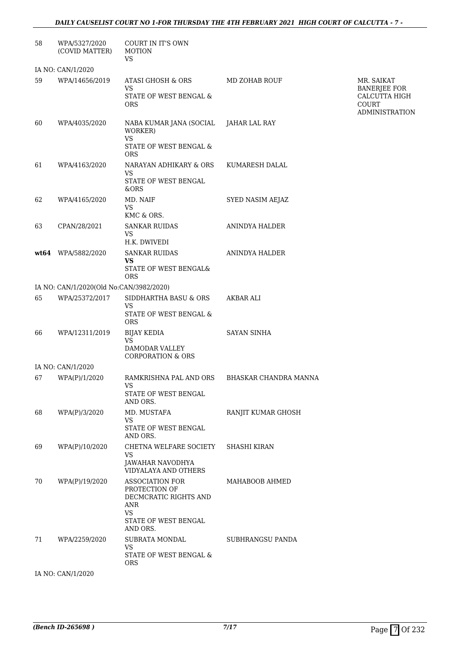| 58                | WPA/5327/2020<br>(COVID MATTER)         | COURT IN IT'S OWN<br><b>MOTION</b><br><b>VS</b>                                                                   |                       |                                                        |
|-------------------|-----------------------------------------|-------------------------------------------------------------------------------------------------------------------|-----------------------|--------------------------------------------------------|
|                   | IA NO: CAN/1/2020                       |                                                                                                                   |                       |                                                        |
| 59                | WPA/14656/2019                          | ATASI GHOSH & ORS<br><b>VS</b>                                                                                    | <b>MD ZOHAB ROUF</b>  | MR. SAIKAT<br><b>BANERJEE FOR</b>                      |
|                   |                                         | STATE OF WEST BENGAL &<br><b>ORS</b>                                                                              |                       | CALCUTTA HIGH<br><b>COURT</b><br><b>ADMINISTRATION</b> |
| 60                | WPA/4035/2020                           | NABA KUMAR JANA (SOCIAL<br>WORKER)<br><b>VS</b>                                                                   | JAHAR LAL RAY         |                                                        |
|                   |                                         | STATE OF WEST BENGAL &<br><b>ORS</b>                                                                              |                       |                                                        |
| 61                | WPA/4163/2020                           | NARAYAN ADHIKARY & ORS<br>VS<br>STATE OF WEST BENGAL<br>&ORS                                                      | KUMARESH DALAL        |                                                        |
| 62                | WPA/4165/2020                           | MD. NAIF<br><b>VS</b><br>KMC & ORS.                                                                               | SYED NASIM AEJAZ      |                                                        |
| 63                | CPAN/28/2021                            | <b>SANKAR RUIDAS</b><br><b>VS</b><br>H.K. DWIVEDI                                                                 | ANINDYA HALDER        |                                                        |
| wt64              | WPA/5882/2020                           | <b>SANKAR RUIDAS</b><br><b>VS</b>                                                                                 | ANINDYA HALDER        |                                                        |
|                   |                                         | STATE OF WEST BENGAL&<br><b>ORS</b>                                                                               |                       |                                                        |
|                   | IA NO: CAN/1/2020(Old No:CAN/3982/2020) |                                                                                                                   |                       |                                                        |
| 65                | WPA/25372/2017                          | SIDDHARTHA BASU & ORS<br><b>VS</b><br>STATE OF WEST BENGAL &<br><b>ORS</b>                                        | AKBAR ALI             |                                                        |
| 66                | WPA/12311/2019                          | <b>BIJAY KEDIA</b><br>VS                                                                                          | <b>SAYAN SINHA</b>    |                                                        |
|                   |                                         | DAMODAR VALLEY<br><b>CORPORATION &amp; ORS</b>                                                                    |                       |                                                        |
|                   | IA NO: CAN/1/2020                       |                                                                                                                   |                       |                                                        |
| 67                | WPA(P)/1/2020                           | RAMKRISHNA PAL AND ORS<br>VS<br>STATE OF WEST BENGAL                                                              | BHASKAR CHANDRA MANNA |                                                        |
| 68                | WPA(P)/3/2020                           | AND ORS.<br>MD. MUSTAFA                                                                                           | RANJIT KUMAR GHOSH    |                                                        |
|                   |                                         | <b>VS</b><br>STATE OF WEST BENGAL<br>AND ORS.                                                                     |                       |                                                        |
| 69                | WPA(P)/10/2020                          | CHETNA WELFARE SOCIETY                                                                                            | <b>SHASHI KIRAN</b>   |                                                        |
|                   |                                         | <b>VS</b><br>JAWAHAR NAVODHYA<br>VIDYALAYA AND OTHERS                                                             |                       |                                                        |
| 70                | WPA(P)/19/2020                          | ASSOCIATION FOR<br>PROTECTION OF<br>DECMCRATIC RIGHTS AND<br>ANR<br><b>VS</b><br>STATE OF WEST BENGAL<br>AND ORS. | MAHABOOB AHMED        |                                                        |
| 71                | WPA/2259/2020                           | SUBRATA MONDAL<br><b>VS</b><br>STATE OF WEST BENGAL &<br><b>ORS</b>                                               | SUBHRANGSU PANDA      |                                                        |
| IA NO: CAN/1/2020 |                                         |                                                                                                                   |                       |                                                        |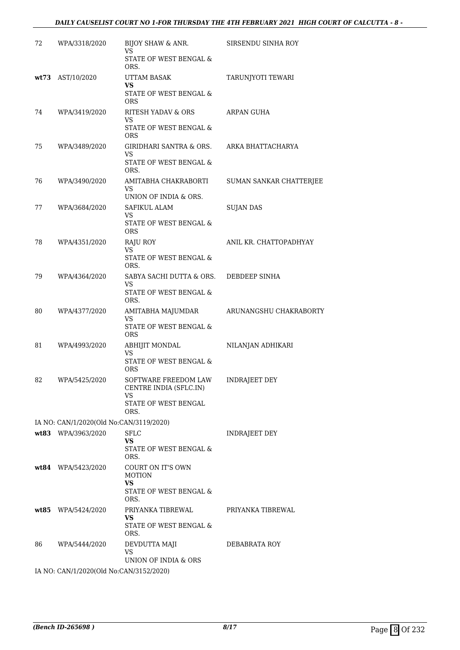#### *DAILY CAUSELIST COURT NO 1-FOR THURSDAY THE 4TH FEBRUARY 2021 HIGH COURT OF CALCUTTA - 8 -*

| 72 | WPA/3318/2020                           | BIJOY SHAW & ANR.<br>VS                               | SIRSENDU SINHA ROY      |
|----|-----------------------------------------|-------------------------------------------------------|-------------------------|
|    |                                         | STATE OF WEST BENGAL &<br>ORS.                        |                         |
|    | wt73 AST/10/2020                        | UTTAM BASAK<br>VS                                     | TARUNJYOTI TEWARI       |
|    |                                         | STATE OF WEST BENGAL &<br>ORS                         |                         |
| 74 | WPA/3419/2020                           | RITESH YADAV & ORS<br>VS                              | ARPAN GUHA              |
|    |                                         | STATE OF WEST BENGAL &<br><b>ORS</b>                  |                         |
| 75 | WPA/3489/2020                           | <b>GIRIDHARI SANTRA &amp; ORS.</b><br>VS              | ARKA BHATTACHARYA       |
|    |                                         | STATE OF WEST BENGAL &<br>ORS.                        |                         |
| 76 | WPA/3490/2020                           | AMITABHA CHAKRABORTI<br>VS<br>UNION OF INDIA & ORS.   | SUMAN SANKAR CHATTERJEE |
| 77 | WPA/3684/2020                           | SAFIKUL ALAM                                          | <b>SUJAN DAS</b>        |
|    |                                         | <b>VS</b><br>STATE OF WEST BENGAL &<br><b>ORS</b>     |                         |
| 78 | WPA/4351/2020                           | RAJU ROY<br>VS.                                       | ANIL KR. CHATTOPADHYAY  |
|    |                                         | STATE OF WEST BENGAL &<br>ORS.                        |                         |
| 79 | WPA/4364/2020                           | SABYA SACHI DUTTA & ORS.<br>VS                        | DEBDEEP SINHA           |
|    |                                         | STATE OF WEST BENGAL &<br>ORS.                        |                         |
| 80 | WPA/4377/2020                           | AMITABHA MAJUMDAR<br>VS                               | ARUNANGSHU CHAKRABORTY  |
|    |                                         | STATE OF WEST BENGAL &<br><b>ORS</b>                  |                         |
| 81 | WPA/4993/2020                           | ABHIJIT MONDAL<br>VS                                  | NILANJAN ADHIKARI       |
|    |                                         | STATE OF WEST BENGAL &<br><b>ORS</b>                  |                         |
| 82 | WPA/5425/2020                           | SOFTWARE FREEDOM LAW<br>CENTRE INDIA (SFLC.IN)<br>VS. | <b>INDRAIEET DEY</b>    |
|    |                                         | STATE OF WEST BENGAL<br>ORS.                          |                         |
|    | IA NO: CAN/1/2020(Old No:CAN/3119/2020) |                                                       |                         |
|    | wt83 WPA/3963/2020                      | <b>SFLC</b><br><b>VS</b>                              | <b>INDRAJEET DEY</b>    |
|    |                                         | STATE OF WEST BENGAL &<br>ORS.                        |                         |
|    | wt84 WPA/5423/2020                      | <b>COURT ON IT'S OWN</b><br><b>MOTION</b><br>VS       |                         |
|    |                                         | STATE OF WEST BENGAL &<br>ORS.                        |                         |
|    | wt85 WPA/5424/2020                      | PRIYANKA TIBREWAL<br>VS                               | PRIYANKA TIBREWAL       |
|    |                                         | STATE OF WEST BENGAL &<br>ORS.                        |                         |
| 86 | WPA/5444/2020                           | DEVDUTTA MAJI<br><b>VS</b>                            | DEBABRATA ROY           |
|    | IA NO: CAN/1/2020(Old No:CAN/3152/2020) | UNION OF INDIA & ORS                                  |                         |
|    |                                         |                                                       |                         |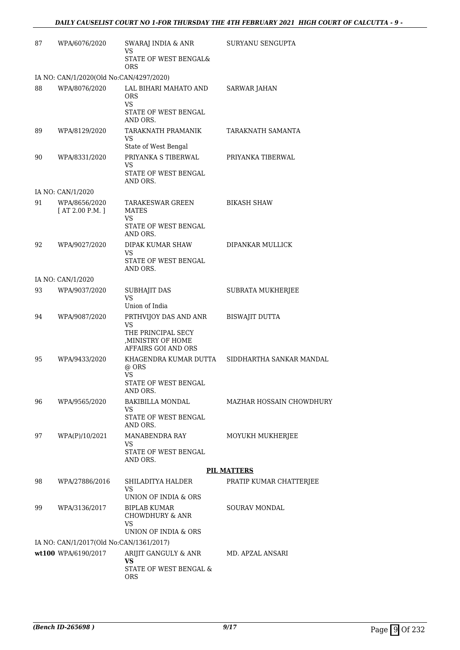| 87 | WPA/6076/2020                           | SWARAJ INDIA & ANR<br>VS                                                                              | SURYANU SENGUPTA         |
|----|-----------------------------------------|-------------------------------------------------------------------------------------------------------|--------------------------|
|    |                                         | STATE OF WEST BENGAL&<br><b>ORS</b>                                                                   |                          |
|    | IA NO: CAN/1/2020(Old No:CAN/4297/2020) |                                                                                                       |                          |
| 88 | WPA/8076/2020                           | LAL BIHARI MAHATO AND<br><b>ORS</b><br><b>VS</b>                                                      | <b>SARWAR JAHAN</b>      |
|    |                                         | STATE OF WEST BENGAL<br>AND ORS.                                                                      |                          |
| 89 | WPA/8129/2020                           | TARAKNATH PRAMANIK<br>VS<br>State of West Bengal                                                      | TARAKNATH SAMANTA        |
| 90 | WPA/8331/2020                           | PRIYANKA S TIBERWAL<br>VS                                                                             | PRIYANKA TIBERWAL        |
|    |                                         | STATE OF WEST BENGAL<br>AND ORS.                                                                      |                          |
|    | IA NO: CAN/1/2020                       |                                                                                                       |                          |
| 91 | WPA/8656/2020<br>[AT 2.00 P.M.]         | TARAKESWAR GREEN<br><b>MATES</b><br>VS                                                                | <b>BIKASH SHAW</b>       |
|    |                                         | STATE OF WEST BENGAL<br>AND ORS.                                                                      |                          |
| 92 | WPA/9027/2020                           | DIPAK KUMAR SHAW<br>VS                                                                                | DIPANKAR MULLICK         |
|    |                                         | STATE OF WEST BENGAL<br>AND ORS.                                                                      |                          |
|    | IA NO: CAN/1/2020                       |                                                                                                       |                          |
| 93 | WPA/9037/2020                           | <b>SUBHAJIT DAS</b><br>VS                                                                             | SUBRATA MUKHERJEE        |
|    |                                         | Union of India                                                                                        |                          |
| 94 | WPA/9087/2020                           | PRTHVIJOY DAS AND ANR<br><b>VS</b><br>THE PRINCIPAL SECY<br>, MINISTRY OF HOME<br>AFFAIRS GOI AND ORS | <b>BISWAJIT DUTTA</b>    |
| 95 | WPA/9433/2020                           | KHAGENDRA KUMAR DUTTA<br>@ ORS                                                                        | SIDDHARTHA SANKAR MANDAL |
|    |                                         | <b>VS</b><br>STATE OF WEST BENGAL<br>AND ORS.                                                         |                          |
| 96 | WPA/9565/2020                           | <b>BAKIBILLA MONDAL</b><br>VS                                                                         | MAZHAR HOSSAIN CHOWDHURY |
|    |                                         | STATE OF WEST BENGAL<br>AND ORS.                                                                      |                          |
| 97 | WPA(P)/10/2021                          | MANABENDRA RAY<br>VS                                                                                  | MOYUKH MUKHERJEE         |
|    |                                         | STATE OF WEST BENGAL<br>AND ORS.                                                                      |                          |
|    |                                         |                                                                                                       | <b>PIL MATTERS</b>       |
| 98 | WPA/27886/2016                          | SHILADITYA HALDER<br>VS                                                                               | PRATIP KUMAR CHATTERJEE  |
|    |                                         | UNION OF INDIA & ORS                                                                                  |                          |
| 99 | WPA/3136/2017                           | <b>BIPLAB KUMAR</b><br><b>CHOWDHURY &amp; ANR</b><br>VS                                               | <b>SOURAV MONDAL</b>     |
|    |                                         | UNION OF INDIA & ORS                                                                                  |                          |
|    | IA NO: CAN/1/2017(Old No:CAN/1361/2017) |                                                                                                       |                          |
|    | wt100 WPA/6190/2017                     | ARIJIT GANGULY & ANR<br>VS                                                                            | MD. APZAL ANSARI         |
|    |                                         | STATE OF WEST BENGAL &<br><b>ORS</b>                                                                  |                          |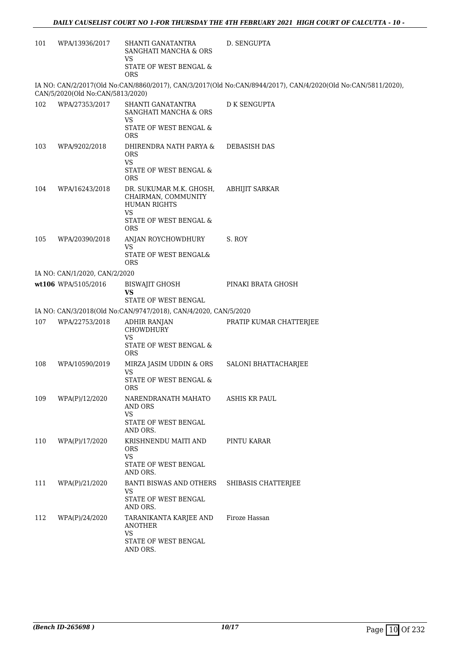| WPA/13936/2017      | SHANTI GANATANTRA<br>SANGHATI MANCHA & ORS<br>VS                              | D. SENGUPTA                                                                                                                                                                                                                                                                                                                                         |
|---------------------|-------------------------------------------------------------------------------|-----------------------------------------------------------------------------------------------------------------------------------------------------------------------------------------------------------------------------------------------------------------------------------------------------------------------------------------------------|
|                     | STATE OF WEST BENGAL &<br><b>ORS</b>                                          |                                                                                                                                                                                                                                                                                                                                                     |
|                     |                                                                               | IA NO: CAN/2/2017(Old No:CAN/8860/2017), CAN/3/2017(Old No:CAN/8944/2017), CAN/4/2020(Old No:CAN/5811/2020),                                                                                                                                                                                                                                        |
| WPA/27353/2017      | SHANTI GANATANTRA<br>SANGHATI MANCHA & ORS<br>VS<br>STATE OF WEST BENGAL &    | <b>D K SENGUPTA</b>                                                                                                                                                                                                                                                                                                                                 |
| WPA/9202/2018       | DHIRENDRA NATH PARYA &<br><b>ORS</b>                                          | <b>DEBASISH DAS</b>                                                                                                                                                                                                                                                                                                                                 |
|                     | STATE OF WEST BENGAL &<br><b>ORS</b>                                          |                                                                                                                                                                                                                                                                                                                                                     |
| WPA/16243/2018      | DR. SUKUMAR M.K. GHOSH,<br>CHAIRMAN, COMMUNITY<br><b>HUMAN RIGHTS</b><br>VS   | <b>ABHIJIT SARKAR</b>                                                                                                                                                                                                                                                                                                                               |
|                     | <b>ORS</b>                                                                    |                                                                                                                                                                                                                                                                                                                                                     |
|                     | VS<br>STATE OF WEST BENGAL&                                                   | S. ROY                                                                                                                                                                                                                                                                                                                                              |
|                     |                                                                               |                                                                                                                                                                                                                                                                                                                                                     |
| wt106 WPA/5105/2016 | <b>BISWAJIT GHOSH</b><br>VS                                                   | PINAKI BRATA GHOSH                                                                                                                                                                                                                                                                                                                                  |
|                     | STATE OF WEST BENGAL                                                          |                                                                                                                                                                                                                                                                                                                                                     |
|                     |                                                                               |                                                                                                                                                                                                                                                                                                                                                     |
|                     | CHOWDHURY                                                                     | PRATIP KUMAR CHATTERJEE                                                                                                                                                                                                                                                                                                                             |
|                     | STATE OF WEST BENGAL &<br><b>ORS</b>                                          |                                                                                                                                                                                                                                                                                                                                                     |
| WPA/10590/2019      | MIRZA JASIM UDDIN & ORS<br><b>VS</b><br>STATE OF WEST BENGAL &                | SALONI BHATTACHARJEE                                                                                                                                                                                                                                                                                                                                |
|                     | <b>ORS</b>                                                                    |                                                                                                                                                                                                                                                                                                                                                     |
|                     | AND ORS<br><b>VS</b>                                                          | ASHIS KR PAUL                                                                                                                                                                                                                                                                                                                                       |
|                     | AND ORS.                                                                      |                                                                                                                                                                                                                                                                                                                                                     |
| WPA(P)/17/2020      | KRISHNENDU MAITI AND<br><b>ORS</b>                                            | PINTU KARAR                                                                                                                                                                                                                                                                                                                                         |
|                     | STATE OF WEST BENGAL<br>AND ORS.                                              |                                                                                                                                                                                                                                                                                                                                                     |
| WPA(P)/21/2020      | BANTI BISWAS AND OTHERS<br>VS                                                 | SHIBASIS CHATTERJEE                                                                                                                                                                                                                                                                                                                                 |
|                     | AND ORS.                                                                      |                                                                                                                                                                                                                                                                                                                                                     |
| WPA(P)/24/2020      | TARANIKANTA KARJEE AND<br><b>ANOTHER</b><br><b>VS</b><br>STATE OF WEST BENGAL | Firoze Hassan                                                                                                                                                                                                                                                                                                                                       |
|                     | WPA/20390/2018<br>WPA/22753/2018<br>WPA(P)/12/2020                            | CAN/5/2020(Old No:CAN/5813/2020)<br><b>ORS</b><br><b>VS</b><br>STATE OF WEST BENGAL &<br>ANJAN ROYCHOWDHURY<br>ORS<br>IA NO: CAN/1/2020, CAN/2/2020<br>IA NO: CAN/3/2018(Old No:CAN/9747/2018), CAN/4/2020, CAN/5/2020<br><b>ADHIR RANJAN</b><br>VS<br>NARENDRANATH MAHATO<br>STATE OF WEST BENGAL<br><b>VS</b><br>STATE OF WEST BENGAL<br>AND ORS. |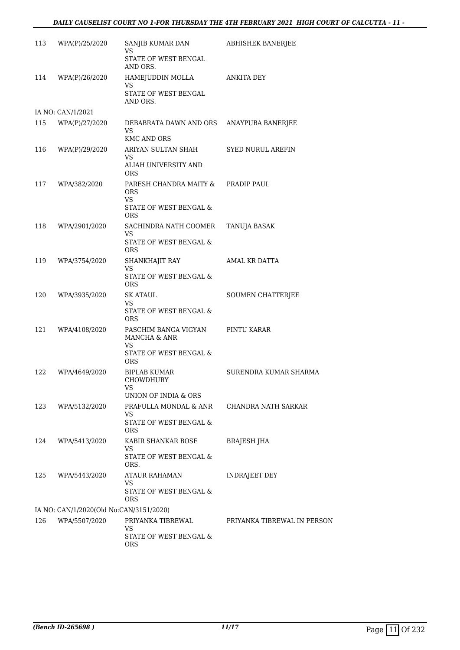#### *DAILY CAUSELIST COURT NO 1-FOR THURSDAY THE 4TH FEBRUARY 2021 HIGH COURT OF CALCUTTA - 11 -*

| 113 | WPA(P)/25/2020                          | SANJIB KUMAR DAN<br>VS                                    | ABHISHEK BANERJEE           |
|-----|-----------------------------------------|-----------------------------------------------------------|-----------------------------|
|     |                                         | STATE OF WEST BENGAL<br>AND ORS.                          |                             |
| 114 | WPA(P)/26/2020                          | HAMEJUDDIN MOLLA<br>VS                                    | ANKITA DEY                  |
|     |                                         | STATE OF WEST BENGAL<br>AND ORS.                          |                             |
|     | IA NO: CAN/1/2021                       |                                                           |                             |
| 115 | WPA(P)/27/2020                          | DEBABRATA DAWN AND ORS<br><b>VS</b><br><b>KMC AND ORS</b> | ANAYPUBA BANERJEE           |
| 116 | WPA(P)/29/2020                          | ARIYAN SULTAN SHAH                                        | <b>SYED NURUL AREFIN</b>    |
|     |                                         | VS<br>ALIAH UNIVERSITY AND<br><b>ORS</b>                  |                             |
| 117 | WPA/382/2020                            | PARESH CHANDRA MAITY &<br><b>ORS</b><br>VS.               | PRADIP PAUL                 |
|     |                                         | STATE OF WEST BENGAL &<br><b>ORS</b>                      |                             |
| 118 | WPA/2901/2020                           | SACHINDRA NATH COOMER<br>VS.                              | TANUJA BASAK                |
|     |                                         | STATE OF WEST BENGAL &<br><b>ORS</b>                      |                             |
| 119 | WPA/3754/2020                           | SHANKHAJIT RAY<br>VS                                      | AMAL KR DATTA               |
|     |                                         | STATE OF WEST BENGAL &<br><b>ORS</b>                      |                             |
| 120 | WPA/3935/2020                           | SK ATAUL<br>VS                                            | SOUMEN CHATTERJEE           |
|     |                                         | STATE OF WEST BENGAL &<br><b>ORS</b>                      |                             |
| 121 | WPA/4108/2020                           | PASCHIM BANGA VIGYAN<br>MANCHA & ANR<br>VS                | PINTU KARAR                 |
|     |                                         | STATE OF WEST BENGAL &<br><b>ORS</b>                      |                             |
| 122 | WPA/4649/2020                           | <b>BIPLAB KUMAR</b><br>CHOWDHURY<br>VS                    | SURENDRA KUMAR SHARMA       |
|     |                                         | UNION OF INDIA & ORS                                      |                             |
| 123 | WPA/5132/2020                           | PRAFULLA MONDAL & ANR<br>VS                               | CHANDRA NATH SARKAR         |
|     |                                         | STATE OF WEST BENGAL &<br><b>ORS</b>                      |                             |
| 124 | WPA/5413/2020                           | KABIR SHANKAR BOSE                                        | <b>BRAJESH JHA</b>          |
|     |                                         | VS<br>STATE OF WEST BENGAL &<br>ORS.                      |                             |
| 125 | WPA/5443/2020                           | ATAUR RAHAMAN<br>VS                                       | <b>INDRAJEET DEY</b>        |
|     |                                         | STATE OF WEST BENGAL &<br>ORS                             |                             |
|     | IA NO: CAN/1/2020(Old No:CAN/3151/2020) |                                                           |                             |
| 126 | WPA/5507/2020                           | PRIYANKA TIBREWAL<br>VS                                   | PRIYANKA TIBREWAL IN PERSON |
|     |                                         | STATE OF WEST BENGAL &<br>ORS                             |                             |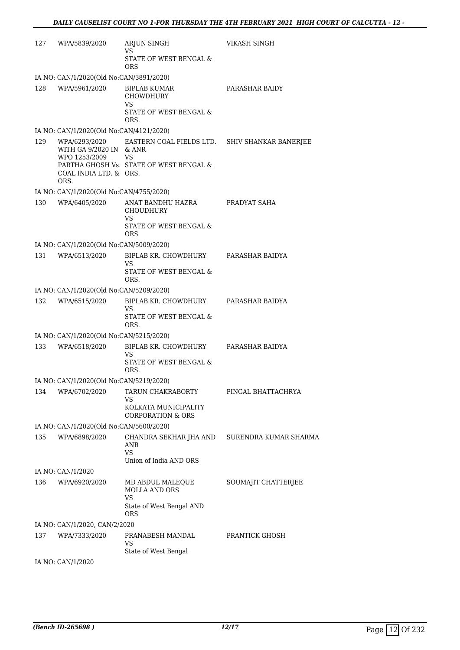| 127 | WPA/5839/2020                                                              | ARJUN SINGH<br><b>VS</b>                                                                                             | <b>VIKASH SINGH</b>   |  |  |
|-----|----------------------------------------------------------------------------|----------------------------------------------------------------------------------------------------------------------|-----------------------|--|--|
|     |                                                                            | STATE OF WEST BENGAL &<br>ORS.                                                                                       |                       |  |  |
|     | IA NO: CAN/1/2020(Old No:CAN/3891/2020)                                    |                                                                                                                      |                       |  |  |
| 128 | WPA/5961/2020                                                              | <b>BIPLAB KUMAR</b><br><b>CHOWDHURY</b><br>VS.<br>STATE OF WEST BENGAL &                                             | PARASHAR BAIDY        |  |  |
|     |                                                                            | ORS.                                                                                                                 |                       |  |  |
|     | IA NO: CAN/1/2020(Old No:CAN/4121/2020)                                    |                                                                                                                      |                       |  |  |
| 129 | WITH GA 9/2020 IN & ANR<br>WPO 1253/2009<br>COAL INDIA LTD. & ORS.<br>ORS. | WPA/6293/2020 EASTERN COAL FIELDS LTD. SHIV SHANKAR BANERJEE<br><b>VS</b><br>PARTHA GHOSH Vs. STATE OF WEST BENGAL & |                       |  |  |
|     | IA NO: CAN/1/2020(Old No:CAN/4755/2020)                                    |                                                                                                                      |                       |  |  |
|     | 130 WPA/6405/2020                                                          | ANAT BANDHU HAZRA<br><b>CHOUDHURY</b><br>VS.<br>STATE OF WEST BENGAL &<br><b>ORS</b>                                 | PRADYAT SAHA          |  |  |
|     | IA NO: CAN/1/2020(Old No:CAN/5009/2020)                                    |                                                                                                                      |                       |  |  |
| 131 | WPA/6513/2020                                                              | BIPLAB KR. CHOWDHURY<br>VS                                                                                           | PARASHAR BAIDYA       |  |  |
|     |                                                                            | STATE OF WEST BENGAL &<br>ORS.                                                                                       |                       |  |  |
|     | IA NO: CAN/1/2020(Old No:CAN/5209/2020)                                    |                                                                                                                      |                       |  |  |
| 132 | WPA/6515/2020                                                              | BIPLAB KR. CHOWDHURY<br>VS.<br>STATE OF WEST BENGAL &<br>ORS.                                                        | PARASHAR BAIDYA       |  |  |
|     | IA NO: CAN/1/2020(Old No:CAN/5215/2020)                                    |                                                                                                                      |                       |  |  |
| 133 | WPA/6518/2020                                                              | BIPLAB KR. CHOWDHURY PARASHAR BAIDYA<br>VS<br>STATE OF WEST BENGAL &<br>ORS.                                         |                       |  |  |
|     | IA NO: CAN/1/2020(Old No:CAN/5219/2020)                                    |                                                                                                                      |                       |  |  |
|     | 134 WPA/6702/2020                                                          | TARUN CHAKRABORTY<br>VS<br>KOLKATA MUNICIPALITY<br><b>CORPORATION &amp; ORS</b>                                      | PINGAL BHATTACHRYA    |  |  |
|     | IA NO: CAN/1/2020(Old No:CAN/5600/2020)                                    |                                                                                                                      |                       |  |  |
| 135 | WPA/6898/2020                                                              | CHANDRA SEKHAR JHA AND<br>ANR<br><b>VS</b><br>Union of India AND ORS                                                 | SURENDRA KUMAR SHARMA |  |  |
|     | IA NO: CAN/1/2020                                                          |                                                                                                                      |                       |  |  |
| 136 | WPA/6920/2020                                                              | MD ABDUL MALEQUE<br>MOLLA AND ORS<br><b>VS</b><br>State of West Bengal AND<br><b>ORS</b>                             | SOUMAJIT CHATTERJEE   |  |  |
|     | IA NO: CAN/1/2020, CAN/2/2020                                              |                                                                                                                      |                       |  |  |
| 137 | WPA/7333/2020                                                              | PRANABESH MANDAL<br>VS<br>State of West Bengal                                                                       | PRANTICK GHOSH        |  |  |
|     |                                                                            |                                                                                                                      |                       |  |  |

IA NO: CAN/1/2020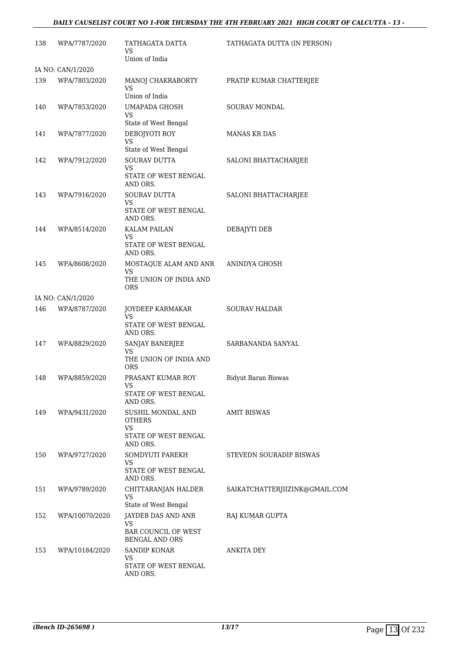#### *DAILY CAUSELIST COURT NO 1-FOR THURSDAY THE 4TH FEBRUARY 2021 HIGH COURT OF CALCUTTA - 13 -*

| 138 | WPA/7787/2020     | TATHAGATA DATTA<br>VS<br>Union of India                                         | TATHAGATA DUTTA (IN PERSON)    |
|-----|-------------------|---------------------------------------------------------------------------------|--------------------------------|
|     | IA NO: CAN/1/2020 |                                                                                 |                                |
| 139 | WPA/7803/2020     | MANOJ CHAKRABORTY<br>VS<br>Union of India                                       | PRATIP KUMAR CHATTERJEE        |
| 140 | WPA/7853/2020     | UMAPADA GHOSH                                                                   | SOURAV MONDAL                  |
|     |                   | <b>VS</b><br>State of West Bengal                                               |                                |
| 141 | WPA/7877/2020     | DEBOJYOTI ROY<br><b>VS</b><br>State of West Bengal                              | <b>MANAS KR DAS</b>            |
| 142 | WPA/7912/2020     | <b>SOURAV DUTTA</b><br>VS<br>STATE OF WEST BENGAL<br>AND ORS.                   | SALONI BHATTACHARJEE           |
| 143 | WPA/7916/2020     | <b>SOURAV DUTTA</b><br>VS<br>STATE OF WEST BENGAL<br>AND ORS.                   | SALONI BHATTACHARJEE           |
| 144 | WPA/8514/2020     | KALAM PAILAN<br>VS                                                              | DEBAJYTI DEB                   |
|     |                   | STATE OF WEST BENGAL<br>AND ORS.                                                |                                |
| 145 | WPA/8608/2020     | MOSTAQUE ALAM AND ANR<br>VS<br>THE UNION OF INDIA AND<br>ORS.                   | ANINDYA GHOSH                  |
|     | IA NO: CAN/1/2020 |                                                                                 |                                |
| 146 | WPA/8787/2020     | JOYDEEP KARMAKAR                                                                | <b>SOURAV HALDAR</b>           |
|     |                   | <b>VS</b><br>STATE OF WEST BENGAL<br>AND ORS.                                   |                                |
| 147 | WPA/8829/2020     | SANJAY BANERJEE                                                                 | SARBANANDA SANYAL              |
|     |                   | VS<br>THE UNION OF INDIA AND<br><b>ORS</b>                                      |                                |
| 148 | WPA/8859/2020     | PRASANT KUMAR ROY<br>VS                                                         | <b>Bidyut Baran Biswas</b>     |
|     |                   | STATE OF WEST BENGAL<br>AND ORS.                                                |                                |
| 149 | WPA/9431/2020     | <b>SUSHIL MONDAL AND</b><br>OTHERS<br><b>VS</b><br>STATE OF WEST BENGAL         | <b>AMIT BISWAS</b>             |
|     | WPA/9727/2020     | AND ORS.<br>SOMDYUTI PAREKH                                                     | STEVEDN SOURADIP BISWAS        |
| 150 |                   | VS<br>STATE OF WEST BENGAL<br>AND ORS.                                          |                                |
| 151 | WPA/9789/2020     | CHITTARANJAN HALDER<br>VS                                                       | SAIKATCHATTERJIIZINK@GMAIL.COM |
|     |                   | State of West Bengal                                                            |                                |
| 152 | WPA/10070/2020    | JAYDEB DAS AND ANR<br>VS<br><b>BAR COUNCIL OF WEST</b><br><b>BENGAL AND ORS</b> | RAJ KUMAR GUPTA                |
| 153 | WPA/10184/2020    | <b>SANDIP KONAR</b>                                                             | ANKITA DEY                     |
|     |                   | VS                                                                              |                                |
|     |                   | STATE OF WEST BENGAL<br>AND ORS.                                                |                                |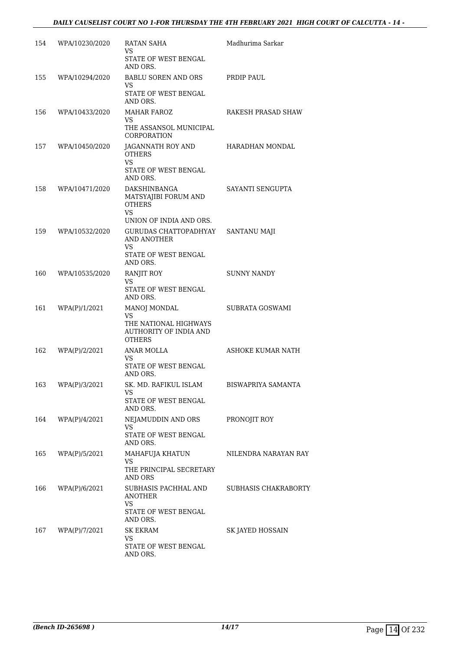| 154   | WPA/10230/2020 | RATAN SAHA<br>VS.<br>STATE OF WEST BENGAL<br>AND ORS.                                          | Madhurima Sarkar     |
|-------|----------------|------------------------------------------------------------------------------------------------|----------------------|
| 155   | WPA/10294/2020 | BABLU SOREN AND ORS<br>VS.<br>STATE OF WEST BENGAL<br>AND ORS.                                 | PRDIP PAUL           |
| 156   | WPA/10433/2020 | MAHAR FAROZ<br>VS.<br>THE ASSANSOL MUNICIPAL<br>CORPORATION                                    | RAKESH PRASAD SHAW   |
| 157   | WPA/10450/2020 | JAGANNATH ROY AND<br><b>OTHERS</b><br>VS.<br>STATE OF WEST BENGAL<br>AND ORS.                  | HARADHAN MONDAL      |
| 158   | WPA/10471/2020 | <b>DAKSHINBANGA</b><br>MATSYAJIBI FORUM AND<br><b>OTHERS</b><br>VS.<br>UNION OF INDIA AND ORS. | SAYANTI SENGUPTA     |
| 159   | WPA/10532/2020 | GURUDAS CHATTOPADHYAY<br>AND ANOTHER<br>VS.<br>STATE OF WEST BENGAL<br>AND ORS.                | <b>SANTANU MAJI</b>  |
| 160   | WPA/10535/2020 | <b>RANJIT ROY</b><br>VS<br>STATE OF WEST BENGAL<br>AND ORS.                                    | <b>SUNNY NANDY</b>   |
| 161   | WPA(P)/1/2021  | <b>MANOJ MONDAL</b><br>VS.<br>THE NATIONAL HIGHWAYS<br>AUTHORITY OF INDIA AND<br><b>OTHERS</b> | SUBRATA GOSWAMI      |
| 162   | WPA(P)/2/2021  | ANAR MOLLA<br>VS.<br>STATE OF WEST BENGAL<br>AND ORS.                                          | ASHOKE KUMAR NATH    |
| 163 — | WPA(P)/3/2021  | SK. MD. RAFIKUL ISLAM<br>VS<br>STATE OF WEST BENGAL<br>AND ORS.                                | BISWAPRIYA SAMANTA   |
| 164   | WPA(P)/4/2021  | NEJAMUDDIN AND ORS<br>VS.<br>STATE OF WEST BENGAL<br>AND ORS.                                  | PRONOJIT ROY         |
| 165   | WPA(P)/5/2021  | MAHAFUJA KHATUN<br><b>VS</b><br>THE PRINCIPAL SECRETARY<br>AND ORS                             | NILENDRA NARAYAN RAY |
| 166   | WPA(P)/6/2021  | SUBHASIS PACHHAL AND<br><b>ANOTHER</b><br>VS<br>STATE OF WEST BENGAL<br>AND ORS.               | SUBHASIS CHAKRABORTY |
| 167   | WPA(P)/7/2021  | SK EKRAM<br>VS<br>STATE OF WEST BENGAL<br>AND ORS.                                             | SK JAYED HOSSAIN     |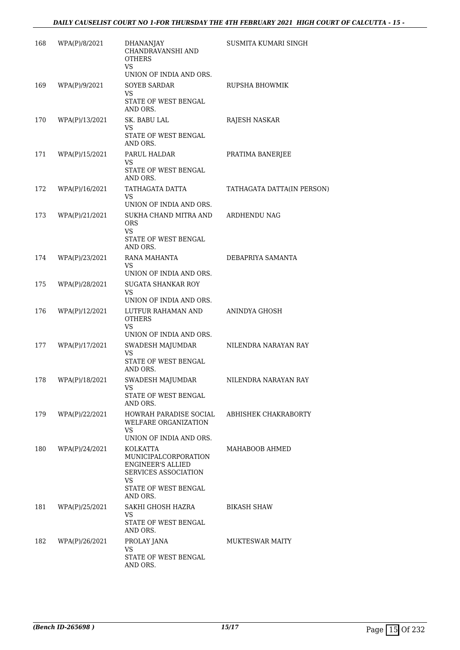| 168 | WPA(P)/8/2021  | <b>DHANANJAY</b><br>CHANDRAVANSHI AND<br><b>OTHERS</b><br>VS<br>UNION OF INDIA AND ORS.                                         | SUSMITA KUMARI SINGH       |
|-----|----------------|---------------------------------------------------------------------------------------------------------------------------------|----------------------------|
| 169 | WPA(P)/9/2021  | <b>SOYEB SARDAR</b><br>VS.<br>STATE OF WEST BENGAL                                                                              | <b>RUPSHA BHOWMIK</b>      |
|     |                | AND ORS.                                                                                                                        |                            |
| 170 | WPA(P)/13/2021 | SK. BABU LAL<br>VS.<br>STATE OF WEST BENGAL<br>AND ORS.                                                                         | RAJESH NASKAR              |
| 171 | WPA(P)/15/2021 | PARUL HALDAR<br><b>VS</b><br>STATE OF WEST BENGAL<br>AND ORS.                                                                   | PRATIMA BANERJEE           |
| 172 | WPA(P)/16/2021 | TATHAGATA DATTA<br>VS.<br>UNION OF INDIA AND ORS.                                                                               | TATHAGATA DATTA(IN PERSON) |
| 173 | WPA(P)/21/2021 | SUKHA CHAND MITRA AND<br><b>ORS</b><br><b>VS</b><br>STATE OF WEST BENGAL<br>AND ORS.                                            | ARDHENDU NAG               |
| 174 | WPA(P)/23/2021 | RANA MAHANTA<br>VS<br>UNION OF INDIA AND ORS.                                                                                   | DEBAPRIYA SAMANTA          |
| 175 | WPA(P)/28/2021 | <b>SUGATA SHANKAR ROY</b><br>VS.<br>UNION OF INDIA AND ORS.                                                                     |                            |
| 176 | WPA(P)/12/2021 | LUTFUR RAHAMAN AND<br><b>OTHERS</b><br><b>VS</b>                                                                                | ANINDYA GHOSH              |
|     |                | UNION OF INDIA AND ORS.                                                                                                         |                            |
| 177 | WPA(P)/17/2021 | SWADESH MAJUMDAR<br><b>VS</b><br>STATE OF WEST BENGAL<br>AND ORS.                                                               | NILENDRA NARAYAN RAY       |
| 178 | WPA(P)/18/2021 | SWADESH MAJUMDAR<br>VS<br>STATE OF WEST BENGAL<br>AND ORS.                                                                      | NILENDRA NARAYAN RAY       |
| 179 | WPA(P)/22/2021 | HOWRAH PARADISE SOCIAL<br>WELFARE ORGANIZATION<br>VS<br>UNION OF INDIA AND ORS.                                                 | ABHISHEK CHAKRABORTY       |
| 180 | WPA(P)/24/2021 | KOLKATTA<br>MUNICIPALCORPORATION<br><b>ENGINEER'S ALLIED</b><br>SERVICES ASSOCIATION<br>VS.<br>STATE OF WEST BENGAL<br>AND ORS. | MAHABOOB AHMED             |
| 181 | WPA(P)/25/2021 | SAKHI GHOSH HAZRA<br>VS<br>STATE OF WEST BENGAL<br>AND ORS.                                                                     | <b>BIKASH SHAW</b>         |
| 182 | WPA(P)/26/2021 | PROLAY JANA<br>VS<br>STATE OF WEST BENGAL<br>AND ORS.                                                                           | <b>MUKTESWAR MAITY</b>     |
|     |                |                                                                                                                                 |                            |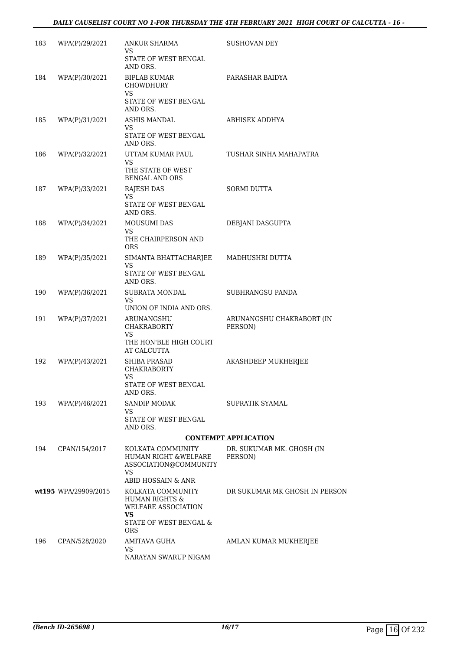| 183 | WPA(P)/29/2021       | <b>ANKUR SHARMA</b><br>VS.<br>STATE OF WEST BENGAL                                               | <b>SUSHOVAN DEY</b>                  |
|-----|----------------------|--------------------------------------------------------------------------------------------------|--------------------------------------|
| 184 | WPA(P)/30/2021       | AND ORS.<br><b>BIPLAB KUMAR</b><br><b>CHOWDHURY</b>                                              | PARASHAR BAIDYA                      |
|     |                      | VS<br>STATE OF WEST BENGAL<br>AND ORS.                                                           |                                      |
| 185 | WPA(P)/31/2021       | ASHIS MANDAL<br>VS.<br>STATE OF WEST BENGAL<br>AND ORS.                                          | ABHISEK ADDHYA                       |
| 186 | WPA(P)/32/2021       | UTTAM KUMAR PAUL<br>VS.<br>THE STATE OF WEST<br><b>BENGAL AND ORS</b>                            | TUSHAR SINHA MAHAPATRA               |
| 187 | WPA(P)/33/2021       | <b>RAJESH DAS</b><br>VS.<br>STATE OF WEST BENGAL<br>AND ORS.                                     | <b>SORMI DUTTA</b>                   |
| 188 | WPA(P)/34/2021       | <b>MOUSUMI DAS</b><br>VS                                                                         | DEBJANI DASGUPTA                     |
|     |                      | THE CHAIRPERSON AND<br><b>ORS</b>                                                                |                                      |
| 189 | WPA(P)/35/2021       | SIMANTA BHATTACHARJEE<br>VS.                                                                     | MADHUSHRI DUTTA                      |
|     |                      | STATE OF WEST BENGAL<br>AND ORS.                                                                 |                                      |
| 190 | WPA(P)/36/2021       | SUBRATA MONDAL<br>VS.<br>UNION OF INDIA AND ORS.                                                 | SUBHRANGSU PANDA                     |
| 191 | WPA(P)/37/2021       | ARUNANGSHU                                                                                       | ARUNANGSHU CHAKRABORT (IN            |
|     |                      | <b>CHAKRABORTY</b><br>VS<br>THE HON'BLE HIGH COURT<br>AT CALCUTTA                                | PERSON)                              |
| 192 | WPA(P)/43/2021       | <b>SHIBA PRASAD</b><br><b>CHAKRABORTY</b>                                                        | AKASHDEEP MUKHERJEE                  |
|     |                      | VS<br>STATE OF WEST BENGAL<br>AND ORS.                                                           |                                      |
| 193 | WPA(P)/46/2021       | <b>SANDIP MODAK</b><br>VS                                                                        | SUPRATIK SYAMAL                      |
|     |                      | STATE OF WEST BENGAL<br>AND ORS.                                                                 |                                      |
|     |                      |                                                                                                  | <b>CONTEMPT APPLICATION</b>          |
| 194 | CPAN/154/2017        | KOLKATA COMMUNITY<br>HUMAN RIGHT & WELFARE<br>ASSOCIATION@COMMUNITY<br>VS.<br>ABID HOSSAIN & ANR | DR. SUKUMAR MK. GHOSH (IN<br>PERSON) |
|     | wt195 WPA/29909/2015 | KOLKATA COMMUNITY                                                                                | DR SUKUMAR MK GHOSH IN PERSON        |
|     |                      | <b>HUMAN RIGHTS &amp;</b><br><b>WELFARE ASSOCIATION</b><br><b>VS</b>                             |                                      |
|     |                      | STATE OF WEST BENGAL &<br><b>ORS</b>                                                             |                                      |
| 196 | CPAN/528/2020        | AMITAVA GUHA<br>VS                                                                               | AMLAN KUMAR MUKHERJEE                |
|     |                      | NARAYAN SWARUP NIGAM                                                                             |                                      |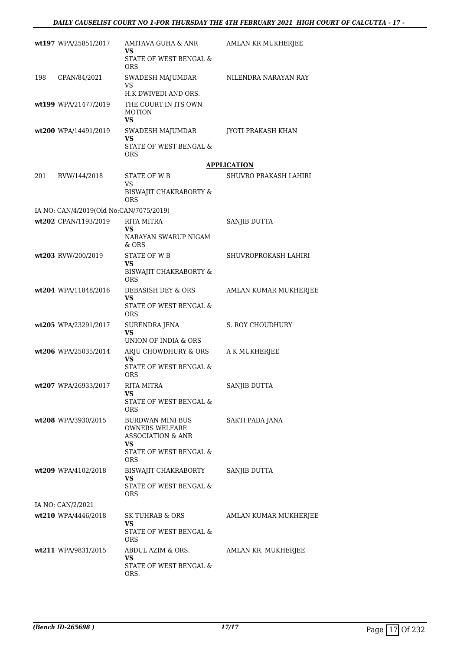|     | wt197 WPA/25851/2017                    | AMITAVA GUHA & ANR<br>VS                                                         | AMLAN KR MUKHERJEE    |
|-----|-----------------------------------------|----------------------------------------------------------------------------------|-----------------------|
|     |                                         | STATE OF WEST BENGAL &<br><b>ORS</b>                                             |                       |
| 198 | CPAN/84/2021                            | SWADESH MAJUMDAR<br><b>VS</b>                                                    | NILENDRA NARAYAN RAY  |
|     |                                         | H.K DWIVEDI AND ORS.                                                             |                       |
|     | wt199 WPA/21477/2019                    | THE COURT IN ITS OWN<br><b>MOTION</b><br>VS                                      |                       |
|     | wt200 WPA/14491/2019                    | SWADESH MAJUMDAR<br>VS                                                           | JYOTI PRAKASH KHAN    |
|     |                                         | STATE OF WEST BENGAL &<br>ORS.                                                   |                       |
|     |                                         |                                                                                  | <b>APPLICATION</b>    |
| 201 | RVW/144/2018                            | STATE OF W B<br>VS                                                               | SHUVRO PRAKASH LAHIRI |
|     |                                         | BISWAJIT CHAKRABORTY &<br><b>ORS</b>                                             |                       |
|     | IA NO: CAN/4/2019(Old No:CAN/7075/2019) |                                                                                  |                       |
|     | wt202 CPAN/1193/2019                    | <b>RITA MITRA</b>                                                                | SANJIB DUTTA          |
|     |                                         | VS<br>NARAYAN SWARUP NIGAM<br>& ORS                                              |                       |
|     | wt203 RVW/200/2019                      | STATE OF W B                                                                     | SHUVROPROKASH LAHIRI  |
|     |                                         | VS<br>BISWAJIT CHAKRABORTY &<br>ORS.                                             |                       |
|     | wt204 WPA/11848/2016                    | DEBASISH DEY & ORS                                                               | AMLAN KUMAR MUKHERJEE |
|     |                                         | VS<br>STATE OF WEST BENGAL &<br><b>ORS</b>                                       |                       |
|     | wt205 WPA/23291/2017                    | SURENDRA JENA<br>VS<br>UNION OF INDIA & ORS                                      | S. ROY CHOUDHURY      |
|     | wt206 WPA/25035/2014                    | ARJU CHOWDHURY & ORS                                                             | A K MUKHERJEE         |
|     |                                         | VS<br>STATE OF WEST BENGAL &                                                     |                       |
|     | wt207 WPA/26933/2017                    | <b>ORS</b><br><b>RITA MITRA</b>                                                  | SANJIB DUTTA          |
|     |                                         | VS                                                                               |                       |
|     |                                         | STATE OF WEST BENGAL &<br><b>ORS</b>                                             |                       |
|     | wt208 WPA/3930/2015                     | <b>BURDWAN MINI BUS</b><br><b>OWNERS WELFARE</b><br><b>ASSOCIATION &amp; ANR</b> | SAKTI PADA JANA       |
|     |                                         | VS<br>STATE OF WEST BENGAL &<br><b>ORS</b>                                       |                       |
|     | wt209 WPA/4102/2018                     | BISWAJIT CHAKRABORTY                                                             | SANJIB DUTTA          |
|     |                                         | VS.<br>STATE OF WEST BENGAL &<br><b>ORS</b>                                      |                       |
|     | IA NO: CAN/2/2021                       |                                                                                  |                       |
|     | wt210 WPA/4446/2018                     | <b>SK TUHRAB &amp; ORS</b>                                                       | AMLAN KUMAR MUKHERJEE |
|     |                                         | VS<br>STATE OF WEST BENGAL &<br>ORS                                              |                       |
|     | wt211 WPA/9831/2015                     | ABDUL AZIM & ORS.                                                                | AMLAN KR. MUKHERJEE   |
|     |                                         | VS.<br>STATE OF WEST BENGAL &<br>ORS.                                            |                       |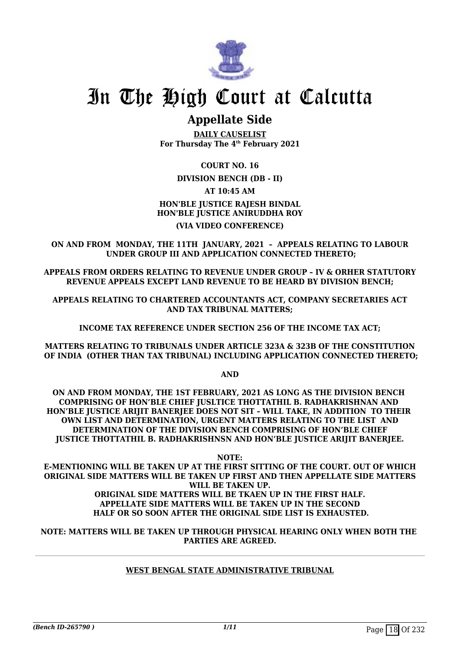

### **Appellate Side**

**DAILY CAUSELIST For Thursday The 4th February 2021**

**COURT NO. 16**

#### **DIVISION BENCH (DB - II)**

**AT 10:45 AM**

#### **HON'BLE JUSTICE RAJESH BINDAL HON'BLE JUSTICE ANIRUDDHA ROY**

#### **(VIA VIDEO CONFERENCE)**

**ON AND FROM MONDAY, THE 11TH JANUARY, 2021 – APPEALS RELATING TO LABOUR UNDER GROUP III AND APPLICATION CONNECTED THERETO;**

**APPEALS FROM ORDERS RELATING TO REVENUE UNDER GROUP – IV & ORHER STATUTORY REVENUE APPEALS EXCEPT LAND REVENUE TO BE HEARD BY DIVISION BENCH;**

**APPEALS RELATING TO CHARTERED ACCOUNTANTS ACT, COMPANY SECRETARIES ACT AND TAX TRIBUNAL MATTERS;** 

**INCOME TAX REFERENCE UNDER SECTION 256 OF THE INCOME TAX ACT;**

**MATTERS RELATING TO TRIBUNALS UNDER ARTICLE 323A & 323B OF THE CONSTITUTION OF INDIA (OTHER THAN TAX TRIBUNAL) INCLUDING APPLICATION CONNECTED THERETO;**

**AND**

**ON AND FROM MONDAY, THE 1ST FEBRUARY, 2021 AS LONG AS THE DIVISION BENCH COMPRISING OF HON'BLE CHIEF JUSLTICE THOTTATHIL B. RADHAKRISHNAN AND**  HON'BLE JUSTICE ARIJIT BANERJEE DOES NOT SIT - WILL TAKE, IN ADDITION TO THEIR **OWN LIST AND DETERMINATION, URGENT MATTERS RELATING TO THE LIST AND DETERMINATION OF THE DIVISION BENCH COMPRISING OF HON'BLE CHIEF JUSTICE THOTTATHIL B. RADHAKRISHNSN AND HON'BLE JUSTICE ARIJIT BANERJEE.**

**NOTE:**

**E-MENTIONING WILL BE TAKEN UP AT THE FIRST SITTING OF THE COURT. OUT OF WHICH ORIGINAL SIDE MATTERS WILL BE TAKEN UP FIRST AND THEN APPELLATE SIDE MATTERS WILL BE TAKEN UP.**

#### **ORIGINAL SIDE MATTERS WILL BE TKAEN UP IN THE FIRST HALF. APPELLATE SIDE MATTERS WILL BE TAKEN UP IN THE SECOND HALF OR SO SOON AFTER THE ORIGINAL SIDE LIST IS EXHAUSTED.**

**NOTE: MATTERS WILL BE TAKEN UP THROUGH PHYSICAL HEARING ONLY WHEN BOTH THE PARTIES ARE AGREED.**

#### **WEST BENGAL STATE ADMINISTRATIVE TRIBUNAL**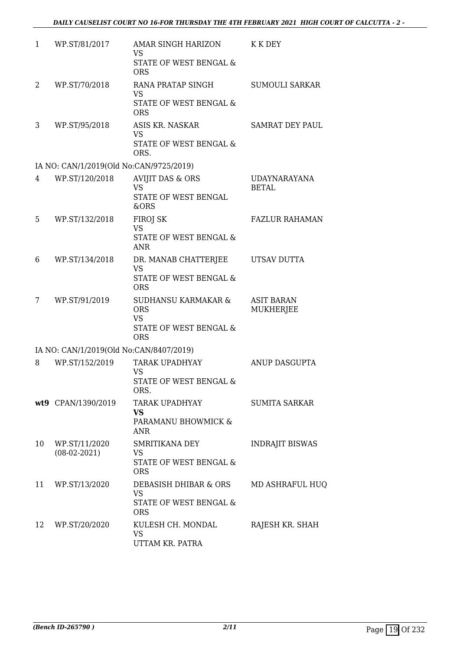| 1  | WP.ST/81/2017                           | AMAR SINGH HARIZON<br><b>VS</b><br>STATE OF WEST BENGAL &                | K K DEY                             |
|----|-----------------------------------------|--------------------------------------------------------------------------|-------------------------------------|
|    |                                         | <b>ORS</b>                                                               |                                     |
| 2  | WP.ST/70/2018                           | RANA PRATAP SINGH<br><b>VS</b><br>STATE OF WEST BENGAL &                 | <b>SUMOULI SARKAR</b>               |
|    |                                         | <b>ORS</b>                                                               |                                     |
| 3  | WP.ST/95/2018                           | ASIS KR. NASKAR<br><b>VS</b><br>STATE OF WEST BENGAL &                   | <b>SAMRAT DEY PAUL</b>              |
|    |                                         | ORS.                                                                     |                                     |
|    | IA NO: CAN/1/2019(Old No:CAN/9725/2019) |                                                                          |                                     |
| 4  | WP.ST/120/2018                          | <b>AVIJIT DAS &amp; ORS</b><br><b>VS</b><br>STATE OF WEST BENGAL         | <b>UDAYNARAYANA</b><br><b>BETAL</b> |
|    |                                         | &ORS                                                                     |                                     |
| 5  | WP.ST/132/2018                          | FIROJ SK<br><b>VS</b>                                                    | <b>FAZLUR RAHAMAN</b>               |
|    |                                         | STATE OF WEST BENGAL &<br><b>ANR</b>                                     |                                     |
| 6  | WP.ST/134/2018                          | DR. MANAB CHATTERJEE<br><b>VS</b>                                        | UTSAV DUTTA                         |
|    |                                         | STATE OF WEST BENGAL &<br><b>ORS</b>                                     |                                     |
| 7  | WP.ST/91/2019                           | SUDHANSU KARMAKAR &<br><b>ORS</b><br><b>VS</b><br>STATE OF WEST BENGAL & | <b>ASIT BARAN</b><br>MUKHERJEE      |
|    |                                         | <b>ORS</b>                                                               |                                     |
|    | IA NO: CAN/1/2019(Old No:CAN/8407/2019) |                                                                          |                                     |
| 8  | WP.ST/152/2019                          | TARAK UPADHYAY<br>VS                                                     | ANUP DASGUPTA                       |
|    |                                         | STATE OF WEST BENGAL &<br>ORS.                                           |                                     |
|    | wt9 CPAN/1390/2019                      | TARAK UPADHYAY<br><b>VS</b>                                              | <b>SUMITA SARKAR</b>                |
|    |                                         | PARAMANU BHOWMICK &<br><b>ANR</b>                                        |                                     |
| 10 | WP.ST/11/2020<br>$(08-02-2021)$         | SMRITIKANA DEY<br>VS                                                     | <b>INDRAJIT BISWAS</b>              |
|    |                                         | STATE OF WEST BENGAL &<br><b>ORS</b>                                     |                                     |
| 11 | WP.ST/13/2020                           | DEBASISH DHIBAR & ORS<br><b>VS</b>                                       | MD ASHRAFUL HUQ                     |
|    |                                         | STATE OF WEST BENGAL &<br><b>ORS</b>                                     |                                     |
| 12 | WP.ST/20/2020                           | KULESH CH. MONDAL<br><b>VS</b><br>UTTAM KR. PATRA                        | RAJESH KR. SHAH                     |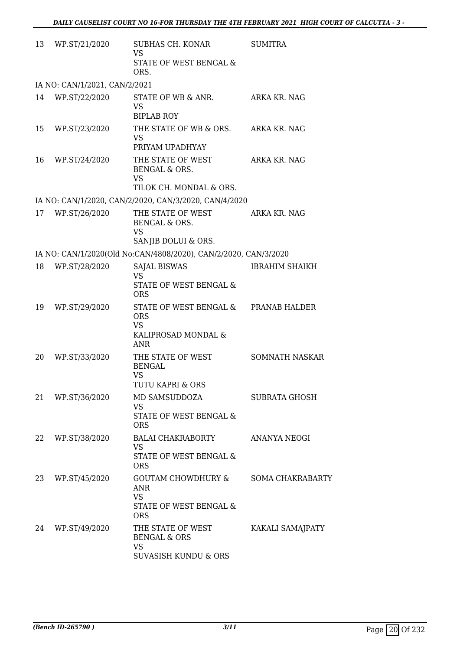| 13 | WP.ST/21/2020                 | SUBHAS CH. KONAR<br><b>VS</b><br>STATE OF WEST BENGAL &<br>ORS.                                      | <b>SUMITRA</b>          |
|----|-------------------------------|------------------------------------------------------------------------------------------------------|-------------------------|
|    | IA NO: CAN/1/2021, CAN/2/2021 |                                                                                                      |                         |
| 14 | WP.ST/22/2020                 | STATE OF WB & ANR.<br><b>VS</b><br><b>BIPLAB ROY</b>                                                 | ARKA KR. NAG            |
| 15 | WP.ST/23/2020                 | THE STATE OF WB & ORS.<br>VS.<br>PRIYAM UPADHYAY                                                     | ARKA KR. NAG            |
| 16 | WP.ST/24/2020                 | THE STATE OF WEST<br>BENGAL & ORS.<br><b>VS</b><br>TILOK CH. MONDAL & ORS.                           | ARKA KR. NAG            |
|    |                               | IA NO: CAN/1/2020, CAN/2/2020, CAN/3/2020, CAN/4/2020                                                |                         |
| 17 | WP.ST/26/2020                 | THE STATE OF WEST<br>BENGAL & ORS.<br><b>VS</b><br>SANJIB DOLUI & ORS.                               | ARKA KR. NAG            |
|    |                               | IA NO: CAN/1/2020(Old No:CAN/4808/2020), CAN/2/2020, CAN/3/2020                                      |                         |
| 18 | WP.ST/28/2020                 | <b>SAJAL BISWAS</b>                                                                                  | <b>IBRAHIM SHAIKH</b>   |
|    |                               | <b>VS</b><br>STATE OF WEST BENGAL &<br><b>ORS</b>                                                    |                         |
| 19 | WP.ST/29/2020                 | STATE OF WEST BENGAL & PRANAB HALDER<br><b>ORS</b><br><b>VS</b><br>KALIPROSAD MONDAL &<br><b>ANR</b> |                         |
| 20 | WP.ST/33/2020                 | THE STATE OF WEST<br><b>BENGAL</b><br>VS                                                             | <b>SOMNATH NASKAR</b>   |
|    |                               | <b>TUTU KAPRI &amp; ORS</b>                                                                          |                         |
| 21 | WP.ST/36/2020                 | MD SAMSUDDOZA<br><b>VS</b><br>STATE OF WEST BENGAL &<br><b>ORS</b>                                   | <b>SUBRATA GHOSH</b>    |
| 22 | WP.ST/38/2020                 | <b>BALAI CHAKRABORTY</b><br><b>VS</b><br><b>STATE OF WEST BENGAL &amp;</b><br><b>ORS</b>             | ANANYA NEOGI            |
| 23 | WP.ST/45/2020                 | <b>GOUTAM CHOWDHURY &amp;</b><br><b>ANR</b><br><b>VS</b><br>STATE OF WEST BENGAL &<br><b>ORS</b>     | <b>SOMA CHAKRABARTY</b> |
| 24 | WP.ST/49/2020                 | THE STATE OF WEST<br><b>BENGAL &amp; ORS</b><br><b>VS</b><br><b>SUVASISH KUNDU &amp; ORS</b>         | KAKALI SAMAJPATY        |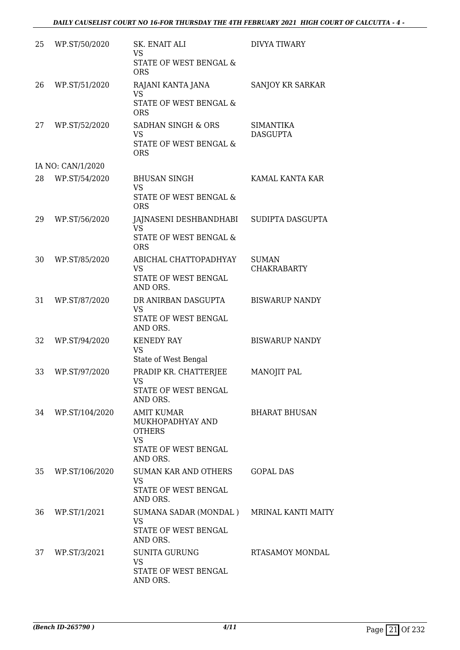| 25 | WP.ST/50/2020     | SK. ENAIT ALI<br><b>VS</b><br>STATE OF WEST BENGAL &<br><b>ORS</b>                                      | <b>DIVYA TIWARY</b>                 |
|----|-------------------|---------------------------------------------------------------------------------------------------------|-------------------------------------|
| 26 | WP.ST/51/2020     | RAJANI KANTA JANA<br><b>VS</b><br>STATE OF WEST BENGAL &<br><b>ORS</b>                                  | SANJOY KR SARKAR                    |
| 27 | WP.ST/52/2020     | <b>SADHAN SINGH &amp; ORS</b><br><b>VS</b><br>STATE OF WEST BENGAL &<br><b>ORS</b>                      | <b>SIMANTIKA</b><br><b>DASGUPTA</b> |
|    | IA NO: CAN/1/2020 |                                                                                                         |                                     |
| 28 | WP.ST/54/2020     | <b>BHUSAN SINGH</b><br><b>VS</b><br>STATE OF WEST BENGAL &<br><b>ORS</b>                                | KAMAL KANTA KAR                     |
| 29 | WP.ST/56/2020     | JAJNASENI DESHBANDHABI<br><b>VS</b><br>STATE OF WEST BENGAL &<br><b>ORS</b>                             | SUDIPTA DASGUPTA                    |
| 30 | WP.ST/85/2020     | ABICHAL CHATTOPADHYAY<br><b>VS</b><br>STATE OF WEST BENGAL<br>AND ORS.                                  | <b>SUMAN</b><br><b>CHAKRABARTY</b>  |
| 31 | WP.ST/87/2020     | DR ANIRBAN DASGUPTA<br><b>VS</b><br>STATE OF WEST BENGAL<br>AND ORS.                                    | <b>BISWARUP NANDY</b>               |
| 32 | WP.ST/94/2020     | <b>KENEDY RAY</b><br><b>VS</b><br>State of West Bengal                                                  | <b>BISWARUP NANDY</b>               |
| 33 | WP.ST/97/2020     | PRADIP KR. CHATTERJEE<br><b>VS</b><br>STATE OF WEST BENGAL<br>AND ORS.                                  | MANOJIT PAL                         |
| 34 | WP.ST/104/2020    | <b>AMIT KUMAR</b><br>MUKHOPADHYAY AND<br><b>OTHERS</b><br><b>VS</b><br>STATE OF WEST BENGAL<br>AND ORS. | <b>BHARAT BHUSAN</b>                |
| 35 | WP.ST/106/2020    | <b>SUMAN KAR AND OTHERS</b><br><b>VS</b><br>STATE OF WEST BENGAL<br>AND ORS.                            | <b>GOPAL DAS</b>                    |
| 36 | WP.ST/1/2021      | SUMANA SADAR (MONDAL) MRINAL KANTI MAITY<br><b>VS</b><br>STATE OF WEST BENGAL<br>AND ORS.               |                                     |
| 37 | WP.ST/3/2021      | <b>SUNITA GURUNG</b><br><b>VS</b><br>STATE OF WEST BENGAL<br>AND ORS.                                   | <b>RTASAMOY MONDAL</b>              |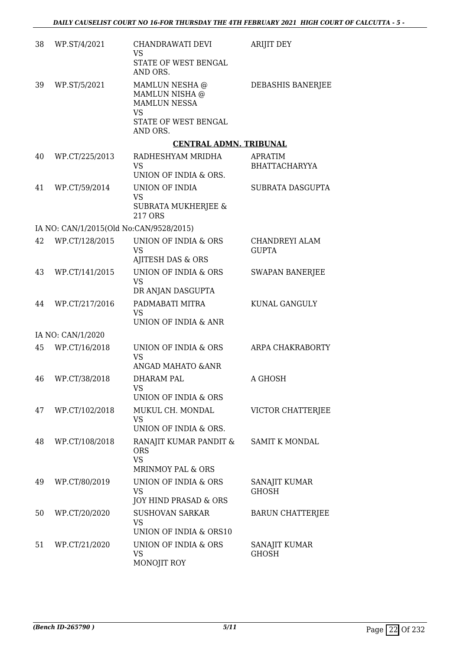| 38 | WP.ST/4/2021                            | CHANDRAWATI DEVI<br><b>VS</b><br>STATE OF WEST BENGAL<br>AND ORS.                                        | <b>ARIJIT DEY</b>                      |
|----|-----------------------------------------|----------------------------------------------------------------------------------------------------------|----------------------------------------|
| 39 | WP.ST/5/2021                            | MAMLUN NESHA @<br>MAMLUN NISHA @<br><b>MAMLUN NESSA</b><br><b>VS</b><br>STATE OF WEST BENGAL<br>AND ORS. | DEBASHIS BANERJEE                      |
|    |                                         | <b>CENTRAL ADMN. TRIBUNAL</b>                                                                            |                                        |
| 40 | WP.CT/225/2013                          | RADHESHYAM MRIDHA<br><b>VS</b><br>UNION OF INDIA & ORS.                                                  | <b>APRATIM</b><br><b>BHATTACHARYYA</b> |
| 41 | WP.CT/59/2014                           | UNION OF INDIA<br><b>VS</b><br><b>SUBRATA MUKHERJEE &amp;</b><br>217 ORS                                 | SUBRATA DASGUPTA                       |
|    | IA NO: CAN/1/2015(Old No:CAN/9528/2015) |                                                                                                          |                                        |
| 42 | WP.CT/128/2015                          | UNION OF INDIA & ORS<br><b>VS</b><br>AJITESH DAS & ORS                                                   | CHANDREYI ALAM<br><b>GUPTA</b>         |
| 43 | WP.CT/141/2015                          | UNION OF INDIA & ORS<br><b>VS</b><br>DR ANJAN DASGUPTA                                                   | <b>SWAPAN BANERJEE</b>                 |
| 44 | WP.CT/217/2016                          | PADMABATI MITRA<br><b>VS</b><br>UNION OF INDIA & ANR                                                     | KUNAL GANGULY                          |
|    | IA NO: CAN/1/2020                       |                                                                                                          |                                        |
| 45 | WP.CT/16/2018                           | UNION OF INDIA & ORS<br><b>VS</b><br>ANGAD MAHATO & ANR                                                  | ARPA CHAKRABORTY                       |
| 46 | WP.CT/38/2018                           | DHARAM PAL<br><b>VS</b><br>UNION OF INDIA & ORS                                                          | A GHOSH                                |
| 47 | WP.CT/102/2018                          | MUKUL CH. MONDAL<br><b>VS</b><br>UNION OF INDIA & ORS.                                                   | VICTOR CHATTERJEE                      |
| 48 | WP.CT/108/2018                          | RANAJIT KUMAR PANDIT &<br><b>ORS</b><br><b>VS</b><br><b>MRINMOY PAL &amp; ORS</b>                        | <b>SAMIT K MONDAL</b>                  |
| 49 | WP.CT/80/2019                           | UNION OF INDIA & ORS<br><b>VS</b><br>JOY HIND PRASAD & ORS                                               | SANAJIT KUMAR<br><b>GHOSH</b>          |
| 50 | WP.CT/20/2020                           | <b>SUSHOVAN SARKAR</b><br><b>VS</b><br>UNION OF INDIA & ORS10                                            | <b>BARUN CHATTERJEE</b>                |
| 51 | WP.CT/21/2020                           | UNION OF INDIA & ORS<br><b>VS</b><br>MONOJIT ROY                                                         | SANAJIT KUMAR<br><b>GHOSH</b>          |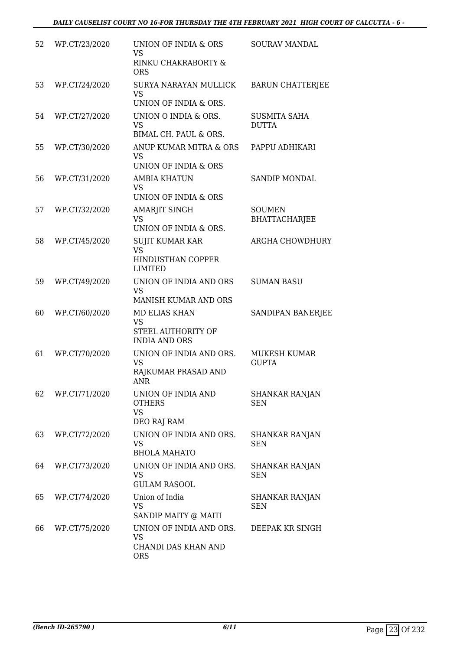| 52 | WP.CT/23/2020 | UNION OF INDIA & ORS<br><b>VS</b><br>RINKU CHAKRABORTY &<br>ORS            | <b>SOURAV MANDAL</b>                  |
|----|---------------|----------------------------------------------------------------------------|---------------------------------------|
| 53 | WP.CT/24/2020 | SURYA NARAYAN MULLICK<br><b>VS</b><br>UNION OF INDIA & ORS.                | <b>BARUN CHATTERJEE</b>               |
| 54 | WP.CT/27/2020 | UNION O INDIA & ORS.<br><b>VS</b><br>BIMAL CH. PAUL & ORS.                 | <b>SUSMITA SAHA</b><br><b>DUTTA</b>   |
| 55 | WP.CT/30/2020 | ANUP KUMAR MITRA & ORS<br><b>VS</b><br>UNION OF INDIA & ORS                | PAPPU ADHIKARI                        |
| 56 | WP.CT/31/2020 | <b>AMBIA KHATUN</b><br><b>VS</b><br>UNION OF INDIA & ORS                   | <b>SANDIP MONDAL</b>                  |
| 57 | WP.CT/32/2020 | <b>AMARJIT SINGH</b><br>VS<br>UNION OF INDIA & ORS.                        | <b>SOUMEN</b><br><b>BHATTACHARJEE</b> |
| 58 | WP.CT/45/2020 | SUJIT KUMAR KAR<br><b>VS</b><br><b>HINDUSTHAN COPPER</b><br><b>LIMITED</b> | ARGHA CHOWDHURY                       |
| 59 | WP.CT/49/2020 | UNION OF INDIA AND ORS<br><b>VS</b><br><b>MANISH KUMAR AND ORS</b>         | <b>SUMAN BASU</b>                     |
| 60 | WP.CT/60/2020 | MD ELIAS KHAN<br><b>VS</b><br>STEEL AUTHORITY OF<br><b>INDIA AND ORS</b>   | SANDIPAN BANERJEE                     |
| 61 | WP.CT/70/2020 | UNION OF INDIA AND ORS.<br><b>VS</b><br>RAJKUMAR PRASAD AND<br>ANR         | MUKESH KUMAR<br><b>GUPTA</b>          |
| 62 | WP.CT/71/2020 | UNION OF INDIA AND<br><b>OTHERS</b><br><b>VS</b><br>DEO RAJ RAM            | <b>SHANKAR RANJAN</b><br><b>SEN</b>   |
| 63 | WP.CT/72/2020 | UNION OF INDIA AND ORS.<br><b>VS</b><br><b>BHOLA MAHATO</b>                | SHANKAR RANJAN<br><b>SEN</b>          |
| 64 | WP.CT/73/2020 | UNION OF INDIA AND ORS.<br>VS<br><b>GULAM RASOOL</b>                       | SHANKAR RANJAN<br><b>SEN</b>          |
| 65 | WP.CT/74/2020 | Union of India<br><b>VS</b><br>SANDIP MAITY @ MAITI                        | <b>SHANKAR RANJAN</b><br><b>SEN</b>   |
| 66 | WP.CT/75/2020 | UNION OF INDIA AND ORS.<br><b>VS</b><br>CHANDI DAS KHAN AND<br><b>ORS</b>  | DEEPAK KR SINGH                       |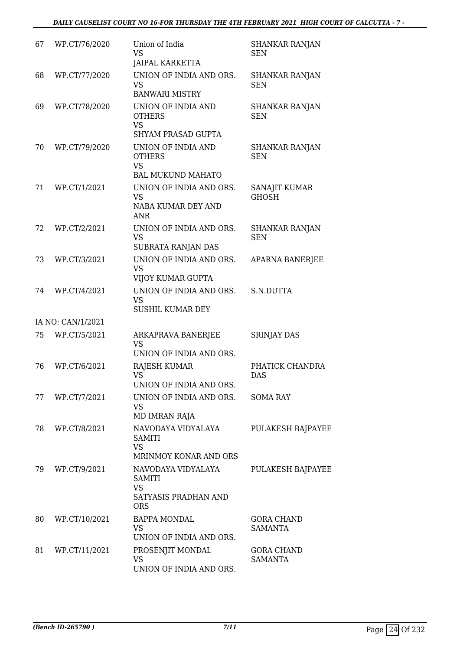| 67 | WP.CT/76/2020     | Union of India<br><b>VS</b><br><b>JAIPAL KARKETTA</b>                                  | <b>SHANKAR RANJAN</b><br><b>SEN</b> |
|----|-------------------|----------------------------------------------------------------------------------------|-------------------------------------|
| 68 | WP.CT/77/2020     | UNION OF INDIA AND ORS.<br><b>VS</b><br><b>BANWARI MISTRY</b>                          | <b>SHANKAR RANJAN</b><br><b>SEN</b> |
| 69 | WP.CT/78/2020     | UNION OF INDIA AND<br><b>OTHERS</b><br><b>VS</b><br><b>SHYAM PRASAD GUPTA</b>          | SHANKAR RANJAN<br><b>SEN</b>        |
| 70 | WP.CT/79/2020     | UNION OF INDIA AND<br><b>OTHERS</b><br><b>VS</b><br><b>BAL MUKUND MAHATO</b>           | <b>SHANKAR RANJAN</b><br><b>SEN</b> |
| 71 | WP.CT/1/2021      | UNION OF INDIA AND ORS.<br><b>VS</b><br>NABA KUMAR DEY AND<br><b>ANR</b>               | SANAJIT KUMAR<br><b>GHOSH</b>       |
| 72 | WP.CT/2/2021      | UNION OF INDIA AND ORS.<br><b>VS</b><br>SUBRATA RANJAN DAS                             | <b>SHANKAR RANJAN</b><br><b>SEN</b> |
| 73 | WP.CT/3/2021      | UNION OF INDIA AND ORS.<br><b>VS</b><br>VIJOY KUMAR GUPTA                              | <b>APARNA BANERJEE</b>              |
| 74 | WP.CT/4/2021      | UNION OF INDIA AND ORS.<br><b>VS</b><br><b>SUSHIL KUMAR DEY</b>                        | S.N.DUTTA                           |
|    | IA NO: CAN/1/2021 |                                                                                        |                                     |
| 75 | WP.CT/5/2021      | ARKAPRAVA BANERJEE<br><b>VS</b><br>UNION OF INDIA AND ORS.                             | <b>SRINJAY DAS</b>                  |
| 76 | WP.CT/6/2021      | RAJESH KUMAR<br><b>VS</b><br>UNION OF INDIA AND ORS.                                   | PHATICK CHANDRA<br><b>DAS</b>       |
| 77 | WP.CT/7/2021      | UNION OF INDIA AND ORS.<br><b>VS</b><br>MD IMRAN RAJA                                  | SOMA RAY                            |
| 78 | WP.CT/8/2021      | NAVODAYA VIDYALAYA<br><b>SAMITI</b><br><b>VS</b><br>MRINMOY KONAR AND ORS              | PULAKESH BAJPAYEE                   |
| 79 | WP.CT/9/2021      | NAVODAYA VIDYALAYA<br><b>SAMITI</b><br><b>VS</b><br>SATYASIS PRADHAN AND<br><b>ORS</b> | PULAKESH BAJPAYEE                   |
| 80 | WP.CT/10/2021     | <b>BAPPA MONDAL</b><br><b>VS</b><br>UNION OF INDIA AND ORS.                            | <b>GORA CHAND</b><br><b>SAMANTA</b> |
| 81 | WP.CT/11/2021     | PROSENJIT MONDAL<br><b>VS</b><br>UNION OF INDIA AND ORS.                               | <b>GORA CHAND</b><br><b>SAMANTA</b> |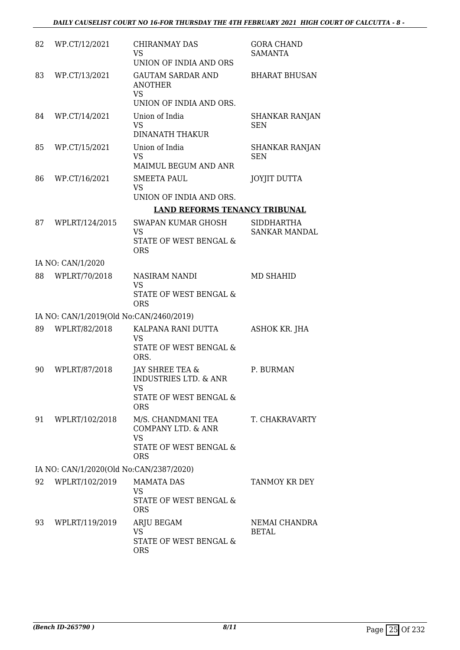| 82                                      | WP.CT/12/2021                                            | CHIRANMAY DAS<br>VS<br>UNION OF INDIA AND ORS                                                                | <b>GORA CHAND</b><br><b>SAMANTA</b> |  |
|-----------------------------------------|----------------------------------------------------------|--------------------------------------------------------------------------------------------------------------|-------------------------------------|--|
| 83                                      | WP.CT/13/2021                                            | <b>GAUTAM SARDAR AND</b><br><b>ANOTHER</b><br><b>VS</b><br>UNION OF INDIA AND ORS.                           | <b>BHARAT BHUSAN</b>                |  |
| 84                                      | WP.CT/14/2021                                            | Union of India<br><b>VS</b><br><b>DINANATH THAKUR</b>                                                        | SHANKAR RANJAN<br><b>SEN</b>        |  |
| 85                                      | WP.CT/15/2021                                            | Union of India<br><b>VS</b><br>MAIMUL BEGUM AND ANR                                                          | <b>SHANKAR RANJAN</b><br><b>SEN</b> |  |
| 86                                      | WP.CT/16/2021                                            | <b>SMEETA PAUL</b><br><b>VS</b><br>UNION OF INDIA AND ORS.                                                   | <b>JOYJIT DUTTA</b>                 |  |
|                                         |                                                          | <b>LAND REFORMS TENANCY TRIBUNAL</b>                                                                         |                                     |  |
| 87                                      | WPLRT/124/2015                                           | <b>SWAPAN KUMAR GHOSH</b>                                                                                    | <b>SIDDHARTHA</b>                   |  |
|                                         |                                                          | <b>VS</b><br><b>STATE OF WEST BENGAL &amp;</b><br><b>ORS</b>                                                 | <b>SANKAR MANDAL</b>                |  |
|                                         | IA NO: CAN/1/2020                                        |                                                                                                              |                                     |  |
| 88                                      | WPLRT/70/2018                                            | NASIRAM NANDI<br><b>VS</b><br><b>STATE OF WEST BENGAL &amp;</b>                                              | <b>MD SHAHID</b>                    |  |
|                                         |                                                          | <b>ORS</b>                                                                                                   |                                     |  |
| 89                                      | IA NO: CAN/1/2019(Old No:CAN/2460/2019)<br>WPLRT/82/2018 | KALPANA RANI DUTTA                                                                                           |                                     |  |
|                                         |                                                          | <b>VS</b><br>STATE OF WEST BENGAL &<br>ORS.                                                                  | ASHOK KR. JHA                       |  |
| 90                                      | WPLRT/87/2018                                            | <b>JAY SHREE TEA &amp;</b><br><b>INDUSTRIES LTD. &amp; ANR</b><br>VS<br>STATE OF WEST BENGAL &<br><b>ORS</b> | P. BURMAN                           |  |
| 91                                      | WPLRT/102/2018                                           | M/S. CHANDMANI TEA<br>COMPANY LTD. & ANR<br><b>VS</b><br><b>STATE OF WEST BENGAL &amp;</b><br><b>ORS</b>     | T. CHAKRAVARTY                      |  |
| IA NO: CAN/1/2020(Old No:CAN/2387/2020) |                                                          |                                                                                                              |                                     |  |
| 92                                      | WPLRT/102/2019                                           | <b>MAMATA DAS</b><br><b>VS</b><br>STATE OF WEST BENGAL &<br><b>ORS</b>                                       | TANMOY KR DEY                       |  |
| 93                                      | WPLRT/119/2019                                           | ARJU BEGAM<br><b>VS</b><br>STATE OF WEST BENGAL &<br><b>ORS</b>                                              | NEMAI CHANDRA<br>BETAL              |  |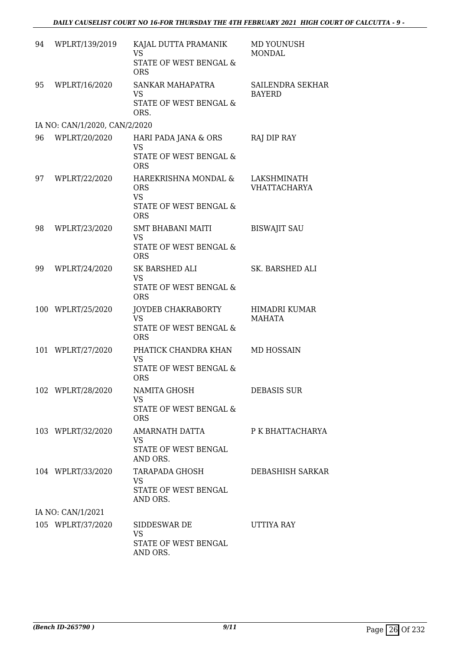| 94                | WPLRT/139/2019                | KAJAL DUTTA PRAMANIK<br><b>VS</b><br>STATE OF WEST BENGAL &<br><b>ORS</b>               | MD YOUNUSH<br><b>MONDAL</b>        |  |  |
|-------------------|-------------------------------|-----------------------------------------------------------------------------------------|------------------------------------|--|--|
| 95                | WPLRT/16/2020                 | SANKAR MAHAPATRA<br><b>VS</b><br>STATE OF WEST BENGAL &<br>ORS.                         | SAILENDRA SEKHAR<br><b>BAYERD</b>  |  |  |
|                   | IA NO: CAN/1/2020, CAN/2/2020 |                                                                                         |                                    |  |  |
| 96                | WPLRT/20/2020                 | HARI PADA JANA & ORS<br><b>VS</b><br>STATE OF WEST BENGAL &<br><b>ORS</b>               | RAJ DIP RAY                        |  |  |
| 97                | WPLRT/22/2020                 | HAREKRISHNA MONDAL &<br><b>ORS</b><br><b>VS</b><br>STATE OF WEST BENGAL &<br><b>ORS</b> | LAKSHMINATH<br><b>VHATTACHARYA</b> |  |  |
| 98                | WPLRT/23/2020                 | <b>SMT BHABANI MAITI</b><br><b>VS</b><br>STATE OF WEST BENGAL &<br><b>ORS</b>           | <b>BISWAJIT SAU</b>                |  |  |
| 99                | WPLRT/24/2020                 | <b>SK BARSHED ALI</b><br><b>VS</b><br>STATE OF WEST BENGAL &<br><b>ORS</b>              | <b>SK. BARSHED ALI</b>             |  |  |
|                   | 100 WPLRT/25/2020             | JOYDEB CHAKRABORTY<br><b>VS</b><br>STATE OF WEST BENGAL &<br><b>ORS</b>                 | HIMADRI KUMAR<br><b>MAHATA</b>     |  |  |
|                   | 101 WPLRT/27/2020             | PHATICK CHANDRA KHAN<br><b>VS</b><br><b>STATE OF WEST BENGAL &amp;</b><br><b>ORS</b>    | MD HOSSAIN                         |  |  |
|                   | 102 WPLRT/28/2020             | NAMITA GHOSH<br><b>VS</b><br>STATE OF WEST BENGAL &<br><b>ORS</b>                       | <b>DEBASIS SUR</b>                 |  |  |
|                   | 103 WPLRT/32/2020             | AMARNATH DATTA<br>VS<br>STATE OF WEST BENGAL<br>AND ORS.                                | P K BHATTACHARYA                   |  |  |
|                   | 104 WPLRT/33/2020             | TARAPADA GHOSH<br><b>VS</b><br>STATE OF WEST BENGAL<br>AND ORS.                         | DEBASHISH SARKAR                   |  |  |
| IA NO: CAN/1/2021 |                               |                                                                                         |                                    |  |  |
|                   | 105 WPLRT/37/2020             | SIDDESWAR DE<br><b>VS</b><br>STATE OF WEST BENGAL<br>AND ORS.                           | UTTIYA RAY                         |  |  |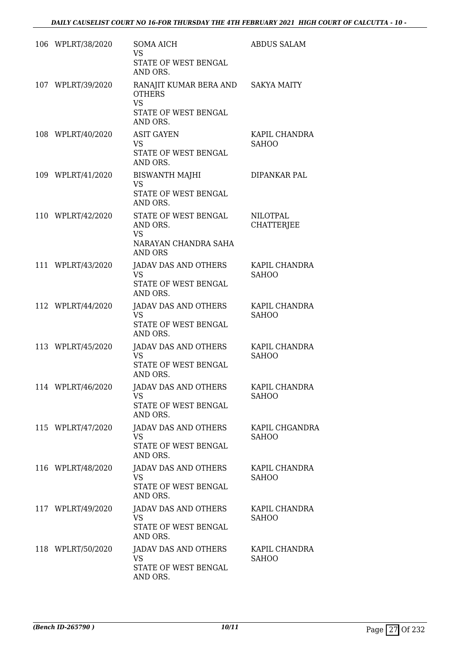| 106 WPLRT/38/2020 | SOMA AICH<br><b>VS</b><br>STATE OF WEST BENGAL<br>AND ORS.                              | <b>ABDUS SALAM</b>                   |
|-------------------|-----------------------------------------------------------------------------------------|--------------------------------------|
| 107 WPLRT/39/2020 | RANAJIT KUMAR BERA AND<br><b>OTHERS</b><br><b>VS</b><br>STATE OF WEST BENGAL            | <b>SAKYA MAITY</b>                   |
| 108 WPLRT/40/2020 | AND ORS.<br><b>ASIT GAYEN</b><br><b>VS</b><br>STATE OF WEST BENGAL<br>AND ORS.          | KAPIL CHANDRA<br><b>SAHOO</b>        |
| 109 WPLRT/41/2020 | <b>BISWANTH MAJHI</b><br>VS<br>STATE OF WEST BENGAL<br>AND ORS.                         | DIPANKAR PAL                         |
| 110 WPLRT/42/2020 | STATE OF WEST BENGAL<br>AND ORS.<br><b>VS</b><br>NARAYAN CHANDRA SAHA<br><b>AND ORS</b> | <b>NILOTPAL</b><br><b>CHATTERJEE</b> |
| 111 WPLRT/43/2020 | JADAV DAS AND OTHERS<br><b>VS</b><br>STATE OF WEST BENGAL<br>AND ORS.                   | KAPIL CHANDRA<br><b>SAHOO</b>        |
| 112 WPLRT/44/2020 | JADAV DAS AND OTHERS<br><b>VS</b><br>STATE OF WEST BENGAL<br>AND ORS.                   | KAPIL CHANDRA<br><b>SAHOO</b>        |
| 113 WPLRT/45/2020 | JADAV DAS AND OTHERS<br><b>VS</b><br>STATE OF WEST BENGAL<br>AND ORS.                   | KAPIL CHANDRA<br><b>SAHOO</b>        |
| 114 WPLRT/46/2020 | JADAV DAS AND OTHERS<br><b>VS</b><br>STATE OF WEST BENGAL<br>AND ORS.                   | KAPIL CHANDRA<br><b>SAHOO</b>        |
| 115 WPLRT/47/2020 | JADAV DAS AND OTHERS<br><b>VS</b><br>STATE OF WEST BENGAL<br>AND ORS.                   | KAPIL CHGANDRA<br><b>SAHOO</b>       |
| 116 WPLRT/48/2020 | JADAV DAS AND OTHERS<br><b>VS</b><br>STATE OF WEST BENGAL<br>AND ORS.                   | KAPIL CHANDRA<br><b>SAHOO</b>        |
| 117 WPLRT/49/2020 | <b>JADAV DAS AND OTHERS</b><br><b>VS</b><br>STATE OF WEST BENGAL<br>AND ORS.            | KAPIL CHANDRA<br><b>SAHOO</b>        |
| 118 WPLRT/50/2020 | JADAV DAS AND OTHERS<br><b>VS</b><br>STATE OF WEST BENGAL<br>AND ORS.                   | KAPIL CHANDRA<br><b>SAHOO</b>        |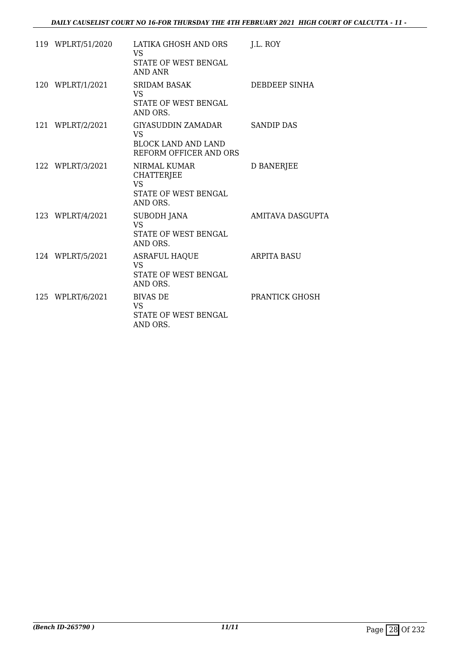| 119 WPLRT/51/2020 | LATIKA GHOSH AND ORS<br><b>VS</b><br>STATE OF WEST BENGAL<br><b>AND ANR</b>        | J.L. ROY           |
|-------------------|------------------------------------------------------------------------------------|--------------------|
| 120 WPLRT/1/2021  | <b>SRIDAM BASAK</b><br><b>VS</b><br>STATE OF WEST BENGAL<br>AND ORS.               | DEBDEEP SINHA      |
| 121 WPLRT/2/2021  | GIYASUDDIN ZAMADAR<br>VS<br><b>BLOCK LAND AND LAND</b><br>REFORM OFFICER AND ORS   | <b>SANDIP DAS</b>  |
| 122 WPLRT/3/2021  | NIRMAL KUMAR<br><b>CHATTERJEE</b><br><b>VS</b><br>STATE OF WEST BENGAL<br>AND ORS. | <b>D BANERJEE</b>  |
| 123 WPLRT/4/2021  | <b>SUBODH JANA</b><br><b>VS</b><br><b>STATE OF WEST BENGAL</b><br>AND ORS.         | AMITAVA DASGUPTA   |
| 124 WPLRT/5/2021  | <b>ASRAFUL HAQUE</b><br><b>VS</b><br>STATE OF WEST BENGAL<br>AND ORS.              | <b>ARPITA BASU</b> |
| 125 WPLRT/6/2021  | <b>BIVAS DE</b><br><b>VS</b><br>STATE OF WEST BENGAL<br>AND ORS.                   | PRANTICK GHOSH     |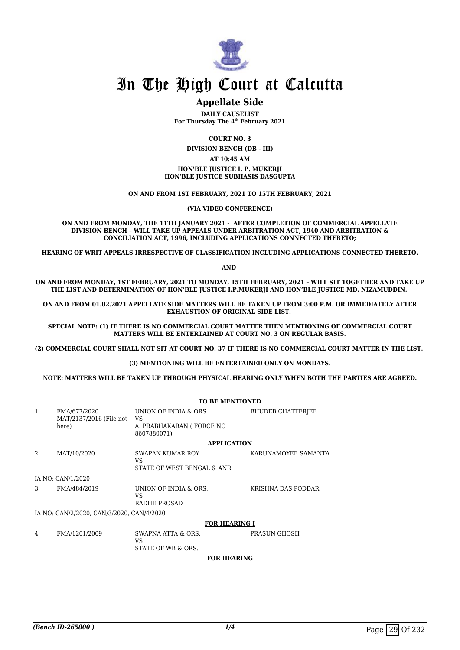

#### **Appellate Side**

**DAILY CAUSELIST For Thursday The 4th February 2021**

**COURT NO. 3**

**DIVISION BENCH (DB - III)**

#### **AT 10:45 AM**

**HON'BLE JUSTICE I. P. MUKERJI HON'BLE JUSTICE SUBHASIS DASGUPTA**

**ON AND FROM 1ST FEBRUARY, 2021 TO 15TH FEBRUARY, 2021**

**(VIA VIDEO CONFERENCE)**

**ON AND FROM MONDAY, THE 11TH JANUARY 2021 - AFTER COMPLETION OF COMMERCIAL APPELLATE DIVISION BENCH – WILL TAKE UP APPEALS UNDER ARBITRATION ACT, 1940 AND ARBITRATION & CONCILIATION ACT, 1996, INCLUDING APPLICATIONS CONNECTED THERETO;**

**HEARING OF WRIT APPEALS IRRESPECTIVE OF CLASSIFICATION INCLUDING APPLICATIONS CONNECTED THERETO.**

**AND** 

**ON AND FROM MONDAY, 1ST FEBRUARY, 2021 TO MONDAY, 15TH FEBRUARY, 2021 – WILL SIT TOGETHER AND TAKE UP THE LIST AND DETERMINATION OF HON'BLE JUSTICE I.P.MUKERJI AND HON'BLE JUSTICE MD. NIZAMUDDIN.** 

**ON AND FROM 01.02.2021 APPELLATE SIDE MATTERS WILL BE TAKEN UP FROM 3:00 P.M. OR IMMEDIATELY AFTER EXHAUSTION OF ORIGINAL SIDE LIST.** 

**SPECIAL NOTE: (1) IF THERE IS NO COMMERCIAL COURT MATTER THEN MENTIONING OF COMMERCIAL COURT MATTERS WILL BE ENTERTAINED AT COURT NO. 3 ON REGULAR BASIS.**

**(2) COMMERCIAL COURT SHALL NOT SIT AT COURT NO. 37 IF THERE IS NO COMMERCIAL COURT MATTER IN THE LIST.** 

**(3) MENTIONING WILL BE ENTERTAINED ONLY ON MONDAYS.**

**NOTE: MATTERS WILL BE TAKEN UP THROUGH PHYSICAL HEARING ONLY WHEN BOTH THE PARTIES ARE AGREED.**

|   |                                                  | <b>TO BE MENTIONED</b>                                  |                          |  |
|---|--------------------------------------------------|---------------------------------------------------------|--------------------------|--|
| 1 | FMA/677/2020<br>MAT/2137/2016 (File not<br>here) | UNION OF INDIA & ORS<br>VS.<br>A. PRABHAKARAN (FORCE NO | <b>BHUDEB CHATTERIEE</b> |  |
|   |                                                  | 8607880071)                                             |                          |  |
|   |                                                  | <b>APPLICATION</b>                                      |                          |  |
| 2 | MAT/10/2020                                      | SWAPAN KUMAR ROY<br>VS.<br>STATE OF WEST BENGAL & ANR   | KARUNAMOYEE SAMANTA      |  |
|   | IA NO: CAN/1/2020                                |                                                         |                          |  |
| 3 | FMA/484/2019                                     | UNION OF INDIA & ORS.<br>VS<br>RADHE PROSAD             | KRISHNA DAS PODDAR       |  |
|   | IA NO: CAN/2/2020, CAN/3/2020, CAN/4/2020        |                                                         |                          |  |
|   |                                                  | <b>FOR HEARING I</b>                                    |                          |  |
| 4 | FMA/1201/2009                                    | SWAPNA ATTA & ORS.<br>VS.<br>STATE OF WB & ORS.         | PRASUN GHOSH             |  |

#### **FOR HEARING**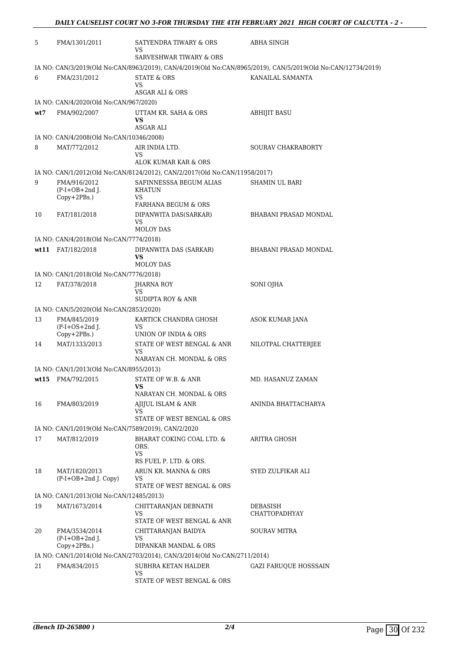| 5    | FMA/1301/2011                                       | SATYENDRA TIWARY & ORS<br>VS                                                                       | ABHA SINGH                                                                                                   |  |  |  |
|------|-----------------------------------------------------|----------------------------------------------------------------------------------------------------|--------------------------------------------------------------------------------------------------------------|--|--|--|
|      |                                                     | SARVESHWAR TIWARY & ORS                                                                            |                                                                                                              |  |  |  |
|      |                                                     |                                                                                                    | IA NO: CAN/3/2019(Old No:CAN/8963/2019), CAN/4/2019(Old No:CAN/8965/2019), CAN/5/2019(Old No:CAN/12734/2019) |  |  |  |
| 6    | FMA/231/2012                                        | <b>STATE &amp; ORS</b>                                                                             | KANAILAL SAMANTA                                                                                             |  |  |  |
|      |                                                     | <b>VS</b><br>ASGAR ALI & ORS                                                                       |                                                                                                              |  |  |  |
|      | IA NO: CAN/4/2020(Old No:CAN/967/2020)              |                                                                                                    |                                                                                                              |  |  |  |
| wt7  | FMA/902/2007                                        | UTTAM KR. SAHA & ORS                                                                               | <b>ABHIJIT BASU</b>                                                                                          |  |  |  |
|      |                                                     | VS<br>ASGAR ALI                                                                                    |                                                                                                              |  |  |  |
|      | IA NO: CAN/4/2008(Old No:CAN/10346/2008)            |                                                                                                    |                                                                                                              |  |  |  |
| 8    | MAT/772/2012                                        | AIR INDIA LTD.<br><b>VS</b>                                                                        | <b>SOURAV CHAKRABORTY</b>                                                                                    |  |  |  |
|      |                                                     | ALOK KUMAR KAR & ORS<br>IA NO: CAN/1/2012(Old No:CAN/8124/2012), CAN/2/2017(Old No:CAN/11958/2017) |                                                                                                              |  |  |  |
| 9    | FMA/916/2012                                        | SAFINNESSSA BEGUM ALIAS                                                                            | SHAMIN UL BARI                                                                                               |  |  |  |
|      | $(P-I+OB+2nd$ J.<br>Copy+2PBs.)                     | <b>KHATUN</b><br><b>VS</b>                                                                         |                                                                                                              |  |  |  |
|      |                                                     | <b>FARHANA BEGUM &amp; ORS</b>                                                                     |                                                                                                              |  |  |  |
| 10   | FAT/181/2018                                        | DIPANWITA DAS(SARKAR)<br>VS<br><b>MOLOY DAS</b>                                                    | <b>BHABANI PRASAD MONDAL</b>                                                                                 |  |  |  |
|      | IA NO: CAN/4/2018(Old No:CAN/7774/2018)             |                                                                                                    |                                                                                                              |  |  |  |
|      | wt11 FAT/182/2018                                   | DIPANWITA DAS (SARKAR)                                                                             | BHABANI PRASAD MONDAL                                                                                        |  |  |  |
|      |                                                     | <b>VS</b><br><b>MOLOY DAS</b>                                                                      |                                                                                                              |  |  |  |
|      | IA NO: CAN/1/2018(Old No:CAN/7776/2018)             |                                                                                                    |                                                                                                              |  |  |  |
| 12   | FAT/378/2018                                        | JHARNA ROY<br>VS<br>SUDIPTA ROY & ANR                                                              | SONI OJHA                                                                                                    |  |  |  |
|      | IA NO: CAN/5/2020(Old No:CAN/2853/2020)             |                                                                                                    |                                                                                                              |  |  |  |
| 13   | FMA/845/2019                                        | KARTICK CHANDRA GHOSH                                                                              | ASOK KUMAR JANA                                                                                              |  |  |  |
|      | $(P-I+OS+2nd J.$<br>$Copy+2PBs.$ )                  | <b>VS</b><br>UNION OF INDIA & ORS                                                                  |                                                                                                              |  |  |  |
| 14   | MAT/1333/2013                                       | STATE OF WEST BENGAL & ANR                                                                         | NILOTPAL CHATTERJEE                                                                                          |  |  |  |
|      |                                                     | VS<br>NARAYAN CH. MONDAL & ORS                                                                     |                                                                                                              |  |  |  |
|      | IA NO: CAN/1/2013(Old No:CAN/8955/2013)             |                                                                                                    |                                                                                                              |  |  |  |
| wt15 | FMA/792/2015                                        | STATE OF W.B. & ANR                                                                                | MD. HASANUZ ZAMAN                                                                                            |  |  |  |
|      |                                                     | VS<br>NARAYAN CH. MONDAL & ORS                                                                     |                                                                                                              |  |  |  |
| 16   | FMA/803/2019                                        | AJIJUL ISLAM & ANR                                                                                 | ANINDA BHATTACHARYA                                                                                          |  |  |  |
|      |                                                     | VS<br>STATE OF WEST BENGAL & ORS                                                                   |                                                                                                              |  |  |  |
|      | IA NO: CAN/1/2019(Old No:CAN/7589/2019), CAN/2/2020 |                                                                                                    |                                                                                                              |  |  |  |
| 17   | MAT/812/2019                                        | BHARAT COKING COAL LTD. &                                                                          | ARITRA GHOSH                                                                                                 |  |  |  |
|      |                                                     | ORS.<br><b>VS</b>                                                                                  |                                                                                                              |  |  |  |
|      |                                                     | RS FUEL P. LTD. & ORS.                                                                             |                                                                                                              |  |  |  |
| 18   | MAT/1820/2013<br>$(P-I+OB+2nd J. Copy)$             | ARUN KR. MANNA & ORS<br>VS<br>STATE OF WEST BENGAL & ORS                                           | SYED ZULFIKAR ALI                                                                                            |  |  |  |
|      | IA NO: CAN/1/2013(Old No:CAN/12485/2013)            |                                                                                                    |                                                                                                              |  |  |  |
| 19   | MAT/1673/2014                                       | CHITTARANJAN DEBNATH<br>VS                                                                         | DEBASISH<br>CHATTOPADHYAY                                                                                    |  |  |  |
|      |                                                     | STATE OF WEST BENGAL & ANR                                                                         |                                                                                                              |  |  |  |
| 20   | FMA/3534/2014<br>$(P-I+OB+2nd$ J.                   | CHITTARANJAN BAIDYA<br>VS                                                                          | SOURAV MITRA                                                                                                 |  |  |  |
|      | Copy+2PBs.)                                         | DIPANKAR MANDAL & ORS                                                                              |                                                                                                              |  |  |  |
|      |                                                     | IA NO: CAN/1/2014(Old No:CAN/2703/2014), CAN/3/2014(Old No:CAN/2711/2014)                          |                                                                                                              |  |  |  |
| 21   | FMA/834/2015                                        | SUBHRA KETAN HALDER                                                                                | <b>GAZI FARUQUE HOSSSAIN</b>                                                                                 |  |  |  |
|      |                                                     | <b>VS</b><br>STATE OF WEST BENGAL & ORS                                                            |                                                                                                              |  |  |  |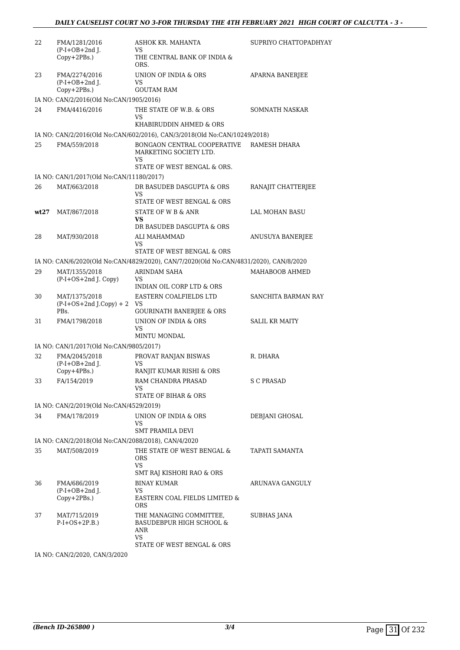| 22   | FMA/1281/2016<br>$(P-I+OB+2nd I.$                   | ASHOK KR. MAHANTA<br>VS                                                                               | SUPRIYO CHATTOPADHYAY  |
|------|-----------------------------------------------------|-------------------------------------------------------------------------------------------------------|------------------------|
|      | Copy+2PBs.)                                         | THE CENTRAL BANK OF INDIA &<br>ORS.                                                                   |                        |
| 23   | FMA/2274/2016<br>$(P-I+OB+2nd$ J.<br>$Copy+2PBs.$ ) | UNION OF INDIA & ORS<br>VS<br><b>GOUTAM RAM</b>                                                       | <b>APARNA BANERJEE</b> |
|      | IA NO: CAN/2/2016(Old No:CAN/1905/2016)             |                                                                                                       |                        |
| 24   | FMA/4416/2016                                       | THE STATE OF W.B. & ORS<br>VS.<br>KHABIRUDDIN AHMED & ORS                                             | SOMNATH NASKAR         |
|      |                                                     | IA NO: CAN/2/2016(Old No:CAN/602/2016), CAN/3/2018(Old No:CAN/10249/2018)                             |                        |
| 25   | FMA/559/2018                                        | BONGAON CENTRAL COOPERATIVE<br>MARKETING SOCIETY LTD.<br>VS.<br>STATE OF WEST BENGAL & ORS.           | RAMESH DHARA           |
|      | IA NO: CAN/1/2017(Old No:CAN/11180/2017)            |                                                                                                       |                        |
| 26   | MAT/663/2018                                        | DR BASUDEB DASGUPTA & ORS<br><b>VS</b>                                                                | RANAJIT CHATTERJEE     |
|      |                                                     | STATE OF WEST BENGAL & ORS                                                                            |                        |
| wt27 | MAT/867/2018                                        | STATE OF W B & ANR<br>VS                                                                              | LAL MOHAN BASU         |
|      |                                                     | DR BASUDEB DASGUPTA & ORS                                                                             |                        |
| 28   | MAT/930/2018                                        | ALI MAHAMMAD<br>VS.<br>STATE OF WEST BENGAL & ORS                                                     | ANUSUYA BANERJEE       |
|      |                                                     | IA NO: CAN/6/2020(Old No:CAN/4829/2020), CAN/7/2020(Old No:CAN/4831/2020), CAN/8/2020                 |                        |
| 29   | MAT/1355/2018                                       | ARINDAM SAHA                                                                                          | MAHABOOB AHMED         |
|      | (P-I+OS+2nd J. Copy)                                | <b>VS</b><br>INDIAN OIL CORP LTD & ORS                                                                |                        |
| 30   | MAT/1375/2018<br>$(P-I+OS+2nd J.Copy) + 2$<br>PBs.  | EASTERN COALFIELDS LTD<br>VS<br><b>GOURINATH BANERJEE &amp; ORS</b>                                   | SANCHITA BARMAN RAY    |
| 31   | FMA/1798/2018                                       | UNION OF INDIA & ORS<br><b>VS</b>                                                                     | <b>SALIL KR MAITY</b>  |
|      |                                                     | MINTU MONDAL                                                                                          |                        |
|      | IA NO: CAN/1/2017(Old No:CAN/9805/2017)             |                                                                                                       |                        |
| 32   | FMA/2045/2018<br>$(P-I+OB+2nd$ J.<br>Copy+4PBs.)    | PROVAT RANJAN BISWAS<br>VS<br>RANJIT KUMAR RISHI & ORS                                                | R. DHARA               |
| 33   | FA/154/2019                                         | RAM CHANDRA PRASAD<br>VS<br>STATE OF BIHAR & ORS                                                      | <b>S C PRASAD</b>      |
|      | IA NO: CAN/2/2019(Old No:CAN/4529/2019)             |                                                                                                       |                        |
| 34   | FMA/178/2019                                        | UNION OF INDIA & ORS<br>VS                                                                            | DEBJANI GHOSAL         |
|      |                                                     | SMT PRAMILA DEVI                                                                                      |                        |
|      | IA NO: CAN/2/2018(Old No:CAN/2088/2018), CAN/4/2020 |                                                                                                       |                        |
| 35   | MAT/508/2019                                        | THE STATE OF WEST BENGAL &<br>ORS<br>VS                                                               | TAPATI SAMANTA         |
|      |                                                     | SMT RAJ KISHORI RAO & ORS                                                                             |                        |
| 36   | FMA/686/2019<br>$(P-I+OB+2nd$ J.                    | <b>BINAY KUMAR</b><br>VS                                                                              | ARUNAVA GANGULY        |
|      | Copy+2PBs.)                                         | EASTERN COAL FIELDS LIMITED &<br><b>ORS</b>                                                           |                        |
| 37   | MAT/715/2019<br>$P-I+OS+2P.B.$                      | THE MANAGING COMMITTEE,<br>BASUDEBPUR HIGH SCHOOL &<br>ANR<br><b>VS</b><br>STATE OF WEST BENGAL & ORS | SUBHAS JANA            |
|      |                                                     |                                                                                                       |                        |

IA NO: CAN/2/2020, CAN/3/2020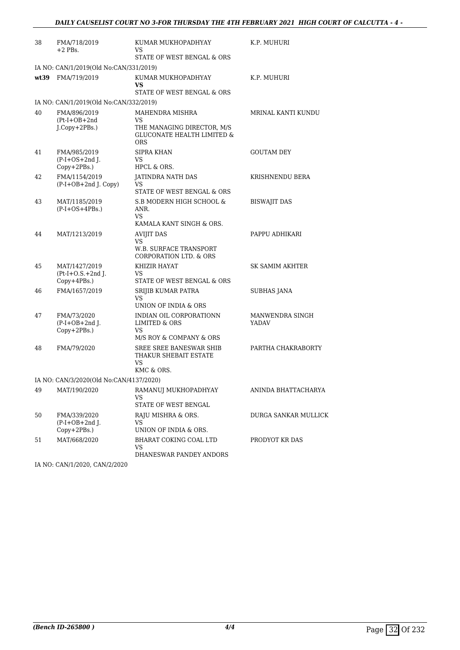| 38   | FMA/718/2019<br>$+2$ PBs.                                | KUMAR MUKHOPADHYAY<br>VS.<br>STATE OF WEST BENGAL & ORS                                                    | K.P. MUHURI                     |
|------|----------------------------------------------------------|------------------------------------------------------------------------------------------------------------|---------------------------------|
|      | IA NO: CAN/1/2019(Old No:CAN/331/2019)                   |                                                                                                            |                                 |
| wt39 | FMA/719/2019                                             | KUMAR MUKHOPADHYAY<br>VS<br><b>STATE OF WEST BENGAL &amp; ORS</b>                                          | K.P. MUHURI                     |
|      | IA NO: CAN/1/2019(Old No:CAN/332/2019)                   |                                                                                                            |                                 |
| 40   | FMA/896/2019<br>$(Pt-I+OB+2nd$<br>$J$ . $Copy + 2PBs$ .) | MAHENDRA MISHRA<br>VS<br>THE MANAGING DIRECTOR, M/S<br><b>GLUCONATE HEALTH LIMITED &amp;</b><br><b>ORS</b> | MRINAL KANTI KUNDU              |
| 41   | FMA/985/2019<br>$(P-I+OS+2nd$ J.<br>Copy+2PBs.)          | <b>SIPRA KHAN</b><br>VS<br>HPCL & ORS.                                                                     | <b>GOUTAM DEY</b>               |
| 42   | FMA/1154/2019<br>(P-I+OB+2nd J. Copy)                    | JATINDRA NATH DAS<br>VS<br>STATE OF WEST BENGAL & ORS                                                      | KRISHNENDU BERA                 |
| 43   | MAT/1185/2019<br>$(P-I+OS+4PBs.)$                        | S.B MODERN HIGH SCHOOL &<br>ANR.<br>VS.<br>KAMALA KANT SINGH & ORS.                                        | <b>BISWAJIT DAS</b>             |
| 44   | MAT/1213/2019                                            | <b>AVIJIT DAS</b><br><b>VS</b><br>W.B. SURFACE TRANSPORT<br><b>CORPORATION LTD. &amp; ORS</b>              | PAPPU ADHIKARI                  |
| 45   | MAT/1427/2019<br>$Pt-I+O.S.+2nd$ J.<br>$Copy+4PBs.$ )    | KHIZIR HAYAT<br>VS.<br>STATE OF WEST BENGAL & ORS                                                          | SK SAMIM AKHTER                 |
| 46   | FMA/1657/2019                                            | <b>SRIJIB KUMAR PATRA</b><br>VS<br>UNION OF INDIA & ORS                                                    | SUBHAS JANA                     |
| 47   | FMA/73/2020<br>$(P-I+OB+2nd J.$<br>$Copy+2PBs.$ )        | INDIAN OIL CORPORATIONN<br>LIMITED & ORS<br>VS<br>M/S ROY & COMPANY & ORS                                  | MANWENDRA SINGH<br><b>YADAV</b> |
| 48   | FMA/79/2020                                              | SREE SREE BANESWAR SHIB<br>THAKUR SHEBAIT ESTATE<br>VS.<br>KMC & ORS.                                      | PARTHA CHAKRABORTY              |
|      | IA NO: CAN/3/2020(Old No:CAN/4137/2020)                  |                                                                                                            |                                 |
| 49   | MAT/190/2020                                             | RAMANUJ MUKHOPADHYAY<br>VS<br>STATE OF WEST BENGAL                                                         | ANINDA BHATTACHARYA             |
| 50   | FMA/339/2020<br>$(P-I+OB+2nd J.$<br>$Copy+2PBs.$ )       | RAJU MISHRA & ORS.<br>VS<br>UNION OF INDIA & ORS.                                                          | DURGA SANKAR MULLICK            |
| 51   | MAT/668/2020                                             | BHARAT COKING COAL LTD<br>VS<br>DHANESWAR PANDEY ANDORS                                                    | PRODYOT KR DAS                  |

IA NO: CAN/1/2020, CAN/2/2020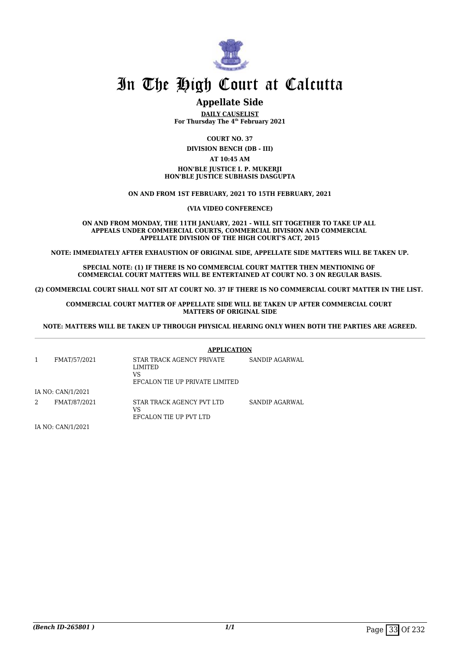

#### **Appellate Side**

**DAILY CAUSELIST For Thursday The 4th February 2021**

**COURT NO. 37**

**DIVISION BENCH (DB - III)**

#### **AT 10:45 AM**

#### **HON'BLE JUSTICE I. P. MUKERJI HON'BLE JUSTICE SUBHASIS DASGUPTA**

#### **ON AND FROM 1ST FEBRUARY, 2021 TO 15TH FEBRUARY, 2021**

**(VIA VIDEO CONFERENCE)**

**ON AND FROM MONDAY, THE 11TH JANUARY, 2021 - WILL SIT TOGETHER TO TAKE UP ALL APPEALS UNDER COMMERCIAL COURTS, COMMERCIAL DIVISION AND COMMERCIAL APPELLATE DIVISION OF THE HIGH COURT'S ACT, 2015**

**NOTE: IMMEDIATELY AFTER EXHAUSTION OF ORIGINAL SIDE, APPELLATE SIDE MATTERS WILL BE TAKEN UP.**

**SPECIAL NOTE: (1) IF THERE IS NO COMMERCIAL COURT MATTER THEN MENTIONING OF COMMERCIAL COURT MATTERS WILL BE ENTERTAINED AT COURT NO. 3 ON REGULAR BASIS.**

**(2) COMMERCIAL COURT SHALL NOT SIT AT COURT NO. 37 IF THERE IS NO COMMERCIAL COURT MATTER IN THE LIST.** 

#### **COMMERCIAL COURT MATTER OF APPELLATE SIDE WILL BE TAKEN UP AFTER COMMERCIAL COURT MATTERS OF ORIGINAL SIDE**

**NOTE: MATTERS WILL BE TAKEN UP THROUGH PHYSICAL HEARING ONLY WHEN BOTH THE PARTIES ARE AGREED.**

|                   | <b>APPLICATION</b>                                                           |                |
|-------------------|------------------------------------------------------------------------------|----------------|
| FMAT/57/2021      | STAR TRACK AGENCY PRIVATE<br>LIMITED<br>VS<br>EFCALON TIE UP PRIVATE LIMITED | SANDIP AGARWAL |
| IA NO: CAN/1/2021 |                                                                              |                |
| FMAT/87/2021      | STAR TRACK AGENCY PVT LTD<br>VS<br>EFCALON TIE UP PVT LTD                    | SANDIP AGARWAL |

IA NO: CAN/1/2021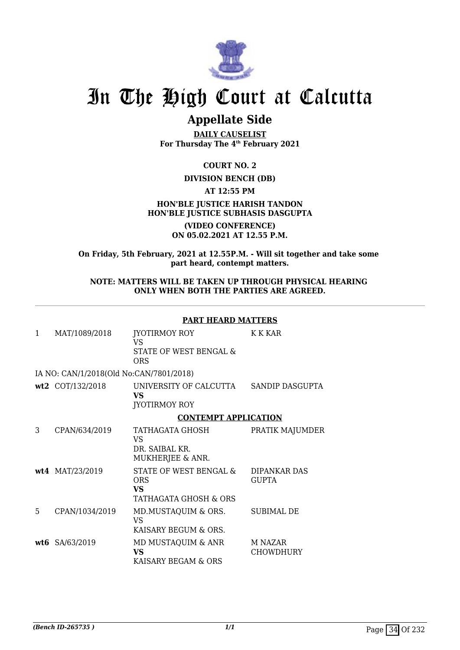

### **Appellate Side**

**DAILY CAUSELIST For Thursday The 4th February 2021**

**COURT NO. 2**

#### **DIVISION BENCH (DB)**

**AT 12:55 PM**

#### **HON'BLE JUSTICE HARISH TANDON HON'BLE JUSTICE SUBHASIS DASGUPTA**

**(VIDEO CONFERENCE) ON 05.02.2021 AT 12.55 P.M.**

**On Friday, 5th February, 2021 at 12.55P.M. - Will sit together and take some part heard, contempt matters.**

#### **NOTE: MATTERS WILL BE TAKEN UP THROUGH PHYSICAL HEARING ONLY WHEN BOTH THE PARTIES ARE AGREED.**

#### **PART HEARD MATTERS**

| 1  | MAT/1089/2018                           | JYOTIRMOY ROY<br>VS<br>STATE OF WEST BENGAL &<br><b>ORS</b>                | K K KAR                      |
|----|-----------------------------------------|----------------------------------------------------------------------------|------------------------------|
|    | IA NO: CAN/1/2018(Old No:CAN/7801/2018) |                                                                            |                              |
|    | wt2 COT/132/2018                        | UNIVERSITY OF CALCUTTA<br>VS<br><b>JYOTIRMOY ROY</b>                       | SANDIP DASGUPTA              |
|    |                                         | <b>CONTEMPT APPLICATION</b>                                                |                              |
| 3  | CPAN/634/2019                           | TATHAGATA GHOSH<br>VS<br>DR. SAIBAL KR.<br>MUKHERJEE & ANR.                | PRATIK MAJUMDER              |
|    | wt4 MAT/23/2019                         | STATE OF WEST BENGAL &<br><b>ORS</b><br><b>VS</b><br>TATHAGATA GHOSH & ORS | DIPANKAR DAS<br><b>GUPTA</b> |
| 5. | CPAN/1034/2019                          | MD.MUSTAQUIM & ORS.<br><b>VS</b><br>KAISARY BEGUM & ORS.                   | SUBIMAL DE                   |
|    | wt6 SA/63/2019                          | MD MUSTAQUIM & ANR<br><b>VS</b><br>KAISARY BEGAM & ORS                     | M NAZAR<br>CHOWDHURY         |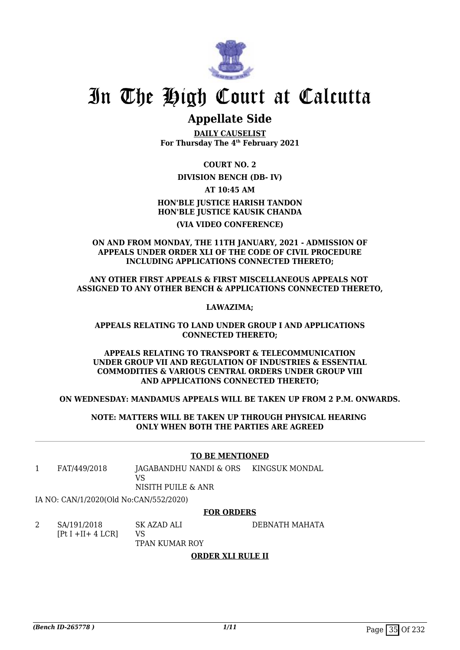

# In The High Court at Calcutta

## **Appellate Side**

**DAILY CAUSELIST For Thursday The 4th February 2021**

**COURT NO. 2**

## **DIVISION BENCH (DB- IV)**

**AT 10:45 AM**

**HON'BLE JUSTICE HARISH TANDON HON'BLE JUSTICE KAUSIK CHANDA (VIA VIDEO CONFERENCE)**

**ON AND FROM MONDAY, THE 11TH JANUARY, 2021 - ADMISSION OF APPEALS UNDER ORDER XLI OF THE CODE OF CIVIL PROCEDURE INCLUDING APPLICATIONS CONNECTED THERETO;**

**ANY OTHER FIRST APPEALS & FIRST MISCELLANEOUS APPEALS NOT ASSIGNED TO ANY OTHER BENCH & APPLICATIONS CONNECTED THERETO,**

**LAWAZIMA;**

## **APPEALS RELATING TO LAND UNDER GROUP I AND APPLICATIONS CONNECTED THERETO;**

**APPEALS RELATING TO TRANSPORT & TELECOMMUNICATION UNDER GROUP VII AND REGULATION OF INDUSTRIES & ESSENTIAL COMMODITIES & VARIOUS CENTRAL ORDERS UNDER GROUP VIII AND APPLICATIONS CONNECTED THERETO;**

**ON WEDNESDAY: MANDAMUS APPEALS WILL BE TAKEN UP FROM 2 P.M. ONWARDS.**

**NOTE: MATTERS WILL BE TAKEN UP THROUGH PHYSICAL HEARING ONLY WHEN BOTH THE PARTIES ARE AGREED**

## **TO BE MENTIONED**

1 FAT/449/2018 JAGABANDHU NANDI & ORS VS KINGSUK MONDAL

NISITH PUILE & ANR

IA NO: CAN/1/2020(Old No:CAN/552/2020)

## **FOR ORDERS**

DEBNATH MAHATA

2 SA/191/2018 [Pt I +II+ 4 LCR] SK AZAD ALI

VS TPAN KUMAR ROY

## **ORDER XLI RULE II**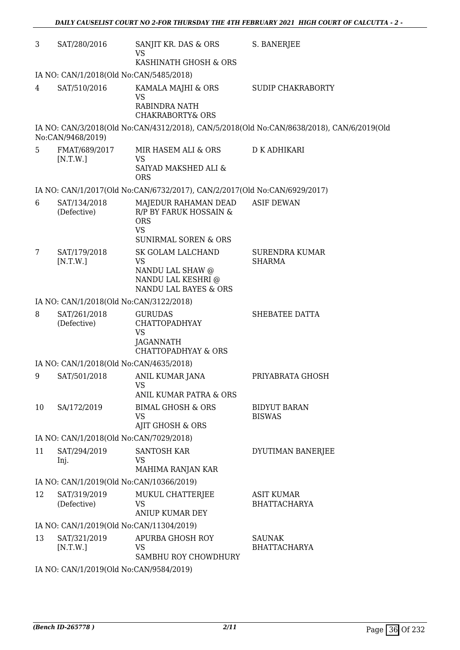| 3  | SAT/280/2016                             | SANJIT KR. DAS & ORS<br><b>VS</b>                                                                            | S. BANERJEE                                                                               |
|----|------------------------------------------|--------------------------------------------------------------------------------------------------------------|-------------------------------------------------------------------------------------------|
|    |                                          | KASHINATH GHOSH & ORS                                                                                        |                                                                                           |
|    | IA NO: CAN/1/2018(Old No:CAN/5485/2018)  |                                                                                                              |                                                                                           |
| 4  | SAT/510/2016                             | KAMALA MAJHI & ORS<br><b>VS</b><br>RABINDRA NATH                                                             | <b>SUDIP CHAKRABORTY</b>                                                                  |
|    |                                          | <b>CHAKRABORTY&amp; ORS</b>                                                                                  |                                                                                           |
|    | No:CAN/9468/2019)                        |                                                                                                              | IA NO: CAN/3/2018(Old No:CAN/4312/2018), CAN/5/2018(Old No:CAN/8638/2018), CAN/6/2019(Old |
| 5  | FMAT/689/2017<br>[N.T.W.]                | MIR HASEM ALI & ORS<br><b>VS</b>                                                                             | D K ADHIKARI                                                                              |
|    |                                          | SAIYAD MAKSHED ALI &<br><b>ORS</b>                                                                           |                                                                                           |
|    |                                          | IA NO: CAN/1/2017(Old No:CAN/6732/2017), CAN/2/2017(Old No:CAN/6929/2017)                                    |                                                                                           |
| 6  | SAT/134/2018<br>(Defective)              | MAJEDUR RAHAMAN DEAD<br>R/P BY FARUK HOSSAIN &<br><b>ORS</b><br><b>VS</b><br><b>SUNIRMAL SOREN &amp; ORS</b> | <b>ASIF DEWAN</b>                                                                         |
| 7  | SAT/179/2018<br>[N.T.W.]                 | SK GOLAM LALCHAND<br><b>VS</b><br>NANDU LAL SHAW @<br>NANDU LAL KESHRI @<br>NANDU LAL BAYES & ORS            | <b>SURENDRA KUMAR</b><br><b>SHARMA</b>                                                    |
|    | IA NO: CAN/1/2018(Old No:CAN/3122/2018)  |                                                                                                              |                                                                                           |
| 8  | SAT/261/2018<br>(Defective)              | <b>GURUDAS</b><br><b>CHATTOPADHYAY</b><br><b>VS</b>                                                          | SHEBATEE DATTA                                                                            |
|    |                                          | <b>JAGANNATH</b><br><b>CHATTOPADHYAY &amp; ORS</b>                                                           |                                                                                           |
|    | IA NO: CAN/1/2018(Old No:CAN/4635/2018)  |                                                                                                              |                                                                                           |
| 9  | SAT/501/2018                             | ANIL KUMAR JANA<br>VS                                                                                        | PRIYABRATA GHOSH                                                                          |
| 10 | SA/172/2019                              | ANIL KUMAR PATRA & ORS<br><b>BIMAL GHOSH &amp; ORS</b>                                                       | <b>BIDYUT BARAN</b>                                                                       |
|    |                                          | <b>VS</b><br><b>AJIT GHOSH &amp; ORS</b>                                                                     | <b>BISWAS</b>                                                                             |
|    | IA NO: CAN/1/2018(Old No:CAN/7029/2018)  |                                                                                                              |                                                                                           |
| 11 | SAT/294/2019                             | <b>SANTOSH KAR</b>                                                                                           | DYUTIMAN BANERJEE                                                                         |
|    | Inj.                                     | <b>VS</b><br>MAHIMA RANJAN KAR                                                                               |                                                                                           |
|    | IA NO: CAN/1/2019(Old No:CAN/10366/2019) |                                                                                                              |                                                                                           |
| 12 | SAT/319/2019<br>(Defective)              | MUKUL CHATTERJEE<br>VS<br><b>ANIUP KUMAR DEY</b>                                                             | <b>ASIT KUMAR</b><br><b>BHATTACHARYA</b>                                                  |
|    | IA NO: CAN/1/2019(Old No:CAN/11304/2019) |                                                                                                              |                                                                                           |
| 13 | SAT/321/2019<br>[N.T.W.]                 | APURBA GHOSH ROY<br>VS                                                                                       | <b>SAUNAK</b><br><b>BHATTACHARYA</b>                                                      |
|    | IA NO. CANI1/2010(OId No.CANI0584/2010)  | SAMBHU ROY CHOWDHURY                                                                                         |                                                                                           |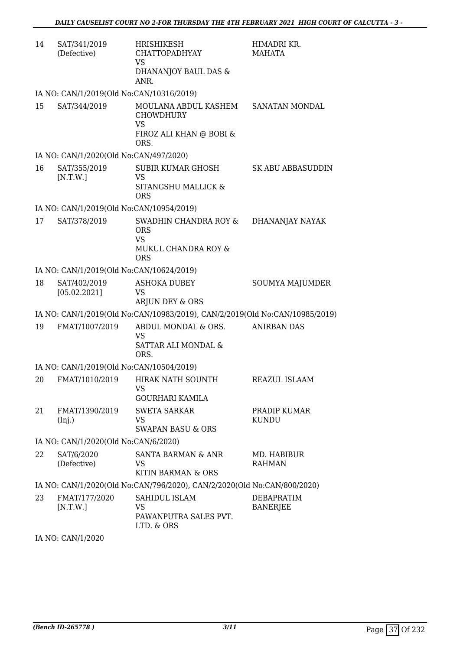| 14 | SAT/341/2019<br>(Defective)              | <b>HRISHIKESH</b><br><b>CHATTOPADHYAY</b><br><b>VS</b><br>DHANANJOY BAUL DAS &<br>ANR.   | HIMADRI KR.<br>MAHATA         |
|----|------------------------------------------|------------------------------------------------------------------------------------------|-------------------------------|
|    | IA NO: CAN/1/2019(Old No:CAN/10316/2019) |                                                                                          |                               |
| 15 | SAT/344/2019                             | MOULANA ABDUL KASHEM<br><b>CHOWDHURY</b><br><b>VS</b><br>FIROZ ALI KHAN @ BOBI &<br>ORS. | SANATAN MONDAL                |
|    | IA NO: CAN/1/2020(Old No:CAN/497/2020)   |                                                                                          |                               |
| 16 | SAT/355/2019<br>[N.T.W.]                 | <b>SUBIR KUMAR GHOSH</b><br><b>VS</b><br>SITANGSHU MALLICK &<br><b>ORS</b>               | <b>SK ABU ABBASUDDIN</b>      |
|    | IA NO: CAN/1/2019(Old No:CAN/10954/2019) |                                                                                          |                               |
| 17 | SAT/378/2019                             | SWADHIN CHANDRA ROY &<br><b>ORS</b><br><b>VS</b><br>MUKUL CHANDRA ROY &<br><b>ORS</b>    | DHANANJAY NAYAK               |
|    | IA NO: CAN/1/2019(Old No:CAN/10624/2019) |                                                                                          |                               |
| 18 | SAT/402/2019<br>[05.02.2021]             | <b>ASHOKA DUBEY</b><br><b>VS</b><br>ARJUN DEY & ORS                                      | SOUMYA MAJUMDER               |
|    |                                          | IA NO: CAN/1/2019(Old No:CAN/10983/2019), CAN/2/2019(Old No:CAN/10985/2019)              |                               |
| 19 | FMAT/1007/2019                           | ABDUL MONDAL & ORS.<br><b>VS</b><br>SATTAR ALI MONDAL &<br>ORS.                          | <b>ANIRBAN DAS</b>            |
|    | IA NO: CAN/1/2019(Old No:CAN/10504/2019) |                                                                                          |                               |
|    |                                          | 20 FMAT/1010/2019 HIRAK NATH SOUNTH<br>VS<br><b>GOURHARI KAMILA</b>                      | REAZUL ISLAAM                 |
| 21 | FMAT/1390/2019<br>(Inj.)                 | <b>SWETA SARKAR</b><br><b>VS</b><br><b>SWAPAN BASU &amp; ORS</b>                         | PRADIP KUMAR<br><b>KUNDU</b>  |
|    | IA NO: CAN/1/2020(Old No:CAN/6/2020)     |                                                                                          |                               |
| 22 | SAT/6/2020<br>(Defective)                | SANTA BARMAN & ANR<br>VS.<br>KITIN BARMAN & ORS                                          | MD. HABIBUR<br><b>RAHMAN</b>  |
|    |                                          | IA NO: CAN/1/2020(Old No:CAN/796/2020), CAN/2/2020(Old No:CAN/800/2020)                  |                               |
| 23 | FMAT/177/2020<br>[N.T.W.]                | SAHIDUL ISLAM<br><b>VS</b><br>PAWANPUTRA SALES PVT.<br>LTD. & ORS                        | DEBAPRATIM<br><b>BANERJEE</b> |

IA NO: CAN/1/2020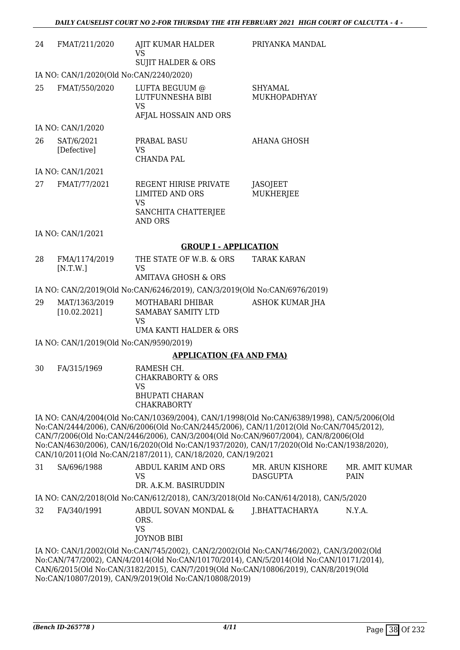| 24 | FMAT/211/2020                           | AJIT KUMAR HALDER<br>VS                                                                                                                                                                                                                                                                                                                                                                                                                | PRIYANKA MANDAL                     |                     |
|----|-----------------------------------------|----------------------------------------------------------------------------------------------------------------------------------------------------------------------------------------------------------------------------------------------------------------------------------------------------------------------------------------------------------------------------------------------------------------------------------------|-------------------------------------|---------------------|
|    |                                         | <b>SUJIT HALDER &amp; ORS</b>                                                                                                                                                                                                                                                                                                                                                                                                          |                                     |                     |
|    | IA NO: CAN/1/2020(Old No:CAN/2240/2020) |                                                                                                                                                                                                                                                                                                                                                                                                                                        |                                     |                     |
| 25 | FMAT/550/2020                           | LUFTA BEGUUM @<br>LUTFUNNESHA BIBI<br><b>VS</b><br>AFJAL HOSSAIN AND ORS                                                                                                                                                                                                                                                                                                                                                               | <b>SHYAMAL</b><br>MUKHOPADHYAY      |                     |
|    | IA NO: CAN/1/2020                       |                                                                                                                                                                                                                                                                                                                                                                                                                                        |                                     |                     |
| 26 | SAT/6/2021<br>[Defective]               | PRABAL BASU<br>VS<br><b>CHANDA PAL</b>                                                                                                                                                                                                                                                                                                                                                                                                 | <b>AHANA GHOSH</b>                  |                     |
|    | IA NO: CAN/1/2021                       |                                                                                                                                                                                                                                                                                                                                                                                                                                        |                                     |                     |
| 27 | FMAT/77/2021                            | REGENT HIRISE PRIVATE<br><b>LIMITED AND ORS</b><br><b>VS</b>                                                                                                                                                                                                                                                                                                                                                                           | JASOJEET<br><b>MUKHERJEE</b>        |                     |
|    |                                         | SANCHITA CHATTERJEE<br><b>AND ORS</b>                                                                                                                                                                                                                                                                                                                                                                                                  |                                     |                     |
|    | IA NO: CAN/1/2021                       |                                                                                                                                                                                                                                                                                                                                                                                                                                        |                                     |                     |
|    |                                         | <b>GROUP I - APPLICATION</b>                                                                                                                                                                                                                                                                                                                                                                                                           |                                     |                     |
| 28 | FMA/1174/2019<br>[N.T.W.]               | THE STATE OF W.B. & ORS<br><b>VS</b>                                                                                                                                                                                                                                                                                                                                                                                                   | <b>TARAK KARAN</b>                  |                     |
|    |                                         | <b>AMITAVA GHOSH &amp; ORS</b>                                                                                                                                                                                                                                                                                                                                                                                                         |                                     |                     |
|    |                                         | IA NO: CAN/2/2019(Old No:CAN/6246/2019), CAN/3/2019(Old No:CAN/6976/2019)                                                                                                                                                                                                                                                                                                                                                              |                                     |                     |
| 29 | MAT/1363/2019<br>[10.02.2021]           | MOTHABARI DHIBAR<br>SAMABAY SAMITY LTD<br><b>VS</b><br><b>UMA KANTI HALDER &amp; ORS</b>                                                                                                                                                                                                                                                                                                                                               | <b>ASHOK KUMAR JHA</b>              |                     |
|    | IA NO: CAN/1/2019(Old No:CAN/9590/2019) |                                                                                                                                                                                                                                                                                                                                                                                                                                        |                                     |                     |
|    |                                         | <b>APPLICATION (FA AND FMA)</b>                                                                                                                                                                                                                                                                                                                                                                                                        |                                     |                     |
| 30 | FA/315/1969                             | RAMESH CH.<br>CHAKRABORTY & ORS<br><b>VS</b><br><b>BHUPATI CHARAN</b><br><b>CHAKRABORTY</b>                                                                                                                                                                                                                                                                                                                                            |                                     |                     |
|    |                                         | IA NO: CAN/4/2004(Old No:CAN/10369/2004), CAN/1/1998(Old No:CAN/6389/1998), CAN/5/2006(Old<br>No:CAN/2444/2006), CAN/6/2006(Old No:CAN/2445/2006), CAN/11/2012(Old No:CAN/7045/2012),<br>CAN/7/2006(Old No:CAN/2446/2006), CAN/3/2004(Old No:CAN/9607/2004), CAN/8/2006(Old<br>No:CAN/4630/2006), CAN/16/2020(Old No:CAN/1937/2020), CAN/17/2020(Old No:CAN/1938/2020),<br>CAN/10/2011(Old No:CAN/2187/2011), CAN/18/2020, CAN/19/2021 |                                     |                     |
| 31 | SA/696/1988                             | <b>ABDUL KARIM AND ORS</b><br><b>VS</b><br>DR. A.K.M. BASIRUDDIN                                                                                                                                                                                                                                                                                                                                                                       | MR. ARUN KISHORE<br><b>DASGUPTA</b> | MR. AMIT KU<br>PAIN |

IA NO: CAN/2/2018(Old No:CAN/612/2018), CAN/3/2018(Old No:CAN/614/2018), CAN/5/2020

32 FA/340/1991 ABDUL SOVAN MONDAL & ORS. VS JOYNOB BIBI J.BHATTACHARYA N.Y.A.

IA NO: CAN/1/2002(Old No:CAN/745/2002), CAN/2/2002(Old No:CAN/746/2002), CAN/3/2002(Old No:CAN/747/2002), CAN/4/2014(Old No:CAN/10170/2014), CAN/5/2014(Old No:CAN/10171/2014), CAN/6/2015(Old No:CAN/3182/2015), CAN/7/2019(Old No:CAN/10806/2019), CAN/8/2019(Old No:CAN/10807/2019), CAN/9/2019(Old No:CAN/10808/2019)

MR. AMIT KUMAR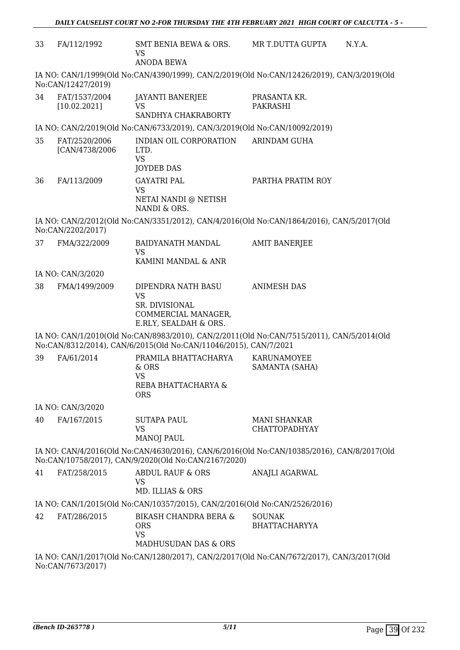| 33                                                                                                                                                 | FA/112/1992                      | SMT BENIA BEWA & ORS.<br>VS<br><b>ANODA BEWA</b>                                                                                                              | MR T.DUTTA GUPTA                            | N.Y.A. |
|----------------------------------------------------------------------------------------------------------------------------------------------------|----------------------------------|---------------------------------------------------------------------------------------------------------------------------------------------------------------|---------------------------------------------|--------|
|                                                                                                                                                    | No:CAN/12427/2019)               | IA NO: CAN/1/1999(Old No:CAN/4390/1999), CAN/2/2019(Old No:CAN/12426/2019), CAN/3/2019(Old                                                                    |                                             |        |
| 34                                                                                                                                                 | FAT/1537/2004<br>[10.02.2021]    | JAYANTI BANERJEE<br><b>VS</b><br>SANDHYA CHAKRABORTY                                                                                                          | PRASANTA KR.<br><b>PAKRASHI</b>             |        |
|                                                                                                                                                    |                                  | IA NO: CAN/2/2019(Old No:CAN/6733/2019), CAN/3/2019(Old No:CAN/10092/2019)                                                                                    |                                             |        |
| 35                                                                                                                                                 | FAT/2520/2006<br>[CAN/4738/2006] | INDIAN OIL CORPORATION<br>LTD.<br><b>VS</b><br><b>JOYDEB DAS</b>                                                                                              | <b>ARINDAM GUHA</b>                         |        |
| 36                                                                                                                                                 | FA/113/2009                      | <b>GAYATRI PAL</b><br><b>VS</b><br>NETAI NANDI @ NETISH<br>NANDI & ORS.                                                                                       | PARTHA PRATIM ROY                           |        |
|                                                                                                                                                    | No:CAN/2202/2017)                | IA NO: CAN/2/2012(Old No:CAN/3351/2012), CAN/4/2016(Old No:CAN/1864/2016), CAN/5/2017(Old                                                                     |                                             |        |
| 37                                                                                                                                                 | FMA/322/2009                     | <b>BAIDYANATH MANDAL</b><br>VS<br>KAMINI MANDAL & ANR                                                                                                         | <b>AMIT BANERJEE</b>                        |        |
|                                                                                                                                                    | IA NO: CAN/3/2020                |                                                                                                                                                               |                                             |        |
| 38                                                                                                                                                 | FMA/1499/2009                    | DIPENDRA NATH BASU<br><b>VS</b><br>SR. DIVISIONAL<br>COMMERCIAL MANAGER,<br>E.RLY, SEALDAH & ORS.                                                             | <b>ANIMESH DAS</b>                          |        |
|                                                                                                                                                    |                                  | IA NO: CAN/1/2010(Old No:CAN/8983/2010), CAN/2/2011(Old No:CAN/7515/2011), CAN/5/2014(Old<br>No:CAN/8312/2014), CAN/6/2015(Old No:CAN/11046/2015), CAN/7/2021 |                                             |        |
| 39                                                                                                                                                 | FA/61/2014                       | PRAMILA BHATTACHARYA<br>& ORS<br>VS<br>REBA BHATTACHARYA &<br><b>ORS</b>                                                                                      | <b>KARUNAMOYEE</b><br>SAMANTA (SAHA)        |        |
|                                                                                                                                                    | IA NO: CAN/3/2020                |                                                                                                                                                               |                                             |        |
| 40                                                                                                                                                 | FA/167/2015                      | <b>SUTAPA PAUL</b><br><b>VS</b><br><b>MANOJ PAUL</b>                                                                                                          | <b>MANI SHANKAR</b><br><b>CHATTOPADHYAY</b> |        |
| IA NO: CAN/4/2016(Old No:CAN/4630/2016), CAN/6/2016(Old No:CAN/10385/2016), CAN/8/2017(Old<br>No:CAN/10758/2017), CAN/9/2020(Old No:CAN/2167/2020) |                                  |                                                                                                                                                               |                                             |        |
| 41                                                                                                                                                 | FAT/258/2015                     | <b>ABDUL RAUF &amp; ORS</b><br><b>VS</b><br>MD. ILLIAS & ORS                                                                                                  | ANAJLI AGARWAL                              |        |
|                                                                                                                                                    |                                  | IA NO: CAN/1/2015(Old No:CAN/10357/2015), CAN/2/2016(Old No:CAN/2526/2016)                                                                                    |                                             |        |
| 42                                                                                                                                                 | FAT/286/2015                     | <b>BIKASH CHANDRA BERA &amp;</b><br><b>ORS</b><br><b>VS</b><br><b>MADHUSUDAN DAS &amp; ORS</b>                                                                | <b>SOUNAK</b><br><b>BHATTACHARYYA</b>       |        |
|                                                                                                                                                    | No:CAN/7673/2017)                | IA NO: CAN/1/2017(Old No:CAN/1280/2017), CAN/2/2017(Old No:CAN/7672/2017), CAN/3/2017(Old                                                                     |                                             |        |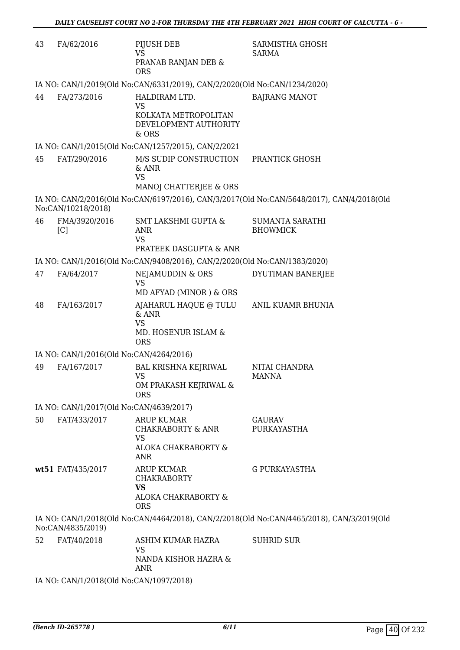| 43 | FA/62/2016                              | PIJUSH DEB<br><b>VS</b><br>PRANAB RANJAN DEB &<br><b>ORS</b>                                        | SARMISTHA GHOSH<br>SARMA                                                                  |
|----|-----------------------------------------|-----------------------------------------------------------------------------------------------------|-------------------------------------------------------------------------------------------|
|    |                                         | IA NO: CAN/1/2019(Old No:CAN/6331/2019), CAN/2/2020(Old No:CAN/1234/2020)                           |                                                                                           |
| 44 | FA/273/2016                             | HALDIRAM LTD.<br><b>VS</b><br>KOLKATA METROPOLITAN<br>DEVELOPMENT AUTHORITY<br>& ORS                | <b>BAJRANG MANOT</b>                                                                      |
|    |                                         | IA NO: CAN/1/2015(Old No:CAN/1257/2015), CAN/2/2021                                                 |                                                                                           |
| 45 | FAT/290/2016                            | M/S SUDIP CONSTRUCTION<br>$\&$ ANR<br><b>VS</b><br>MANOJ CHATTERJEE & ORS                           | PRANTICK GHOSH                                                                            |
|    | No:CAN/10218/2018)                      |                                                                                                     | IA NO: CAN/2/2016(Old No:CAN/6197/2016), CAN/3/2017(Old No:CAN/5648/2017), CAN/4/2018(Old |
| 46 | FMA/3920/2016<br>[C]                    | <b>SMT LAKSHMI GUPTA &amp;</b><br><b>ANR</b><br><b>VS</b><br>PRATEEK DASGUPTA & ANR                 | <b>SUMANTA SARATHI</b><br><b>BHOWMICK</b>                                                 |
|    |                                         | IA NO: CAN/1/2016(Old No:CAN/9408/2016), CAN/2/2020(Old No:CAN/1383/2020)                           |                                                                                           |
| 47 | FA/64/2017                              | NEJAMUDDIN & ORS                                                                                    | DYUTIMAN BANERJEE                                                                         |
|    |                                         | <b>VS</b><br>MD AFYAD (MINOR) & ORS                                                                 |                                                                                           |
| 48 | FA/163/2017                             | AJAHARUL HAQUE @ TULU<br>$&$ ANR<br><b>VS</b><br>MD. HOSENUR ISLAM &<br><b>ORS</b>                  | ANIL KUAMR BHUNIA                                                                         |
|    | IA NO: CAN/1/2016(Old No:CAN/4264/2016) |                                                                                                     |                                                                                           |
| 49 | FA/167/2017                             | <b>BAL KRISHNA KEJRIWAL</b><br><b>VS</b><br>OM PRAKASH KEJRIWAL &<br><b>ORS</b>                     | NITAI CHANDRA<br><b>MANNA</b>                                                             |
|    | IA NO: CAN/1/2017(Old No:CAN/4639/2017) |                                                                                                     |                                                                                           |
| 50 | FAT/433/2017                            | <b>ARUP KUMAR</b><br><b>CHAKRABORTY &amp; ANR</b><br><b>VS</b><br>ALOKA CHAKRABORTY &<br><b>ANR</b> | GAURAV<br>PURKAYASTHA                                                                     |
|    | wt51 FAT/435/2017                       | <b>ARUP KUMAR</b><br><b>CHAKRABORTY</b><br><b>VS</b><br>ALOKA CHAKRABORTY &<br><b>ORS</b>           | G PURKAYASTHA                                                                             |
|    | No:CAN/4835/2019)                       |                                                                                                     | IA NO: CAN/1/2018(Old No:CAN/4464/2018), CAN/2/2018(Old No:CAN/4465/2018), CAN/3/2019(Old |
| 52 | FAT/40/2018                             | ASHIM KUMAR HAZRA<br><b>VS</b><br>NANDA KISHOR HAZRA &<br><b>ANR</b>                                | <b>SUHRID SUR</b>                                                                         |

IA NO: CAN/1/2018(Old No:CAN/1097/2018)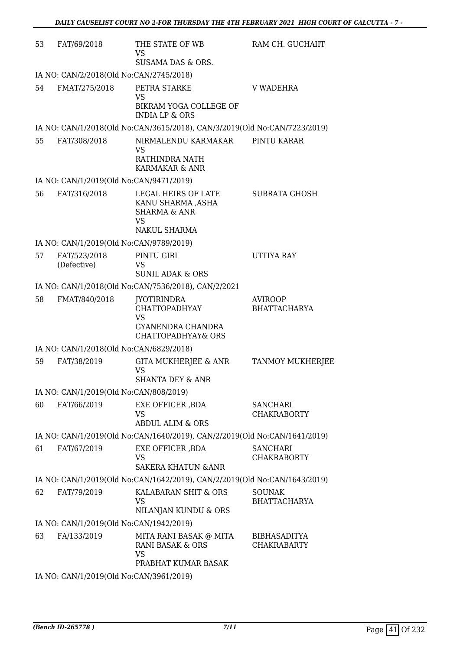| 53 | FAT/69/2018                             | THE STATE OF WB<br><b>VS</b><br>SUSAMA DAS & ORS.                                                             | RAM CH. GUCHAIIT                          |
|----|-----------------------------------------|---------------------------------------------------------------------------------------------------------------|-------------------------------------------|
|    | IA NO: CAN/2/2018(Old No:CAN/2745/2018) |                                                                                                               |                                           |
| 54 | FMAT/275/2018                           | PETRA STARKE<br><b>VS</b><br>BIKRAM YOGA COLLEGE OF<br><b>INDIA LP &amp; ORS</b>                              | V WADEHRA                                 |
|    |                                         | IA NO: CAN/1/2018(Old No:CAN/3615/2018), CAN/3/2019(Old No:CAN/7223/2019)                                     |                                           |
| 55 | FAT/308/2018                            | NIRMALENDU KARMAKAR<br>VS<br>RATHINDRA NATH<br>KARMAKAR & ANR                                                 | PINTU KARAR                               |
|    | IA NO: CAN/1/2019(Old No:CAN/9471/2019) |                                                                                                               |                                           |
| 56 | FAT/316/2018                            | LEGAL HEIRS OF LATE<br>KANU SHARMA ,ASHA<br><b>SHARMA &amp; ANR</b><br><b>VS</b><br>NAKUL SHARMA              | <b>SUBRATA GHOSH</b>                      |
|    | IA NO: CAN/1/2019(Old No:CAN/9789/2019) |                                                                                                               |                                           |
| 57 | FAT/523/2018<br>(Defective)             | PINTU GIRI<br><b>VS</b><br><b>SUNIL ADAK &amp; ORS</b>                                                        | UTTIYA RAY                                |
|    |                                         | IA NO: CAN/1/2018(Old No:CAN/7536/2018), CAN/2/2021                                                           |                                           |
| 58 | FMAT/840/2018                           | <b>JYOTIRINDRA</b><br><b>CHATTOPADHYAY</b><br><b>VS</b><br>GYANENDRA CHANDRA<br><b>CHATTOPADHYAY&amp; ORS</b> | <b>AVIROOP</b><br><b>BHATTACHARYA</b>     |
|    | IA NO: CAN/1/2018(Old No:CAN/6829/2018) |                                                                                                               |                                           |
| 59 | FAT/38/2019                             | GITA MUKHERJEE & ANR<br><b>VS</b><br><b>SHANTA DEY &amp; ANR</b>                                              | <b>TANMOY MUKHERJEE</b>                   |
|    | IA NO: CAN/1/2019(Old No:CAN/808/2019)  |                                                                                                               |                                           |
| 60 | FAT/66/2019                             | EXE OFFICER , BDA<br><b>VS</b><br><b>ABDUL ALIM &amp; ORS</b>                                                 | <b>SANCHARI</b><br><b>CHAKRABORTY</b>     |
|    |                                         | IA NO: CAN/1/2019(Old No:CAN/1640/2019), CAN/2/2019(Old No:CAN/1641/2019)                                     |                                           |
| 61 | FAT/67/2019                             | EXE OFFICER , BDA<br>VS<br><b>SAKERA KHATUN &amp; ANR</b>                                                     | <b>SANCHARI</b><br><b>CHAKRABORTY</b>     |
|    |                                         | IA NO: CAN/1/2019(Old No:CAN/1642/2019), CAN/2/2019(Old No:CAN/1643/2019)                                     |                                           |
| 62 | FAT/79/2019                             | KALABARAN SHIT & ORS<br>VS<br>NILANJAN KUNDU & ORS                                                            | <b>SOUNAK</b><br><b>BHATTACHARYA</b>      |
|    | IA NO: CAN/1/2019(Old No:CAN/1942/2019) |                                                                                                               |                                           |
| 63 | FA/133/2019                             | MITA RANI BASAK @ MITA<br><b>RANI BASAK &amp; ORS</b><br><b>VS</b><br>PRABHAT KUMAR BASAK                     | <b>BIBHASADITYA</b><br><b>CHAKRABARTY</b> |
|    |                                         | 0.010(013M <sub>1</sub> )(0.01001)                                                                            |                                           |

IA NO: CAN/1/2019(Old No:CAN/3961/2019)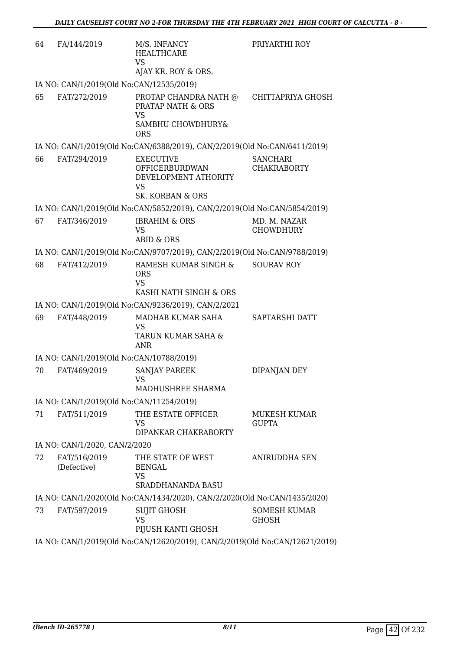| 64 | FA/144/2019                              | M/S. INFANCY<br><b>HEALTHCARE</b><br><b>VS</b><br>AJAY KR. ROY & ORS.                       | PRIYARTHI ROY                         |
|----|------------------------------------------|---------------------------------------------------------------------------------------------|---------------------------------------|
|    | IA NO: CAN/1/2019(Old No:CAN/12535/2019) |                                                                                             |                                       |
| 65 | FAT/272/2019                             | PROTAP CHANDRA NATH @<br>PRATAP NATH & ORS<br><b>VS</b><br>SAMBHU CHOWDHURY&<br><b>ORS</b>  | CHITTAPRIYA GHOSH                     |
|    |                                          | IA NO: CAN/1/2019(Old No:CAN/6388/2019), CAN/2/2019(Old No:CAN/6411/2019)                   |                                       |
| 66 | FAT/294/2019                             | <b>EXECUTIVE</b><br>OFFICERBURDWAN<br>DEVELOPMENT ATHORITY<br><b>VS</b><br>SK. KORBAN & ORS | <b>SANCHARI</b><br><b>CHAKRABORTY</b> |
|    |                                          | IA NO: CAN/1/2019(Old No:CAN/5852/2019), CAN/2/2019(Old No:CAN/5854/2019)                   |                                       |
| 67 | FAT/346/2019                             | <b>IBRAHIM &amp; ORS</b><br><b>VS</b><br><b>ABID &amp; ORS</b>                              | MD. M. NAZAR<br><b>CHOWDHURY</b>      |
|    |                                          | IA NO: CAN/1/2019(Old No:CAN/9707/2019), CAN/2/2019(Old No:CAN/9788/2019)                   |                                       |
| 68 | FAT/412/2019                             | RAMESH KUMAR SINGH &<br><b>ORS</b><br><b>VS</b><br>KASHI NATH SINGH & ORS                   | <b>SOURAV ROY</b>                     |
|    |                                          | IA NO: CAN/1/2019(Old No:CAN/9236/2019), CAN/2/2021                                         |                                       |
| 69 | FAT/448/2019                             | MADHAB KUMAR SAHA<br><b>VS</b><br>TARUN KUMAR SAHA &<br><b>ANR</b>                          | SAPTARSHI DATT                        |
|    | IA NO: CAN/1/2019(Old No:CAN/10788/2019) |                                                                                             |                                       |
| 70 | FAT/469/2019                             | SANJAY PAREEK<br><b>VS</b><br>MADHUSHREE SHARMA                                             | DIPANJAN DEY                          |
|    | IA NO: CAN/1/2019(Old No:CAN/11254/2019) |                                                                                             |                                       |
| 71 | FAT/511/2019                             | THE ESTATE OFFICER<br><b>VS</b><br>DIPANKAR CHAKRABORTY                                     | MUKESH KUMAR<br><b>GUPTA</b>          |
|    | IA NO: CAN/1/2020, CAN/2/2020            |                                                                                             |                                       |
| 72 | FAT/516/2019<br>(Defective)              | THE STATE OF WEST<br><b>BENGAL</b><br><b>VS</b><br>SRADDHANANDA BASU                        | ANIRUDDHA SEN                         |
|    |                                          | IA NO: CAN/1/2020(Old No:CAN/1434/2020), CAN/2/2020(Old No:CAN/1435/2020)                   |                                       |
| 73 | FAT/597/2019                             | <b>SUJIT GHOSH</b><br><b>VS</b><br>PIJUSH KANTI GHOSH                                       | <b>SOMESH KUMAR</b><br>GHOSH          |
|    |                                          | IA NO: CAN/1/2019(Old No:CAN/12620/2019), CAN/2/2019(Old No:CAN/12621/2019)                 |                                       |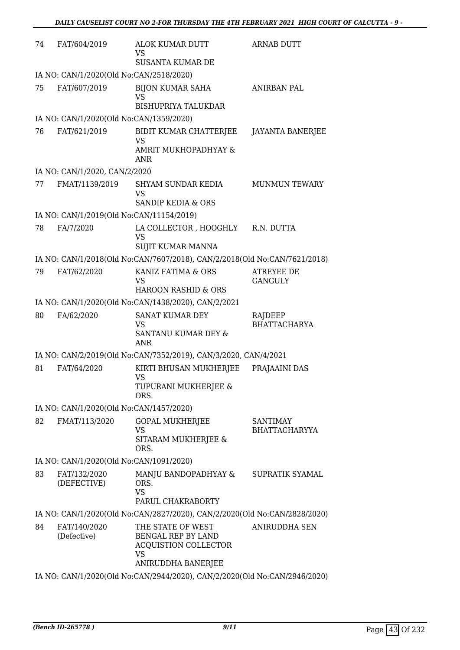| 74 | FAT/604/2019                                                              | ALOK KUMAR DUTT<br><b>VS</b><br><b>SUSANTA KUMAR DE</b>                                                   | <b>ARNAB DUTT</b>                       |  |  |
|----|---------------------------------------------------------------------------|-----------------------------------------------------------------------------------------------------------|-----------------------------------------|--|--|
|    | IA NO: CAN/1/2020(Old No:CAN/2518/2020)                                   |                                                                                                           |                                         |  |  |
| 75 | FAT/607/2019                                                              | <b>BIJON KUMAR SAHA</b><br>VS<br><b>BISHUPRIYA TALUKDAR</b>                                               | <b>ANIRBAN PAL</b>                      |  |  |
|    | IA NO: CAN/1/2020(Old No:CAN/1359/2020)                                   |                                                                                                           |                                         |  |  |
| 76 | FAT/621/2019                                                              | BIDIT KUMAR CHATTERJEE<br><b>VS</b><br>AMRIT MUKHOPADHYAY &<br>ANR                                        | <b>JAYANTA BANERJEE</b>                 |  |  |
|    | IA NO: CAN/1/2020, CAN/2/2020                                             |                                                                                                           |                                         |  |  |
| 77 | FMAT/1139/2019                                                            | SHYAM SUNDAR KEDIA<br><b>VS</b><br><b>SANDIP KEDIA &amp; ORS</b>                                          | <b>MUNMUN TEWARY</b>                    |  |  |
|    | IA NO: CAN/1/2019(Old No:CAN/11154/2019)                                  |                                                                                                           |                                         |  |  |
| 78 | FA/7/2020                                                                 | LA COLLECTOR , HOOGHLY<br>VS<br>SUJIT KUMAR MANNA                                                         | R.N. DUTTA                              |  |  |
|    |                                                                           | IA NO: CAN/1/2018(Old No:CAN/7607/2018), CAN/2/2018(Old No:CAN/7621/2018)                                 |                                         |  |  |
| 79 | FAT/62/2020                                                               | KANIZ FATIMA & ORS<br>VS<br><b>HAROON RASHID &amp; ORS</b>                                                | <b>ATREYEE DE</b><br><b>GANGULY</b>     |  |  |
|    |                                                                           | IA NO: CAN/1/2020(Old No:CAN/1438/2020), CAN/2/2021                                                       |                                         |  |  |
| 80 | FA/62/2020                                                                | <b>SANAT KUMAR DEY</b><br>VS<br>SANTANU KUMAR DEY &<br><b>ANR</b>                                         | RAJDEEP<br><b>BHATTACHARYA</b>          |  |  |
|    |                                                                           | IA NO: CAN/2/2019(Old No:CAN/7352/2019), CAN/3/2020, CAN/4/2021                                           |                                         |  |  |
| 81 | FAT/64/2020                                                               | KIRTI BHUSAN MUKHERJEE<br><b>VS</b><br>TUPURANI MUKHERJEE &<br>ORS.                                       | PRAJAAINI DAS                           |  |  |
|    | IA NO: CAN/1/2020(Old No:CAN/1457/2020)                                   |                                                                                                           |                                         |  |  |
| 82 | FMAT/113/2020                                                             | <b>GOPAL MUKHERJEE</b><br>VS<br>SITARAM MUKHERJEE &<br>ORS.                                               | <b>SANTIMAY</b><br><b>BHATTACHARYYA</b> |  |  |
|    | IA NO: CAN/1/2020(Old No:CAN/1091/2020)                                   |                                                                                                           |                                         |  |  |
| 83 | FAT/132/2020<br>(DEFECTIVE)                                               | MANJU BANDOPADHYAY &<br>ORS.<br><b>VS</b><br>PARUL CHAKRABORTY                                            | SUPRATIK SYAMAL                         |  |  |
|    |                                                                           | IA NO: CAN/1/2020(Old No:CAN/2827/2020), CAN/2/2020(Old No:CAN/2828/2020)                                 |                                         |  |  |
| 84 | FAT/140/2020<br>(Defective)                                               | THE STATE OF WEST<br>BENGAL REP BY LAND<br><b>ACQUISTION COLLECTOR</b><br><b>VS</b><br>ANIRUDDHA BANERJEE | <b>ANIRUDDHA SEN</b>                    |  |  |
|    | IA NO: CAN/1/2020(Old No:CAN/2944/2020), CAN/2/2020(Old No:CAN/2946/2020) |                                                                                                           |                                         |  |  |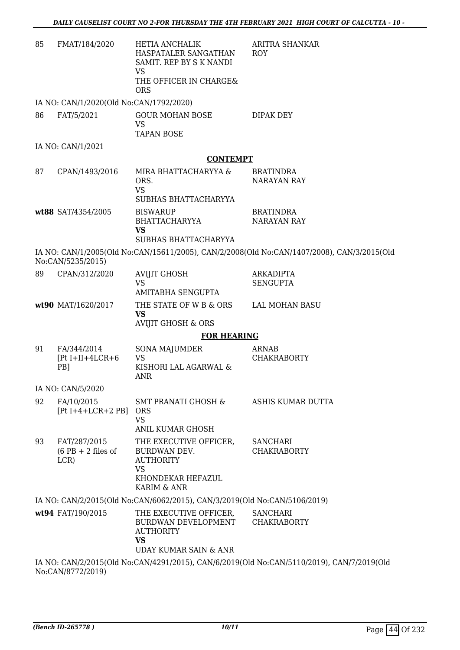| 85 | FMAT/184/2020                                                                                                                                                | <b>HETIA ANCHALIK</b><br>HASPATALER SANGATHAN<br>SAMIT. REP BY S K NANDI<br><b>VS</b><br>THE OFFICER IN CHARGE&<br><b>ORS</b> | ARITRA SHANKAR<br><b>ROY</b>                                                               |
|----|--------------------------------------------------------------------------------------------------------------------------------------------------------------|-------------------------------------------------------------------------------------------------------------------------------|--------------------------------------------------------------------------------------------|
|    | IA NO: CAN/1/2020(Old No:CAN/1792/2020)                                                                                                                      |                                                                                                                               |                                                                                            |
| 86 | FAT/5/2021                                                                                                                                                   | <b>GOUR MOHAN BOSE</b><br><b>VS</b><br><b>TAPAN BOSE</b>                                                                      | DIPAK DEY                                                                                  |
|    | IA NO: CAN/1/2021                                                                                                                                            |                                                                                                                               |                                                                                            |
|    |                                                                                                                                                              | <b>CONTEMPT</b>                                                                                                               |                                                                                            |
| 87 | CPAN/1493/2016                                                                                                                                               | MIRA BHATTACHARYYA &<br>ORS.<br><b>VS</b>                                                                                     | <b>BRATINDRA</b><br><b>NARAYAN RAY</b>                                                     |
|    |                                                                                                                                                              | SUBHAS BHATTACHARYYA                                                                                                          |                                                                                            |
|    | wt88 SAT/4354/2005                                                                                                                                           | <b>BISWARUP</b><br><b>BHATTACHARYYA</b><br><b>VS</b>                                                                          | <b>BRATINDRA</b><br><b>NARAYAN RAY</b>                                                     |
|    |                                                                                                                                                              | SUBHAS BHATTACHARYYA                                                                                                          |                                                                                            |
|    | No:CAN/5235/2015)                                                                                                                                            |                                                                                                                               | IA NO: CAN/1/2005(Old No:CAN/15611/2005), CAN/2/2008(Old No:CAN/1407/2008), CAN/3/2015(Old |
| 89 | CPAN/312/2020                                                                                                                                                | <b>AVIJIT GHOSH</b><br><b>VS</b><br><b>AMITABHA SENGUPTA</b>                                                                  | <b>ARKADIPTA</b><br><b>SENGUPTA</b>                                                        |
|    | wt90 MAT/1620/2017                                                                                                                                           | THE STATE OF W B & ORS<br><b>VS</b>                                                                                           | LAL MOHAN BASU                                                                             |
|    |                                                                                                                                                              | <b>AVIJIT GHOSH &amp; ORS</b>                                                                                                 |                                                                                            |
|    |                                                                                                                                                              | <b>FOR HEARING</b>                                                                                                            |                                                                                            |
| 91 | FA/344/2014<br>$[Pt I+II+4LCR+6]$<br>PB]                                                                                                                     | <b>SONA MAJUMDER</b><br><b>VS</b><br>KISHORI LAL AGARWAL &<br>ANR                                                             | ARNAB<br><b>CHAKRABORTY</b>                                                                |
|    | IA NO: CAN/5/2020                                                                                                                                            |                                                                                                                               |                                                                                            |
| 92 | FA/10/2015<br>$[Pt I+4+LCR+2 PB]$                                                                                                                            | SMT PRANATI GHOSH &<br><b>ORS</b><br><b>VS</b><br><b>ANIL KUMAR GHOSH</b>                                                     | ASHIS KUMAR DUTTA                                                                          |
| 93 | FAT/287/2015<br>$(6$ PB + 2 files of<br>LCR)                                                                                                                 | THE EXECUTIVE OFFICER,<br>BURDWAN DEV.<br><b>AUTHORITY</b><br>VS                                                              | <b>SANCHARI</b><br><b>CHAKRABORTY</b>                                                      |
|    |                                                                                                                                                              | KHONDEKAR HEFAZUL<br>KARIM & ANR                                                                                              |                                                                                            |
|    |                                                                                                                                                              | IA NO: CAN/2/2015(Old No:CAN/6062/2015), CAN/3/2019(Old No:CAN/5106/2019)                                                     |                                                                                            |
|    | wt94 FAT/190/2015                                                                                                                                            | THE EXECUTIVE OFFICER,<br>BURDWAN DEVELOPMENT<br><b>AUTHORITY</b><br><b>VS</b><br>UDAY KUMAR SAIN & ANR                       | <b>SANCHARI</b><br><b>CHAKRABORTY</b>                                                      |
|    | $N_{\alpha}$ $\Omega$ $\overline{N}$ $\overline{N}$ $\overline{N}$ $\overline{N}$ $\overline{N}$ $\overline{N}$ $\overline{N}$ $\overline{N}$ $\overline{N}$ |                                                                                                                               | IA NO: CAN/2/2015(Old No:CAN/4291/2015), CAN/6/2019(Old No:CAN/5110/2019), CAN/7/2019(Old  |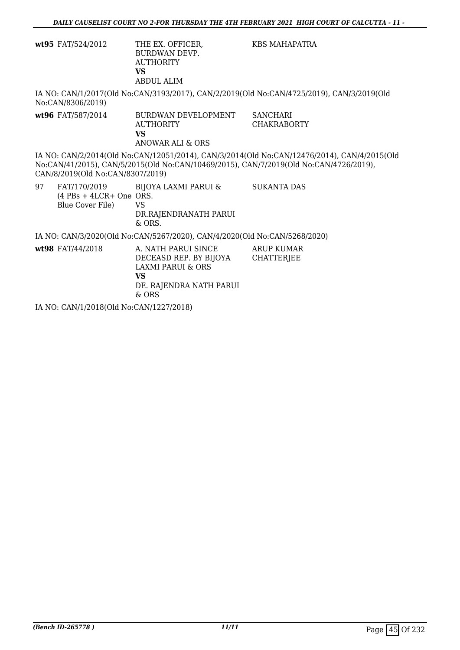|    | wt95 FAT/524/2012                             | THE EX. OFFICER,<br><b>BURDWAN DEVP.</b><br><b>AUTHORITY</b><br><b>VS</b><br><b>ABDUL ALIM</b>                                 | KBS MAHAPATRA                                                                                                                                                                        |
|----|-----------------------------------------------|--------------------------------------------------------------------------------------------------------------------------------|--------------------------------------------------------------------------------------------------------------------------------------------------------------------------------------|
|    | No:CAN/8306/2019)                             |                                                                                                                                | IA NO: CAN/1/2017(Old No:CAN/3193/2017), CAN/2/2019(Old No:CAN/4725/2019), CAN/3/2019(Old                                                                                            |
|    | wt96 FAT/587/2014                             | BURDWAN DEVELOPMENT<br><b>AUTHORITY</b><br><b>VS</b><br>ANOWAR ALI & ORS                                                       | SANCHARI<br><b>CHAKRABORTY</b>                                                                                                                                                       |
|    | CAN/8/2019(Old No:CAN/8307/2019)              |                                                                                                                                | IA NO: CAN/2/2014(Old No:CAN/12051/2014), CAN/3/2014(Old No:CAN/12476/2014), CAN/4/2015(Old<br>No:CAN/41/2015), CAN/5/2015(Old No:CAN/10469/2015), CAN/7/2019(Old No:CAN/4726/2019), |
| 97 | $(4$ PBs + 4LCR+ One ORS.<br>Blue Cover File) | FAT/170/2019 BIJOYA LAXMI PARUI &<br><b>VS</b><br>DR.RAJENDRANATH PARUI<br>$&$ ORS.                                            | <b>SUKANTA DAS</b>                                                                                                                                                                   |
|    |                                               | IA NO: CAN/3/2020(Old No:CAN/5267/2020), CAN/4/2020(Old No:CAN/5268/2020)                                                      |                                                                                                                                                                                      |
|    | wt98 FAT/44/2018                              | A. NATH PARUI SINCE<br>DECEASD REP. BY BIJOYA CHATTERJEE<br>LAXMI PARUI & ORS<br><b>VS</b><br>DE. RAJENDRA NATH PARUI<br>& ORS | ARUP KUMAR                                                                                                                                                                           |

IA NO: CAN/1/2018(Old No:CAN/1227/2018)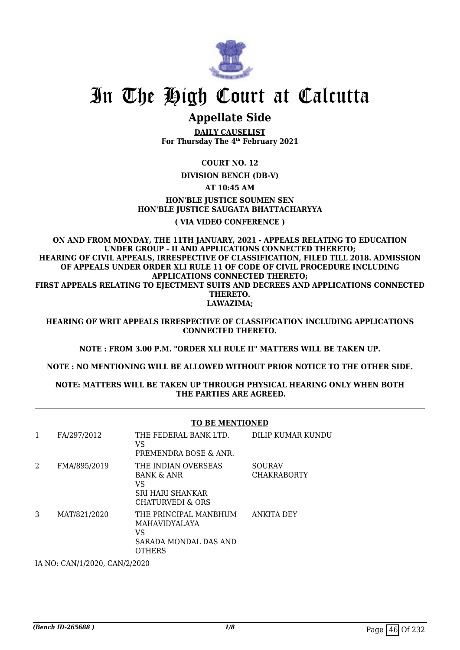

# In The High Court at Calcutta

## **Appellate Side**

**DAILY CAUSELIST For Thursday The 4th February 2021**

## **COURT NO. 12**

**DIVISION BENCH (DB-V)**

## **AT 10:45 AM**

## **HON'BLE IUSTICE SOUMEN SEN HON'BLE JUSTICE SAUGATA BHATTACHARYYA**

## **( VIA VIDEO CONFERENCE )**

**ON AND FROM MONDAY, THE 11TH JANUARY, 2021 - APPEALS RELATING TO EDUCATION UNDER GROUP - II AND APPLICATIONS CONNECTED THERETO; HEARING OF CIVIL APPEALS, IRRESPECTIVE OF CLASSIFICATION, FILED TILL 2018. ADMISSION OF APPEALS UNDER ORDER XLI RULE 11 OF CODE OF CIVIL PROCEDURE INCLUDING APPLICATIONS CONNECTED THERETO; FIRST APPEALS RELATING TO EJECTMENT SUITS AND DECREES AND APPLICATIONS CONNECTED THERETO. LAWAZIMA;**

**HEARING OF WRIT APPEALS IRRESPECTIVE OF CLASSIFICATION INCLUDING APPLICATIONS CONNECTED THERETO.**

**NOTE : FROM 3.00 P.M. "ORDER XLI RULE II" MATTERS WILL BE TAKEN UP.**

**NOTE : NO MENTIONING WILL BE ALLOWED WITHOUT PRIOR NOTICE TO THE OTHER SIDE.**

## **NOTE: MATTERS WILL BE TAKEN UP THROUGH PHYSICAL HEARING ONLY WHEN BOTH THE PARTIES ARE AGREED.**

|                |              | <b>TO BE MENTIONED</b>                                                                     |                                     |
|----------------|--------------|--------------------------------------------------------------------------------------------|-------------------------------------|
| 1              | FA/297/2012  | THE FEDERAL BANK LTD.<br>VS<br>PREMENDRA BOSE & ANR.                                       | DILIP KUMAR KUNDU                   |
| $\overline{2}$ | FMA/895/2019 | THE INDIAN OVERSEAS<br><b>BANK &amp; ANR</b><br>VS<br>SRI HARI SHANKAR<br>CHATURVEDI & ORS | <b>SOURAV</b><br><b>CHAKRABORTY</b> |
| 3              | MAT/821/2020 | THE PRINCIPAL MANBHUM<br>MAHAVIDYALAYA<br>VS<br>SARADA MONDAL DAS AND<br><b>OTHERS</b>     | ANKITA DEY                          |

IA NO: CAN/1/2020, CAN/2/2020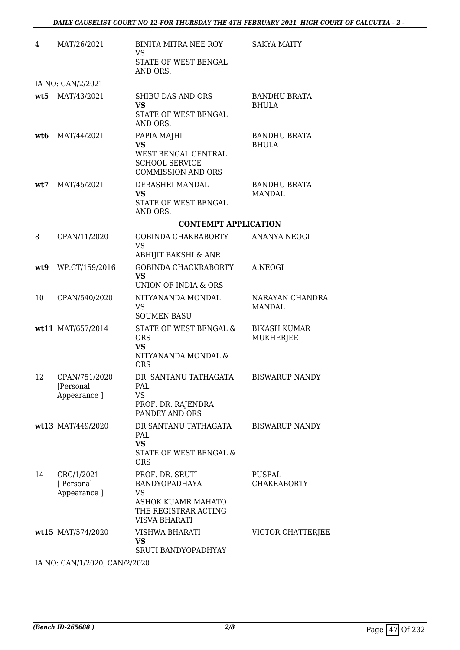| 4   | MAT/26/2021                                | BINITA MITRA NEE ROY<br><b>VS</b><br>STATE OF WEST BENGAL<br>AND ORS.                                               | <b>SAKYA MAITY</b>                      |
|-----|--------------------------------------------|---------------------------------------------------------------------------------------------------------------------|-----------------------------------------|
|     | IA NO: CAN/2/2021                          |                                                                                                                     |                                         |
|     | wt5 MAT/43/2021                            | SHIBU DAS AND ORS<br><b>VS</b><br>STATE OF WEST BENGAL<br>AND ORS.                                                  | <b>BANDHU BRATA</b><br><b>BHULA</b>     |
| wt6 | MAT/44/2021                                | PAPIA MAJHI<br><b>VS</b><br>WEST BENGAL CENTRAL<br><b>SCHOOL SERVICE</b><br><b>COMMISSION AND ORS</b>               | <b>BANDHU BRATA</b><br><b>BHULA</b>     |
| wt7 | MAT/45/2021                                | DEBASHRI MANDAL<br>VS<br>STATE OF WEST BENGAL<br>AND ORS.                                                           | <b>BANDHU BRATA</b><br>MANDAL           |
|     |                                            | <b>CONTEMPT APPLICATION</b>                                                                                         |                                         |
| 8   | CPAN/11/2020                               | <b>GOBINDA CHAKRABORTY</b><br><b>VS</b><br>ABHIJIT BAKSHI & ANR                                                     | ANANYA NEOGI                            |
| wt9 | WP.CT/159/2016                             | <b>GOBINDA CHACKRABORTY</b><br><b>VS</b><br>UNION OF INDIA & ORS                                                    | A.NEOGI                                 |
| 10  | CPAN/540/2020                              | NITYANANDA MONDAL<br><b>VS</b><br><b>SOUMEN BASU</b>                                                                | NARAYAN CHANDRA<br>MANDAL               |
|     | wt11 MAT/657/2014                          | STATE OF WEST BENGAL &<br><b>ORS</b><br><b>VS</b><br>NITYANANDA MONDAL &<br><b>ORS</b>                              | <b>BIKASH KUMAR</b><br><b>MUKHERJEE</b> |
| 12  | CPAN/751/2020<br>[Personal<br>Appearance ] | DR. SANTANU TATHAGATA<br>PAL<br><b>VS</b><br>PROF. DR. RAJENDRA<br>PANDEY AND ORS                                   | <b>BISWARUP NANDY</b>                   |
|     | wt13 MAT/449/2020                          | DR SANTANU TATHAGATA<br>PAL<br><b>VS</b><br>STATE OF WEST BENGAL &<br><b>ORS</b>                                    | <b>BISWARUP NANDY</b>                   |
| 14  | CRC/1/2021<br>[ Personal<br>Appearance ]   | PROF. DR. SRUTI<br><b>BANDYOPADHAYA</b><br>VS<br>ASHOK KUAMR MAHATO<br>THE REGISTRAR ACTING<br><b>VISVA BHARATI</b> | PUSPAL<br><b>CHAKRABORTY</b>            |
|     | wt15 MAT/574/2020                          | VISHWA BHARATI<br>VS<br>SRUTI BANDYOPADHYAY                                                                         | VICTOR CHATTERJEE                       |

IA NO: CAN/1/2020, CAN/2/2020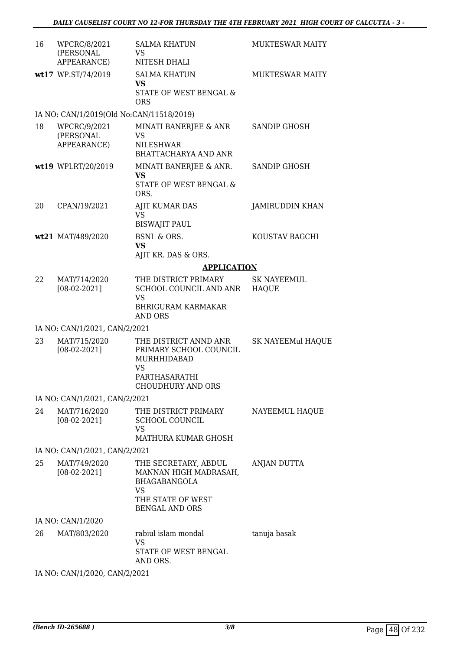| 16 | WPCRC/8/2021<br>(PERSONAL<br>APPEARANCE) | <b>SALMA KHATUN</b><br><b>VS</b><br>NITESH DHALI                                                                                | <b>MUKTESWAR MAITY</b>             |
|----|------------------------------------------|---------------------------------------------------------------------------------------------------------------------------------|------------------------------------|
|    | wt17 WP.ST/74/2019                       | <b>SALMA KHATUN</b><br><b>VS</b><br>STATE OF WEST BENGAL &<br><b>ORS</b>                                                        | <b>MUKTESWAR MAITY</b>             |
|    | IA NO: CAN/1/2019(Old No:CAN/11518/2019) |                                                                                                                                 |                                    |
| 18 | WPCRC/9/2021<br>(PERSONAL<br>APPEARANCE) | MINATI BANERJEE & ANR<br><b>VS</b><br>NILESHWAR<br>BHATTACHARYA AND ANR                                                         | SANDIP GHOSH                       |
|    | wt19 WPLRT/20/2019                       | MINATI BANERJEE & ANR.<br>VS<br>STATE OF WEST BENGAL &<br>ORS.                                                                  | SANDIP GHOSH                       |
| 20 | CPAN/19/2021                             | <b>AJIT KUMAR DAS</b><br><b>VS</b><br><b>BISWAJIT PAUL</b>                                                                      | <b>JAMIRUDDIN KHAN</b>             |
|    | wt21 MAT/489/2020                        | <b>BSNL &amp; ORS.</b><br><b>VS</b><br>AJIT KR. DAS & ORS.                                                                      | KOUSTAV BAGCHI                     |
|    |                                          | <b>APPLICATION</b>                                                                                                              |                                    |
| 22 | MAT/714/2020<br>$[08-02-2021]$           | THE DISTRICT PRIMARY<br>SCHOOL COUNCIL AND ANR<br><b>VS</b><br><b>BHRIGURAM KARMAKAR</b><br>AND ORS                             | <b>SK NAYEEMUL</b><br><b>HAQUE</b> |
|    | IA NO: CAN/1/2021, CAN/2/2021            |                                                                                                                                 |                                    |
| 23 | MAT/715/2020<br>$[08-02-2021]$           | THE DISTRICT ANND ANR<br>PRIMARY SCHOOL COUNCIL<br>MURHHIDABAD<br><b>VS</b><br>PARTHASARATHI<br><b>CHOUDHURY AND ORS</b>        | <b>SK NAYEEMul HAQUE</b>           |
|    | IA NO: CAN/1/2021, CAN/2/2021            |                                                                                                                                 |                                    |
| 24 | MAT/716/2020<br>$[08-02-2021]$           | THE DISTRICT PRIMARY<br><b>SCHOOL COUNCIL</b><br>VS<br>MATHURA KUMAR GHOSH                                                      | NAYEEMUL HAQUE                     |
|    | IA NO: CAN/1/2021, CAN/2/2021            |                                                                                                                                 |                                    |
| 25 | MAT/749/2020<br>$[08-02-2021]$           | THE SECRETARY, ABDUL<br>MANNAN HIGH MADRASAH,<br><b>BHAGABANGOLA</b><br><b>VS</b><br>THE STATE OF WEST<br><b>BENGAL AND ORS</b> | ANJAN DUTTA                        |
|    | IA NO: CAN/1/2020                        |                                                                                                                                 |                                    |
| 26 | MAT/803/2020                             | rabiul islam mondal<br>VS<br>STATE OF WEST BENGAL<br>AND ORS.                                                                   | tanuja basak                       |

IA NO: CAN/1/2020, CAN/2/2021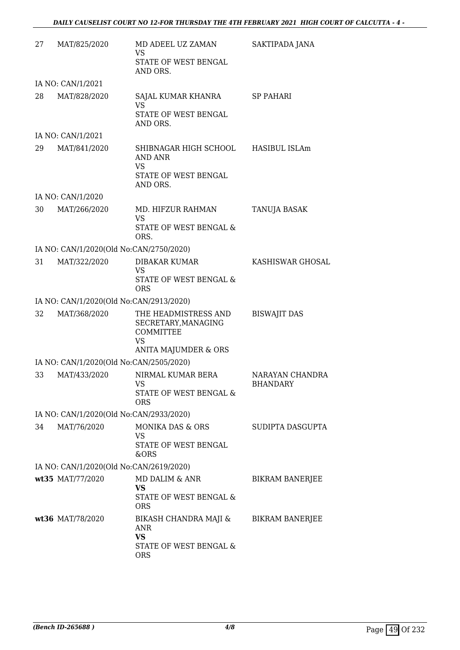| 27 | MAT/825/2020                            | MD ADEEL UZ ZAMAN<br><b>VS</b>                                                    | SAKTIPADA JANA                     |
|----|-----------------------------------------|-----------------------------------------------------------------------------------|------------------------------------|
|    |                                         | STATE OF WEST BENGAL<br>AND ORS.                                                  |                                    |
|    | IA NO: CAN/1/2021                       |                                                                                   |                                    |
| 28 | MAT/828/2020                            | SAJAL KUMAR KHANRA<br><b>VS</b><br>STATE OF WEST BENGAL<br>AND ORS.               | SP PAHARI                          |
|    | IA NO: CAN/1/2021                       |                                                                                   |                                    |
| 29 | MAT/841/2020                            | SHIBNAGAR HIGH SCHOOL<br>AND ANR<br>VS<br>STATE OF WEST BENGAL                    | HASIBUL ISLAm                      |
|    |                                         | AND ORS.                                                                          |                                    |
|    | IA NO: CAN/1/2020                       |                                                                                   |                                    |
| 30 | MAT/266/2020                            | MD. HIFZUR RAHMAN<br><b>VS</b><br><b>STATE OF WEST BENGAL &amp;</b><br>ORS.       | <b>TANUJA BASAK</b>                |
|    | IA NO: CAN/1/2020(Old No:CAN/2750/2020) |                                                                                   |                                    |
| 31 | MAT/322/2020                            | DIBAKAR KUMAR<br><b>VS</b><br>STATE OF WEST BENGAL &<br><b>ORS</b>                | KASHISWAR GHOSAL                   |
|    | IA NO: CAN/1/2020(Old No:CAN/2913/2020) |                                                                                   |                                    |
| 32 | MAT/368/2020                            | THE HEADMISTRESS AND<br>SECRETARY, MANAGING<br>COMMITTEE<br><b>VS</b>             | <b>BISWAJIT DAS</b>                |
|    | IA NO: CAN/1/2020(Old No:CAN/2505/2020) | ANITA MAJUMDER & ORS                                                              |                                    |
| 33 | MAT/433/2020                            | NIRMAL KUMAR BERA<br>VS<br>STATE OF WEST BENGAL &<br><b>ORS</b>                   | NARAYAN CHANDRA<br><b>BHANDARY</b> |
|    | IA NO: CAN/1/2020(Old No:CAN/2933/2020) |                                                                                   |                                    |
| 34 | MAT/76/2020                             | MONIKA DAS & ORS<br>VS<br>STATE OF WEST BENGAL<br>&ORS                            | SUDIPTA DASGUPTA                   |
|    | IA NO: CAN/1/2020(Old No:CAN/2619/2020) |                                                                                   |                                    |
|    | wt35 MAT/77/2020                        | MD DALIM & ANR<br><b>VS</b><br>STATE OF WEST BENGAL &<br><b>ORS</b>               | <b>BIKRAM BANERJEE</b>             |
|    | wt36 MAT/78/2020                        | BIKASH CHANDRA MAJI &<br>ANR<br><b>VS</b><br>STATE OF WEST BENGAL &<br><b>ORS</b> | <b>BIKRAM BANERJEE</b>             |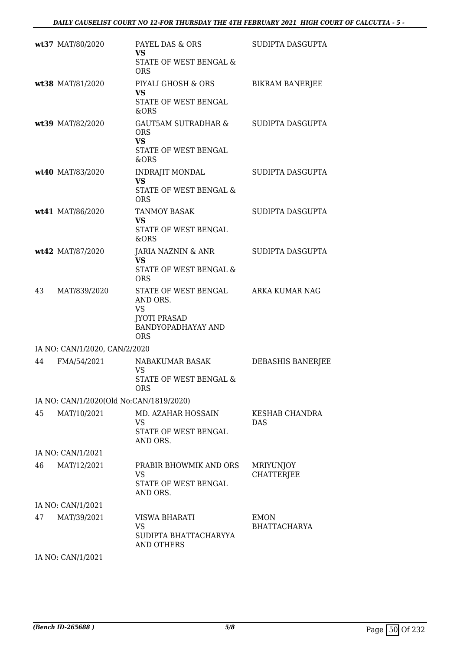|    | wt37 MAT/80/2020                        | PAYEL DAS & ORS<br><b>VS</b><br>STATE OF WEST BENGAL &<br><b>ORS</b>                                     | SUDIPTA DASGUPTA                   |
|----|-----------------------------------------|----------------------------------------------------------------------------------------------------------|------------------------------------|
|    | wt38 MAT/81/2020                        | PIYALI GHOSH & ORS<br><b>VS</b><br>STATE OF WEST BENGAL<br>&ORS                                          | <b>BIKRAM BANERJEE</b>             |
|    | wt39 MAT/82/2020                        | <b>GAUT5AM SUTRADHAR &amp;</b><br><b>ORS</b><br><b>VS</b><br>STATE OF WEST BENGAL<br>&ORS                | SUDIPTA DASGUPTA                   |
|    | wt40 MAT/83/2020                        | <b>INDRAJIT MONDAL</b><br><b>VS</b><br>STATE OF WEST BENGAL &<br><b>ORS</b>                              | SUDIPTA DASGUPTA                   |
|    | wt41 MAT/86/2020                        | <b>TANMOY BASAK</b><br>VS<br>STATE OF WEST BENGAL<br>&ORS                                                | SUDIPTA DASGUPTA                   |
|    | wt42 MAT/87/2020                        | JARIA NAZNIN & ANR<br><b>VS</b><br>STATE OF WEST BENGAL &<br><b>ORS</b>                                  | SUDIPTA DASGUPTA                   |
| 43 | MAT/839/2020                            | STATE OF WEST BENGAL<br>AND ORS.<br><b>VS</b><br><b>JYOTI PRASAD</b><br>BANDYOPADHAYAY AND<br><b>ORS</b> | ARKA KUMAR NAG                     |
|    | IA NO: CAN/1/2020, CAN/2/2020           |                                                                                                          |                                    |
| 44 | FMA/54/2021                             | NABAKUMAR BASAK<br><b>VS</b><br>STATE OF WEST BENGAL &<br><b>ORS</b>                                     | DEBASHIS BANERJEE                  |
|    | IA NO: CAN/1/2020(Old No:CAN/1819/2020) |                                                                                                          |                                    |
| 45 | MAT/10/2021                             | MD. AZAHAR HOSSAIN<br>VS.<br>STATE OF WEST BENGAL<br>AND ORS.                                            | <b>KESHAB CHANDRA</b><br>DAS       |
|    | IA NO: CAN/1/2021                       |                                                                                                          |                                    |
| 46 | MAT/12/2021                             | PRABIR BHOWMIK AND ORS<br>VS<br>STATE OF WEST BENGAL<br>AND ORS.                                         | MRIYUNJOY<br><b>CHATTERJEE</b>     |
|    | IA NO: CAN/1/2021                       |                                                                                                          |                                    |
| 47 | MAT/39/2021                             | VISWA BHARATI<br><b>VS</b><br>SUDIPTA BHATTACHARYYA<br><b>AND OTHERS</b>                                 | <b>EMON</b><br><b>BHATTACHARYA</b> |

IA NO: CAN/1/2021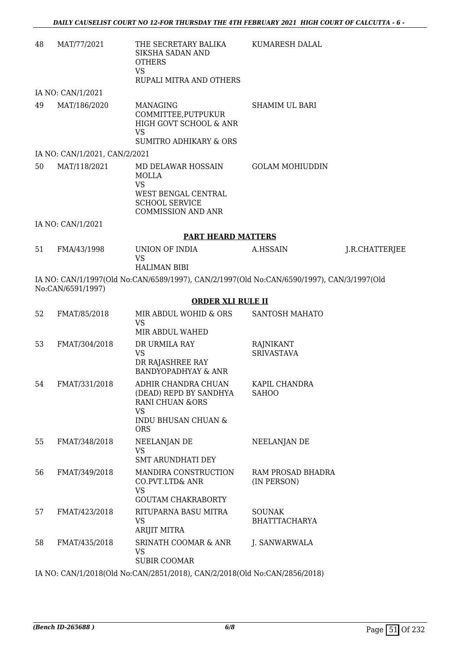| 48                                                                                                             | MAT/77/2021                   | THE SECRETARY BALIKA<br>SIKSHA SADAN AND<br><b>OTHERS</b><br><b>VS</b>                                                | KUMARESH DALAL         |                |  |
|----------------------------------------------------------------------------------------------------------------|-------------------------------|-----------------------------------------------------------------------------------------------------------------------|------------------------|----------------|--|
|                                                                                                                |                               | RUPALI MITRA AND OTHERS                                                                                               |                        |                |  |
|                                                                                                                | IA NO: CAN/1/2021             |                                                                                                                       |                        |                |  |
| 49                                                                                                             | MAT/186/2020                  | MANAGING<br>COMMITTEE, PUTPUKUR<br>HIGH GOVT SCHOOL & ANR<br>VS<br><b>SUMITRO ADHIKARY &amp; ORS</b>                  | <b>SHAMIM UL BARI</b>  |                |  |
|                                                                                                                | IA NO: CAN/1/2021, CAN/2/2021 |                                                                                                                       |                        |                |  |
| 50                                                                                                             | MAT/118/2021                  | MD DELAWAR HOSSAIN<br>MOLLA<br><b>VS</b><br>WEST BENGAL CENTRAL<br><b>SCHOOL SERVICE</b><br><b>COMMISSION AND ANR</b> | <b>GOLAM MOHIUDDIN</b> |                |  |
|                                                                                                                | IA NO: CAN/1/2021             |                                                                                                                       |                        |                |  |
|                                                                                                                | <b>PART HEARD MATTERS</b>     |                                                                                                                       |                        |                |  |
| 51                                                                                                             | FMA/43/1998                   | UNION OF INDIA<br>VS<br><b>HALIMAN BIBI</b>                                                                           | A.HSSAIN               | J.R.CHATTERJEE |  |
| IA NO: CAN/1/1997(Old No:CAN/6589/1997), CAN/2/1997(Old No:CAN/6590/1997), CAN/3/1997(Old<br>No:CAN/6591/1997) |                               |                                                                                                                       |                        |                |  |

## **ORDER XLI RULE II**

| 52 | FMAT/85/2018  | MIR ABDUL WOHID & ORS<br>VS<br>MIR ABDUL WAHED                                                                      | SANTOSH MAHATO                          |
|----|---------------|---------------------------------------------------------------------------------------------------------------------|-----------------------------------------|
| 53 | FMAT/304/2018 | DR URMILA RAY<br>VS<br>DR RAJASHREE RAY<br>BANDYOPADHYAY & ANR                                                      | RAJNIKANT<br><b>SRIVASTAVA</b>          |
| 54 | FMAT/331/2018 | ADHIR CHANDRA CHUAN<br>(DEAD) REPD BY SANDHYA<br>RANI CHUAN & ORS<br><b>VS</b><br>INDU BHUSAN CHUAN &<br><b>ORS</b> | KAPIL CHANDRA<br><b>SAHOO</b>           |
| 55 | FMAT/348/2018 | NEELANJAN DE<br><b>VS</b><br><b>SMT ARUNDHATI DEY</b>                                                               | NEELANJAN DE                            |
| 56 | FMAT/349/2018 | MANDIRA CONSTRUCTION<br>CO.PVT.LTD& ANR<br>VS<br><b>GOUTAM CHAKRABORTY</b>                                          | <b>RAM PROSAD BHADRA</b><br>(IN PERSON) |
| 57 | FMAT/423/2018 | RITUPARNA BASU MITRA<br>VS<br>ARIJIT MITRA                                                                          | <b>SOUNAK</b><br><b>BHATTTACHARYA</b>   |
| 58 | FMAT/435/2018 | <b>SRINATH COOMAR &amp; ANR</b><br>VS<br><b>SUBIR COOMAR</b>                                                        | J. SANWARWALA                           |
|    |               | IA MO CANTH 1901 0(01.1 ML, CANTIONE1 1901 0), CANTIO 1901 0(01.1 ML, CANTIONEC 1901 0).                            |                                         |

IA NO: CAN/1/2018(Old No:CAN/2851/2018), CAN/2/2018(Old No:CAN/2856/2018)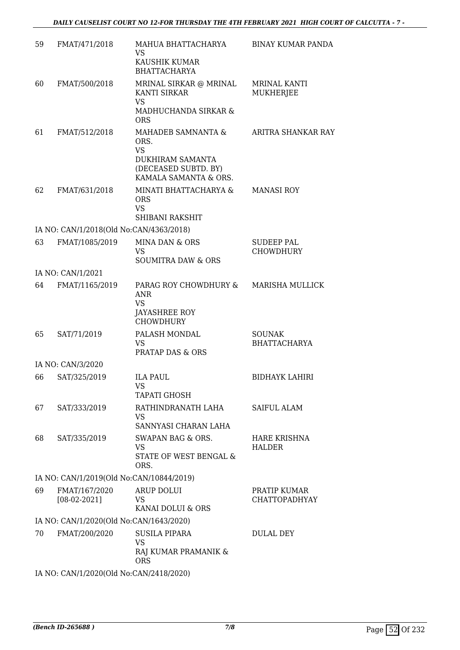| 59 | FMAT/471/2018                            | MAHUA BHATTACHARYA<br><b>VS</b>                              | <b>BINAY KUMAR PANDA</b>              |
|----|------------------------------------------|--------------------------------------------------------------|---------------------------------------|
|    |                                          | KAUSHIK KUMAR<br><b>BHATTACHARYA</b>                         |                                       |
| 60 | FMAT/500/2018                            | MRINAL SIRKAR @ MRINAL<br><b>KANTI SIRKAR</b><br><b>VS</b>   | <b>MRINAL KANTI</b><br>MUKHERJEE      |
|    |                                          | MADHUCHANDA SIRKAR &<br><b>ORS</b>                           |                                       |
| 61 | FMAT/512/2018                            | MAHADEB SAMNANTA &<br>ORS.<br><b>VS</b><br>DUKHIRAM SAMANTA  | ARITRA SHANKAR RAY                    |
|    |                                          | (DECEASED SUBTD. BY)<br>KAMALA SAMANTA & ORS.                |                                       |
| 62 | FMAT/631/2018                            | MINATI BHATTACHARYA &<br><b>ORS</b><br><b>VS</b>             | <b>MANASI ROY</b>                     |
|    |                                          | SHIBANI RAKSHIT                                              |                                       |
|    | IA NO: CAN/1/2018(Old No:CAN/4363/2018)  |                                                              |                                       |
| 63 | FMAT/1085/2019                           | MINA DAN & ORS<br><b>VS</b><br><b>SOUMITRA DAW &amp; ORS</b> | <b>SUDEEP PAL</b><br><b>CHOWDHURY</b> |
|    | IA NO: CAN/1/2021                        |                                                              |                                       |
| 64 | FMAT/1165/2019                           | PARAG ROY CHOWDHURY &<br>ANR<br><b>VS</b><br>JAYASHREE ROY   | <b>MARISHA MULLICK</b>                |
| 65 | SAT/71/2019                              | <b>CHOWDHURY</b><br>PALASH MONDAL                            | <b>SOUNAK</b>                         |
|    |                                          | <b>VS</b><br><b>PRATAP DAS &amp; ORS</b>                     | <b>BHATTACHARYA</b>                   |
|    | IA NO: CAN/3/2020                        |                                                              |                                       |
| 66 | SAT/325/2019                             | <b>ILA PAUL</b><br>VS                                        | <b>BIDHAYK LAHIRI</b>                 |
|    |                                          | <b>TAPATI GHOSH</b>                                          |                                       |
| 67 | SAT/333/2019                             | RATHINDRANATH LAHA<br><b>VS</b><br>SANNYASI CHARAN LAHA      | SAIFUL ALAM                           |
| 68 | SAT/335/2019                             | SWAPAN BAG & ORS.<br>VS<br>STATE OF WEST BENGAL &<br>ORS.    | <b>HARE KRISHNA</b><br><b>HALDER</b>  |
|    | IA NO: CAN/1/2019(Old No:CAN/10844/2019) |                                                              |                                       |
| 69 | FMAT/167/2020                            | <b>ARUP DOLUI</b>                                            | PRATIP KUMAR                          |
|    | $[08-02-2021]$                           | <b>VS</b><br>KANAI DOLUI & ORS                               | <b>CHATTOPADHYAY</b>                  |
|    | IA NO: CAN/1/2020(Old No:CAN/1643/2020)  |                                                              |                                       |
| 70 | FMAT/200/2020                            | <b>SUSILA PIPARA</b><br><b>VS</b><br>RAJ KUMAR PRAMANIK &    | <b>DULAL DEY</b>                      |
|    |                                          | <b>ORS</b>                                                   |                                       |
|    | IA NO: CAN/1/2020(Old No:CAN/2418/2020)  |                                                              |                                       |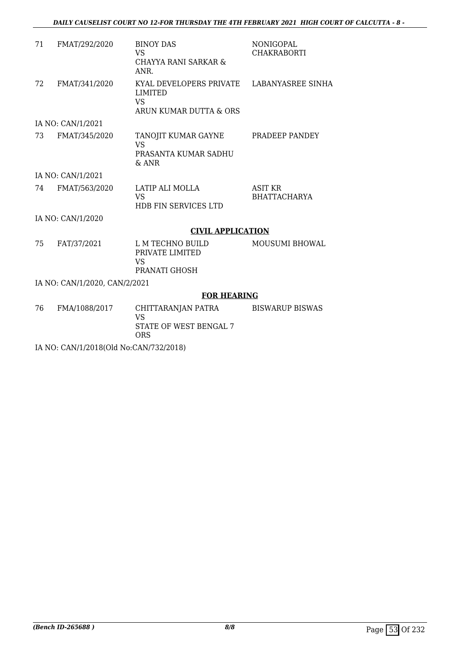| 71 | FMAT/292/2020                 | <b>BINOY DAS</b><br><b>VS</b><br>CHAYYA RANI SARKAR &<br>ANR.                    | <b>NONIGOPAL</b><br><b>CHAKRABORTI</b> |
|----|-------------------------------|----------------------------------------------------------------------------------|----------------------------------------|
| 72 | FMAT/341/2020                 | KYAL DEVELOPERS PRIVATE<br><b>LIMITED</b><br><b>VS</b><br>ARUN KUMAR DUTTA & ORS | LABANYASREE SINHA                      |
|    | IA NO: CAN/1/2021             |                                                                                  |                                        |
| 73 | FMAT/345/2020                 | TANOJIT KUMAR GAYNE<br><b>VS</b><br>PRASANTA KUMAR SADHU<br>$&$ ANR              | PRADEEP PANDEY                         |
|    | IA NO: CAN/1/2021             |                                                                                  |                                        |
| 74 | FMAT/563/2020                 | LATIP ALI MOLLA<br><b>VS</b><br><b>HDB FIN SERVICES LTD</b>                      | <b>ASIT KR</b><br><b>BHATTACHARYA</b>  |
|    | IA NO: CAN/1/2020             |                                                                                  |                                        |
|    |                               | <b>CIVIL APPLICATION</b>                                                         |                                        |
| 75 | FAT/37/2021                   | L M TECHNO BUILD<br>PRIVATE LIMITED<br><b>VS</b><br>PRANATI GHOSH                | MOUSUMI BHOWAL                         |
|    | IA NO: CAN/1/2020, CAN/2/2021 |                                                                                  |                                        |
|    |                               | <b>FOR HEARING</b>                                                               |                                        |
| 76 | FMA/1088/2017                 | CHITTARANJAN PATRA<br><b>VS</b><br><b>STATE OF WEST BENGAL 7</b><br><b>ORS</b>   | <b>BISWARUP BISWAS</b>                 |

IA NO: CAN/1/2018(Old No:CAN/732/2018)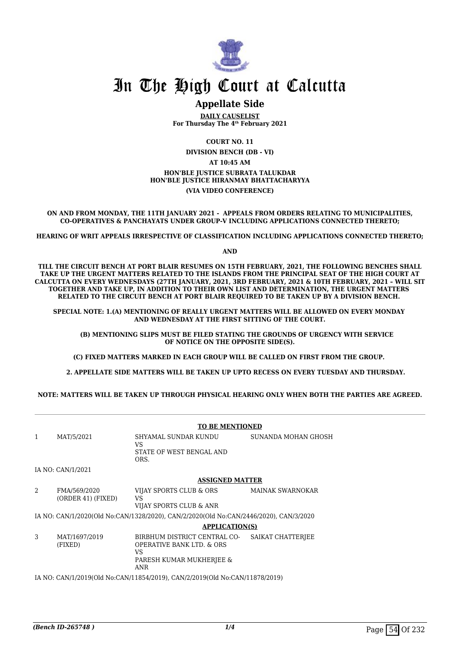

## In The High Court at Calcutta

## **Appellate Side**

**DAILY CAUSELIST For Thursday The 4th February 2021**

**COURT NO. 11 DIVISION BENCH (DB - VI) AT 10:45 AM HON'BLE JUSTICE SUBRATA TALUKDAR HON'BLE JUSTICE HIRANMAY BHATTACHARYYA (VIA VIDEO CONFERENCE)**

**ON AND FROM MONDAY, THE 11TH JANUARY 2021 - APPEALS FROM ORDERS RELATING TO MUNICIPALITIES, CO-OPERATIVES & PANCHAYATS UNDER GROUP-V INCLUDING APPLICATIONS CONNECTED THERETO;**

**HEARING OF WRIT APPEALS IRRESPECTIVE OF CLASSIFICATION INCLUDING APPLICATIONS CONNECTED THERETO;**

**AND**

**TILL THE CIRCUIT BENCH AT PORT BLAIR RESUMES ON 15TH FEBRUARY, 2021, THE FOLLOWING BENCHES SHALL TAKE UP THE URGENT MATTERS RELATED TO THE ISLANDS FROM THE PRINCIPAL SEAT OF THE HIGH COURT AT CALCUTTA ON EVERY WEDNESDAYS (27TH JANUARY, 2021, 3RD FEBRUARY, 2021 & 10TH FEBRUARY, 2021 – WILL SIT TOGETHER AND TAKE UP, IN ADDITION TO THEIR OWN LIST AND DETERMINATION, THE URGENT MATTERS RELATED TO THE CIRCUIT BENCH AT PORT BLAIR REQUIRED TO BE TAKEN UP BY A DIVISION BENCH.** 

**SPECIAL NOTE: 1.(A) MENTIONING OF REALLY URGENT MATTERS WILL BE ALLOWED ON EVERY MONDAY AND WEDNESDAY AT THE FIRST SITTING OF THE COURT.**

 **(B) MENTIONING SLIPS MUST BE FILED STATING THE GROUNDS OF URGENCY WITH SERVICE OF NOTICE ON THE OPPOSITE SIDE(S).**

**(C) FIXED MATTERS MARKED IN EACH GROUP WILL BE CALLED ON FIRST FROM THE GROUP.** 

 **2. APPELLATE SIDE MATTERS WILL BE TAKEN UP UPTO RECESS ON EVERY TUESDAY AND THURSDAY.** 

**NOTE: MATTERS WILL BE TAKEN UP THROUGH PHYSICAL HEARING ONLY WHEN BOTH THE PARTIES ARE AGREED.**

|                                                                             |                                    | <b>TO BE MENTIONED</b>                                                                                                |                         |
|-----------------------------------------------------------------------------|------------------------------------|-----------------------------------------------------------------------------------------------------------------------|-------------------------|
| $\mathbf{1}$                                                                | MAT/5/2021                         | SHYAMAL SUNDAR KUNDU<br>VS<br>STATE OF WEST BENGAL AND<br>ORS.                                                        | SUNANDA MOHAN GHOSH     |
|                                                                             | IA NO: CAN/1/2021                  |                                                                                                                       |                         |
|                                                                             |                                    | <b>ASSIGNED MATTER</b>                                                                                                |                         |
| 2                                                                           | FMA/569/2020<br>(ORDER 41) (FIXED) | VIJAY SPORTS CLUB & ORS<br><b>VS</b><br>VIJAY SPORTS CLUB & ANR                                                       | <b>MAINAK SWARNOKAR</b> |
|                                                                             |                                    | IA NO: CAN/1/2020(Old No:CAN/1328/2020), CAN/2/2020(Old No:CAN/2446/2020), CAN/3/2020                                 |                         |
|                                                                             |                                    | <b>APPLICATION(S)</b>                                                                                                 |                         |
| 3                                                                           | MAT/1697/2019<br>(FIXED)           | BIRBHUM DISTRICT CENTRAL CO-<br><b>OPERATIVE BANK LTD. &amp; ORS</b><br>VS.<br>PARESH KUMAR MUKHERJEE &<br><b>ANR</b> | SAIKAT CHATTERJEE       |
| IA NO: CAN/1/2019(Old No:CAN/11854/2019), CAN/2/2019(Old No:CAN/11878/2019) |                                    |                                                                                                                       |                         |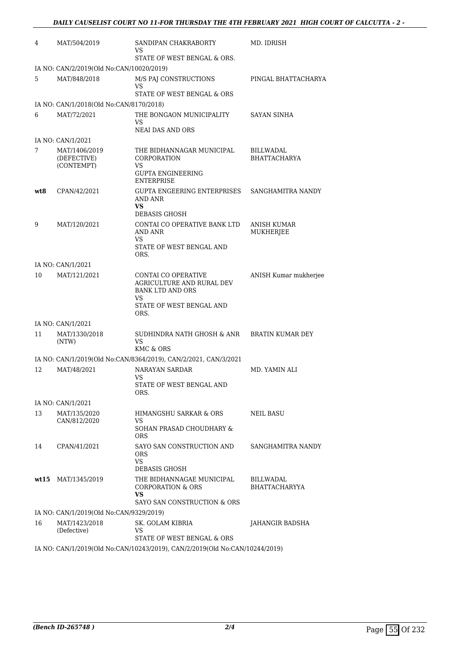| 4   | MAT/504/2019                               | SANDIPAN CHAKRABORTY<br>VS<br>STATE OF WEST BENGAL & ORS.                                                              | MD. IDRISH                               |
|-----|--------------------------------------------|------------------------------------------------------------------------------------------------------------------------|------------------------------------------|
|     | IA NO: CAN/2/2019(Old No:CAN/10020/2019)   |                                                                                                                        |                                          |
| 5   | MAT/848/2018                               | M/S PAI CONSTRUCTIONS<br>VS                                                                                            | PINGAL BHATTACHARYA                      |
|     |                                            | STATE OF WEST BENGAL & ORS                                                                                             |                                          |
|     | IA NO: CAN/1/2018(Old No:CAN/8170/2018)    |                                                                                                                        |                                          |
| 6   | MAT/72/2021                                | THE BONGAON MUNICIPALITY<br>VS                                                                                         | SAYAN SINHA                              |
|     |                                            | <b>NEAI DAS AND ORS</b>                                                                                                |                                          |
|     | IA NO: CAN/1/2021                          |                                                                                                                        |                                          |
| 7   | MAT/1406/2019<br>(DEFECTIVE)<br>(CONTEMPT) | THE BIDHANNAGAR MUNICIPAL<br>CORPORATION<br>VS<br><b>GUPTA ENGINEERING</b>                                             | BILLWADAL<br><b>BHATTACHARYA</b>         |
|     |                                            | ENTERPRISE                                                                                                             |                                          |
| wt8 | CPAN/42/2021                               | GUPTA ENGEERING ENTERPRISES<br>AND ANR<br>VS                                                                           | SANGHAMITRA NANDY                        |
|     |                                            | <b>DEBASIS GHOSH</b>                                                                                                   |                                          |
| 9   | MAT/120/2021                               | CONTAI CO OPERATIVE BANK LTD<br>AND ANR                                                                                | ANISH KUMAR<br><b>MUKHERJEE</b>          |
|     |                                            | VS<br>STATE OF WEST BENGAL AND<br>ORS.                                                                                 |                                          |
|     | IA NO: CAN/1/2021                          |                                                                                                                        |                                          |
| 10  | MAT/121/2021                               | CONTAI CO OPERATIVE<br>AGRICULTURE AND RURAL DEV<br><b>BANK LTD AND ORS</b><br>VS.<br>STATE OF WEST BENGAL AND<br>ORS. | ANISH Kumar mukherjee                    |
|     | IA NO: CAN/1/2021                          |                                                                                                                        |                                          |
| 11  |                                            | SUDHINDRA NATH GHOSH & ANR                                                                                             | <b>BRATIN KUMAR DEY</b>                  |
|     | MAT/1330/2018<br>(NTW)                     | VS<br>KMC & ORS                                                                                                        |                                          |
|     |                                            | IA NO: CAN/1/2019(Old No:CAN/8364/2019), CAN/2/2021, CAN/3/2021                                                        |                                          |
| 12  | MAT/48/2021                                | <b>NARAYAN SARDAR</b><br>VS                                                                                            | MD. YAMIN ALI                            |
|     |                                            | STATE OF WEST BENGAL AND<br>ORS.                                                                                       |                                          |
|     | IA NO: CAN/1/2021                          |                                                                                                                        |                                          |
| 13  | MAT/135/2020<br>CAN/812/2020               | HIMANGSHU SARKAR & ORS<br>VS                                                                                           | NEIL BASU                                |
|     |                                            | SOHAN PRASAD CHOUDHARY &<br><b>ORS</b>                                                                                 |                                          |
| 14  | CPAN/41/2021                               | SAYO SAN CONSTRUCTION AND<br><b>ORS</b><br><b>VS</b><br>DEBASIS GHOSH                                                  | SANGHAMITRA NANDY                        |
|     | wt15 MAT/1345/2019                         | THE BIDHANNAGAE MUNICIPAL<br><b>CORPORATION &amp; ORS</b><br>VS<br>SAYO SAN CONSTRUCTION & ORS                         | <b>BILLWADAL</b><br><b>BHATTACHARYYA</b> |
|     | IA NO: CAN/1/2019(Old No:CAN/9329/2019)    |                                                                                                                        |                                          |
| 16  | MAT/1423/2018<br>(Defective)               | SK. GOLAM KIBRIA<br>VS.                                                                                                | JAHANGIR BADSHA                          |
|     |                                            | STATE OF WEST BENGAL & ORS                                                                                             |                                          |
|     |                                            | IA NO: CAN/1/2019(Old No:CAN/10243/2019), CAN/2/2019(Old No:CAN/10244/2019)                                            |                                          |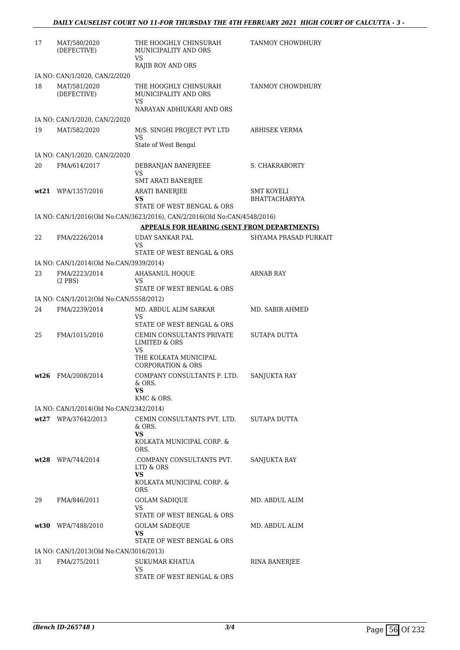| 17 | MAT/580/2020<br>(DEFECTIVE)             | THE HOOGHLY CHINSURAH<br>MUNICIPALITY AND ORS<br>VS                              | TANMOY CHOWDHURY      |
|----|-----------------------------------------|----------------------------------------------------------------------------------|-----------------------|
|    |                                         | <b>RAJIB ROY AND ORS</b>                                                         |                       |
|    | IA NO: CAN/1/2020, CAN/2/2020           |                                                                                  |                       |
| 18 | MAT/581/2020<br>(DEFECTIVE)             | THE HOOGHLY CHINSURAH<br>MUNICIPALITY AND ORS<br>VS<br>NARAYAN ADHIUKARI AND ORS | TANMOY CHOWDHURY      |
|    | IA NO: CAN/1/2020, CAN/2/2020           |                                                                                  |                       |
| 19 | MAT/582/2020                            | M/S. SINGHI PROJECT PVT LTD<br>VS                                                | ABHISEK VERMA         |
|    |                                         | State of West Bengal                                                             |                       |
|    | IA NO: CAN/1/2020, CAN/2/2020           |                                                                                  |                       |
| 20 | FMA/614/2017                            | DEBRANJAN BANERJEEE<br>VS<br><b>SMT ARATI BANERJEE</b>                           | S. CHAKRABORTY        |
|    | wt21 WPA/1357/2016                      | <b>ARATI BANERJEE</b>                                                            | SMT KOYELI            |
|    |                                         | VS                                                                               | <b>BHATTACHARYYA</b>  |
|    |                                         | STATE OF WEST BENGAL & ORS                                                       |                       |
|    |                                         | IA NO: CAN/1/2016(Old No:CAN/3623/2016), CAN/2/2016(Old No:CAN/4548/2016)        |                       |
|    |                                         | <b>APPEALS FOR HEARING (SENT FROM DEPARTMENTS)</b>                               |                       |
| 22 | FMA/2226/2014                           | <b>UDAY SANKAR PAL</b><br>VS<br>STATE OF WEST BENGAL & ORS                       | SHYAMA PRASAD PURKAIT |
|    | IA NO: CAN/1/2014(Old No:CAN/3939/2014) |                                                                                  |                       |
| 23 | FMA/2223/2014<br>$(2$ PBS)              | <b>AHASANUL HOQUE</b><br>VS                                                      | <b>ARNAB RAY</b>      |
|    |                                         | STATE OF WEST BENGAL & ORS                                                       |                       |
|    | IA NO: CAN/1/2012(Old No:CAN/5558/2012) |                                                                                  |                       |
| 24 | FMA/2239/2014                           | MD. ABDUL ALIM SARKAR<br>VS                                                      | MD. SABIR AHMED       |
| 25 |                                         | STATE OF WEST BENGAL & ORS<br>CEMIN CONSULTANTS PRIVATE                          | SUTAPA DUTTA          |
|    | FMA/1015/2016                           | LIMITED & ORS<br>VS                                                              |                       |
|    |                                         | THE KOLKATA MUNICIPAL<br><b>CORPORATION &amp; ORS</b>                            |                       |
|    | wt26 FMA/2008/2014                      | COMPANY CONSULTANTS P. LTD.<br>& ORS.                                            | SANJUKTA RAY          |
|    |                                         | VS<br>KMC & ORS.                                                                 |                       |
|    | IA NO: CAN/1/2014(Old No:CAN/2342/2014) |                                                                                  |                       |
|    | wt27 WPA/37642/2013                     | CEMIN CONSULTANTS PVT. LTD.<br>& ORS.                                            | SUTAPA DUTTA          |
|    |                                         | VS.<br>KOLKATA MUNICIPAL CORP. &<br>ORS.                                         |                       |
|    | wt28 WPA/744/2014                       | .COMPANY CONSULTANTS PVT.<br>LTD & ORS                                           | <b>SANJUKTA RAY</b>   |
|    |                                         | VS<br>KOLKATA MUNICIPAL CORP. &<br><b>ORS</b>                                    |                       |
| 29 | FMA/846/2011                            | <b>GOLAM SADIQUE</b><br>VS                                                       | MD. ABDUL ALIM        |
|    |                                         | STATE OF WEST BENGAL & ORS                                                       |                       |
|    | wt30 WPA/7488/2010                      | <b>GOLAM SADEQUE</b><br>VS.<br>STATE OF WEST BENGAL & ORS                        | MD. ABDUL ALIM        |
|    | IA NO: CAN/1/2013(Old No:CAN/3016/2013) |                                                                                  |                       |
| 31 | FMA/275/2011                            | SUKUMAR KHATUA                                                                   | RINA BANERJEE         |
|    |                                         | VS<br>STATE OF WEST BENGAL & ORS                                                 |                       |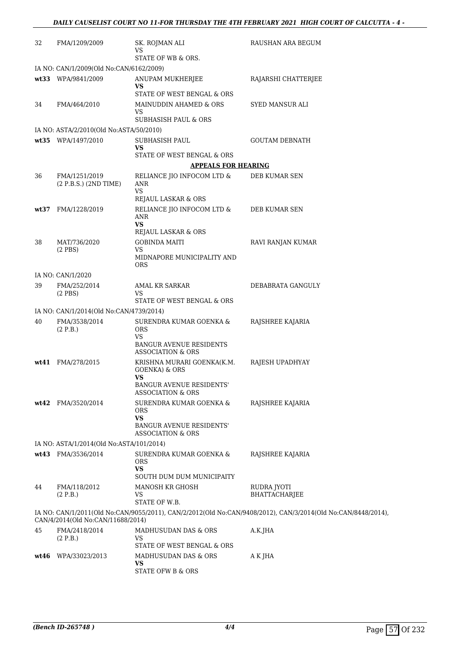| 32   | FMA/1209/2009                            | SK. ROJMAN ALI<br>VS                                                                            | RAUSHAN ARA BEGUM                                                                                            |
|------|------------------------------------------|-------------------------------------------------------------------------------------------------|--------------------------------------------------------------------------------------------------------------|
|      |                                          | STATE OF WB & ORS.                                                                              |                                                                                                              |
|      | IA NO: CAN/1/2009(Old No:CAN/6162/2009)  |                                                                                                 |                                                                                                              |
|      | wt33 WPA/9841/2009                       | ANUPAM MUKHERJEE<br>VS<br>STATE OF WEST BENGAL & ORS                                            | RAJARSHI CHATTERJEE                                                                                          |
| 34   | FMA/464/2010                             | MAINUDDIN AHAMED & ORS                                                                          | SYED MANSUR ALI                                                                                              |
|      |                                          | VS                                                                                              |                                                                                                              |
|      |                                          | SUBHASISH PAUL & ORS                                                                            |                                                                                                              |
|      | IA NO: ASTA/2/2010(Old No:ASTA/50/2010)  |                                                                                                 |                                                                                                              |
|      | wt35 WPA/1497/2010                       | SUBHASISH PAUL<br>VS                                                                            | <b>GOUTAM DEBNATH</b>                                                                                        |
|      |                                          | STATE OF WEST BENGAL & ORS                                                                      |                                                                                                              |
|      |                                          | <b>APPEALS FOR HEARING</b>                                                                      |                                                                                                              |
| 36   | FMA/1251/2019<br>(2 P.B.S.) (2ND TIME)   | RELIANCE JIO INFOCOM LTD $\&$<br>ANR<br>VS                                                      | DEB KUMAR SEN                                                                                                |
|      |                                          | REJAUL LASKAR & ORS                                                                             |                                                                                                              |
| wt37 | FMA/1228/2019                            | RELIANCE JIO INFOCOM LTD &<br>ANR<br><b>VS</b>                                                  | DEB KUMAR SEN                                                                                                |
|      |                                          | REJAUL LASKAR & ORS                                                                             |                                                                                                              |
| 38   | MAT/736/2020<br>$(2$ PBS $)$             | <b>GOBINDA MAITI</b><br>VS                                                                      | RAVI RANJAN KUMAR                                                                                            |
|      |                                          | MIDNAPORE MUNICIPALITY AND<br><b>ORS</b>                                                        |                                                                                                              |
|      | IA NO: CAN/1/2020                        |                                                                                                 |                                                                                                              |
| 39   | FMA/252/2014<br>$(2$ PBS $)$             | AMAL KR SARKAR<br>VS                                                                            | DEBABRATA GANGULY                                                                                            |
|      |                                          | STATE OF WEST BENGAL & ORS                                                                      |                                                                                                              |
|      | IA NO: CAN/1/2014(Old No:CAN/4739/2014)  |                                                                                                 |                                                                                                              |
| 40   | FMA/3538/2014<br>(2 P.B.)                | SURENDRA KUMAR GOENKA &<br><b>ORS</b><br>VS                                                     | RAJSHREE KAJARIA                                                                                             |
|      |                                          | <b>BANGUR AVENUE RESIDENTS</b><br><b>ASSOCIATION &amp; ORS</b>                                  |                                                                                                              |
|      | wt41 FMA/278/2015                        | KRISHNA MURARI GOENKA(K.M.<br><b>GOENKA) &amp; ORS</b><br>VS<br><b>BANGUR AVENUE RESIDENTS'</b> | RAJESH UPADHYAY                                                                                              |
|      |                                          | ASSOCIATION & ORS                                                                               |                                                                                                              |
|      | wt42 FMA/3520/2014                       | SURENDRA KUMAR GOENKA &<br><b>ORS</b><br>VS                                                     | RAJSHREE KAJARIA                                                                                             |
|      |                                          | <b>BANGUR AVENUE RESIDENTS'</b><br><b>ASSOCIATION &amp; ORS</b>                                 |                                                                                                              |
|      | IA NO: ASTA/1/2014(Old No:ASTA/101/2014) |                                                                                                 |                                                                                                              |
|      | wt43 FMA/3536/2014                       | SURENDRA KUMAR GOENKA &<br><b>ORS</b><br>VS                                                     | RAJSHREE KAJARIA                                                                                             |
|      |                                          | SOUTH DUM DUM MUNICIPAITY                                                                       |                                                                                                              |
| 44   | FMA/118/2012<br>(2 P.B.)                 | MANOSH KR GHOSH<br>VS<br>STATE OF W.B.                                                          | RUDRA JYOTI<br><b>BHATTACHARJEE</b>                                                                          |
|      | CAN/4/2014(Old No:CAN/11688/2014)        |                                                                                                 | IA NO: CAN/1/2011(Old No:CAN/9055/2011), CAN/2/2012(Old No:CAN/9408/2012), CAN/3/2014(Old No:CAN/8448/2014), |
| 45   | FMA/2418/2014                            | MADHUSUDAN DAS & ORS                                                                            | A.K.JHA                                                                                                      |
|      | (2 P.B.)                                 | VS<br>STATE OF WEST BENGAL & ORS                                                                |                                                                                                              |
| wt46 | WPA/33023/2013                           | MADHUSUDAN DAS & ORS                                                                            | A K JHA                                                                                                      |
|      |                                          | <b>VS</b><br>STATE OFW B & ORS                                                                  |                                                                                                              |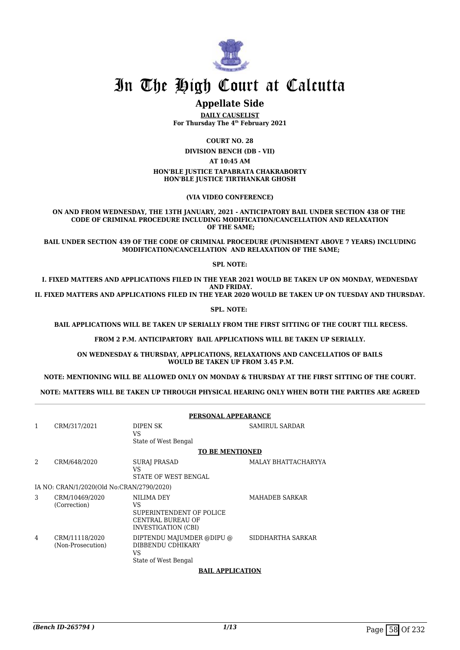

## In The High Court at Calcutta

## **Appellate Side**

**DAILY CAUSELIST For Thursday The 4th February 2021**

**COURT NO. 28**

**DIVISION BENCH (DB - VII)**

**AT 10:45 AM**

**HON'BLE JUSTICE TAPABRATA CHAKRABORTY HON'BLE JUSTICE TIRTHANKAR GHOSH**

**(VIA VIDEO CONFERENCE)**

**ON AND FROM WEDNESDAY, THE 13TH JANUARY, 2021 - ANTICIPATORY BAIL UNDER SECTION 438 OF THE CODE OF CRIMINAL PROCEDURE INCLUDING MODIFICATION/CANCELLATION AND RELAXATION OF THE SAME;**

**BAIL UNDER SECTION 439 OF THE CODE OF CRIMINAL PROCEDURE (PUNISHMENT ABOVE 7 YEARS) INCLUDING MODIFICATION/CANCELLATION AND RELAXATION OF THE SAME;**

**SPL NOTE:**

**I. FIXED MATTERS AND APPLICATIONS FILED IN THE YEAR 2021 WOULD BE TAKEN UP ON MONDAY, WEDNESDAY AND FRIDAY.**

**II. FIXED MATTERS AND APPLICATIONS FILED IN THE YEAR 2020 WOULD BE TAKEN UP ON TUESDAY AND THURSDAY.**

**SPL. NOTE:** 

 **BAIL APPLICATIONS WILL BE TAKEN UP SERIALLY FROM THE FIRST SITTING OF THE COURT TILL RECESS.**

**FROM 2 P.M. ANTICIPARTORY BAIL APPLICATIONS WILL BE TAKEN UP SERIALLY.**

**ON WEDNESDAY & THURSDAY, APPLICATIONS, RELAXATIONS AND CANCELLATIOS OF BAILS WOULD BE TAKEN UP FROM 3.45 P.M.**

**NOTE: MENTIONING WILL BE ALLOWED ONLY ON MONDAY & THURSDAY AT THE FIRST SITTING OF THE COURT.**

**NOTE: MATTERS WILL BE TAKEN UP THROUGH PHYSICAL HEARING ONLY WHEN BOTH THE PARTIES ARE AGREED**

|   | PERSONAL APPEARANCE                       |                                                                                                 |                       |  |
|---|-------------------------------------------|-------------------------------------------------------------------------------------------------|-----------------------|--|
| 1 | CRM/317/2021                              | DIPEN SK<br>VS<br>State of West Bengal                                                          | <b>SAMIRUL SARDAR</b> |  |
|   |                                           | <b>TO BE MENTIONED</b>                                                                          |                       |  |
| 2 | CRM/648/2020                              | SURAJ PRASAD<br>VS.<br><b>STATE OF WEST BENGAL</b>                                              | MALAY BHATTACHARYYA   |  |
|   | IA NO: CRAN/1/2020(Old No:CRAN/2790/2020) |                                                                                                 |                       |  |
| 3 | CRM/10469/2020<br>(Correction)            | NILIMA DEY<br>VS<br>SUPERINTENDENT OF POLICE<br><b>CENTRAL BUREAU OF</b><br>INVESTIGATION (CBI) | <b>MAHADEB SARKAR</b> |  |
| 4 | CRM/11118/2020<br>(Non-Prosecution)       | DIPTENDU MAJUMDER @DIPU @<br>DIBBENDU CDHIKARY<br>VS<br>State of West Bengal                    | SIDDHARTHA SARKAR     |  |

#### **BAIL APPLICATION**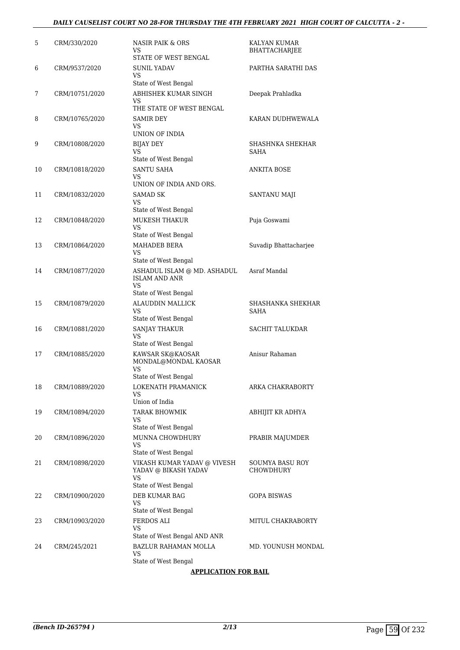## *DAILY CAUSELIST COURT NO 28-FOR THURSDAY THE 4TH FEBRUARY 2021 HIGH COURT OF CALCUTTA - 2 -*

| 5  | CRM/330/2020   | <b>NASIR PAIK &amp; ORS</b><br>VS<br>STATE OF WEST BENGAL                         | KALYAN KUMAR<br>BHATTACHARJEE       |
|----|----------------|-----------------------------------------------------------------------------------|-------------------------------------|
| 6  | CRM/9537/2020  | <b>SUNIL YADAV</b><br>VS<br>State of West Bengal                                  | PARTHA SARATHI DAS                  |
| 7  | CRM/10751/2020 | ABHISHEK KUMAR SINGH<br>VS<br>THE STATE OF WEST BENGAL                            | Deepak Prahladka                    |
| 8  | CRM/10765/2020 | SAMIR DEY<br>VS<br>UNION OF INDIA                                                 | KARAN DUDHWEWALA                    |
| 9  | CRM/10808/2020 | <b>BIJAY DEY</b><br>VS<br>State of West Bengal                                    | SHASHNKA SHEKHAR<br>SAHA            |
| 10 | CRM/10818/2020 | SANTU SAHA<br>VS<br>UNION OF INDIA AND ORS.                                       | ANKITA BOSE                         |
| 11 | CRM/10832/2020 | SAMAD SK<br>VS<br>State of West Bengal                                            | <b>SANTANU MAJI</b>                 |
| 12 | CRM/10848/2020 | MUKESH THAKUR<br>VS<br>State of West Bengal                                       | Puja Goswami                        |
| 13 | CRM/10864/2020 | <b>MAHADEB BERA</b><br>VS<br>State of West Bengal                                 | Suvadip Bhattacharjee               |
| 14 | CRM/10877/2020 | ASHADUL ISLAM @ MD. ASHADUL<br><b>ISLAM AND ANR</b><br>VS<br>State of West Bengal | Asraf Mandal                        |
| 15 | CRM/10879/2020 | <b>ALAUDDIN MALLICK</b><br>VS<br>State of West Bengal                             | SHASHANKA SHEKHAR<br>SAHA           |
| 16 | CRM/10881/2020 | <b>SANJAY THAKUR</b><br>VS<br>State of West Bengal                                | SACHIT TALUKDAR                     |
| 17 | CRM/10885/2020 | KAWSAR SK@KAOSAR<br>MONDAL@MONDAL KAOSAR<br>VS<br>State of West Bengal            | Anisur Rahaman                      |
| 18 | CRM/10889/2020 | LOKENATH PRAMANICK<br>VS<br>Union of India                                        | ARKA CHAKRABORTY                    |
| 19 | CRM/10894/2020 | TARAK BHOWMIK<br>VS<br>State of West Bengal                                       | ABHIJIT KR ADHYA                    |
| 20 | CRM/10896/2020 | MUNNA CHOWDHURY<br>VS<br>State of West Bengal                                     | PRABIR MAJUMDER                     |
| 21 | CRM/10898/2020 | VIKASH KUMAR YADAV @ VIVESH<br>YADAV @ BIKASH YADAV<br>VS<br>State of West Bengal | SOUMYA BASU ROY<br><b>CHOWDHURY</b> |
| 22 | CRM/10900/2020 | DEB KUMAR BAG<br>VS<br>State of West Bengal                                       | GOPA BISWAS                         |
| 23 | CRM/10903/2020 | FERDOS ALI<br>VS<br>State of West Bengal AND ANR                                  | MITUL CHAKRABORTY                   |
| 24 | CRM/245/2021   | BAZLUR RAHAMAN MOLLA<br>VS<br>State of West Bengal                                | MD. YOUNUSH MONDAL                  |

#### **APPLICATION FOR BAIL**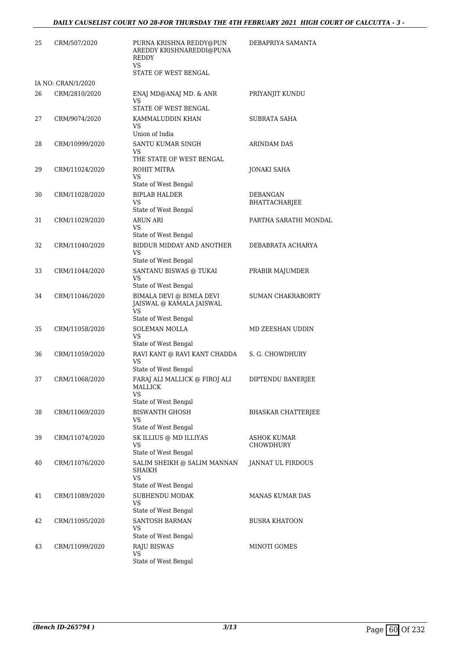| 25 | CRM/507/2020       | PURNA KRISHNA REDDY@PUN<br>AREDDY KRISHNAREDDI@PUNA<br>REDDY<br>VS<br>STATE OF WEST BENGAL | DEBAPRIYA SAMANTA         |
|----|--------------------|--------------------------------------------------------------------------------------------|---------------------------|
|    | IA NO: CRAN/1/2020 |                                                                                            |                           |
| 26 | CRM/2810/2020      | ENAJ MD@ANAJ MD. & ANR<br>VS<br>STATE OF WEST BENGAL                                       | PRIYANJIT KUNDU           |
| 27 | CRM/9074/2020      | KAMMALUDDIN KHAN<br>VS<br>Union of India                                                   | <b>SUBRATA SAHA</b>       |
| 28 | CRM/10999/2020     | SANTU KUMAR SINGH<br>VS<br>THE STATE OF WEST BENGAL                                        | ARINDAM DAS               |
| 29 | CRM/11024/2020     | ROHIT MITRA<br>VS<br>State of West Bengal                                                  | JONAKI SAHA               |
| 30 | CRM/11028/2020     | <b>BIPLAB HALDER</b><br>VS<br>State of West Bengal                                         | DEBANGAN<br>BHATTACHARJEE |
| 31 | CRM/11029/2020     | <b>ARUN ARI</b><br>VS<br>State of West Bengal                                              | PARTHA SARATHI MONDAL     |
| 32 | CRM/11040/2020     | BIDDUR MIDDAY AND ANOTHER<br>VS<br>State of West Bengal                                    | DEBABRATA ACHARYA         |
| 33 | CRM/11044/2020     | SANTANU BISWAS @ TUKAI<br>VS<br>State of West Bengal                                       | PRABIR MAJUMDER           |
| 34 | CRM/11046/2020     | BIMALA DEVI @ BIMLA DEVI<br>JAISWAL @ KAMALA JAISWAL<br>VS<br>State of West Bengal         | SUMAN CHAKRABORTY         |
| 35 | CRM/11058/2020     | <b>SOLEMAN MOLLA</b><br>VS<br>State of West Bengal                                         | MD ZEESHAN UDDIN          |
| 36 | CRM/11059/2020     | RAVI KANT @ RAVI KANT CHADDA<br>VS<br>State of West Bengal                                 | S. G. CHOWDHURY           |
| 37 | CRM/11068/2020     | FARAJ ALI MALLICK @ FIROJ ALI<br>MALLICK<br>VS<br>State of West Bengal                     | DIPTENDU BANERJEE         |
| 38 | CRM/11069/2020     | <b>BISWANTH GHOSH</b><br>VS<br>State of West Bengal                                        | BHASKAR CHATTERJEE        |
| 39 | CRM/11074/2020     | SK ILLIUS @ MD ILLIYAS<br>VS<br>State of West Bengal                                       | ASHOK KUMAR<br>CHOWDHURY  |
| 40 | CRM/11076/2020     | SALIM SHEIKH @ SALIM MANNAN<br>SHAIKH<br>VS<br>State of West Bengal                        | JANNAT UL FIRDOUS         |
| 41 | CRM/11089/2020     | SUBHENDU MODAK<br>VS<br>State of West Bengal                                               | MANAS KUMAR DAS           |
| 42 | CRM/11095/2020     | SANTOSH BARMAN<br>VS<br>State of West Bengal                                               | <b>BUSRA KHATOON</b>      |
| 43 | CRM/11099/2020     | <b>RAJU BISWAS</b><br><b>VS</b><br>State of West Bengal                                    | MINOTI GOMES              |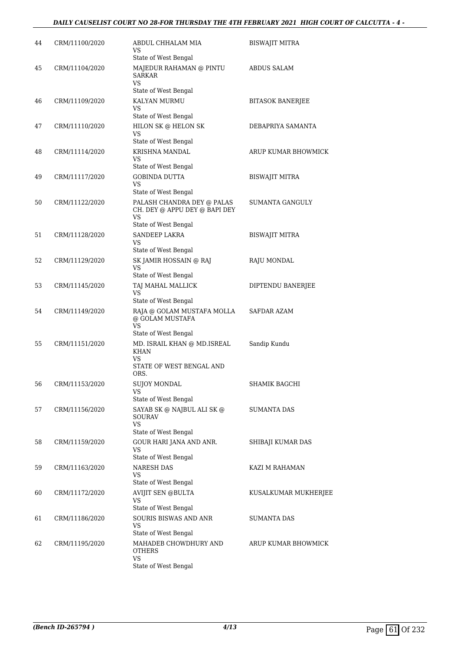## *DAILY CAUSELIST COURT NO 28-FOR THURSDAY THE 4TH FEBRUARY 2021 HIGH COURT OF CALCUTTA - 4 -*

| 44 | CRM/11100/2020 | ABDUL CHHALAM MIA<br>VS<br>State of West Bengal                                                  | <b>BISWAJIT MITRA</b>   |
|----|----------------|--------------------------------------------------------------------------------------------------|-------------------------|
| 45 | CRM/11104/2020 | MAJEDUR RAHAMAN @ PINTU<br><b>SARKAR</b><br>VS<br>State of West Bengal                           | ABDUS SALAM             |
| 46 | CRM/11109/2020 | KALYAN MURMU<br>VS<br>State of West Bengal                                                       | <b>BITASOK BANERJEE</b> |
| 47 | CRM/11110/2020 | HILON SK @ HELON SK<br>VS<br>State of West Bengal                                                | DEBAPRIYA SAMANTA       |
| 48 | CRM/11114/2020 | KRISHNA MANDAL<br>VS                                                                             | ARUP KUMAR BHOWMICK     |
| 49 | CRM/11117/2020 | State of West Bengal<br><b>GOBINDA DUTTA</b><br>VS<br>State of West Bengal                       | <b>BISWAJIT MITRA</b>   |
| 50 | CRM/11122/2020 | PALASH CHANDRA DEY @ PALAS<br>CH. DEY @ APPU DEY @ BAPI DEY<br><b>VS</b><br>State of West Bengal | SUMANTA GANGULY         |
| 51 | CRM/11128/2020 | <b>SANDEEP LAKRA</b><br>VS<br>State of West Bengal                                               | BISWAJIT MITRA          |
| 52 | CRM/11129/2020 | SK JAMIR HOSSAIN @ RAJ<br>VS<br>State of West Bengal                                             | RAJU MONDAL             |
| 53 | CRM/11145/2020 | TAJ MAHAL MALLICK<br>VS<br>State of West Bengal                                                  | DIPTENDU BANERJEE       |
| 54 | CRM/11149/2020 | RAJA @ GOLAM MUSTAFA MOLLA<br>@ GOLAM MUSTAFA<br><b>VS</b><br>State of West Bengal               | SAFDAR AZAM             |
| 55 | CRM/11151/2020 | MD. ISRAIL KHAN @ MD.ISREAL<br><b>KHAN</b><br>VS<br>STATE OF WEST BENGAL AND                     | Sandip Kundu            |
| 56 | CRM/11153/2020 | ORS.<br><b>SUJOY MONDAL</b><br>VS<br>State of West Bengal                                        | SHAMIK BAGCHI           |
| 57 | CRM/11156/2020 | SAYAB SK @ NAJBUL ALI SK @<br><b>SOURAV</b><br><b>VS</b><br>State of West Bengal                 | SUMANTA DAS             |
| 58 | CRM/11159/2020 | GOUR HARI JANA AND ANR.<br><b>VS</b><br>State of West Bengal                                     | SHIBAJI KUMAR DAS       |
| 59 | CRM/11163/2020 | NARESH DAS<br>VS<br>State of West Bengal                                                         | KAZI M RAHAMAN          |
| 60 | CRM/11172/2020 | <b>AVIJIT SEN @BULTA</b><br>VS<br>State of West Bengal                                           | KUSALKUMAR MUKHERJEE    |
| 61 | CRM/11186/2020 | <b>SOURIS BISWAS AND ANR</b><br>VS<br>State of West Bengal                                       | SUMANTA DAS             |
| 62 | CRM/11195/2020 | MAHADEB CHOWDHURY AND<br><b>OTHERS</b><br>VS<br>State of West Bengal                             | ARUP KUMAR BHOWMICK     |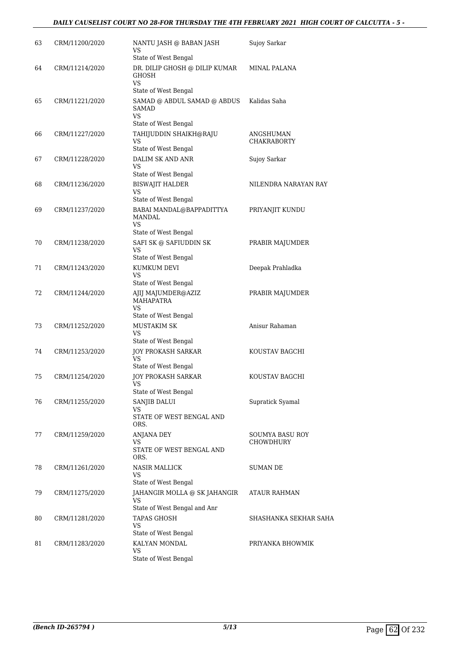## *DAILY CAUSELIST COURT NO 28-FOR THURSDAY THE 4TH FEBRUARY 2021 HIGH COURT OF CALCUTTA - 5 -*

| 63 | CRM/11200/2020 | NANTU JASH @ BABAN JASH<br>VS<br>State of West Bengal                | Sujoy Sarkar                        |
|----|----------------|----------------------------------------------------------------------|-------------------------------------|
| 64 | CRM/11214/2020 | DR. DILIP GHOSH @ DILIP KUMAR<br>GHOSH<br>VS<br>State of West Bengal | MINAL PALANA                        |
| 65 | CRM/11221/2020 | SAMAD @ ABDUL SAMAD @ ABDUS<br>SAMAD<br>VS<br>State of West Bengal   | Kalidas Saha                        |
| 66 | CRM/11227/2020 | TAHIJUDDIN SHAIKH@RAJU<br>VS<br>State of West Bengal                 | ANGSHUMAN<br><b>CHAKRABORTY</b>     |
| 67 | CRM/11228/2020 | DALIM SK AND ANR<br>VS<br>State of West Bengal                       | Sujoy Sarkar                        |
| 68 | CRM/11236/2020 | <b>BISWAJIT HALDER</b><br>VS<br>State of West Bengal                 | NILENDRA NARAYAN RAY                |
| 69 | CRM/11237/2020 | BABAI MANDAL@BAPPADITTYA<br>MANDAL<br>VS<br>State of West Bengal     | PRIYANJIT KUNDU                     |
| 70 | CRM/11238/2020 | SAFI SK @ SAFIUDDIN SK<br>VS<br>State of West Bengal                 | PRABIR MAJUMDER                     |
| 71 | CRM/11243/2020 | KUMKUM DEVI<br>VS<br>State of West Bengal                            | Deepak Prahladka                    |
| 72 | CRM/11244/2020 | AJIJ MAJUMDER@AZIZ<br><b>MAHAPATRA</b><br>VS<br>State of West Bengal | PRABIR MAJUMDER                     |
| 73 | CRM/11252/2020 | <b>MUSTAKIM SK</b><br>VS<br>State of West Bengal                     | Anisur Rahaman                      |
| 74 | CRM/11253/2020 | JOY PROKASH SARKAR<br>VS<br>State of West Bengal                     | KOUSTAV BAGCHI                      |
| 75 | CRM/11254/2020 | <b>JOY PROKASH SARKAR</b><br>VS<br>State of West Bengal              | KOUSTAV BAGCHI                      |
| 76 | CRM/11255/2020 | SANJIB DALUI<br>VS<br>STATE OF WEST BENGAL AND<br>ORS.               | Supratick Syamal                    |
| 77 | CRM/11259/2020 | <b>ANJANA DEY</b><br>VS<br>STATE OF WEST BENGAL AND<br>ORS.          | <b>SOUMYA BASU ROY</b><br>CHOWDHURY |
| 78 | CRM/11261/2020 | <b>NASIR MALLICK</b><br>VS<br>State of West Bengal                   | <b>SUMAN DE</b>                     |
| 79 | CRM/11275/2020 | JAHANGIR MOLLA @ SK JAHANGIR<br>VS<br>State of West Bengal and Anr   | ATAUR RAHMAN                        |
| 80 | CRM/11281/2020 | <b>TAPAS GHOSH</b><br>VS<br>State of West Bengal                     | SHASHANKA SEKHAR SAHA               |
| 81 | CRM/11283/2020 | KALYAN MONDAL<br>VS<br>State of West Bengal                          | PRIYANKA BHOWMIK                    |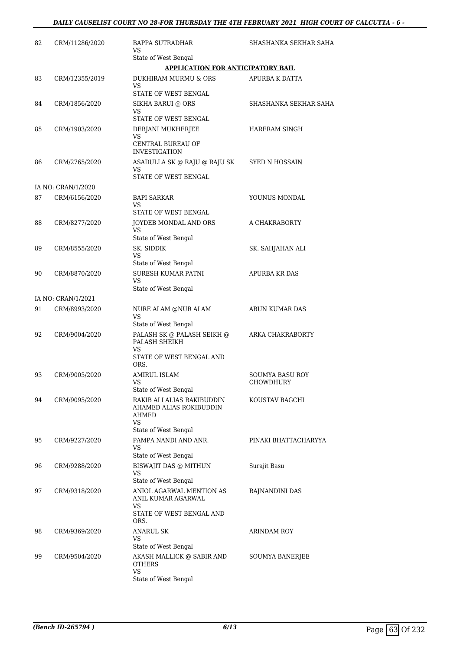## *DAILY CAUSELIST COURT NO 28-FOR THURSDAY THE 4TH FEBRUARY 2021 HIGH COURT OF CALCUTTA - 6 -*

| 82 | CRM/11286/2020     | BAPPA SUTRADHAR<br>VS                                                | SHASHANKA SEKHAR SAHA        |
|----|--------------------|----------------------------------------------------------------------|------------------------------|
|    |                    | State of West Bengal                                                 |                              |
|    |                    | <b>APPLICATION FOR ANTICIPATORY BAIL</b>                             |                              |
| 83 | CRM/12355/2019     | DUKHIRAM MURMU & ORS<br>VS<br>STATE OF WEST BENGAL                   | <b>APURBA K DATTA</b>        |
| 84 | CRM/1856/2020      | SIKHA BARUI @ ORS<br>VS                                              | SHASHANKA SEKHAR SAHA        |
|    |                    | STATE OF WEST BENGAL                                                 |                              |
| 85 | CRM/1903/2020      | DEBJANI MUKHERJEE<br>VS<br>CENTRAL BUREAU OF                         | HARERAM SINGH                |
|    |                    | <b>INVESTIGATION</b>                                                 |                              |
| 86 | CRM/2765/2020      | ASADULLA SK @ RAJU @ RAJU SK<br>VS<br>STATE OF WEST BENGAL           | <b>SYED N HOSSAIN</b>        |
|    | IA NO: CRAN/1/2020 |                                                                      |                              |
| 87 | CRM/6156/2020      | <b>BAPI SARKAR</b><br>VS                                             | YOUNUS MONDAL                |
|    |                    | STATE OF WEST BENGAL                                                 |                              |
| 88 | CRM/8277/2020      | JOYDEB MONDAL AND ORS<br>VS<br>State of West Bengal                  | A CHAKRABORTY                |
| 89 | CRM/8555/2020      | SK. SIDDIK                                                           | SK. SAHJAHAN ALI             |
|    |                    | VS<br>State of West Bengal                                           |                              |
| 90 | CRM/8870/2020      | SURESH KUMAR PATNI<br>VS<br>State of West Bengal                     | <b>APURBA KR DAS</b>         |
|    | IA NO: CRAN/1/2021 |                                                                      |                              |
| 91 | CRM/8993/2020      | NURE ALAM @NUR ALAM<br><b>VS</b>                                     | ARUN KUMAR DAS               |
| 92 | CRM/9004/2020      | State of West Bengal<br>PALASH SK @ PALASH SEIKH @                   | ARKA CHAKRABORTY             |
|    |                    | PALASH SHEIKH<br>VS                                                  |                              |
|    |                    | STATE OF WEST BENGAL AND<br>ORS.                                     |                              |
| 93 | CRM/9005/2020      | <b>AMIRUL ISLAM</b><br>State of West Bengal                          | SOUMYA BASU ROY<br>CHOWDHURY |
| 94 | CRM/9095/2020      | RAKIB ALI ALIAS RAKIBUDDIN<br>AHAMED ALIAS ROKIBUDDIN<br>AHMED<br>VS | KOUSTAV BAGCHI               |
|    |                    | State of West Bengal                                                 |                              |
| 95 | CRM/9227/2020      | PAMPA NANDI AND ANR.<br>VS                                           | PINAKI BHATTACHARYYA         |
| 96 | CRM/9288/2020      | State of West Bengal<br><b>BISWAJIT DAS @ MITHUN</b>                 | Surajit Basu                 |
|    |                    | VS<br>State of West Bengal                                           |                              |
| 97 | CRM/9318/2020      | ANIOL AGARWAL MENTION AS<br>ANIL KUMAR AGARWAL<br>VS                 | RAJNANDINI DAS               |
|    |                    | STATE OF WEST BENGAL AND<br>ORS.                                     |                              |
| 98 | CRM/9369/2020      | ANARUL SK<br>VS                                                      | ARINDAM ROY                  |
| 99 | CRM/9504/2020      | State of West Bengal<br>AKASH MALLICK @ SABIR AND                    |                              |
|    |                    | <b>OTHERS</b><br>VS                                                  | SOUMYA BANERJEE              |
|    |                    | State of West Bengal                                                 |                              |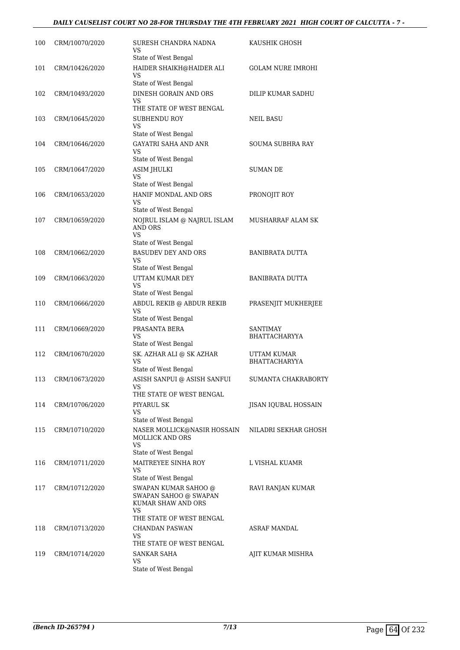## *DAILY CAUSELIST COURT NO 28-FOR THURSDAY THE 4TH FEBRUARY 2021 HIGH COURT OF CALCUTTA - 7 -*

| 100 | CRM/10070/2020 | SURESH CHANDRA NADNA<br>VS<br>State of West Bengal                                                    | KAUSHIK GHOSH                    |
|-----|----------------|-------------------------------------------------------------------------------------------------------|----------------------------------|
| 101 | CRM/10426/2020 | HAIDER SHAIKH@HAIDER ALI<br>VS<br>State of West Bengal                                                | <b>GOLAM NURE IMROHI</b>         |
| 102 | CRM/10493/2020 | DINESH GORAIN AND ORS<br>VS                                                                           | DILIP KUMAR SADHU                |
| 103 | CRM/10645/2020 | THE STATE OF WEST BENGAL<br>SUBHENDU ROY<br>VS<br>State of West Bengal                                | <b>NEIL BASU</b>                 |
| 104 | CRM/10646/2020 | <b>GAYATRI SAHA AND ANR</b><br>VS<br>State of West Bengal                                             | SOUMA SUBHRA RAY                 |
| 105 | CRM/10647/2020 | ASIM JHULKI<br>VS<br>State of West Bengal                                                             | <b>SUMAN DE</b>                  |
| 106 | CRM/10653/2020 | HANIF MONDAL AND ORS<br>VS<br>State of West Bengal                                                    | PRONOJIT ROY                     |
| 107 | CRM/10659/2020 | NOJRUL ISLAM @ NAJRUL ISLAM<br><b>AND ORS</b><br>VS                                                   | MUSHARRAF ALAM SK                |
| 108 | CRM/10662/2020 | State of West Bengal<br><b>BASUDEV DEY AND ORS</b><br>VS<br>State of West Bengal                      | <b>BANIBRATA DUTTA</b>           |
| 109 | CRM/10663/2020 | UTTAM KUMAR DEY<br>VS<br>State of West Bengal                                                         | BANIBRATA DUTTA                  |
| 110 | CRM/10666/2020 | ABDUL REKIB @ ABDUR REKIB<br>VS<br>State of West Bengal                                               | PRASENJIT MUKHERJEE              |
| 111 | CRM/10669/2020 | PRASANTA BERA<br>VS<br>State of West Bengal                                                           | <b>SANTIMAY</b><br>BHATTACHARYYA |
| 112 | CRM/10670/2020 | SK. AZHAR ALI @ SK AZHAR<br>VS<br>State of West Bengal                                                | UTTAM KUMAR<br>BHATTACHARYYA     |
| 113 | CRM/10673/2020 | ASISH SANPUI @ ASISH SANFUI<br>VS<br>THE STATE OF WEST BENGAL                                         | SUMANTA CHAKRABORTY              |
| 114 | CRM/10706/2020 | PIYARUL SK<br>VS<br>State of West Bengal                                                              | JISAN IQUBAL HOSSAIN             |
| 115 | CRM/10710/2020 | NASER MOLLICK@NASIR HOSSAIN<br>MOLLICK AND ORS<br>VS<br>State of West Bengal                          | NILADRI SEKHAR GHOSH             |
| 116 | CRM/10711/2020 | MAITREYEE SINHA ROY<br>VS<br>State of West Bengal                                                     | L VISHAL KUAMR                   |
| 117 | CRM/10712/2020 | SWAPAN KUMAR SAHOO @<br>SWAPAN SAHOO @ SWAPAN<br>KUMAR SHAW AND ORS<br>VS<br>THE STATE OF WEST BENGAL | RAVI RANJAN KUMAR                |
| 118 | CRM/10713/2020 | CHANDAN PASWAN<br>VS<br>THE STATE OF WEST BENGAL                                                      | ASRAF MANDAL                     |
| 119 | CRM/10714/2020 | SANKAR SAHA<br>VS<br>State of West Bengal                                                             | AJIT KUMAR MISHRA                |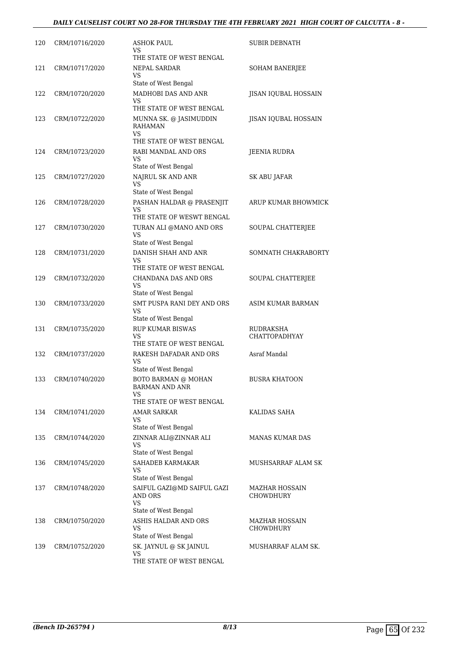## *DAILY CAUSELIST COURT NO 28-FOR THURSDAY THE 4TH FEBRUARY 2021 HIGH COURT OF CALCUTTA - 8 -*

| 120 | CRM/10716/2020 | <b>ASHOK PAUL</b><br>VS<br>THE STATE OF WEST BENGAL                                   | SUBIR DEBNATH                     |
|-----|----------------|---------------------------------------------------------------------------------------|-----------------------------------|
| 121 | CRM/10717/2020 | <b>NEPAL SARDAR</b><br>VS<br>State of West Bengal                                     | <b>SOHAM BANERJEE</b>             |
| 122 | CRM/10720/2020 | MADHOBI DAS AND ANR<br>VS                                                             | JISAN IQUBAL HOSSAIN              |
| 123 | CRM/10722/2020 | THE STATE OF WEST BENGAL<br>MUNNA SK. @ JASIMUDDIN<br>RAHAMAN<br>VS                   | JISAN IQUBAL HOSSAIN              |
| 124 | CRM/10723/2020 | THE STATE OF WEST BENGAL<br>RABI MANDAL AND ORS<br>VS<br>State of West Bengal         | JEENIA RUDRA                      |
| 125 | CRM/10727/2020 | NAJRUL SK AND ANR<br>VS<br>State of West Bengal                                       | SK ABU JAFAR                      |
| 126 | CRM/10728/2020 | PASHAN HALDAR @ PRASENJIT<br>VS                                                       | ARUP KUMAR BHOWMICK               |
| 127 | CRM/10730/2020 | THE STATE OF WESWT BENGAL<br>TURAN ALI @MANO AND ORS<br>VS                            | SOUPAL CHATTERJEE                 |
| 128 | CRM/10731/2020 | State of West Bengal<br>DANISH SHAH AND ANR<br>VS<br>THE STATE OF WEST BENGAL         | SOMNATH CHAKRABORTY               |
| 129 | CRM/10732/2020 | CHANDANA DAS AND ORS<br>VS<br>State of West Bengal                                    | SOUPAL CHATTERJEE                 |
| 130 | CRM/10733/2020 | SMT PUSPA RANI DEY AND ORS<br>VS                                                      | ASIM KUMAR BARMAN                 |
| 131 | CRM/10735/2020 | State of West Bengal<br><b>RUP KUMAR BISWAS</b><br>VS<br>THE STATE OF WEST BENGAL     | RUDRAKSHA<br><b>CHATTOPADHYAY</b> |
| 132 | CRM/10737/2020 | RAKESH DAFADAR AND ORS<br>VS<br>State of West Bengal                                  | Asraf Mandal                      |
| 133 | CRM/10740/2020 | <b>BOTO BARMAN @ MOHAN</b><br><b>BARMAN AND ANR</b><br>VS<br>THE STATE OF WEST BENGAL | <b>BUSRA KHATOON</b>              |
| 134 | CRM/10741/2020 | AMAR SARKAR<br>VS<br>State of West Bengal                                             | KALIDAS SAHA                      |
| 135 | CRM/10744/2020 | ZINNAR ALI@ZINNAR ALI<br>VS<br>State of West Bengal                                   | <b>MANAS KUMAR DAS</b>            |
| 136 | CRM/10745/2020 | <b>SAHADEB KARMAKAR</b><br>VS<br>State of West Bengal                                 | MUSHSARRAF ALAM SK                |
| 137 | CRM/10748/2020 | SAIFUL GAZI@MD SAIFUL GAZI<br><b>AND ORS</b><br>VS<br>State of West Bengal            | MAZHAR HOSSAIN<br>CHOWDHURY       |
| 138 | CRM/10750/2020 | ASHIS HALDAR AND ORS<br>VS<br>State of West Bengal                                    | MAZHAR HOSSAIN<br>CHOWDHURY       |
| 139 | CRM/10752/2020 | SK. JAYNUL @ SK JAINUL<br>VS<br>THE STATE OF WEST BENGAL                              | MUSHARRAF ALAM SK.                |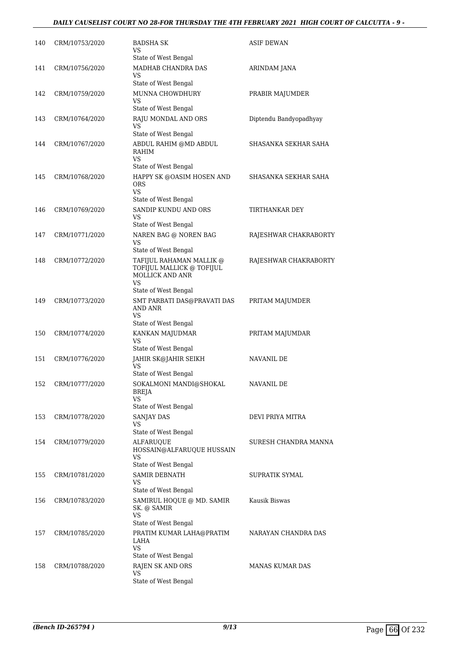## *DAILY CAUSELIST COURT NO 28-FOR THURSDAY THE 4TH FEBRUARY 2021 HIGH COURT OF CALCUTTA - 9 -*

| 140 | CRM/10753/2020 | <b>BADSHA SK</b><br>VS<br>State of West Bengal                                                                | <b>ASIF DEWAN</b>      |
|-----|----------------|---------------------------------------------------------------------------------------------------------------|------------------------|
| 141 | CRM/10756/2020 | MADHAB CHANDRA DAS<br>VS<br>State of West Bengal                                                              | ARINDAM JANA           |
| 142 | CRM/10759/2020 | MUNNA CHOWDHURY<br>VS<br>State of West Bengal                                                                 | PRABIR MAJUMDER        |
| 143 | CRM/10764/2020 | RAJU MONDAL AND ORS<br>VS                                                                                     | Diptendu Bandyopadhyay |
|     |                | State of West Bengal                                                                                          |                        |
| 144 | CRM/10767/2020 | ABDUL RAHIM @MD ABDUL<br>RAHIM<br>VS                                                                          | SHASANKA SEKHAR SAHA   |
|     |                | State of West Bengal                                                                                          |                        |
| 145 | CRM/10768/2020 | HAPPY SK @OASIM HOSEN AND<br>ORS<br>VS                                                                        | SHASANKA SEKHAR SAHA   |
|     |                | State of West Bengal<br>SANDIP KUNDU AND ORS                                                                  |                        |
| 146 | CRM/10769/2020 | VS<br>State of West Bengal                                                                                    | TIRTHANKAR DEY         |
| 147 | CRM/10771/2020 | NAREN BAG @ NOREN BAG                                                                                         | RAJESHWAR CHAKRABORTY  |
|     |                | VS                                                                                                            |                        |
|     |                | State of West Bengal                                                                                          |                        |
| 148 | CRM/10772/2020 | TAFIJUL RAHAMAN MALLIK @<br>TOFIJUL MALLICK @ TOFIJUL<br><b>MOLLICK AND ANR</b><br>VS<br>State of West Bengal | RAJESHWAR CHAKRABORTY  |
| 149 | CRM/10773/2020 | SMT PARBATI DAS@PRAVATI DAS<br><b>AND ANR</b><br>VS<br>State of West Bengal                                   | PRITAM MAJUMDER        |
| 150 | CRM/10774/2020 | KANKAN MAJUDMAR<br>VS<br>State of West Bengal                                                                 | PRITAM MAJUMDAR        |
| 151 | CRM/10776/2020 | JAHIR SK@JAHIR SEIKH                                                                                          | <b>NAVANIL DE</b>      |
|     |                | VS<br>State of West Bengal                                                                                    |                        |
| 152 | CRM/10777/2020 | SOKALMONI MANDI@SHOKAL<br><b>BREJA</b><br>VS                                                                  | NAVANIL DE             |
|     |                | State of West Bengal                                                                                          |                        |
| 153 | CRM/10778/2020 | SANJAY DAS<br>VS                                                                                              | DEVI PRIYA MITRA       |
| 154 | CRM/10779/2020 | State of West Bengal<br><b>ALFARUQUE</b>                                                                      | SURESH CHANDRA MANNA   |
|     |                | HOSSAIN@ALFARUQUE HUSSAIN<br>VS<br>State of West Bengal                                                       |                        |
| 155 | CRM/10781/2020 | SAMIR DEBNATH                                                                                                 | SUPRATIK SYMAL         |
|     |                | VS<br>State of West Bengal                                                                                    |                        |
| 156 | CRM/10783/2020 | SAMIRUL HOQUE @ MD. SAMIR<br>SK. @ SAMIR<br>VS                                                                | Kausik Biswas          |
|     |                | State of West Bengal                                                                                          |                        |
| 157 | CRM/10785/2020 | PRATIM KUMAR LAHA@PRATIM<br>LAHA<br>VS                                                                        | NARAYAN CHANDRA DAS    |
|     |                | State of West Bengal                                                                                          |                        |
| 158 | CRM/10788/2020 | RAJEN SK AND ORS<br>VS                                                                                        | <b>MANAS KUMAR DAS</b> |
|     |                | State of West Bengal                                                                                          |                        |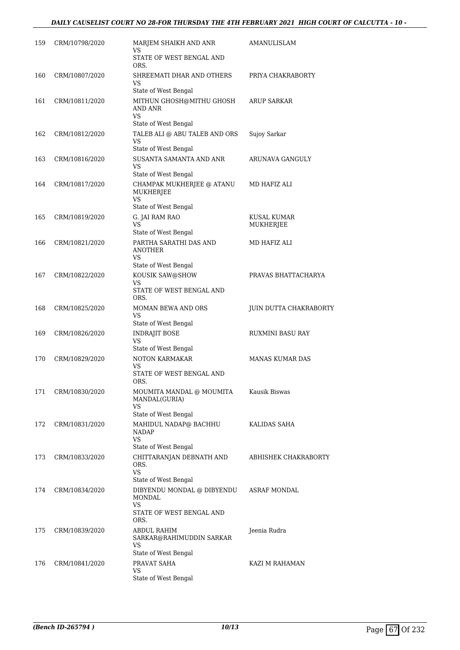| 159 | CRM/10798/2020 | MARJEM SHAIKH AND ANR<br>VS<br>STATE OF WEST BENGAL AND                     | AMANULISLAM                   |
|-----|----------------|-----------------------------------------------------------------------------|-------------------------------|
| 160 | CRM/10807/2020 | ORS.<br>SHREEMATI DHAR AND OTHERS<br>VS                                     | PRIYA CHAKRABORTY             |
|     |                | State of West Bengal                                                        |                               |
| 161 | CRM/10811/2020 | MITHUN GHOSH@MITHU GHOSH<br>AND ANR<br>VS                                   | ARUP SARKAR                   |
|     |                | State of West Bengal                                                        |                               |
| 162 | CRM/10812/2020 | TALEB ALI @ ABU TALEB AND ORS<br>VS<br>State of West Bengal                 | Sujoy Sarkar                  |
| 163 | CRM/10816/2020 | SUSANTA SAMANTA AND ANR<br>VS                                               | ARUNAVA GANGULY               |
| 164 | CRM/10817/2020 | State of West Bengal<br>CHAMPAK MUKHERJEE @ ATANU<br>MUKHERJEE<br><b>VS</b> | MD HAFIZ ALI                  |
|     |                | State of West Bengal                                                        |                               |
| 165 | CRM/10819/2020 | G. JAI RAM RAO<br><b>VS</b><br>State of West Bengal                         | KUSAL KUMAR<br>MUKHERJEE      |
| 166 | CRM/10821/2020 | PARTHA SARATHI DAS AND<br>ANOTHER<br>VS                                     | MD HAFIZ ALI                  |
| 167 | CRM/10822/2020 | State of West Bengal<br>KOUSIK SAW@SHOW                                     | PRAVAS BHATTACHARYA           |
|     |                | VS<br>STATE OF WEST BENGAL AND<br>ORS.                                      |                               |
| 168 | CRM/10825/2020 | <b>MOMAN BEWA AND ORS</b><br>VS                                             | <b>JUIN DUTTA CHAKRABORTY</b> |
|     |                | State of West Bengal                                                        |                               |
| 169 | CRM/10826/2020 | <b>INDRAJIT BOSE</b><br>VS                                                  | RUXMINI BASU RAY              |
|     |                | State of West Bengal                                                        |                               |
| 170 | CRM/10829/2020 | NOTON KARMAKAR<br>VS                                                        | <b>MANAS KUMAR DAS</b>        |
|     |                | STATE OF WEST BENGAL AND<br>ORS.                                            |                               |
| 171 | CRM/10830/2020 | MOUMITA MANDAL @ MOUMITA<br>MANDAL(GURIA)<br>VS<br>State of West Bengal     | Kausik Biswas                 |
| 172 | CRM/10831/2020 | MAHIDUL NADAP@ BACHHU                                                       | KALIDAS SAHA                  |
|     |                | NADAP<br>VS<br>State of West Bengal                                         |                               |
| 173 | CRM/10833/2020 | CHITTARANJAN DEBNATH AND<br>ORS.<br><b>VS</b>                               | ABHISHEK CHAKRABORTY          |
| 174 | CRM/10834/2020 | State of West Bengal<br>DIBYENDU MONDAL @ DIBYENDU<br>MONDAL                | <b>ASRAF MONDAL</b>           |
|     |                | VS<br>STATE OF WEST BENGAL AND<br>ORS.                                      |                               |
| 175 | CRM/10839/2020 | ABDUL RAHIM<br>SARKAR@RAHIMUDDIN SARKAR<br>VS                               | Jeenia Rudra                  |
|     |                | State of West Bengal                                                        |                               |
| 176 | CRM/10841/2020 | PRAVAT SAHA<br>VS<br>State of West Bengal                                   | KAZI M RAHAMAN                |
|     |                |                                                                             |                               |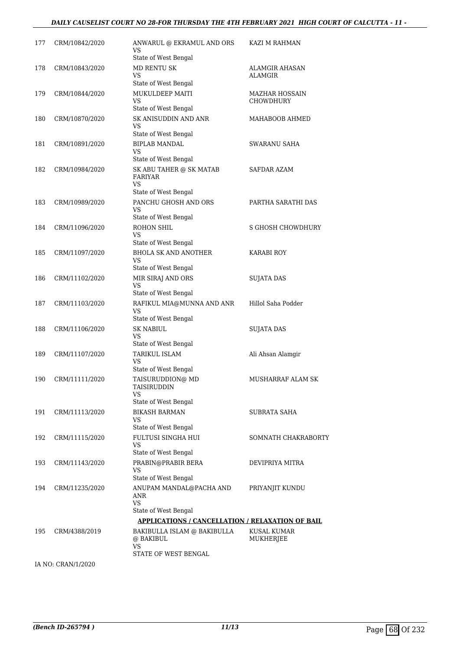#### *DAILY CAUSELIST COURT NO 28-FOR THURSDAY THE 4TH FEBRUARY 2021 HIGH COURT OF CALCUTTA - 11 -*

| 177 | CRM/10842/2020     | ANWARUL @ EKRAMUL AND ORS<br>VS<br>State of West Bengal                 | KAZI M RAHMAN                             |
|-----|--------------------|-------------------------------------------------------------------------|-------------------------------------------|
| 178 | CRM/10843/2020     | <b>MD RENTU SK</b><br>VS<br>State of West Bengal                        | ALAMGIR AHASAN<br><b>ALAMGIR</b>          |
| 179 | CRM/10844/2020     | MUKULDEEP MAITI<br>VS<br>State of West Bengal                           | <b>MAZHAR HOSSAIN</b><br><b>CHOWDHURY</b> |
| 180 | CRM/10870/2020     | SK ANISUDDIN AND ANR<br>VS<br>State of West Bengal                      | MAHABOOB AHMED                            |
| 181 | CRM/10891/2020     | <b>BIPLAB MANDAL</b><br>VS<br>State of West Bengal                      | SWARANU SAHA                              |
| 182 | CRM/10984/2020     | SK ABU TAHER @ SK MATAB<br><b>FARIYAR</b><br>VS<br>State of West Bengal | SAFDAR AZAM                               |
| 183 | CRM/10989/2020     | PANCHU GHOSH AND ORS<br>VS<br>State of West Bengal                      | PARTHA SARATHI DAS                        |
| 184 | CRM/11096/2020     | <b>ROHON SHIL</b><br>VS<br>State of West Bengal                         | S GHOSH CHOWDHURY                         |
| 185 | CRM/11097/2020     | <b>BHOLA SK AND ANOTHER</b><br>VS<br>State of West Bengal               | KARABI ROY                                |
| 186 | CRM/11102/2020     | MIR SIRAJ AND ORS<br>VS<br>State of West Bengal                         | <b>SUJATA DAS</b>                         |
| 187 | CRM/11103/2020     | RAFIKUL MIA@MUNNA AND ANR<br>VS<br>State of West Bengal                 | Hillol Saha Podder                        |
| 188 | CRM/11106/2020     | <b>SK NABIUL</b><br>VS<br>State of West Bengal                          | <b>SUJATA DAS</b>                         |
| 189 | CRM/11107/2020     | <b>TARIKUL ISLAM</b><br>VS<br>State of West Bengal                      | Ali Ahsan Alamgir                         |
| 190 | CRM/11111/2020     | TAISURUDDION@ MD<br><b>TAISIRUDDIN</b><br>VS<br>State of West Bengal    | MUSHARRAF ALAM SK                         |
| 191 | CRM/11113/2020     | <b>BIKASH BARMAN</b><br>VS<br>State of West Bengal                      | SUBRATA SAHA                              |
| 192 | CRM/11115/2020     | FULTUSI SINGHA HUI<br>VS<br>State of West Bengal                        | SOMNATH CHAKRABORTY                       |
| 193 | CRM/11143/2020     | PRABIN@PRABIR BERA<br>VS<br>State of West Bengal                        | DEVIPRIYA MITRA                           |
| 194 | CRM/11235/2020     | ANUPAM MANDAL@PACHA AND<br>ANR<br>VS<br>State of West Bengal            | PRIYANJIT KUNDU                           |
|     |                    | <b>APPLICATIONS / CANCELLATION / RELAXATION OF BAIL</b>                 |                                           |
| 195 | CRM/4388/2019      | BAKIBULLA ISLAM @ BAKIBULLA<br>@ BAKIBUL<br>VS                          | KUSAL KUMAR<br>MUKHERJEE                  |
|     |                    | STATE OF WEST BENGAL                                                    |                                           |
|     | IA NO: CRAN/1/2020 |                                                                         |                                           |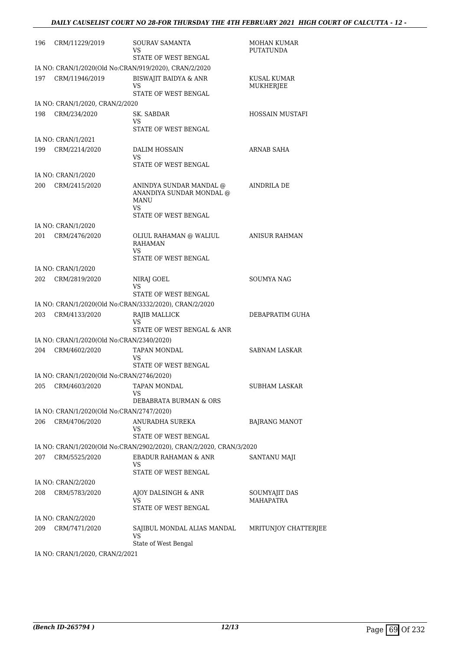| 196 | CRM/11229/2019                            | SOURAV SAMANTA<br>VS.<br>STATE OF WEST BENGAL                                             | <b>MOHAN KUMAR</b><br><b>PUTATUNDA</b> |
|-----|-------------------------------------------|-------------------------------------------------------------------------------------------|----------------------------------------|
|     |                                           | IA NO: CRAN/1/2020(Old No:CRAN/919/2020), CRAN/2/2020                                     |                                        |
| 197 | CRM/11946/2019                            | <b>BISWAJIT BAIDYA &amp; ANR</b><br>VS<br>STATE OF WEST BENGAL                            | KUSAL KUMAR<br>MUKHERJEE               |
|     | IA NO: CRAN/1/2020, CRAN/2/2020           |                                                                                           |                                        |
| 198 | CRM/234/2020                              | SK. SABDAR<br>VS<br>STATE OF WEST BENGAL                                                  | HOSSAIN MUSTAFI                        |
|     | IA NO: CRAN/1/2021                        |                                                                                           |                                        |
| 199 | CRM/2214/2020                             | DALIM HOSSAIN                                                                             | ARNAB SAHA                             |
|     |                                           | VS<br>STATE OF WEST BENGAL                                                                |                                        |
|     | IA NO: CRAN/1/2020                        |                                                                                           |                                        |
| 200 | CRM/2415/2020                             | ANINDYA SUNDAR MANDAL @<br>ANANDIYA SUNDAR MONDAL @<br>MANU<br>VS<br>STATE OF WEST BENGAL | AINDRILA DE                            |
|     | IA NO: CRAN/1/2020                        |                                                                                           |                                        |
| 201 | CRM/2476/2020                             | OLIUL RAHAMAN @ WALIUL<br><b>RAHAMAN</b><br>VS                                            | <b>ANISUR RAHMAN</b>                   |
|     |                                           | STATE OF WEST BENGAL                                                                      |                                        |
|     | IA NO: CRAN/1/2020                        |                                                                                           |                                        |
| 202 | CRM/2819/2020                             | NIRAJ GOEL<br>VS<br>STATE OF WEST BENGAL                                                  | SOUMYA NAG                             |
|     |                                           | IA NO: CRAN/1/2020(Old No:CRAN/3332/2020), CRAN/2/2020                                    |                                        |
| 203 | CRM/4133/2020                             | RAJIB MALLICK<br>VS<br>STATE OF WEST BENGAL & ANR                                         | DEBAPRATIM GUHA                        |
|     | IA NO: CRAN/1/2020(Old No:CRAN/2340/2020) |                                                                                           |                                        |
| 204 | CRM/4602/2020                             | TAPAN MONDAL<br>VS                                                                        | SABNAM LASKAR                          |
|     |                                           | STATE OF WEST BENGAL                                                                      |                                        |
|     | IA NO: CRAN/1/2020(Old No:CRAN/2746/2020) |                                                                                           |                                        |
| 205 | CRM/4603/2020                             | TAPAN MONDAL<br>VS                                                                        | <b>SUBHAM LASKAR</b>                   |
|     | IA NO: CRAN/1/2020(Old No:CRAN/2747/2020) | DEBABRATA BURMAN & ORS                                                                    |                                        |
| 206 | CRM/4706/2020                             | ANURADHA SUREKA                                                                           |                                        |
|     |                                           | VS<br>STATE OF WEST BENGAL                                                                | <b>BAJRANG MANOT</b>                   |
|     |                                           | IA NO: CRAN/1/2020(Old No:CRAN/2902/2020), CRAN/2/2020, CRAN/3/2020                       |                                        |
| 207 | CRM/5525/2020                             | <b>EBADUR RAHAMAN &amp; ANR</b><br>VS                                                     | SANTANU MAJI                           |
|     |                                           | STATE OF WEST BENGAL                                                                      |                                        |
|     | IA NO: CRAN/2/2020                        |                                                                                           |                                        |
| 208 | CRM/5783/2020                             | AJOY DALSINGH & ANR<br>VS<br>STATE OF WEST BENGAL                                         | SOUMYAJIT DAS<br>MAHAPATRA             |
|     | IA NO: CRAN/2/2020                        |                                                                                           |                                        |
| 209 | CRM/7471/2020                             | SAJIBUL MONDAL ALIAS MANDAL<br>VS                                                         | MRITUNJOY CHATTERJEE                   |
|     | IA NO: CRAN/1/2020, CRAN/2/2021           | State of West Bengal                                                                      |                                        |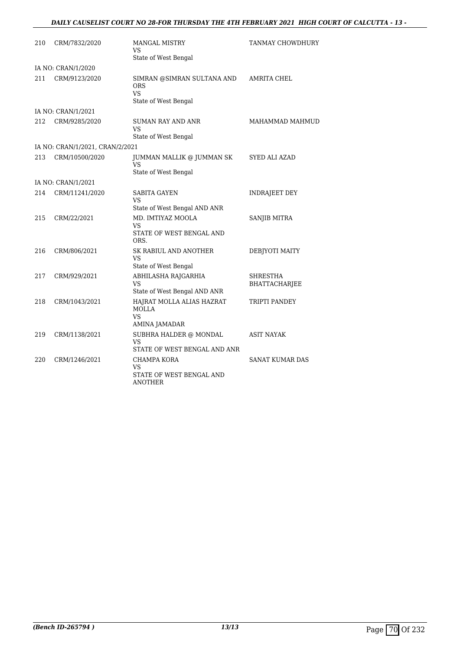## *DAILY CAUSELIST COURT NO 28-FOR THURSDAY THE 4TH FEBRUARY 2021 HIGH COURT OF CALCUTTA - 13 -*

| 210 | CRM/7832/2020                   | <b>MANGAL MISTRY</b><br>VS<br>State of West Bengal                            | TANMAY CHOWDHURY                 |
|-----|---------------------------------|-------------------------------------------------------------------------------|----------------------------------|
|     | IA NO: CRAN/1/2020              |                                                                               |                                  |
| 211 | CRM/9123/2020                   | SIMRAN @SIMRAN SULTANA AND<br><b>ORS</b><br><b>VS</b><br>State of West Bengal | <b>AMRITA CHEL</b>               |
|     | IA NO: CRAN/1/2021              |                                                                               |                                  |
| 212 | CRM/9285/2020                   | <b>SUMAN RAY AND ANR</b><br>VS                                                | MAHAMMAD MAHMUD                  |
|     | IA NO: CRAN/1/2021, CRAN/2/2021 | State of West Bengal                                                          |                                  |
| 213 | CRM/10500/2020                  | JUMMAN MALLIK @ JUMMAN SK<br>VS                                               | <b>SYED ALI AZAD</b>             |
|     | IA NO: CRAN/1/2021              | State of West Bengal                                                          |                                  |
| 214 | CRM/11241/2020                  | <b>SABITA GAYEN</b>                                                           | <b>INDRAJEET DEY</b>             |
|     |                                 | VS<br>State of West Bengal AND ANR                                            |                                  |
| 215 | CRM/22/2021                     | MD. IMTIYAZ MOOLA<br><b>VS</b><br>STATE OF WEST BENGAL AND<br>ORS.            | SANJIB MITRA                     |
| 216 | CRM/806/2021                    | SK RABIUL AND ANOTHER<br>VS<br>State of West Bengal                           | DEBJYOTI MAITY                   |
| 217 | CRM/929/2021                    | ABHILASHA RAJGARHIA<br>VS<br>State of West Bengal AND ANR                     | <b>SHRESTHA</b><br>BHATTACHARJEE |
| 218 | CRM/1043/2021                   | HAJRAT MOLLA ALIAS HAZRAT<br><b>MOLLA</b><br><b>VS</b><br>AMINA JAMADAR       | TRIPTI PANDEY                    |
| 219 | CRM/1138/2021                   | SUBHRA HALDER @ MONDAL<br>VS<br>STATE OF WEST BENGAL AND ANR                  | ASIT NAYAK                       |
| 220 | CRM/1246/2021                   | CHAMPA KORA<br>VS<br>STATE OF WEST BENGAL AND<br>ANOTHER                      | SANAT KUMAR DAS                  |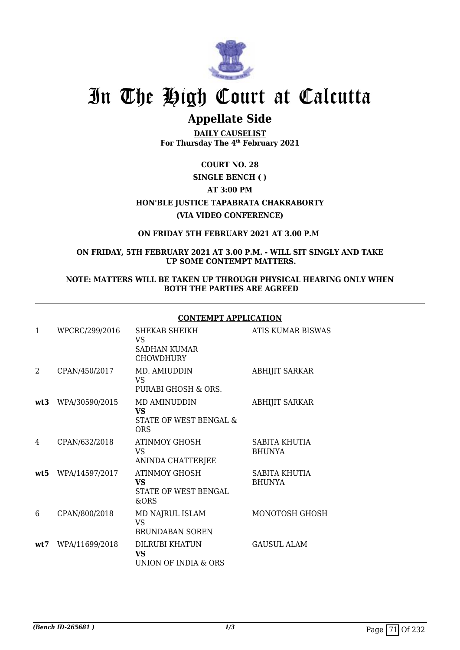

# **Appellate Side**

**DAILY CAUSELIST For Thursday The 4th February 2021**

## **COURT NO. 28**

# **SINGLE BENCH ( ) AT 3:00 PM**

**HON'BLE JUSTICE TAPABRATA CHAKRABORTY (VIA VIDEO CONFERENCE)**

### **ON FRIDAY 5TH FEBRUARY 2021 AT 3.00 P.M**

#### **ON FRIDAY, 5TH FEBRUARY 2021 AT 3.00 P.M. - WILL SIT SINGLY AND TAKE UP SOME CONTEMPT MATTERS.**

#### **NOTE: MATTERS WILL BE TAKEN UP THROUGH PHYSICAL HEARING ONLY WHEN BOTH THE PARTIES ARE AGREED**

**CONTEMPT APPLICATION**

|                |                | CONTEMPT APPLICATION                                              |                                |
|----------------|----------------|-------------------------------------------------------------------|--------------------------------|
| 1              | WPCRC/299/2016 | SHEKAB SHEIKH<br>VS<br><b>SADHAN KUMAR</b><br><b>CHOWDHURY</b>    | ATIS KUMAR BISWAS              |
| $\overline{2}$ | CPAN/450/2017  | MD. AMIUDDIN<br>VS<br>PURABI GHOSH & ORS.                         | <b>ABHIJIT SARKAR</b>          |
| wt3            | WPA/30590/2015 | MD AMINUDDIN<br><b>VS</b><br>STATE OF WEST BENGAL &<br><b>ORS</b> | <b>ABHIJIT SARKAR</b>          |
| 4              | CPAN/632/2018  | ATINMOY GHOSH<br>VS.<br>ANINDA CHATTERJEE                         | SABITA KHUTIA<br><b>BHUNYA</b> |
| wt5            | WPA/14597/2017 | <b>ATINMOY GHOSH</b><br>VS<br>STATE OF WEST BENGAL<br>&ORS        | SABITA KHUTIA<br><b>BHUNYA</b> |
| 6              | CPAN/800/2018  | MD NAJRUL ISLAM<br><b>VS</b><br><b>BRUNDABAN SOREN</b>            | MONOTOSH GHOSH                 |
| wt.7           | WPA/11699/2018 | DILRUBI KHATUN<br><b>VS</b><br>UNION OF INDIA & ORS               | <b>GAUSUL ALAM</b>             |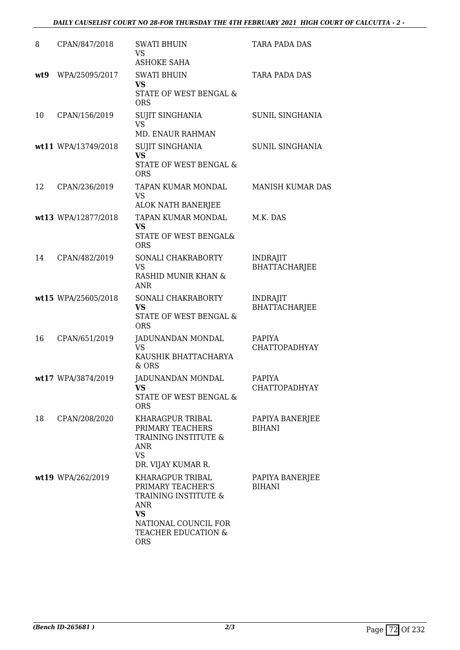### *DAILY CAUSELIST COURT NO 28-FOR THURSDAY THE 4TH FEBRUARY 2021 HIGH COURT OF CALCUTTA - 2 -*

| 8   | CPAN/847/2018       | <b>SWATI BHUIN</b><br>VS<br><b>ASHOKE SAHA</b>                                                                                                 | <b>TARA PADA DAS</b>                    |
|-----|---------------------|------------------------------------------------------------------------------------------------------------------------------------------------|-----------------------------------------|
| wt9 | WPA/25095/2017      | <b>SWATI BHUIN</b><br><b>VS</b><br><b>STATE OF WEST BENGAL &amp;</b><br><b>ORS</b>                                                             | <b>TARA PADA DAS</b>                    |
| 10  | CPAN/156/2019       | SUJIT SINGHANIA<br><b>VS</b><br>MD. ENAUR RAHMAN                                                                                               | SUNIL SINGHANIA                         |
|     | wt11 WPA/13749/2018 | SUJIT SINGHANIA<br><b>VS</b><br>STATE OF WEST BENGAL &<br><b>ORS</b>                                                                           | SUNIL SINGHANIA                         |
| 12  | CPAN/236/2019       | TAPAN KUMAR MONDAL<br><b>VS</b><br><b>ALOK NATH BANERJEE</b>                                                                                   | <b>MANISH KUMAR DAS</b>                 |
|     | wt13 WPA/12877/2018 | TAPAN KUMAR MONDAL<br>VS<br>STATE OF WEST BENGAL&<br><b>ORS</b>                                                                                | M.K. DAS                                |
| 14  | CPAN/482/2019       | SONALI CHAKRABORTY<br><b>VS</b><br>RASHID MUNIR KHAN &<br><b>ANR</b>                                                                           | <b>INDRAJIT</b><br><b>BHATTACHARJEE</b> |
|     | wt15 WPA/25605/2018 | SONALI CHAKRABORTY<br><b>VS</b><br>STATE OF WEST BENGAL &<br><b>ORS</b>                                                                        | <b>INDRAJIT</b><br><b>BHATTACHARJEE</b> |
| 16  | CPAN/651/2019       | JADUNANDAN MONDAL<br>VS<br>KAUSHIK BHATTACHARYA<br>& ORS                                                                                       | PAPIYA<br><b>CHATTOPADHYAY</b>          |
|     | wt17 WPA/3874/2019  | JADUNANDAN MONDAL<br>VS<br>STATE OF WEST BENGAL &<br><b>ORS</b>                                                                                | <b>PAPIYA</b><br><b>CHATTOPADHYAY</b>   |
| 18  | CPAN/208/2020       | KHARAGPUR TRIBAL<br>PRIMARY TEACHERS<br>TRAINING INSTITUTE &<br><b>ANR</b><br><b>VS</b><br>DR. VIJAY KUMAR R.                                  | PAPIYA BANERJEE<br><b>BIHANI</b>        |
|     | wt19 WPA/262/2019   | KHARAGPUR TRIBAL<br>PRIMARY TEACHER'S<br>TRAINING INSTITUTE &<br>ANR<br><b>VS</b><br>NATIONAL COUNCIL FOR<br>TEACHER EDUCATION &<br><b>ORS</b> | PAPIYA BANERJEE<br><b>BIHANI</b>        |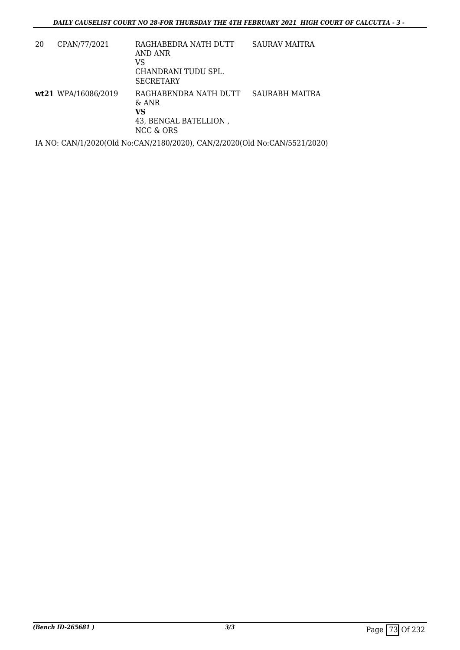| 20 | CPAN/77/2021        | RAGHABEDRA NATH DUTT<br>AND ANR<br>VS<br>CHANDRANI TUDU SPL.<br><b>SECRETARY</b> | SAURAV MAITRA         |
|----|---------------------|----------------------------------------------------------------------------------|-----------------------|
|    | wt21 WPA/16086/2019 | RAGHABENDRA NATH DUTT<br>$\&$ ANR<br>VS<br>43, BENGAL BATELLION,<br>NCC & ORS    | <b>SAURABH MAITRA</b> |

IA NO: CAN/1/2020(Old No:CAN/2180/2020), CAN/2/2020(Old No:CAN/5521/2020)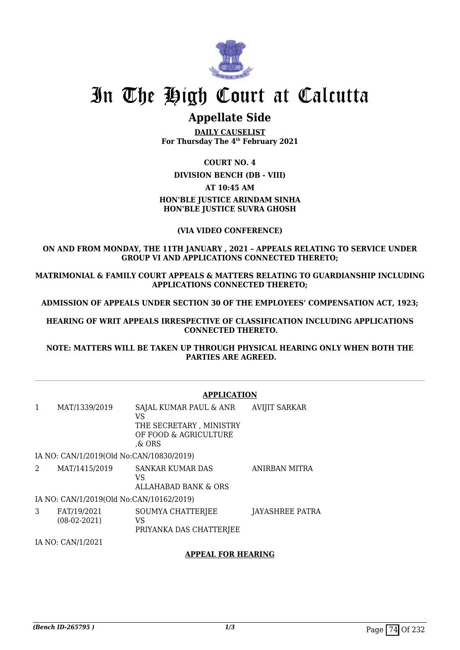

# **Appellate Side**

**DAILY CAUSELIST For Thursday The 4th February 2021**

#### **COURT NO. 4**

#### **DIVISION BENCH (DB - VIII)**

#### **AT 10:45 AM**

## **HON'BLE JUSTICE ARINDAM SINHA HON'BLE JUSTICE SUVRA GHOSH**

### **(VIA VIDEO CONFERENCE)**

#### **ON AND FROM MONDAY, THE 11TH JANUARY , 2021 – APPEALS RELATING TO SERVICE UNDER GROUP VI AND APPLICATIONS CONNECTED THERETO;**

**MATRIMONIAL & FAMILY COURT APPEALS & MATTERS RELATING TO GUARDIANSHIP INCLUDING APPLICATIONS CONNECTED THERETO;**

**ADMISSION OF APPEALS UNDER SECTION 30 OF THE EMPLOYEES' COMPENSATION ACT, 1923;**

**HEARING OF WRIT APPEALS IRRESPECTIVE OF CLASSIFICATION INCLUDING APPLICATIONS CONNECTED THERETO.**

**NOTE: MATTERS WILL BE TAKEN UP THROUGH PHYSICAL HEARING ONLY WHEN BOTH THE PARTIES ARE AGREED.**

### **APPLICATION**

1 MAT/1339/2019 SAJAL KUMAR PAUL & ANR VS THE SECRETARY , MINISTRY OF FOOD & AGRICULTURE ,& ORS AVIJIT SARKAR IA NO: CAN/1/2019(Old No:CAN/10830/2019) 2 MAT/1415/2019 SANKAR KUMAR DAS VS ANIRBAN MITRA

ALLAHABAD BANK & ORS IA NO: CAN/1/2019(Old No:CAN/10162/2019)

3 FAT/19/2021 (08-02-2021) SOUMYA CHATTERJEE VS PRIYANKA DAS CHATTERJEE JAYASHREE PATRA

IA NO: CAN/1/2021

### **APPEAL FOR HEARING**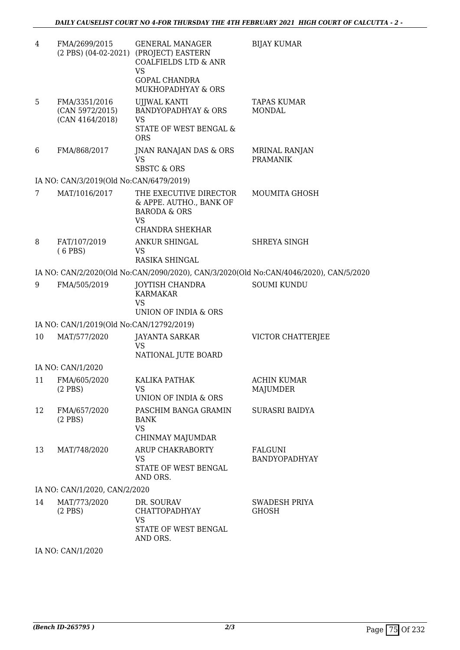| 4  | FMA/2699/2015                                       | <b>GENERAL MANAGER</b><br>(2 PBS) (04-02-2021) (PROJECT) EASTERN<br><b>COALFIELDS LTD &amp; ANR</b><br><b>VS</b><br><b>GOPAL CHANDRA</b><br>MUKHOPADHYAY & ORS | <b>BIJAY KUMAR</b>                                                                    |
|----|-----------------------------------------------------|----------------------------------------------------------------------------------------------------------------------------------------------------------------|---------------------------------------------------------------------------------------|
| 5  | FMA/3351/2016<br>(CAN 5972/2015)<br>(CAN 4164/2018) | UJJWAL KANTI<br><b>BANDYOPADHYAY &amp; ORS</b><br><b>VS</b>                                                                                                    | <b>TAPAS KUMAR</b><br><b>MONDAL</b>                                                   |
|    |                                                     | STATE OF WEST BENGAL &<br><b>ORS</b>                                                                                                                           |                                                                                       |
| 6  | FMA/868/2017                                        | JNAN RANAJAN DAS & ORS<br><b>VS</b><br><b>SBSTC &amp; ORS</b>                                                                                                  | MRINAL RANJAN<br><b>PRAMANIK</b>                                                      |
|    | IA NO: CAN/3/2019(Old No:CAN/6479/2019)             |                                                                                                                                                                |                                                                                       |
| 7  | MAT/1016/2017                                       | THE EXECUTIVE DIRECTOR<br>& APPE. AUTHO., BANK OF<br><b>BARODA &amp; ORS</b><br>VS<br>CHANDRA SHEKHAR                                                          | MOUMITA GHOSH                                                                         |
| 8  | FAT/107/2019<br>$(6$ PBS)                           | <b>ANKUR SHINGAL</b><br><b>VS</b><br>RASIKA SHINGAL                                                                                                            | SHREYA SINGH                                                                          |
|    |                                                     |                                                                                                                                                                | IA NO: CAN/2/2020(Old No:CAN/2090/2020), CAN/3/2020(Old No:CAN/4046/2020), CAN/5/2020 |
| 9  | FMA/505/2019                                        | JOYTISH CHANDRA<br><b>KARMAKAR</b><br><b>VS</b><br>UNION OF INDIA & ORS                                                                                        | <b>SOUMI KUNDU</b>                                                                    |
|    | IA NO: CAN/1/2019(Old No:CAN/12792/2019)            |                                                                                                                                                                |                                                                                       |
| 10 | MAT/577/2020                                        | <b>JAYANTA SARKAR</b><br><b>VS</b><br>NATIONAL JUTE BOARD                                                                                                      | VICTOR CHATTERJEE                                                                     |
|    | IA NO: CAN/1/2020                                   |                                                                                                                                                                |                                                                                       |
| 11 | FMA/605/2020<br>$(2$ PBS)                           | KALIKA PATHAK<br>VS<br>UNION OF INDIA & ORS                                                                                                                    | ACHIN KUMAR<br>MAJUMDER                                                               |
| 12 | FMA/657/2020<br>$(2$ PBS)                           | PASCHIM BANGA GRAMIN<br>BANK<br><b>VS</b><br>CHINMAY MAJUMDAR                                                                                                  | SURASRI BAIDYA                                                                        |
| 13 | MAT/748/2020                                        | ARUP CHAKRABORTY<br>VS.<br>STATE OF WEST BENGAL<br>AND ORS.                                                                                                    | FALGUNI<br>BANDYOPADHYAY                                                              |
|    | IA NO: CAN/1/2020, CAN/2/2020                       |                                                                                                                                                                |                                                                                       |
| 14 | MAT/773/2020<br>$(2$ PBS)                           | DR. SOURAV<br><b>CHATTOPADHYAY</b><br>VS                                                                                                                       | <b>SWADESH PRIYA</b><br><b>GHOSH</b>                                                  |
|    |                                                     | STATE OF WEST BENGAL<br>AND ORS.                                                                                                                               |                                                                                       |

IA NO: CAN/1/2020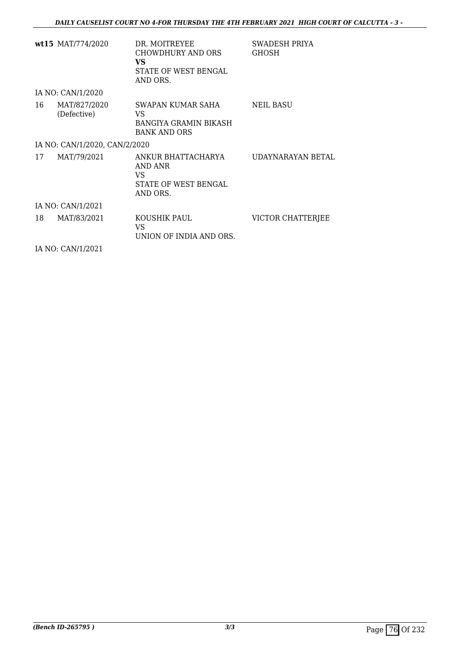|    | wt15 $\text{MAT}/774/2020$    | DR. MOITREYEE<br>CHOWDHURY AND ORS<br>VS<br>STATE OF WEST BENGAL<br>AND ORS.   | SWADESH PRIYA<br><b>GHOSH</b> |
|----|-------------------------------|--------------------------------------------------------------------------------|-------------------------------|
|    | IA NO: CAN/1/2020             |                                                                                |                               |
| 16 | MAT/827/2020<br>(Defective)   | SWAPAN KUMAR SAHA<br>VS<br><b>BANGIYA GRAMIN BIKASH</b><br><b>BANK AND ORS</b> | NEIL BASU                     |
|    | IA NO: CAN/1/2020, CAN/2/2020 |                                                                                |                               |
| 17 | MAT/79/2021                   | ANKUR BHATTACHARYA<br>AND ANR<br>VS<br>STATE OF WEST BENGAL<br>AND ORS.        | UDAYNARAYAN BETAL             |
|    | IA NO: CAN/1/2021             |                                                                                |                               |
| 18 | MAT/83/2021                   | KOUSHIK PAUL<br>VS<br>UNION OF INDIA AND ORS.                                  | VICTOR CHATTERJEE             |
|    | IA NO: CAN/1/2021             |                                                                                |                               |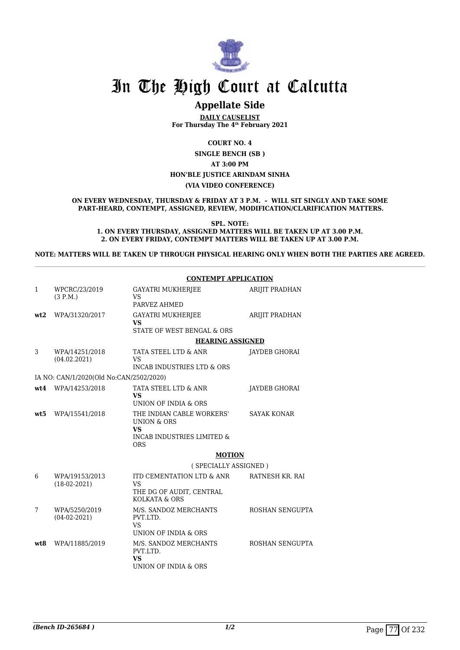

# **Appellate Side**

**DAILY CAUSELIST For Thursday The 4th February 2021**

**COURT NO. 4**

**SINGLE BENCH (SB ) AT 3:00 PM HON'BLE JUSTICE ARINDAM SINHA (VIA VIDEO CONFERENCE)**

**ON EVERY WEDNESDAY, THURSDAY & FRIDAY AT 3 P.M. – WILL SIT SINGLY AND TAKE SOME PART-HEARD, CONTEMPT, ASSIGNED, REVIEW, MODIFICATION/CLARIFICATION MATTERS.**

**SPL. NOTE:**

**1. ON EVERY THURSDAY, ASSIGNED MATTERS WILL BE TAKEN UP AT 3.00 P.M. 2. ON EVERY FRIDAY, CONTEMPT MATTERS WILL BE TAKEN UP AT 3.00 P.M.**

**NOTE: MATTERS WILL BE TAKEN UP THROUGH PHYSICAL HEARING ONLY WHEN BOTH THE PARTIES ARE AGREED.**

|      |                                         | <b>CONTEMPT APPLICATION</b>                                                                                             |                       |  |
|------|-----------------------------------------|-------------------------------------------------------------------------------------------------------------------------|-----------------------|--|
| 1    | WPCRC/23/2019<br>(3 P.M.)               | GAYATRI MUKHERJEE<br><b>VS</b><br>PARVEZ AHMED                                                                          | ARIJIT PRADHAN        |  |
| wt2  | WPA/31320/2017                          | <b>GAYATRI MUKHERJEE</b><br><b>VS</b><br>STATE OF WEST BENGAL & ORS                                                     | <b>ARIJIT PRADHAN</b> |  |
|      |                                         | <b>HEARING ASSIGNED</b>                                                                                                 |                       |  |
| 3    | WPA/14251/2018<br>(04.02.2021)          | TATA STEEL LTD & ANR<br><b>VS</b><br>INCAB INDUSTRIES LTD & ORS                                                         | JAYDEB GHORAI         |  |
|      | IA NO: CAN/1/2020(Old No:CAN/2502/2020) |                                                                                                                         |                       |  |
|      | wt4 WPA/14253/2018                      | TATA STEEL LTD & ANR<br><b>VS</b><br>UNION OF INDIA & ORS                                                               | JAYDEB GHORAI         |  |
| wt:5 | WPA/15541/2018                          | THE INDIAN CABLE WORKERS'<br><b>UNION &amp; ORS</b><br><b>VS</b><br><b>INCAB INDUSTRIES LIMITED &amp;</b><br><b>ORS</b> | <b>SAYAK KONAR</b>    |  |
|      |                                         | <b>MOTION</b>                                                                                                           |                       |  |
|      |                                         | (SPECIALLY ASSIGNED)                                                                                                    |                       |  |
| 6    | WPA/19153/2013<br>$(18-02-2021)$        | ITD CEMENTATION LTD & ANR<br><b>VS</b><br>THE DG OF AUDIT, CENTRAL<br>KOLKATA & ORS                                     | RATNESH KR. RAI       |  |
| 7    | WPA/5250/2019<br>$(04-02-2021)$         | M/S. SANDOZ MERCHANTS<br>PVT.LTD.<br><b>VS</b><br>UNION OF INDIA & ORS                                                  | ROSHAN SENGUPTA       |  |
| wt.8 | WPA/11885/2019                          | M/S. SANDOZ MERCHANTS<br>PVT.LTD.<br><b>VS</b><br>UNION OF INDIA & ORS                                                  | ROSHAN SENGUPTA       |  |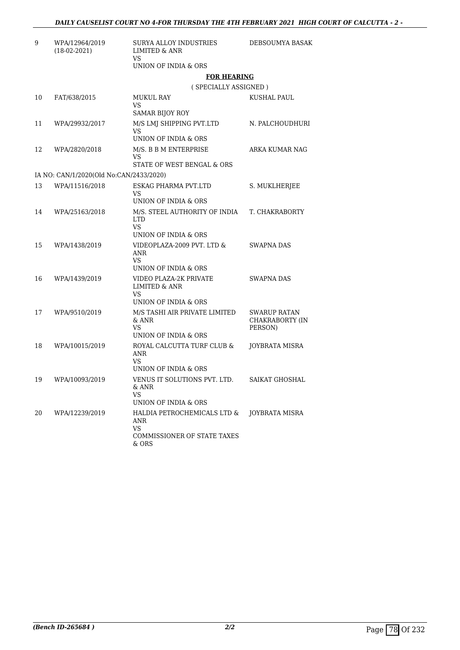| 9  | WPA/12964/2019<br>$(18-02-2021)$        | SURYA ALLOY INDUSTRIES<br><b>LIMITED &amp; ANR</b><br>VS                                | DEBSOUMYA BASAK                                   |
|----|-----------------------------------------|-----------------------------------------------------------------------------------------|---------------------------------------------------|
|    |                                         | UNION OF INDIA & ORS                                                                    |                                                   |
|    |                                         | <b>FOR HEARING</b>                                                                      |                                                   |
|    |                                         | (SPECIALLY ASSIGNED)                                                                    |                                                   |
| 10 | FAT/638/2015                            | MUKUL RAY<br>VS                                                                         | KUSHAL PAUL                                       |
| 11 |                                         | SAMAR BIJOY ROY                                                                         |                                                   |
|    | WPA/29932/2017                          | M/S LMJ SHIPPING PVT.LTD<br>VS<br>UNION OF INDIA & ORS                                  | N. PALCHOUDHURI                                   |
| 12 | WPA/2820/2018                           | M/S. B B M ENTERPRISE<br>VS                                                             | ARKA KUMAR NAG                                    |
|    |                                         | STATE OF WEST BENGAL & ORS                                                              |                                                   |
|    | IA NO: CAN/1/2020(Old No:CAN/2433/2020) |                                                                                         |                                                   |
| 13 | WPA/11516/2018                          | ESKAG PHARMA PVT.LTD<br>VS<br>UNION OF INDIA & ORS                                      | S. MUKLHERJEE                                     |
| 14 | WPA/25163/2018                          | M/S. STEEL AUTHORITY OF INDIA<br><b>LTD</b><br>VS.<br>UNION OF INDIA & ORS              | T. CHAKRABORTY                                    |
| 15 | WPA/1438/2019                           | VIDEOPLAZA-2009 PVT. LTD &<br>ANR<br>VS.<br>UNION OF INDIA & ORS                        | SWAPNA DAS                                        |
| 16 | WPA/1439/2019                           | VIDEO PLAZA-2K PRIVATE<br><b>LIMITED &amp; ANR</b><br>VS<br>UNION OF INDIA & ORS        | <b>SWAPNA DAS</b>                                 |
| 17 | WPA/9510/2019                           | M/S TASHI AIR PRIVATE LIMITED<br>& ANR<br>VS<br>UNION OF INDIA & ORS                    | <b>SWARUP RATAN</b><br>CHAKRABORTY (IN<br>PERSON) |
| 18 | WPA/10015/2019                          | ROYAL CALCUTTA TURF CLUB &<br>ANR<br>VS<br>UNION OF INDIA & ORS                         | JOYBRATA MISRA                                    |
| 19 | WPA/10093/2019                          | VENUS IT SOLUTIONS PVT. LTD.<br>& ANR<br>VS<br>UNION OF INDIA & ORS                     | SAIKAT GHOSHAL                                    |
| 20 | WPA/12239/2019                          | HALDIA PETROCHEMICALS LTD &<br>ANR<br><b>VS</b><br>COMMISSIONER OF STATE TAXES<br>& ORS | <b>JOYBRATA MISRA</b>                             |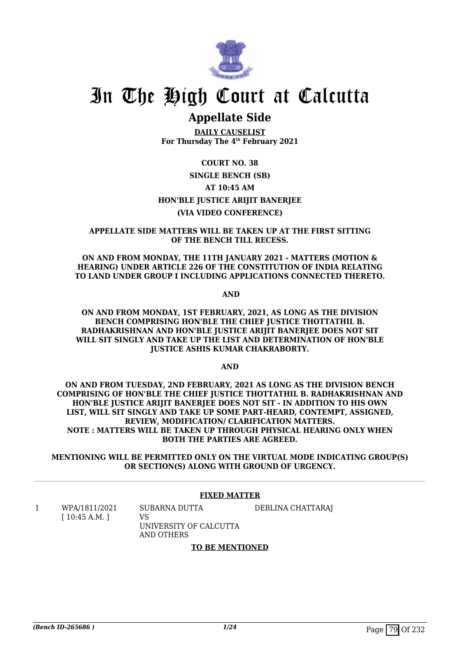

# **Appellate Side**

**DAILY CAUSELIST For Thursday The 4th February 2021**

### **COURT NO. 38**

# **SINGLE BENCH (SB) AT 10:45 AM HON'BLE JUSTICE ARIJIT BANERJEE (VIA VIDEO CONFERENCE)**

#### **APPELLATE SIDE MATTERS WILL BE TAKEN UP AT THE FIRST SITTING OF THE BENCH TILL RECESS.**

**ON AND FROM MONDAY, THE 11TH JANUARY 2021 - MATTERS (MOTION & HEARING) UNDER ARTICLE 226 OF THE CONSTITUTION OF INDIA RELATING TO LAND UNDER GROUP I INCLUDING APPLICATIONS CONNECTED THERETO.**

 **AND**

**ON AND FROM MONDAY, 1ST FEBRUARY, 2021, AS LONG AS THE DIVISION BENCH COMPRISING HON'BLE THE CHIEF JUSTICE THOTTATHIL B. RADHAKRISHNAN AND HON'BLE JUSTICE ARIJIT BANERJEE DOES NOT SIT WILL SIT SINGLY AND TAKE UP THE LIST AND DETERMINATION OF HON'BLE JUSTICE ASHIS KUMAR CHAKRABORTY.**

**AND**

**ON AND FROM TUESDAY, 2ND FEBRUARY, 2021 AS LONG AS THE DIVISION BENCH COMPRISING OF HON'BLE THE CHIEF JUSTICE THOTTATHIL B. RADHAKRISHNAN AND HON'BLE JUSTICE ARIJIT BANERJEE DOES NOT SIT - IN ADDITION TO HIS OWN LIST, WILL SIT SINGLY AND TAKE UP SOME PART-HEARD, CONTEMPT, ASSIGNED, REVIEW, MODIFICATION/ CLARIFICATION MATTERS. NOTE : MATTERS WILL BE TAKEN UP THROUGH PHYSICAL HEARING ONLY WHEN BOTH THE PARTIES ARE AGREED.**

**MENTIONING WILL BE PERMITTED ONLY ON THE VIRTUAL MODE INDICATING GROUP(S) OR SECTION(S) ALONG WITH GROUND OF URGENCY.**

### **FIXED MATTER**

1 WPA/1811/2021 [ 10:45 A.M. ]

SUBARNA DUTTA VS

DEBLINA CHATTARAJ

UNIVERSITY OF CALCUTTA AND OTHERS

#### **TO BE MENTIONED**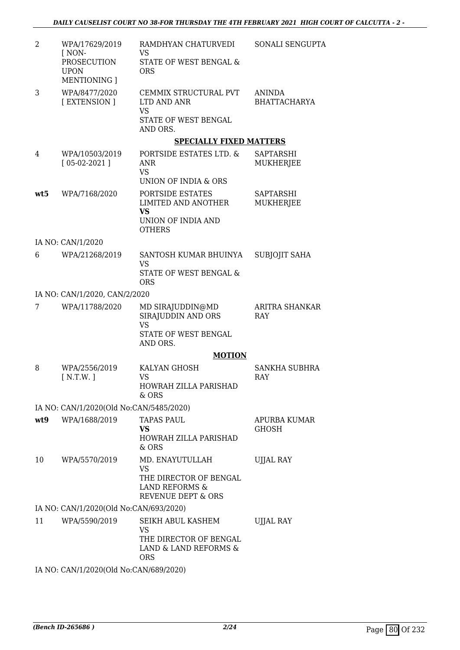| $\overline{2}$ | WPA/17629/2019<br>[ NON-<br>PROSECUTION<br><b>UPON</b><br><b>MENTIONING</b> 1 | RAMDHYAN CHATURVEDI<br>VS<br>STATE OF WEST BENGAL &<br><b>ORS</b>                                         | SONALI SENGUPTA                      |
|----------------|-------------------------------------------------------------------------------|-----------------------------------------------------------------------------------------------------------|--------------------------------------|
| 3              | WPA/8477/2020<br>[EXTENSION]                                                  | CEMMIX STRUCTURAL PVT<br>LTD AND ANR<br><b>VS</b><br>STATE OF WEST BENGAL<br>AND ORS.                     | <b>ANINDA</b><br><b>BHATTACHARYA</b> |
|                |                                                                               | <b>SPECIALLY FIXED MATTERS</b>                                                                            |                                      |
| 4              | WPA/10503/2019<br>$[05-02-2021]$                                              | PORTSIDE ESTATES LTD. &<br>ANR<br><b>VS</b><br>UNION OF INDIA & ORS                                       | SAPTARSHI<br>MUKHERJEE               |
| wt5            | WPA/7168/2020                                                                 | PORTSIDE ESTATES<br>LIMITED AND ANOTHER<br><b>VS</b><br>UNION OF INDIA AND<br><b>OTHERS</b>               | <b>SAPTARSHI</b><br><b>MUKHERJEE</b> |
|                | IA NO: CAN/1/2020                                                             |                                                                                                           |                                      |
| 6              | WPA/21268/2019                                                                | SANTOSH KUMAR BHUINYA<br>VS<br>STATE OF WEST BENGAL &<br><b>ORS</b>                                       | <b>SUBJOJIT SAHA</b>                 |
|                | IA NO: CAN/1/2020, CAN/2/2020                                                 |                                                                                                           |                                      |
| 7              | WPA/11788/2020                                                                | MD SIRAJUDDIN@MD<br>SIRAJUDDIN AND ORS<br>VS<br>STATE OF WEST BENGAL<br>AND ORS.                          | <b>ARITRA SHANKAR</b><br>RAY         |
|                |                                                                               | <b>MOTION</b>                                                                                             |                                      |
| 8              | WPA/2556/2019<br>[N.T.W.]                                                     | KALYAN GHOSH<br>VS<br>HOWRAH ZILLA PARISHAD<br>& ORS                                                      | <b>SANKHA SUBHRA</b><br>RAY          |
|                | IA NO: CAN/1/2020(Old No:CAN/5485/2020)                                       |                                                                                                           |                                      |
| wt9            | WPA/1688/2019                                                                 | <b>TAPAS PAUL</b><br>VS<br>HOWRAH ZILLA PARISHAD<br>& ORS                                                 | APURBA KUMAR<br>GHOSH                |
| 10             | WPA/5570/2019                                                                 | MD. ENAYUTULLAH<br><b>VS</b><br>THE DIRECTOR OF BENGAL<br>LAND REFORMS &<br><b>REVENUE DEPT &amp; ORS</b> | <b>UJJAL RAY</b>                     |
|                | IA NO: CAN/1/2020(Old No:CAN/693/2020)                                        |                                                                                                           |                                      |
| 11             | WPA/5590/2019<br>IA NO: CAN/1/2020(Old No:CAN/689/2020)                       | SEIKH ABUL KASHEM<br>VS<br>THE DIRECTOR OF BENGAL<br>LAND & LAND REFORMS &<br><b>ORS</b>                  | UJJAL RAY                            |
|                |                                                                               |                                                                                                           |                                      |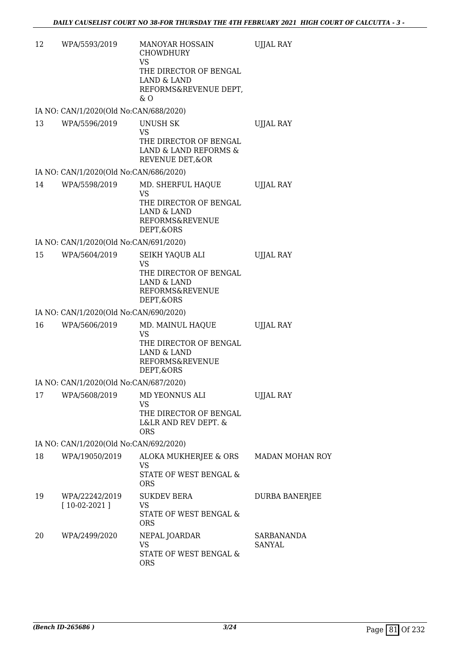| 12 | WPA/5593/2019                          | <b>MANOYAR HOSSAIN</b><br><b>CHOWDHURY</b><br><b>VS</b><br>THE DIRECTOR OF BENGAL<br><b>LAND &amp; LAND</b><br>REFORMS&REVENUE DEPT,<br>$\&$ O | <b>UJJAL RAY</b>            |
|----|----------------------------------------|------------------------------------------------------------------------------------------------------------------------------------------------|-----------------------------|
|    | IA NO: CAN/1/2020(Old No:CAN/688/2020) |                                                                                                                                                |                             |
| 13 | WPA/5596/2019                          | <b>UNUSH SK</b><br><b>VS</b><br>THE DIRECTOR OF BENGAL<br>LAND & LAND REFORMS &<br>REVENUE DET, & OR                                           | <b>UJJAL RAY</b>            |
|    | IA NO: CAN/1/2020(Old No:CAN/686/2020) |                                                                                                                                                |                             |
| 14 | WPA/5598/2019                          | MD. SHERFUL HAQUE<br>VS<br>THE DIRECTOR OF BENGAL<br>LAND & LAND<br>REFORMS&REVENUE<br>DEPT,&ORS                                               | <b>UJJAL RAY</b>            |
|    | IA NO: CAN/1/2020(Old No:CAN/691/2020) |                                                                                                                                                |                             |
| 15 | WPA/5604/2019                          | SEIKH YAQUB ALI<br><b>VS</b><br>THE DIRECTOR OF BENGAL<br>LAND & LAND<br>REFORMS&REVENUE<br>DEPT,&ORS                                          | <b>UJJAL RAY</b>            |
|    | IA NO: CAN/1/2020(Old No:CAN/690/2020) |                                                                                                                                                |                             |
| 16 | WPA/5606/2019                          | MD. MAINUL HAQUE<br><b>VS</b><br>THE DIRECTOR OF BENGAL<br><b>LAND &amp; LAND</b><br><b>REFORMS&amp;REVENUE</b><br>DEPT, & ORS                 | <b>UJJAL RAY</b>            |
|    | IA NO: CAN/1/2020(Old No:CAN/687/2020) |                                                                                                                                                |                             |
| 17 | WPA/5608/2019                          | MD YEONNUS ALI<br>VS<br>THE DIRECTOR OF BENGAL<br>L&LR AND REV DEPT. &<br><b>ORS</b>                                                           | <b>UJJAL RAY</b>            |
|    | IA NO: CAN/1/2020(Old No:CAN/692/2020) |                                                                                                                                                |                             |
| 18 | WPA/19050/2019                         | ALOKA MUKHERJEE & ORS<br>VS<br>STATE OF WEST BENGAL &<br><b>ORS</b>                                                                            | MADAN MOHAN ROY             |
| 19 | WPA/22242/2019<br>$[10-02-2021]$       | <b>SUKDEV BERA</b><br>VS<br>STATE OF WEST BENGAL &<br><b>ORS</b>                                                                               | DURBA BANERJEE              |
| 20 | WPA/2499/2020                          | NEPAL JOARDAR<br><b>VS</b><br>STATE OF WEST BENGAL &<br><b>ORS</b>                                                                             | SARBANANDA<br><b>SANYAL</b> |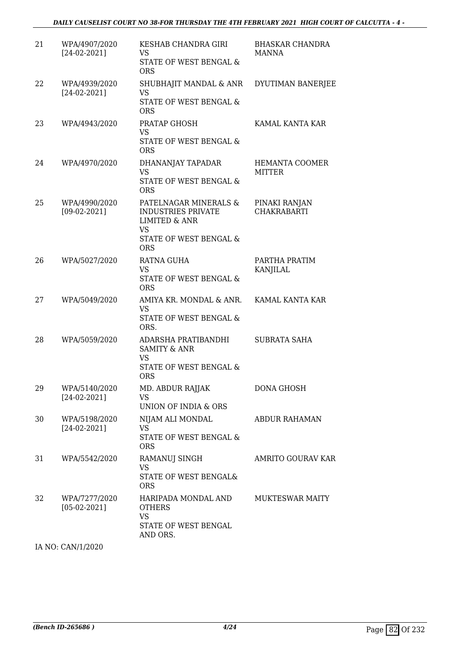| 21 | WPA/4907/2020<br>$[24-02-2021]$ | KESHAB CHANDRA GIRI<br>VS.<br>STATE OF WEST BENGAL &<br><b>ORS</b>                                                           | <b>BHASKAR CHANDRA</b><br><b>MANNA</b> |
|----|---------------------------------|------------------------------------------------------------------------------------------------------------------------------|----------------------------------------|
| 22 | WPA/4939/2020<br>$[24-02-2021]$ | SHUBHAJIT MANDAL & ANR<br>VS<br>STATE OF WEST BENGAL &<br><b>ORS</b>                                                         | DYUTIMAN BANERJEE                      |
| 23 | WPA/4943/2020                   | PRATAP GHOSH<br><b>VS</b><br>STATE OF WEST BENGAL &<br><b>ORS</b>                                                            | KAMAL KANTA KAR                        |
| 24 | WPA/4970/2020                   | DHANANJAY TAPADAR<br><b>VS</b><br>STATE OF WEST BENGAL &<br><b>ORS</b>                                                       | HEMANTA COOMER<br>MITTER               |
| 25 | WPA/4990/2020<br>$[09-02-2021]$ | PATELNAGAR MINERALS &<br><b>INDUSTRIES PRIVATE</b><br><b>LIMITED &amp; ANR</b><br>VS<br>STATE OF WEST BENGAL &<br><b>ORS</b> | PINAKI RANJAN<br><b>CHAKRABARTI</b>    |
| 26 | WPA/5027/2020                   | <b>RATNA GUHA</b><br><b>VS</b><br>STATE OF WEST BENGAL &<br><b>ORS</b>                                                       | PARTHA PRATIM<br>KANJILAL              |
| 27 | WPA/5049/2020                   | AMIYA KR. MONDAL & ANR.<br><b>VS</b><br>STATE OF WEST BENGAL &<br>ORS.                                                       | KAMAL KANTA KAR                        |
| 28 | WPA/5059/2020                   | ADARSHA PRATIBANDHI<br><b>SAMITY &amp; ANR</b><br><b>VS</b><br>STATE OF WEST BENGAL &<br><b>ORS</b>                          | <b>SUBRATA SAHA</b>                    |
| 29 | WPA/5140/2020<br>$[24-02-2021]$ | MD. ABDUR RAJJAK<br>VS<br>UNION OF INDIA & ORS                                                                               | <b>DONA GHOSH</b>                      |
| 30 | WPA/5198/2020<br>$[24-02-2021]$ | NIJAM ALI MONDAL<br><b>VS</b><br>STATE OF WEST BENGAL &<br><b>ORS</b>                                                        | <b>ABDUR RAHAMAN</b>                   |
| 31 | WPA/5542/2020                   | <b>RAMANUJ SINGH</b><br><b>VS</b><br><b>STATE OF WEST BENGAL&amp;</b><br><b>ORS</b>                                          | <b>AMRITO GOURAV KAR</b>               |
| 32 | WPA/7277/2020<br>$[05-02-2021]$ | HARIPADA MONDAL AND<br><b>OTHERS</b><br><b>VS</b><br>STATE OF WEST BENGAL<br>AND ORS.                                        | <b>MUKTESWAR MAITY</b>                 |

IA NO: CAN/1/2020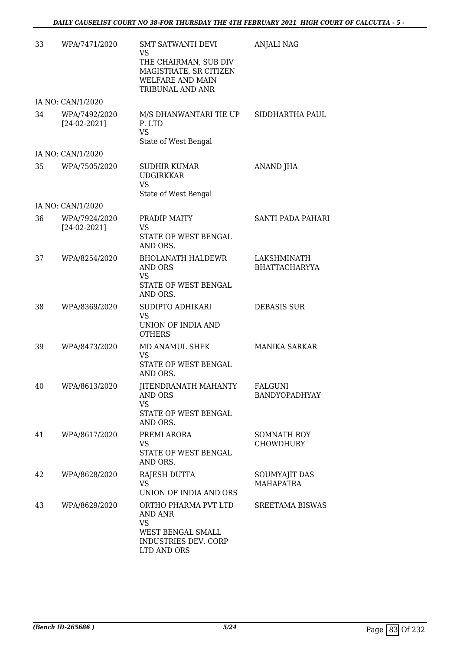| 33 | WPA/7471/2020                   | <b>SMT SATWANTI DEVI</b><br>VS<br>THE CHAIRMAN, SUB DIV<br>MAGISTRATE, SR CITIZEN<br><b>WELFARE AND MAIN</b><br>TRIBUNAL AND ANR | <b>ANJALI NAG</b>                   |
|----|---------------------------------|----------------------------------------------------------------------------------------------------------------------------------|-------------------------------------|
|    | IA NO: CAN/1/2020               |                                                                                                                                  |                                     |
| 34 | WPA/7492/2020<br>$[24-02-2021]$ | M/S DHANWANTARI TIE UP<br>P. LTD<br><b>VS</b><br>State of West Bengal                                                            | SIDDHARTHA PAUL                     |
|    | IA NO: CAN/1/2020               |                                                                                                                                  |                                     |
| 35 | WPA/7505/2020                   | <b>SUDHIR KUMAR</b><br><b>UDGIRKKAR</b><br><b>VS</b><br>State of West Bengal                                                     | <b>ANAND JHA</b>                    |
|    | IA NO: CAN/1/2020               |                                                                                                                                  |                                     |
| 36 | WPA/7924/2020<br>$[24-02-2021]$ | PRADIP MAITY<br><b>VS</b><br><b>STATE OF WEST BENGAL</b><br>AND ORS.                                                             | SANTI PADA PAHARI                   |
| 37 | WPA/8254/2020                   | <b>BHOLANATH HALDEWR</b><br>AND ORS<br>VS<br>STATE OF WEST BENGAL<br>AND ORS.                                                    | LAKSHMINATH<br><b>BHATTACHARYYA</b> |
| 38 | WPA/8369/2020                   | SUDIPTO ADHIKARI<br>VS<br>UNION OF INDIA AND<br><b>OTHERS</b>                                                                    | <b>DEBASIS SUR</b>                  |
| 39 | WPA/8473/2020                   | MD ANAMUL SHEK<br><b>VS</b><br>STATE OF WEST BENGAL<br>AND ORS.                                                                  | <b>MANIKA SARKAR</b>                |
| 40 | WPA/8613/2020                   | JITENDRANATH MAHANTY<br><b>AND ORS</b><br><b>VS</b><br>STATE OF WEST BENGAL<br>AND ORS.                                          | FALGUNI<br>BANDYOPADHYAY            |
| 41 | WPA/8617/2020                   | PREMI ARORA<br>VS.<br>STATE OF WEST BENGAL<br>AND ORS.                                                                           | SOMNATH ROY<br><b>CHOWDHURY</b>     |
| 42 | WPA/8628/2020                   | RAJESH DUTTA<br>VS.<br>UNION OF INDIA AND ORS                                                                                    | SOUMYAJIT DAS<br><b>MAHAPATRA</b>   |
| 43 | WPA/8629/2020                   | ORTHO PHARMA PVT LTD<br>AND ANR<br><b>VS</b><br>WEST BENGAL SMALL<br>INDUSTRIES DEV. CORP<br>LTD AND ORS                         | SREETAMA BISWAS                     |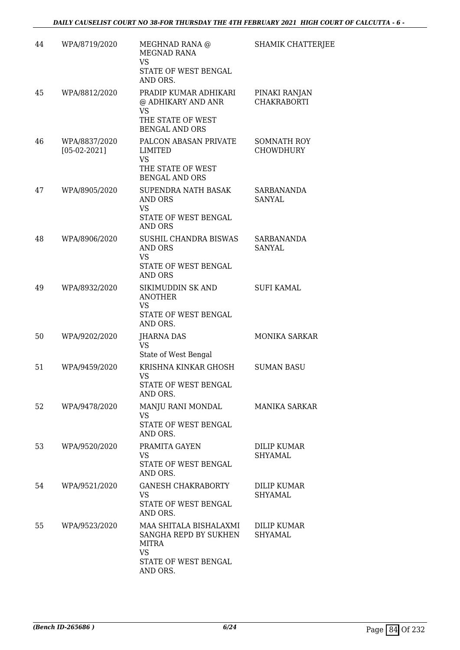| 44 | WPA/8719/2020                   | MEGHNAD RANA @<br><b>MEGNAD RANA</b><br>VS<br>STATE OF WEST BENGAL<br>AND ORS.                            | SHAMIK CHATTERJEE                      |
|----|---------------------------------|-----------------------------------------------------------------------------------------------------------|----------------------------------------|
| 45 | WPA/8812/2020                   | PRADIP KUMAR ADHIKARI<br>@ ADHIKARY AND ANR<br><b>VS</b><br>THE STATE OF WEST<br><b>BENGAL AND ORS</b>    | PINAKI RANJAN<br><b>CHAKRABORTI</b>    |
| 46 | WPA/8837/2020<br>$[05-02-2021]$ | PALCON ABASAN PRIVATE<br>LIMITED<br><b>VS</b><br>THE STATE OF WEST<br><b>BENGAL AND ORS</b>               | <b>SOMNATH ROY</b><br><b>CHOWDHURY</b> |
| 47 | WPA/8905/2020                   | <b>SUPENDRA NATH BASAK</b><br>AND ORS<br><b>VS</b><br>STATE OF WEST BENGAL<br><b>AND ORS</b>              | <b>SARBANANDA</b><br>SANYAL            |
| 48 | WPA/8906/2020                   | SUSHIL CHANDRA BISWAS<br><b>AND ORS</b><br><b>VS</b><br>STATE OF WEST BENGAL<br>AND ORS                   | SARBANANDA<br>SANYAL                   |
| 49 | WPA/8932/2020                   | SIKIMUDDIN SK AND<br><b>ANOTHER</b><br><b>VS</b><br>STATE OF WEST BENGAL<br>AND ORS.                      | <b>SUFI KAMAL</b>                      |
| 50 | WPA/9202/2020                   | <b>JHARNA DAS</b><br><b>VS</b><br>State of West Bengal                                                    | <b>MONIKA SARKAR</b>                   |
| 51 | WPA/9459/2020                   | KRISHNA KINKAR GHOSH<br>VS<br>STATE OF WEST BENGAL<br>AND ORS.                                            | <b>SUMAN BASU</b>                      |
| 52 | WPA/9478/2020                   | MANJU RANI MONDAL<br>VS<br>STATE OF WEST BENGAL<br>AND ORS.                                               | <b>MANIKA SARKAR</b>                   |
| 53 | WPA/9520/2020                   | PRAMITA GAYEN<br><b>VS</b><br>STATE OF WEST BENGAL<br>AND ORS.                                            | DILIP KUMAR<br>SHYAMAL                 |
| 54 | WPA/9521/2020                   | <b>GANESH CHAKRABORTY</b><br>VS<br>STATE OF WEST BENGAL<br>AND ORS.                                       | <b>DILIP KUMAR</b><br>SHYAMAL          |
| 55 | WPA/9523/2020                   | MAA SHITALA BISHALAXMI<br>SANGHA REPD BY SUKHEN<br>MITRA<br><b>VS</b><br>STATE OF WEST BENGAL<br>AND ORS. | DILIP KUMAR<br>SHYAMAL                 |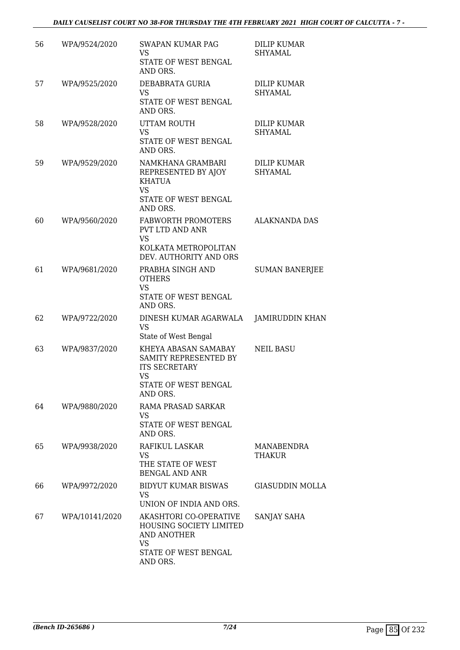| 56 | WPA/9524/2020  | <b>SWAPAN KUMAR PAG</b><br><b>VS</b><br>STATE OF WEST BENGAL<br>AND ORS.                                                 | <b>DILIP KUMAR</b><br>SHYAMAL        |
|----|----------------|--------------------------------------------------------------------------------------------------------------------------|--------------------------------------|
| 57 | WPA/9525/2020  | DEBABRATA GURIA<br><b>VS</b><br>STATE OF WEST BENGAL<br>AND ORS.                                                         | <b>DILIP KUMAR</b><br>SHYAMAL        |
| 58 | WPA/9528/2020  | UTTAM ROUTH<br>VS<br>STATE OF WEST BENGAL<br>AND ORS.                                                                    | <b>DILIP KUMAR</b><br><b>SHYAMAL</b> |
| 59 | WPA/9529/2020  | NAMKHANA GRAMBARI<br>REPRESENTED BY AJOY<br>KHATUA<br><b>VS</b><br>STATE OF WEST BENGAL<br>AND ORS.                      | <b>DILIP KUMAR</b><br>SHYAMAL        |
| 60 | WPA/9560/2020  | <b>FABWORTH PROMOTERS</b><br><b>PVT LTD AND ANR</b><br>VS<br>KOLKATA METROPOLITAN<br>DEV. AUTHORITY AND ORS              | <b>ALAKNANDA DAS</b>                 |
| 61 | WPA/9681/2020  | PRABHA SINGH AND<br><b>OTHERS</b><br><b>VS</b><br>STATE OF WEST BENGAL<br>AND ORS.                                       | <b>SUMAN BANERJEE</b>                |
| 62 | WPA/9722/2020  | DINESH KUMAR AGARWALA<br><b>VS</b><br>State of West Bengal                                                               | JAMIRUDDIN KHAN                      |
| 63 | WPA/9837/2020  | KHEYA ABASAN SAMABAY<br>SAMITY REPRESENTED BY<br><b>ITS SECRETARY</b><br><b>VS</b><br>STATE OF WEST BENGAL<br>AND ORS.   | <b>NEIL BASU</b>                     |
| 64 | WPA/9880/2020  | RAMA PRASAD SARKAR<br><b>VS</b><br>STATE OF WEST BENGAL<br>AND ORS.                                                      |                                      |
| 65 | WPA/9938/2020  | RAFIKUL LASKAR<br>VS.<br>THE STATE OF WEST<br><b>BENGAL AND ANR</b>                                                      | MANABENDRA<br>THAKUR                 |
| 66 | WPA/9972/2020  | BIDYUT KUMAR BISWAS<br>VS<br>UNION OF INDIA AND ORS.                                                                     | <b>GIASUDDIN MOLLA</b>               |
| 67 | WPA/10141/2020 | AKASHTORI CO-OPERATIVE<br>HOUSING SOCIETY LIMITED<br><b>AND ANOTHER</b><br><b>VS</b><br>STATE OF WEST BENGAL<br>AND ORS. | SANJAY SAHA                          |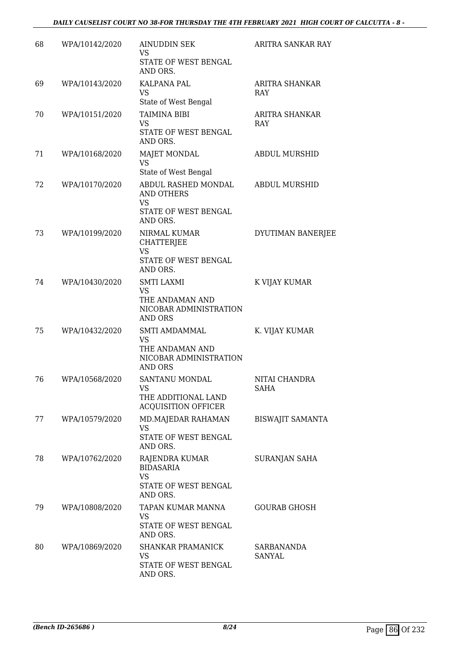| 68 | WPA/10142/2020 | <b>AINUDDIN SEK</b><br>VS.<br>STATE OF WEST BENGAL<br>AND ORS.                                | ARITRA SANKAR RAY            |
|----|----------------|-----------------------------------------------------------------------------------------------|------------------------------|
| 69 | WPA/10143/2020 | KALPANA PAL<br>VS<br>State of West Bengal                                                     | <b>ARITRA SHANKAR</b><br>RAY |
| 70 | WPA/10151/2020 | <b>TAIMINA BIBI</b><br><b>VS</b><br>STATE OF WEST BENGAL<br>AND ORS.                          | ARITRA SHANKAR<br><b>RAY</b> |
| 71 | WPA/10168/2020 | <b>MAJET MONDAL</b><br>VS<br>State of West Bengal                                             | <b>ABDUL MURSHID</b>         |
| 72 | WPA/10170/2020 | ABDUL RASHED MONDAL<br><b>AND OTHERS</b><br>VS<br>STATE OF WEST BENGAL<br>AND ORS.            | <b>ABDUL MURSHID</b>         |
| 73 | WPA/10199/2020 | NIRMAL KUMAR<br><b>CHATTERJEE</b><br><b>VS</b><br>STATE OF WEST BENGAL<br>AND ORS.            | DYUTIMAN BANERJEE            |
| 74 | WPA/10430/2020 | <b>SMTI LAXMI</b><br><b>VS</b><br>THE ANDAMAN AND<br>NICOBAR ADMINISTRATION<br><b>AND ORS</b> | K VIJAY KUMAR                |
| 75 | WPA/10432/2020 | SMTI AMDAMMAL<br><b>VS</b><br>THE ANDAMAN AND<br>NICOBAR ADMINISTRATION<br>AND ORS            | K. VIJAY KUMAR               |
| 76 | WPA/10568/2020 | SANTANU MONDAL<br>VS<br>THE ADDITIONAL LAND<br><b>ACQUISITION OFFICER</b>                     | NITAI CHANDRA<br>SAHA        |
| 77 | WPA/10579/2020 | MD.MAJEDAR RAHAMAN<br>VS<br>STATE OF WEST BENGAL<br>AND ORS.                                  | <b>BISWAJIT SAMANTA</b>      |
| 78 | WPA/10762/2020 | RAJENDRA KUMAR<br><b>BIDASARIA</b><br>VS<br>STATE OF WEST BENGAL<br>AND ORS.                  | SURANJAN SAHA                |
| 79 | WPA/10808/2020 | TAPAN KUMAR MANNA<br><b>VS</b><br>STATE OF WEST BENGAL<br>AND ORS.                            | <b>GOURAB GHOSH</b>          |
| 80 | WPA/10869/2020 | <b>SHANKAR PRAMANICK</b><br>VS<br>STATE OF WEST BENGAL<br>AND ORS.                            | SARBANANDA<br><b>SANYAL</b>  |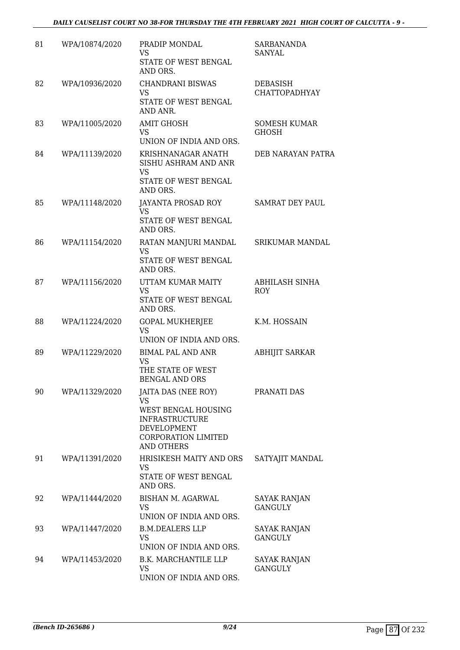| 81 | WPA/10874/2020 | PRADIP MONDAL<br>VS.<br>STATE OF WEST BENGAL<br>AND ORS.                                                                                           | <b>SARBANANDA</b><br>SANYAL             |
|----|----------------|----------------------------------------------------------------------------------------------------------------------------------------------------|-----------------------------------------|
| 82 | WPA/10936/2020 | <b>CHANDRANI BISWAS</b><br>VS<br>STATE OF WEST BENGAL<br>AND ANR.                                                                                  | <b>DEBASISH</b><br><b>CHATTOPADHYAY</b> |
| 83 | WPA/11005/2020 | <b>AMIT GHOSH</b><br>VS<br>UNION OF INDIA AND ORS.                                                                                                 | <b>SOMESH KUMAR</b><br>GHOSH            |
| 84 | WPA/11139/2020 | KRISHNANAGAR ANATH<br>SISHU ASHRAM AND ANR<br><b>VS</b><br>STATE OF WEST BENGAL<br>AND ORS.                                                        | DEB NARAYAN PATRA                       |
| 85 | WPA/11148/2020 | JAYANTA PROSAD ROY<br>VS.<br>STATE OF WEST BENGAL<br>AND ORS.                                                                                      | SAMRAT DEY PAUL                         |
| 86 | WPA/11154/2020 | RATAN MANJURI MANDAL<br><b>VS</b><br>STATE OF WEST BENGAL<br>AND ORS.                                                                              | SRIKUMAR MANDAL                         |
| 87 | WPA/11156/2020 | UTTAM KUMAR MAITY<br>VS<br>STATE OF WEST BENGAL<br>AND ORS.                                                                                        | <b>ABHILASH SINHA</b><br>ROY            |
| 88 | WPA/11224/2020 | <b>GOPAL MUKHERJEE</b><br><b>VS</b><br>UNION OF INDIA AND ORS.                                                                                     | K.M. HOSSAIN                            |
| 89 | WPA/11229/2020 | <b>BIMAL PAL AND ANR</b><br><b>VS</b><br>THE STATE OF WEST<br><b>BENGAL AND ORS</b>                                                                | <b>ABHIJIT SARKAR</b>                   |
| 90 | WPA/11329/2020 | JAITA DAS (NEE ROY)<br>VS<br>WEST BENGAL HOUSING<br><b>INFRASTRUCTURE</b><br><b>DEVELOPMENT</b><br><b>CORPORATION LIMITED</b><br><b>AND OTHERS</b> | PRANATI DAS                             |
| 91 | WPA/11391/2020 | HRISIKESH MAITY AND ORS<br>VS<br>STATE OF WEST BENGAL<br>AND ORS.                                                                                  | SATYAJIT MANDAL                         |
| 92 | WPA/11444/2020 | BISHAN M. AGARWAL<br><b>VS</b><br>UNION OF INDIA AND ORS.                                                                                          | SAYAK RANJAN<br><b>GANGULY</b>          |
| 93 | WPA/11447/2020 | <b>B.M.DEALERS LLP</b><br>VS.<br>UNION OF INDIA AND ORS.                                                                                           | <b>SAYAK RANJAN</b><br><b>GANGULY</b>   |
| 94 | WPA/11453/2020 | <b>B.K. MARCHANTILE LLP</b><br><b>VS</b><br>UNION OF INDIA AND ORS.                                                                                | <b>SAYAK RANJAN</b><br><b>GANGULY</b>   |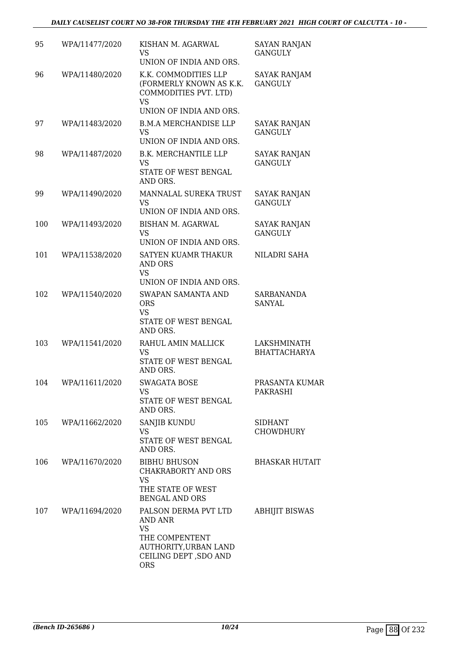| 95  | WPA/11477/2020 | KISHAN M. AGARWAL<br><b>VS</b><br>UNION OF INDIA AND ORS.                                                                      | <b>SAYAN RANJAN</b><br><b>GANGULY</b> |
|-----|----------------|--------------------------------------------------------------------------------------------------------------------------------|---------------------------------------|
| 96  | WPA/11480/2020 | K.K. COMMODITIES LLP<br>(FORMERLY KNOWN AS K.K.<br>COMMODITIES PVT. LTD)<br><b>VS</b>                                          | <b>SAYAK RANJAM</b><br><b>GANGULY</b> |
|     |                | UNION OF INDIA AND ORS.                                                                                                        |                                       |
| 97  | WPA/11483/2020 | <b>B.M.A MERCHANDISE LLP</b><br><b>VS</b>                                                                                      | SAYAK RANJAN<br><b>GANGULY</b>        |
|     |                | UNION OF INDIA AND ORS.                                                                                                        |                                       |
| 98  | WPA/11487/2020 | <b>B.K. MERCHANTILE LLP</b><br><b>VS</b><br>STATE OF WEST BENGAL<br>AND ORS.                                                   | <b>SAYAK RANJAN</b><br><b>GANGULY</b> |
| 99  | WPA/11490/2020 | MANNALAL SUREKA TRUST<br><b>VS</b>                                                                                             | <b>SAYAK RANJAN</b><br><b>GANGULY</b> |
|     |                | UNION OF INDIA AND ORS.                                                                                                        |                                       |
| 100 | WPA/11493/2020 | <b>BISHAN M. AGARWAL</b><br><b>VS</b>                                                                                          | <b>SAYAK RANJAN</b><br><b>GANGULY</b> |
|     |                | UNION OF INDIA AND ORS.                                                                                                        |                                       |
| 101 | WPA/11538/2020 | <b>SATYEN KUAMR THAKUR</b><br>AND ORS<br><b>VS</b><br>UNION OF INDIA AND ORS.                                                  | NILADRI SAHA                          |
| 102 | WPA/11540/2020 | <b>SWAPAN SAMANTA AND</b><br><b>ORS</b><br><b>VS</b>                                                                           | SARBANANDA<br><b>SANYAL</b>           |
|     |                | STATE OF WEST BENGAL<br>AND ORS.                                                                                               |                                       |
| 103 | WPA/11541/2020 | RAHUL AMIN MALLICK<br><b>VS</b><br><b>STATE OF WEST BENGAL</b><br>AND ORS.                                                     | LAKSHMINATH<br><b>BHATTACHARYA</b>    |
| 104 | WPA/11611/2020 | <b>SWAGATA BOSE</b>                                                                                                            | PRASANTA KUMAR                        |
|     |                | VS<br>STATE OF WEST BENGAL<br>AND ORS.                                                                                         | PAKRASHI                              |
| 105 | WPA/11662/2020 | SANJIB KUNDU<br><b>VS</b><br>STATE OF WEST BENGAL<br>AND ORS.                                                                  | <b>SIDHANT</b><br><b>CHOWDHURY</b>    |
| 106 | WPA/11670/2020 | <b>BIBHU BHUSON</b><br>CHAKRABORTY AND ORS                                                                                     | BHASKAR HUTAIT                        |
|     |                | <b>VS</b><br>THE STATE OF WEST<br><b>BENGAL AND ORS</b>                                                                        |                                       |
| 107 | WPA/11694/2020 | PALSON DERMA PVT LTD<br>AND ANR<br><b>VS</b><br>THE COMPENTENT<br>AUTHORITY, URBAN LAND<br>CEILING DEPT, SDO AND<br><b>ORS</b> | ABHIJIT BISWAS                        |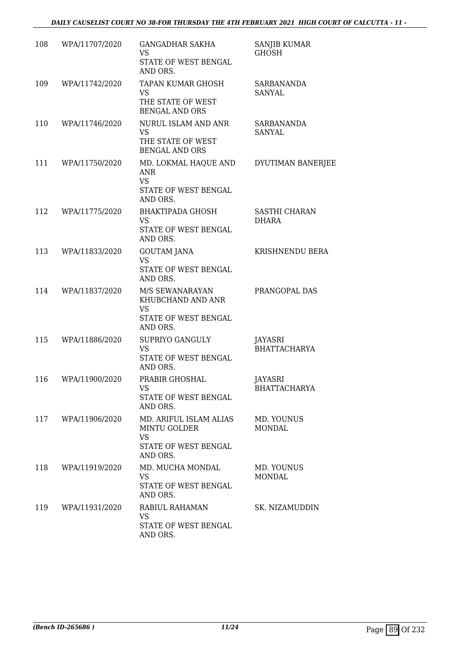| 108 | WPA/11707/2020 | <b>GANGADHAR SAKHA</b><br>VS.<br>STATE OF WEST BENGAL<br>AND ORS.                              | <b>SANJIB KUMAR</b><br><b>GHOSH</b> |
|-----|----------------|------------------------------------------------------------------------------------------------|-------------------------------------|
| 109 | WPA/11742/2020 | TAPAN KUMAR GHOSH<br>VS.<br>THE STATE OF WEST<br><b>BENGAL AND ORS</b>                         | SARBANANDA<br>SANYAL                |
| 110 | WPA/11746/2020 | NURUL ISLAM AND ANR<br><b>VS</b><br>THE STATE OF WEST<br><b>BENGAL AND ORS</b>                 | SARBANANDA<br>SANYAL                |
| 111 | WPA/11750/2020 | MD. LOKMAL HAQUE AND<br>ANR<br><b>VS</b><br>STATE OF WEST BENGAL<br>AND ORS.                   | DYUTIMAN BANERJEE                   |
| 112 | WPA/11775/2020 | BHAKTIPADA GHOSH<br><b>VS</b><br>STATE OF WEST BENGAL<br>AND ORS.                              | SASTHI CHARAN<br><b>DHARA</b>       |
| 113 | WPA/11833/2020 | <b>GOUTAM JANA</b><br><b>VS</b><br>STATE OF WEST BENGAL<br>AND ORS.                            | KRISHNENDU BERA                     |
| 114 | WPA/11837/2020 | M/S SEWANARAYAN<br>KHUBCHAND AND ANR<br><b>VS</b><br>STATE OF WEST BENGAL<br>AND ORS.          | PRANGOPAL DAS                       |
| 115 | WPA/11886/2020 | SUPRIYO GANGULY<br><b>VS</b><br>STATE OF WEST BENGAL<br>AND ORS.                               | JAYASRI<br><b>BHATTACHARYA</b>      |
| 116 | WPA/11900/2020 | PRABIR GHOSHAL<br>VS<br>STATE OF WEST BENGAL<br>AND ORS.                                       | JAYASRI<br><b>BHATTACHARYA</b>      |
| 117 | WPA/11906/2020 | MD. ARIFUL ISLAM ALIAS<br><b>MINTU GOLDER</b><br><b>VS</b><br>STATE OF WEST BENGAL<br>AND ORS. | MD. YOUNUS<br><b>MONDAL</b>         |
| 118 | WPA/11919/2020 | MD. MUCHA MONDAL<br><b>VS</b><br>STATE OF WEST BENGAL<br>AND ORS.                              | MD. YOUNUS<br><b>MONDAL</b>         |
| 119 | WPA/11931/2020 | RABIUL RAHAMAN<br>VS<br>STATE OF WEST BENGAL<br>AND ORS.                                       | SK. NIZAMUDDIN                      |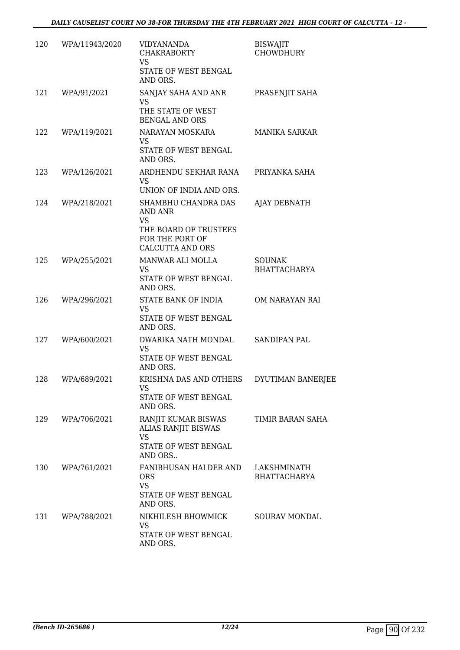|     | 120 WPA/11943/2020 | VIDYANANDA<br><b>CHAKRABORTY</b><br><b>VS</b><br>STATE OF WEST BENGAL                                                                  | <b>BISWAJIT</b><br><b>CHOWDHURY</b>  |
|-----|--------------------|----------------------------------------------------------------------------------------------------------------------------------------|--------------------------------------|
|     |                    | AND ORS.                                                                                                                               |                                      |
| 121 | WPA/91/2021        | SANJAY SAHA AND ANR<br>VS<br>THE STATE OF WEST<br><b>BENGAL AND ORS</b>                                                                | PRASENJIT SAHA                       |
| 122 | WPA/119/2021       | NARAYAN MOSKARA<br>VS.                                                                                                                 | MANIKA SARKAR                        |
|     |                    | STATE OF WEST BENGAL<br>AND ORS.                                                                                                       |                                      |
| 123 | WPA/126/2021       | ARDHENDU SEKHAR RANA<br>VS.                                                                                                            | PRIYANKA SAHA                        |
| 124 | WPA/218/2021       | UNION OF INDIA AND ORS.<br>SHAMBHU CHANDRA DAS<br>AND ANR<br>VS<br>THE BOARD OF TRUSTEES<br>FOR THE PORT OF<br><b>CALCUTTA AND ORS</b> | AJAY DEBNATH                         |
| 125 | WPA/255/2021       | MANWAR ALI MOLLA<br><b>VS</b><br>STATE OF WEST BENGAL<br>AND ORS.                                                                      | <b>SOUNAK</b><br><b>BHATTACHARYA</b> |
| 126 | WPA/296/2021       | STATE BANK OF INDIA<br><b>VS</b><br>STATE OF WEST BENGAL<br>AND ORS.                                                                   | OM NARAYAN RAI                       |
| 127 | WPA/600/2021       | DWARIKA NATH MONDAL<br>VS<br>STATE OF WEST BENGAL<br>AND ORS.                                                                          | SANDIPAN PAL                         |
| 128 | WPA/689/2021       | KRISHNA DAS AND OTHERS<br>VS<br>STATE OF WEST BENGAL<br>AND ORS.                                                                       | DYUTIMAN BANERJEE                    |
| 129 | WPA/706/2021       | RANJIT KUMAR BISWAS<br><b>ALIAS RANJIT BISWAS</b><br><b>VS</b><br>STATE OF WEST BENGAL<br>AND ORS                                      | TIMIR BARAN SAHA                     |
| 130 | WPA/761/2021       | FANIBHUSAN HALDER AND<br><b>ORS</b><br><b>VS</b><br>STATE OF WEST BENGAL<br>AND ORS.                                                   | LAKSHMINATH<br><b>BHATTACHARYA</b>   |
| 131 | WPA/788/2021       | NIKHILESH BHOWMICK<br>VS<br>STATE OF WEST BENGAL<br>AND ORS.                                                                           | <b>SOURAV MONDAL</b>                 |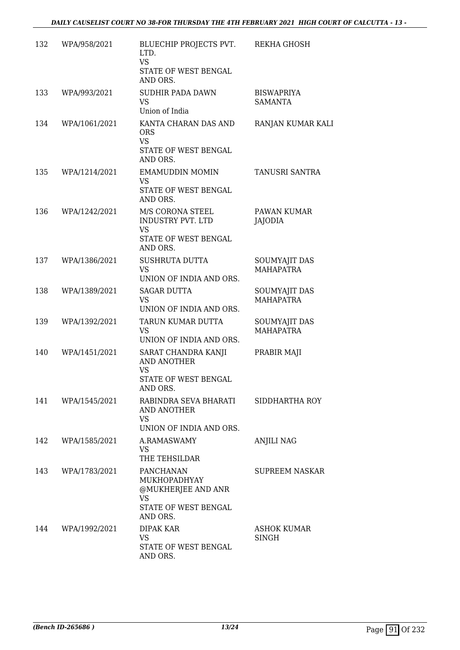| 132 | WPA/958/2021  | BLUECHIP PROJECTS PVT.<br>LTD.<br><b>VS</b><br>STATE OF WEST BENGAL<br>AND ORS.           | REKHA GHOSH                         |
|-----|---------------|-------------------------------------------------------------------------------------------|-------------------------------------|
| 133 | WPA/993/2021  | <b>SUDHIR PADA DAWN</b><br>VS.<br>Union of India                                          | <b>BISWAPRIYA</b><br><b>SAMANTA</b> |
| 134 | WPA/1061/2021 | KANTA CHARAN DAS AND<br><b>ORS</b><br><b>VS</b><br>STATE OF WEST BENGAL<br>AND ORS.       | RANJAN KUMAR KALI                   |
| 135 | WPA/1214/2021 | <b>EMAMUDDIN MOMIN</b><br>VS<br>STATE OF WEST BENGAL<br>AND ORS.                          | TANUSRI SANTRA                      |
| 136 | WPA/1242/2021 | M/S CORONA STEEL<br>INDUSTRY PVT. LTD<br><b>VS</b><br>STATE OF WEST BENGAL<br>AND ORS.    | PAWAN KUMAR<br><b>JAJODIA</b>       |
| 137 | WPA/1386/2021 | <b>SUSHRUTA DUTTA</b><br><b>VS</b><br>UNION OF INDIA AND ORS.                             | SOUMYAJIT DAS<br><b>MAHAPATRA</b>   |
| 138 | WPA/1389/2021 | <b>SAGAR DUTTA</b><br><b>VS</b><br>UNION OF INDIA AND ORS.                                | SOUMYAJIT DAS<br><b>MAHAPATRA</b>   |
| 139 | WPA/1392/2021 | TARUN KUMAR DUTTA<br><b>VS</b><br>UNION OF INDIA AND ORS.                                 | SOUMYAJIT DAS<br><b>MAHAPATRA</b>   |
| 140 | WPA/1451/2021 | SARAT CHANDRA KANJI<br>AND ANOTHER<br>VS<br>STATE OF WEST BENGAL<br>AND ORS.              | PRABIR MAJI                         |
| 141 | WPA/1545/2021 | RABINDRA SEVA BHARATI<br>AND ANOTHER<br><b>VS</b><br>UNION OF INDIA AND ORS.              | SIDDHARTHA ROY                      |
| 142 | WPA/1585/2021 | A.RAMASWAMY<br>VS<br>THE TEHSILDAR                                                        | <b>ANJILI NAG</b>                   |
| 143 | WPA/1783/2021 | PANCHANAN<br>MUKHOPADHYAY<br>@MUKHERJEE AND ANR<br>VS<br>STATE OF WEST BENGAL<br>AND ORS. | <b>SUPREEM NASKAR</b>               |
| 144 | WPA/1992/2021 | DIPAK KAR<br>VS.<br>STATE OF WEST BENGAL<br>AND ORS.                                      | <b>ASHOK KUMAR</b><br>SINGH         |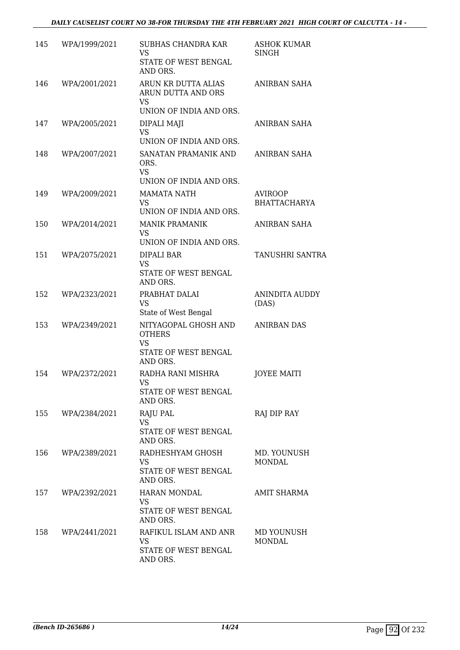| 145 | WPA/1999/2021 | <b>SUBHAS CHANDRA KAR</b><br><b>VS</b><br>STATE OF WEST BENGAL<br>AND ORS.                      | <b>ASHOK KUMAR</b><br>SINGH           |
|-----|---------------|-------------------------------------------------------------------------------------------------|---------------------------------------|
| 146 | WPA/2001/2021 | ARUN KR DUTTA ALIAS<br>ARUN DUTTA AND ORS<br><b>VS</b>                                          | ANIRBAN SAHA                          |
|     |               | UNION OF INDIA AND ORS.                                                                         |                                       |
| 147 | WPA/2005/2021 | DIPALI MAJI<br><b>VS</b>                                                                        | ANIRBAN SAHA                          |
| 148 | WPA/2007/2021 | UNION OF INDIA AND ORS.<br>SANATAN PRAMANIK AND<br>ORS.<br><b>VS</b><br>UNION OF INDIA AND ORS. | ANIRBAN SAHA                          |
| 149 | WPA/2009/2021 | <b>MAMATA NATH</b><br><b>VS</b><br>UNION OF INDIA AND ORS.                                      | <b>AVIROOP</b><br><b>BHATTACHARYA</b> |
| 150 | WPA/2014/2021 | <b>MANIK PRAMANIK</b><br><b>VS</b>                                                              | ANIRBAN SAHA                          |
|     |               | UNION OF INDIA AND ORS.                                                                         |                                       |
| 151 | WPA/2075/2021 | DIPALI BAR<br><b>VS</b><br>STATE OF WEST BENGAL<br>AND ORS.                                     | TANUSHRI SANTRA                       |
| 152 | WPA/2323/2021 | PRABHAT DALAI<br><b>VS</b><br>State of West Bengal                                              | ANINDITA AUDDY<br>(DAS)               |
| 153 | WPA/2349/2021 | NITYAGOPAL GHOSH AND<br><b>OTHERS</b><br><b>VS</b><br>STATE OF WEST BENGAL                      | <b>ANIRBAN DAS</b>                    |
| 154 | WPA/2372/2021 | AND ORS.<br>RADHA RANI MISHRA<br>VS —<br>STATE OF WEST BENGAL<br>AND ORS.                       | <b>JOYEE MAITI</b>                    |
| 155 | WPA/2384/2021 | <b>RAJU PAL</b><br><b>VS</b><br>STATE OF WEST BENGAL<br>AND ORS.                                | RAJ DIP RAY                           |
| 156 | WPA/2389/2021 | RADHESHYAM GHOSH<br><b>VS</b><br>STATE OF WEST BENGAL<br>AND ORS.                               | MD. YOUNUSH<br><b>MONDAL</b>          |
| 157 | WPA/2392/2021 | <b>HARAN MONDAL</b><br><b>VS</b><br>STATE OF WEST BENGAL<br>AND ORS.                            | <b>AMIT SHARMA</b>                    |
| 158 | WPA/2441/2021 | RAFIKUL ISLAM AND ANR<br>VS<br>STATE OF WEST BENGAL<br>AND ORS.                                 | MD YOUNUSH<br><b>MONDAL</b>           |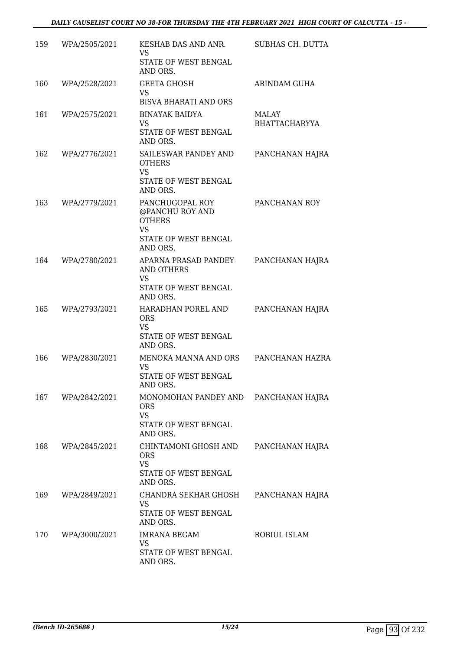| 159 | WPA/2505/2021 | KESHAB DAS AND ANR.<br>VS<br>STATE OF WEST BENGAL<br>AND ORS.                                        | SUBHAS CH. DUTTA                     |
|-----|---------------|------------------------------------------------------------------------------------------------------|--------------------------------------|
| 160 | WPA/2528/2021 | <b>GEETA GHOSH</b><br>VS<br><b>BISVA BHARATI AND ORS</b>                                             | ARINDAM GUHA                         |
| 161 | WPA/2575/2021 | <b>BINAYAK BAIDYA</b><br>VS<br>STATE OF WEST BENGAL<br>AND ORS.                                      | <b>MALAY</b><br><b>BHATTACHARYYA</b> |
| 162 | WPA/2776/2021 | SAILESWAR PANDEY AND<br><b>OTHERS</b><br><b>VS</b><br>STATE OF WEST BENGAL<br>AND ORS.               | PANCHANAN HAJRA                      |
| 163 | WPA/2779/2021 | PANCHUGOPAL ROY<br>@PANCHU ROY AND<br><b>OTHERS</b><br><b>VS</b><br>STATE OF WEST BENGAL<br>AND ORS. | PANCHANAN ROY                        |
| 164 | WPA/2780/2021 | APARNA PRASAD PANDEY<br>AND OTHERS<br><b>VS</b><br>STATE OF WEST BENGAL<br>AND ORS.                  | PANCHANAN HAJRA                      |
| 165 | WPA/2793/2021 | HARADHAN POREL AND<br><b>ORS</b><br>VS<br>STATE OF WEST BENGAL<br>AND ORS.                           | PANCHANAN HAJRA                      |
| 166 | WPA/2830/2021 | MENOKA MANNA AND ORS<br><b>VS</b><br>STATE OF WEST BENGAL<br>AND ORS.                                | PANCHANAN HAZRA                      |
| 167 | WPA/2842/2021 | MONOMOHAN PANDEY AND PANCHANAN HAJRA<br><b>ORS</b><br><b>VS</b><br>STATE OF WEST BENGAL<br>AND ORS.  |                                      |
| 168 | WPA/2845/2021 | CHINTAMONI GHOSH AND<br><b>ORS</b><br><b>VS</b><br>STATE OF WEST BENGAL<br>AND ORS.                  | PANCHANAN HAJRA                      |
| 169 | WPA/2849/2021 | CHANDRA SEKHAR GHOSH<br>VS<br>STATE OF WEST BENGAL<br>AND ORS.                                       | PANCHANAN HAJRA                      |
| 170 | WPA/3000/2021 | <b>IMRANA BEGAM</b><br>VS<br>STATE OF WEST BENGAL<br>AND ORS.                                        | ROBIUL ISLAM                         |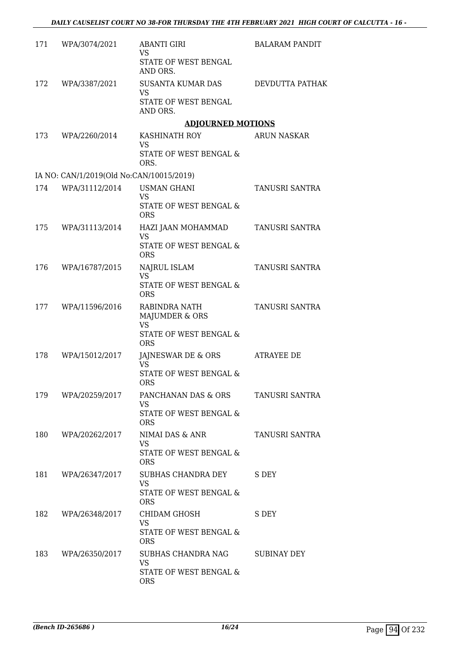| 171 | WPA/3074/2021                            | <b>ABANTI GIRI</b><br><b>VS</b>                   | <b>BALARAM PANDIT</b> |
|-----|------------------------------------------|---------------------------------------------------|-----------------------|
|     |                                          | STATE OF WEST BENGAL<br>AND ORS.                  |                       |
| 172 | WPA/3387/2021                            | SUSANTA KUMAR DAS<br><b>VS</b>                    | DEVDUTTA PATHAK       |
|     |                                          | STATE OF WEST BENGAL<br>AND ORS.                  |                       |
|     |                                          | <b>ADJOURNED MOTIONS</b>                          |                       |
| 173 | WPA/2260/2014                            | KASHINATH ROY<br><b>VS</b>                        | <b>ARUN NASKAR</b>    |
|     |                                          | STATE OF WEST BENGAL &<br>ORS.                    |                       |
|     | IA NO: CAN/1/2019(Old No:CAN/10015/2019) |                                                   |                       |
| 174 | WPA/31112/2014                           | <b>USMAN GHANI</b><br>VS.                         | TANUSRI SANTRA        |
|     |                                          | STATE OF WEST BENGAL &<br><b>ORS</b>              |                       |
| 175 | WPA/31113/2014                           | HAZI JAAN MOHAMMAD<br><b>VS</b>                   | TANUSRI SANTRA        |
|     |                                          | STATE OF WEST BENGAL &<br><b>ORS</b>              |                       |
| 176 | WPA/16787/2015                           | NAJRUL ISLAM<br><b>VS</b>                         | TANUSRI SANTRA        |
|     |                                          | STATE OF WEST BENGAL &<br><b>ORS</b>              |                       |
| 177 | WPA/11596/2016                           | RABINDRA NATH<br>MAJUMDER & ORS                   | <b>TANUSRI SANTRA</b> |
|     |                                          | <b>VS</b><br>STATE OF WEST BENGAL &<br><b>ORS</b> |                       |
| 178 | WPA/15012/2017                           | JAJNESWAR DE & ORS<br><b>VS</b>                   | ATRAYEE DE            |
|     |                                          | STATE OF WEST BENGAL &<br><b>ORS</b>              |                       |
| 179 | WPA/20259/2017                           | PANCHANAN DAS & ORS<br><b>VS</b>                  | TANUSRI SANTRA        |
|     |                                          | <b>STATE OF WEST BENGAL &amp;</b><br><b>ORS</b>   |                       |
| 180 | WPA/20262/2017                           | NIMAI DAS & ANR<br><b>VS</b>                      | TANUSRI SANTRA        |
|     |                                          | STATE OF WEST BENGAL &<br><b>ORS</b>              |                       |
| 181 | WPA/26347/2017                           | SUBHAS CHANDRA DEY<br><b>VS</b>                   | S DEY                 |
|     |                                          | STATE OF WEST BENGAL &<br><b>ORS</b>              |                       |
| 182 | WPA/26348/2017                           | CHIDAM GHOSH<br>VS                                | S DEY                 |
|     |                                          | STATE OF WEST BENGAL &<br><b>ORS</b>              |                       |
| 183 | WPA/26350/2017                           | SUBHAS CHANDRA NAG<br><b>VS</b>                   | SUBINAY DEY           |
|     |                                          | STATE OF WEST BENGAL &<br><b>ORS</b>              |                       |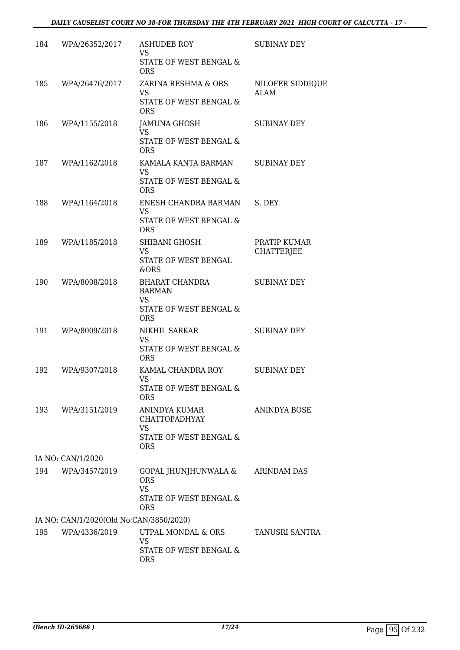| 184 | WPA/26352/2017                          | ASHUDEB ROY<br><b>VS</b>                          | <b>SUBINAY DEY</b>                |
|-----|-----------------------------------------|---------------------------------------------------|-----------------------------------|
|     |                                         | STATE OF WEST BENGAL &<br><b>ORS</b>              |                                   |
| 185 | WPA/26476/2017                          | ZARINA RESHMA & ORS                               | NILOFER SIDDIQUE                  |
|     |                                         | VS.<br>STATE OF WEST BENGAL &<br><b>ORS</b>       | ALAM                              |
| 186 | WPA/1155/2018                           | JAMUNA GHOSH<br><b>VS</b>                         | <b>SUBINAY DEY</b>                |
|     |                                         | STATE OF WEST BENGAL &<br><b>ORS</b>              |                                   |
| 187 | WPA/1162/2018                           | KAMALA KANTA BARMAN<br><b>VS</b>                  | <b>SUBINAY DEY</b>                |
|     |                                         | STATE OF WEST BENGAL &<br><b>ORS</b>              |                                   |
| 188 | WPA/1164/2018                           | ENESH CHANDRA BARMAN<br><b>VS</b>                 | S. DEY                            |
|     |                                         | STATE OF WEST BENGAL &<br><b>ORS</b>              |                                   |
| 189 | WPA/1185/2018                           | SHIBANI GHOSH<br><b>VS</b>                        | PRATIP KUMAR<br><b>CHATTERJEE</b> |
|     |                                         | STATE OF WEST BENGAL<br>&ORS                      |                                   |
| 190 | WPA/8008/2018                           | BHARAT CHANDRA<br><b>BARMAN</b>                   | <b>SUBINAY DEY</b>                |
|     |                                         | <b>VS</b><br>STATE OF WEST BENGAL &<br><b>ORS</b> |                                   |
| 191 | WPA/8009/2018                           | NIKHIL SARKAR<br><b>VS</b>                        | <b>SUBINAY DEY</b>                |
|     |                                         | STATE OF WEST BENGAL &<br><b>ORS</b>              |                                   |
| 192 | WPA/9307/2018                           | KAMAL CHANDRA ROY<br>VS                           | <b>SUBINAY DEY</b>                |
|     |                                         | STATE OF WEST BENGAL &<br><b>ORS</b>              |                                   |
| 193 | WPA/3151/2019                           | ANINDYA KUMAR<br><b>CHATTOPADHYAY</b>             | ANINDYA BOSE                      |
|     |                                         | VS<br>STATE OF WEST BENGAL &                      |                                   |
|     |                                         | <b>ORS</b>                                        |                                   |
|     | IA NO: CAN/1/2020                       |                                                   |                                   |
| 194 | WPA/3457/2019                           | GOPAL JHUNJHUNWALA &<br><b>ORS</b><br><b>VS</b>   | ARINDAM DAS                       |
|     |                                         | STATE OF WEST BENGAL &<br><b>ORS</b>              |                                   |
|     | IA NO: CAN/1/2020(Old No:CAN/3850/2020) |                                                   |                                   |
| 195 | WPA/4336/2019                           | UTPAL MONDAL & ORS<br><b>VS</b>                   | TANUSRI SANTRA                    |
|     |                                         | STATE OF WEST BENGAL &<br><b>ORS</b>              |                                   |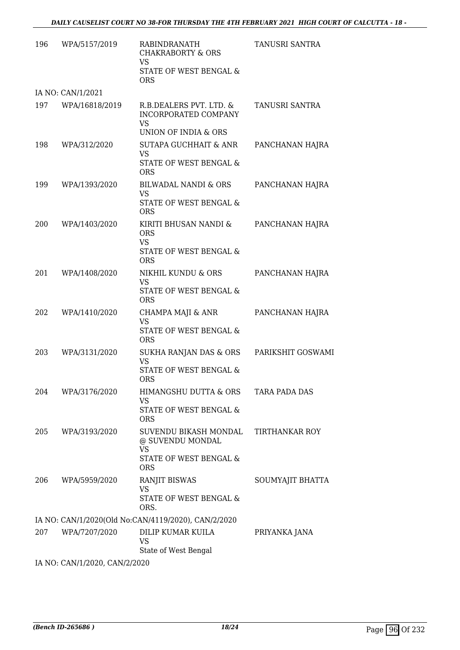| 196 | WPA/5157/2019                 | <b>RABINDRANATH</b><br><b>CHAKRABORTY &amp; ORS</b><br>VS<br>STATE OF WEST BENGAL &<br><b>ORS</b> | TANUSRI SANTRA        |
|-----|-------------------------------|---------------------------------------------------------------------------------------------------|-----------------------|
|     | IA NO: CAN/1/2021             |                                                                                                   |                       |
| 197 | WPA/16818/2019                | R.B.DEALERS PVT. LTD. &<br>INCORPORATED COMPANY<br><b>VS</b><br>UNION OF INDIA & ORS              | TANUSRI SANTRA        |
| 198 | WPA/312/2020                  | SUTAPA GUCHHAIT & ANR<br>VS<br>STATE OF WEST BENGAL &<br><b>ORS</b>                               | PANCHANAN HAJRA       |
| 199 | WPA/1393/2020                 | BILWADAL NANDI & ORS<br>VS<br>STATE OF WEST BENGAL &<br><b>ORS</b>                                | PANCHANAN HAJRA       |
| 200 | WPA/1403/2020                 | KIRITI BHUSAN NANDI &<br><b>ORS</b><br><b>VS</b><br>STATE OF WEST BENGAL &<br><b>ORS</b>          | PANCHANAN HAJRA       |
| 201 | WPA/1408/2020                 | NIKHIL KUNDU & ORS<br><b>VS</b><br>STATE OF WEST BENGAL &<br><b>ORS</b>                           | PANCHANAN HAJRA       |
| 202 | WPA/1410/2020                 | CHAMPA MAJI & ANR<br>VS<br>STATE OF WEST BENGAL &<br><b>ORS</b>                                   | PANCHANAN HAJRA       |
| 203 | WPA/3131/2020                 | SUKHA RANJAN DAS & ORS<br><b>VS</b><br>STATE OF WEST BENGAL &<br><b>ORS</b>                       | PARIKSHIT GOSWAMI     |
| 204 | WPA/3176/2020                 | HIMANGSHU DUTTA & ORS<br>VS<br>STATE OF WEST BENGAL &<br><b>ORS</b>                               | TARA PADA DAS         |
| 205 | WPA/3193/2020                 | SUVENDU BIKASH MONDAL<br>@ SUVENDU MONDAL<br>VS<br>STATE OF WEST BENGAL &<br><b>ORS</b>           | <b>TIRTHANKAR ROY</b> |
| 206 | WPA/5959/2020                 | <b>RANJIT BISWAS</b><br><b>VS</b><br>STATE OF WEST BENGAL &<br>ORS.                               | SOUMYAJIT BHATTA      |
|     |                               | IA NO: CAN/1/2020(Old No:CAN/4119/2020), CAN/2/2020                                               |                       |
| 207 | WPA/7207/2020                 | DILIP KUMAR KUILA<br>VS<br>State of West Bengal                                                   | PRIYANKA JANA         |
|     | IA NO: CAN/1/2020, CAN/2/2020 |                                                                                                   |                       |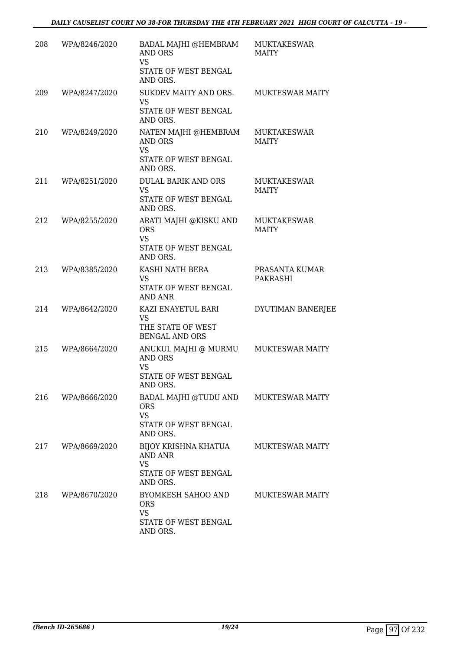| 208 | WPA/8246/2020 | BADAL MAJHI @HEMBRAM<br><b>AND ORS</b><br><b>VS</b>                                                  | MUKTAKESWAR<br><b>MAITY</b>        |
|-----|---------------|------------------------------------------------------------------------------------------------------|------------------------------------|
|     |               | STATE OF WEST BENGAL<br>AND ORS.                                                                     |                                    |
| 209 | WPA/8247/2020 | SUKDEV MAITY AND ORS.<br><b>VS</b><br>STATE OF WEST BENGAL<br>AND ORS.                               | <b>MUKTESWAR MAITY</b>             |
| 210 | WPA/8249/2020 | NATEN MAJHI @HEMBRAM<br>AND ORS<br><b>VS</b><br>STATE OF WEST BENGAL<br>AND ORS.                     | <b>MUKTAKESWAR</b><br><b>MAITY</b> |
| 211 | WPA/8251/2020 | <b>DULAL BARIK AND ORS</b><br><b>VS</b><br>STATE OF WEST BENGAL<br>AND ORS.                          | MUKTAKESWAR<br><b>MAITY</b>        |
| 212 | WPA/8255/2020 | ARATI MAJHI @KISKU AND<br><b>ORS</b><br><b>VS</b><br>STATE OF WEST BENGAL<br>AND ORS.                | <b>MUKTAKESWAR</b><br><b>MAITY</b> |
| 213 | WPA/8385/2020 | KASHI NATH BERA<br><b>VS</b><br>STATE OF WEST BENGAL<br>AND ANR                                      | PRASANTA KUMAR<br>PAKRASHI         |
| 214 | WPA/8642/2020 | KAZI ENAYETUL BARI<br><b>VS</b><br>THE STATE OF WEST<br><b>BENGAL AND ORS</b>                        | DYUTIMAN BANERJEE                  |
| 215 | WPA/8664/2020 | ANUKUL MAJHI @ MURMU<br>AND ORS<br><b>VS</b><br>STATE OF WEST BENGAL<br>AND ORS.                     | MUKTESWAR MAITY                    |
| 216 | WPA/8666/2020 | BADAL MAJHI @TUDU AND MUKTESWAR MAITY<br><b>ORS</b><br><b>VS</b><br>STATE OF WEST BENGAL<br>AND ORS. |                                    |
| 217 | WPA/8669/2020 | BIJOY KRISHNA KHATUA<br><b>AND ANR</b><br><b>VS</b><br>STATE OF WEST BENGAL<br>AND ORS.              | <b>MUKTESWAR MAITY</b>             |
| 218 | WPA/8670/2020 | BYOMKESH SAHOO AND<br><b>ORS</b><br><b>VS</b><br>STATE OF WEST BENGAL<br>AND ORS.                    | <b>MUKTESWAR MAITY</b>             |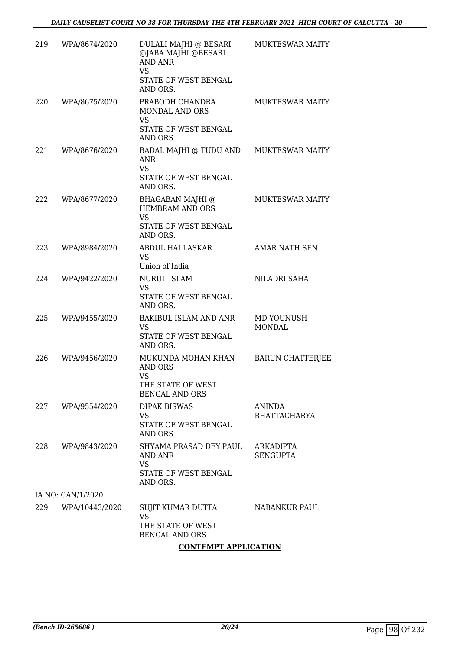| 219 | WPA/8674/2020     | DULALI MAJHI @ BESARI<br>@JABA MAJHI @BESARI<br><b>AND ANR</b><br><b>VS</b><br>STATE OF WEST BENGAL<br>AND ORS. | MUKTESWAR MAITY              |
|-----|-------------------|-----------------------------------------------------------------------------------------------------------------|------------------------------|
| 220 | WPA/8675/2020     | PRABODH CHANDRA<br><b>MONDAL AND ORS</b><br>VS.<br>STATE OF WEST BENGAL<br>AND ORS.                             | <b>MUKTESWAR MAITY</b>       |
| 221 | WPA/8676/2020     | BADAL MAJHI @ TUDU AND<br><b>ANR</b><br><b>VS</b><br>STATE OF WEST BENGAL<br>AND ORS.                           | <b>MUKTESWAR MAITY</b>       |
| 222 | WPA/8677/2020     | BHAGABAN MAJHI @<br>HEMBRAM AND ORS<br><b>VS</b><br>STATE OF WEST BENGAL<br>AND ORS.                            | <b>MUKTESWAR MAITY</b>       |
| 223 | WPA/8984/2020     | ABDUL HAI LASKAR<br><b>VS</b><br>Union of India                                                                 | <b>AMAR NATH SEN</b>         |
| 224 | WPA/9422/2020     | <b>NURUL ISLAM</b><br><b>VS</b><br>STATE OF WEST BENGAL<br>AND ORS.                                             | NILADRI SAHA                 |
| 225 | WPA/9455/2020     | <b>BAKIBUL ISLAM AND ANR</b><br><b>VS</b><br>STATE OF WEST BENGAL<br>AND ORS.                                   | MD YOUNUSH<br><b>MONDAL</b>  |
| 226 | WPA/9456/2020     | MUKUNDA MOHAN KHAN<br>AND ORS<br>VS<br>THE STATE OF WEST<br><b>BENGAL AND ORS</b>                               | <b>BARUN CHATTERJEE</b>      |
| 227 | WPA/9554/2020     | <b>DIPAK BISWAS</b><br>VS.<br>STATE OF WEST BENGAL<br>AND ORS.                                                  | ANINDA<br>BHATTACHARYA       |
| 228 | WPA/9843/2020     | SHYAMA PRASAD DEY PAUL<br>AND ANR<br>VS<br>STATE OF WEST BENGAL<br>AND ORS.                                     | ARKADIPTA<br><b>SENGUPTA</b> |
|     | IA NO: CAN/1/2020 |                                                                                                                 |                              |
| 229 | WPA/10443/2020    | SUJIT KUMAR DUTTA<br><b>VS</b><br>THE STATE OF WEST<br><b>BENGAL AND ORS</b>                                    | NABANKUR PAUL                |

## **CONTEMPT APPLICATION**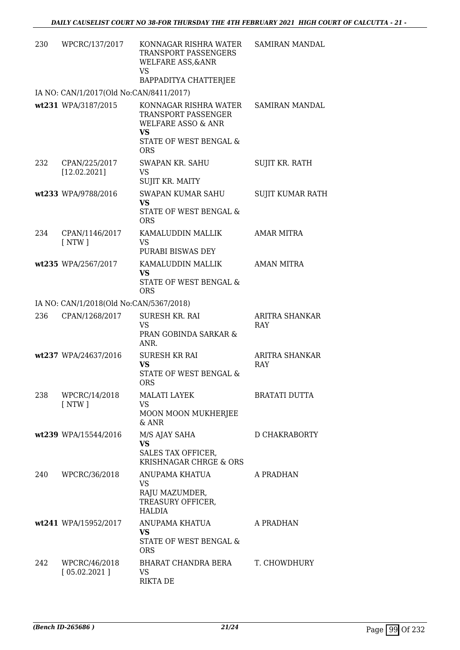| 230 | WPCRC/137/2017                          | KONNAGAR RISHRA WATER<br>TRANSPORT PASSENGERS<br><b>WELFARE ASS, &amp; ANR</b><br><b>VS</b> | <b>SAMIRAN MANDAL</b>   |
|-----|-----------------------------------------|---------------------------------------------------------------------------------------------|-------------------------|
|     | IA NO: CAN/1/2017(Old No:CAN/8411/2017) | BAPPADITYA CHATTERJEE                                                                       |                         |
|     | wt231 WPA/3187/2015                     | KONNAGAR RISHRA WATER                                                                       | SAMIRAN MANDAL          |
|     |                                         | TRANSPORT PASSENGER<br><b>WELFARE ASSO &amp; ANR</b><br><b>VS</b>                           |                         |
|     |                                         | STATE OF WEST BENGAL &<br><b>ORS</b>                                                        |                         |
| 232 | CPAN/225/2017<br>[12.02.2021]           | SWAPAN KR. SAHU<br><b>VS</b><br>SUJIT KR. MAITY                                             | SUJIT KR. RATH          |
|     | wt233 WPA/9788/2016                     | SWAPAN KUMAR SAHU<br><b>VS</b><br>STATE OF WEST BENGAL &<br><b>ORS</b>                      | <b>SUJIT KUMAR RATH</b> |
| 234 | CPAN/1146/2017<br>$\lceil NTW \rceil$   | KAMALUDDIN MALLIK<br><b>VS</b><br>PURABI BISWAS DEY                                         | <b>AMAR MITRA</b>       |
|     | wt235 WPA/2567/2017                     | KAMALUDDIN MALLIK<br><b>VS</b><br>STATE OF WEST BENGAL &<br><b>ORS</b>                      | <b>AMAN MITRA</b>       |
|     | IA NO: CAN/1/2018(Old No:CAN/5367/2018) |                                                                                             |                         |
| 236 | CPAN/1268/2017                          | SURESH KR. RAI                                                                              | ARITRA SHANKAR          |
|     |                                         | <b>VS</b><br>PRAN GOBINDA SARKAR &<br>ANR.                                                  | RAY                     |
|     | wt237 WPA/24637/2016                    | <b>SURESH KR RAI</b><br><b>VS</b><br>STATE OF WEST BENGAL &<br><b>ORS</b>                   | ARITRA SHANKAR<br>RAY   |
| 238 | WPCRC/14/2018<br>$\lceil NTW \rceil$    | <b>MALATI LAYEK</b><br>VS<br>MOON MOON MUKHERJEE<br>& ANR                                   | <b>BRATATI DUTTA</b>    |
|     | wt239 WPA/15544/2016                    | M/S AJAY SAHA                                                                               | D CHAKRABORTY           |
|     |                                         | <b>VS</b><br>SALES TAX OFFICER,<br>KRISHNAGAR CHRGE & ORS                                   |                         |
| 240 | WPCRC/36/2018                           | ANUPAMA KHATUA                                                                              | A PRADHAN               |
|     |                                         | VS<br>RAJU MAZUMDER,<br>TREASURY OFFICER,<br>HALDIA                                         |                         |
|     | wt241 WPA/15952/2017                    | ANUPAMA KHATUA<br><b>VS</b><br>STATE OF WEST BENGAL &<br><b>ORS</b>                         | A PRADHAN               |
| 242 | WPCRC/46/2018<br>[05.02.2021]           | BHARAT CHANDRA BERA<br>VS<br><b>RIKTA DE</b>                                                | T. CHOWDHURY            |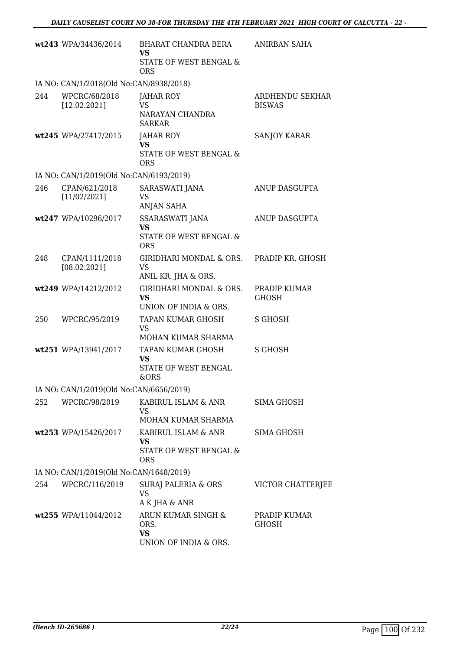|     | wt243 WPA/34436/2014                    | BHARAT CHANDRA BERA<br><b>VS</b>                                         | ANIRBAN SAHA                     |
|-----|-----------------------------------------|--------------------------------------------------------------------------|----------------------------------|
|     |                                         | STATE OF WEST BENGAL &<br><b>ORS</b>                                     |                                  |
|     | IA NO: CAN/1/2018(Old No:CAN/8938/2018) |                                                                          |                                  |
| 244 | WPCRC/68/2018<br>[12.02.2021]           | JAHAR ROY<br><b>VS</b><br>NARAYAN CHANDRA<br><b>SARKAR</b>               | ARDHENDU SEKHAR<br><b>BISWAS</b> |
|     | wt245 WPA/27417/2015                    | JAHAR ROY<br><b>VS</b><br>STATE OF WEST BENGAL &<br><b>ORS</b>           | <b>SANJOY KARAR</b>              |
|     | IA NO: CAN/1/2019(Old No:CAN/6193/2019) |                                                                          |                                  |
| 246 | CPAN/621/2018<br>[11/02/2021]           | SARASWATI JANA<br>VS<br><b>ANJAN SAHA</b>                                | ANUP DASGUPTA                    |
|     | wt247 WPA/10296/2017                    | <b>SSARASWATI JANA</b><br><b>VS</b>                                      | ANUP DASGUPTA                    |
|     |                                         | STATE OF WEST BENGAL &<br><b>ORS</b>                                     |                                  |
| 248 | CPAN/1111/2018<br>[08.02.2021]          | GIRIDHARI MONDAL & ORS.<br>VS<br>ANIL KR. JHA & ORS.                     | PRADIP KR. GHOSH                 |
|     | wt249 WPA/14212/2012                    | GIRIDHARI MONDAL & ORS.<br><b>VS</b><br>UNION OF INDIA & ORS.            | PRADIP KUMAR<br><b>GHOSH</b>     |
| 250 | WPCRC/95/2019                           | TAPAN KUMAR GHOSH<br>VS<br>MOHAN KUMAR SHARMA                            | S GHOSH                          |
|     | wt251 WPA/13941/2017                    | TAPAN KUMAR GHOSH<br>VS<br>STATE OF WEST BENGAL<br>&ORS                  | S GHOSH                          |
|     | IA NO: CAN/1/2019(Old No:CAN/6656/2019) |                                                                          |                                  |
| 252 | WPCRC/98/2019                           | KABIRUL ISLAM & ANR<br>VS<br>MOHAN KUMAR SHARMA                          | <b>SIMA GHOSH</b>                |
|     | wt253 WPA/15426/2017                    | KABIRUL ISLAM & ANR<br><b>VS</b><br>STATE OF WEST BENGAL &<br><b>ORS</b> | SIMA GHOSH                       |
|     | IA NO: CAN/1/2019(Old No:CAN/1648/2019) |                                                                          |                                  |
| 254 | WPCRC/116/2019                          | SURAJ PALERIA & ORS<br>VS<br>A K JHA & ANR                               | VICTOR CHATTERJEE                |
|     | wt255 WPA/11044/2012                    | ARUN KUMAR SINGH &<br>ORS.<br><b>VS</b><br>UNION OF INDIA & ORS.         | PRADIP KUMAR<br><b>GHOSH</b>     |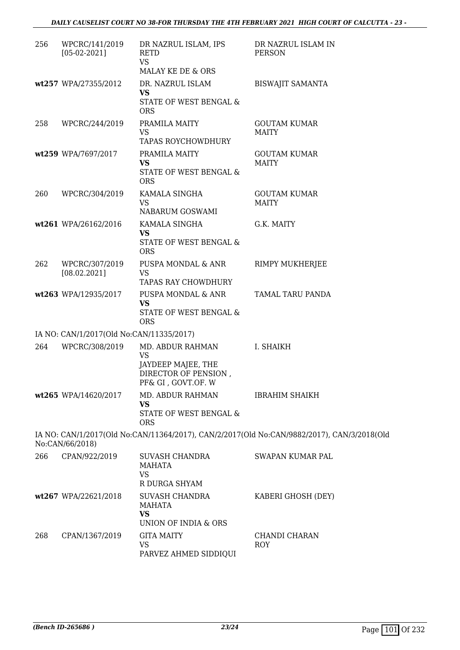| 256 | WPCRC/141/2019<br>$[05-02-2021]$         | DR NAZRUL ISLAM, IPS<br><b>RETD</b><br><b>VS</b><br>MALAY KE DE & ORS                             | DR NAZRUL ISLAM IN<br><b>PERSON</b>                                                        |
|-----|------------------------------------------|---------------------------------------------------------------------------------------------------|--------------------------------------------------------------------------------------------|
|     | wt257 WPA/27355/2012                     | DR. NAZRUL ISLAM<br>VS<br>STATE OF WEST BENGAL &<br><b>ORS</b>                                    | <b>BISWAJIT SAMANTA</b>                                                                    |
| 258 | WPCRC/244/2019                           | PRAMILA MAITY<br><b>VS</b><br>TAPAS ROYCHOWDHURY                                                  | <b>GOUTAM KUMAR</b><br><b>MAITY</b>                                                        |
|     | wt259 WPA/7697/2017                      | PRAMILA MAITY<br><b>VS</b><br>STATE OF WEST BENGAL &<br><b>ORS</b>                                | <b>GOUTAM KUMAR</b><br><b>MAITY</b>                                                        |
| 260 | WPCRC/304/2019                           | KAMALA SINGHA<br><b>VS</b><br>NABARUM GOSWAMI                                                     | <b>GOUTAM KUMAR</b><br><b>MAITY</b>                                                        |
|     | wt261 WPA/26162/2016                     | KAMALA SINGHA<br><b>VS</b><br>STATE OF WEST BENGAL &<br><b>ORS</b>                                | G.K. MAITY                                                                                 |
| 262 | WPCRC/307/2019<br>[08.02.2021]           | PUSPA MONDAL & ANR<br><b>VS</b><br>TAPAS RAY CHOWDHURY                                            | RIMPY MUKHERJEE                                                                            |
|     | wt263 WPA/12935/2017                     | PUSPA MONDAL & ANR<br><b>VS</b><br>STATE OF WEST BENGAL &<br><b>ORS</b>                           | TAMAL TARU PANDA                                                                           |
|     | IA NO: CAN/1/2017(Old No:CAN/11335/2017) |                                                                                                   |                                                                                            |
| 264 | WPCRC/308/2019                           | MD. ABDUR RAHMAN<br><b>VS</b><br>JAYDEEP MAJEE, THE<br>DIRECTOR OF PENSION,<br>PF& GI, GOVT.OF. W | I. SHAIKH                                                                                  |
|     | wt265 WPA/14620/2017                     | MD. ABDUR RAHMAN<br><b>VS</b><br>STATE OF WEST BENGAL &<br><b>ORS</b>                             | <b>IBRAHIM SHAIKH</b>                                                                      |
|     | No:CAN/66/2018)                          |                                                                                                   | IA NO: CAN/1/2017(Old No:CAN/11364/2017), CAN/2/2017(Old No:CAN/9882/2017), CAN/3/2018(Old |
| 266 | CPAN/922/2019                            | <b>SUVASH CHANDRA</b><br>MAHATA<br><b>VS</b><br>R DURGA SHYAM                                     | <b>SWAPAN KUMAR PAL</b>                                                                    |
|     | wt267 WPA/22621/2018                     | SUVASH CHANDRA<br>MAHATA<br>VS                                                                    | KABERI GHOSH (DEY)                                                                         |
|     |                                          | UNION OF INDIA & ORS                                                                              |                                                                                            |
| 268 | CPAN/1367/2019                           | <b>GITA MAITY</b><br><b>VS</b><br>PARVEZ AHMED SIDDIQUI                                           | CHANDI CHARAN<br>ROY                                                                       |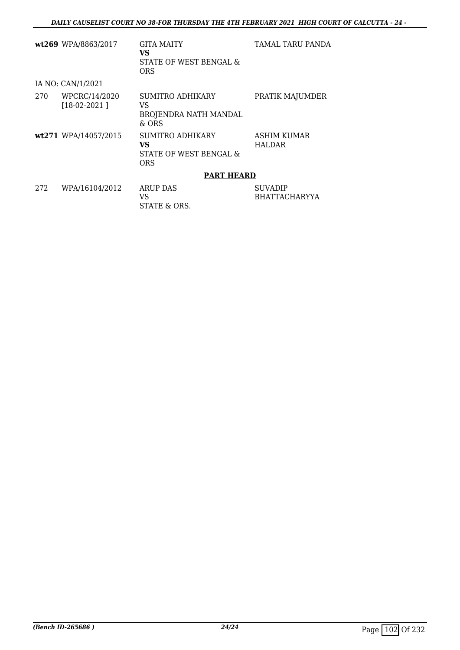|     | wt269 WPA/8863/2017             | GITA MAITY<br>VS<br>STATE OF WEST BENGAL &<br><b>ORS</b>       | TAMAL TARU PANDA                |
|-----|---------------------------------|----------------------------------------------------------------|---------------------------------|
|     | IA NO: CAN/1/2021               |                                                                |                                 |
| 270 | WPCRC/14/2020<br>$[18-02-2021]$ | SUMITRO ADHIKARY<br>VS<br>BROJENDRA NATH MANDAL<br>& ORS       | PRATIK MAJUMDER                 |
|     | wt271 WPA/14057/2015            | SUMITRO ADHIKARY<br>VS<br>STATE OF WEST BENGAL &<br><b>ORS</b> | ASHIM KUMAR<br><b>HALDAR</b>    |
|     |                                 | <b>PART HEARD</b>                                              |                                 |
| 272 | WPA/16104/2012                  | <b>ARUP DAS</b><br>VS<br>STATE & ORS.                          | <b>SUVADIP</b><br>BHATTACHARYYA |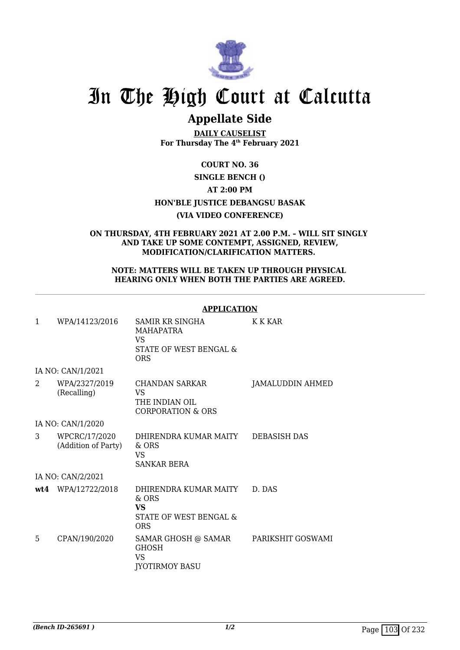

# **Appellate Side**

**DAILY CAUSELIST For Thursday The 4th February 2021**

**COURT NO. 36**

## **SINGLE BENCH ()**

## **AT 2:00 PM**

## **HON'BLE JUSTICE DEBANGSU BASAK**

## **(VIA VIDEO CONFERENCE)**

#### **ON THURSDAY, 4TH FEBRUARY 2021 AT 2.00 P.M. – WILL SIT SINGLY AND TAKE UP SOME CONTEMPT, ASSIGNED, REVIEW, MODIFICATION/CLARIFICATION MATTERS.**

#### **NOTE: MATTERS WILL BE TAKEN UP THROUGH PHYSICAL HEARING ONLY WHEN BOTH THE PARTIES ARE AGREED.**

#### **APPLICATION**

| $\mathbf{1}$ | WPA/14123/2016                       | SAMIR KR SINGHA<br>MAHAPATRA<br>VS<br>STATE OF WEST BENGAL &<br><b>ORS</b>           | K K KAR           |
|--------------|--------------------------------------|--------------------------------------------------------------------------------------|-------------------|
|              | IA NO: CAN/1/2021                    |                                                                                      |                   |
| 2            | WPA/2327/2019<br>(Recalling)         | <b>CHANDAN SARKAR</b><br><b>VS</b><br>THE INDIAN OIL<br><b>CORPORATION &amp; ORS</b> | JAMALUDDIN AHMED  |
|              | IA NO: CAN/1/2020                    |                                                                                      |                   |
| 3            | WPCRC/17/2020<br>(Addition of Party) | DHIRENDRA KUMAR MAITY<br>$&$ ORS<br><b>VS</b><br><b>SANKAR BERA</b>                  | DEBASISH DAS      |
|              | IA NO: CAN/2/2021                    |                                                                                      |                   |
|              | wt4 WPA/12722/2018                   | DHIRENDRA KUMAR MAITY<br>& ORS<br><b>VS</b><br>STATE OF WEST BENGAL &<br><b>ORS</b>  | D. DAS            |
| 5            | CPAN/190/2020                        | SAMAR GHOSH @ SAMAR<br>GHOSH<br><b>VS</b><br><b>JYOTIRMOY BASU</b>                   | PARIKSHIT GOSWAMI |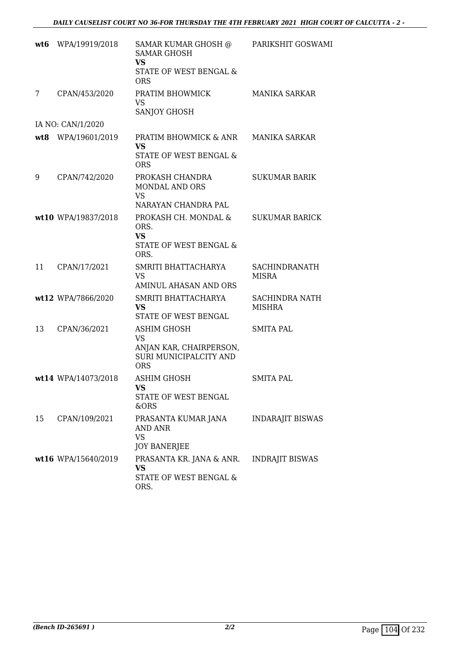| wt6 | WPA/19919/2018      | SAMAR KUMAR GHOSH @<br><b>SAMAR GHOSH</b><br><b>VS</b><br>STATE OF WEST BENGAL &<br><b>ORS</b> | PARIKSHIT GOSWAMI               |
|-----|---------------------|------------------------------------------------------------------------------------------------|---------------------------------|
| 7   | CPAN/453/2020       | PRATIM BHOWMICK<br><b>VS</b><br>SANJOY GHOSH                                                   | <b>MANIKA SARKAR</b>            |
|     | IA NO: CAN/1/2020   |                                                                                                |                                 |
|     | wt8 WPA/19601/2019  | PRATIM BHOWMICK & ANR<br><b>VS</b><br>STATE OF WEST BENGAL &<br><b>ORS</b>                     | <b>MANIKA SARKAR</b>            |
| 9   | CPAN/742/2020       | PROKASH CHANDRA<br><b>MONDAL AND ORS</b><br><b>VS</b><br>NARAYAN CHANDRA PAL                   | <b>SUKUMAR BARIK</b>            |
|     | wt10 WPA/19837/2018 | PROKASH CH. MONDAL &<br>ORS.<br><b>VS</b><br><b>STATE OF WEST BENGAL &amp;</b><br>ORS.         | <b>SUKUMAR BARICK</b>           |
| 11  | CPAN/17/2021        | SMRITI BHATTACHARYA<br><b>VS</b><br>AMINUL AHASAN AND ORS                                      | SACHINDRANATH<br><b>MISRA</b>   |
|     | wt12 WPA/7866/2020  | SMRITI BHATTACHARYA<br><b>VS</b><br>STATE OF WEST BENGAL                                       | SACHINDRA NATH<br><b>MISHRA</b> |
| 13  | CPAN/36/2021        | ASHIM GHOSH<br><b>VS</b><br>ANJAN KAR, CHAIRPERSON,<br>SURI MUNICIPALCITY AND<br><b>ORS</b>    | SMITA PAL                       |
|     | wt14 WPA/14073/2018 | <b>ASHIM GHOSH</b><br>VS<br>STATE OF WEST BENGAL<br>&ORS                                       | <b>SMITA PAL</b>                |
| 15  | CPAN/109/2021       | PRASANTA KUMAR JANA<br>AND ANR<br><b>VS</b><br>JOY BANERJEE                                    | <b>INDARAJIT BISWAS</b>         |
|     | wt16 WPA/15640/2019 | PRASANTA KR. JANA & ANR.<br>VS<br>STATE OF WEST BENGAL &<br>ORS.                               | <b>INDRAJIT BISWAS</b>          |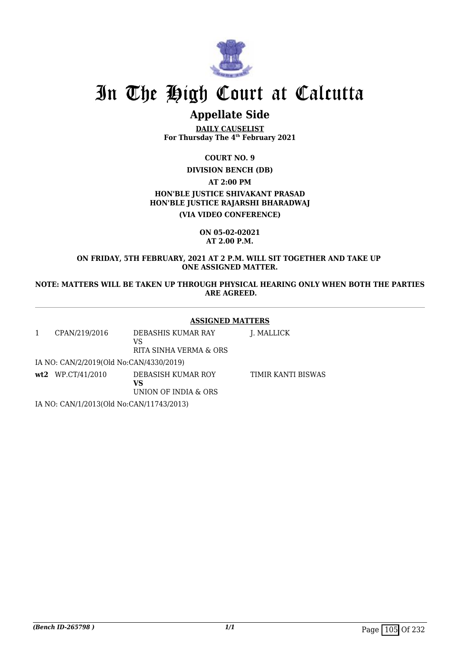

# **Appellate Side**

**DAILY CAUSELIST For Thursday The 4th February 2021**

**COURT NO. 9**

**DIVISION BENCH (DB)**

**AT 2:00 PM**

**HON'BLE JUSTICE SHIVAKANT PRASAD HON'BLE JUSTICE RAJARSHI BHARADWAJ**

**(VIA VIDEO CONFERENCE)**

**ON 05-02-02021 AT 2.00 P.M.**

**ON FRIDAY, 5TH FEBRUARY, 2021 AT 2 P.M. WILL SIT TOGETHER AND TAKE UP ONE ASSIGNED MATTER.**

**NOTE: MATTERS WILL BE TAKEN UP THROUGH PHYSICAL HEARING ONLY WHEN BOTH THE PARTIES ARE AGREED.**

#### **ASSIGNED MATTERS**

| CPAN/219/2016                            | DEBASHIS KUMAR RAY<br>VS<br>RITA SINHA VERMA & ORS | J. MALLICK         |
|------------------------------------------|----------------------------------------------------|--------------------|
| IA NO: CAN/2/2019(Old No:CAN/4330/2019)  |                                                    |                    |
| $wt2$ WP.CT/41/2010                      | DEBASISH KUMAR ROY<br>VS<br>UNION OF INDIA & ORS   | TIMIR KANTI BISWAS |
| IA NO: CAN/1/2013(Old No:CAN/11743/2013) |                                                    |                    |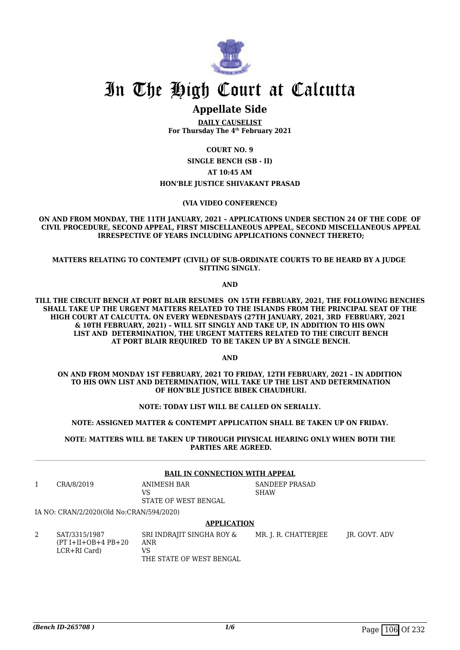

# **Appellate Side**

**DAILY CAUSELIST For Thursday The 4th February 2021**

**COURT NO. 9**

**SINGLE BENCH (SB - II)**

**AT 10:45 AM**

#### **HON'BLE JUSTICE SHIVAKANT PRASAD**

#### **(VIA VIDEO CONFERENCE)**

#### **ON AND FROM MONDAY, THE 11TH JANUARY, 2021 – APPLICATIONS UNDER SECTION 24 OF THE CODE OF CIVIL PROCEDURE, SECOND APPEAL, FIRST MISCELLANEOUS APPEAL, SECOND MISCELLANEOUS APPEAL IRRESPECTIVE OF YEARS INCLUDING APPLICATIONS CONNECT THERETO;**

#### **MATTERS RELATING TO CONTEMPT (CIVIL) OF SUB-ORDINATE COURTS TO BE HEARD BY A JUDGE SITTING SINGLY.**

**AND**

**TILL THE CIRCUIT BENCH AT PORT BLAIR RESUMES ON 15TH FEBRUARY, 2021, THE FOLLOWING BENCHES SHALL TAKE UP THE URGENT MATTERS RELATED TO THE ISLANDS FROM THE PRINCIPAL SEAT OF THE HIGH COURT AT CALCUTTA. ON EVERY WEDNESDAYS (27TH JANUARY, 2021, 3RD FEBRUARY, 2021 & 10TH FEBRUARY, 2021) – WILL SIT SINGLY AND TAKE UP, IN ADDITION TO HIS OWN LIST AND DETERMINATION, THE URGENT MATTERS RELATED TO THE CIRCUIT BENCH AT PORT BLAIR REQUIRED TO BE TAKEN UP BY A SINGLE BENCH.**

**AND**

**ON AND FROM MONDAY 1ST FEBRUARY, 2021 TO FRIDAY, 12TH FEBRUARY, 2021 – IN ADDITION TO HIS OWN LIST AND DETERMINATION, WILL TAKE UP THE LIST AND DETERMINATION OF HON'BLE JUSTICE BIBEK CHAUDHURI.**

**NOTE: TODAY LIST WILL BE CALLED ON SERIALLY.**

**NOTE: ASSIGNED MATTER & CONTEMPT APPLICATION SHALL BE TAKEN UP ON FRIDAY.**

**NOTE: MATTERS WILL BE TAKEN UP THROUGH PHYSICAL HEARING ONLY WHEN BOTH THE PARTIES ARE AGREED.**

| <b>BAIL IN CONNECTION WITH APPEAL</b> |                                                        |                                                                    |                               |               |  |
|---------------------------------------|--------------------------------------------------------|--------------------------------------------------------------------|-------------------------------|---------------|--|
|                                       | CRA/8/2019                                             | ANIMESH BAR<br>VS<br>STATE OF WEST BENGAL                          | SANDEEP PRASAD<br><b>SHAW</b> |               |  |
|                                       | IA NO: CRAN/2/2020(Old No:CRAN/594/2020)               |                                                                    |                               |               |  |
|                                       | <b>APPLICATION</b>                                     |                                                                    |                               |               |  |
| 2                                     | SAT/3315/1987<br>$(PT I+II+OB+4 PB+20$<br>LCR+RI Card) | SRI INDRAJIT SINGHA ROY &<br>ANR<br>VS<br>THE STATE OF WEST BENGAL | MR. J. R. CHATTERJEE          | IR. GOVT. ADV |  |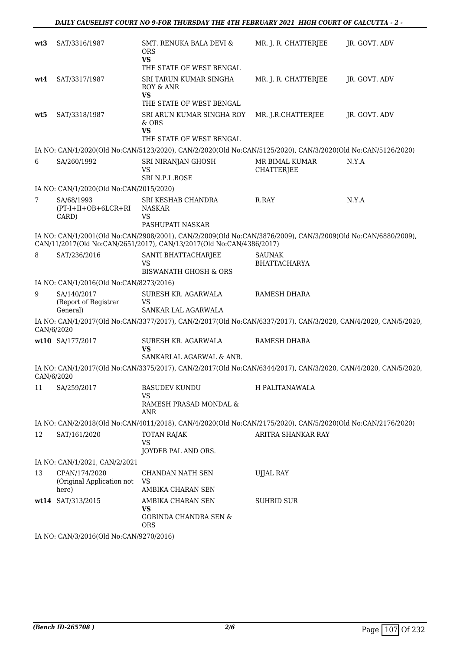| wt3        | SAT/3316/1987                                       | SMT. RENUKA BALA DEVI &<br><b>ORS</b><br><b>VS</b><br>THE STATE OF WEST BENGAL                                                                                                       | MR. J. R. CHATTERJEE                | JR. GOVT. ADV |
|------------|-----------------------------------------------------|--------------------------------------------------------------------------------------------------------------------------------------------------------------------------------------|-------------------------------------|---------------|
| wt4        | SAT/3317/1987                                       | SRI TARUN KUMAR SINGHA<br>ROY & ANR<br><b>VS</b>                                                                                                                                     | MR. J. R. CHATTERJEE                | JR. GOVT. ADV |
| wt5        | SAT/3318/1987                                       | THE STATE OF WEST BENGAL<br>SRI ARUN KUMAR SINGHA ROY<br>& ORS<br>VS<br>THE STATE OF WEST BENGAL                                                                                     | MR. J.R.CHATTERJEE                  | JR. GOVT. ADV |
|            |                                                     | IA NO: CAN/1/2020(Old No:CAN/5123/2020), CAN/2/2020(Old No:CAN/5125/2020), CAN/3/2020(Old No:CAN/5126/2020)                                                                          |                                     |               |
| 6          | SA/260/1992                                         | SRI NIRANJAN GHOSH<br><b>VS</b><br>SRI N.P.L.BOSE                                                                                                                                    | MR BIMAL KUMAR<br><b>CHATTERJEE</b> | N.Y.A         |
|            | IA NO: CAN/1/2020(Old No:CAN/2015/2020)             |                                                                                                                                                                                      |                                     |               |
| 7          | SA/68/1993<br>$(PT-I+II+OB+6LCR+RI)$<br>CARD)       | SRI KESHAB CHANDRA<br><b>NASKAR</b><br>VS<br>PASHUPATI NASKAR                                                                                                                        | R.RAY                               | N.Y.A         |
|            |                                                     | IA NO: CAN/1/2001(Old No:CAN/2908/2001), CAN/2/2009(Old No:CAN/3876/2009), CAN/3/2009(Old No:CAN/6880/2009),<br>CAN/11/2017(Old No:CAN/2651/2017), CAN/13/2017(Old No:CAN/4386/2017) |                                     |               |
| 8          | SAT/236/2016                                        | SANTI BHATTACHARJEE<br>VS<br><b>BISWANATH GHOSH &amp; ORS</b>                                                                                                                        | SAUNAK<br>BHATTACHARYA              |               |
|            | IA NO: CAN/1/2016(Old No:CAN/8273/2016)             |                                                                                                                                                                                      |                                     |               |
| 9          | SA/140/2017<br>(Report of Registrar<br>General)     | SURESH KR. AGARWALA<br><b>VS</b><br>SANKAR LAL AGARWALA                                                                                                                              | RAMESH DHARA                        |               |
| CAN/6/2020 |                                                     | IA NO: CAN/1/2017(Old No:CAN/3377/2017), CAN/2/2017(Old No:CAN/6337/2017), CAN/3/2020, CAN/4/2020, CAN/5/2020,                                                                       |                                     |               |
|            | wt10 SA/177/2017                                    | SURESH KR. AGARWALA<br><b>VS</b><br>SANKARLAL AGARWAL & ANR.                                                                                                                         | RAMESH DHARA                        |               |
| CAN/6/2020 |                                                     | IA NO: CAN/1/2017(Old No:CAN/3375/2017), CAN/2/2017(Old No:CAN/6344/2017), CAN/3/2020, CAN/4/2020, CAN/5/2020,                                                                       |                                     |               |
| 11         | SA/259/2017                                         | <b>BASUDEV KUNDU</b><br>VS<br>RAMESH PRASAD MONDAL &<br><b>ANR</b>                                                                                                                   | H PALITANAWALA                      |               |
|            |                                                     | IA NO: CAN/2/2018(Old No:CAN/4011/2018), CAN/4/2020(Old No:CAN/2175/2020), CAN/5/2020(Old No:CAN/2176/2020)                                                                          |                                     |               |
| 12         | SAT/161/2020                                        | <b>TOTAN RAJAK</b><br><b>VS</b><br>JOYDEB PAL AND ORS.                                                                                                                               | ARITRA SHANKAR RAY                  |               |
|            | IA NO: CAN/1/2021, CAN/2/2021                       |                                                                                                                                                                                      |                                     |               |
| 13         | CPAN/174/2020<br>(Original Application not<br>here) | CHANDAN NATH SEN<br><b>VS</b><br>AMBIKA CHARAN SEN                                                                                                                                   | <b>UJJAL RAY</b>                    |               |
|            | wt14 SAT/313/2015                                   | AMBIKA CHARAN SEN<br>VS<br><b>GOBINDA CHANDRA SEN &amp;</b><br><b>ORS</b>                                                                                                            | <b>SUHRID SUR</b>                   |               |
|            | IA NO: CAN/3/2016(Old No:CAN/9270/2016)             |                                                                                                                                                                                      |                                     |               |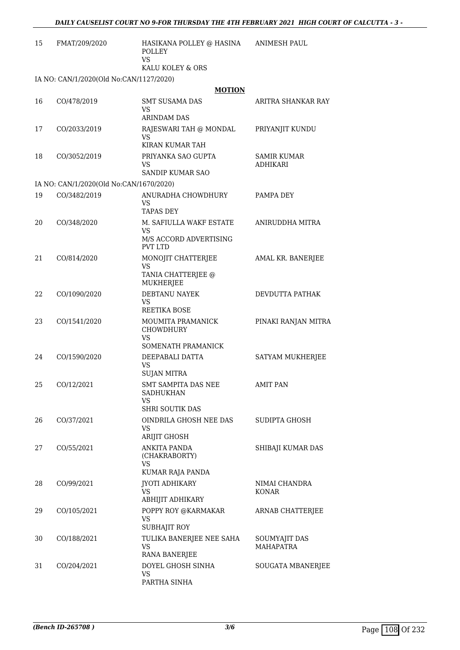| 15 | FMAT/209/2020                           | HASIKANA POLLEY @ HASINA<br><b>POLLEY</b><br>VS.               | <b>ANIMESH PAUL</b>                   |
|----|-----------------------------------------|----------------------------------------------------------------|---------------------------------------|
|    |                                         | KALU KOLEY & ORS                                               |                                       |
|    | IA NO: CAN/1/2020(Old No:CAN/1127/2020) |                                                                |                                       |
|    |                                         | <b>MOTION</b>                                                  |                                       |
| 16 | CO/478/2019                             | <b>SMT SUSAMA DAS</b><br><b>VS</b><br><b>ARINDAM DAS</b>       | ARITRA SHANKAR RAY                    |
| 17 | CO/2033/2019                            | RAJESWARI TAH @ MONDAL<br>VS                                   | PRIYANJIT KUNDU                       |
|    |                                         | KIRAN KUMAR TAH                                                |                                       |
| 18 | CO/3052/2019                            | PRIYANKA SAO GUPTA<br><b>VS</b><br><b>SANDIP KUMAR SAO</b>     | <b>SAMIR KUMAR</b><br><b>ADHIKARI</b> |
|    | IA NO: CAN/1/2020(Old No:CAN/1670/2020) |                                                                |                                       |
| 19 | CO/3482/2019                            | ANURADHA CHOWDHURY<br>VS.<br><b>TAPAS DEY</b>                  | PAMPA DEY                             |
| 20 | CO/348/2020                             | M. SAFIULLA WAKF ESTATE<br>VS.                                 | ANIRUDDHA MITRA                       |
|    |                                         | M/S ACCORD ADVERTISING<br><b>PVT LTD</b>                       |                                       |
| 21 | CO/814/2020                             | MONOJIT CHATTERJEE<br>VS                                       | AMAL KR. BANERJEE                     |
|    |                                         | TANIA CHATTERJEE @<br>MUKHERJEE                                |                                       |
| 22 | CO/1090/2020                            | DEBTANU NAYEK<br><b>VS</b><br>REETIKA BOSE                     | DEVDUTTA PATHAK                       |
| 23 | CO/1541/2020                            | MOUMITA PRAMANICK<br>CHOWDHURY<br>VS<br>SOMENATH PRAMANICK     | PINAKI RANJAN MITRA                   |
| 24 | CO/1590/2020                            | DEEPABALI DATTA<br>VS<br><b>SUJAN MITRA</b>                    | SATYAM MUKHERJEE                      |
|    | 25 CO/12/2021                           | SMT SAMPITA DAS NEE<br><b>SADHUKHAN</b><br>VS.                 | <b>AMIT PAN</b>                       |
|    |                                         | <b>SHRI SOUTIK DAS</b>                                         |                                       |
| 26 | CO/37/2021                              | OINDRILA GHOSH NEE DAS<br>VS.<br>ARIJIT GHOSH                  | SUDIPTA GHOSH                         |
| 27 | CO/55/2021                              | ANKITA PANDA<br>(CHAKRABORTY)<br><b>VS</b><br>KUMAR RAJA PANDA | SHIBAJI KUMAR DAS                     |
| 28 | CO/99/2021                              | <b>JYOTI ADHIKARY</b><br><b>VS</b><br>ABHIJIT ADHIKARY         | NIMAI CHANDRA<br>KONAR                |
| 29 | CO/105/2021                             | POPPY ROY @KARMAKAR<br><b>VS</b><br><b>SUBHAJIT ROY</b>        | ARNAB CHATTERJEE                      |
| 30 | CO/188/2021                             | TULIKA BANERJEE NEE SAHA<br><b>VS</b><br><b>RANA BANERJEE</b>  | SOUMYAJIT DAS<br><b>MAHAPATRA</b>     |
| 31 | CO/204/2021                             | DOYEL GHOSH SINHA<br><b>VS</b><br>PARTHA SINHA                 | SOUGATA MBANERJEE                     |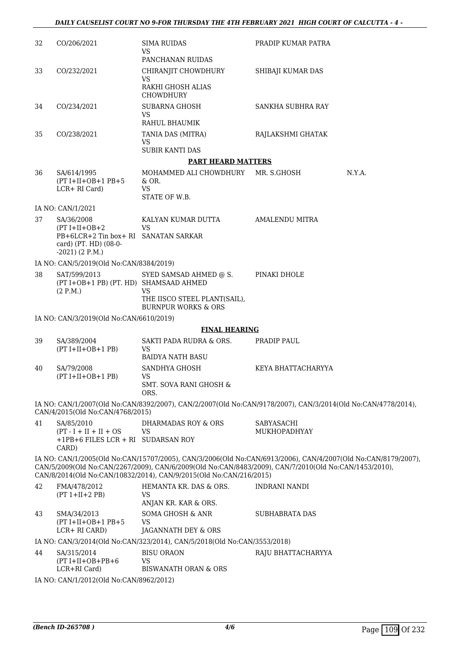| 32 | CO/206/2021                                                                                                           | <b>SIMA RUIDAS</b><br>VS.                                                                                                                                                                                                                                                                    | PRADIP KUMAR PATRA         |        |
|----|-----------------------------------------------------------------------------------------------------------------------|----------------------------------------------------------------------------------------------------------------------------------------------------------------------------------------------------------------------------------------------------------------------------------------------|----------------------------|--------|
| 33 | CO/232/2021                                                                                                           | PANCHANAN RUIDAS<br>CHIRANJIT CHOWDHURY                                                                                                                                                                                                                                                      | SHIBAJI KUMAR DAS          |        |
|    |                                                                                                                       | <b>VS</b><br>RAKHI GHOSH ALIAS<br>CHOWDHURY                                                                                                                                                                                                                                                  |                            |        |
| 34 | CO/234/2021                                                                                                           | <b>SUBARNA GHOSH</b><br><b>VS</b><br>RAHUL BHAUMIK                                                                                                                                                                                                                                           | SANKHA SUBHRA RAY          |        |
| 35 | CO/238/2021                                                                                                           | TANIA DAS (MITRA)<br><b>VS</b>                                                                                                                                                                                                                                                               | RAJLAKSHMI GHATAK          |        |
|    |                                                                                                                       | <b>SUBIR KANTI DAS</b>                                                                                                                                                                                                                                                                       |                            |        |
|    |                                                                                                                       | <b>PART HEARD MATTERS</b>                                                                                                                                                                                                                                                                    |                            |        |
| 36 | SA/614/1995<br>$(PT I+II+OB+1 PB+5$<br>LCR+ RI Card)                                                                  | MOHAMMED ALI CHOWDHURY<br>$&$ OR.<br><b>VS</b><br>STATE OF W.B.                                                                                                                                                                                                                              | MR. S.GHOSH                | N.Y.A. |
|    | IA NO: CAN/1/2021                                                                                                     |                                                                                                                                                                                                                                                                                              |                            |        |
| 37 | SA/36/2008<br>$(PT I+II+OB+2)$<br>PB+6LCR+2 Tin box+ RI SANATAN SARKAR<br>card) (PT. HD) (08-0-<br>$-2021$ ) (2 P.M.) | KALYAN KUMAR DUTTA<br><b>VS</b>                                                                                                                                                                                                                                                              | <b>AMALENDU MITRA</b>      |        |
|    | IA NO: CAN/5/2019(Old No:CAN/8384/2019)                                                                               |                                                                                                                                                                                                                                                                                              |                            |        |
| 38 | SAT/599/2013<br>(PT I+OB+1 PB) (PT. HD) SHAMSAAD AHMED<br>(2 P.M.)                                                    | SYED SAMSAD AHMED @ S.<br><b>VS</b><br>THE IISCO STEEL PLANT(SAIL),                                                                                                                                                                                                                          | PINAKI DHOLE               |        |
|    |                                                                                                                       | <b>BURNPUR WORKS &amp; ORS</b>                                                                                                                                                                                                                                                               |                            |        |
|    | IA NO: CAN/3/2019(Old No:CAN/6610/2019)                                                                               | <b>FINAL HEARING</b>                                                                                                                                                                                                                                                                         |                            |        |
| 39 | SA/389/2004                                                                                                           | SAKTI PADA RUDRA & ORS.                                                                                                                                                                                                                                                                      | PRADIP PAUL                |        |
|    | $(PT I+II+OB+1 PB)$                                                                                                   | <b>VS</b><br><b>BAIDYA NATH BASU</b>                                                                                                                                                                                                                                                         |                            |        |
| 40 | SA/79/2008<br>$(PT I+II+OB+1 PB)$                                                                                     | SANDHYA GHOSH<br>VS<br><b>SMT. SOVA RANI GHOSH &amp;</b><br>ORS.                                                                                                                                                                                                                             | KEYA BHATTACHARYYA         |        |
|    | CAN/4/2015(Old No:CAN/4768/2015)                                                                                      | IA NO: CAN/1/2007(Old No:CAN/8392/2007), CAN/2/2007(Old No:CAN/9178/2007), CAN/3/2014(Old No:CAN/4778/2014),                                                                                                                                                                                 |                            |        |
| 41 | SA/85/2010<br>$(PT - I + II + II + OS$<br>+1PB+6 FILES LCR + RI SUDARSAN ROY<br>CARD)                                 | DHARMADAS ROY & ORS<br><b>VS</b>                                                                                                                                                                                                                                                             | SABYASACHI<br>MUKHOPADHYAY |        |
|    |                                                                                                                       | IA NO: CAN/1/2005(Old No:CAN/15707/2005), CAN/3/2006(Old No:CAN/6913/2006), CAN/4/2007(Old No:CAN/8179/2007),<br>CAN/5/2009(Old No:CAN/2267/2009), CAN/6/2009(Old No:CAN/8483/2009), CAN/7/2010(Old No:CAN/1453/2010),<br>CAN/8/2014(Old No:CAN/10832/2014), CAN/9/2015(Old No:CAN/216/2015) |                            |        |
| 42 | FMA/478/2012<br>$(PT 1+II+2 PB)$                                                                                      | HEMANTA KR. DAS & ORS.<br><b>VS</b><br>ANJAN KR. KAR & ORS.                                                                                                                                                                                                                                  | INDRANI NANDI              |        |
| 43 | SMA/34/2013<br>$(PT I+II+OB+1 PB+5$<br>LCR+ RI CARD)                                                                  | <b>SOMA GHOSH &amp; ANR</b><br><b>VS</b><br>JAGANNATH DEY & ORS                                                                                                                                                                                                                              | <b>SUBHABRATA DAS</b>      |        |
|    |                                                                                                                       | IA NO: CAN/3/2014(Old No:CAN/323/2014), CAN/5/2018(Old No:CAN/3553/2018)                                                                                                                                                                                                                     |                            |        |
| 44 | SA/315/2014<br>$(PT I+II+OB+PB+6)$<br>LCR+RI Card)                                                                    | <b>BISU ORAON</b><br><b>VS</b><br><b>BISWANATH ORAN &amp; ORS</b>                                                                                                                                                                                                                            | RAJU BHATTACHARYYA         |        |
|    |                                                                                                                       |                                                                                                                                                                                                                                                                                              |                            |        |

IA NO: CAN/1/2012(Old No:CAN/8962/2012)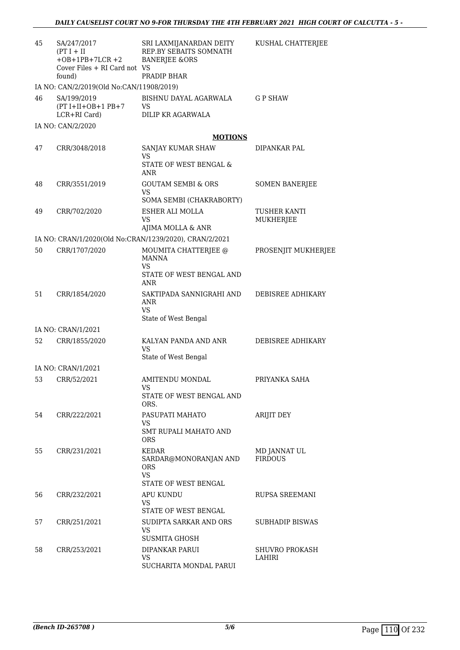| 45 | SA/247/2017<br>$(PT I + II$<br>$+OB+1PB+7LCR+2$<br>Cover Files + RI Card not VS | SRI LAXMIJANARDAN DEITY<br>REP.BY SEBAITS SOMNATH<br><b>BANERJEE &amp;ORS</b> | KUSHAL CHATTERJEE                |
|----|---------------------------------------------------------------------------------|-------------------------------------------------------------------------------|----------------------------------|
|    | found)<br>IA NO: CAN/2/2019(Old No:CAN/11908/2019)                              | PRADIP BHAR                                                                   |                                  |
| 46 | SA/199/2019<br>$(PT I+II+OB+1 PB+7)$<br>LCR+RI Card)                            | BISHNU DAYAL AGARWALA<br>VS<br>DILIP KR AGARWALA                              | <b>GP SHAW</b>                   |
|    | IA NO: CAN/2/2020                                                               |                                                                               |                                  |
|    |                                                                                 | <b>MOTIONS</b>                                                                |                                  |
| 47 | CRR/3048/2018                                                                   | SANJAY KUMAR SHAW<br><b>VS</b>                                                | DIPANKAR PAL                     |
|    |                                                                                 | STATE OF WEST BENGAL &<br>ANR                                                 |                                  |
| 48 | CRR/3551/2019                                                                   | <b>GOUTAM SEMBI &amp; ORS</b><br>VS.                                          | <b>SOMEN BANERJEE</b>            |
|    |                                                                                 | SOMA SEMBI (CHAKRABORTY)                                                      |                                  |
| 49 | CRR/702/2020                                                                    | ESHER ALI MOLLA<br>VS.<br>AJIMA MOLLA & ANR                                   | <b>TUSHER KANTI</b><br>MUKHERJEE |
|    |                                                                                 | IA NO: CRAN/1/2020(Old No:CRAN/1239/2020), CRAN/2/2021                        |                                  |
| 50 | CRR/1707/2020                                                                   | MOUMITA CHATTERJEE @<br><b>MANNA</b>                                          | PROSENJIT MUKHERJEE              |
|    |                                                                                 | VS.<br>STATE OF WEST BENGAL AND<br>ANR                                        |                                  |
| 51 | CRR/1854/2020                                                                   | SAKTIPADA SANNIGRAHI AND<br>ANR<br>VS.                                        | DEBISREE ADHIKARY                |
|    |                                                                                 | State of West Bengal                                                          |                                  |
|    | IA NO: CRAN/1/2021                                                              |                                                                               |                                  |
| 52 | CRR/1855/2020                                                                   | KALYAN PANDA AND ANR<br>VS<br>State of West Bengal                            | DEBISREE ADHIKARY                |
|    | IA NO: CRAN/1/2021                                                              |                                                                               |                                  |
| 53 | CRR/52/2021                                                                     | AMITENDU MONDAL<br>VS                                                         | PRIYANKA SAHA                    |
|    |                                                                                 | STATE OF WEST BENGAL AND<br>ORS.                                              |                                  |
| 54 | CRR/222/2021                                                                    | PASUPATI MAHATO<br>VS.                                                        | ARIJIT DEY                       |
|    |                                                                                 | SMT RUPALI MAHATO AND<br>ORS                                                  |                                  |
| 55 | CRR/231/2021                                                                    | KEDAR<br>SARDAR@MONORANJAN AND<br>ORS<br><b>VS</b><br>STATE OF WEST BENGAL    | MD JANNAT UL<br><b>FIRDOUS</b>   |
| 56 | CRR/232/2021                                                                    | APU KUNDU<br>VS.                                                              | RUPSA SREEMANI                   |
| 57 | CRR/251/2021                                                                    | STATE OF WEST BENGAL<br>SUDIPTA SARKAR AND ORS<br>VS.                         | <b>SUBHADIP BISWAS</b>           |
| 58 | CRR/253/2021                                                                    | <b>SUSMITA GHOSH</b><br>DIPANKAR PARUI<br>VS.<br>SUCHARITA MONDAL PARUI       | <b>SHUVRO PROKASH</b><br>LAHIRI  |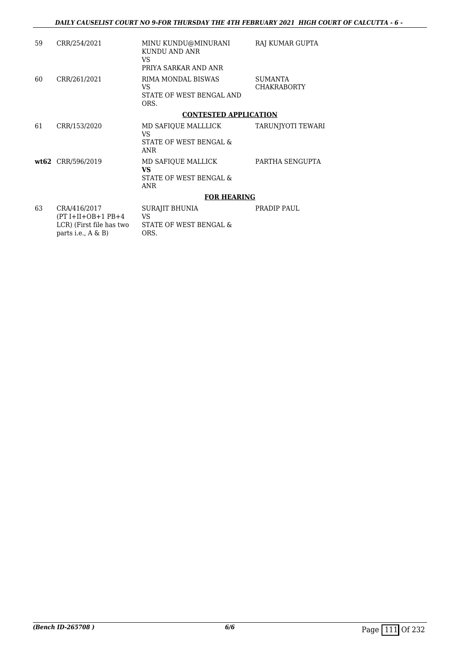| 59 | CRR/254/2021                                     | MINU KUNDU@MINURANI<br>KUNDU AND ANR | RAJ KUMAR GUPTA               |
|----|--------------------------------------------------|--------------------------------------|-------------------------------|
|    |                                                  | VS<br>PRIYA SARKAR AND ANR           |                               |
| 60 | CRR/261/2021                                     | RIMA MONDAL BISWAS<br>VS.            | SUMANTA<br><b>CHAKRABORTY</b> |
|    |                                                  | STATE OF WEST BENGAL AND<br>ORS.     |                               |
|    |                                                  | <b>CONTESTED APPLICATION</b>         |                               |
| 61 | CRR/153/2020                                     | MD SAFIOUE MALLLICK<br>VS            | TARUNJYOTI TEWARI             |
|    |                                                  | STATE OF WEST BENGAL &<br>ANR        |                               |
|    | wt62 CRR/596/2019                                | MD SAFIOUE MALLICK<br>VS.            | PARTHA SENGUPTA               |
|    |                                                  | STATE OF WEST BENGAL &<br>ANR        |                               |
|    |                                                  | <b>FOR HEARING</b>                   |                               |
| 63 | CRA/416/2017<br>$(PT I+II+OB+1 PB+4$             | SURAJIT BHUNIA<br>VS.                | PRADIP PAUL                   |
|    | LCR) (First file has two<br>parts i.e., $A \& B$ | STATE OF WEST BENGAL &<br>ORS.       |                               |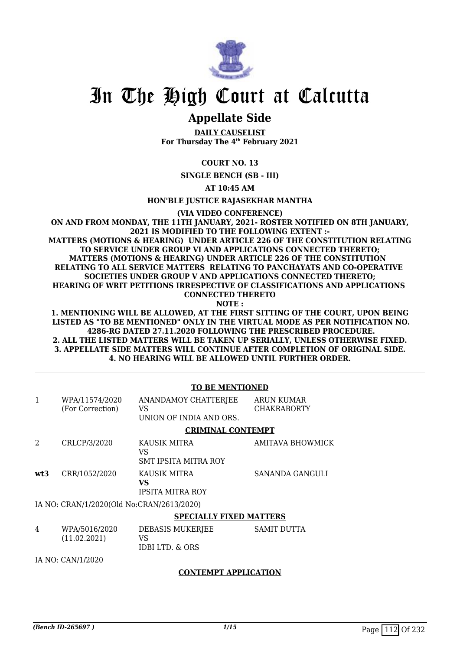

# In The High Court at Calcutta

# **Appellate Side**

**DAILY CAUSELIST For Thursday The 4th February 2021**

## **COURT NO. 13**

**SINGLE BENCH (SB - III)**

**AT 10:45 AM**

**HON'BLE JUSTICE RAJASEKHAR MANTHA**

**(VIA VIDEO CONFERENCE)**

**ON AND FROM MONDAY, THE 11TH JANUARY, 2021- ROSTER NOTIFIED ON 8TH JANUARY, 2021 IS MODIFIED TO THE FOLLOWING EXTENT :- MATTERS (MOTIONS & HEARING) UNDER ARTICLE 226 OF THE CONSTITUTION RELATING TO SERVICE UNDER GROUP VI AND APPLICATIONS CONNECTED THERETO; MATTERS (MOTIONS & HEARING) UNDER ARTICLE 226 OF THE CONSTITUTION RELATING TO ALL SERVICE MATTERS RELATING TO PANCHAYATS AND CO-OPERATIVE SOCIETIES UNDER GROUP V AND APPLICATIONS CONNECTED THERETO; HEARING OF WRIT PETITIONS IRRESPECTIVE OF CLASSIFICATIONS AND APPLICATIONS CONNECTED THERETO**

**NOTE :**

**1. MENTIONING WILL BE ALLOWED, AT THE FIRST SITTING OF THE COURT, UPON BEING LISTED AS "TO BE MENTIONED" ONLY IN THE VIRTUAL MODE AS PER NOTIFICATION NO. 4286-RG DATED 27.11.2020 FOLLOWING THE PRESCRIBED PROCEDURE. 2. ALL THE LISTED MATTERS WILL BE TAKEN UP SERIALLY, UNLESS OTHERWISE FIXED. 3. APPELLATE SIDE MATTERS WILL CONTINUE AFTER COMPLETION OF ORIGINAL SIDE. 4. NO HEARING WILL BE ALLOWED UNTIL FURTHER ORDER.**

### **TO BE MENTIONED**

|     | WPA/11574/2020<br>(For Correction)        | ANANDAMOY CHATTERJEE<br>VS     | ARUN KUMAR<br><b>CHAKRABORTY</b> |
|-----|-------------------------------------------|--------------------------------|----------------------------------|
|     |                                           | UNION OF INDIA AND ORS.        |                                  |
|     |                                           | <b>CRIMINAL CONTEMPT</b>       |                                  |
| 2   | CRLCP/3/2020                              | KAUSIK MITRA<br>VS             | AMITAVA BHOWMICK                 |
|     |                                           | SMT IPSITA MITRA ROY           |                                  |
| wt3 | CRR/1052/2020                             | KAUSIK MITRA<br>VS             | SANANDA GANGULI                  |
|     |                                           | <b>IPSITA MITRA ROY</b>        |                                  |
|     | IA NO: CRAN/1/2020(Old No:CRAN/2613/2020) |                                |                                  |
|     |                                           | <b>SPECIALLY FIXED MATTERS</b> |                                  |
| 4   | WPA/5016/2020<br>(11.02.2021)             | DEBASIS MUKERJEE<br>VS         | <b>SAMIT DUTTA</b>               |
|     |                                           | IDBI LTD. & ORS                |                                  |

IA NO: CAN/1/2020

### **CONTEMPT APPLICATION**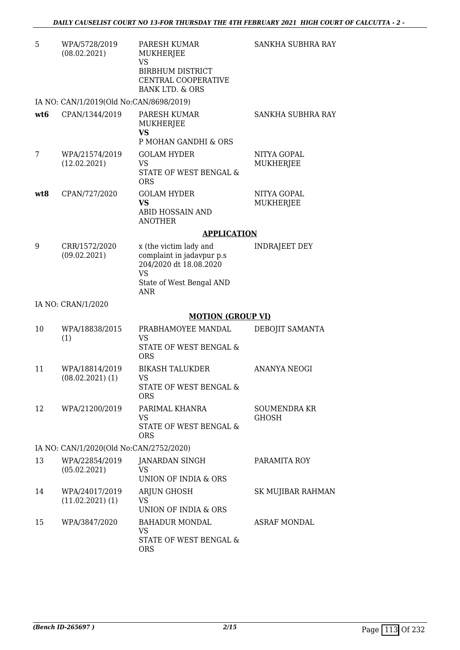| 5               | WPA/5728/2019<br>(08.02.2021)           | PARESH KUMAR<br>MUKHERJEE<br>VS<br><b>BIRBHUM DISTRICT</b><br>CENTRAL COOPERATIVE<br><b>BANK LTD. &amp; ORS</b> | SANKHA SUBHRA RAY            |
|-----------------|-----------------------------------------|-----------------------------------------------------------------------------------------------------------------|------------------------------|
|                 | IA NO: CAN/1/2019(Old No:CAN/8698/2019) |                                                                                                                 |                              |
| wt <sub>6</sub> | CPAN/1344/2019                          | PARESH KUMAR<br><b>MUKHERJEE</b><br><b>VS</b><br>P MOHAN GANDHI & ORS                                           | SANKHA SUBHRA RAY            |
| 7               | WPA/21574/2019<br>(12.02.2021)          | <b>GOLAM HYDER</b><br><b>VS</b><br>STATE OF WEST BENGAL &<br><b>ORS</b>                                         | NITYA GOPAL<br>MUKHERJEE     |
| wt8             | CPAN/727/2020                           | <b>GOLAM HYDER</b><br><b>VS</b><br>ABID HOSSAIN AND<br><b>ANOTHER</b>                                           | NITYA GOPAL<br>MUKHERJEE     |
|                 |                                         | <b>APPLICATION</b>                                                                                              |                              |
| 9               | CRR/1572/2020<br>(09.02.2021)           | x (the victim lady and<br>complaint in jadavpur p.s<br>204/2020 dt 18.08.2020<br><b>VS</b>                      | <b>INDRAJEET DEY</b>         |
|                 |                                         | State of West Bengal AND<br><b>ANR</b>                                                                          |                              |
|                 |                                         |                                                                                                                 |                              |
|                 | IA NO: CRAN/1/2020                      |                                                                                                                 |                              |
|                 |                                         | <b>MOTION (GROUP VI)</b>                                                                                        |                              |
| 10              | WPA/18838/2015<br>(1)                   | PRABHAMOYEE MANDAL<br><b>VS</b><br>STATE OF WEST BENGAL &<br><b>ORS</b>                                         | DEBOJIT SAMANTA              |
| 11              | WPA/18814/2019<br>$(08.02.2021)$ $(1)$  | <b>BIKASH TALUKDER</b><br>VS<br>STATE OF WEST BENGAL &<br><b>ORS</b>                                            | <b>ANANYA NEOGI</b>          |
| 12              | WPA/21200/2019                          | PARIMAL KHANRA<br>VS<br>STATE OF WEST BENGAL &<br><b>ORS</b>                                                    | <b>SOUMENDRA KR</b><br>GHOSH |
|                 | IA NO: CAN/1/2020(Old No:CAN/2752/2020) |                                                                                                                 |                              |
| 13              | WPA/22854/2019<br>(05.02.2021)          | JANARDAN SINGH<br><b>VS</b><br>UNION OF INDIA & ORS                                                             | PARAMITA ROY                 |
| 14              | WPA/24017/2019<br>$(11.02.2021)$ $(1)$  | ARJUN GHOSH<br><b>VS</b><br><b>UNION OF INDIA &amp; ORS</b>                                                     | SK MUJIBAR RAHMAN            |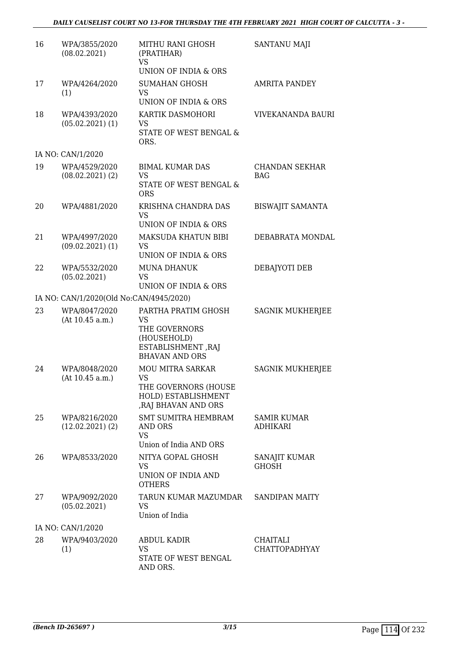| 16 | WPA/3855/2020<br>(08.02.2021)           | MITHU RANI GHOSH<br>(PRATIHAR)<br><b>VS</b><br>UNION OF INDIA & ORS                                      | SANTANU MAJI                            |
|----|-----------------------------------------|----------------------------------------------------------------------------------------------------------|-----------------------------------------|
| 17 | WPA/4264/2020<br>(1)                    | <b>SUMAHAN GHOSH</b><br><b>VS</b><br>UNION OF INDIA & ORS                                                | <b>AMRITA PANDEY</b>                    |
| 18 | WPA/4393/2020<br>$(05.02.2021)$ $(1)$   | KARTIK DASMOHORI<br>VS<br>STATE OF WEST BENGAL &<br>ORS.                                                 | VIVEKANANDA BAURI                       |
|    | IA NO: CAN/1/2020                       |                                                                                                          |                                         |
| 19 | WPA/4529/2020<br>$(08.02.2021)$ $(2)$   | <b>BIMAL KUMAR DAS</b><br>VS<br>STATE OF WEST BENGAL &<br><b>ORS</b>                                     | <b>CHANDAN SEKHAR</b><br><b>BAG</b>     |
| 20 | WPA/4881/2020                           | KRISHNA CHANDRA DAS<br><b>VS</b><br>UNION OF INDIA & ORS                                                 | <b>BISWAJIT SAMANTA</b>                 |
| 21 | WPA/4997/2020<br>$(09.02.2021)$ $(1)$   | MAKSUDA KHATUN BIBI<br><b>VS</b><br><b>UNION OF INDIA &amp; ORS</b>                                      | DEBABRATA MONDAL                        |
| 22 | WPA/5532/2020<br>(05.02.2021)           | <b>MUNA DHANUK</b><br>VS<br>UNION OF INDIA & ORS                                                         | DEBAJYOTI DEB                           |
|    | IA NO: CAN/1/2020(Old No:CAN/4945/2020) |                                                                                                          |                                         |
| 23 | WPA/8047/2020<br>(At 10.45 a.m.)        | PARTHA PRATIM GHOSH<br>VS<br>THE GOVERNORS<br>(HOUSEHOLD)<br>ESTABLISHMENT, RAJ<br><b>BHAVAN AND ORS</b> | <b>SAGNIK MUKHERJEE</b>                 |
| 24 | WPA/8048/2020<br>(At 10.45 a.m.)        | <b>MOU MITRA SARKAR</b><br>VS<br>THE GOVERNORS (HOUSE<br>HOLD) ESTABLISHMENT<br>, RAJ BHAVAN AND ORS     | <b>SAGNIK MUKHERJEE</b>                 |
| 25 | WPA/8216/2020<br>$(12.02.2021)$ $(2)$   | <b>SMT SUMITRA HEMBRAM</b><br>AND ORS<br><b>VS</b><br>Union of India AND ORS                             | SAMIR KUMAR<br><b>ADHIKARI</b>          |
| 26 | WPA/8533/2020                           | NITYA GOPAL GHOSH<br>VS<br>UNION OF INDIA AND<br><b>OTHERS</b>                                           | SANAJIT KUMAR<br><b>GHOSH</b>           |
| 27 | WPA/9092/2020<br>(05.02.2021)           | TARUN KUMAR MAZUMDAR<br>VS<br>Union of India                                                             | <b>SANDIPAN MAITY</b>                   |
|    | IA NO: CAN/1/2020                       |                                                                                                          |                                         |
| 28 | WPA/9403/2020<br>(1)                    | <b>ABDUL KADIR</b><br>VS<br>STATE OF WEST BENGAL<br>AND ORS.                                             | <b>CHAITALI</b><br><b>CHATTOPADHYAY</b> |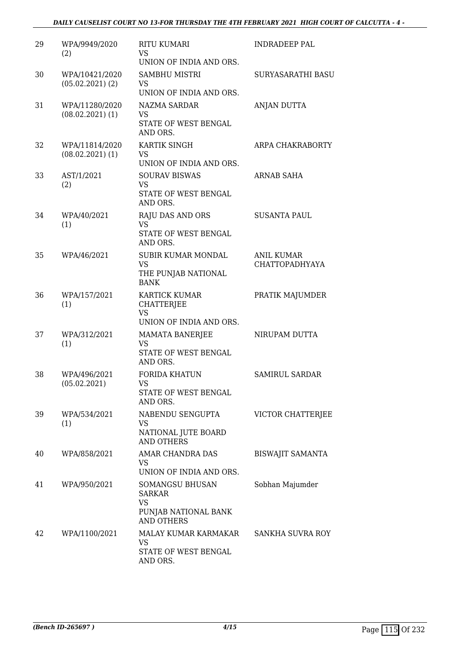| 29 | WPA/9949/2020<br>(2)                   | <b>RITU KUMARI</b><br>VS<br>UNION OF INDIA AND ORS.                                        | <b>INDRADEEP PAL</b>                       |
|----|----------------------------------------|--------------------------------------------------------------------------------------------|--------------------------------------------|
| 30 | WPA/10421/2020<br>$(05.02.2021)$ $(2)$ | <b>SAMBHU MISTRI</b><br>VS<br>UNION OF INDIA AND ORS.                                      | <b>SURYASARATHI BASU</b>                   |
| 31 | WPA/11280/2020<br>$(08.02.2021)$ (1)   | <b>NAZMA SARDAR</b><br><b>VS</b><br>STATE OF WEST BENGAL<br>AND ORS.                       | ANJAN DUTTA                                |
| 32 | WPA/11814/2020<br>$(08.02.2021)$ (1)   | KARTIK SINGH<br>VS.<br>UNION OF INDIA AND ORS.                                             | ARPA CHAKRABORTY                           |
| 33 | AST/1/2021<br>(2)                      | <b>SOURAV BISWAS</b><br><b>VS</b><br>STATE OF WEST BENGAL<br>AND ORS.                      | ARNAB SAHA                                 |
| 34 | WPA/40/2021<br>(1)                     | RAJU DAS AND ORS<br><b>VS</b><br>STATE OF WEST BENGAL<br>AND ORS.                          | <b>SUSANTA PAUL</b>                        |
| 35 | WPA/46/2021                            | <b>SUBIR KUMAR MONDAL</b><br><b>VS</b><br>THE PUNJAB NATIONAL<br><b>BANK</b>               | <b>ANIL KUMAR</b><br><b>CHATTOPADHYAYA</b> |
| 36 | WPA/157/2021<br>(1)                    | KARTICK KUMAR<br><b>CHATTERJEE</b><br><b>VS</b><br>UNION OF INDIA AND ORS.                 | PRATIK MAJUMDER                            |
| 37 | WPA/312/2021<br>(1)                    | <b>MAMATA BANERJEE</b><br><b>VS</b><br>STATE OF WEST BENGAL<br>AND ORS.                    | NIRUPAM DUTTA                              |
| 38 | WPA/496/2021<br>(05.02.2021)           | <b>FORIDA KHATUN</b><br>VS<br>STATE OF WEST BENGAL<br>AND ORS.                             | <b>SAMIRUL SARDAR</b>                      |
| 39 | WPA/534/2021<br>(1)                    | NABENDU SENGUPTA<br><b>VS</b><br>NATIONAL JUTE BOARD<br><b>AND OTHERS</b>                  | VICTOR CHATTERJEE                          |
| 40 | WPA/858/2021                           | AMAR CHANDRA DAS<br>VS<br>UNION OF INDIA AND ORS.                                          | <b>BISWAJIT SAMANTA</b>                    |
| 41 | WPA/950/2021                           | SOMANGSU BHUSAN<br><b>SARKAR</b><br><b>VS</b><br>PUNJAB NATIONAL BANK<br><b>AND OTHERS</b> | Sobhan Majumder                            |
| 42 | WPA/1100/2021                          | MALAY KUMAR KARMAKAR<br><b>VS</b><br>STATE OF WEST BENGAL<br>AND ORS.                      | SANKHA SUVRA ROY                           |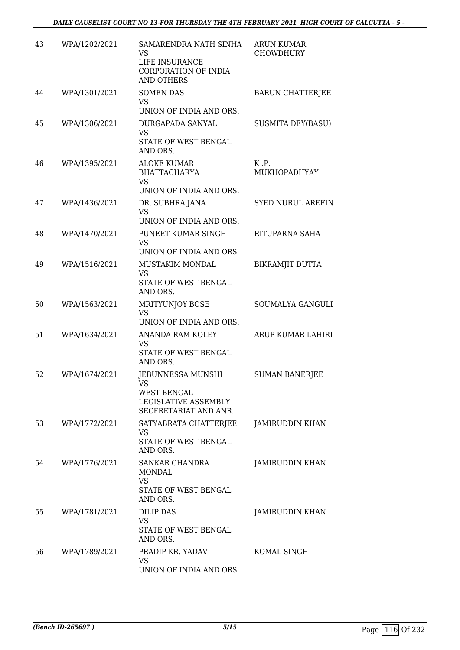| 43 | WPA/1202/2021 | SAMARENDRA NATH SINHA<br><b>VS</b><br>LIFE INSURANCE<br>CORPORATION OF INDIA<br><b>AND OTHERS</b> | <b>ARUN KUMAR</b><br><b>CHOWDHURY</b> |
|----|---------------|---------------------------------------------------------------------------------------------------|---------------------------------------|
| 44 | WPA/1301/2021 | <b>SOMEN DAS</b><br><b>VS</b><br>UNION OF INDIA AND ORS.                                          | <b>BARUN CHATTERJEE</b>               |
| 45 | WPA/1306/2021 | DURGAPADA SANYAL<br><b>VS</b><br>STATE OF WEST BENGAL<br>AND ORS.                                 | <b>SUSMITA DEY(BASU)</b>              |
| 46 | WPA/1395/2021 | <b>ALOKE KUMAR</b><br><b>BHATTACHARYA</b><br><b>VS</b><br>UNION OF INDIA AND ORS.                 | K.P.<br>MUKHOPADHYAY                  |
| 47 | WPA/1436/2021 | DR. SUBHRA JANA<br><b>VS</b><br>UNION OF INDIA AND ORS.                                           | <b>SYED NURUL AREFIN</b>              |
| 48 | WPA/1470/2021 | PUNEET KUMAR SINGH<br><b>VS</b><br>UNION OF INDIA AND ORS                                         | RITUPARNA SAHA                        |
| 49 | WPA/1516/2021 | MUSTAKIM MONDAL<br><b>VS</b><br>STATE OF WEST BENGAL<br>AND ORS.                                  | BIKRAMJIT DUTTA                       |
| 50 | WPA/1563/2021 | MRITYUNJOY BOSE<br><b>VS</b><br>UNION OF INDIA AND ORS.                                           | SOUMALYA GANGULI                      |
| 51 | WPA/1634/2021 | ANANDA RAM KOLEY<br><b>VS</b><br>STATE OF WEST BENGAL<br>AND ORS.                                 | ARUP KUMAR LAHIRI                     |
| 52 | WPA/1674/2021 | <b>JEBUNNESSA MUNSHI</b><br>VS<br>WEST BENGAL<br>LEGISLATIVE ASSEMBLY<br>SECFRETARIAT AND ANR.    | <b>SUMAN BANERJEE</b>                 |
| 53 | WPA/1772/2021 | SATYABRATA CHATTERJEE<br><b>VS</b><br>STATE OF WEST BENGAL<br>AND ORS.                            | <b>JAMIRUDDIN KHAN</b>                |
| 54 | WPA/1776/2021 | SANKAR CHANDRA<br><b>MONDAL</b><br><b>VS</b><br>STATE OF WEST BENGAL<br>AND ORS.                  | JAMIRUDDIN KHAN                       |
| 55 | WPA/1781/2021 | <b>DILIP DAS</b><br>VS<br>STATE OF WEST BENGAL<br>AND ORS.                                        | JAMIRUDDIN KHAN                       |
| 56 | WPA/1789/2021 | PRADIP KR. YADAV<br>VS<br>UNION OF INDIA AND ORS                                                  | KOMAL SINGH                           |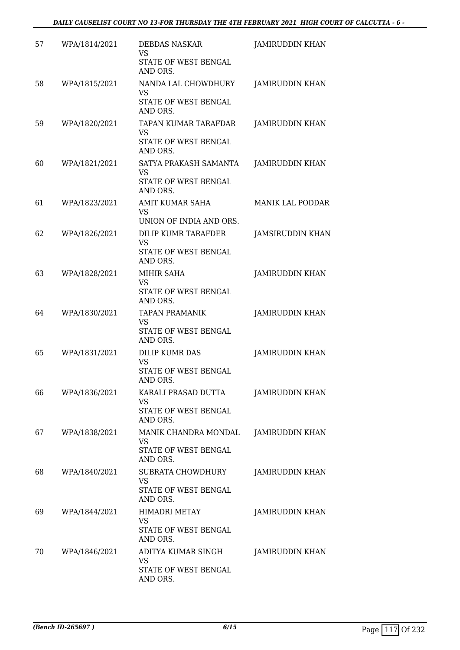| 57 | WPA/1814/2021 | <b>DEBDAS NASKAR</b><br><b>VS</b>                                      | <b>JAMIRUDDIN KHAN</b>  |
|----|---------------|------------------------------------------------------------------------|-------------------------|
|    |               | STATE OF WEST BENGAL<br>AND ORS.                                       |                         |
| 58 | WPA/1815/2021 | NANDA LAL CHOWDHURY<br>VS<br>STATE OF WEST BENGAL<br>AND ORS.          | <b>JAMIRUDDIN KHAN</b>  |
| 59 | WPA/1820/2021 | TAPAN KUMAR TARAFDAR<br><b>VS</b><br>STATE OF WEST BENGAL<br>AND ORS.  | <b>JAMIRUDDIN KHAN</b>  |
| 60 | WPA/1821/2021 | SATYA PRAKASH SAMANTA<br><b>VS</b><br>STATE OF WEST BENGAL<br>AND ORS. | <b>JAMIRUDDIN KHAN</b>  |
| 61 | WPA/1823/2021 | AMIT KUMAR SAHA<br>VS<br>UNION OF INDIA AND ORS.                       | <b>MANIK LAL PODDAR</b> |
| 62 | WPA/1826/2021 | DILIP KUMR TARAFDER<br><b>VS</b><br>STATE OF WEST BENGAL<br>AND ORS.   | JAMSIRUDDIN KHAN        |
| 63 | WPA/1828/2021 | MIHIR SAHA<br>VS<br>STATE OF WEST BENGAL<br>AND ORS.                   | JAMIRUDDIN KHAN         |
| 64 | WPA/1830/2021 | <b>TAPAN PRAMANIK</b><br>VS<br>STATE OF WEST BENGAL<br>AND ORS.        | <b>JAMIRUDDIN KHAN</b>  |
| 65 | WPA/1831/2021 | <b>DILIP KUMR DAS</b><br><b>VS</b><br>STATE OF WEST BENGAL<br>AND ORS. | <b>JAMIRUDDIN KHAN</b>  |
| 66 | WPA/1836/2021 | KARALI PRASAD DUTTA<br>VS<br>STATE OF WEST BENGAL<br>AND ORS.          | <b>JAMIRUDDIN KHAN</b>  |
| 67 | WPA/1838/2021 | MANIK CHANDRA MONDAL<br>VS<br>STATE OF WEST BENGAL<br>AND ORS.         | <b>JAMIRUDDIN KHAN</b>  |
| 68 | WPA/1840/2021 | SUBRATA CHOWDHURY<br>VS<br>STATE OF WEST BENGAL<br>AND ORS.            | JAMIRUDDIN KHAN         |
| 69 | WPA/1844/2021 | <b>HIMADRI METAY</b><br>VS<br>STATE OF WEST BENGAL<br>AND ORS.         | JAMIRUDDIN KHAN         |
| 70 | WPA/1846/2021 | ADITYA KUMAR SINGH<br>VS<br>STATE OF WEST BENGAL<br>AND ORS.           | <b>JAMIRUDDIN KHAN</b>  |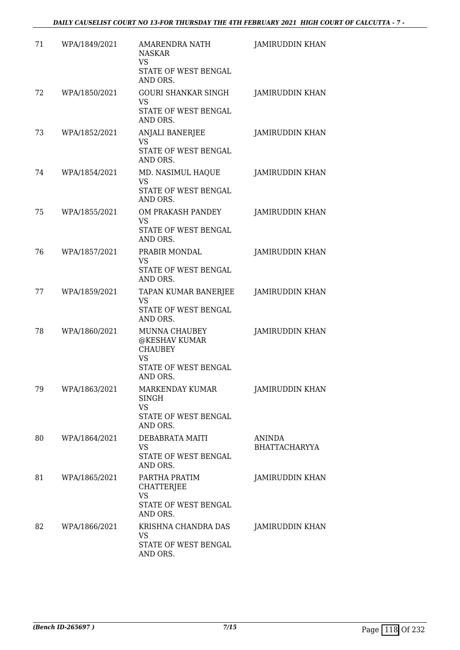| 71 | WPA/1849/2021 | <b>AMARENDRA NATH</b><br><b>NASKAR</b><br>VS<br>STATE OF WEST BENGAL<br>AND ORS.           | <b>JAMIRUDDIN KHAN</b>                |
|----|---------------|--------------------------------------------------------------------------------------------|---------------------------------------|
| 72 | WPA/1850/2021 | <b>GOURI SHANKAR SINGH</b><br><b>VS</b><br>STATE OF WEST BENGAL<br>AND ORS.                | <b>JAMIRUDDIN KHAN</b>                |
| 73 | WPA/1852/2021 | ANJALI BANERJEE<br><b>VS</b><br>STATE OF WEST BENGAL<br>AND ORS.                           | JAMIRUDDIN KHAN                       |
| 74 | WPA/1854/2021 | MD. NASIMUL HAQUE<br>VS<br>STATE OF WEST BENGAL<br>AND ORS.                                | <b>JAMIRUDDIN KHAN</b>                |
| 75 | WPA/1855/2021 | OM PRAKASH PANDEY<br><b>VS</b><br>STATE OF WEST BENGAL<br>AND ORS.                         | <b>JAMIRUDDIN KHAN</b>                |
| 76 | WPA/1857/2021 | PRABIR MONDAL<br>VS<br>STATE OF WEST BENGAL<br>AND ORS.                                    | <b>JAMIRUDDIN KHAN</b>                |
| 77 | WPA/1859/2021 | TAPAN KUMAR BANERJEE<br>VS<br>STATE OF WEST BENGAL<br>AND ORS.                             | <b>JAMIRUDDIN KHAN</b>                |
| 78 | WPA/1860/2021 | MUNNA CHAUBEY<br>@KESHAV KUMAR<br><b>CHAUBEY</b><br>VS<br>STATE OF WEST BENGAL<br>AND ORS. | JAMIRUDDIN KHAN                       |
| 79 | WPA/1863/2021 | MARKENDAY KUMAR<br>SINGH<br>VS<br>STATE OF WEST BENGAL<br>AND ORS.                         | JAMIRUDDIN KHAN                       |
| 80 | WPA/1864/2021 | DEBABRATA MAITI<br>VS<br>STATE OF WEST BENGAL<br>AND ORS.                                  | <b>ANINDA</b><br><b>BHATTACHARYYA</b> |
| 81 | WPA/1865/2021 | PARTHA PRATIM<br><b>CHATTERJEE</b><br><b>VS</b><br>STATE OF WEST BENGAL<br>AND ORS.        | <b>JAMIRUDDIN KHAN</b>                |
| 82 | WPA/1866/2021 | KRISHNA CHANDRA DAS<br>VS<br>STATE OF WEST BENGAL<br>AND ORS.                              | JAMIRUDDIN KHAN                       |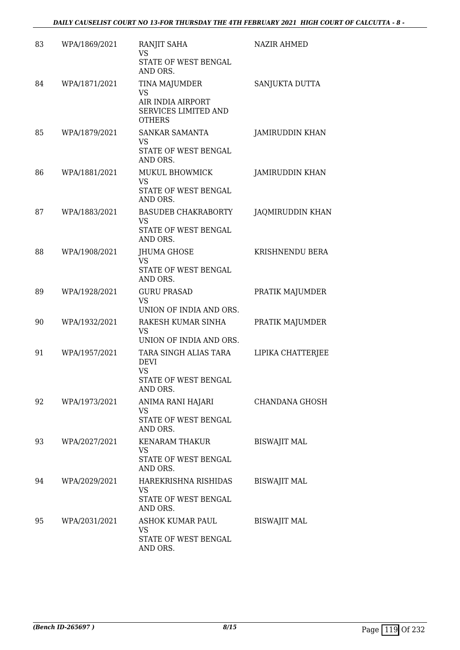| 83 | WPA/1869/2021 | RANJIT SAHA<br>VS<br>STATE OF WEST BENGAL<br>AND ORS.                                 | <b>NAZIR AHMED</b>      |
|----|---------------|---------------------------------------------------------------------------------------|-------------------------|
| 84 | WPA/1871/2021 | TINA MAJUMDER<br>VS<br>AIR INDIA AIRPORT<br>SERVICES LIMITED AND<br><b>OTHERS</b>     | SANJUKTA DUTTA          |
| 85 | WPA/1879/2021 | SANKAR SAMANTA<br>VS<br>STATE OF WEST BENGAL<br>AND ORS.                              | <b>JAMIRUDDIN KHAN</b>  |
| 86 | WPA/1881/2021 | MUKUL BHOWMICK<br>VS<br>STATE OF WEST BENGAL<br>AND ORS.                              | JAMIRUDDIN KHAN         |
| 87 | WPA/1883/2021 | <b>BASUDEB CHAKRABORTY</b><br>VS<br>STATE OF WEST BENGAL<br>AND ORS.                  | <b>JAQMIRUDDIN KHAN</b> |
| 88 | WPA/1908/2021 | JHUMA GHOSE<br><b>VS</b><br>STATE OF WEST BENGAL<br>AND ORS.                          | KRISHNENDU BERA         |
| 89 | WPA/1928/2021 | <b>GURU PRASAD</b><br><b>VS</b><br>UNION OF INDIA AND ORS.                            | PRATIK MAJUMDER         |
| 90 | WPA/1932/2021 | RAKESH KUMAR SINHA<br>VS<br>UNION OF INDIA AND ORS.                                   | PRATIK MAJUMDER         |
| 91 | WPA/1957/2021 | TARA SINGH ALIAS TARA<br><b>DEVI</b><br><b>VS</b><br>STATE OF WEST BENGAL<br>AND ORS. | LIPIKA CHATTERJEE       |
| 92 | WPA/1973/2021 | ANIMA RANI HAJARI<br>VS<br>STATE OF WEST BENGAL<br>AND ORS.                           | CHANDANA GHOSH          |
| 93 | WPA/2027/2021 | KENARAM THAKUR<br>VS.<br>STATE OF WEST BENGAL<br>AND ORS.                             | <b>BISWAJIT MAL</b>     |
| 94 | WPA/2029/2021 | HAREKRISHNA RISHIDAS<br>VS<br>STATE OF WEST BENGAL<br>AND ORS.                        | <b>BISWAJIT MAL</b>     |
| 95 | WPA/2031/2021 | ASHOK KUMAR PAUL<br>VS<br>STATE OF WEST BENGAL<br>AND ORS.                            | <b>BISWAJIT MAL</b>     |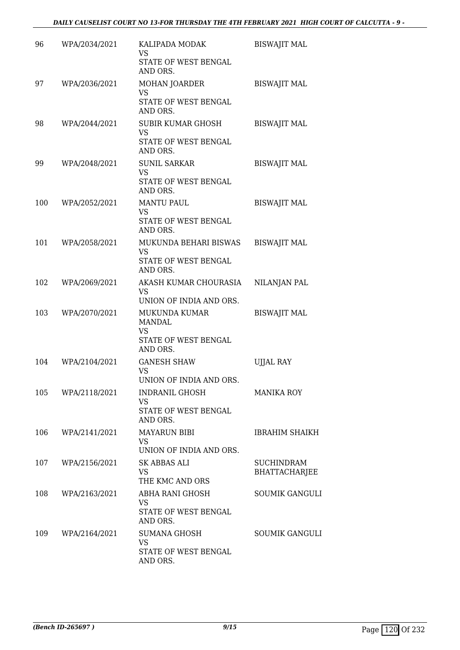| 96  | WPA/2034/2021 | KALIPADA MODAK<br><b>VS</b><br>STATE OF WEST BENGAL                  | <b>BISWAJIT MAL</b>         |
|-----|---------------|----------------------------------------------------------------------|-----------------------------|
|     |               | AND ORS.                                                             |                             |
| 97  | WPA/2036/2021 | MOHAN JOARDER<br>VS                                                  | <b>BISWAJIT MAL</b>         |
|     |               | STATE OF WEST BENGAL<br>AND ORS.                                     |                             |
| 98  | WPA/2044/2021 | <b>SUBIR KUMAR GHOSH</b><br><b>VS</b>                                | <b>BISWAJIT MAL</b>         |
|     |               | STATE OF WEST BENGAL<br>AND ORS.                                     |                             |
| 99  | WPA/2048/2021 | <b>SUNIL SARKAR</b><br><b>VS</b><br>STATE OF WEST BENGAL<br>AND ORS. | <b>BISWAJIT MAL</b>         |
| 100 | WPA/2052/2021 | <b>MANTU PAUL</b>                                                    | <b>BISWAJIT MAL</b>         |
|     |               | <b>VS</b><br>STATE OF WEST BENGAL<br>AND ORS.                        |                             |
| 101 | WPA/2058/2021 | MUKUNDA BEHARI BISWAS                                                | <b>BISWAJIT MAL</b>         |
|     |               | <b>VS</b><br>STATE OF WEST BENGAL<br>AND ORS.                        |                             |
| 102 | WPA/2069/2021 | AKASH KUMAR CHOURASIA<br><b>VS</b><br>UNION OF INDIA AND ORS.        | NILANJAN PAL                |
| 103 | WPA/2070/2021 | MUKUNDA KUMAR<br>MANDAL                                              | <b>BISWAJIT MAL</b>         |
|     |               | <b>VS</b><br>STATE OF WEST BENGAL<br>AND ORS.                        |                             |
| 104 | WPA/2104/2021 | <b>GANESH SHAW</b><br><b>VS</b><br>UNION OF INDIA AND ORS.           | <b>UJJAL RAY</b>            |
| 105 | WPA/2118/2021 | INDRANIL GHOSH                                                       | <b>MANIKA ROY</b>           |
|     |               | VS<br>STATE OF WEST BENGAL<br>AND ORS.                               |                             |
| 106 | WPA/2141/2021 | <b>MAYARUN BIBI</b><br><b>VS</b>                                     | <b>IBRAHIM SHAIKH</b>       |
|     |               | UNION OF INDIA AND ORS.                                              |                             |
| 107 | WPA/2156/2021 | SK ABBAS ALI<br>VS<br>THE KMC AND ORS                                | SUCHINDRAM<br>BHATTACHARJEE |
| 108 | WPA/2163/2021 | ABHA RANI GHOSH<br>VS<br>STATE OF WEST BENGAL<br>AND ORS.            | <b>SOUMIK GANGULI</b>       |
| 109 | WPA/2164/2021 | <b>SUMANA GHOSH</b><br>VS.                                           | <b>SOUMIK GANGULI</b>       |
|     |               | STATE OF WEST BENGAL<br>AND ORS.                                     |                             |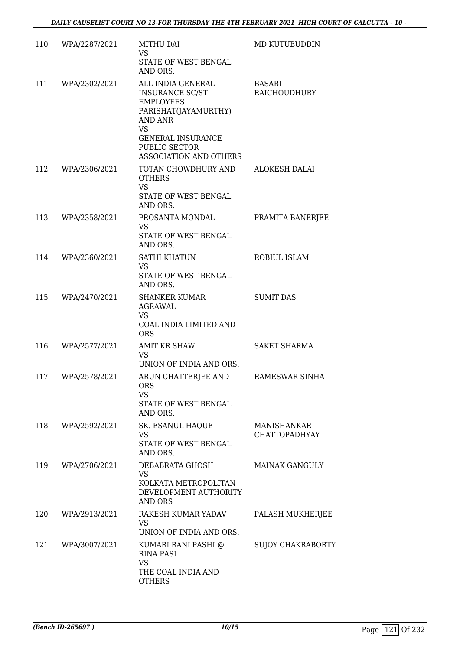| 110 | WPA/2287/2021 | <b>MITHU DAI</b><br>VS<br>STATE OF WEST BENGAL<br>AND ORS.                                                                                                                             | MD KUTUBUDDIN                       |
|-----|---------------|----------------------------------------------------------------------------------------------------------------------------------------------------------------------------------------|-------------------------------------|
| 111 | WPA/2302/2021 | ALL INDIA GENERAL<br>INSURANCE SC/ST<br><b>EMPLOYEES</b><br>PARISHAT(JAYAMURTHY)<br>AND ANR<br><b>VS</b><br><b>GENERAL INSURANCE</b><br>PUBLIC SECTOR<br><b>ASSOCIATION AND OTHERS</b> | <b>BASABI</b><br>RAICHOUDHURY       |
| 112 | WPA/2306/2021 | TOTAN CHOWDHURY AND<br><b>OTHERS</b><br><b>VS</b><br>STATE OF WEST BENGAL<br>AND ORS.                                                                                                  | <b>ALOKESH DALAI</b>                |
| 113 | WPA/2358/2021 | PROSANTA MONDAL<br><b>VS</b><br>STATE OF WEST BENGAL<br>AND ORS.                                                                                                                       | PRAMITA BANERJEE                    |
| 114 | WPA/2360/2021 | <b>SATHI KHATUN</b><br>VS<br>STATE OF WEST BENGAL<br>AND ORS.                                                                                                                          | ROBIUL ISLAM                        |
| 115 | WPA/2470/2021 | <b>SHANKER KUMAR</b><br>AGRAWAL<br><b>VS</b><br>COAL INDIA LIMITED AND<br><b>ORS</b>                                                                                                   | <b>SUMIT DAS</b>                    |
| 116 | WPA/2577/2021 | <b>AMIT KR SHAW</b><br><b>VS</b><br>UNION OF INDIA AND ORS.                                                                                                                            | <b>SAKET SHARMA</b>                 |
| 117 | WPA/2578/2021 | ARUN CHATTERJEE AND<br><b>ORS</b><br>VS.<br>STATE OF WEST BENGAL<br>AND ORS.                                                                                                           | <b>RAMESWAR SINHA</b>               |
| 118 | WPA/2592/2021 | SK. ESANUL HAQUE<br><b>VS</b><br>STATE OF WEST BENGAL<br>AND ORS.                                                                                                                      | MANISHANKAR<br><b>CHATTOPADHYAY</b> |
| 119 | WPA/2706/2021 | DEBABRATA GHOSH<br>VS<br>KOLKATA METROPOLITAN<br>DEVELOPMENT AUTHORITY<br><b>AND ORS</b>                                                                                               | <b>MAINAK GANGULY</b>               |
| 120 | WPA/2913/2021 | RAKESH KUMAR YADAV<br>VS<br>UNION OF INDIA AND ORS.                                                                                                                                    | PALASH MUKHERJEE                    |
| 121 | WPA/3007/2021 | KUMARI RANI PASHI @<br><b>RINA PASI</b><br><b>VS</b><br>THE COAL INDIA AND<br><b>OTHERS</b>                                                                                            | <b>SUJOY CHAKRABORTY</b>            |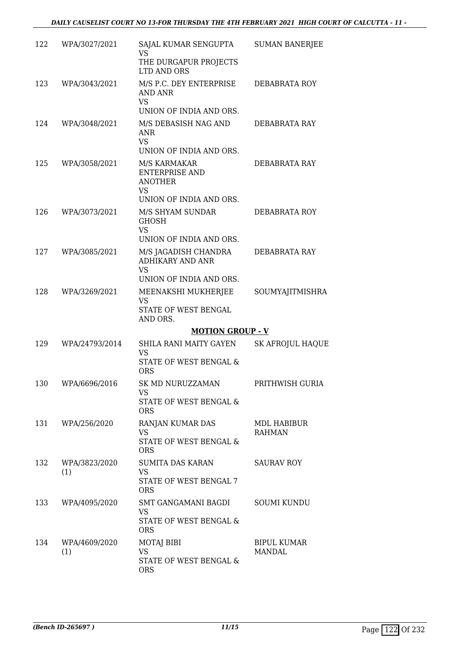| 122 | WPA/3027/2021        | SAJAL KUMAR SENGUPTA<br><b>VS</b>                                           | <b>SUMAN BANERJEE</b>        |
|-----|----------------------|-----------------------------------------------------------------------------|------------------------------|
|     |                      | THE DURGAPUR PROJECTS<br>LTD AND ORS                                        |                              |
| 123 | WPA/3043/2021        | M/S P.C. DEY ENTERPRISE<br>AND ANR<br><b>VS</b>                             | DEBABRATA ROY                |
|     |                      | UNION OF INDIA AND ORS.                                                     |                              |
| 124 | WPA/3048/2021        | M/S DEBASISH NAG AND<br><b>ANR</b><br><b>VS</b>                             | DEBABRATA RAY                |
| 125 | WPA/3058/2021        | UNION OF INDIA AND ORS.<br>M/S KARMAKAR                                     | DEBABRATA RAY                |
|     |                      | <b>ENTERPRISE AND</b><br><b>ANOTHER</b><br><b>VS</b>                        |                              |
|     |                      | UNION OF INDIA AND ORS.                                                     |                              |
| 126 | WPA/3073/2021        | M/S SHYAM SUNDAR<br><b>GHOSH</b><br><b>VS</b>                               | DEBABRATA ROY                |
|     |                      | UNION OF INDIA AND ORS.                                                     |                              |
| 127 | WPA/3085/2021        | M/S JAGADISH CHANDRA<br><b>ADHIKARY AND ANR</b><br><b>VS</b>                | DEBABRATA RAY                |
|     |                      | UNION OF INDIA AND ORS.                                                     |                              |
| 128 | WPA/3269/2021        | MEENAKSHI MUKHERJEE<br><b>VS</b><br>STATE OF WEST BENGAL                    | SOUMYAJITMISHRA              |
|     |                      | AND ORS.                                                                    |                              |
|     |                      | <b>MOTION GROUP - V</b>                                                     |                              |
| 129 | WPA/24793/2014       | SHILA RANI MAITY GAYEN<br><b>VS</b><br>STATE OF WEST BENGAL &<br><b>ORS</b> | <b>SK AFROJUL HAQUE</b>      |
|     | 130 WPA/6696/2016    | SK MD NURUZZAMAN                                                            | PRITHWISH GURIA              |
|     |                      | VS<br>STATE OF WEST BENGAL &<br><b>ORS</b>                                  |                              |
| 131 | WPA/256/2020         | RANJAN KUMAR DAS<br><b>VS</b>                                               | MDL HABIBUR<br><b>RAHMAN</b> |
|     |                      | STATE OF WEST BENGAL &<br><b>ORS</b>                                        |                              |
| 132 | WPA/3823/2020<br>(1) | <b>SUMITA DAS KARAN</b><br><b>VS</b>                                        | <b>SAURAV ROY</b>            |
|     |                      | STATE OF WEST BENGAL 7<br><b>ORS</b>                                        |                              |
| 133 | WPA/4095/2020        | SMT GANGAMANI BAGDI<br>VS                                                   | <b>SOUMI KUNDU</b>           |
|     |                      | STATE OF WEST BENGAL &<br><b>ORS</b>                                        |                              |
| 134 | WPA/4609/2020<br>(1) | <b>MOTAJ BIBI</b><br><b>VS</b>                                              | <b>BIPUL KUMAR</b><br>MANDAL |
|     |                      | STATE OF WEST BENGAL &<br><b>ORS</b>                                        |                              |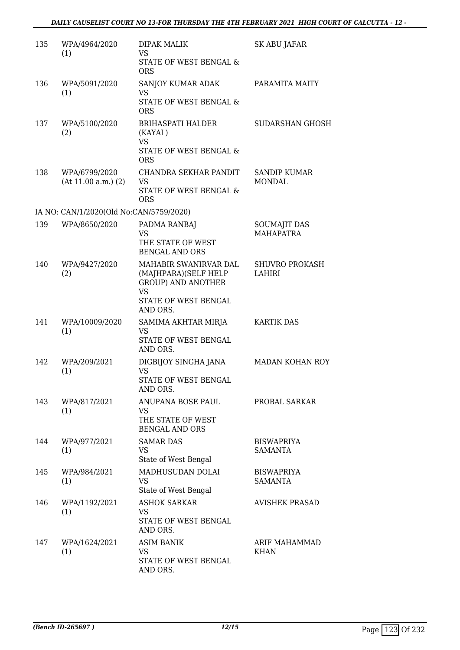| 135 | WPA/4964/2020<br>(1)                    | DIPAK MALIK<br><b>VS</b><br>STATE OF WEST BENGAL &<br><b>ORS</b>                                                            | SK ABU JAFAR                            |
|-----|-----------------------------------------|-----------------------------------------------------------------------------------------------------------------------------|-----------------------------------------|
| 136 | WPA/5091/2020<br>(1)                    | SANJOY KUMAR ADAK<br>VS.<br>STATE OF WEST BENGAL &<br><b>ORS</b>                                                            | PARAMITA MAITY                          |
| 137 | WPA/5100/2020<br>(2)                    | <b>BRIHASPATI HALDER</b><br>(KAYAL)<br><b>VS</b><br>STATE OF WEST BENGAL &<br><b>ORS</b>                                    | <b>SUDARSHAN GHOSH</b>                  |
| 138 | WPA/6799/2020<br>(At 11.00 a.m.) (2)    | CHANDRA SEKHAR PANDIT<br><b>VS</b><br>STATE OF WEST BENGAL &<br><b>ORS</b>                                                  | <b>SANDIP KUMAR</b><br><b>MONDAL</b>    |
|     | IA NO: CAN/1/2020(Old No:CAN/5759/2020) |                                                                                                                             |                                         |
| 139 | WPA/8650/2020                           | PADMA RANBAJ<br><b>VS</b><br>THE STATE OF WEST<br><b>BENGAL AND ORS</b>                                                     | <b>SOUMAJIT DAS</b><br><b>MAHAPATRA</b> |
| 140 | WPA/9427/2020<br>(2)                    | MAHABIR SWANIRVAR DAL<br>(MAJHPARA)(SELF HELP<br><b>GROUP) AND ANOTHER</b><br><b>VS</b><br>STATE OF WEST BENGAL<br>AND ORS. | <b>SHUVRO PROKASH</b><br>LAHIRI         |
| 141 | WPA/10009/2020<br>(1)                   | SAMIMA AKHTAR MIRJA<br>VS<br>STATE OF WEST BENGAL<br>AND ORS.                                                               | <b>KARTIK DAS</b>                       |
| 142 | WPA/209/2021<br>(1)                     | DIGBIJOY SINGHA JANA<br><b>VS</b><br>STATE OF WEST BENGAL<br>AND ORS.                                                       | MADAN KOHAN ROY                         |
| 143 | WPA/817/2021<br>(1)                     | ANUPANA BOSE PAUL<br><b>VS</b><br>THE STATE OF WEST<br><b>BENGAL AND ORS</b>                                                | PROBAL SARKAR                           |
| 144 | WPA/977/2021<br>(1)                     | <b>SAMAR DAS</b><br>VS<br>State of West Bengal                                                                              | <b>BISWAPRIYA</b><br>SAMANTA            |
| 145 | WPA/984/2021<br>(1)                     | MADHUSUDAN DOLAI<br>VS.<br>State of West Bengal                                                                             | <b>BISWAPRIYA</b><br><b>SAMANTA</b>     |
| 146 | WPA/1192/2021<br>(1)                    | <b>ASHOK SARKAR</b><br>VS.<br>STATE OF WEST BENGAL<br>AND ORS.                                                              | <b>AVISHEK PRASAD</b>                   |
| 147 | WPA/1624/2021<br>(1)                    | <b>ASIM BANIK</b><br>VS<br>STATE OF WEST BENGAL<br>AND ORS.                                                                 | ARIF MAHAMMAD<br>KHAN                   |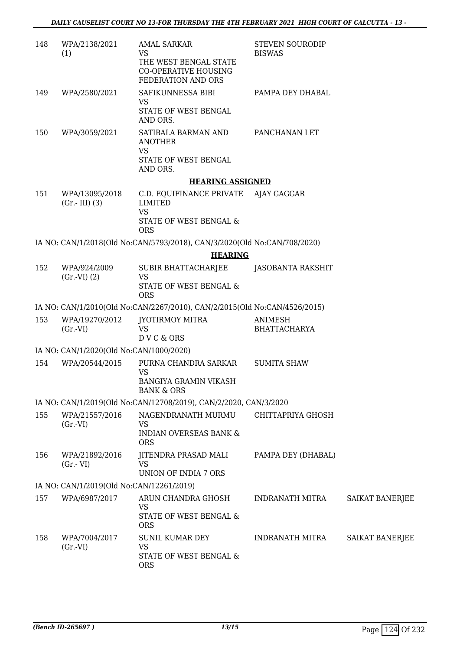| 148 | WPA/2138/2021<br>(1)                     | <b>AMAL SARKAR</b><br><b>VS</b>                                                        | <b>STEVEN SOURODIP</b><br><b>BISWAS</b> |                        |
|-----|------------------------------------------|----------------------------------------------------------------------------------------|-----------------------------------------|------------------------|
|     |                                          | THE WEST BENGAL STATE<br><b>CO-OPERATIVE HOUSING</b><br>FEDERATION AND ORS             |                                         |                        |
| 149 | WPA/2580/2021                            | SAFIKUNNESSA BIBI<br><b>VS</b><br>STATE OF WEST BENGAL                                 | PAMPA DEY DHABAL                        |                        |
|     |                                          | AND ORS.                                                                               |                                         |                        |
| 150 | WPA/3059/2021                            | SATIBALA BARMAN AND<br><b>ANOTHER</b><br><b>VS</b><br>STATE OF WEST BENGAL<br>AND ORS. | PANCHANAN LET                           |                        |
|     |                                          | <b>HEARING ASSIGNED</b>                                                                |                                         |                        |
| 151 | WPA/13095/2018                           | C.D. EQUIFINANCE PRIVATE AJAY GAGGAR                                                   |                                         |                        |
|     | $(Gr.-III)$ (3)                          | <b>LIMITED</b><br><b>VS</b>                                                            |                                         |                        |
|     |                                          | STATE OF WEST BENGAL &<br><b>ORS</b>                                                   |                                         |                        |
|     |                                          | IA NO: CAN/1/2018(Old No:CAN/5793/2018), CAN/3/2020(Old No:CAN/708/2020)               |                                         |                        |
|     |                                          | <b>HEARING</b>                                                                         |                                         |                        |
| 152 | WPA/924/2009<br>$(Gr.-VI) (2)$           | SUBIR BHATTACHARJEE<br><b>VS</b><br>STATE OF WEST BENGAL &<br><b>ORS</b>               | JASOBANTA RAKSHIT                       |                        |
|     |                                          | IA NO: CAN/1/2010(Old No:CAN/2267/2010), CAN/2/2015(Old No:CAN/4526/2015)              |                                         |                        |
| 153 | WPA/19270/2012                           | JYOTIRMOY MITRA                                                                        | <b>ANIMESH</b>                          |                        |
|     | (Gr.VI)                                  | VS<br>DVC&ORS                                                                          | BHATTACHARYA                            |                        |
|     | IA NO: CAN/1/2020(Old No:CAN/1000/2020)  |                                                                                        |                                         |                        |
| 154 | WPA/20544/2015                           | PURNA CHANDRA SARKAR<br>VS<br>BANGIYA GRAMIN VIKASH<br><b>BANK &amp; ORS</b>           | <b>SUMITA SHAW</b>                      |                        |
|     |                                          | IA NO: CAN/1/2019(Old No:CAN/12708/2019), CAN/2/2020, CAN/3/2020                       |                                         |                        |
| 155 | WPA/21557/2016                           | NAGENDRANATH MURMU                                                                     | CHITTAPRIYA GHOSH                       |                        |
|     | (Gr.VI)                                  | VS<br><b>INDIAN OVERSEAS BANK &amp;</b><br><b>ORS</b>                                  |                                         |                        |
| 156 | WPA/21892/2016<br>$(Gr.-VI)$             | JITENDRA PRASAD MALI<br><b>VS</b>                                                      | PAMPA DEY (DHABAL)                      |                        |
|     |                                          | UNION OF INDIA 7 ORS                                                                   |                                         |                        |
|     | IA NO: CAN/1/2019(Old No:CAN/12261/2019) |                                                                                        |                                         |                        |
| 157 | WPA/6987/2017                            | ARUN CHANDRA GHOSH<br>VS<br>STATE OF WEST BENGAL &<br><b>ORS</b>                       | INDRANATH MITRA                         | <b>SAIKAT BANERJEE</b> |
| 158 | WPA/7004/2017<br>(Gr.VI)                 | <b>SUNIL KUMAR DEY</b><br><b>VS</b>                                                    | INDRANATH MITRA                         | <b>SAIKAT BANERJEE</b> |
|     |                                          | STATE OF WEST BENGAL &<br><b>ORS</b>                                                   |                                         |                        |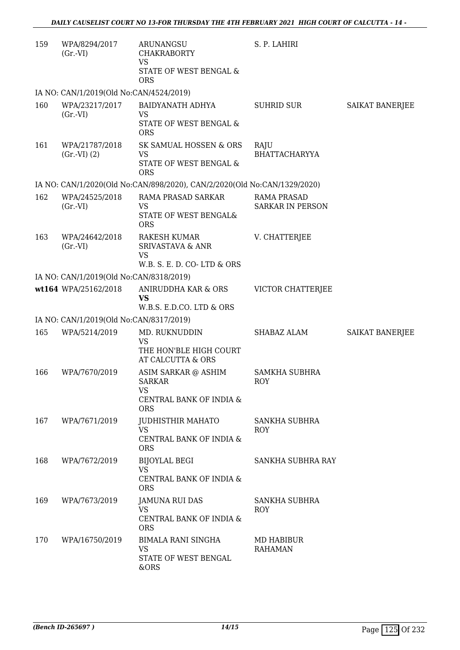| 159 | WPA/8294/2017<br>$(Gr.-VI)$             | <b>ARUNANGSU</b><br><b>CHAKRABORTY</b><br><b>VS</b><br>STATE OF WEST BENGAL &<br><b>ORS</b> | S. P. LAHIRI                                  |                        |
|-----|-----------------------------------------|---------------------------------------------------------------------------------------------|-----------------------------------------------|------------------------|
|     | IA NO: CAN/1/2019(Old No:CAN/4524/2019) |                                                                                             |                                               |                        |
| 160 | WPA/23217/2017<br>(Gr.VI)               | BAIDYANATH ADHYA<br><b>VS</b><br>STATE OF WEST BENGAL &<br><b>ORS</b>                       | <b>SUHRID SUR</b>                             | SAIKAT BANERJEE        |
| 161 | WPA/21787/2018<br>(Gr.VI) (2)           | SK SAMUAL HOSSEN & ORS<br><b>VS</b><br>STATE OF WEST BENGAL &<br><b>ORS</b>                 | RAJU<br><b>BHATTACHARYYA</b>                  |                        |
|     |                                         | IA NO: CAN/1/2020(Old No:CAN/898/2020), CAN/2/2020(Old No:CAN/1329/2020)                    |                                               |                        |
| 162 | WPA/24525/2018<br>$(Gr.-VI)$            | RAMA PRASAD SARKAR<br><b>VS</b><br>STATE OF WEST BENGAL&<br><b>ORS</b>                      | <b>RAMA PRASAD</b><br><b>SARKAR IN PERSON</b> |                        |
| 163 | WPA/24642/2018<br>$(Gr.-VI)$            | <b>RAKESH KUMAR</b><br><b>SRIVASTAVA &amp; ANR</b><br>VS<br>W.B. S. E. D. CO-LTD & ORS      | V. CHATTERJEE                                 |                        |
|     | IA NO: CAN/1/2019(Old No:CAN/8318/2019) |                                                                                             |                                               |                        |
|     | wt164 WPA/25162/2018                    | ANIRUDDHA KAR & ORS<br><b>VS</b><br>W.B.S. E.D.CO. LTD & ORS                                | <b>VICTOR CHATTERJEE</b>                      |                        |
|     | IA NO: CAN/1/2019(Old No:CAN/8317/2019) |                                                                                             |                                               |                        |
| 165 | WPA/5214/2019                           | MD. RUKNUDDIN<br><b>VS</b><br>THE HON'BLE HIGH COURT<br>AT CALCUTTA & ORS                   | SHABAZ ALAM                                   | <b>SAIKAT BANERJEE</b> |
| 166 | WPA/7670/2019                           | ASIM SARKAR @ ASHIM<br>SARKAR<br>VS<br>CENTRAL BANK OF INDIA &<br><b>ORS</b>                | <b>SAMKHA SUBHRA</b><br>ROY                   |                        |
| 167 | WPA/7671/2019                           | JUDHISTHIR MAHATO<br><b>VS</b><br>CENTRAL BANK OF INDIA &<br><b>ORS</b>                     | <b>SANKHA SUBHRA</b><br><b>ROY</b>            |                        |
| 168 | WPA/7672/2019                           | <b>BIJOYLAL BEGI</b><br><b>VS</b><br>CENTRAL BANK OF INDIA &<br><b>ORS</b>                  | SANKHA SUBHRA RAY                             |                        |
| 169 | WPA/7673/2019                           | JAMUNA RUI DAS<br>VS<br>CENTRAL BANK OF INDIA &<br><b>ORS</b>                               | SANKHA SUBHRA<br>ROY                          |                        |
| 170 | WPA/16750/2019                          | BIMALA RANI SINGHA<br><b>VS</b><br>STATE OF WEST BENGAL<br>&ORS                             | MD HABIBUR<br><b>RAHAMAN</b>                  |                        |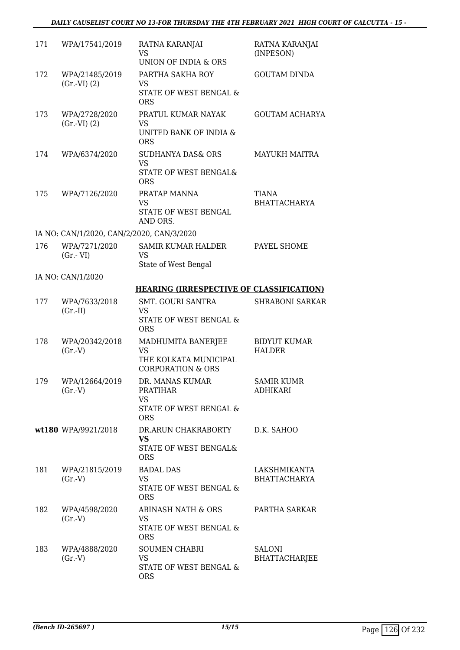| 171 | WPA/17541/2019                            | RATNA KARANJAI<br><b>VS</b><br>UNION OF INDIA & ORS                                     | RATNA KARANJAI<br>(INPESON)           |
|-----|-------------------------------------------|-----------------------------------------------------------------------------------------|---------------------------------------|
| 172 | WPA/21485/2019<br>(Gr.VI) (2)             | PARTHA SAKHA ROY<br><b>VS</b><br>STATE OF WEST BENGAL &<br><b>ORS</b>                   | <b>GOUTAM DINDA</b>                   |
| 173 | WPA/2728/2020<br>(Gr.VI) (2)              | PRATUL KUMAR NAYAK<br><b>VS</b><br>UNITED BANK OF INDIA &<br><b>ORS</b>                 | <b>GOUTAM ACHARYA</b>                 |
| 174 | WPA/6374/2020                             | <b>SUDHANYA DAS&amp; ORS</b><br><b>VS</b><br>STATE OF WEST BENGAL&<br><b>ORS</b>        | <b>MAYUKH MAITRA</b>                  |
| 175 | WPA/7126/2020                             | PRATAP MANNA<br>VS<br>STATE OF WEST BENGAL<br>AND ORS.                                  | TIANA<br><b>BHATTACHARYA</b>          |
|     | IA NO: CAN/1/2020, CAN/2/2020, CAN/3/2020 |                                                                                         |                                       |
| 176 | WPA/7271/2020<br>$(Gr.-VI)$               | <b>SAMIR KUMAR HALDER</b><br><b>VS</b><br>State of West Bengal                          | PAYEL SHOME                           |
|     | IA NO: CAN/1/2020                         |                                                                                         |                                       |
|     |                                           | <b>HEARING (IRRESPECTIVE OF CLASSIFICATION)</b>                                         |                                       |
| 177 | WPA/7633/2018<br>$(Gr.-II)$               | <b>SMT. GOURI SANTRA</b><br>VS<br>STATE OF WEST BENGAL &<br><b>ORS</b>                  | <b>SHRABONI SARKAR</b>                |
| 178 | WPA/20342/2018<br>(Gr.V)                  | MADHUMITA BANERJEE<br>VS<br>THE KOLKATA MUNICIPAL<br><b>CORPORATION &amp; ORS</b>       | <b>BIDYUT KUMAR</b><br><b>HALDER</b>  |
| 179 | WPA/12664/2019<br>(Gr.V)                  | DR. MANAS KUMAR<br><b>PRATIHAR</b><br><b>VS</b><br>STATE OF WEST BENGAL &<br><b>ORS</b> | <b>SAMIR KUMR</b><br>ADHIKARI         |
|     | wt180 WPA/9921/2018                       | DR.ARUN CHAKRABORTY<br><b>VS</b><br>STATE OF WEST BENGAL&<br><b>ORS</b>                 | D.K. SAHOO                            |
| 181 | WPA/21815/2019<br>(Gr.V)                  | <b>BADAL DAS</b><br><b>VS</b><br>STATE OF WEST BENGAL &<br><b>ORS</b>                   | LAKSHMIKANTA<br><b>BHATTACHARYA</b>   |
| 182 | WPA/4598/2020<br>(Gr.V)                   | ABINASH NATH & ORS<br><b>VS</b><br>STATE OF WEST BENGAL &<br><b>ORS</b>                 | PARTHA SARKAR                         |
| 183 | WPA/4888/2020<br>(Gr.V)                   | <b>SOUMEN CHABRI</b><br>VS<br>STATE OF WEST BENGAL &<br><b>ORS</b>                      | <b>SALONI</b><br><b>BHATTACHARJEE</b> |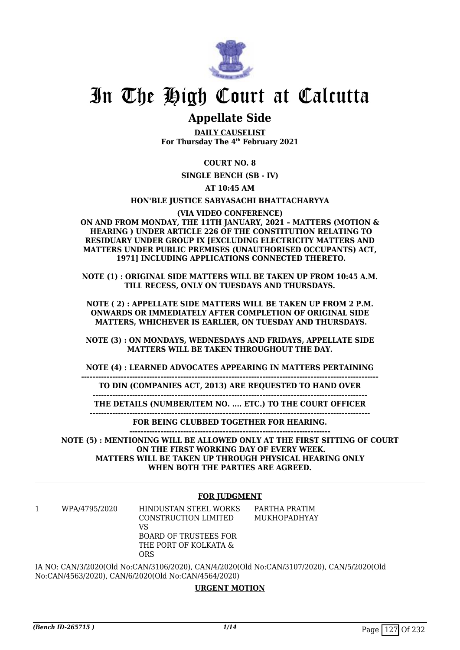

# In The High Court at Calcutta

# **Appellate Side**

**DAILY CAUSELIST For Thursday The 4th February 2021**

## **COURT NO. 8**

**SINGLE BENCH (SB - IV)**

**AT 10:45 AM**

#### **HON'BLE JUSTICE SABYASACHI BHATTACHARYYA**

**(VIA VIDEO CONFERENCE)**

**ON AND FROM MONDAY, THE 11TH JANUARY, 2021 – MATTERS (MOTION & HEARING ) UNDER ARTICLE 226 OF THE CONSTITUTION RELATING TO RESIDUARY UNDER GROUP IX [EXCLUDING ELECTRICITY MATTERS AND MATTERS UNDER PUBLIC PREMISES (UNAUTHORISED OCCUPANTS) ACT, 1971] INCLUDING APPLICATIONS CONNECTED THERETO.**

**NOTE (1) : ORIGINAL SIDE MATTERS WILL BE TAKEN UP FROM 10:45 A.M. TILL RECESS, ONLY ON TUESDAYS AND THURSDAYS.**

**NOTE ( 2) : APPELLATE SIDE MATTERS WILL BE TAKEN UP FROM 2 P.M. ONWARDS OR IMMEDIATELY AFTER COMPLETION OF ORIGINAL SIDE MATTERS, WHICHEVER IS EARLIER, ON TUESDAY AND THURSDAYS.**

**NOTE (3) : ON MONDAYS, WEDNESDAYS AND FRIDAYS, APPELLATE SIDE MATTERS WILL BE TAKEN THROUGHOUT THE DAY.**

**NOTE (4) : LEARNED ADVOCATES APPEARING IN MATTERS PERTAINING**

**---------------------------------------------------------------------------------------------------------**

**TO DIN (COMPANIES ACT, 2013) ARE REQUESTED TO HAND OVER**

**------------------------------------------------------------------------------------------------- THE DETAILS (NUMBER/ITEM NO. .... ETC.) TO THE COURT OFFICER**

**---------------------------------------------------------------------------------------------------**

**FOR BEING CLUBBED TOGETHER FOR HEARING. -----------------------------------------------------------------------**

**NOTE (5) : MENTIONING WILL BE ALLOWED ONLY AT THE FIRST SITTING OF COURT ON THE FIRST WORKING DAY OF EVERY WEEK. MATTERS WILL BE TAKEN UP THROUGH PHYSICAL HEARING ONLY WHEN BOTH THE PARTIES ARE AGREED.**

#### **FOR JUDGMENT**

1 WPA/4795/2020 HINDUSTAN STEEL WORKS CONSTRUCTION LIMITED VS BOARD OF TRUSTEES FOR THE PORT OF KOLKATA & ORS PARTHA PRATIM MUKHOPADHYAY

IA NO: CAN/3/2020(Old No:CAN/3106/2020), CAN/4/2020(Old No:CAN/3107/2020), CAN/5/2020(Old No:CAN/4563/2020), CAN/6/2020(Old No:CAN/4564/2020)

### **URGENT MOTION**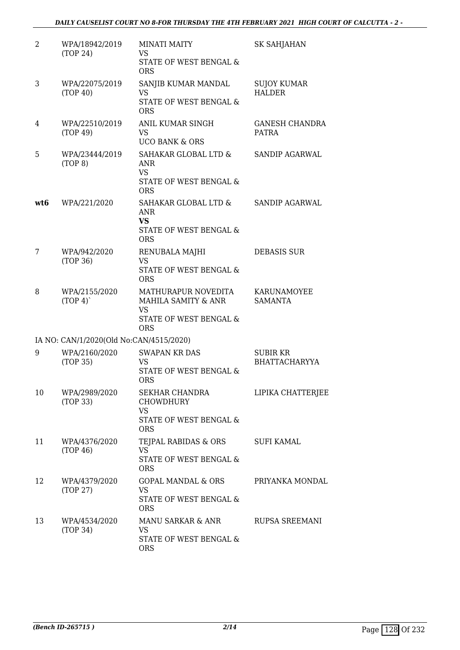| 2   | WPA/18942/2019<br>(TOP 24)              | <b>MINATI MAITY</b><br>VS                                                 | SK SAHJAHAN                             |
|-----|-----------------------------------------|---------------------------------------------------------------------------|-----------------------------------------|
|     |                                         | STATE OF WEST BENGAL &<br><b>ORS</b>                                      |                                         |
| 3   | WPA/22075/2019<br>(TOP 40)              | SANJIB KUMAR MANDAL<br>VS                                                 | <b>SUJOY KUMAR</b><br><b>HALDER</b>     |
|     |                                         | STATE OF WEST BENGAL &<br><b>ORS</b>                                      |                                         |
| 4   | WPA/22510/2019<br>(TOP 49)              | ANIL KUMAR SINGH<br><b>VS</b><br><b>UCO BANK &amp; ORS</b>                | <b>GANESH CHANDRA</b><br><b>PATRA</b>   |
| 5   | WPA/23444/2019<br>(TOP 8)               | SAHAKAR GLOBAL LTD &<br>ANR<br><b>VS</b><br>STATE OF WEST BENGAL &        | SANDIP AGARWAL                          |
|     |                                         | <b>ORS</b>                                                                |                                         |
| wt6 | WPA/221/2020                            | SAHAKAR GLOBAL LTD &<br><b>ANR</b><br><b>VS</b>                           | <b>SANDIP AGARWAL</b>                   |
|     |                                         | STATE OF WEST BENGAL &<br><b>ORS</b>                                      |                                         |
| 7   | WPA/942/2020<br>(TOP 36)                | RENUBALA MAJHI<br><b>VS</b>                                               | <b>DEBASIS SUR</b>                      |
|     |                                         | STATE OF WEST BENGAL &<br><b>ORS</b>                                      |                                         |
| 8   | WPA/2155/2020<br>(TOP 4)                | MATHURAPUR NOVEDITA<br>MAHILA SAMITY & ANR<br><b>VS</b>                   | KARUNAMOYEE<br><b>SAMANTA</b>           |
|     |                                         | STATE OF WEST BENGAL &<br><b>ORS</b>                                      |                                         |
|     | IA NO: CAN/1/2020(Old No:CAN/4515/2020) |                                                                           |                                         |
| 9   | WPA/2160/2020<br>(TOP 35)               | <b>SWAPAN KR DAS</b><br><b>VS</b><br>STATE OF WEST BENGAL &<br><b>ORS</b> | <b>SUBIR KR</b><br><b>BHATTACHARYYA</b> |
| 10  | WPA/2989/2020<br>(TOP 33)               | SEKHAR CHANDRA<br><b>CHOWDHURY</b><br>VS                                  | LIPIKA CHATTERJEE                       |
|     |                                         | STATE OF WEST BENGAL &<br><b>ORS</b>                                      |                                         |
| 11  | WPA/4376/2020<br>(TOP 46)               | TEJPAL RABIDAS & ORS<br><b>VS</b>                                         | <b>SUFI KAMAL</b>                       |
|     |                                         | STATE OF WEST BENGAL &<br><b>ORS</b>                                      |                                         |
| 12  | WPA/4379/2020<br>(TOP 27)               | <b>GOPAL MANDAL &amp; ORS</b><br>VS                                       | PRIYANKA MONDAL                         |
|     |                                         | STATE OF WEST BENGAL &<br><b>ORS</b>                                      |                                         |
| 13  | WPA/4534/2020<br>(TOP 34)               | MANU SARKAR & ANR<br>VS                                                   | RUPSA SREEMANI                          |
|     |                                         | STATE OF WEST BENGAL &<br><b>ORS</b>                                      |                                         |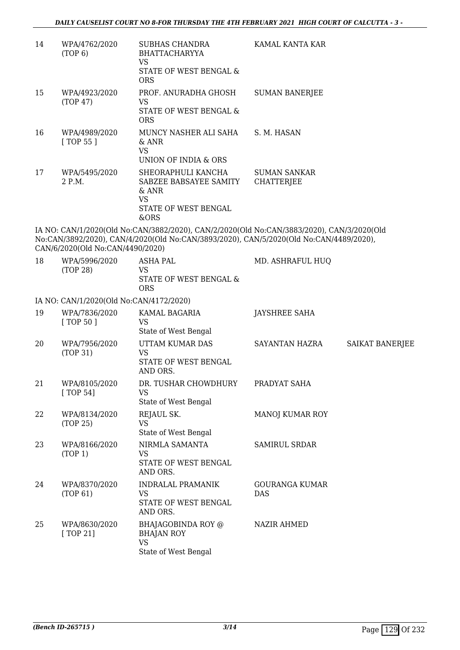| 14 | WPA/4762/2020<br>(TOP 6)         | <b>SUBHAS CHANDRA</b><br><b>BHATTACHARYYA</b><br>VS<br>STATE OF WEST BENGAL &<br><b>ORS</b>          | KAMAL KANTA KAR                                                                                                                                                                     |
|----|----------------------------------|------------------------------------------------------------------------------------------------------|-------------------------------------------------------------------------------------------------------------------------------------------------------------------------------------|
| 15 | WPA/4923/2020<br>(TOP 47)        | PROF. ANURADHA GHOSH<br>VS<br>STATE OF WEST BENGAL &<br><b>ORS</b>                                   | <b>SUMAN BANERJEE</b>                                                                                                                                                               |
| 16 | WPA/4989/2020<br>[TOP 55]        | MUNCY NASHER ALI SAHA<br>$&$ ANR<br>VS.<br>UNION OF INDIA & ORS                                      | S. M. HASAN                                                                                                                                                                         |
| 17 | WPA/5495/2020<br>2 P.M.          | SHEORAPHULI KANCHA<br>SABZEE BABSAYEE SAMITY<br>$&$ ANR<br><b>VS</b><br>STATE OF WEST BENGAL<br>&ORS | <b>SUMAN SANKAR</b><br>CHATTERJEE                                                                                                                                                   |
|    | CAN/6/2020(Old No:CAN/4490/2020) |                                                                                                      | IA NO: CAN/1/2020(Old No:CAN/3882/2020), CAN/2/2020(Old No:CAN/3883/2020), CAN/3/2020(Old<br>No:CAN/3892/2020), CAN/4/2020(Old No:CAN/3893/2020), CAN/5/2020(Old No:CAN/4489/2020), |
| 18 | WPA/5996/2020<br>(TOP 28)        | <b>ASHA PAL</b><br><b>VS</b><br>STATE OF WEST BENGAL &                                               | MD. ASHRAFUL HUQ                                                                                                                                                                    |

## IA NO: CAN/1/2020(Old No:CAN/4172/2020)

ORS

| 19 | WPA/7836/2020<br>[TOP 50] | KAMAL BAGARIA<br>VS<br>State of West Bengal                                  | JAYSHREE SAHA                       |                 |
|----|---------------------------|------------------------------------------------------------------------------|-------------------------------------|-----------------|
| 20 | WPA/7956/2020<br>(TOP 31) | UTTAM KUMAR DAS<br>VS<br>STATE OF WEST BENGAL<br>AND ORS.                    | SAYANTAN HAZRA                      | SAIKAT BANERJEE |
| 21 | WPA/8105/2020<br>[TOP 54] | DR. TUSHAR CHOWDHURY<br>VS<br>State of West Bengal                           | PRADYAT SAHA                        |                 |
| 22 | WPA/8134/2020<br>(TOP 25) | REJAUL SK.<br><b>VS</b><br>State of West Bengal                              | <b>MANOJ KUMAR ROY</b>              |                 |
| 23 | WPA/8166/2020<br>(TOP 1)  | NIRMLA SAMANTA<br>VS.<br>STATE OF WEST BENGAL<br>AND ORS.                    | <b>SAMIRUL SRDAR</b>                |                 |
| 24 | WPA/8370/2020<br>(TOP 61) | <b>INDRALAL PRAMANIK</b><br>VS.<br>STATE OF WEST BENGAL<br>AND ORS.          | <b>GOURANGA KUMAR</b><br><b>DAS</b> |                 |
| 25 | WPA/8630/2020<br>[TOP 21] | BHAJAGOBINDA ROY @<br><b>BHAJAN ROY</b><br><b>VS</b><br>State of West Bengal | NAZIR AHMED                         |                 |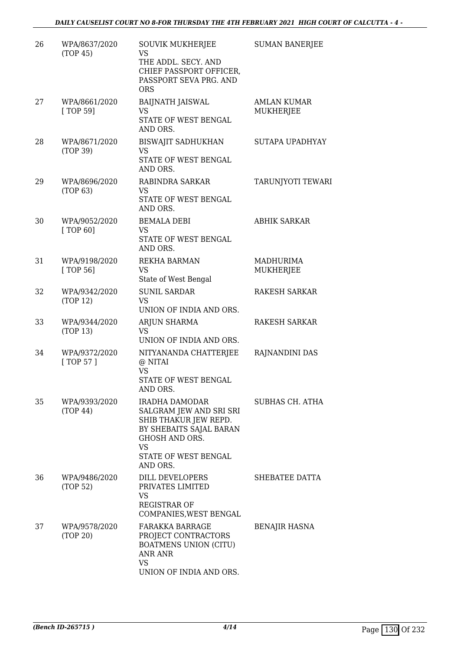| 26 | WPA/8637/2020<br>(TOP 45)   | <b>SOUVIK MUKHERJEE</b><br><b>VS</b><br>THE ADDL. SECY. AND<br>CHIEF PASSPORT OFFICER,<br>PASSPORT SEVA PRG. AND<br><b>ORS</b>                             | <b>SUMAN BANERJEE</b>                  |
|----|-----------------------------|------------------------------------------------------------------------------------------------------------------------------------------------------------|----------------------------------------|
| 27 | WPA/8661/2020<br>[ TOP 59]  | <b>BAIJNATH JAISWAL</b><br>VS.<br>STATE OF WEST BENGAL<br>AND ORS.                                                                                         | <b>AMLAN KUMAR</b><br><b>MUKHERJEE</b> |
| 28 | WPA/8671/2020<br>(TOP 39)   | <b>BISWAJIT SADHUKHAN</b><br>VS.<br>STATE OF WEST BENGAL<br>AND ORS.                                                                                       | SUTAPA UPADHYAY                        |
| 29 | WPA/8696/2020<br>(TOP 63)   | RABINDRA SARKAR<br>VS<br>STATE OF WEST BENGAL<br>AND ORS.                                                                                                  | <b>TARUNJYOTI TEWARI</b>               |
| 30 | WPA/9052/2020<br>[ TOP 60]  | <b>BEMALA DEBI</b><br>VS.<br>STATE OF WEST BENGAL<br>AND ORS.                                                                                              | <b>ABHIK SARKAR</b>                    |
| 31 | WPA/9198/2020<br>[ TOP 56]  | REKHA BARMAN<br>VS<br>State of West Bengal                                                                                                                 | MADHURIMA<br>MUKHERJEE                 |
| 32 | WPA/9342/2020<br>(TOP 12)   | <b>SUNIL SARDAR</b><br><b>VS</b><br>UNION OF INDIA AND ORS.                                                                                                | <b>RAKESH SARKAR</b>                   |
| 33 | WPA/9344/2020<br>(TOP 13)   | ARJUN SHARMA<br><b>VS</b><br>UNION OF INDIA AND ORS.                                                                                                       | RAKESH SARKAR                          |
| 34 | WPA/9372/2020<br>[ TOP 57 ] | NITYANANDA CHATTERJEE<br>@ NITAI<br><b>VS</b><br>STATE OF WEST BENGAL<br>AND ORS.                                                                          | RAJNANDINI DAS                         |
| 35 | WPA/9393/2020<br>(TOP 44)   | IRADHA DAMODAR<br>SALGRAM JEW AND SRI SRI<br>SHIB THAKUR JEW REPD.<br>BY SHEBAITS SAJAL BARAN<br>GHOSH AND ORS.<br>VS.<br>STATE OF WEST BENGAL<br>AND ORS. | SUBHAS CH. ATHA                        |
| 36 | WPA/9486/2020<br>(TOP 52)   | DILL DEVELOPERS<br>PRIVATES LIMITED<br>VS<br>REGISTRAR OF<br>COMPANIES, WEST BENGAL                                                                        | SHEBATEE DATTA                         |
| 37 | WPA/9578/2020<br>(TOP 20)   | <b>FARAKKA BARRAGE</b><br>PROJECT CONTRACTORS<br><b>BOATMENS UNION (CITU)</b><br>ANR ANR<br>VS<br>UNION OF INDIA AND ORS.                                  | <b>BENAJIR HASNA</b>                   |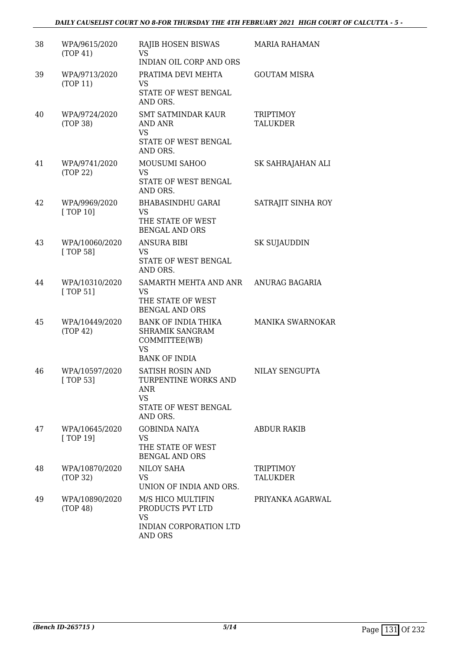| 38 | WPA/9615/2020<br>(TOP 41)   | RAJIB HOSEN BISWAS<br>VS.<br><b>INDIAN OIL CORP AND ORS</b>                                                    | <b>MARIA RAHAMAN</b>                |
|----|-----------------------------|----------------------------------------------------------------------------------------------------------------|-------------------------------------|
| 39 | WPA/9713/2020<br>(TOP 11)   | PRATIMA DEVI MEHTA<br>VS<br>STATE OF WEST BENGAL<br>AND ORS.                                                   | <b>GOUTAM MISRA</b>                 |
| 40 | WPA/9724/2020<br>(TOP 38)   | <b>SMT SATMINDAR KAUR</b><br>AND ANR<br><b>VS</b><br>STATE OF WEST BENGAL<br>AND ORS.                          | <b>TRIPTIMOY</b><br><b>TALUKDER</b> |
| 41 | WPA/9741/2020<br>(TOP 22)   | MOUSUMI SAHOO<br>VS.<br>STATE OF WEST BENGAL<br>AND ORS.                                                       | SK SAHRAJAHAN ALI                   |
| 42 | WPA/9969/2020<br>[TOP 10]   | <b>BHABASINDHU GARAI</b><br><b>VS</b><br>THE STATE OF WEST<br><b>BENGAL AND ORS</b>                            | SATRAJIT SINHA ROY                  |
| 43 | WPA/10060/2020<br>[ TOP 58] | <b>ANSURA BIBI</b><br><b>VS</b><br>STATE OF WEST BENGAL<br>AND ORS.                                            | SK SUJAUDDIN                        |
| 44 | WPA/10310/2020<br>[ TOP 51] | SAMARTH MEHTA AND ANR<br>VS<br>THE STATE OF WEST<br><b>BENGAL AND ORS</b>                                      | ANURAG BAGARIA                      |
| 45 | WPA/10449/2020<br>(TOP 42)  | <b>BANK OF INDIA THIKA</b><br>SHRAMIK SANGRAM<br>COMMITTEE(WB)<br><b>VS</b><br><b>BANK OF INDIA</b>            | MANIKA SWARNOKAR                    |
| 46 | WPA/10597/2020<br>[TOP 53]  | <b>SATISH ROSIN AND</b><br><b>TURPENTINE WORKS AND</b><br>ANR<br><b>VS</b><br>STATE OF WEST BENGAL<br>AND ORS. | NILAY SENGUPTA                      |
| 47 | WPA/10645/2020<br>[TOP 19]  | <b>GOBINDA NAIYA</b><br>VS<br>THE STATE OF WEST<br><b>BENGAL AND ORS</b>                                       | <b>ABDUR RAKIB</b>                  |
| 48 | WPA/10870/2020<br>(TOP 32)  | NILOY SAHA<br>VS.<br>UNION OF INDIA AND ORS.                                                                   | <b>TRIPTIMOY</b><br>TALUKDER        |
| 49 | WPA/10890/2020<br>(TOP 48)  | M/S HICO MULTIFIN<br>PRODUCTS PVT LTD<br><b>VS</b><br>INDIAN CORPORATION LTD<br>AND ORS                        | PRIYANKA AGARWAL                    |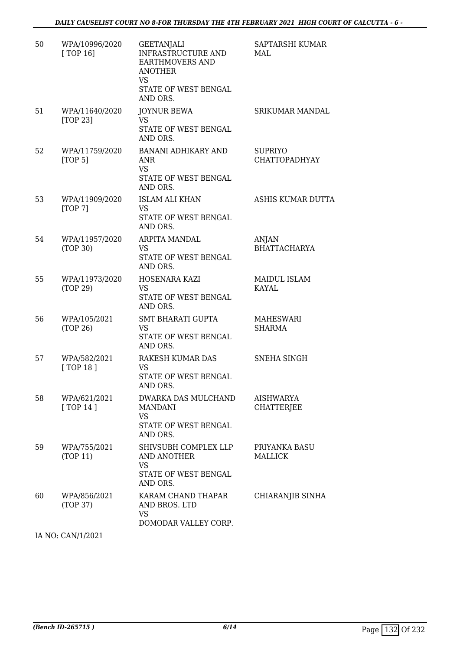| 50 | WPA/10996/2020<br>[TOP 16] | <b>GEETANJALI</b><br><b>INFRASTRUCTURE AND</b><br>EARTHMOVERS AND<br><b>ANOTHER</b><br><b>VS</b><br>STATE OF WEST BENGAL<br>AND ORS. | SAPTARSHI KUMAR<br>MAL            |
|----|----------------------------|--------------------------------------------------------------------------------------------------------------------------------------|-----------------------------------|
| 51 | WPA/11640/2020<br>[TOP 23] | <b>JOYNUR BEWA</b><br>VS<br>STATE OF WEST BENGAL<br>AND ORS.                                                                         | SRIKUMAR MANDAL                   |
| 52 | WPA/11759/2020<br>[TOP 5]  | BANANI ADHIKARY AND<br>ANR<br><b>VS</b><br>STATE OF WEST BENGAL<br>AND ORS.                                                          | <b>SUPRIYO</b><br>CHATTOPADHYAY   |
| 53 | WPA/11909/2020<br>[TOP 7]  | <b>ISLAM ALI KHAN</b><br>VS.<br>STATE OF WEST BENGAL<br>AND ORS.                                                                     | ASHIS KUMAR DUTTA                 |
| 54 | WPA/11957/2020<br>(TOP 30) | ARPITA MANDAL<br>VS<br>STATE OF WEST BENGAL<br>AND ORS.                                                                              | ANJAN<br><b>BHATTACHARYA</b>      |
| 55 | WPA/11973/2020<br>(TOP 29) | HOSENARA KAZI<br>VS<br>STATE OF WEST BENGAL<br>AND ORS.                                                                              | <b>MAIDUL ISLAM</b><br>KAYAL      |
| 56 | WPA/105/2021<br>(TOP 26)   | <b>SMT BHARATI GUPTA</b><br><b>VS</b><br>STATE OF WEST BENGAL<br>AND ORS.                                                            | <b>MAHESWARI</b><br><b>SHARMA</b> |
| 57 | WPA/582/2021<br>[ TOP 18 ] | RAKESH KUMAR DAS<br>VS<br>STATE OF WEST BENGAL<br>AND ORS.                                                                           | <b>SNEHA SINGH</b>                |
| 58 | WPA/621/2021<br>[TOP14]    | DWARKA DAS MULCHAND<br><b>MANDANI</b><br>VS<br>STATE OF WEST BENGAL<br>AND ORS.                                                      | AISHWARYA<br><b>CHATTERJEE</b>    |
| 59 | WPA/755/2021<br>(TOP 11)   | SHIVSUBH COMPLEX LLP<br><b>AND ANOTHER</b><br><b>VS</b><br>STATE OF WEST BENGAL<br>AND ORS.                                          | PRIYANKA BASU<br><b>MALLICK</b>   |
| 60 | WPA/856/2021<br>(TOP 37)   | KARAM CHAND THAPAR<br>AND BROS. LTD<br><b>VS</b><br>DOMODAR VALLEY CORP.                                                             | CHIARANJIB SINHA                  |

IA NO: CAN/1/2021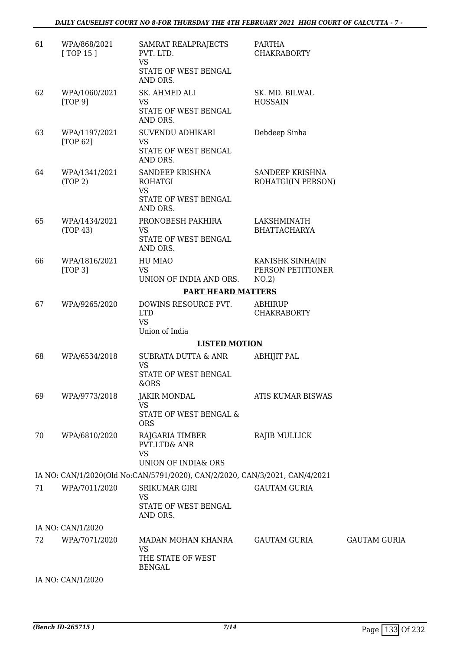#### *DAILY CAUSELIST COURT NO 8-FOR THURSDAY THE 4TH FEBRUARY 2021 HIGH COURT OF CALCUTTA - 7 -*

| 61 | WPA/868/2021<br>[ TOP 15 ] | SAMRAT REALPRAJECTS<br>PVT. LTD.<br><b>VS</b><br>STATE OF WEST BENGAL<br>AND ORS.  | <b>PARTHA</b><br><b>CHAKRABORTY</b>            |                     |
|----|----------------------------|------------------------------------------------------------------------------------|------------------------------------------------|---------------------|
| 62 | WPA/1060/2021<br>[TOP 9]   | SK. AHMED ALI<br><b>VS</b><br>STATE OF WEST BENGAL<br>AND ORS.                     | SK. MD. BILWAL<br><b>HOSSAIN</b>               |                     |
| 63 | WPA/1197/2021<br>[TOP 62]  | SUVENDU ADHIKARI<br><b>VS</b><br>STATE OF WEST BENGAL<br>AND ORS.                  | Debdeep Sinha                                  |                     |
| 64 | WPA/1341/2021<br>(TOP 2)   | SANDEEP KRISHNA<br><b>ROHATGI</b><br><b>VS</b><br>STATE OF WEST BENGAL<br>AND ORS. | SANDEEP KRISHNA<br>ROHATGI(IN PERSON)          |                     |
| 65 | WPA/1434/2021<br>(TOP 43)  | PRONOBESH PAKHIRA<br><b>VS</b><br>STATE OF WEST BENGAL<br>AND ORS.                 | LAKSHMINATH<br><b>BHATTACHARYA</b>             |                     |
| 66 | WPA/1816/2021<br>[TOP 3]   | HU MIAO<br><b>VS</b><br>UNION OF INDIA AND ORS.                                    | KANISHK SINHA(IN<br>PERSON PETITIONER<br>NO.2) |                     |
|    |                            | <b>PART HEARD MATTERS</b>                                                          |                                                |                     |
| 67 | WPA/9265/2020              | DOWINS RESOURCE PVT.<br><b>LTD</b><br><b>VS</b><br>Union of India                  | <b>ABHIRUP</b><br><b>CHAKRABORTY</b>           |                     |
|    |                            | <b>LISTED MOTION</b>                                                               |                                                |                     |
| 68 | WPA/6534/2018              | <b>SUBRATA DUTTA &amp; ANR</b><br><b>VS</b><br>STATE OF WEST BENGAL<br>&ORS        | <b>ABHIJIT PAL</b>                             |                     |
| 69 | WPA/9773/2018              | <b>JAKIR MONDAL</b><br><b>VS</b><br>STATE OF WEST BENGAL &<br><b>ORS</b>           | ATIS KUMAR BISWAS                              |                     |
| 70 | WPA/6810/2020              | RAJGARIA TIMBER<br>PVT.LTD& ANR<br><b>VS</b><br>UNION OF INDIA& ORS                | <b>RAJIB MULLICK</b>                           |                     |
|    |                            | IA NO: CAN/1/2020(Old No:CAN/5791/2020), CAN/2/2020, CAN/3/2021, CAN/4/2021        |                                                |                     |
| 71 | WPA/7011/2020              | SRIKUMAR GIRI<br>VS<br>STATE OF WEST BENGAL<br>AND ORS.                            | <b>GAUTAM GURIA</b>                            |                     |
|    | IA NO: CAN/1/2020          |                                                                                    |                                                |                     |
| 72 | WPA/7071/2020              | MADAN MOHAN KHANRA<br><b>VS</b><br>THE STATE OF WEST<br><b>BENGAL</b>              | GAUTAM GURIA                                   | <b>GAUTAM GURIA</b> |
|    | IA NO: CAN/1/2020          |                                                                                    |                                                |                     |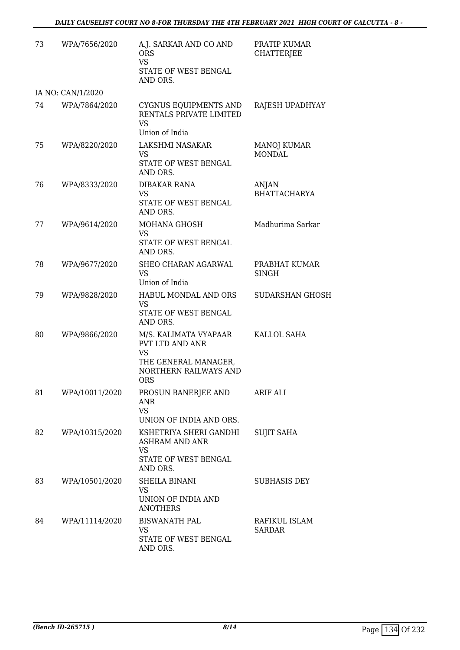| 73 | WPA/7656/2020     | A.J. SARKAR AND CO AND<br><b>ORS</b><br><b>VS</b><br>STATE OF WEST BENGAL<br>AND ORS.                                | PRATIP KUMAR<br><b>CHATTERJEE</b>   |
|----|-------------------|----------------------------------------------------------------------------------------------------------------------|-------------------------------------|
|    | IA NO: CAN/1/2020 |                                                                                                                      |                                     |
| 74 | WPA/7864/2020     | CYGNUS EQUIPMENTS AND<br>RENTALS PRIVATE LIMITED<br><b>VS</b><br>Union of India                                      | RAJESH UPADHYAY                     |
| 75 | WPA/8220/2020     | LAKSHMI NASAKAR<br>VS<br>STATE OF WEST BENGAL<br>AND ORS.                                                            | <b>MANOJ KUMAR</b><br><b>MONDAL</b> |
| 76 | WPA/8333/2020     | DIBAKAR RANA<br>VS.<br>STATE OF WEST BENGAL<br>AND ORS.                                                              | ANJAN<br><b>BHATTACHARYA</b>        |
| 77 | WPA/9614/2020     | MOHANA GHOSH<br><b>VS</b><br>STATE OF WEST BENGAL<br>AND ORS.                                                        | Madhurima Sarkar                    |
| 78 | WPA/9677/2020     | SHEO CHARAN AGARWAL<br><b>VS</b><br>Union of India                                                                   | PRABHAT KUMAR<br><b>SINGH</b>       |
| 79 | WPA/9828/2020     | HABUL MONDAL AND ORS<br><b>VS</b><br>STATE OF WEST BENGAL<br>AND ORS.                                                | <b>SUDARSHAN GHOSH</b>              |
| 80 | WPA/9866/2020     | M/S. KALIMATA VYAPAAR<br>PVT LTD AND ANR<br><b>VS</b><br>THE GENERAL MANAGER,<br>NORTHERN RAILWAYS AND<br><b>ORS</b> | KALLOL SAHA                         |
| 81 | WPA/10011/2020    | PROSUN BANERJEE AND<br>ANR<br><b>VS</b><br>UNION OF INDIA AND ORS.                                                   | ARIF ALI                            |
| 82 | WPA/10315/2020    | KSHETRIYA SHERI GANDHI<br>ASHRAM AND ANR<br>VS<br>STATE OF WEST BENGAL<br>AND ORS.                                   | <b>SUJIT SAHA</b>                   |
| 83 | WPA/10501/2020    | SHEILA BINANI<br>VS.<br>UNION OF INDIA AND<br><b>ANOTHERS</b>                                                        | <b>SUBHASIS DEY</b>                 |
| 84 | WPA/11114/2020    | <b>BISWANATH PAL</b><br>VS.<br>STATE OF WEST BENGAL<br>AND ORS.                                                      | RAFIKUL ISLAM<br><b>SARDAR</b>      |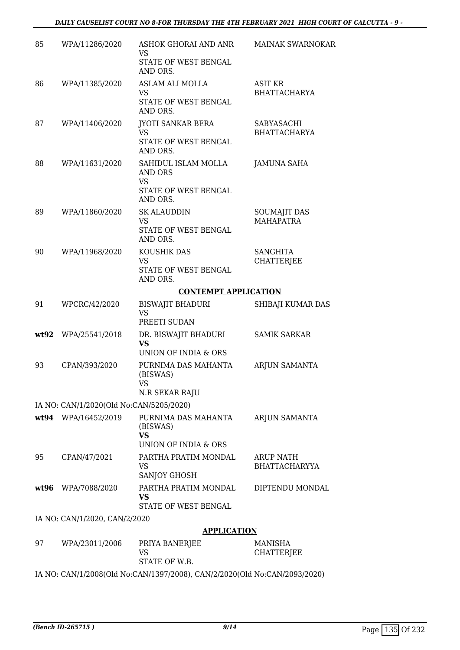| 85   | WPA/11286/2020                          | ASHOK GHORAI AND ANR<br>VS                    | <b>MAINAK SWARNOKAR</b>                  |
|------|-----------------------------------------|-----------------------------------------------|------------------------------------------|
|      |                                         | STATE OF WEST BENGAL<br>AND ORS.              |                                          |
| 86   | WPA/11385/2020                          | <b>ASLAM ALI MOLLA</b><br><b>VS</b>           | <b>ASIT KR</b><br><b>BHATTACHARYA</b>    |
|      |                                         | STATE OF WEST BENGAL<br>AND ORS.              |                                          |
| 87   | WPA/11406/2020                          | JYOTI SANKAR BERA<br><b>VS</b>                | SABYASACHI<br><b>BHATTACHARYA</b>        |
|      |                                         | STATE OF WEST BENGAL<br>AND ORS.              |                                          |
| 88   | WPA/11631/2020                          | SAHIDUL ISLAM MOLLA<br>AND ORS                | <b>JAMUNA SAHA</b>                       |
|      |                                         | <b>VS</b><br>STATE OF WEST BENGAL<br>AND ORS. |                                          |
| 89   | WPA/11860/2020                          | <b>SK ALAUDDIN</b>                            | <b>SOUMAJIT DAS</b><br><b>MAHAPATRA</b>  |
|      |                                         | VS<br><b>STATE OF WEST BENGAL</b><br>AND ORS. |                                          |
| 90   | WPA/11968/2020                          | KOUSHIK DAS<br><b>VS</b>                      | <b>SANGHITA</b><br><b>CHATTERJEE</b>     |
|      |                                         | STATE OF WEST BENGAL<br>AND ORS.              |                                          |
|      |                                         | <b>CONTEMPT APPLICATION</b>                   |                                          |
| 91   | WPCRC/42/2020                           | <b>BISWAJIT BHADURI</b><br><b>VS</b>          | SHIBAJI KUMAR DAS                        |
| wt92 | WPA/25541/2018                          | PREETI SUDAN<br>DR. BISWAJIT BHADURI          | <b>SAMIK SARKAR</b>                      |
|      |                                         | <b>VS</b><br>UNION OF INDIA & ORS             |                                          |
| 93   | CPAN/393/2020                           | PURNIMA DAS MAHANTA<br>(BISWAS)               | ARJUN SAMANTA                            |
|      |                                         | VS<br>N.R SEKAR RAJU                          |                                          |
|      | IA NO: CAN/1/2020(Old No:CAN/5205/2020) |                                               |                                          |
|      | wt94 WPA/16452/2019                     | PURNIMA DAS MAHANTA<br>(BISWAS)<br><b>VS</b>  | ARJUN SAMANTA                            |
|      |                                         | UNION OF INDIA & ORS                          |                                          |
| 95   | CPAN/47/2021                            | PARTHA PRATIM MONDAL<br>VS<br>SANJOY GHOSH    | <b>ARUP NATH</b><br><b>BHATTACHARYYA</b> |
| wt96 | WPA/7088/2020                           | PARTHA PRATIM MONDAL                          | DIPTENDU MONDAL                          |
|      |                                         | VS<br>STATE OF WEST BENGAL                    |                                          |
|      | IA NO: CAN/1/2020, CAN/2/2020           |                                               |                                          |
|      |                                         | <b>APPLICATION</b>                            |                                          |
| 97   | WPA/23011/2006                          | PRIYA BANERJEE<br><b>VS</b><br>STATE OF W.B.  | MANISHA<br>CHATTERJEE                    |
|      |                                         |                                               |                                          |

IA NO: CAN/1/2008(Old No:CAN/1397/2008), CAN/2/2020(Old No:CAN/2093/2020)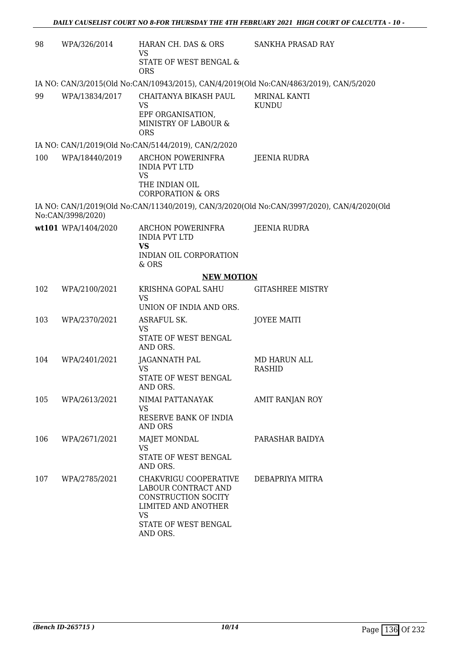| 98  | WPA/326/2014        | HARAN CH. DAS & ORS<br>VS<br>STATE OF WEST BENGAL &<br><b>ORS</b>                                                                           | SANKHA PRASAD RAY                                                                          |
|-----|---------------------|---------------------------------------------------------------------------------------------------------------------------------------------|--------------------------------------------------------------------------------------------|
|     |                     |                                                                                                                                             | IA NO: CAN/3/2015(Old No:CAN/10943/2015), CAN/4/2019(Old No:CAN/4863/2019), CAN/5/2020     |
| 99  | WPA/13834/2017      | CHAITANYA BIKASH PAUL<br><b>VS</b><br>EPF ORGANISATION,<br>MINISTRY OF LABOUR &<br><b>ORS</b>                                               | MRINAL KANTI<br><b>KUNDU</b>                                                               |
|     |                     | IA NO: CAN/1/2019(Old No:CAN/5144/2019), CAN/2/2020                                                                                         |                                                                                            |
| 100 | WPA/18440/2019      | ARCHON POWERINFRA<br><b>INDIA PVT LTD</b><br><b>VS</b><br>THE INDIAN OIL<br><b>CORPORATION &amp; ORS</b>                                    | JEENIA RUDRA                                                                               |
|     | No:CAN/3998/2020)   |                                                                                                                                             | IA NO: CAN/1/2019(Old No:CAN/11340/2019), CAN/3/2020(Old No:CAN/3997/2020), CAN/4/2020(Old |
|     | wt101 WPA/1404/2020 | <b>ARCHON POWERINFRA</b><br><b>INDIA PVT LTD</b><br><b>VS</b><br>INDIAN OIL CORPORATION                                                     | JEENIA RUDRA                                                                               |
|     |                     | & ORS                                                                                                                                       |                                                                                            |
|     |                     | <b>NEW MOTION</b>                                                                                                                           |                                                                                            |
| 102 | WPA/2100/2021       | KRISHNA GOPAL SAHU<br>VS<br>UNION OF INDIA AND ORS.                                                                                         | <b>GITASHREE MISTRY</b>                                                                    |
| 103 | WPA/2370/2021       | ASRAFUL SK.<br><b>VS</b><br>STATE OF WEST BENGAL<br>AND ORS.                                                                                | <b>JOYEE MAITI</b>                                                                         |
| 104 | WPA/2401/2021       | <b>JAGANNATH PAL</b><br><b>VS</b><br>STATE OF WEST BENGAL<br>AND ORS.                                                                       | MD HARUN ALL<br>RASHID                                                                     |
| 105 | WPA/2613/2021       | NIMAI PATTANAYAK<br>VS<br>RESERVE BANK OF INDIA<br><b>AND ORS</b>                                                                           | AMIT RANJAN ROY                                                                            |
| 106 | WPA/2671/2021       | MAJET MONDAL<br><b>VS</b><br>STATE OF WEST BENGAL<br>AND ORS.                                                                               | PARASHAR BAIDYA                                                                            |
| 107 | WPA/2785/2021       | CHAKVRIGU COOPERATIVE<br>LABOUR CONTRACT AND<br>CONSTRUCTION SOCITY<br>LIMITED AND ANOTHER<br><b>VS</b><br>STATE OF WEST BENGAL<br>AND ORS. | DEBAPRIYA MITRA                                                                            |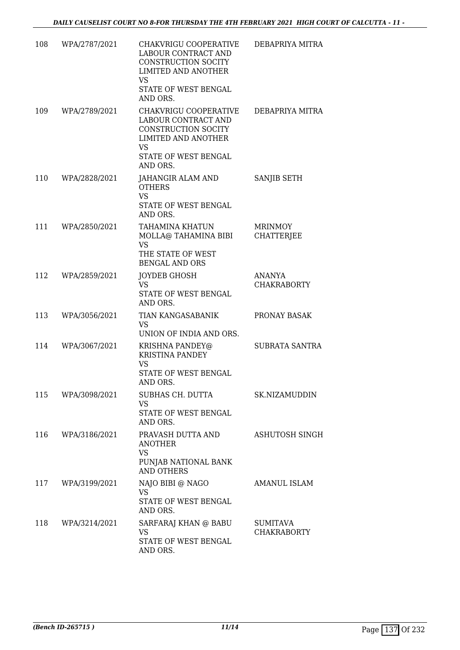| 108 | WPA/2787/2021 | CHAKVRIGU COOPERATIVE<br><b>LABOUR CONTRACT AND</b><br>CONSTRUCTION SOCITY<br><b>LIMITED AND ANOTHER</b><br><b>VS</b><br>STATE OF WEST BENGAL      | DEBAPRIYA MITRA                     |
|-----|---------------|----------------------------------------------------------------------------------------------------------------------------------------------------|-------------------------------------|
| 109 | WPA/2789/2021 | AND ORS.<br>CHAKVRIGU COOPERATIVE<br>LABOUR CONTRACT AND<br>CONSTRUCTION SOCITY<br><b>LIMITED AND ANOTHER</b><br><b>VS</b><br>STATE OF WEST BENGAL | DEBAPRIYA MITRA                     |
| 110 | WPA/2828/2021 | AND ORS.<br>JAHANGIR ALAM AND<br><b>OTHERS</b><br><b>VS</b><br>STATE OF WEST BENGAL<br>AND ORS.                                                    | SANJIB SETH                         |
| 111 | WPA/2850/2021 | <b>TAHAMINA KHATUN</b><br>MOLLA@ TAHAMINA BIBI<br><b>VS</b><br>THE STATE OF WEST<br><b>BENGAL AND ORS</b>                                          | <b>MRINMOY</b><br><b>CHATTERJEE</b> |
| 112 | WPA/2859/2021 | JOYDEB GHOSH<br><b>VS</b><br>STATE OF WEST BENGAL<br>AND ORS.                                                                                      | ANANYA<br><b>CHAKRABORTY</b>        |
| 113 | WPA/3056/2021 | TIAN KANGASABANIK<br><b>VS</b><br>UNION OF INDIA AND ORS.                                                                                          | PRONAY BASAK                        |
| 114 | WPA/3067/2021 | KRISHNA PANDEY@<br><b>KRISTINA PANDEY</b><br><b>VS</b><br>STATE OF WEST BENGAL<br>AND ORS.                                                         | SUBRATA SANTRA                      |
| 115 | WPA/3098/2021 | SUBHAS CH. DUTTA<br><b>VS</b><br>STATE OF WEST BENGAL<br>AND ORS.                                                                                  | SK.NIZAMUDDIN                       |
| 116 | WPA/3186/2021 | PRAVASH DUTTA AND<br><b>ANOTHER</b><br><b>VS</b><br>PUNJAB NATIONAL BANK<br><b>AND OTHERS</b>                                                      | ASHUTOSH SINGH                      |
| 117 | WPA/3199/2021 | NAJO BIBI @ NAGO<br><b>VS</b><br>STATE OF WEST BENGAL<br>AND ORS.                                                                                  | AMANUL ISLAM                        |
| 118 | WPA/3214/2021 | SARFARAJ KHAN @ BABU<br>VS<br>STATE OF WEST BENGAL<br>AND ORS.                                                                                     | SUMITAVA<br><b>CHAKRABORTY</b>      |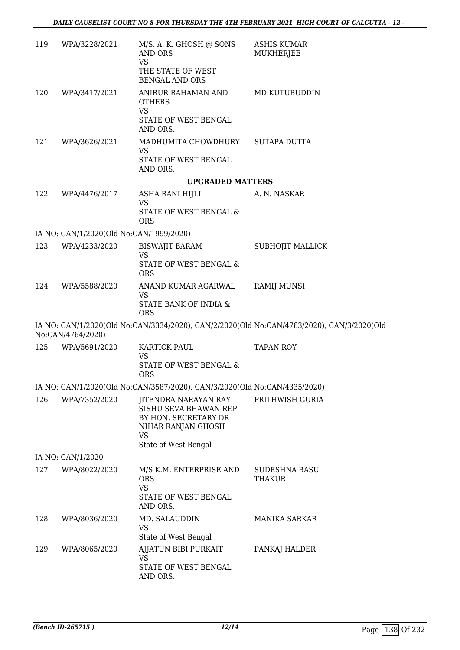| 119 | WPA/3228/2021                           | M/S. A. K. GHOSH @ SONS<br>AND ORS<br><b>VS</b><br>THE STATE OF WEST<br><b>BENGAL AND ORS</b>                              | <b>ASHIS KUMAR</b><br>MUKHERJEE                                                           |
|-----|-----------------------------------------|----------------------------------------------------------------------------------------------------------------------------|-------------------------------------------------------------------------------------------|
| 120 | WPA/3417/2021                           | ANIRUR RAHAMAN AND<br><b>OTHERS</b><br>VS<br>STATE OF WEST BENGAL<br>AND ORS.                                              | MD.KUTUBUDDIN                                                                             |
| 121 | WPA/3626/2021                           | MADHUMITA CHOWDHURY<br><b>VS</b><br>STATE OF WEST BENGAL<br>AND ORS.                                                       | <b>SUTAPA DUTTA</b>                                                                       |
|     |                                         | <b>UPGRADED MATTERS</b>                                                                                                    |                                                                                           |
| 122 | WPA/4476/2017                           | ASHA RANI HIJLI<br><b>VS</b>                                                                                               | A. N. NASKAR                                                                              |
|     |                                         | STATE OF WEST BENGAL &<br><b>ORS</b>                                                                                       |                                                                                           |
|     | IA NO: CAN/1/2020(Old No:CAN/1999/2020) |                                                                                                                            |                                                                                           |
| 123 | WPA/4233/2020                           | BISWAJIT BARAM                                                                                                             | SUBHOJIT MALLICK                                                                          |
|     |                                         | <b>VS</b><br>STATE OF WEST BENGAL &<br><b>ORS</b>                                                                          |                                                                                           |
| 124 | WPA/5588/2020                           | ANAND KUMAR AGARWAL<br><b>VS</b><br>STATE BANK OF INDIA &<br><b>ORS</b>                                                    | <b>RAMIJ MUNSI</b>                                                                        |
|     | No:CAN/4764/2020)                       |                                                                                                                            | IA NO: CAN/1/2020(Old No:CAN/3334/2020), CAN/2/2020(Old No:CAN/4763/2020), CAN/3/2020(Old |
| 125 | WPA/5691/2020                           | KARTICK PAUL<br><b>VS</b><br>STATE OF WEST BENGAL &<br><b>ORS</b>                                                          | <b>TAPAN ROY</b>                                                                          |
|     |                                         | IA NO: CAN/1/2020(Old No:CAN/3587/2020), CAN/3/2020(Old No:CAN/4335/2020)                                                  |                                                                                           |
| 126 | WPA/7352/2020                           | JITENDRA NARAYAN RAY<br>SISHU SEVA BHAWAN REP.<br>BY HON. SECRETARY DR<br>NIHAR RANJAN GHOSH<br>VS<br>State of West Bengal | PRITHWISH GURIA                                                                           |
|     | IA NO: CAN/1/2020                       |                                                                                                                            |                                                                                           |
| 127 | WPA/8022/2020                           | M/S K.M. ENTERPRISE AND<br><b>ORS</b><br><b>VS</b>                                                                         | <b>SUDESHNA BASU</b><br><b>THAKUR</b>                                                     |
|     |                                         | STATE OF WEST BENGAL<br>AND ORS.                                                                                           |                                                                                           |
| 128 | WPA/8036/2020                           | MD. SALAUDDIN<br>VS                                                                                                        | MANIKA SARKAR                                                                             |
| 129 | WPA/8065/2020                           | State of West Bengal<br>AJJATUN BIBI PURKAIT                                                                               | PANKAJ HALDER                                                                             |
|     |                                         | VS<br>STATE OF WEST BENGAL                                                                                                 |                                                                                           |
|     |                                         | AND ORS.                                                                                                                   |                                                                                           |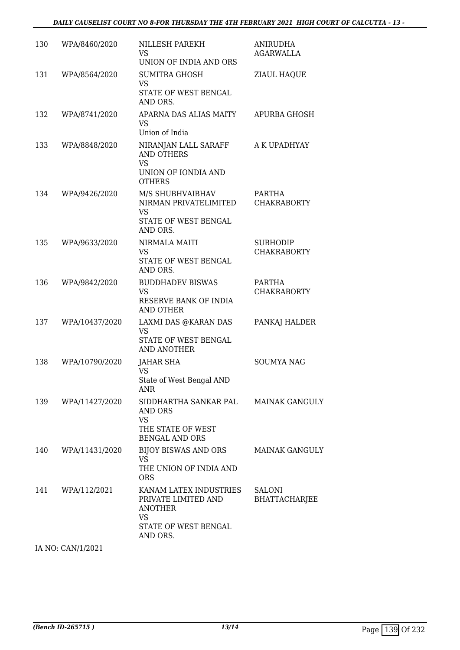| 130 | WPA/8460/2020  | NILLESH PAREKH<br>VS<br>UNION OF INDIA AND ORS                                                                   | <b>ANIRUDHA</b><br>AGARWALLA          |
|-----|----------------|------------------------------------------------------------------------------------------------------------------|---------------------------------------|
| 131 | WPA/8564/2020  | <b>SUMITRA GHOSH</b><br><b>VS</b><br><b>STATE OF WEST BENGAL</b><br>AND ORS.                                     | ZIAUL HAQUE                           |
| 132 | WPA/8741/2020  | APARNA DAS ALIAS MAITY<br><b>VS</b><br>Union of India                                                            | <b>APURBA GHOSH</b>                   |
| 133 | WPA/8848/2020  | NIRANJAN LALL SARAFF<br><b>AND OTHERS</b><br><b>VS</b><br>UNION OF IONDIA AND<br><b>OTHERS</b>                   | A K UPADHYAY                          |
| 134 | WPA/9426/2020  | M/S SHUBHVAIBHAV<br>NIRMAN PRIVATELIMITED<br><b>VS</b><br><b>STATE OF WEST BENGAL</b><br>AND ORS.                | PARTHA<br><b>CHAKRABORTY</b>          |
| 135 | WPA/9633/2020  | NIRMALA MAITI<br><b>VS</b><br>STATE OF WEST BENGAL<br>AND ORS.                                                   | <b>SUBHODIP</b><br><b>CHAKRABORTY</b> |
| 136 | WPA/9842/2020  | <b>BUDDHADEV BISWAS</b><br><b>VS</b><br>RESERVE BANK OF INDIA<br><b>AND OTHER</b>                                | <b>PARTHA</b><br><b>CHAKRABORTY</b>   |
| 137 | WPA/10437/2020 | LAXMI DAS @KARAN DAS<br><b>VS</b><br>STATE OF WEST BENGAL<br>AND ANOTHER                                         | PANKAJ HALDER                         |
| 138 | WPA/10790/2020 | <b>JAHAR SHA</b><br><b>VS</b><br>State of West Bengal AND<br>ANR                                                 | <b>SOUMYA NAG</b>                     |
| 139 | WPA/11427/2020 | SIDDHARTHA SANKAR PAL<br><b>AND ORS</b><br><b>VS</b><br>THE STATE OF WEST<br><b>BENGAL AND ORS</b>               | <b>MAINAK GANGULY</b>                 |
| 140 | WPA/11431/2020 | BIJOY BISWAS AND ORS<br><b>VS</b><br>THE UNION OF INDIA AND<br><b>ORS</b>                                        | <b>MAINAK GANGULY</b>                 |
| 141 | WPA/112/2021   | KANAM LATEX INDUSTRIES<br>PRIVATE LIMITED AND<br><b>ANOTHER</b><br><b>VS</b><br>STATE OF WEST BENGAL<br>AND ORS. | <b>SALONI</b><br>BHATTACHARJEE        |

IA NO: CAN/1/2021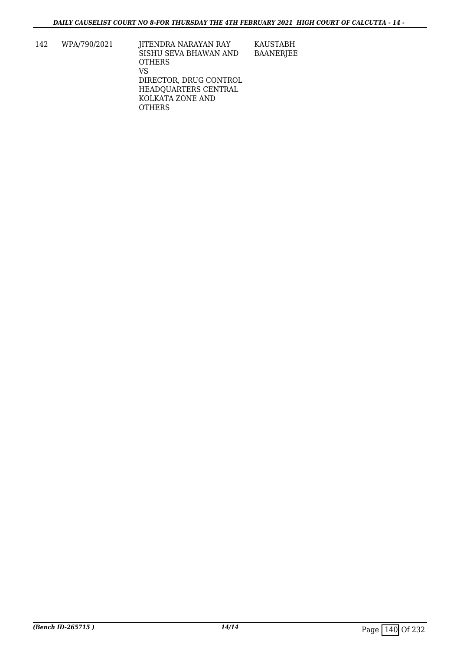142 WPA/790/2021 JITENDRA NARAYAN RAY SISHU SEVA BHAWAN AND OTHERS VS DIRECTOR, DRUG CONTROL HEADQUARTERS CENTRAL KOLKATA ZONE AND **OTHERS** KAUSTABH BAANERJEE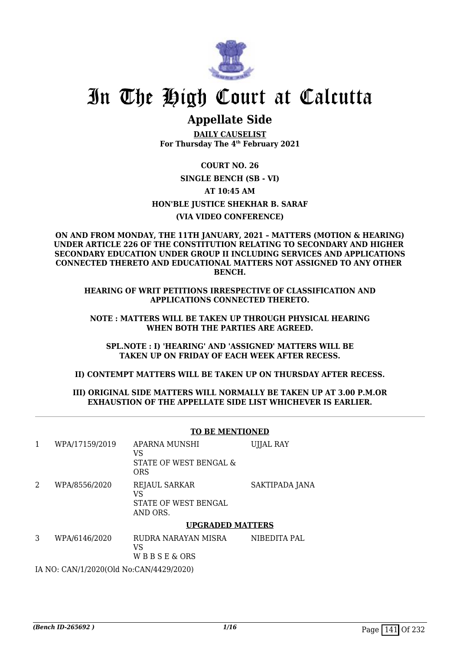

# In The High Court at Calcutta

# **Appellate Side**

**DAILY CAUSELIST For Thursday The 4th February 2021**

**COURT NO. 26 SINGLE BENCH (SB - VI) AT 10:45 AM HON'BLE JUSTICE SHEKHAR B. SARAF (VIA VIDEO CONFERENCE)**

**ON AND FROM MONDAY, THE 11TH JANUARY, 2021 – MATTERS (MOTION & HEARING) UNDER ARTICLE 226 OF THE CONSTITUTION RELATING TO SECONDARY AND HIGHER SECONDARY EDUCATION UNDER GROUP II INCLUDING SERVICES AND APPLICATIONS CONNECTED THERETO AND EDUCATIONAL MATTERS NOT ASSIGNED TO ANY OTHER BENCH.**

**HEARING OF WRIT PETITIONS IRRESPECTIVE OF CLASSIFICATION AND APPLICATIONS CONNECTED THERETO.**

**NOTE : MATTERS WILL BE TAKEN UP THROUGH PHYSICAL HEARING WHEN BOTH THE PARTIES ARE AGREED.**

**SPL.NOTE : I) 'HEARING' AND 'ASSIGNED' MATTERS WILL BE TAKEN UP ON FRIDAY OF EACH WEEK AFTER RECESS.**

**II) CONTEMPT MATTERS WILL BE TAKEN UP ON THURSDAY AFTER RECESS.**

#### **III) ORIGINAL SIDE MATTERS WILL NORMALLY BE TAKEN UP AT 3.00 P.M.OR EXHAUSTION OF THE APPELLATE SIDE LIST WHICHEVER IS EARLIER.**

|   |                                         | <b>TO BE MENTIONED</b>                                         |                  |  |  |
|---|-----------------------------------------|----------------------------------------------------------------|------------------|--|--|
| 1 | WPA/17159/2019                          | APARNA MUNSHI<br>VS.<br>STATE OF WEST BENGAL &<br><b>ORS</b>   | <b>UJJAL RAY</b> |  |  |
| 2 | WPA/8556/2020                           | <b>REJAUL SARKAR</b><br>VS<br>STATE OF WEST BENGAL<br>AND ORS. | SAKTIPADA JANA   |  |  |
|   |                                         | <b>UPGRADED MATTERS</b>                                        |                  |  |  |
| 3 | WPA/6146/2020                           | RUDRA NARAYAN MISRA<br>VS.<br>WBBSE&ORS                        | NIBEDITA PAL     |  |  |
|   | IA NO: CAN/1/2020(Old No:CAN/4429/2020) |                                                                |                  |  |  |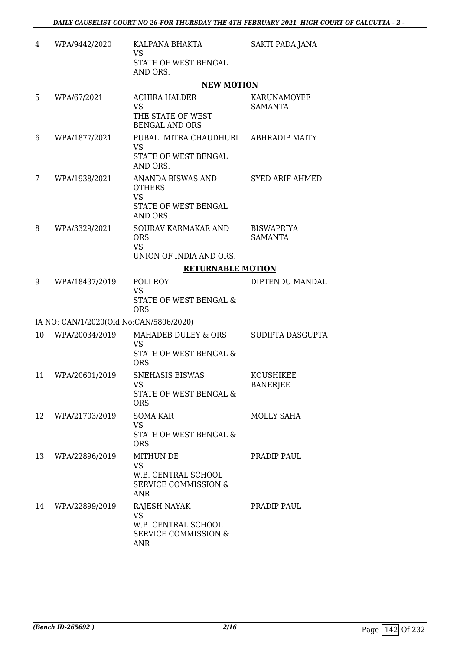| 4  | WPA/9442/2020                           | KALPANA BHAKTA<br><b>VS</b><br>STATE OF WEST BENGAL                                                   | SAKTI PADA JANA                     |
|----|-----------------------------------------|-------------------------------------------------------------------------------------------------------|-------------------------------------|
|    |                                         | AND ORS.                                                                                              |                                     |
|    |                                         | <b>NEW MOTION</b>                                                                                     |                                     |
| 5  | WPA/67/2021                             | <b>ACHIRA HALDER</b><br><b>VS</b><br>THE STATE OF WEST<br><b>BENGAL AND ORS</b>                       | KARUNAMOYEE<br><b>SAMANTA</b>       |
| 6  | WPA/1877/2021                           | PUBALI MITRA CHAUDHURI<br><b>VS</b><br>STATE OF WEST BENGAL<br>AND ORS.                               | <b>ABHRADIP MAITY</b>               |
| 7  | WPA/1938/2021                           | ANANDA BISWAS AND<br><b>OTHERS</b><br><b>VS</b><br>STATE OF WEST BENGAL<br>AND ORS.                   | <b>SYED ARIF AHMED</b>              |
| 8  | WPA/3329/2021                           | SOURAV KARMAKAR AND<br><b>ORS</b><br><b>VS</b><br>UNION OF INDIA AND ORS.                             | <b>BISWAPRIYA</b><br><b>SAMANTA</b> |
|    |                                         | <b>RETURNABLE MOTION</b>                                                                              |                                     |
| 9  | WPA/18437/2019                          | POLI ROY                                                                                              | DIPTENDU MANDAL                     |
|    |                                         | <b>VS</b><br>STATE OF WEST BENGAL &<br><b>ORS</b>                                                     |                                     |
|    | IA NO: CAN/1/2020(Old No:CAN/5806/2020) |                                                                                                       |                                     |
| 10 | WPA/20034/2019                          | MAHADEB DULEY & ORS<br><b>VS</b><br>STATE OF WEST BENGAL &<br><b>ORS</b>                              | SUDIPTA DASGUPTA                    |
| 11 | WPA/20601/2019                          | <b>SNEHASIS BISWAS</b><br>VS FOR THE VIDEO STR.<br>STATE OF WEST BENGAL &<br><b>ORS</b>               | KOUSHIKEE<br><b>BANERJEE</b>        |
| 12 | WPA/21703/2019                          | SOMA KAR<br><b>VS</b><br><b>STATE OF WEST BENGAL &amp;</b><br><b>ORS</b>                              | <b>MOLLY SAHA</b>                   |
| 13 | WPA/22896/2019                          | <b>MITHUN DE</b><br><b>VS</b><br>W.B. CENTRAL SCHOOL<br><b>SERVICE COMMISSION &amp;</b><br><b>ANR</b> | PRADIP PAUL                         |
| 14 | WPA/22899/2019                          | <b>RAJESH NAYAK</b><br><b>VS</b><br>W.B. CENTRAL SCHOOL<br><b>SERVICE COMMISSION &amp;</b><br>ANR     | PRADIP PAUL                         |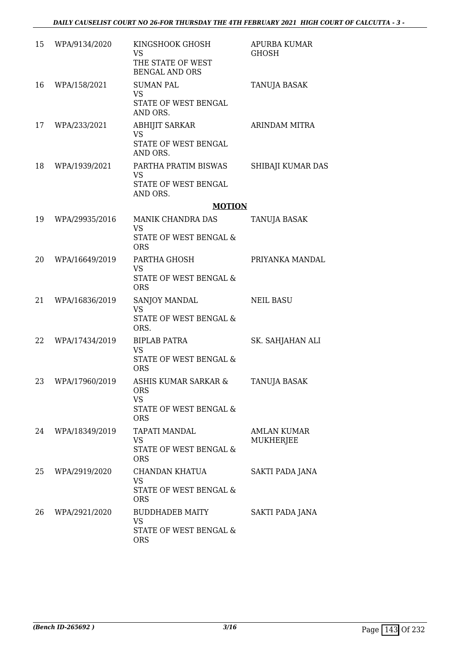| 15 | WPA/9134/2020  | KINGSHOOK GHOSH<br><b>VS</b>                                      | APURBA KUMAR<br><b>GHOSH</b> |
|----|----------------|-------------------------------------------------------------------|------------------------------|
|    |                | THE STATE OF WEST<br><b>BENGAL AND ORS</b>                        |                              |
| 16 | WPA/158/2021   | <b>SUMAN PAL</b><br><b>VS</b><br>STATE OF WEST BENGAL<br>AND ORS. | TANUJA BASAK                 |
| 17 | WPA/233/2021   | <b>ABHIJIT SARKAR</b><br>VS<br>STATE OF WEST BENGAL<br>AND ORS.   | ARINDAM MITRA                |
| 18 | WPA/1939/2021  | PARTHA PRATIM BISWAS<br>VS<br>STATE OF WEST BENGAL<br>AND ORS.    | SHIBAJI KUMAR DAS            |
|    |                | <b>MOTION</b>                                                     |                              |
| 19 | WPA/29935/2016 | MANIK CHANDRA DAS                                                 | TANUJA BASAK                 |
|    |                | <b>VS</b><br><b>STATE OF WEST BENGAL &amp;</b><br><b>ORS</b>      |                              |
| 20 | WPA/16649/2019 | PARTHA GHOSH                                                      | PRIYANKA MANDAL              |
|    |                | <b>VS</b><br>STATE OF WEST BENGAL &<br><b>ORS</b>                 |                              |
| 21 | WPA/16836/2019 | SANJOY MANDAL                                                     | <b>NEIL BASU</b>             |
|    |                | <b>VS</b><br>STATE OF WEST BENGAL &<br>ORS.                       |                              |
| 22 | WPA/17434/2019 | <b>BIPLAB PATRA</b>                                               | SK. SAHJAHAN ALI             |
|    |                | <b>VS</b><br>STATE OF WEST BENGAL &<br><b>ORS</b>                 |                              |
| 23 | WPA/17960/2019 | ASHIS KUMAR SARKAR &<br><b>ORS</b><br><b>VS</b>                   | <b>TANUJA BASAK</b>          |
|    |                | STATE OF WEST BENGAL &<br><b>ORS</b>                              |                              |
| 24 | WPA/18349/2019 | TAPATI MANDAL                                                     | <b>AMLAN KUMAR</b>           |
|    |                | VS<br>STATE OF WEST BENGAL &<br><b>ORS</b>                        | <b>MUKHERJEE</b>             |
| 25 | WPA/2919/2020  | CHANDAN KHATUA                                                    | SAKTI PADA JANA              |
|    |                | <b>VS</b><br>STATE OF WEST BENGAL &<br><b>ORS</b>                 |                              |
| 26 | WPA/2921/2020  | BUDDHADEB MAITY<br>VS<br>STATE OF WEST BENGAL &                   | SAKTI PADA JANA              |
|    |                | <b>ORS</b>                                                        |                              |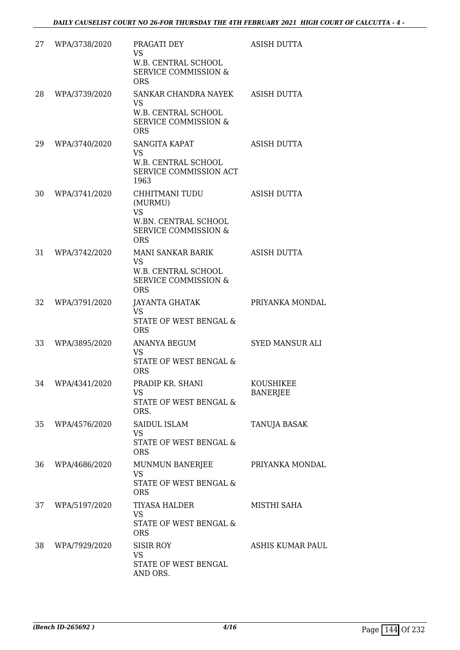| 27 | WPA/3738/2020    | PRAGATI DEY<br><b>VS</b><br>W.B. CENTRAL SCHOOL<br><b>SERVICE COMMISSION &amp;</b><br><b>ORS</b>                | <b>ASISH DUTTA</b>           |
|----|------------------|-----------------------------------------------------------------------------------------------------------------|------------------------------|
| 28 | WPA/3739/2020    | SANKAR CHANDRA NAYEK<br><b>VS</b><br>W.B. CENTRAL SCHOOL<br><b>SERVICE COMMISSION &amp;</b><br><b>ORS</b>       | <b>ASISH DUTTA</b>           |
| 29 | WPA/3740/2020    | <b>SANGITA KAPAT</b><br><b>VS</b><br>W.B. CENTRAL SCHOOL<br>SERVICE COMMISSION ACT<br>1963                      | ASISH DUTTA                  |
| 30 | WPA/3741/2020    | CHHITMANI TUDU<br>(MURMU)<br><b>VS</b><br>W.BN. CENTRAL SCHOOL<br><b>SERVICE COMMISSION &amp;</b><br><b>ORS</b> | ASISH DUTTA                  |
| 31 | WPA/3742/2020    | MANI SANKAR BARIK<br><b>VS</b><br>W.B. CENTRAL SCHOOL<br><b>SERVICE COMMISSION &amp;</b><br><b>ORS</b>          | <b>ASISH DUTTA</b>           |
| 32 | WPA/3791/2020    | <b>JAYANTA GHATAK</b><br><b>VS</b><br>STATE OF WEST BENGAL &<br><b>ORS</b>                                      | PRIYANKA MONDAL              |
| 33 | WPA/3895/2020    | ANANYA BEGUM<br><b>VS</b><br>STATE OF WEST BENGAL &<br><b>ORS</b>                                               | <b>SYED MANSUR ALI</b>       |
|    | 34 WPA/4341/2020 | PRADIP KR. SHANI<br>VS<br>STATE OF WEST BENGAL &<br>ORS.                                                        | KOUSHIKEE<br><b>BANERJEE</b> |
| 35 | WPA/4576/2020    | <b>SAIDUL ISLAM</b><br><b>VS</b><br>STATE OF WEST BENGAL &<br><b>ORS</b>                                        | TANUJA BASAK                 |
| 36 | WPA/4686/2020    | MUNMUN BANERJEE<br>VS<br>STATE OF WEST BENGAL &<br><b>ORS</b>                                                   | PRIYANKA MONDAL              |
| 37 | WPA/5197/2020    | <b>TIYASA HALDER</b><br>VS<br>STATE OF WEST BENGAL &<br><b>ORS</b>                                              | MISTHI SAHA                  |
| 38 | WPA/7929/2020    | <b>SISIR ROY</b><br><b>VS</b><br>STATE OF WEST BENGAL<br>AND ORS.                                               | ASHIS KUMAR PAUL             |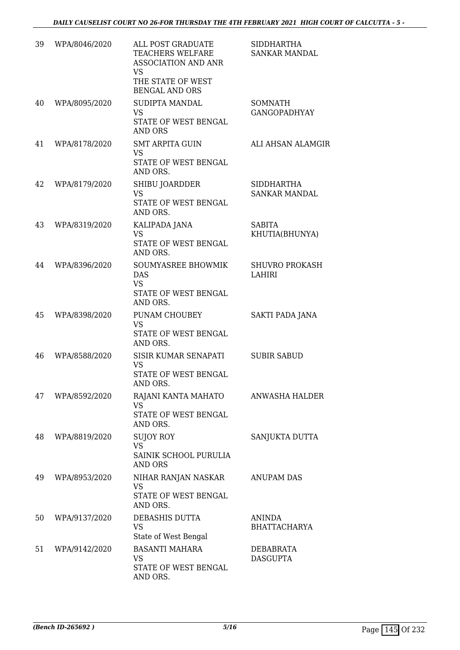| 39 | WPA/8046/2020 | ALL POST GRADUATE<br>TEACHERS WELFARE<br><b>ASSOCIATION AND ANR</b><br><b>VS</b><br>THE STATE OF WEST<br><b>BENGAL AND ORS</b> | <b>SIDDHARTHA</b><br>SANKAR MANDAL        |
|----|---------------|--------------------------------------------------------------------------------------------------------------------------------|-------------------------------------------|
| 40 | WPA/8095/2020 | SUDIPTA MANDAL<br><b>VS</b><br>STATE OF WEST BENGAL<br><b>AND ORS</b>                                                          | <b>SOMNATH</b><br><b>GANGOPADHYAY</b>     |
| 41 | WPA/8178/2020 | <b>SMT ARPITA GUIN</b><br><b>VS</b><br>STATE OF WEST BENGAL<br>AND ORS.                                                        | ALI AHSAN ALAMGIR                         |
| 42 | WPA/8179/2020 | SHIBU JOARDDER<br><b>VS</b><br>STATE OF WEST BENGAL<br>AND ORS.                                                                | <b>SIDDHARTHA</b><br><b>SANKAR MANDAL</b> |
| 43 | WPA/8319/2020 | KALIPADA JANA<br><b>VS</b><br>STATE OF WEST BENGAL<br>AND ORS.                                                                 | <b>SABITA</b><br>KHUTIA(BHUNYA)           |
| 44 | WPA/8396/2020 | <b>SOUMYASREE BHOWMIK</b><br><b>DAS</b><br><b>VS</b><br>STATE OF WEST BENGAL<br>AND ORS.                                       | <b>SHUVRO PROKASH</b><br><b>LAHIRI</b>    |
| 45 | WPA/8398/2020 | PUNAM CHOUBEY<br><b>VS</b><br>STATE OF WEST BENGAL<br>AND ORS.                                                                 | SAKTI PADA JANA                           |
| 46 | WPA/8588/2020 | SISIR KUMAR SENAPATI<br><b>VS</b><br>STATE OF WEST BENGAL<br>AND ORS.                                                          | <b>SUBIR SABUD</b>                        |
| 47 | WPA/8592/2020 | RAJANI KANTA MAHATO<br><b>VS</b><br>STATE OF WEST BENGAL<br>AND ORS.                                                           | ANWASHA HALDER                            |
| 48 | WPA/8819/2020 | SUJOY ROY<br><b>VS</b><br>SAINIK SCHOOL PURULIA<br><b>AND ORS</b>                                                              | SANJUKTA DUTTA                            |
| 49 | WPA/8953/2020 | NIHAR RANJAN NASKAR<br><b>VS</b><br>STATE OF WEST BENGAL<br>AND ORS.                                                           | <b>ANUPAM DAS</b>                         |
| 50 | WPA/9137/2020 | DEBASHIS DUTTA<br><b>VS</b><br>State of West Bengal                                                                            | <b>ANINDA</b><br><b>BHATTACHARYA</b>      |
| 51 | WPA/9142/2020 | <b>BASANTI MAHARA</b><br><b>VS</b><br>STATE OF WEST BENGAL<br>AND ORS.                                                         | DEBABRATA<br><b>DASGUPTA</b>              |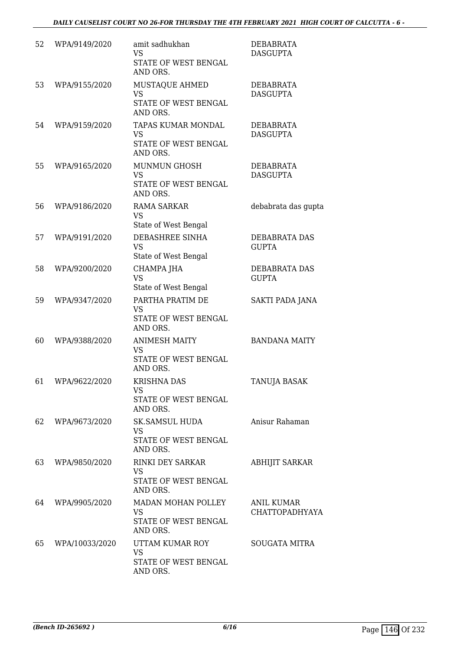| 52 | WPA/9149/2020  | amit sadhukhan<br><b>VS</b><br>STATE OF WEST BENGAL<br>AND ORS.          | DEBABRATA<br><b>DASGUPTA</b>  |
|----|----------------|--------------------------------------------------------------------------|-------------------------------|
| 53 | WPA/9155/2020  | MUSTAQUE AHMED<br><b>VS</b><br>STATE OF WEST BENGAL<br>AND ORS.          | DEBABRATA<br><b>DASGUPTA</b>  |
| 54 | WPA/9159/2020  | TAPAS KUMAR MONDAL<br>VS<br>STATE OF WEST BENGAL<br>AND ORS.             | DEBABRATA<br><b>DASGUPTA</b>  |
| 55 | WPA/9165/2020  | <b>MUNMUN GHOSH</b><br>VS<br>STATE OF WEST BENGAL<br>AND ORS.            | DEBABRATA<br><b>DASGUPTA</b>  |
| 56 | WPA/9186/2020  | <b>RAMA SARKAR</b><br><b>VS</b><br>State of West Bengal                  | debabrata das gupta           |
| 57 | WPA/9191/2020  | DEBASHREE SINHA<br><b>VS</b><br>State of West Bengal                     | DEBABRATA DAS<br><b>GUPTA</b> |
| 58 | WPA/9200/2020  | CHAMPA JHA<br><b>VS</b><br>State of West Bengal                          | DEBABRATA DAS<br><b>GUPTA</b> |
| 59 | WPA/9347/2020  | PARTHA PRATIM DE<br><b>VS</b><br>STATE OF WEST BENGAL<br>AND ORS.        | SAKTI PADA JANA               |
| 60 | WPA/9388/2020  | <b>ANIMESH MAITY</b><br><b>VS</b><br>STATE OF WEST BENGAL<br>AND ORS.    | <b>BANDANA MAITY</b>          |
| 61 | WPA/9622/2020  | <b>KRISHNA DAS</b><br>VS<br>STATE OF WEST BENGAL<br>AND ORS.             | TANUJA BASAK                  |
| 62 | WPA/9673/2020  | <b>SK.SAMSUL HUDA</b><br>VS<br>STATE OF WEST BENGAL<br>AND ORS.          | Anisur Rahaman                |
| 63 | WPA/9850/2020  | <b>RINKI DEY SARKAR</b><br><b>VS</b><br>STATE OF WEST BENGAL<br>AND ORS. | <b>ABHIJIT SARKAR</b>         |
| 64 | WPA/9905/2020  | MADAN MOHAN POLLEY<br>VS<br>STATE OF WEST BENGAL<br>AND ORS.             | ANIL KUMAR<br>CHATTOPADHYAYA  |
| 65 | WPA/10033/2020 | UTTAM KUMAR ROY<br><b>VS</b><br>STATE OF WEST BENGAL<br>AND ORS.         | <b>SOUGATA MITRA</b>          |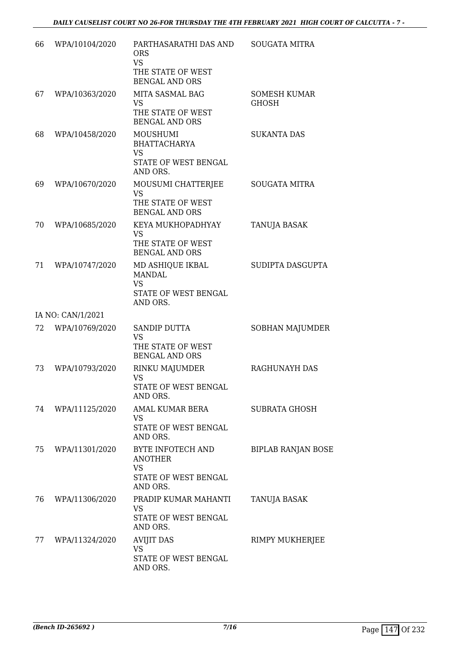| 66 | WPA/10104/2020    | PARTHASARATHI DAS AND<br><b>ORS</b><br><b>VS</b><br>THE STATE OF WEST<br><b>BENGAL AND ORS</b> | <b>SOUGATA MITRA</b>                |
|----|-------------------|------------------------------------------------------------------------------------------------|-------------------------------------|
| 67 | WPA/10363/2020    | MITA SASMAL BAG<br><b>VS</b><br>THE STATE OF WEST<br><b>BENGAL AND ORS</b>                     | <b>SOMESH KUMAR</b><br><b>GHOSH</b> |
| 68 | WPA/10458/2020    | MOUSHUMI<br><b>BHATTACHARYA</b><br><b>VS</b><br>STATE OF WEST BENGAL<br>AND ORS.               | <b>SUKANTA DAS</b>                  |
| 69 | WPA/10670/2020    | MOUSUMI CHATTERJEE<br><b>VS</b><br>THE STATE OF WEST<br><b>BENGAL AND ORS</b>                  | <b>SOUGATA MITRA</b>                |
| 70 | WPA/10685/2020    | KEYA MUKHOPADHYAY<br><b>VS</b><br>THE STATE OF WEST<br><b>BENGAL AND ORS</b>                   | TANUJA BASAK                        |
| 71 | WPA/10747/2020    | MD ASHIQUE IKBAL<br><b>MANDAL</b><br><b>VS</b><br>STATE OF WEST BENGAL<br>AND ORS.             | SUDIPTA DASGUPTA                    |
|    | IA NO: CAN/1/2021 |                                                                                                |                                     |
| 72 | WPA/10769/2020    | <b>SANDIP DUTTA</b><br><b>VS</b><br>THE STATE OF WEST<br><b>BENGAL AND ORS</b>                 | SOBHAN MAJUMDER                     |
| 73 | WPA/10793/2020    | RINKU MAJUMDER<br><b>VS</b><br>STATE OF WEST BENGAL<br>AND ORS.                                | RAGHUNAYH DAS                       |
| 74 | WPA/11125/2020    | AMAL KUMAR BERA<br><b>VS</b><br>STATE OF WEST BENGAL<br>AND ORS.                               | <b>SUBRATA GHOSH</b>                |
| 75 | WPA/11301/2020    | BYTE INFOTECH AND<br><b>ANOTHER</b><br><b>VS</b><br>STATE OF WEST BENGAL<br>AND ORS.           | <b>BIPLAB RANJAN BOSE</b>           |
| 76 | WPA/11306/2020    | PRADIP KUMAR MAHANTI<br><b>VS</b><br>STATE OF WEST BENGAL<br>AND ORS.                          | TANUJA BASAK                        |
| 77 | WPA/11324/2020    | <b>AVIJIT DAS</b><br><b>VS</b><br>STATE OF WEST BENGAL<br>AND ORS.                             | RIMPY MUKHERJEE                     |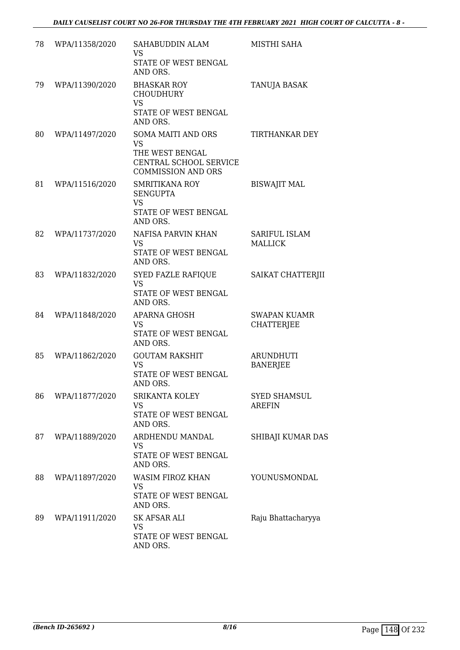| 78 | WPA/11358/2020 | SAHABUDDIN ALAM<br><b>VS</b><br>STATE OF WEST BENGAL                                                      | MISTHI SAHA                              |
|----|----------------|-----------------------------------------------------------------------------------------------------------|------------------------------------------|
| 79 | WPA/11390/2020 | AND ORS.<br><b>BHASKAR ROY</b><br><b>CHOUDHURY</b><br><b>VS</b><br>STATE OF WEST BENGAL<br>AND ORS.       | TANUJA BASAK                             |
| 80 | WPA/11497/2020 | SOMA MAITI AND ORS<br><b>VS</b><br>THE WEST BENGAL<br>CENTRAL SCHOOL SERVICE<br><b>COMMISSION AND ORS</b> | TIRTHANKAR DEY                           |
| 81 | WPA/11516/2020 | <b>SMRITIKANA ROY</b><br><b>SENGUPTA</b><br><b>VS</b><br>STATE OF WEST BENGAL<br>AND ORS.                 | <b>BISWAJIT MAL</b>                      |
| 82 | WPA/11737/2020 | NAFISA PARVIN KHAN<br><b>VS</b><br>STATE OF WEST BENGAL<br>AND ORS.                                       | <b>SARIFUL ISLAM</b><br><b>MALLICK</b>   |
| 83 | WPA/11832/2020 | <b>SYED FAZLE RAFIQUE</b><br><b>VS</b><br>STATE OF WEST BENGAL<br>AND ORS.                                | SAIKAT CHATTERJII                        |
| 84 | WPA/11848/2020 | <b>APARNA GHOSH</b><br>VS<br>STATE OF WEST BENGAL<br>AND ORS.                                             | <b>SWAPAN KUAMR</b><br><b>CHATTERJEE</b> |
| 85 | WPA/11862/2020 | <b>GOUTAM RAKSHIT</b><br>VS<br>STATE OF WEST BENGAL<br>AND ORS.                                           | <b>ARUNDHUTI</b><br><b>BANERJEE</b>      |
| 86 | WPA/11877/2020 | <b>SRIKANTA KOLEY</b><br><b>VS</b><br>STATE OF WEST BENGAL<br>AND ORS.                                    | <b>SYED SHAMSUL</b><br><b>AREFIN</b>     |
| 87 | WPA/11889/2020 | ARDHENDU MANDAL<br>VS<br>STATE OF WEST BENGAL<br>AND ORS.                                                 | SHIBAJI KUMAR DAS                        |
| 88 | WPA/11897/2020 | <b>WASIM FIROZ KHAN</b><br>VS<br>STATE OF WEST BENGAL<br>AND ORS.                                         | YOUNUSMONDAL                             |
| 89 | WPA/11911/2020 | SK AFSAR ALI<br>VS<br>STATE OF WEST BENGAL<br>AND ORS.                                                    | Raju Bhattacharyya                       |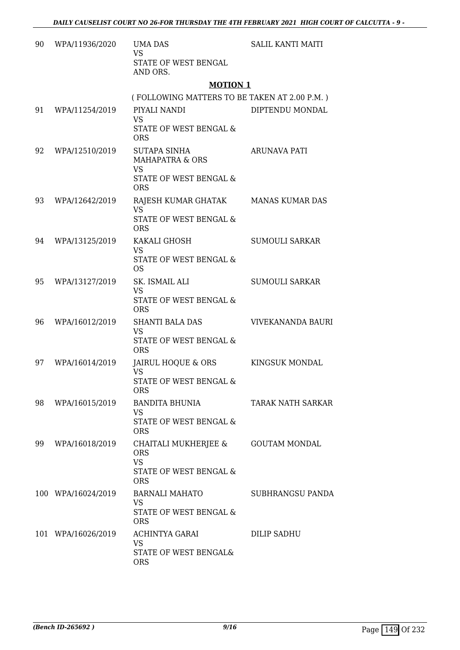| 90 | WPA/11936/2020     | <b>UMA DAS</b><br><b>VS</b>                                                                         | <b>SALIL KANTI MAITI</b> |
|----|--------------------|-----------------------------------------------------------------------------------------------------|--------------------------|
|    |                    | STATE OF WEST BENGAL<br>AND ORS.                                                                    |                          |
|    |                    | <b>MOTION 1</b>                                                                                     |                          |
|    |                    | (FOLLOWING MATTERS TO BE TAKEN AT 2.00 P.M.)                                                        |                          |
| 91 | WPA/11254/2019     | PIYALI NANDI<br><b>VS</b><br>STATE OF WEST BENGAL &                                                 | DIPTENDU MONDAL          |
|    |                    | <b>ORS</b>                                                                                          |                          |
| 92 | WPA/12510/2019     | <b>SUTAPA SINHA</b><br><b>MAHAPATRA &amp; ORS</b><br><b>VS</b><br>STATE OF WEST BENGAL &            | <b>ARUNAVA PATI</b>      |
|    |                    | <b>ORS</b>                                                                                          |                          |
| 93 | WPA/12642/2019     | RAJESH KUMAR GHATAK MANAS KUMAR DAS<br><b>VS</b><br><b>STATE OF WEST BENGAL &amp;</b><br><b>ORS</b> |                          |
| 94 | WPA/13125/2019     | KAKALI GHOSH                                                                                        | <b>SUMOULI SARKAR</b>    |
|    |                    | <b>VS</b><br>STATE OF WEST BENGAL &<br><b>OS</b>                                                    |                          |
| 95 | WPA/13127/2019     | SK. ISMAIL ALI<br><b>VS</b><br>STATE OF WEST BENGAL &                                               | <b>SUMOULI SARKAR</b>    |
|    |                    | <b>ORS</b>                                                                                          |                          |
| 96 | WPA/16012/2019     | <b>SHANTI BALA DAS</b><br><b>VS</b><br><b>STATE OF WEST BENGAL &amp;</b><br><b>ORS</b>              | VIVEKANANDA BAURI        |
| 97 | WPA/16014/2019     | JAIRUL HOQUE & ORS<br><b>VS</b><br><b>STATE OF WEST BENGAL &amp;</b>                                | KINGSUK MONDAL           |
|    |                    | <b>ORS</b>                                                                                          |                          |
| 98 | WPA/16015/2019     | BANDITA BHUNIA<br><b>VS</b><br>STATE OF WEST BENGAL &                                               | TARAK NATH SARKAR        |
|    |                    | <b>ORS</b>                                                                                          |                          |
| 99 | WPA/16018/2019     | CHAITALI MUKHERJEE &<br><b>ORS</b><br><b>VS</b><br>STATE OF WEST BENGAL &<br><b>ORS</b>             | <b>GOUTAM MONDAL</b>     |
|    | 100 WPA/16024/2019 | <b>BARNALI MAHATO</b><br><b>VS</b><br>STATE OF WEST BENGAL &<br><b>ORS</b>                          | SUBHRANGSU PANDA         |
|    | 101 WPA/16026/2019 | ACHINTYA GARAI<br>VS<br>STATE OF WEST BENGAL&<br><b>ORS</b>                                         | DILIP SADHU              |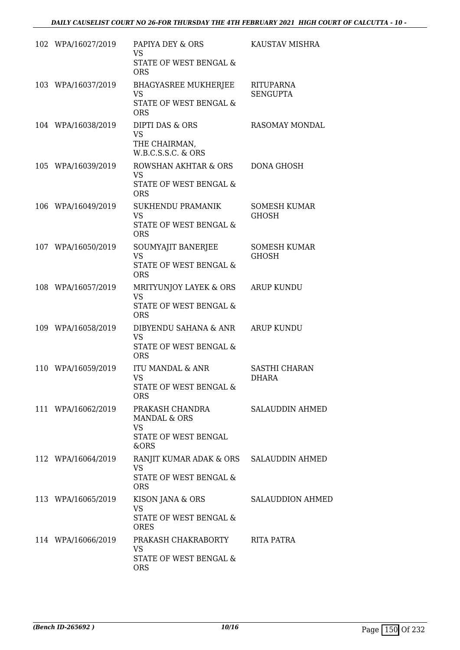| 102 WPA/16027/2019 | PAPIYA DEY & ORS<br><b>VS</b>                                                                | KAUSTAV MISHRA                      |
|--------------------|----------------------------------------------------------------------------------------------|-------------------------------------|
|                    | STATE OF WEST BENGAL &<br><b>ORS</b>                                                         |                                     |
| 103 WPA/16037/2019 | <b>BHAGYASREE MUKHERJEE</b><br><b>VS</b><br>STATE OF WEST BENGAL &<br><b>ORS</b>             | RITUPARNA<br><b>SENGUPTA</b>        |
| 104 WPA/16038/2019 | DIPTI DAS & ORS<br><b>VS</b><br>THE CHAIRMAN,<br>W.B.C.S.S.C. & ORS                          | <b>RASOMAY MONDAL</b>               |
| 105 WPA/16039/2019 | ROWSHAN AKHTAR & ORS<br><b>VS</b><br>STATE OF WEST BENGAL &<br><b>ORS</b>                    | <b>DONA GHOSH</b>                   |
| 106 WPA/16049/2019 | SUKHENDU PRAMANIK<br><b>VS</b><br><b>STATE OF WEST BENGAL &amp;</b><br><b>ORS</b>            | <b>SOMESH KUMAR</b><br><b>GHOSH</b> |
| 107 WPA/16050/2019 | SOUMYAJIT BANERJEE<br><b>VS</b><br>STATE OF WEST BENGAL &<br><b>ORS</b>                      | <b>SOMESH KUMAR</b><br><b>GHOSH</b> |
| 108 WPA/16057/2019 | MRITYUNJOY LAYEK & ORS<br><b>VS</b><br>STATE OF WEST BENGAL &<br><b>ORS</b>                  | <b>ARUP KUNDU</b>                   |
| 109 WPA/16058/2019 | DIBYENDU SAHANA & ANR<br><b>VS</b><br>STATE OF WEST BENGAL &<br><b>ORS</b>                   | <b>ARUP KUNDU</b>                   |
| 110 WPA/16059/2019 | ITU MANDAL & ANR<br><b>VS</b><br>STATE OF WEST BENGAL &<br><b>ORS</b>                        | SASTHI CHARAN<br><b>DHARA</b>       |
| 111 WPA/16062/2019 | PRAKASH CHANDRA<br>MANDAL & ORS<br>VS.<br>STATE OF WEST BENGAL<br>&ORS                       | <b>SALAUDDIN AHMED</b>              |
| 112 WPA/16064/2019 | RANJIT KUMAR ADAK & ORS SALAUDDIN AHMED<br><b>VS</b><br>STATE OF WEST BENGAL &<br><b>ORS</b> |                                     |
| 113 WPA/16065/2019 | KISON JANA & ORS<br><b>VS</b><br>STATE OF WEST BENGAL &<br><b>ORES</b>                       | <b>SALAUDDION AHMED</b>             |
| 114 WPA/16066/2019 | PRAKASH CHAKRABORTY<br><b>VS</b><br>STATE OF WEST BENGAL &<br><b>ORS</b>                     | RITA PATRA                          |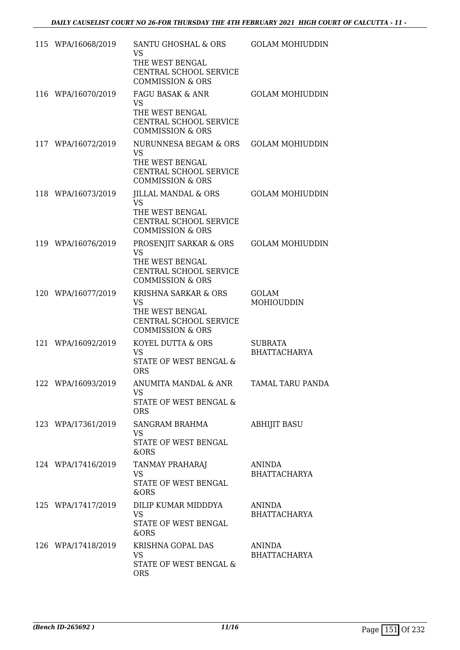| 115 WPA/16068/2019 | SANTU GHOSHAL & ORS<br><b>VS</b><br>THE WEST BENGAL<br>CENTRAL SCHOOL SERVICE<br><b>COMMISSION &amp; ORS</b>    | <b>GOLAM MOHIUDDIN</b>                |
|--------------------|-----------------------------------------------------------------------------------------------------------------|---------------------------------------|
| 116 WPA/16070/2019 | FAGU BASAK & ANR<br><b>VS</b><br>THE WEST BENGAL<br>CENTRAL SCHOOL SERVICE<br><b>COMMISSION &amp; ORS</b>       | <b>GOLAM MOHIUDDIN</b>                |
| 117 WPA/16072/2019 | NURUNNESA BEGAM & ORS<br><b>VS</b><br>THE WEST BENGAL<br>CENTRAL SCHOOL SERVICE<br><b>COMMISSION &amp; ORS</b>  | <b>GOLAM MOHIUDDIN</b>                |
| 118 WPA/16073/2019 | JILLAL MANDAL & ORS<br><b>VS</b><br>THE WEST BENGAL<br>CENTRAL SCHOOL SERVICE<br><b>COMMISSION &amp; ORS</b>    | <b>GOLAM MOHIUDDIN</b>                |
| 119 WPA/16076/2019 | PROSENJIT SARKAR & ORS<br><b>VS</b><br>THE WEST BENGAL<br>CENTRAL SCHOOL SERVICE<br><b>COMMISSION &amp; ORS</b> | <b>GOLAM MOHIUDDIN</b>                |
| 120 WPA/16077/2019 | KRISHNA SARKAR & ORS<br><b>VS</b><br>THE WEST BENGAL<br>CENTRAL SCHOOL SERVICE<br><b>COMMISSION &amp; ORS</b>   | GOLAM<br>MOHIOUDDIN                   |
| 121 WPA/16092/2019 | KOYEL DUTTA & ORS<br><b>VS</b><br>STATE OF WEST BENGAL &<br><b>ORS</b>                                          | <b>SUBRATA</b><br><b>BHATTACHARYA</b> |
| 122 WPA/16093/2019 | ANUMITA MANDAL & ANR TAMAL TARU PANDA<br>VS<br>STATE OF WEST BENGAL &<br><b>ORS</b>                             |                                       |
| 123 WPA/17361/2019 | SANGRAM BRAHMA<br><b>VS</b><br>STATE OF WEST BENGAL<br>&ORS                                                     | <b>ABHIJIT BASU</b>                   |
| 124 WPA/17416/2019 | <b>TANMAY PRAHARAJ</b><br><b>VS</b><br>STATE OF WEST BENGAL<br>&ORS                                             | ANINDA<br><b>BHATTACHARYA</b>         |
| 125 WPA/17417/2019 | DILIP KUMAR MIDDDYA<br><b>VS</b><br>STATE OF WEST BENGAL<br>&ORS                                                | ANINDA<br><b>BHATTACHARYA</b>         |
| 126 WPA/17418/2019 | KRISHNA GOPAL DAS<br><b>VS</b><br>STATE OF WEST BENGAL &<br><b>ORS</b>                                          | ANINDA<br><b>BHATTACHARYA</b>         |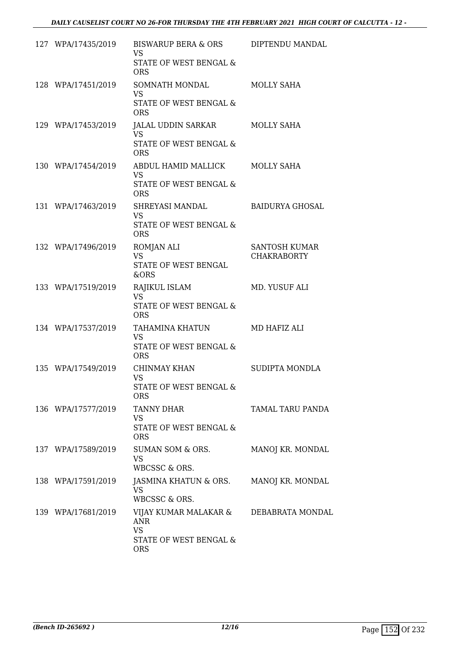| 127 WPA/17435/2019 | BISWARUP BERA & ORS<br><b>VS</b><br>STATE OF WEST BENGAL &<br><b>ORS</b>                            | DIPTENDU MANDAL                            |
|--------------------|-----------------------------------------------------------------------------------------------------|--------------------------------------------|
| 128 WPA/17451/2019 | SOMNATH MONDAL<br><b>VS</b><br>STATE OF WEST BENGAL &<br><b>ORS</b>                                 | <b>MOLLY SAHA</b>                          |
| 129 WPA/17453/2019 | JALAL UDDIN SARKAR<br><b>VS</b><br>STATE OF WEST BENGAL &<br><b>ORS</b>                             | MOLLY SAHA                                 |
| 130 WPA/17454/2019 | ABDUL HAMID MALLICK<br><b>VS</b><br>STATE OF WEST BENGAL &<br><b>ORS</b>                            | MOLLY SAHA                                 |
| 131 WPA/17463/2019 | SHREYASI MANDAL<br><b>VS</b><br><b>STATE OF WEST BENGAL &amp;</b><br><b>ORS</b>                     | <b>BAIDURYA GHOSAL</b>                     |
| 132 WPA/17496/2019 | <b>ROMJAN ALI</b><br><b>VS</b><br>STATE OF WEST BENGAL<br>&ORS                                      | <b>SANTOSH KUMAR</b><br><b>CHAKRABORTY</b> |
| 133 WPA/17519/2019 | RAJIKUL ISLAM<br><b>VS</b><br>STATE OF WEST BENGAL &<br><b>ORS</b>                                  | MD. YUSUF ALI                              |
| 134 WPA/17537/2019 | TAHAMINA KHATUN<br><b>VS</b><br>STATE OF WEST BENGAL &<br><b>ORS</b>                                | MD HAFIZ ALI                               |
| 135 WPA/17549/2019 | CHINMAY KHAN<br><b>VS</b><br><b>STATE OF WEST BENGAL &amp;</b><br><b>ORS</b>                        | SUDIPTA MONDLA                             |
| 136 WPA/17577/2019 | <b>TANNY DHAR</b><br><b>VS</b><br>STATE OF WEST BENGAL &<br><b>ORS</b>                              | TAMAL TARU PANDA                           |
| 137 WPA/17589/2019 | SUMAN SOM & ORS.<br><b>VS</b><br>WBCSSC & ORS.                                                      | MANOJ KR. MONDAL                           |
| 138 WPA/17591/2019 | JASMINA KHATUN & ORS.<br><b>VS</b><br>WBCSSC & ORS.                                                 | MANOJ KR. MONDAL                           |
| 139 WPA/17681/2019 | VIJAY KUMAR MALAKAR & DEBABRATA MONDAL<br>ANR.<br><b>VS</b><br>STATE OF WEST BENGAL &<br><b>ORS</b> |                                            |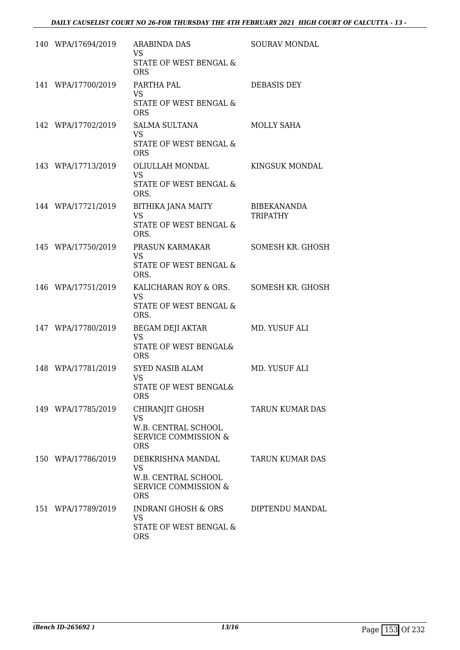| 140 WPA/17694/2019 | <b>ARABINDA DAS</b><br>VS.<br>STATE OF WEST BENGAL &<br><b>ORS</b>                                     | SOURAV MONDAL                         |
|--------------------|--------------------------------------------------------------------------------------------------------|---------------------------------------|
| 141 WPA/17700/2019 | PARTHA PAL<br><b>VS</b><br>STATE OF WEST BENGAL &<br><b>ORS</b>                                        | <b>DEBASIS DEY</b>                    |
| 142 WPA/17702/2019 | <b>SALMA SULTANA</b><br><b>VS</b><br>STATE OF WEST BENGAL &<br><b>ORS</b>                              | MOLLY SAHA                            |
| 143 WPA/17713/2019 | OLIULLAH MONDAL<br><b>VS</b><br>STATE OF WEST BENGAL &<br>ORS.                                         | KINGSUK MONDAL                        |
| 144 WPA/17721/2019 | BITHIKA JANA MAITY<br><b>VS</b><br>STATE OF WEST BENGAL &<br>ORS.                                      | <b>BIBEKANANDA</b><br><b>TRIPATHY</b> |
| 145 WPA/17750/2019 | PRASUN KARMAKAR<br><b>VS</b><br>STATE OF WEST BENGAL &<br>ORS.                                         | SOMESH KR. GHOSH                      |
| 146 WPA/17751/2019 | KALICHARAN ROY & ORS. SOMESH KR. GHOSH<br><b>VS</b><br>STATE OF WEST BENGAL &<br>ORS.                  |                                       |
| 147 WPA/17780/2019 | <b>BEGAM DEJI AKTAR</b><br><b>VS</b><br>STATE OF WEST BENGAL&<br><b>ORS</b>                            | MD. YUSUF ALI                         |
| 148 WPA/17781/2019 | SYED NASIB ALAM<br><b>VS</b><br>STATE OF WEST BENGAL&<br><b>ORS</b>                                    | MD. YUSUF ALI                         |
| 149 WPA/17785/2019 | CHIRANJIT GHOSH<br><b>VS</b><br>W.B. CENTRAL SCHOOL<br><b>SERVICE COMMISSION &amp;</b><br><b>ORS</b>   | <b>TARUN KUMAR DAS</b>                |
| 150 WPA/17786/2019 | DEBKRISHNA MANDAL<br><b>VS</b><br>W.B. CENTRAL SCHOOL<br><b>SERVICE COMMISSION &amp;</b><br><b>ORS</b> | <b>TARUN KUMAR DAS</b>                |
| 151 WPA/17789/2019 | INDRANI GHOSH & ORS<br><b>VS</b><br>STATE OF WEST BENGAL &<br><b>ORS</b>                               | DIPTENDU MANDAL                       |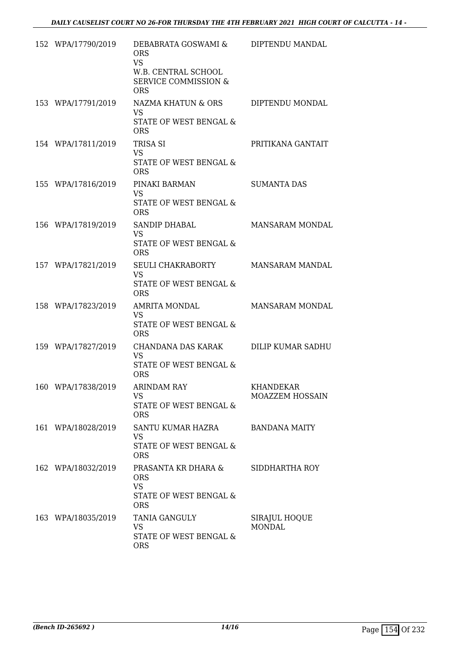| 152 WPA/17790/2019 | DEBABRATA GOSWAMI &<br><b>ORS</b><br><b>VS</b><br>W.B. CENTRAL SCHOOL<br><b>SERVICE COMMISSION &amp;</b><br><b>ORS</b> | DIPTENDU MANDAL                     |
|--------------------|------------------------------------------------------------------------------------------------------------------------|-------------------------------------|
| 153 WPA/17791/2019 | NAZMA KHATUN & ORS<br><b>VS</b><br>STATE OF WEST BENGAL &<br><b>ORS</b>                                                | DIPTENDU MONDAL                     |
| 154 WPA/17811/2019 | TRISA SI<br><b>VS</b><br>STATE OF WEST BENGAL &<br><b>ORS</b>                                                          | PRITIKANA GANTAIT                   |
| 155 WPA/17816/2019 | PINAKI BARMAN<br><b>VS</b><br>STATE OF WEST BENGAL &<br><b>ORS</b>                                                     | <b>SUMANTA DAS</b>                  |
| 156 WPA/17819/2019 | <b>SANDIP DHABAL</b><br><b>VS</b><br>STATE OF WEST BENGAL &<br><b>ORS</b>                                              | <b>MANSARAM MONDAL</b>              |
| 157 WPA/17821/2019 | <b>SEULI CHAKRABORTY</b><br><b>VS</b><br>STATE OF WEST BENGAL &<br><b>ORS</b>                                          | MANSARAM MANDAL                     |
| 158 WPA/17823/2019 | AMRITA MONDAL<br><b>VS</b><br>STATE OF WEST BENGAL &<br><b>ORS</b>                                                     | MANSARAM MONDAL                     |
| 159 WPA/17827/2019 | CHANDANA DAS KARAK<br><b>VS</b><br>STATE OF WEST BENGAL &<br><b>ORS</b>                                                | DILIP KUMAR SADHU                   |
| 160 WPA/17838/2019 | <b>ARINDAM RAY</b><br><b>VS</b><br>STATE OF WEST BENGAL &<br><b>ORS</b>                                                | <b>KHANDEKAR</b><br>MOAZZEM HOSSAIN |
| 161 WPA/18028/2019 | SANTU KUMAR HAZRA<br><b>VS</b><br>STATE OF WEST BENGAL &<br><b>ORS</b>                                                 | <b>BANDANA MAITY</b>                |
| 162 WPA/18032/2019 | PRASANTA KR DHARA &<br><b>ORS</b><br><b>VS</b><br>STATE OF WEST BENGAL &<br><b>ORS</b>                                 | SIDDHARTHA ROY                      |
| 163 WPA/18035/2019 | TANIA GANGULY<br><b>VS</b><br>STATE OF WEST BENGAL &<br><b>ORS</b>                                                     | SIRAJUL HOQUE<br><b>MONDAL</b>      |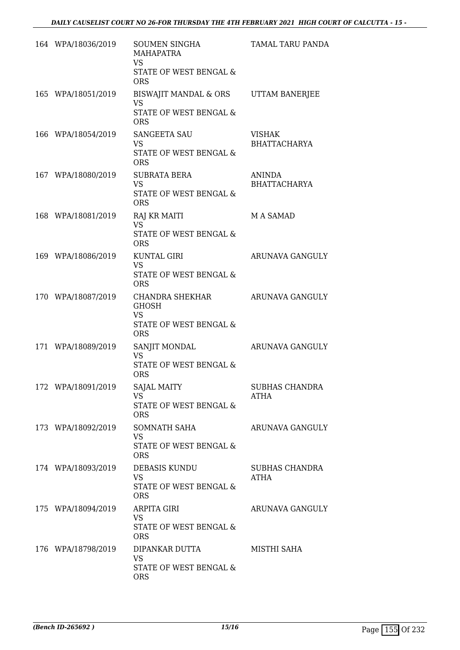| 164 WPA/18036/2019 | <b>SOUMEN SINGHA</b><br>MAHAPATRA<br><b>VS</b><br>STATE OF WEST BENGAL &<br><b>ORS</b> | TAMAL TARU PANDA                     |
|--------------------|----------------------------------------------------------------------------------------|--------------------------------------|
| 165 WPA/18051/2019 | <b>BISWAJIT MANDAL &amp; ORS</b><br><b>VS</b><br>STATE OF WEST BENGAL &<br><b>ORS</b>  | UTTAM BANERJEE                       |
| 166 WPA/18054/2019 | <b>SANGEETA SAU</b><br><b>VS</b><br>STATE OF WEST BENGAL &<br><b>ORS</b>               | <b>VISHAK</b><br><b>BHATTACHARYA</b> |
| 167 WPA/18080/2019 | <b>SUBRATA BERA</b><br><b>VS</b><br>STATE OF WEST BENGAL &<br><b>ORS</b>               | ANINDA<br><b>BHATTACHARYA</b>        |
| 168 WPA/18081/2019 | RAJ KR MAITI<br><b>VS</b><br><b>STATE OF WEST BENGAL &amp;</b><br><b>ORS</b>           | M A SAMAD                            |
| 169 WPA/18086/2019 | KUNTAL GIRI<br><b>VS</b><br>STATE OF WEST BENGAL &<br><b>ORS</b>                       | ARUNAVA GANGULY                      |
| 170 WPA/18087/2019 | CHANDRA SHEKHAR<br><b>GHOSH</b><br><b>VS</b><br>STATE OF WEST BENGAL &<br><b>ORS</b>   | ARUNAVA GANGULY                      |
| 171 WPA/18089/2019 | SANJIT MONDAL<br><b>VS</b><br>STATE OF WEST BENGAL &<br><b>ORS</b>                     | ARUNAVA GANGULY                      |
| 172 WPA/18091/2019 | <b>SAJAL MAITY</b><br><b>VS</b><br>STATE OF WEST BENGAL &<br><b>ORS</b>                | SUBHAS CHANDRA<br>ATHA               |
| 173 WPA/18092/2019 | SOMNATH SAHA<br><b>VS</b><br>STATE OF WEST BENGAL &<br><b>ORS</b>                      | ARUNAVA GANGULY                      |
| 174 WPA/18093/2019 | DEBASIS KUNDU<br><b>VS</b><br>STATE OF WEST BENGAL &<br><b>ORS</b>                     | SUBHAS CHANDRA<br>ATHA               |
| 175 WPA/18094/2019 | <b>ARPITA GIRI</b><br><b>VS</b><br>STATE OF WEST BENGAL &<br><b>ORS</b>                | ARUNAVA GANGULY                      |
| 176 WPA/18798/2019 | DIPANKAR DUTTA<br><b>VS</b><br>STATE OF WEST BENGAL &<br><b>ORS</b>                    | MISTHI SAHA                          |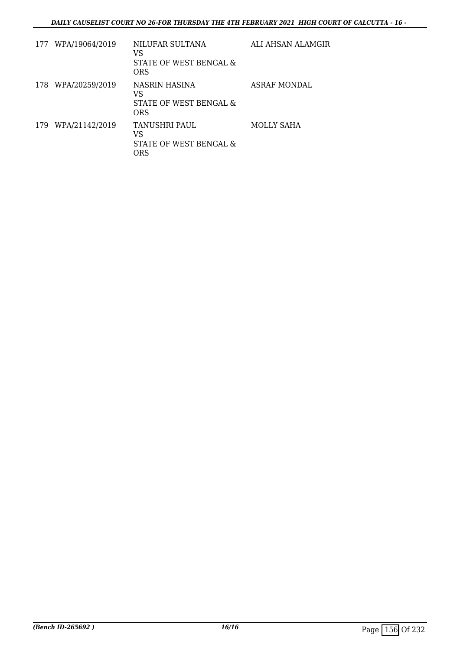|     | 177 WPA/19064/2019 | NILUFAR SULTANA<br>VS<br>STATE OF WEST BENGAL &<br><b>ORS</b> | ALI AHSAN ALAMGIR   |
|-----|--------------------|---------------------------------------------------------------|---------------------|
| 178 | WPA/20259/2019     | NASRIN HASINA<br>VS<br>STATE OF WEST BENGAL &<br>ORS          | <b>ASRAF MONDAL</b> |
| 179 | WPA/21142/2019     | TANUSHRI PAUL<br>VS<br>STATE OF WEST BENGAL &<br>ORS          | MOLLY SAHA          |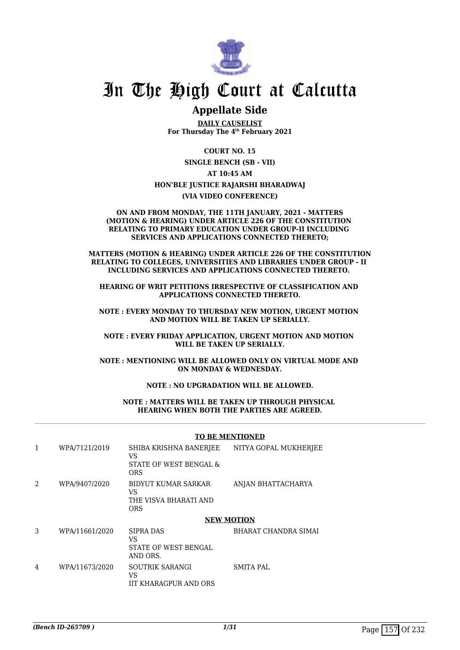

# In The High Court at Calcutta

# **Appellate Side**

**DAILY CAUSELIST For Thursday The 4th February 2021**

**COURT NO. 15**

**SINGLE BENCH (SB - VII)**

## **AT 10:45 AM HON'BLE JUSTICE RAJARSHI BHARADWAJ**

**(VIA VIDEO CONFERENCE)**

#### **ON AND FROM MONDAY, THE 11TH JANUARY, 2021 - MATTERS (MOTION & HEARING) UNDER ARTICLE 226 OF THE CONSTITUTION RELATING TO PRIMARY EDUCATION UNDER GROUP-II INCLUDING SERVICES AND APPLICATIONS CONNECTED THERETO;**

**MATTERS (MOTION & HEARING) UNDER ARTICLE 226 OF THE CONSTITUTION RELATING TO COLLEGES, UNIVERSITIES AND LIBRARIES UNDER GROUP - II INCLUDING SERVICES AND APPLICATIONS CONNECTED THERETO.** 

**HEARING OF WRIT PETITIONS IRRESPECTIVE OF CLASSIFICATION AND APPLICATIONS CONNECTED THERETO.**

**NOTE : EVERY MONDAY TO THURSDAY NEW MOTION, URGENT MOTION AND MOTION WILL BE TAKEN UP SERIALLY.**

**NOTE : EVERY FRIDAY APPLICATION, URGENT MOTION AND MOTION WILL BE TAKEN UP SERIALLY.**

**NOTE : MENTIONING WILL BE ALLOWED ONLY ON VIRTUAL MODE AND ON MONDAY & WEDNESDAY.**

**NOTE : NO UPGRADATION WILL BE ALLOWED.**

**NOTE : MATTERS WILL BE TAKEN UP THROUGH PHYSICAL HEARING WHEN BOTH THE PARTIES ARE AGREED.**

#### **TO BE MENTIONED**

| 1              | WPA/7121/2019  | SHIBA KRISHNA BANERJEE<br>VS.<br>STATE OF WEST BENGAL &<br>ORS          | NITYA GOPAL MUKHERJEE |
|----------------|----------------|-------------------------------------------------------------------------|-----------------------|
| $\mathfrak{D}$ | WPA/9407/2020  | <b>BIDYUT KUMAR SARKAR</b><br>VS<br>THE VISVA BHARATI AND<br><b>ORS</b> | ANJAN BHATTACHARYA    |
|                |                |                                                                         | <b>NEW MOTION</b>     |
| 3              | WPA/11661/2020 | <b>SIPRA DAS</b><br>VS.<br><b>STATE OF WEST BENGAL</b><br>AND ORS.      | BHARAT CHANDRA SIMAI  |
|                |                |                                                                         |                       |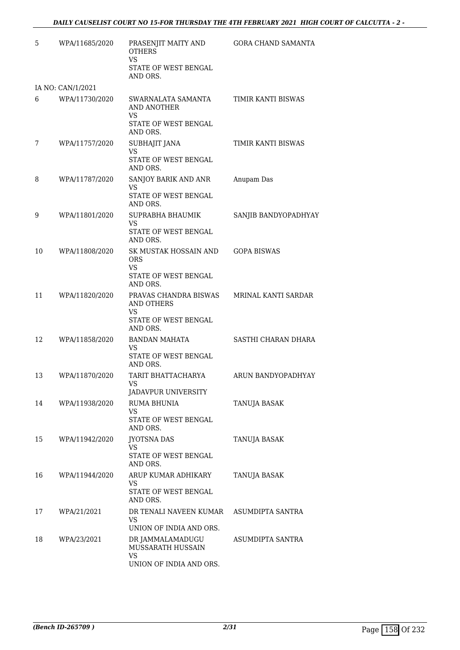| 5  | WPA/11685/2020    | PRASENJIT MAITY AND<br><b>OTHERS</b><br><b>VS</b><br>STATE OF WEST BENGAL                   | <b>GORA CHAND SAMANTA</b> |
|----|-------------------|---------------------------------------------------------------------------------------------|---------------------------|
|    |                   | AND ORS.                                                                                    |                           |
|    | IA NO: CAN/1/2021 |                                                                                             |                           |
| 6  | WPA/11730/2020    | SWARNALATA SAMANTA<br>AND ANOTHER<br><b>VS</b>                                              | TIMIR KANTI BISWAS        |
|    |                   | STATE OF WEST BENGAL<br>AND ORS.                                                            |                           |
| 7  | WPA/11757/2020    | <b>SUBHAJIT JANA</b><br><b>VS</b><br>STATE OF WEST BENGAL<br>AND ORS.                       | TIMIR KANTI BISWAS        |
| 8  | WPA/11787/2020    | SANJOY BARIK AND ANR<br><b>VS</b><br>STATE OF WEST BENGAL                                   | Anupam Das                |
|    |                   | AND ORS.                                                                                    |                           |
| 9  | WPA/11801/2020    | SUPRABHA BHAUMIK<br>VS<br>STATE OF WEST BENGAL<br>AND ORS.                                  | SANJIB BANDYOPADHYAY      |
| 10 | WPA/11808/2020    | SK MUSTAK HOSSAIN AND<br>ORS<br><b>VS</b><br>STATE OF WEST BENGAL<br>AND ORS.               | <b>GOPA BISWAS</b>        |
| 11 | WPA/11820/2020    | PRAVAS CHANDRA BISWAS<br><b>AND OTHERS</b><br><b>VS</b><br>STATE OF WEST BENGAL<br>AND ORS. | MRINAL KANTI SARDAR       |
| 12 | WPA/11858/2020    | <b>BANDAN MAHATA</b><br>VS<br>STATE OF WEST BENGAL<br>AND ORS.                              | SASTHI CHARAN DHARA       |
| 13 | WPA/11870/2020    | TARIT BHATTACHARYA<br>VS –<br>JADAVPUR UNIVERSITY                                           | ARUN BANDYOPADHYAY        |
| 14 | WPA/11938/2020    | RUMA BHUNIA<br>VS<br>STATE OF WEST BENGAL<br>AND ORS.                                       | TANUJA BASAK              |
| 15 | WPA/11942/2020    | <b>JYOTSNA DAS</b><br>VS<br>STATE OF WEST BENGAL<br>AND ORS.                                | TANUJA BASAK              |
| 16 | WPA/11944/2020    | ARUP KUMAR ADHIKARY<br>VS<br>STATE OF WEST BENGAL<br>AND ORS.                               | TANUJA BASAK              |
| 17 | WPA/21/2021       | DR TENALI NAVEEN KUMAR<br><b>VS</b><br>UNION OF INDIA AND ORS.                              | ASUMDIPTA SANTRA          |
| 18 | WPA/23/2021       | DR JAMMALAMADUGU<br><b>MUSSARATH HUSSAIN</b><br><b>VS</b><br>UNION OF INDIA AND ORS.        | ASUMDIPTA SANTRA          |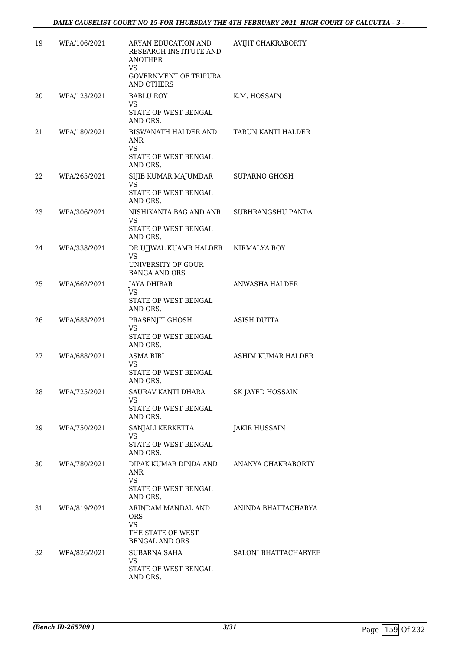| 19 | WPA/106/2021 | ARYAN EDUCATION AND<br>RESEARCH INSTITUTE AND<br><b>ANOTHER</b><br><b>VS</b><br><b>GOVERNMENT OF TRIPURA</b><br><b>AND OTHERS</b> | AVIJIT CHAKRABORTY          |
|----|--------------|-----------------------------------------------------------------------------------------------------------------------------------|-----------------------------|
| 20 | WPA/123/2021 | <b>BABLU ROY</b><br><b>VS</b><br>STATE OF WEST BENGAL<br>AND ORS.                                                                 | K.M. HOSSAIN                |
| 21 | WPA/180/2021 | BISWANATH HALDER AND<br>ANR<br><b>VS</b><br>STATE OF WEST BENGAL<br>AND ORS.                                                      | TARUN KANTI HALDER          |
| 22 | WPA/265/2021 | SIJIB KUMAR MAJUMDAR<br>VS<br>STATE OF WEST BENGAL<br>AND ORS.                                                                    | <b>SUPARNO GHOSH</b>        |
| 23 | WPA/306/2021 | NISHIKANTA BAG AND ANR<br>VS<br><b>STATE OF WEST BENGAL</b><br>AND ORS.                                                           | SUBHRANGSHU PANDA           |
| 24 | WPA/338/2021 | DR UJJWAL KUAMR HALDER<br>VS<br>UNIVERSITY OF GOUR<br><b>BANGA AND ORS</b>                                                        | NIRMALYA ROY                |
| 25 | WPA/662/2021 | <b>JAYA DHIBAR</b><br><b>VS</b><br>STATE OF WEST BENGAL<br>AND ORS.                                                               | ANWASHA HALDER              |
| 26 | WPA/683/2021 | PRASENJIT GHOSH<br><b>VS</b><br>STATE OF WEST BENGAL<br>AND ORS.                                                                  | ASISH DUTTA                 |
| 27 | WPA/688/2021 | ASMA BIBI<br>VS.<br>STATE OF WEST BENGAL<br>AND ORS.                                                                              | ASHIM KUMAR HALDER          |
| 28 | WPA/725/2021 | SAURAV KANTI DHARA<br>VS<br><b>STATE OF WEST BENGAL</b><br>AND ORS.                                                               | SK JAYED HOSSAIN            |
| 29 | WPA/750/2021 | SANJALI KERKETTA<br><b>VS</b><br>STATE OF WEST BENGAL<br>AND ORS.                                                                 | JAKIR HUSSAIN               |
| 30 | WPA/780/2021 | DIPAK KUMAR DINDA AND<br>ANR<br><b>VS</b><br>STATE OF WEST BENGAL<br>AND ORS.                                                     | ANANYA CHAKRABORTY          |
| 31 | WPA/819/2021 | ARINDAM MANDAL AND<br>ORS.<br><b>VS</b><br>THE STATE OF WEST                                                                      | ANINDA BHATTACHARYA         |
| 32 | WPA/826/2021 | <b>BENGAL AND ORS</b><br>SUBARNA SAHA<br><b>VS</b><br>STATE OF WEST BENGAL<br>AND ORS.                                            | <b>SALONI BHATTACHARYEE</b> |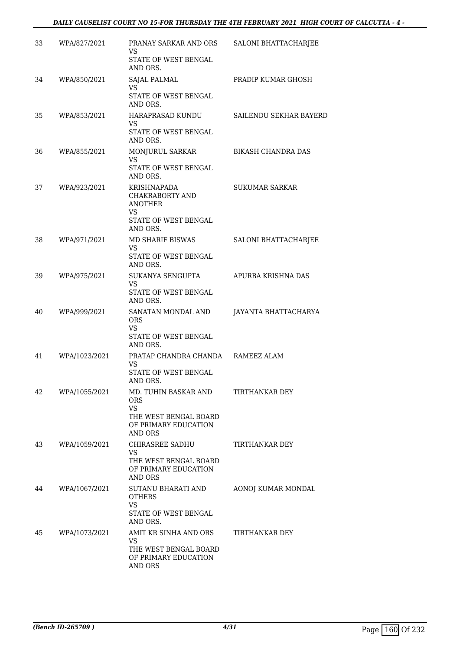| 33 | WPA/827/2021  | PRANAY SARKAR AND ORS<br>VS<br>STATE OF WEST BENGAL<br>AND ORS.                                                    | SALONI BHATTACHARJEE   |
|----|---------------|--------------------------------------------------------------------------------------------------------------------|------------------------|
| 34 | WPA/850/2021  | SAJAL PALMAL<br><b>VS</b><br>STATE OF WEST BENGAL<br>AND ORS.                                                      | PRADIP KUMAR GHOSH     |
| 35 | WPA/853/2021  | HARAPRASAD KUNDU<br>VS.<br>STATE OF WEST BENGAL<br>AND ORS.                                                        | SAILENDU SEKHAR BAYERD |
| 36 | WPA/855/2021  | MONJURUL SARKAR<br><b>VS</b><br>STATE OF WEST BENGAL<br>AND ORS.                                                   | BIKASH CHANDRA DAS     |
| 37 | WPA/923/2021  | <b>KRISHNAPADA</b><br>CHAKRABORTY AND<br><b>ANOTHER</b><br>VS.<br>STATE OF WEST BENGAL<br>AND ORS.                 | <b>SUKUMAR SARKAR</b>  |
| 38 | WPA/971/2021  | MD SHARIF BISWAS<br>VS.<br>STATE OF WEST BENGAL<br>AND ORS.                                                        | SALONI BHATTACHARJEE   |
| 39 | WPA/975/2021  | SUKANYA SENGUPTA<br>VS.<br>STATE OF WEST BENGAL<br>AND ORS.                                                        | APURBA KRISHNA DAS     |
| 40 | WPA/999/2021  | SANATAN MONDAL AND<br><b>ORS</b><br>VS<br>STATE OF WEST BENGAL<br>AND ORS.                                         | JAYANTA BHATTACHARYA   |
| 41 | WPA/1023/2021 | PRATAP CHANDRA CHANDA RAMEEZ ALAM<br>VS.<br>STATE OF WEST BENGAL<br>AND ORS.                                       |                        |
| 42 | WPA/1055/2021 | MD. TUHIN BASKAR AND<br><b>ORS</b><br><b>VS</b><br>THE WEST BENGAL BOARD<br>OF PRIMARY EDUCATION<br><b>AND ORS</b> | TIRTHANKAR DEY         |
| 43 | WPA/1059/2021 | CHIRASREE SADHU<br>VS.<br>THE WEST BENGAL BOARD<br>OF PRIMARY EDUCATION<br><b>AND ORS</b>                          | TIRTHANKAR DEY         |
| 44 | WPA/1067/2021 | SUTANU BHARATI AND<br><b>OTHERS</b><br><b>VS</b><br>STATE OF WEST BENGAL<br>AND ORS.                               | AONOJ KUMAR MONDAL     |
| 45 | WPA/1073/2021 | AMIT KR SINHA AND ORS<br><b>VS</b><br>THE WEST BENGAL BOARD<br>OF PRIMARY EDUCATION<br>AND ORS                     | TIRTHANKAR DEY         |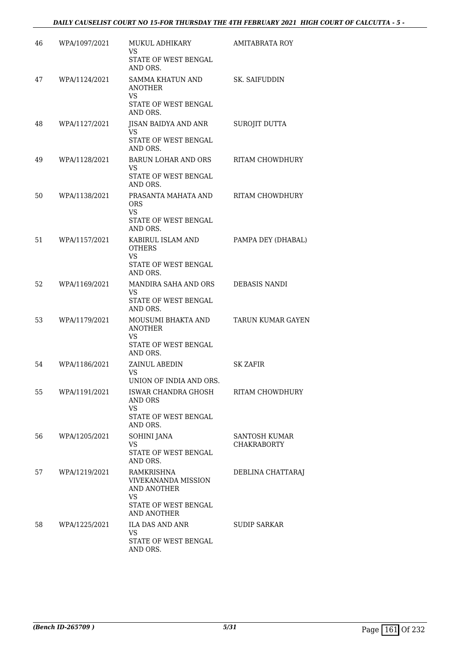| 46 | WPA/1097/2021 | MUKUL ADHIKARY<br>VS<br>STATE OF WEST BENGAL                    | <b>AMITABRATA ROY</b>    |
|----|---------------|-----------------------------------------------------------------|--------------------------|
|    |               | AND ORS.                                                        |                          |
| 47 | WPA/1124/2021 | SAMMA KHATUN AND<br>ANOTHER<br><b>VS</b>                        | <b>SK. SAIFUDDIN</b>     |
|    |               | STATE OF WEST BENGAL<br>AND ORS.                                |                          |
| 48 | WPA/1127/2021 | JISAN BAIDYA AND ANR<br>VS                                      | SUROJIT DUTTA            |
|    |               | <b>STATE OF WEST BENGAL</b><br>AND ORS.                         |                          |
| 49 | WPA/1128/2021 | <b>BARUN LOHAR AND ORS</b><br>VS<br>STATE OF WEST BENGAL        | RITAM CHOWDHURY          |
|    |               | AND ORS.                                                        |                          |
| 50 | WPA/1138/2021 | PRASANTA MAHATA AND<br><b>ORS</b><br>VS<br>STATE OF WEST BENGAL | RITAM CHOWDHURY          |
|    |               | AND ORS.                                                        |                          |
| 51 | WPA/1157/2021 | KABIRUL ISLAM AND<br><b>OTHERS</b><br><b>VS</b>                 | PAMPA DEY (DHABAL)       |
|    |               | STATE OF WEST BENGAL<br>AND ORS.                                |                          |
| 52 | WPA/1169/2021 | MANDIRA SAHA AND ORS                                            | DEBASIS NANDI            |
|    |               | VS<br>STATE OF WEST BENGAL<br>AND ORS.                          |                          |
| 53 | WPA/1179/2021 | MOUSUMI BHAKTA AND<br><b>ANOTHER</b>                            | <b>TARUN KUMAR GAYEN</b> |
|    |               | <b>VS</b><br>STATE OF WEST BENGAL                               |                          |
|    |               | AND ORS.                                                        |                          |
| 54 | WPA/1186/2021 | ZAINUL ABEDIN<br><b>VS</b>                                      | <b>SK ZAFIR</b>          |
| 55 | WPA/1191/2021 | UNION OF INDIA AND ORS.<br>ISWAR CHANDRA GHOSH                  | RITAM CHOWDHURY          |
|    |               | AND ORS<br><b>VS</b>                                            |                          |
|    |               | STATE OF WEST BENGAL<br>AND ORS.                                |                          |
| 56 | WPA/1205/2021 | <b>SOHINI JANA</b>                                              | <b>SANTOSH KUMAR</b>     |
|    |               | VS.<br>STATE OF WEST BENGAL<br>AND ORS.                         | <b>CHAKRABORTY</b>       |
| 57 | WPA/1219/2021 | RAMKRISHNA                                                      | DEBLINA CHATTARAJ        |
|    |               | <b>VIVEKANANDA MISSION</b><br>AND ANOTHER<br>VS.                |                          |
|    |               | STATE OF WEST BENGAL<br><b>AND ANOTHER</b>                      |                          |
| 58 | WPA/1225/2021 | ILA DAS AND ANR                                                 | SUDIP SARKAR             |
|    |               | <b>VS</b><br>STATE OF WEST BENGAL<br>AND ORS.                   |                          |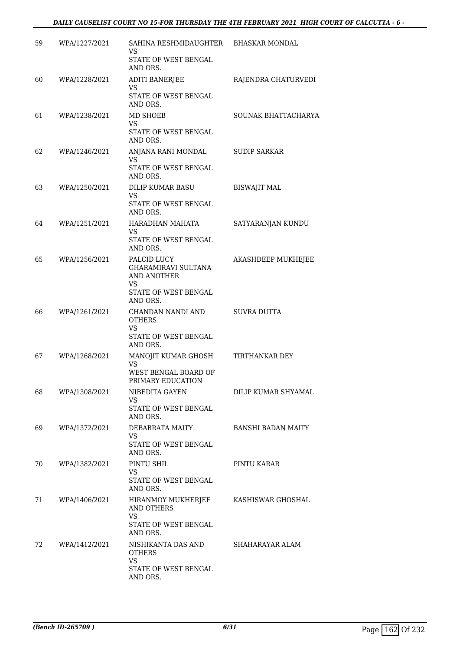| 59 | WPA/1227/2021 | SAHINA RESHMIDAUGHTER<br>VS<br>STATE OF WEST BENGAL<br>AND ORS.                                    | <b>BHASKAR MONDAL</b>     |
|----|---------------|----------------------------------------------------------------------------------------------------|---------------------------|
| 60 | WPA/1228/2021 | <b>ADITI BANERJEE</b><br>VS<br>STATE OF WEST BENGAL<br>AND ORS.                                    | RAJENDRA CHATURVEDI       |
| 61 | WPA/1238/2021 | MD SHOEB<br>VS.<br>STATE OF WEST BENGAL<br>AND ORS.                                                | SOUNAK BHATTACHARYA       |
| 62 | WPA/1246/2021 | ANJANA RANI MONDAL<br>VS<br>STATE OF WEST BENGAL<br>AND ORS.                                       | <b>SUDIP SARKAR</b>       |
| 63 | WPA/1250/2021 | DILIP KUMAR BASU<br>VS<br>STATE OF WEST BENGAL<br>AND ORS.                                         | <b>BISWAJIT MAL</b>       |
| 64 | WPA/1251/2021 | HARADHAN MAHATA<br>VS<br>STATE OF WEST BENGAL<br>AND ORS.                                          | SATYARANJAN KUNDU         |
| 65 | WPA/1256/2021 | PALCID LUCY<br><b>GHARAMIRAVI SULTANA</b><br>AND ANOTHER<br>VS<br>STATE OF WEST BENGAL<br>AND ORS. | AKASHDEEP MUKHEJEE        |
| 66 | WPA/1261/2021 | CHANDAN NANDI AND<br><b>OTHERS</b><br>VS<br>STATE OF WEST BENGAL<br>AND ORS.                       | SUVRA DUTTA               |
| 67 | WPA/1268/2021 | MANOJIT KUMAR GHOSH<br>VS<br>WEST BENGAL BOARD OF<br>PRIMARY EDUCATION                             | TIRTHANKAR DEY            |
| 68 | WPA/1308/2021 | NIBEDITA GAYEN<br>VS.<br>STATE OF WEST BENGAL<br>AND ORS.                                          | DILIP KUMAR SHYAMAL       |
| 69 | WPA/1372/2021 | DEBABRATA MAITY<br>VS.<br>STATE OF WEST BENGAL<br>AND ORS.                                         | <b>BANSHI BADAN MAITY</b> |
| 70 | WPA/1382/2021 | PINTU SHIL<br><b>VS</b><br>STATE OF WEST BENGAL<br>AND ORS.                                        | PINTU KARAR               |
| 71 | WPA/1406/2021 | HIRANMOY MUKHERJEE<br>AND OTHERS<br><b>VS</b><br>STATE OF WEST BENGAL<br>AND ORS.                  | KASHISWAR GHOSHAL         |
| 72 | WPA/1412/2021 | NISHIKANTA DAS AND<br><b>OTHERS</b><br><b>VS</b><br>STATE OF WEST BENGAL<br>AND ORS.               | SHAHARAYAR ALAM           |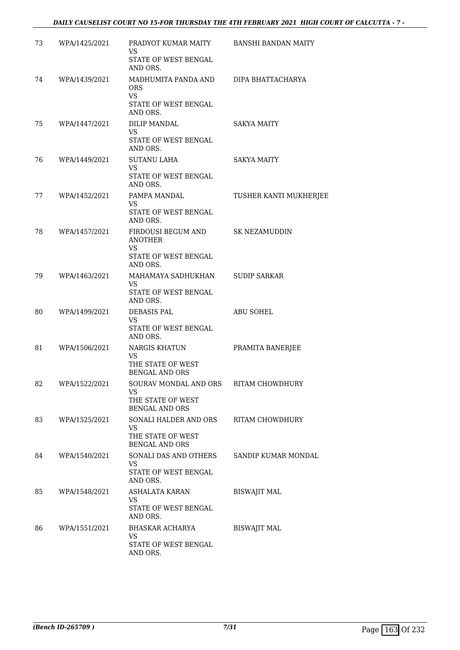## *DAILY CAUSELIST COURT NO 15-FOR THURSDAY THE 4TH FEBRUARY 2021 HIGH COURT OF CALCUTTA - 7 -*

| 73 | WPA/1425/2021 | PRADYOT KUMAR MAITY BANSHI BANDAN MAITY<br>VS.                                   |                        |
|----|---------------|----------------------------------------------------------------------------------|------------------------|
|    |               | STATE OF WEST BENGAL<br>AND ORS.                                                 |                        |
| 74 | WPA/1439/2021 | MADHUMITA PANDA AND<br>ORS.<br>VS.<br>STATE OF WEST BENGAL                       | DIPA BHATTACHARYA      |
|    |               | AND ORS.                                                                         |                        |
| 75 | WPA/1447/2021 | DILIP MANDAL<br>VS.<br>STATE OF WEST BENGAL<br>AND ORS.                          | <b>SAKYA MAITY</b>     |
| 76 | WPA/1449/2021 | <b>SUTANU LAHA</b><br>VS.<br>STATE OF WEST BENGAL<br>AND ORS.                    | SAKYA MAITY            |
| 77 | WPA/1452/2021 | PAMPA MANDAL<br>VS.<br>STATE OF WEST BENGAL<br>AND ORS.                          | TUSHER KANTI MUKHERJEE |
| 78 | WPA/1457/2021 | FIRDOUSI BEGUM AND<br><b>ANOTHER</b><br>VS.<br>STATE OF WEST BENGAL<br>AND ORS.  | <b>SK NEZAMUDDIN</b>   |
| 79 | WPA/1463/2021 | MAHAMAYA SADHUKHAN<br><b>VS</b><br>STATE OF WEST BENGAL<br>AND ORS.              | <b>SUDIP SARKAR</b>    |
| 80 | WPA/1499/2021 | DEBASIS PAL<br><b>VS</b><br>STATE OF WEST BENGAL<br>AND ORS.                     | ABU SOHEL              |
| 81 | WPA/1506/2021 | NARGIS KHATUN<br><b>VS</b><br>THE STATE OF WEST<br><b>BENGAL AND ORS</b>         | PRAMITA BANERJEE       |
| 82 | WPA/1522/2021 | SOURAV MONDAL AND ORS<br>VS<br>THE STATE OF WEST<br><b>BENGAL AND ORS</b>        | RITAM CHOWDHURY        |
| 83 | WPA/1525/2021 | SONALI HALDER AND ORS<br><b>VS</b><br>THE STATE OF WEST<br><b>BENGAL AND ORS</b> | RITAM CHOWDHURY        |
| 84 | WPA/1540/2021 | SONALI DAS AND OTHERS<br>VS.<br>STATE OF WEST BENGAL<br>AND ORS.                 | SANDIP KUMAR MONDAL    |
| 85 | WPA/1548/2021 | ASHALATA KARAN<br>VS.<br>STATE OF WEST BENGAL<br>AND ORS.                        | <b>BISWAJIT MAL</b>    |
| 86 | WPA/1551/2021 | BHASKAR ACHARYA<br>VS.<br>STATE OF WEST BENGAL<br>AND ORS.                       | <b>BISWAJIT MAL</b>    |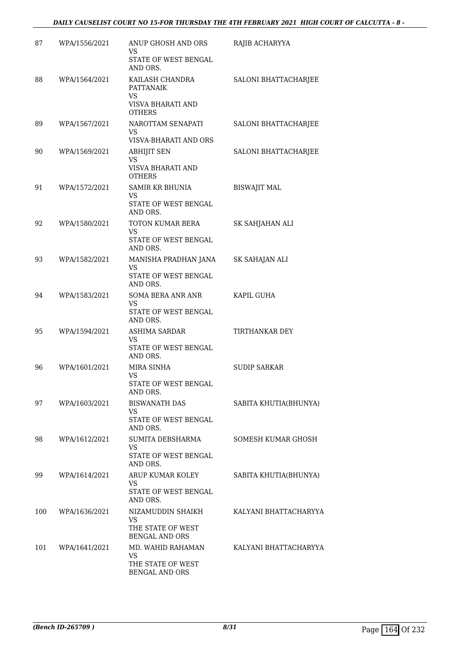| 87  | WPA/1556/2021 | ANUP GHOSH AND ORS<br>VS<br>STATE OF WEST BENGAL<br>AND ORS.                     | RAJIB ACHARYYA        |
|-----|---------------|----------------------------------------------------------------------------------|-----------------------|
| 88  | WPA/1564/2021 | KAILASH CHANDRA<br><b>PATTANAIK</b><br>VS.<br>VISVA BHARATI AND<br><b>OTHERS</b> | SALONI BHATTACHARJEE  |
| 89  | WPA/1567/2021 | NAROTTAM SENAPATI<br>VS.<br>VISVA-BHARATI AND ORS                                | SALONI BHATTACHARJEE  |
| 90  | WPA/1569/2021 | <b>ABHIJIT SEN</b><br><b>VS</b><br>VISVA BHARATI AND<br><b>OTHERS</b>            | SALONI BHATTACHARJEE  |
| 91  | WPA/1572/2021 | <b>SAMIR KR BHUNIA</b><br>VS.<br>STATE OF WEST BENGAL                            | <b>BISWAJIT MAL</b>   |
| 92  | WPA/1580/2021 | AND ORS.<br>TOTON KUMAR BERA<br><b>VS</b><br>STATE OF WEST BENGAL<br>AND ORS.    | SK SAHJAHAN ALI       |
| 93  | WPA/1582/2021 | MANISHA PRADHAN JANA<br>VS.<br>STATE OF WEST BENGAL<br>AND ORS.                  | SK SAHAJAN ALI        |
| 94  | WPA/1583/2021 | SOMA BERA ANR ANR<br>VS.<br>STATE OF WEST BENGAL<br>AND ORS.                     | KAPIL GUHA            |
| 95  | WPA/1594/2021 | ASHIMA SARDAR<br>VS.<br>STATE OF WEST BENGAL<br>AND ORS.                         | TIRTHANKAR DEY        |
| 96  | WPA/1601/2021 | MIRA SINHA<br>VS<br>STATE OF WEST BENGAL<br>AND ORS.                             | <b>SUDIP SARKAR</b>   |
| 97  | WPA/1603/2021 | <b>BISWANATH DAS</b><br>VS<br>STATE OF WEST BENGAL<br>AND ORS.                   | SABITA KHUTIA(BHUNYA) |
| 98  | WPA/1612/2021 | SUMITA DEBSHARMA<br><b>VS</b><br>STATE OF WEST BENGAL<br>AND ORS.                | SOMESH KUMAR GHOSH    |
| 99  | WPA/1614/2021 | ARUP KUMAR KOLEY<br>VS.<br>STATE OF WEST BENGAL<br>AND ORS.                      | SABITA KHUTIA(BHUNYA) |
| 100 | WPA/1636/2021 | NIZAMUDDIN SHAIKH<br><b>VS</b><br>THE STATE OF WEST<br><b>BENGAL AND ORS</b>     | KALYANI BHATTACHARYYA |
| 101 | WPA/1641/2021 | MD. WAHID RAHAMAN<br>VS<br>THE STATE OF WEST<br>BENGAL AND ORS                   | KALYANI BHATTACHARYYA |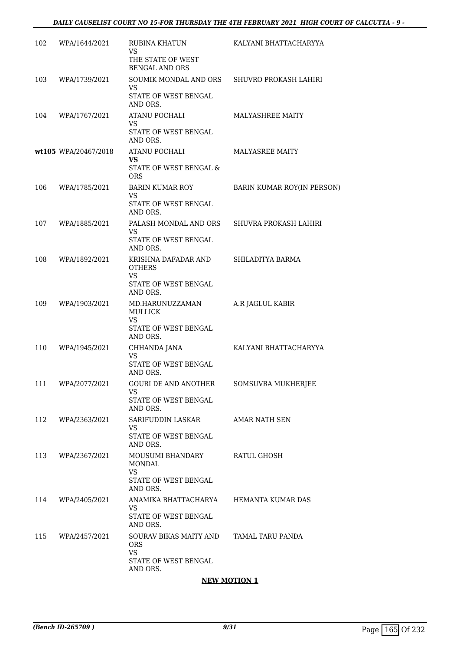| 102 | WPA/1644/2021        | RUBINA KHATUN<br><b>VS</b><br>THE STATE OF WEST<br><b>BENGAL AND ORS</b>              | KALYANI BHATTACHARYYA      |
|-----|----------------------|---------------------------------------------------------------------------------------|----------------------------|
| 103 | WPA/1739/2021        | SOUMIK MONDAL AND ORS<br>VS.<br>STATE OF WEST BENGAL<br>AND ORS.                      | SHUVRO PROKASH LAHIRI      |
| 104 | WPA/1767/2021        | ATANU POCHALI<br>VS<br>STATE OF WEST BENGAL<br>AND ORS.                               | MALYASHREE MAITY           |
|     | wt105 WPA/20467/2018 | ATANU POCHALI<br>VS<br>STATE OF WEST BENGAL &<br><b>ORS</b>                           | <b>MALYASREE MAITY</b>     |
| 106 | WPA/1785/2021        | <b>BARIN KUMAR ROY</b><br>VS.<br>STATE OF WEST BENGAL<br>AND ORS.                     | BARIN KUMAR ROY(IN PERSON) |
| 107 | WPA/1885/2021        | PALASH MONDAL AND ORS<br>VS.<br>STATE OF WEST BENGAL<br>AND ORS.                      | SHUVRA PROKASH LAHIRI      |
| 108 | WPA/1892/2021        | KRISHNA DAFADAR AND<br><b>OTHERS</b><br><b>VS</b><br>STATE OF WEST BENGAL<br>AND ORS. | SHILADITYA BARMA           |
| 109 | WPA/1903/2021        | MD.HARUNUZZAMAN<br><b>MULLICK</b><br><b>VS</b><br>STATE OF WEST BENGAL<br>AND ORS.    | A.R JAGLUL KABIR           |
| 110 | WPA/1945/2021        | CHHANDA JANA<br>VS.<br>STATE OF WEST BENGAL<br>AND ORS.                               | KALYANI BHATTACHARYYA      |
| 111 | WPA/2077/2021        | <b>GOURI DE AND ANOTHER</b><br>VS<br>STATE OF WEST BENGAL<br>AND ORS.                 | SOMSUVRA MUKHERJEE         |
| 112 | WPA/2363/2021        | SARIFUDDIN LASKAR<br>VS.<br>STATE OF WEST BENGAL<br>AND ORS.                          | <b>AMAR NATH SEN</b>       |
| 113 | WPA/2367/2021        | MOUSUMI BHANDARY<br>MONDAL<br><b>VS</b><br>STATE OF WEST BENGAL<br>AND ORS.           | RATUL GHOSH                |
| 114 | WPA/2405/2021        | ANAMIKA BHATTACHARYA<br>VS.<br>STATE OF WEST BENGAL<br>AND ORS.                       | HEMANTA KUMAR DAS          |
| 115 | WPA/2457/2021        | SOURAV BIKAS MAITY AND<br><b>ORS</b><br><b>VS</b><br>STATE OF WEST BENGAL<br>AND ORS. | TAMAL TARU PANDA           |

# **NEW MOTION 1**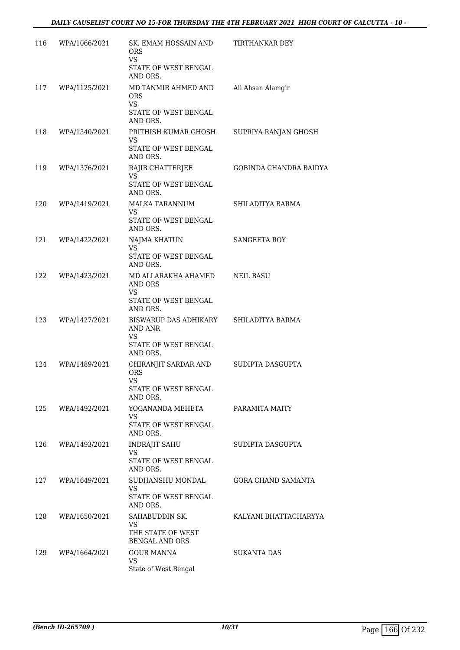| 116 | WPA/1066/2021 | SK. EMAM HOSSAIN AND<br><b>ORS</b><br>VS                                            | TIRTHANKAR DEY            |
|-----|---------------|-------------------------------------------------------------------------------------|---------------------------|
|     |               | STATE OF WEST BENGAL<br>AND ORS.                                                    |                           |
| 117 | WPA/1125/2021 | MD TANMIR AHMED AND<br><b>ORS</b><br><b>VS</b>                                      | Ali Ahsan Alamgir         |
|     |               | STATE OF WEST BENGAL<br>AND ORS.                                                    |                           |
| 118 | WPA/1340/2021 | PRITHISH KUMAR GHOSH<br><b>VS</b>                                                   | SUPRIYA RANJAN GHOSH      |
|     |               | STATE OF WEST BENGAL<br>AND ORS.                                                    |                           |
| 119 | WPA/1376/2021 | RAJIB CHATTERJEE<br><b>VS</b><br>STATE OF WEST BENGAL<br>AND ORS.                   | GOBINDA CHANDRA BAIDYA    |
| 120 | WPA/1419/2021 | MALKA TARANNUM<br>VS.<br>STATE OF WEST BENGAL<br>AND ORS.                           | SHILADITYA BARMA          |
| 121 | WPA/1422/2021 | NAJMA KHATUN<br><b>VS</b>                                                           | SANGEETA ROY              |
|     |               | STATE OF WEST BENGAL<br>AND ORS.                                                    |                           |
| 122 | WPA/1423/2021 | MD ALLARAKHA AHAMED<br>AND ORS<br>VS.                                               | <b>NEIL BASU</b>          |
|     |               | STATE OF WEST BENGAL<br>AND ORS.                                                    |                           |
| 123 | WPA/1427/2021 | BISWARUP DAS ADHIKARY<br>AND ANR<br>VS.                                             | SHILADITYA BARMA          |
|     |               | STATE OF WEST BENGAL<br>AND ORS.                                                    |                           |
| 124 | WPA/1489/2021 | CHIRANJIT SARDAR AND<br><b>ORS</b><br><b>VS</b><br>STATE OF WEST BENGAL<br>AND ORS. | SUDIPTA DASGUPTA          |
| 125 | WPA/1492/2021 | YOGANANDA MEHETA<br>VS.                                                             | PARAMITA MAITY            |
|     |               | STATE OF WEST BENGAL<br>AND ORS.                                                    |                           |
| 126 | WPA/1493/2021 | INDRAJIT SAHU<br><b>VS</b>                                                          | SUDIPTA DASGUPTA          |
|     |               | STATE OF WEST BENGAL<br>AND ORS.                                                    |                           |
| 127 | WPA/1649/2021 | SUDHANSHU MONDAL<br><b>VS</b><br>STATE OF WEST BENGAL<br>AND ORS.                   | <b>GORA CHAND SAMANTA</b> |
| 128 | WPA/1650/2021 | SAHABUDDIN SK.<br><b>VS</b><br>THE STATE OF WEST<br><b>BENGAL AND ORS</b>           | KALYANI BHATTACHARYYA     |
| 129 | WPA/1664/2021 | <b>GOUR MANNA</b><br><b>VS</b><br>State of West Bengal                              | SUKANTA DAS               |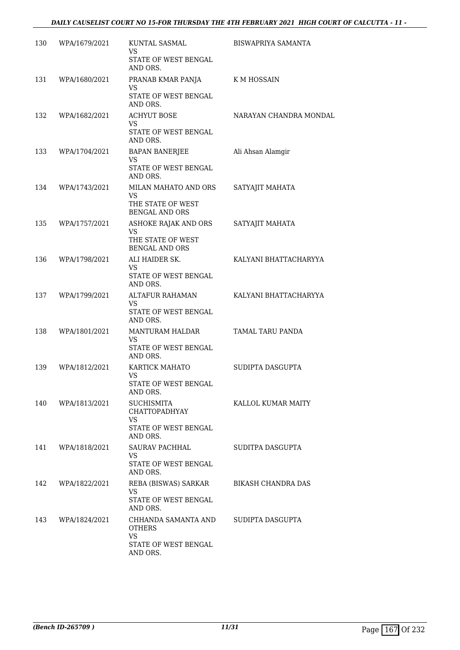| 130 | WPA/1679/2021 | KUNTAL SASMAL<br><b>VS</b><br>STATE OF WEST BENGAL<br>AND ORS.                             | BISWAPRIYA SAMANTA     |
|-----|---------------|--------------------------------------------------------------------------------------------|------------------------|
| 131 | WPA/1680/2021 | PRANAB KMAR PANJA<br>VS<br>STATE OF WEST BENGAL<br>AND ORS.                                | K M HOSSAIN            |
| 132 | WPA/1682/2021 | <b>ACHYUT BOSE</b><br><b>VS</b><br>STATE OF WEST BENGAL<br>AND ORS.                        | NARAYAN CHANDRA MONDAL |
| 133 | WPA/1704/2021 | BAPAN BANERJEE<br><b>VS</b><br>STATE OF WEST BENGAL<br>AND ORS.                            | Ali Ahsan Alamgir      |
| 134 | WPA/1743/2021 | MILAN MAHATO AND ORS<br>VS.<br>THE STATE OF WEST<br><b>BENGAL AND ORS</b>                  | SATYAJIT MAHATA        |
| 135 | WPA/1757/2021 | ASHOKE RAJAK AND ORS<br><b>VS</b><br>THE STATE OF WEST<br><b>BENGAL AND ORS</b>            | SATYAJIT MAHATA        |
| 136 | WPA/1798/2021 | ALI HAIDER SK.<br>VS.<br>STATE OF WEST BENGAL<br>AND ORS.                                  | KALYANI BHATTACHARYYA  |
| 137 | WPA/1799/2021 | ALTAFUR RAHAMAN<br>VS.<br>STATE OF WEST BENGAL<br>AND ORS.                                 | KALYANI BHATTACHARYYA  |
| 138 | WPA/1801/2021 | MANTURAM HALDAR<br><b>VS</b><br>STATE OF WEST BENGAL<br>AND ORS.                           | TAMAL TARU PANDA       |
| 139 | WPA/1812/2021 | KARTICK MAHATO<br><b>VS</b><br>STATE OF WEST BENGAL<br>AND ORS.                            | SUDIPTA DASGUPTA       |
| 140 | WPA/1813/2021 | <b>SUCHISMITA</b><br><b>CHATTOPADHYAY</b><br><b>VS</b><br>STATE OF WEST BENGAL<br>AND ORS. | KALLOL KUMAR MAITY     |
| 141 | WPA/1818/2021 | SAURAV PACHHAL<br>VS.<br>STATE OF WEST BENGAL<br>AND ORS.                                  | SUDITPA DASGUPTA       |
| 142 | WPA/1822/2021 | REBA (BISWAS) SARKAR<br>VS.<br>STATE OF WEST BENGAL<br>AND ORS.                            | BIKASH CHANDRA DAS     |
| 143 | WPA/1824/2021 | CHHANDA SAMANTA AND<br>OTHERS<br>VS.<br>STATE OF WEST BENGAL<br>AND ORS.                   | SUDIPTA DASGUPTA       |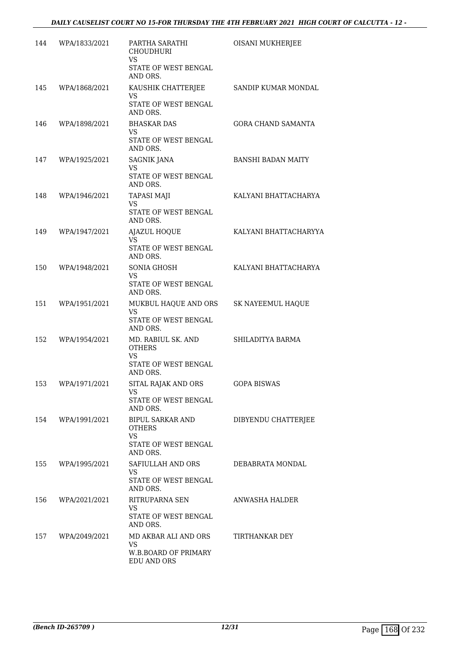| 144 | WPA/1833/2021     | PARTHA SARATHI<br><b>CHOUDHURI</b><br>VS                                             | OISANI MUKHERJEE          |
|-----|-------------------|--------------------------------------------------------------------------------------|---------------------------|
|     |                   | STATE OF WEST BENGAL<br>AND ORS.                                                     |                           |
| 145 | WPA/1868/2021     | KAUSHIK CHATTERJEE<br>VS<br>STATE OF WEST BENGAL<br>AND ORS.                         | SANDIP KUMAR MONDAL       |
| 146 | WPA/1898/2021     | <b>BHASKAR DAS</b><br>VS.<br>STATE OF WEST BENGAL<br>AND ORS.                        | <b>GORA CHAND SAMANTA</b> |
| 147 | WPA/1925/2021     | SAGNIK JANA<br>VS<br>STATE OF WEST BENGAL<br>AND ORS.                                | <b>BANSHI BADAN MAITY</b> |
| 148 | WPA/1946/2021     | <b>TAPASI MAJI</b><br><b>VS</b><br>STATE OF WEST BENGAL<br>AND ORS.                  | KALYANI BHATTACHARYA      |
| 149 | WPA/1947/2021     | <b>AJAZUL HOQUE</b><br>VS.<br>STATE OF WEST BENGAL<br>AND ORS.                       | KALYANI BHATTACHARYYA     |
| 150 | WPA/1948/2021     | SONIA GHOSH<br><b>VS</b><br>STATE OF WEST BENGAL<br>AND ORS.                         | KALYANI BHATTACHARYA      |
| 151 | WPA/1951/2021     | MUKBUL HAQUE AND ORS<br><b>VS</b><br>STATE OF WEST BENGAL<br>AND ORS.                | SK NAYEEMUL HAQUE         |
| 152 | WPA/1954/2021     | MD. RABIUL SK. AND<br><b>OTHERS</b><br><b>VS</b><br>STATE OF WEST BENGAL<br>AND ORS. | SHILADITYA BARMA          |
|     | 153 WPA/1971/2021 | SITAL RAJAK AND ORS<br><b>VS</b><br>STATE OF WEST BENGAL<br>AND ORS.                 | <b>GOPA BISWAS</b>        |
|     | 154 WPA/1991/2021 | BIPUL SARKAR AND<br><b>OTHERS</b><br>VS<br>STATE OF WEST BENGAL<br>AND ORS.          | DIBYENDU CHATTERJEE       |
| 155 | WPA/1995/2021     | SAFIULLAH AND ORS<br>VS.<br>STATE OF WEST BENGAL<br>AND ORS.                         | DEBABRATA MONDAL          |
| 156 | WPA/2021/2021     | RITRUPARNA SEN<br><b>VS</b><br>STATE OF WEST BENGAL<br>AND ORS.                      | ANWASHA HALDER            |
| 157 | WPA/2049/2021     | MD AKBAR ALI AND ORS<br><b>VS</b><br>W.B.BOARD OF PRIMARY<br><b>EDU AND ORS</b>      | TIRTHANKAR DEY            |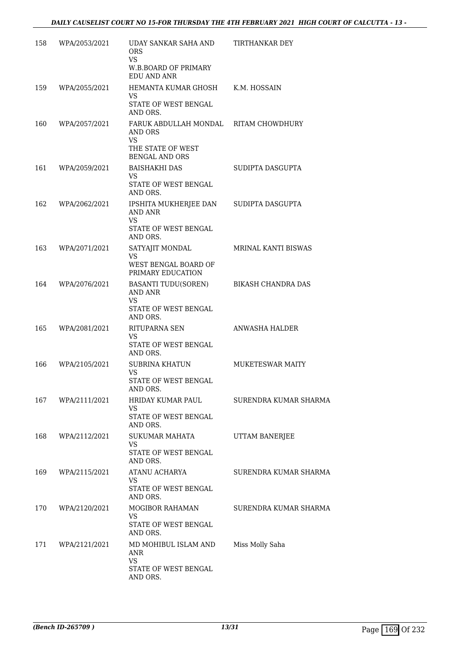| 158 | WPA/2053/2021 | UDAY SANKAR SAHA AND<br>ORS                                          | TIRTHANKAR DEY          |
|-----|---------------|----------------------------------------------------------------------|-------------------------|
|     |               | <b>VS</b><br><b>W.B.BOARD OF PRIMARY</b><br>EDU AND ANR              |                         |
| 159 | WPA/2055/2021 | HEMANTA KUMAR GHOSH<br><b>VS</b><br>STATE OF WEST BENGAL<br>AND ORS. | K.M. HOSSAIN            |
| 160 | WPA/2057/2021 | FARUK ABDULLAH MONDAL RITAM CHOWDHURY<br>AND ORS<br>VS               |                         |
|     |               | THE STATE OF WEST<br><b>BENGAL AND ORS</b>                           |                         |
| 161 | WPA/2059/2021 | <b>BAISHAKHI DAS</b><br>VS.<br>STATE OF WEST BENGAL<br>AND ORS.      | SUDIPTA DASGUPTA        |
| 162 | WPA/2062/2021 | IPSHITA MUKHERJEE DAN<br>AND ANR<br>VS                               | SUDIPTA DASGUPTA        |
|     |               | STATE OF WEST BENGAL<br>AND ORS.                                     |                         |
| 163 | WPA/2071/2021 | SATYAJIT MONDAL<br>VS<br>WEST BENGAL BOARD OF                        | MRINAL KANTI BISWAS     |
| 164 | WPA/2076/2021 | PRIMARY EDUCATION<br><b>BASANTI TUDU(SOREN)</b><br>AND ANR<br>VS     | BIKASH CHANDRA DAS      |
|     |               | STATE OF WEST BENGAL<br>AND ORS.                                     |                         |
| 165 | WPA/2081/2021 | RITUPARNA SEN<br>VS.<br>STATE OF WEST BENGAL<br>AND ORS.             | ANWASHA HALDER          |
| 166 | WPA/2105/2021 | SUBRINA KHATUN<br><b>VS</b><br>STATE OF WEST BENGAL<br>AND ORS.      | <b>MUKETESWAR MAITY</b> |
| 167 | WPA/2111/2021 | HRIDAY KUMAR PAUL<br><b>VS</b><br>STATE OF WEST BENGAL               | SURENDRA KUMAR SHARMA   |
| 168 | WPA/2112/2021 | AND ORS.<br>SUKUMAR MAHATA                                           | UTTAM BANERJEE          |
|     |               | <b>VS</b><br>STATE OF WEST BENGAL<br>AND ORS.                        |                         |
| 169 | WPA/2115/2021 | ATANU ACHARYA<br>VS<br>STATE OF WEST BENGAL                          | SURENDRA KUMAR SHARMA   |
| 170 | WPA/2120/2021 | AND ORS.<br>MOGIBOR RAHAMAN                                          | SURENDRA KUMAR SHARMA   |
|     |               | VS<br>STATE OF WEST BENGAL<br>AND ORS.                               |                         |
| 171 | WPA/2121/2021 | MD MOHIBUL ISLAM AND<br>ANR<br><b>VS</b>                             | Miss Molly Saha         |
|     |               | STATE OF WEST BENGAL<br>AND ORS.                                     |                         |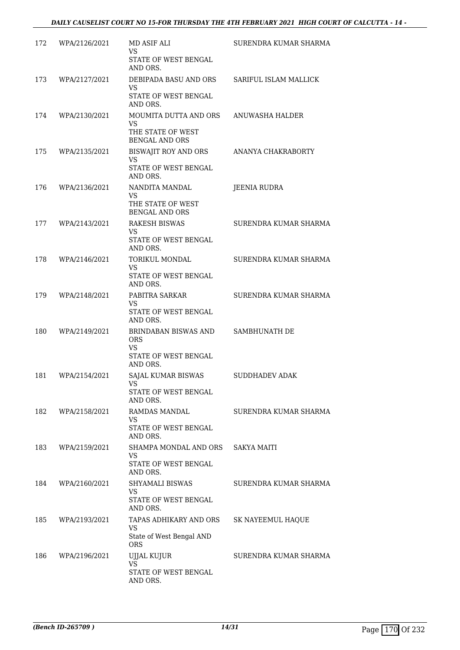| 172 | WPA/2126/2021 | MD ASIF ALI<br><b>VS</b><br>STATE OF WEST BENGAL<br>AND ORS.                        | SURENDRA KUMAR SHARMA |
|-----|---------------|-------------------------------------------------------------------------------------|-----------------------|
| 173 | WPA/2127/2021 | DEBIPADA BASU AND ORS<br>VS.<br>STATE OF WEST BENGAL<br>AND ORS.                    | SARIFUL ISLAM MALLICK |
| 174 | WPA/2130/2021 | MOUMITA DUTTA AND ORS<br><b>VS</b><br>THE STATE OF WEST<br><b>BENGAL AND ORS</b>    | ANUWASHA HALDER       |
| 175 | WPA/2135/2021 | BISWAJIT ROY AND ORS<br><b>VS</b><br>STATE OF WEST BENGAL<br>AND ORS.               | ANANYA CHAKRABORTY    |
| 176 | WPA/2136/2021 | NANDITA MANDAL<br><b>VS</b><br>THE STATE OF WEST<br><b>BENGAL AND ORS</b>           | <b>JEENIA RUDRA</b>   |
| 177 | WPA/2143/2021 | RAKESH BISWAS<br>VS.<br>STATE OF WEST BENGAL<br>AND ORS.                            | SURENDRA KUMAR SHARMA |
| 178 | WPA/2146/2021 | TORIKUL MONDAL<br>VS<br>STATE OF WEST BENGAL<br>AND ORS.                            | SURENDRA KUMAR SHARMA |
| 179 | WPA/2148/2021 | PABITRA SARKAR<br>VS<br>STATE OF WEST BENGAL<br>AND ORS.                            | SURENDRA KUMAR SHARMA |
| 180 | WPA/2149/2021 | BRINDABAN BISWAS AND<br><b>ORS</b><br><b>VS</b><br>STATE OF WEST BENGAL<br>AND ORS. | SAMBHUNATH DE         |
| 181 | WPA/2154/2021 | SAJAL KUMAR BISWAS<br>VS<br>STATE OF WEST BENGAL<br>AND ORS.                        | <b>SUDDHADEV ADAK</b> |
| 182 | WPA/2158/2021 | RAMDAS MANDAL<br><b>VS</b><br>STATE OF WEST BENGAL<br>AND ORS.                      | SURENDRA KUMAR SHARMA |
| 183 | WPA/2159/2021 | SHAMPA MONDAL AND ORS<br>VS.<br>STATE OF WEST BENGAL<br>AND ORS.                    | <b>SAKYA MAITI</b>    |
| 184 | WPA/2160/2021 | SHYAMALI BISWAS<br><b>VS</b><br>STATE OF WEST BENGAL<br>AND ORS.                    | SURENDRA KUMAR SHARMA |
| 185 | WPA/2193/2021 | TAPAS ADHIKARY AND ORS<br>VS<br>State of West Bengal AND<br><b>ORS</b>              | SK NAYEEMUL HAQUE     |
| 186 | WPA/2196/2021 | UJJAL KUJUR<br><b>VS</b><br>STATE OF WEST BENGAL<br>AND ORS.                        | SURENDRA KUMAR SHARMA |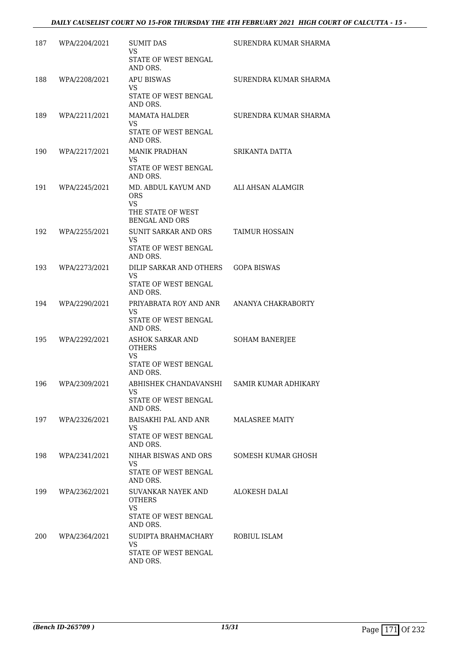| 187 | WPA/2204/2021 | <b>SUMIT DAS</b><br><b>VS</b><br>STATE OF WEST BENGAL                                        | SURENDRA KUMAR SHARMA |
|-----|---------------|----------------------------------------------------------------------------------------------|-----------------------|
| 188 | WPA/2208/2021 | AND ORS.<br><b>APU BISWAS</b>                                                                | SURENDRA KUMAR SHARMA |
|     |               | VS<br>STATE OF WEST BENGAL<br>AND ORS.                                                       |                       |
| 189 | WPA/2211/2021 | <b>MAMATA HALDER</b><br>VS.<br>STATE OF WEST BENGAL                                          | SURENDRA KUMAR SHARMA |
| 190 | WPA/2217/2021 | AND ORS.<br><b>MANIK PRADHAN</b><br><b>VS</b><br>STATE OF WEST BENGAL<br>AND ORS.            | SRIKANTA DATTA        |
| 191 | WPA/2245/2021 | MD. ABDUL KAYUM AND<br><b>ORS</b><br><b>VS</b><br>THE STATE OF WEST<br><b>BENGAL AND ORS</b> | ALI AHSAN ALAMGIR     |
| 192 | WPA/2255/2021 | SUNIT SARKAR AND ORS<br><b>VS</b><br>STATE OF WEST BENGAL<br>AND ORS.                        | TAIMUR HOSSAIN        |
| 193 | WPA/2273/2021 | DILIP SARKAR AND OTHERS   GOPA BISWAS<br><b>VS</b><br>STATE OF WEST BENGAL<br>AND ORS.       |                       |
| 194 | WPA/2290/2021 | PRIYABRATA ROY AND ANR ANANYA CHAKRABORTY<br>VS<br>STATE OF WEST BENGAL<br>AND ORS.          |                       |
| 195 | WPA/2292/2021 | ASHOK SARKAR AND<br><b>OTHERS</b><br><b>VS</b><br>STATE OF WEST BENGAL<br>AND ORS.           | SOHAM BANERJEE        |
| 196 | WPA/2309/2021 | ABHISHEK CHANDAVANSHI SAMIR KUMAR ADHIKARY<br>VS<br>STATE OF WEST BENGAL<br>AND ORS.         |                       |
| 197 | WPA/2326/2021 | BAISAKHI PAL AND ANR<br>VS<br>STATE OF WEST BENGAL<br>AND ORS.                               | <b>MALASREE MAITY</b> |
| 198 | WPA/2341/2021 | NIHAR BISWAS AND ORS<br><b>VS</b><br>STATE OF WEST BENGAL<br>AND ORS.                        | SOMESH KUMAR GHOSH    |
| 199 | WPA/2362/2021 | SUVANKAR NAYEK AND<br><b>OTHERS</b><br>VS<br>STATE OF WEST BENGAL                            | ALOKESH DALAI         |
| 200 | WPA/2364/2021 | AND ORS.<br>SUDIPTA BRAHMACHARY<br><b>VS</b><br>STATE OF WEST BENGAL<br>AND ORS.             | ROBIUL ISLAM          |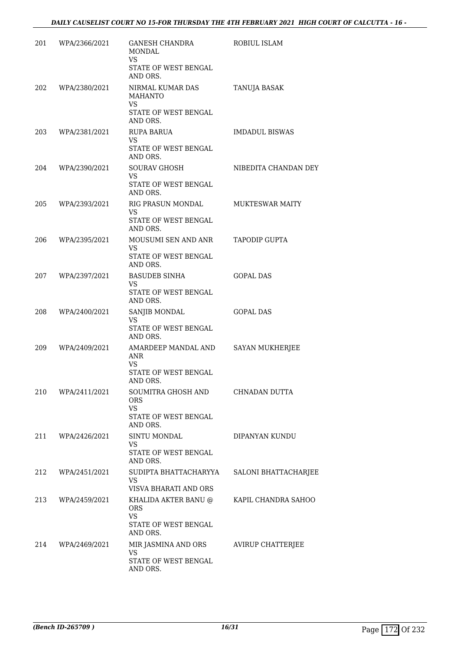| 201 | WPA/2366/2021 | GANESH CHANDRA<br>MONDAL<br><b>VS</b>                                             | ROBIUL ISLAM             |
|-----|---------------|-----------------------------------------------------------------------------------|--------------------------|
|     |               | STATE OF WEST BENGAL<br>AND ORS.                                                  |                          |
| 202 | WPA/2380/2021 | NIRMAL KUMAR DAS<br><b>MAHANTO</b><br><b>VS</b>                                   | TANUJA BASAK             |
|     |               | STATE OF WEST BENGAL<br>AND ORS.                                                  |                          |
| 203 | WPA/2381/2021 | RUPA BARUA<br><b>VS</b><br>STATE OF WEST BENGAL<br>AND ORS.                       | <b>IMDADUL BISWAS</b>    |
| 204 | WPA/2390/2021 | <b>SOURAV GHOSH</b><br><b>VS</b><br>STATE OF WEST BENGAL<br>AND ORS.              | NIBEDITA CHANDAN DEY     |
| 205 | WPA/2393/2021 | RIG PRASUN MONDAL<br><b>VS</b><br>STATE OF WEST BENGAL<br>AND ORS.                | MUKTESWAR MAITY          |
| 206 | WPA/2395/2021 | MOUSUMI SEN AND ANR<br>VS.<br>STATE OF WEST BENGAL<br>AND ORS.                    | TAPODIP GUPTA            |
| 207 | WPA/2397/2021 | <b>BASUDEB SINHA</b><br>VS<br>STATE OF WEST BENGAL<br>AND ORS.                    | <b>GOPAL DAS</b>         |
| 208 | WPA/2400/2021 | SANJIB MONDAL<br>VS<br>STATE OF WEST BENGAL<br>AND ORS.                           | <b>GOPAL DAS</b>         |
| 209 | WPA/2409/2021 | AMARDEEP MANDAL AND<br>ANR<br>VS<br>STATE OF WEST BENGAL<br>AND ORS.              | SAYAN MUKHERJEE          |
| 210 | WPA/2411/2021 | SOUMITRA GHOSH AND<br><b>ORS</b><br><b>VS</b><br>STATE OF WEST BENGAL<br>AND ORS. | CHNADAN DUTTA            |
| 211 | WPA/2426/2021 | SINTU MONDAL<br><b>VS</b><br><b>STATE OF WEST BENGAL</b><br>AND ORS.              | DIPANYAN KUNDU           |
| 212 | WPA/2451/2021 | SUDIPTA BHATTACHARYYA<br>VS.<br>VISVA BHARATI AND ORS                             | SALONI BHATTACHARJEE     |
| 213 | WPA/2459/2021 | KHALIDA AKTER BANU @<br><b>ORS</b><br>VS<br>STATE OF WEST BENGAL<br>AND ORS.      | KAPIL CHANDRA SAHOO      |
| 214 | WPA/2469/2021 | MIR JASMINA AND ORS<br><b>VS</b><br>STATE OF WEST BENGAL<br>AND ORS.              | <b>AVIRUP CHATTERJEE</b> |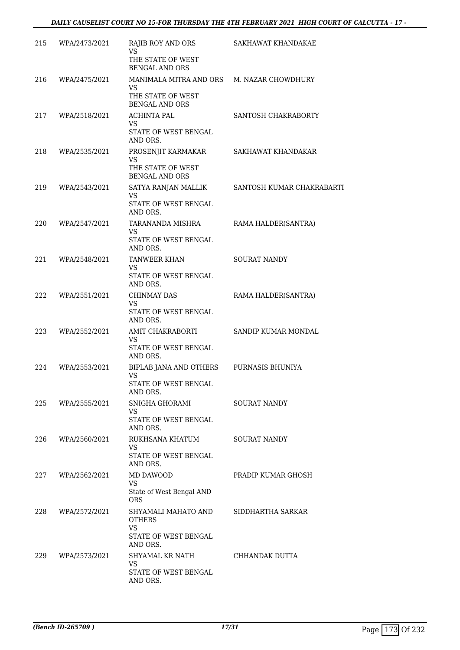| 215 | WPA/2473/2021 | RAJIB ROY AND ORS<br><b>VS</b>                                                                       | SAKHAWAT KHANDAKAE        |
|-----|---------------|------------------------------------------------------------------------------------------------------|---------------------------|
|     |               | THE STATE OF WEST<br><b>BENGAL AND ORS</b>                                                           |                           |
| 216 | WPA/2475/2021 | MANIMALA MITRA AND ORS M. NAZAR CHOWDHURY<br><b>VS</b><br>THE STATE OF WEST<br><b>BENGAL AND ORS</b> |                           |
| 217 | WPA/2518/2021 | <b>ACHINTA PAL</b><br><b>VS</b><br>STATE OF WEST BENGAL<br>AND ORS.                                  | SANTOSH CHAKRABORTY       |
| 218 | WPA/2535/2021 | PROSENJIT KARMAKAR<br><b>VS</b><br>THE STATE OF WEST                                                 | SAKHAWAT KHANDAKAR        |
| 219 | WPA/2543/2021 | <b>BENGAL AND ORS</b><br>SATYA RANJAN MALLIK<br>VS<br>STATE OF WEST BENGAL                           | SANTOSH KUMAR CHAKRABARTI |
| 220 | WPA/2547/2021 | AND ORS.<br>TARANANDA MISHRA<br>VS<br>STATE OF WEST BENGAL                                           | RAMA HALDER(SANTRA)       |
| 221 | WPA/2548/2021 | AND ORS.<br>TANWEER KHAN<br><b>VS</b><br>STATE OF WEST BENGAL<br>AND ORS.                            | <b>SOURAT NANDY</b>       |
| 222 | WPA/2551/2021 | CHINMAY DAS<br>VS<br>STATE OF WEST BENGAL<br>AND ORS.                                                | RAMA HALDER(SANTRA)       |
| 223 | WPA/2552/2021 | AMIT CHAKRABORTI<br><b>VS</b><br>STATE OF WEST BENGAL<br>AND ORS.                                    | SANDIP KUMAR MONDAL       |
| 224 | WPA/2553/2021 | BIPLAB JANA AND OTHERS<br>VS<br>STATE OF WEST BENGAL<br>AND ORS.                                     | PURNASIS BHUNIYA          |
| 225 | WPA/2555/2021 | SNIGHA GHORAMI<br><b>VS</b><br>STATE OF WEST BENGAL<br>AND ORS.                                      | <b>SOURAT NANDY</b>       |
| 226 | WPA/2560/2021 | RUKHSANA KHATUM<br><b>VS</b><br>STATE OF WEST BENGAL<br>AND ORS.                                     | SOURAT NANDY              |
| 227 | WPA/2562/2021 | MD DAWOOD<br><b>VS</b><br>State of West Bengal AND<br><b>ORS</b>                                     | PRADIP KUMAR GHOSH        |
| 228 | WPA/2572/2021 | SHYAMALI MAHATO AND<br><b>OTHERS</b><br><b>VS</b><br>STATE OF WEST BENGAL                            | SIDDHARTHA SARKAR         |
| 229 | WPA/2573/2021 | AND ORS.<br>SHYAMAL KR NATH<br><b>VS</b><br>STATE OF WEST BENGAL<br>AND ORS.                         | CHHANDAK DUTTA            |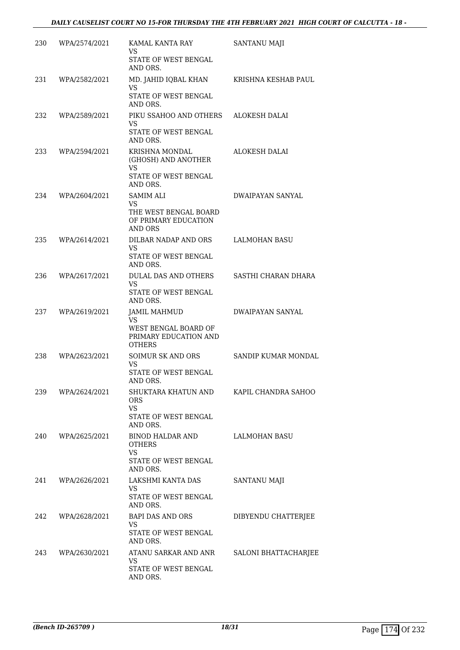| 230 | WPA/2574/2021 | KAMAL KANTA RAY<br>VS<br>STATE OF WEST BENGAL<br>AND ORS.                                    | SANTANU MAJI            |
|-----|---------------|----------------------------------------------------------------------------------------------|-------------------------|
| 231 | WPA/2582/2021 | MD. JAHID IQBAL KHAN<br>VS<br>STATE OF WEST BENGAL<br>AND ORS.                               | KRISHNA KESHAB PAUL     |
| 232 | WPA/2589/2021 | PIKU SSAHOO AND OTHERS<br>VS<br>STATE OF WEST BENGAL<br>AND ORS.                             | ALOKESH DALAI           |
| 233 | WPA/2594/2021 | KRISHNA MONDAL<br>(GHOSH) AND ANOTHER<br><b>VS</b><br>STATE OF WEST BENGAL<br>AND ORS.       | ALOKESH DALAI           |
| 234 | WPA/2604/2021 | SAMIM ALI<br>VS<br>THE WEST BENGAL BOARD<br>OF PRIMARY EDUCATION<br><b>AND ORS</b>           | <b>DWAIPAYAN SANYAL</b> |
| 235 | WPA/2614/2021 | DILBAR NADAP AND ORS<br><b>VS</b><br>STATE OF WEST BENGAL<br>AND ORS.                        | <b>LALMOHAN BASU</b>    |
| 236 | WPA/2617/2021 | DULAL DAS AND OTHERS<br>VS.<br>STATE OF WEST BENGAL<br>AND ORS.                              | SASTHI CHARAN DHARA     |
| 237 | WPA/2619/2021 | <b>JAMIL MAHMUD</b><br>VS.<br>WEST BENGAL BOARD OF<br>PRIMARY EDUCATION AND<br><b>OTHERS</b> | DWAIPAYAN SANYAL        |
| 238 | WPA/2623/2021 | <b>SOIMUR SK AND ORS</b><br>VS.<br>STATE OF WEST BENGAL<br>AND ORS.                          | SANDIP KUMAR MONDAL     |
| 239 | WPA/2624/2021 | SHUKTARA KHATUN AND<br>ORS<br><b>VS</b><br>STATE OF WEST BENGAL<br>AND ORS.                  | KAPIL CHANDRA SAHOO     |
| 240 | WPA/2625/2021 | BINOD HALDAR AND<br><b>OTHERS</b><br><b>VS</b><br><b>STATE OF WEST BENGAL</b><br>AND ORS.    | LALMOHAN BASU           |
| 241 | WPA/2626/2021 | LAKSHMI KANTA DAS<br>VS.<br>STATE OF WEST BENGAL<br>AND ORS.                                 | SANTANU MAJI            |
| 242 | WPA/2628/2021 | BAPI DAS AND ORS<br>VS.<br>STATE OF WEST BENGAL<br>AND ORS.                                  | DIBYENDU CHATTERJEE     |
| 243 | WPA/2630/2021 | ATANU SARKAR AND ANR<br>VS.<br>STATE OF WEST BENGAL<br>AND ORS.                              | SALONI BHATTACHARJEE    |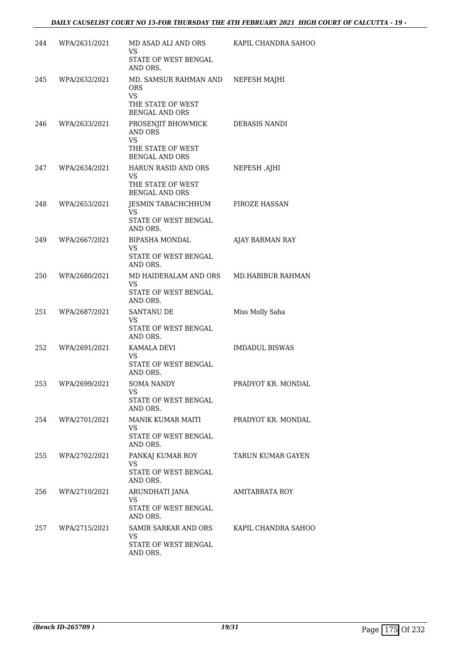| 244 | WPA/2631/2021     | MD ASAD ALI AND ORS<br>VS<br>STATE OF WEST BENGAL<br>AND ORS.                                   | KAPIL CHANDRA SAHOO      |
|-----|-------------------|-------------------------------------------------------------------------------------------------|--------------------------|
| 245 | WPA/2632/2021     | MD. SAMSUR RAHMAN AND<br><b>ORS</b><br><b>VS</b><br>THE STATE OF WEST<br><b>BENGAL AND ORS</b>  | NEPESH MAJHI             |
| 246 | WPA/2633/2021     | PROSENJIT BHOWMICK<br><b>AND ORS</b><br><b>VS</b><br>THE STATE OF WEST<br><b>BENGAL AND ORS</b> | <b>DEBASIS NANDI</b>     |
| 247 | WPA/2634/2021     | HARUN RASID AND ORS<br>VS<br>THE STATE OF WEST<br><b>BENGAL AND ORS</b>                         | NEPESH, AJHI             |
| 248 | WPA/2653/2021     | JESMIN TABACHCHHUM<br><b>VS</b><br>STATE OF WEST BENGAL<br>AND ORS.                             | <b>FIROZE HASSAN</b>     |
| 249 | WPA/2667/2021     | BIPASHA MONDAL<br>VS<br>STATE OF WEST BENGAL<br>AND ORS.                                        | AJAY BARMAN RAY          |
| 250 | WPA/2680/2021     | MD HAIDERALAM AND ORS<br>VS<br>STATE OF WEST BENGAL<br>AND ORS.                                 | MD.HABIBUR RAHMAN        |
| 251 | WPA/2687/2021     | <b>SANTANU DE</b><br>VS<br>STATE OF WEST BENGAL<br>AND ORS.                                     | Miss Molly Saha          |
| 252 | WPA/2691/2021     | KAMALA DEVI<br>VS.<br>STATE OF WEST BENGAL<br>AND ORS.                                          | <b>IMDADUL BISWAS</b>    |
| 253 | WPA/2699/2021     | <b>SOMA NANDY</b><br>VS<br>STATE OF WEST BENGAL<br>AND ORS.                                     | PRADYOT KR. MONDAL       |
|     | 254 WPA/2701/2021 | MANIK KUMAR MAITI<br>VS.<br>STATE OF WEST BENGAL<br>AND ORS.                                    | PRADYOT KR. MONDAL       |
| 255 | WPA/2702/2021     | PANKAJ KUMAR ROY<br><b>VS</b><br>STATE OF WEST BENGAL<br>AND ORS.                               | <b>TARUN KUMAR GAYEN</b> |
| 256 | WPA/2710/2021     | ARUNDHATI JANA<br>VS<br><b>STATE OF WEST BENGAL</b><br>AND ORS.                                 | AMITABRATA ROY           |
| 257 | WPA/2715/2021     | SAMIR SARKAR AND ORS<br><b>VS</b><br>STATE OF WEST BENGAL<br>AND ORS.                           | KAPIL CHANDRA SAHOO      |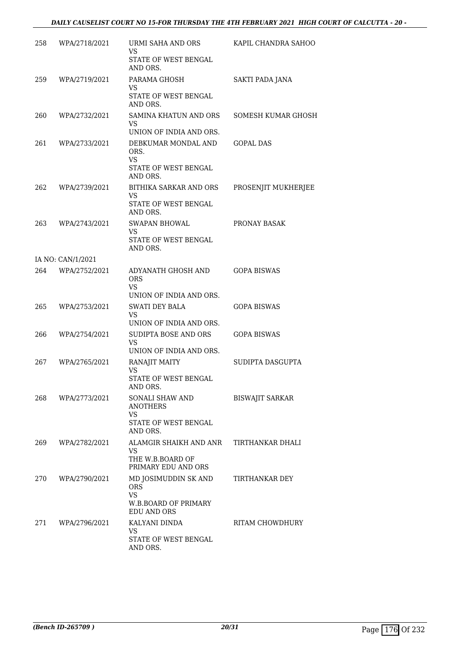| 258  | WPA/2718/2021     | URMI SAHA AND ORS<br>VS<br>STATE OF WEST BENGAL<br>AND ORS.                                   | KAPIL CHANDRA SAHOO    |
|------|-------------------|-----------------------------------------------------------------------------------------------|------------------------|
| 259  | WPA/2719/2021     | PARAMA GHOSH<br>VS<br>STATE OF WEST BENGAL<br>AND ORS.                                        | SAKTI PADA JANA        |
| 260  | WPA/2732/2021     | SAMINA KHATUN AND ORS<br>VS<br>UNION OF INDIA AND ORS.                                        | SOMESH KUMAR GHOSH     |
| 261  | WPA/2733/2021     | DEBKUMAR MONDAL AND<br>ORS.<br><b>VS</b><br>STATE OF WEST BENGAL<br>AND ORS.                  | GOPAL DAS              |
| 262  | WPA/2739/2021     | BITHIKA SARKAR AND ORS<br>VS<br>STATE OF WEST BENGAL<br>AND ORS.                              | PROSENJIT MUKHERJEE    |
| 263  | WPA/2743/2021     | <b>SWAPAN BHOWAL</b><br>VS<br><b>STATE OF WEST BENGAL</b><br>AND ORS.                         | PRONAY BASAK           |
|      | IA NO: CAN/1/2021 |                                                                                               |                        |
| 264  | WPA/2752/2021     | ADYANATH GHOSH AND<br><b>ORS</b><br>VS<br>UNION OF INDIA AND ORS.                             | <b>GOPA BISWAS</b>     |
| 265  | WPA/2753/2021     | <b>SWATI DEY BALA</b><br>VS<br>UNION OF INDIA AND ORS.                                        | <b>GOPA BISWAS</b>     |
| 266  | WPA/2754/2021     | SUDIPTA BOSE AND ORS<br>VS<br>UNION OF INDIA AND ORS.                                         | <b>GOPA BISWAS</b>     |
| 267  | WPA/2765/2021     | RANAJIT MAITY<br>VS<br>STATE OF WEST BENGAL<br>AND ORS.                                       | SUDIPTA DASGUPTA       |
| 268  | WPA/2773/2021     | <b>SONALI SHAW AND</b><br><b>ANOTHERS</b><br><b>VS</b><br>STATE OF WEST BENGAL<br>AND ORS.    | <b>BISWAJIT SARKAR</b> |
| 269. | WPA/2782/2021     | ALAMGIR SHAIKH AND ANR<br>VS.<br>THE W.B.BOARD OF<br>PRIMARY EDU AND ORS                      | TIRTHANKAR DHALI       |
| 270  | WPA/2790/2021     | MD JOSIMUDDIN SK AND<br><b>ORS</b><br><b>VS</b><br>W.B.BOARD OF PRIMARY<br><b>EDU AND ORS</b> | <b>TIRTHANKAR DEY</b>  |
| 271  | WPA/2796/2021     | KALYANI DINDA<br><b>VS</b><br>STATE OF WEST BENGAL<br>AND ORS.                                | RITAM CHOWDHURY        |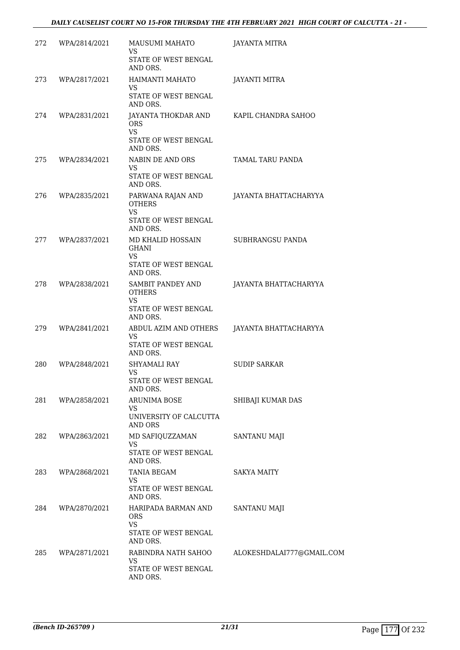| 272 | WPA/2814/2021 | MAUSUMI MAHATO<br>VS                                                                | <b>JAYANTA MITRA</b>      |
|-----|---------------|-------------------------------------------------------------------------------------|---------------------------|
|     |               | STATE OF WEST BENGAL<br>AND ORS.                                                    |                           |
| 273 | WPA/2817/2021 | HAIMANTI MAHATO<br>VS                                                               | <b>JAYANTI MITRA</b>      |
|     |               | STATE OF WEST BENGAL<br>AND ORS.                                                    |                           |
| 274 | WPA/2831/2021 | JAYANTA THOKDAR AND<br><b>ORS</b><br><b>VS</b><br>STATE OF WEST BENGAL<br>AND ORS.  | KAPIL CHANDRA SAHOO       |
| 275 | WPA/2834/2021 | NABIN DE AND ORS<br>VS.<br>STATE OF WEST BENGAL<br>AND ORS.                         | TAMAL TARU PANDA          |
| 276 | WPA/2835/2021 | PARWANA RAJAN AND<br><b>OTHERS</b><br><b>VS</b><br>STATE OF WEST BENGAL<br>AND ORS. | JAYANTA BHATTACHARYYA     |
| 277 | WPA/2837/2021 | MD KHALID HOSSAIN<br><b>GHANI</b><br><b>VS</b><br>STATE OF WEST BENGAL<br>AND ORS.  | SUBHRANGSU PANDA          |
| 278 | WPA/2838/2021 | SAMBIT PANDEY AND<br><b>OTHERS</b><br><b>VS</b><br>STATE OF WEST BENGAL<br>AND ORS. | JAYANTA BHATTACHARYYA     |
| 279 | WPA/2841/2021 | ABDUL AZIM AND OTHERS<br>VS<br>STATE OF WEST BENGAL<br>AND ORS.                     | JAYANTA BHATTACHARYYA     |
| 280 | WPA/2848/2021 | SHYAMALI RAY<br>VS.<br>STATE OF WEST BENGAL<br>AND ORS.                             | <b>SUDIP SARKAR</b>       |
| 281 | WPA/2858/2021 | ARUNIMA BOSE<br>VS.<br>UNIVERSITY OF CALCUTTA<br>AND ORS                            | SHIBAJI KUMAR DAS         |
| 282 | WPA/2863/2021 | MD SAFIQUZZAMAN<br><b>VS</b><br>STATE OF WEST BENGAL<br>AND ORS.                    | SANTANU MAJI              |
| 283 | WPA/2868/2021 | <b>TANIA BEGAM</b><br><b>VS</b><br>STATE OF WEST BENGAL<br>AND ORS.                 | <b>SAKYA MAITY</b>        |
| 284 | WPA/2870/2021 | HARIPADA BARMAN AND<br><b>ORS</b><br><b>VS</b><br>STATE OF WEST BENGAL              | SANTANU MAJI              |
|     |               | AND ORS.                                                                            |                           |
| 285 | WPA/2871/2021 | RABINDRA NATH SAHOO<br>VS<br>STATE OF WEST BENGAL<br>AND ORS.                       | ALOKESHDALAI777@GMAIL.COM |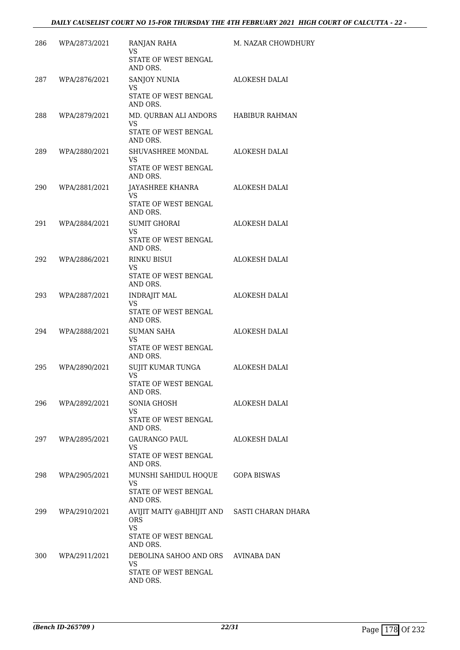| 286 | WPA/2873/2021 | RANJAN RAHA<br><b>VS</b><br>STATE OF WEST BENGAL<br>AND ORS.                              | M. NAZAR CHOWDHURY   |
|-----|---------------|-------------------------------------------------------------------------------------------|----------------------|
| 287 | WPA/2876/2021 | SANJOY NUNIA<br><b>VS</b><br><b>STATE OF WEST BENGAL</b><br>AND ORS.                      | <b>ALOKESH DALAI</b> |
| 288 | WPA/2879/2021 | MD. QURBAN ALI ANDORS<br>VS<br>STATE OF WEST BENGAL<br>AND ORS.                           | HABIBUR RAHMAN       |
| 289 | WPA/2880/2021 | SHUVASHREE MONDAL<br>VS<br>STATE OF WEST BENGAL<br>AND ORS.                               | <b>ALOKESH DALAI</b> |
| 290 | WPA/2881/2021 | JAYASHREE KHANRA<br>VS<br>STATE OF WEST BENGAL<br>AND ORS.                                | <b>ALOKESH DALAI</b> |
| 291 | WPA/2884/2021 | <b>SUMIT GHORAI</b><br>VS.<br>STATE OF WEST BENGAL<br>AND ORS.                            | ALOKESH DALAI        |
| 292 | WPA/2886/2021 | RINKU BISUI<br>VS<br>STATE OF WEST BENGAL<br>AND ORS.                                     | ALOKESH DALAI        |
| 293 | WPA/2887/2021 | <b>INDRAJIT MAL</b><br>VS<br>STATE OF WEST BENGAL<br>AND ORS.                             | ALOKESH DALAI        |
| 294 | WPA/2888/2021 | <b>SUMAN SAHA</b><br><b>VS</b><br>STATE OF WEST BENGAL<br>AND ORS.                        | ALOKESH DALAI        |
| 295 | WPA/2890/2021 | SUJIT KUMAR TUNGA<br><b>VS</b><br>STATE OF WEST BENGAL<br>AND ORS.                        | ALOKESH DALAI        |
| 296 | WPA/2892/2021 | SONIA GHOSH<br>VS.<br>STATE OF WEST BENGAL<br>AND ORS.                                    | ALOKESH DALAI        |
| 297 | WPA/2895/2021 | <b>GAURANGO PAUL</b><br>VS<br>STATE OF WEST BENGAL<br>AND ORS.                            | ALOKESH DALAI        |
| 298 | WPA/2905/2021 | MUNSHI SAHIDUL HOQUE<br>VS<br>STATE OF WEST BENGAL<br>AND ORS.                            | <b>GOPA BISWAS</b>   |
| 299 | WPA/2910/2021 | AVIJIT MAITY @ABHIJIT AND SASTI CHARAN DHARA<br><b>ORS</b><br>VS.<br>STATE OF WEST BENGAL |                      |
| 300 | WPA/2911/2021 | AND ORS.<br>DEBOLINA SAHOO AND ORS AVINABA DAN<br>VS<br>STATE OF WEST BENGAL<br>AND ORS.  |                      |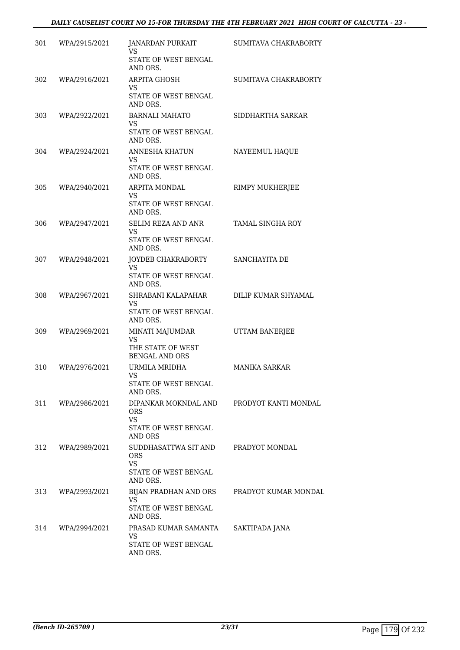| 301 | WPA/2915/2021 | JANARDAN PURKAIT<br>VS<br><b>STATE OF WEST BENGAL</b>                              | SUMITAVA CHAKRABORTY |
|-----|---------------|------------------------------------------------------------------------------------|----------------------|
| 302 | WPA/2916/2021 | AND ORS.<br>ARPITA GHOSH<br>VS.<br>STATE OF WEST BENGAL                            | SUMITAVA CHAKRABORTY |
| 303 | WPA/2922/2021 | AND ORS.<br><b>BARNALI MAHATO</b>                                                  | SIDDHARTHA SARKAR    |
|     |               | VS.<br>STATE OF WEST BENGAL<br>AND ORS.                                            |                      |
| 304 | WPA/2924/2021 | ANNESHA KHATUN<br>VS.<br>STATE OF WEST BENGAL<br>AND ORS.                          | NAYEEMUL HAQUE       |
| 305 | WPA/2940/2021 | ARPITA MONDAL<br>VS.<br>STATE OF WEST BENGAL<br>AND ORS.                           | RIMPY MUKHERJEE      |
| 306 | WPA/2947/2021 | SELIM REZA AND ANR<br>VS.<br>STATE OF WEST BENGAL<br>AND ORS.                      | TAMAL SINGHA ROY     |
| 307 | WPA/2948/2021 | JOYDEB CHAKRABORTY<br><b>VS</b><br>STATE OF WEST BENGAL<br>AND ORS.                | SANCHAYITA DE        |
| 308 | WPA/2967/2021 | SHRABANI KALAPAHAR<br>VS.<br>STATE OF WEST BENGAL<br>AND ORS.                      | DILIP KUMAR SHYAMAL  |
| 309 | WPA/2969/2021 | MINATI MAJUMDAR<br>VS.<br>THE STATE OF WEST<br><b>BENGAL AND ORS</b>               | UTTAM BANERJEE       |
| 310 | WPA/2976/2021 | URMILA MRIDHA<br>VS<br>STATE OF WEST BENGAL<br>AND ORS.                            | <b>MANIKA SARKAR</b> |
| 311 | WPA/2986/2021 | DIPANKAR MOKNDAL AND<br><b>ORS</b><br><b>VS</b><br>STATE OF WEST BENGAL<br>AND ORS | PRODYOT KANTI MONDAL |
| 312 | WPA/2989/2021 | SUDDHASATTWA SIT AND<br><b>ORS</b><br>VS<br>STATE OF WEST BENGAL<br>AND ORS.       | PRADYOT MONDAL       |
| 313 | WPA/2993/2021 | BIJAN PRADHAN AND ORS<br><b>VS</b><br>STATE OF WEST BENGAL<br>AND ORS.             | PRADYOT KUMAR MONDAL |
| 314 | WPA/2994/2021 | PRASAD KUMAR SAMANTA<br><b>VS</b><br>STATE OF WEST BENGAL<br>AND ORS.              | SAKTIPADA JANA       |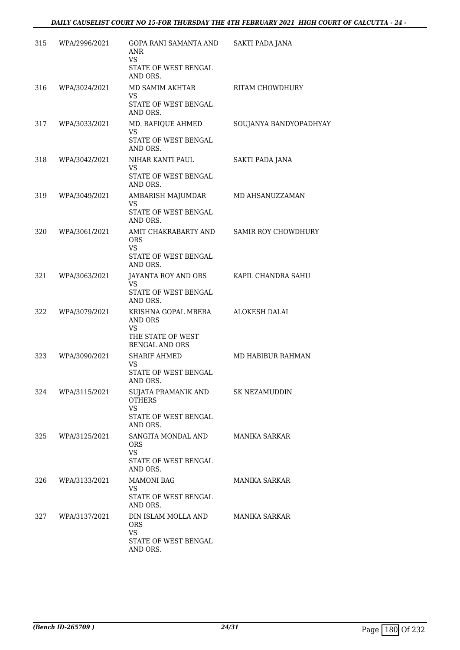| 315 | WPA/2996/2021 | GOPA RANI SAMANTA AND<br><b>ANR</b><br>VS.                                            | SAKTI PADA JANA        |
|-----|---------------|---------------------------------------------------------------------------------------|------------------------|
|     |               | STATE OF WEST BENGAL<br>AND ORS.                                                      |                        |
| 316 | WPA/3024/2021 | MD SAMIM AKHTAR<br>VS                                                                 | RITAM CHOWDHURY        |
|     |               | STATE OF WEST BENGAL<br>AND ORS.                                                      |                        |
| 317 | WPA/3033/2021 | MD. RAFIQUE AHMED<br><b>VS</b>                                                        | SOUJANYA BANDYOPADHYAY |
|     |               | STATE OF WEST BENGAL<br>AND ORS.                                                      |                        |
| 318 | WPA/3042/2021 | NIHAR KANTI PAUL<br><b>VS</b>                                                         | SAKTI PADA JANA        |
|     |               | STATE OF WEST BENGAL<br>AND ORS.                                                      |                        |
| 319 | WPA/3049/2021 | AMBARISH MAJUMDAR<br><b>VS</b><br>STATE OF WEST BENGAL<br>AND ORS.                    | MD AHSANUZZAMAN        |
| 320 | WPA/3061/2021 | AMIT CHAKRABARTY AND<br><b>ORS</b><br><b>VS</b><br>STATE OF WEST BENGAL<br>AND ORS.   | SAMIR ROY CHOWDHURY    |
| 321 | WPA/3063/2021 | JAYANTA ROY AND ORS                                                                   | KAPIL CHANDRA SAHU     |
|     |               | VS<br>STATE OF WEST BENGAL<br>AND ORS.                                                |                        |
| 322 | WPA/3079/2021 | KRISHNA GOPAL MBERA<br>AND ORS<br>VS                                                  | ALOKESH DALAI          |
|     |               | THE STATE OF WEST<br><b>BENGAL AND ORS</b>                                            |                        |
| 323 | WPA/3090/2021 | <b>SHARIF AHMED</b><br>VS<br>STATE OF WEST BENGAL<br>AND ORS.                         | MD HABIBUR RAHMAN      |
| 324 | WPA/3115/2021 | SUJATA PRAMANIK AND<br><b>OTHERS</b><br><b>VS</b><br>STATE OF WEST BENGAL<br>AND ORS. | SK NEZAMUDDIN          |
| 325 | WPA/3125/2021 | SANGITA MONDAL AND<br><b>ORS</b><br><b>VS</b><br>STATE OF WEST BENGAL<br>AND ORS.     | MANIKA SARKAR          |
| 326 | WPA/3133/2021 | <b>MAMONI BAG</b><br><b>VS</b><br>STATE OF WEST BENGAL                                | <b>MANIKA SARKAR</b>   |
|     |               | AND ORS.                                                                              |                        |
| 327 | WPA/3137/2021 | DIN ISLAM MOLLA AND<br><b>ORS</b><br>VS.                                              | MANIKA SARKAR          |
|     |               | STATE OF WEST BENGAL<br>AND ORS.                                                      |                        |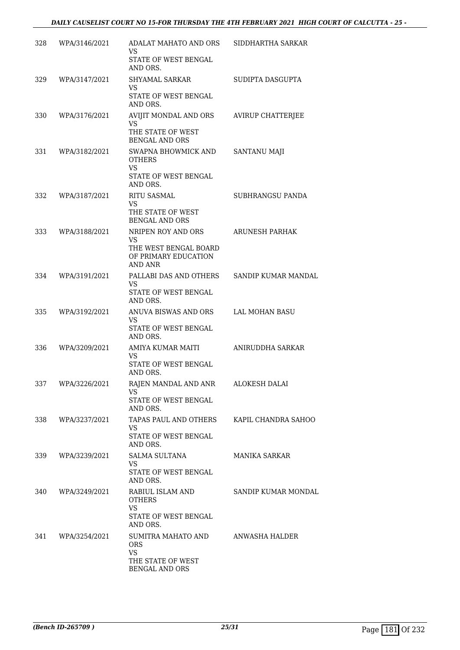| 328 | WPA/3146/2021 | ADALAT MAHATO AND ORS<br>VS                                                                  | SIDDHARTHA SARKAR        |
|-----|---------------|----------------------------------------------------------------------------------------------|--------------------------|
|     |               | STATE OF WEST BENGAL<br>AND ORS.                                                             |                          |
| 329 | WPA/3147/2021 | SHYAMAL SARKAR<br><b>VS</b><br>STATE OF WEST BENGAL<br>AND ORS.                              | SUDIPTA DASGUPTA         |
| 330 | WPA/3176/2021 | AVIJIT MONDAL AND ORS<br>VS<br>THE STATE OF WEST<br><b>BENGAL AND ORS</b>                    | <b>AVIRUP CHATTERJEE</b> |
| 331 | WPA/3182/2021 | SWAPNA BHOWMICK AND<br><b>OTHERS</b><br><b>VS</b><br>STATE OF WEST BENGAL<br>AND ORS.        | <b>SANTANU MAJI</b>      |
| 332 | WPA/3187/2021 | RITU SASMAL<br><b>VS</b><br>THE STATE OF WEST<br><b>BENGAL AND ORS</b>                       | SUBHRANGSU PANDA         |
| 333 | WPA/3188/2021 | NRIPEN ROY AND ORS<br>VS.<br>THE WEST BENGAL BOARD<br>OF PRIMARY EDUCATION<br><b>AND ANR</b> | <b>ARUNESH PARHAK</b>    |
| 334 | WPA/3191/2021 | PALLABI DAS AND OTHERS<br>VS.<br>STATE OF WEST BENGAL<br>AND ORS.                            | SANDIP KUMAR MANDAL      |
| 335 | WPA/3192/2021 | ANUVA BISWAS AND ORS<br>VS<br>STATE OF WEST BENGAL<br>AND ORS.                               | LAL MOHAN BASU           |
| 336 | WPA/3209/2021 | AMIYA KUMAR MAITI<br>VS<br>STATE OF WEST BENGAL<br>AND ORS.                                  | ANIRUDDHA SARKAR         |
| 337 | WPA/3226/2021 | RAJEN MANDAL AND ANR<br>VS.<br>STATE OF WEST BENGAL<br>AND ORS.                              | ALOKESH DALAI            |
| 338 | WPA/3237/2021 | TAPAS PAUL AND OTHERS<br>VS.<br>STATE OF WEST BENGAL<br>AND ORS.                             | KAPIL CHANDRA SAHOO      |
| 339 | WPA/3239/2021 | SALMA SULTANA<br>VS.<br>STATE OF WEST BENGAL<br>AND ORS.                                     | MANIKA SARKAR            |
| 340 | WPA/3249/2021 | RABIUL ISLAM AND<br><b>OTHERS</b><br><b>VS</b><br>STATE OF WEST BENGAL<br>AND ORS.           | SANDIP KUMAR MONDAL      |
| 341 | WPA/3254/2021 | SUMITRA MAHATO AND<br><b>ORS</b><br>VS<br>THE STATE OF WEST<br>BENGAL AND ORS                | ANWASHA HALDER           |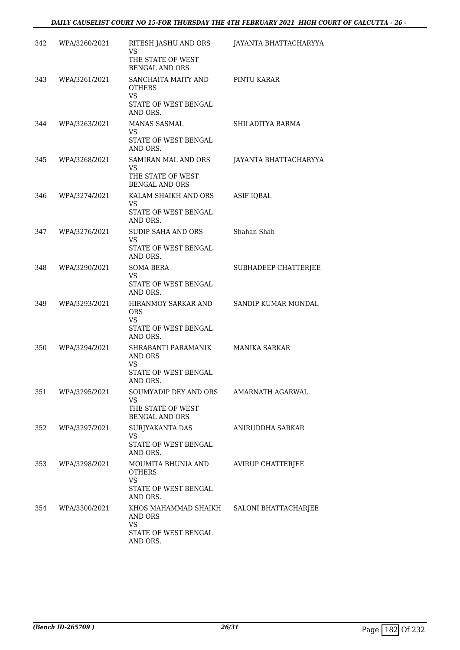| 342 | WPA/3260/2021 | RITESH JASHU AND ORS<br><b>VS</b><br>THE STATE OF WEST<br><b>BENGAL AND ORS</b>       | JAYANTA BHATTACHARYYA    |
|-----|---------------|---------------------------------------------------------------------------------------|--------------------------|
| 343 | WPA/3261/2021 | SANCHAITA MAITY AND<br><b>OTHERS</b><br><b>VS</b><br>STATE OF WEST BENGAL<br>AND ORS. | PINTU KARAR              |
| 344 | WPA/3263/2021 | MANAS SASMAL<br>VS<br>STATE OF WEST BENGAL<br>AND ORS.                                | SHILADITYA BARMA         |
| 345 | WPA/3268/2021 | SAMIRAN MAL AND ORS<br>VS<br>THE STATE OF WEST<br><b>BENGAL AND ORS</b>               | JAYANTA BHATTACHARYYA    |
| 346 | WPA/3274/2021 | KALAM SHAIKH AND ORS<br>VS.<br>STATE OF WEST BENGAL<br>AND ORS.                       | <b>ASIF IQBAL</b>        |
| 347 | WPA/3276/2021 | SUDIP SAHA AND ORS<br><b>VS</b><br>STATE OF WEST BENGAL<br>AND ORS.                   | Shahan Shah              |
| 348 | WPA/3290/2021 | <b>SOMA BERA</b><br>VS<br>STATE OF WEST BENGAL<br>AND ORS.                            | SUBHADEEP CHATTERJEE     |
| 349 | WPA/3293/2021 | HIRANMOY SARKAR AND<br><b>ORS</b><br>VS<br>STATE OF WEST BENGAL<br>AND ORS.           | SANDIP KUMAR MONDAL      |
| 350 | WPA/3294/2021 | SHRABANTI PARAMANIK<br>AND ORS<br>VS<br>STATE OF WEST BENGAL<br>AND ORS.              | <b>MANIKA SARKAR</b>     |
| 351 | WPA/3295/2021 | SOUMYADIP DEY AND ORS<br>VS<br>THE STATE OF WEST<br><b>BENGAL AND ORS</b>             | AMARNATH AGARWAL         |
| 352 | WPA/3297/2021 | SURJYAKANTA DAS<br><b>VS</b><br>STATE OF WEST BENGAL<br>AND ORS.                      | ANIRUDDHA SARKAR         |
| 353 | WPA/3298/2021 | MOUMITA BHUNIA AND<br><b>OTHERS</b><br>VS.<br>STATE OF WEST BENGAL<br>AND ORS.        | <b>AVIRUP CHATTERJEE</b> |
| 354 | WPA/3300/2021 | KHOS MAHAMMAD SHAIKH<br>AND ORS<br><b>VS</b><br>STATE OF WEST BENGAL<br>AND ORS.      | SALONI BHATTACHARJEE     |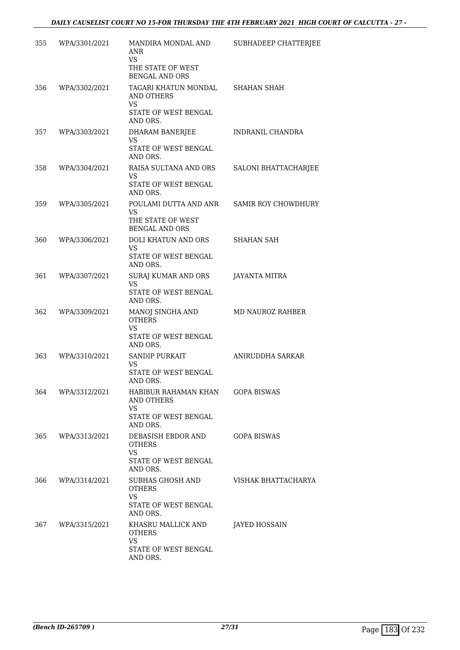| 355  | WPA/3301/2021 | MANDIRA MONDAL AND<br>ANR<br><b>VS</b><br>THE STATE OF WEST<br><b>BENGAL AND ORS</b>             | SUBHADEEP CHATTERJEE |
|------|---------------|--------------------------------------------------------------------------------------------------|----------------------|
| 356  | WPA/3302/2021 | TAGARI KHATUN MONDAL<br><b>AND OTHERS</b><br><b>VS</b><br>STATE OF WEST BENGAL<br>AND ORS.       | <b>SHAHAN SHAH</b>   |
| 357  | WPA/3303/2021 | DHARAM BANERJEE<br><b>VS</b><br>STATE OF WEST BENGAL<br>AND ORS.                                 | INDRANIL CHANDRA     |
| 358  | WPA/3304/2021 | RAISA SULTANA AND ORS<br><b>VS</b><br>STATE OF WEST BENGAL<br>AND ORS.                           | SALONI BHATTACHARJEE |
| 359  | WPA/3305/2021 | POULAMI DUTTA AND ANR<br>VS.<br>THE STATE OF WEST<br><b>BENGAL AND ORS</b>                       | SAMIR ROY CHOWDHURY  |
| 360  | WPA/3306/2021 | DOLI KHATUN AND ORS<br>VS<br>STATE OF WEST BENGAL<br>AND ORS.                                    | <b>SHAHAN SAH</b>    |
| 361  | WPA/3307/2021 | SURAJ KUMAR AND ORS<br>VS<br>STATE OF WEST BENGAL<br>AND ORS.                                    | JAYANTA MITRA        |
| 362  | WPA/3309/2021 | MANOJ SINGHA AND<br><b>OTHERS</b><br><b>VS</b><br>STATE OF WEST BENGAL<br>AND ORS.               | MD NAUROZ RAHBER     |
| 363  | WPA/3310/2021 | <b>SANDIP PURKAIT</b><br>VS.<br>STATE OF WEST BENGAL<br>AND ORS.                                 | ANIRUDDHA SARKAR     |
| 364  | WPA/3312/2021 | HABIBUR RAHAMAN KHAN<br><b>AND OTHERS</b><br><b>VS</b><br><b>STATE OF WEST BENGAL</b>            | <b>GOPA BISWAS</b>   |
| 365. | WPA/3313/2021 | AND ORS.<br>DEBASISH EBDOR AND<br><b>OTHERS</b><br><b>VS</b><br>STATE OF WEST BENGAL             | <b>GOPA BISWAS</b>   |
| 366  | WPA/3314/2021 | AND ORS.<br>SUBHAS GHOSH AND<br><b>OTHERS</b><br><b>VS</b><br>STATE OF WEST BENGAL               | VISHAK BHATTACHARYA  |
| 367  | WPA/3315/2021 | AND ORS.<br>KHASRU MALLICK AND<br><b>OTHERS</b><br><b>VS</b><br>STATE OF WEST BENGAL<br>AND ORS. | JAYED HOSSAIN        |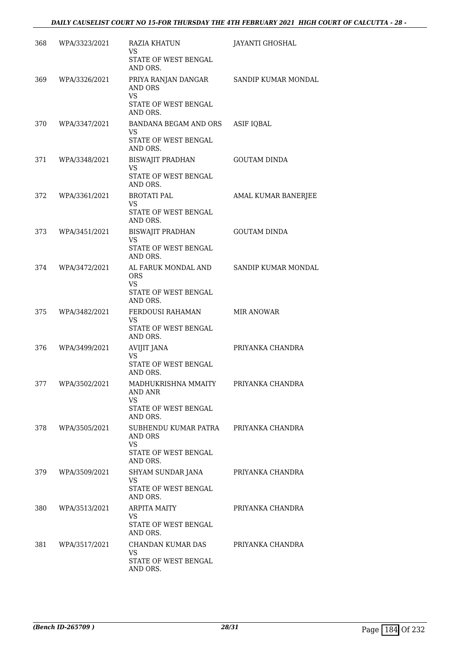| 368 | WPA/3323/2021 | RAZIA KHATUN<br>VS<br>STATE OF WEST BENGAL<br>AND ORS.                           | JAYANTI GHOSHAL     |
|-----|---------------|----------------------------------------------------------------------------------|---------------------|
| 369 | WPA/3326/2021 | PRIYA RANJAN DANGAR<br>AND ORS<br><b>VS</b><br>STATE OF WEST BENGAL<br>AND ORS.  | SANDIP KUMAR MONDAL |
| 370 | WPA/3347/2021 | BANDANA BEGAM AND ORS<br>VS.<br>STATE OF WEST BENGAL<br>AND ORS.                 | <b>ASIF IQBAL</b>   |
| 371 | WPA/3348/2021 | <b>BISWAJIT PRADHAN</b><br><b>VS</b><br>STATE OF WEST BENGAL<br>AND ORS.         | <b>GOUTAM DINDA</b> |
| 372 | WPA/3361/2021 | <b>BROTATI PAL</b><br><b>VS</b><br>STATE OF WEST BENGAL<br>AND ORS.              | AMAL KUMAR BANERJEE |
| 373 | WPA/3451/2021 | BISWAJIT PRADHAN<br>VS.<br>STATE OF WEST BENGAL<br>AND ORS.                      | <b>GOUTAM DINDA</b> |
| 374 | WPA/3472/2021 | AL FARUK MONDAL AND<br><b>ORS</b><br>VS<br>STATE OF WEST BENGAL<br>AND ORS.      | SANDIP KUMAR MONDAL |
| 375 | WPA/3482/2021 | FERDOUSI RAHAMAN<br>VS<br>STATE OF WEST BENGAL<br>AND ORS.                       | <b>MIR ANOWAR</b>   |
| 376 | WPA/3499/2021 | <b>AVIJIT JANA</b><br>VS<br>STATE OF WEST BENGAL<br>AND ORS.                     | PRIYANKA CHANDRA    |
| 377 | WPA/3502/2021 | MADHUKRISHNA MMAITY<br>AND ANR<br><b>VS</b><br>STATE OF WEST BENGAL<br>AND ORS.  | PRIYANKA CHANDRA    |
| 378 | WPA/3505/2021 | SUBHENDU KUMAR PATRA<br>AND ORS<br><b>VS</b><br>STATE OF WEST BENGAL<br>AND ORS. | PRIYANKA CHANDRA    |
| 379 | WPA/3509/2021 | SHYAM SUNDAR JANA<br>VS<br>STATE OF WEST BENGAL<br>AND ORS.                      | PRIYANKA CHANDRA    |
| 380 | WPA/3513/2021 | ARPITA MAITY<br>VS.<br>STATE OF WEST BENGAL<br>AND ORS.                          | PRIYANKA CHANDRA    |
| 381 | WPA/3517/2021 | CHANDAN KUMAR DAS<br>VS.<br>STATE OF WEST BENGAL<br>AND ORS.                     | PRIYANKA CHANDRA    |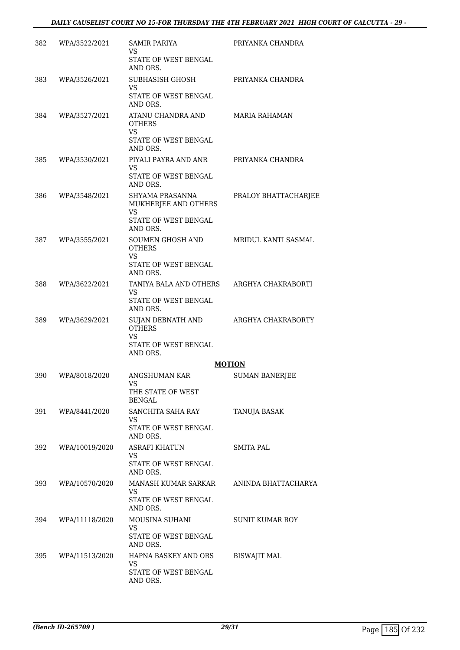| 382 | WPA/3522/2021  | SAMIR PARIYA<br>VS<br><b>STATE OF WEST BENGAL</b>                                                                                                                                                                                                                                     | PRIYANKA CHANDRA       |
|-----|----------------|---------------------------------------------------------------------------------------------------------------------------------------------------------------------------------------------------------------------------------------------------------------------------------------|------------------------|
|     |                | AND ORS.                                                                                                                                                                                                                                                                              |                        |
| 383 | WPA/3526/2021  | SUBHASISH GHOSH<br>VS<br>STATE OF WEST BENGAL<br>AND ORS.                                                                                                                                                                                                                             | PRIYANKA CHANDRA       |
| 384 | WPA/3527/2021  | ATANU CHANDRA AND<br><b>OTHERS</b><br>VS<br>STATE OF WEST BENGAL<br>AND ORS.                                                                                                                                                                                                          | <b>MARIA RAHAMAN</b>   |
| 385 | WPA/3530/2021  | PIYALI PAYRA AND ANR<br><b>VS</b><br>STATE OF WEST BENGAL<br>AND ORS.                                                                                                                                                                                                                 | PRIYANKA CHANDRA       |
| 386 | WPA/3548/2021  | SHYAMA PRASANNA<br>MUKHERJEE AND OTHERS<br><b>VS</b><br>STATE OF WEST BENGAL<br>AND ORS.                                                                                                                                                                                              | PRALOY BHATTACHARJEE   |
| 387 | WPA/3555/2021  | SOUMEN GHOSH AND<br><b>OTHERS</b><br><b>VS</b><br>STATE OF WEST BENGAL<br>AND ORS.                                                                                                                                                                                                    | MRIDUL KANTI SASMAL    |
| 388 | WPA/3622/2021  | TANIYA BALA AND OTHERS<br>VS<br>STATE OF WEST BENGAL<br>AND ORS.                                                                                                                                                                                                                      | ARGHYA CHAKRABORTI     |
| 389 | WPA/3629/2021  | <b>SUJAN DEBNATH AND</b><br><b>OTHERS</b><br><b>VS</b><br>STATE OF WEST BENGAL<br>AND ORS.                                                                                                                                                                                            | ARGHYA CHAKRABORTY     |
|     |                |                                                                                                                                                                                                                                                                                       | <b>MOTION</b>          |
| 390 | WPA/8018/2020  | ANGSHUMAN KAR<br>VS and the set of the set of the set of the set of the set of the set of the set of the set of the set of the set of the set of the set of the set of the set of the set of the set of the set of the set of the set of the se<br>THE STATE OF WEST<br><b>BENGAL</b> | <b>SUMAN BANERJEE</b>  |
| 391 | WPA/8441/2020  | SANCHITA SAHA RAY<br>VS.<br>STATE OF WEST BENGAL<br>AND ORS.                                                                                                                                                                                                                          | TANUJA BASAK           |
| 392 | WPA/10019/2020 | ASRAFI KHATUN<br>VS.<br>STATE OF WEST BENGAL<br>AND ORS.                                                                                                                                                                                                                              | <b>SMITA PAL</b>       |
| 393 | WPA/10570/2020 | MANASH KUMAR SARKAR<br>VS.<br>STATE OF WEST BENGAL                                                                                                                                                                                                                                    | ANINDA BHATTACHARYA    |
| 394 | WPA/11118/2020 | AND ORS.<br>MOUSINA SUHANI<br><b>VS</b>                                                                                                                                                                                                                                               | <b>SUNIT KUMAR ROY</b> |
|     |                | STATE OF WEST BENGAL<br>AND ORS.                                                                                                                                                                                                                                                      |                        |
| 395 | WPA/11513/2020 | HAPNA BASKEY AND ORS<br><b>VS</b><br>STATE OF WEST BENGAL<br>AND ORS.                                                                                                                                                                                                                 | <b>BISWAJIT MAL</b>    |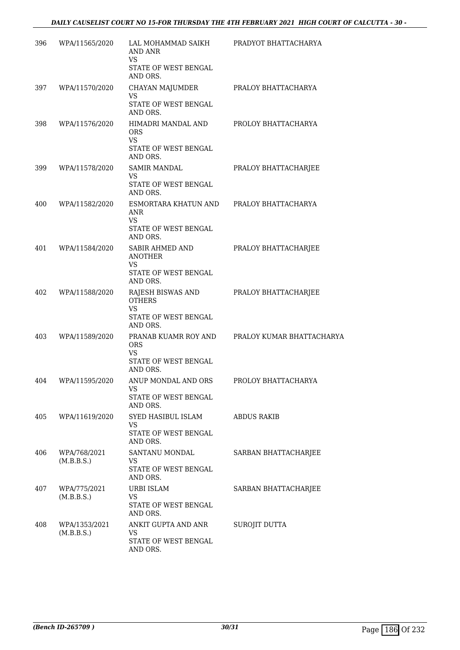| 396 | WPA/11565/2020              | LAL MOHAMMAD SAIKH<br><b>AND ANR</b><br><b>VS</b>                                 | PRADYOT BHATTACHARYA      |
|-----|-----------------------------|-----------------------------------------------------------------------------------|---------------------------|
|     |                             | STATE OF WEST BENGAL<br>AND ORS.                                                  |                           |
| 397 | WPA/11570/2020              | CHAYAN MAJUMDER<br><b>VS</b>                                                      | PRALOY BHATTACHARYA       |
|     |                             | STATE OF WEST BENGAL<br>AND ORS.                                                  |                           |
| 398 | WPA/11576/2020              | HIMADRI MANDAL AND<br><b>ORS</b><br><b>VS</b><br>STATE OF WEST BENGAL<br>AND ORS. | PROLOY BHATTACHARYA       |
| 399 | WPA/11578/2020              | <b>SAMIR MANDAL</b>                                                               | PRALOY BHATTACHARJEE      |
|     |                             | <b>VS</b><br>STATE OF WEST BENGAL<br>AND ORS.                                     |                           |
| 400 | WPA/11582/2020              | ESMORTARA KHATUN AND<br>ANR<br>VS                                                 | PRALOY BHATTACHARYA       |
|     |                             | STATE OF WEST BENGAL<br>AND ORS.                                                  |                           |
| 401 | WPA/11584/2020              | SABIR AHMED AND<br><b>ANOTHER</b><br><b>VS</b>                                    | PRALOY BHATTACHARJEE      |
|     |                             | STATE OF WEST BENGAL<br>AND ORS.                                                  |                           |
| 402 | WPA/11588/2020              | RAJESH BISWAS AND<br><b>OTHERS</b><br><b>VS</b><br>STATE OF WEST BENGAL           | PRALOY BHATTACHARJEE      |
|     |                             | AND ORS.                                                                          |                           |
| 403 | WPA/11589/2020              | PRANAB KUAMR ROY AND<br><b>ORS</b><br>VS<br>STATE OF WEST BENGAL<br>AND ORS.      | PRALOY KUMAR BHATTACHARYA |
| 404 | WPA/11595/2020              | ANUP MONDAL AND ORS<br>VS<br>STATE OF WEST BENGAL<br>AND ORS.                     | PROLOY BHATTACHARYA       |
| 405 | WPA/11619/2020              | SYED HASIBUL ISLAM                                                                | ABDUS RAKIB               |
|     |                             | VS<br>STATE OF WEST BENGAL<br>AND ORS.                                            |                           |
| 406 | WPA/768/2021<br>(M.B.B.S.)  | SANTANU MONDAL<br>VS<br>STATE OF WEST BENGAL<br>AND ORS.                          | SARBAN BHATTACHARJEE      |
| 407 | WPA/775/2021<br>(M.B.B.S.)  | URBI ISLAM<br>VS<br>STATE OF WEST BENGAL<br>AND ORS.                              | SARBAN BHATTACHARJEE      |
| 408 | WPA/1353/2021<br>(M.B.B.S.) | ANKIT GUPTA AND ANR<br>VS<br>STATE OF WEST BENGAL<br>AND ORS.                     | SUROJIT DUTTA             |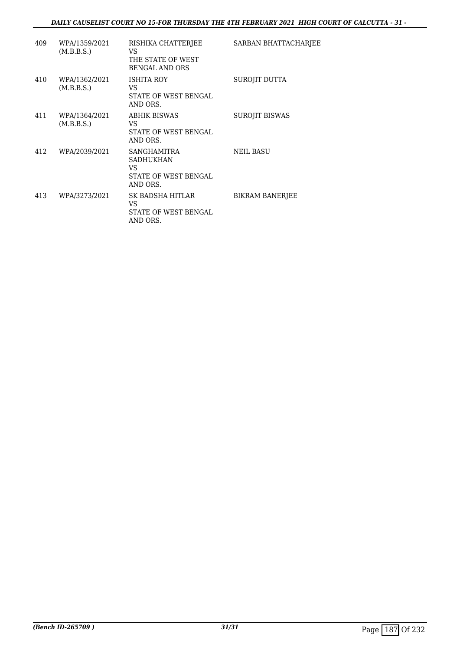### *DAILY CAUSELIST COURT NO 15-FOR THURSDAY THE 4TH FEBRUARY 2021 HIGH COURT OF CALCUTTA - 31 -*

| 409 | WPA/1359/2021<br>(M.B.B.S.) | RISHIKA CHATTERJEE<br>VS.<br>THE STATE OF WEST<br><b>BENGAL AND ORS</b>           | SARBAN BHATTACHARJEE   |
|-----|-----------------------------|-----------------------------------------------------------------------------------|------------------------|
| 410 | WPA/1362/2021<br>(M.B.B.S.) | ISHITA ROY<br>VS.<br>STATE OF WEST BENGAL<br>AND ORS.                             | SUROJIT DUTTA          |
| 411 | WPA/1364/2021<br>(M.B.B.S.) | <b>ABHIK BISWAS</b><br>VS.<br><b>STATE OF WEST BENGAL</b><br>AND ORS.             | <b>SUROJIT BISWAS</b>  |
| 412 | WPA/2039/2021               | SANGHAMITRA<br><b>SADHUKHAN</b><br>VS.<br><b>STATE OF WEST BENGAL</b><br>AND ORS. | <b>NEIL BASU</b>       |
| 413 | WPA/3273/2021               | SK BADSHA HITLAR<br>VS.<br>STATE OF WEST BENGAL<br>AND ORS.                       | <b>BIKRAM BANERJEE</b> |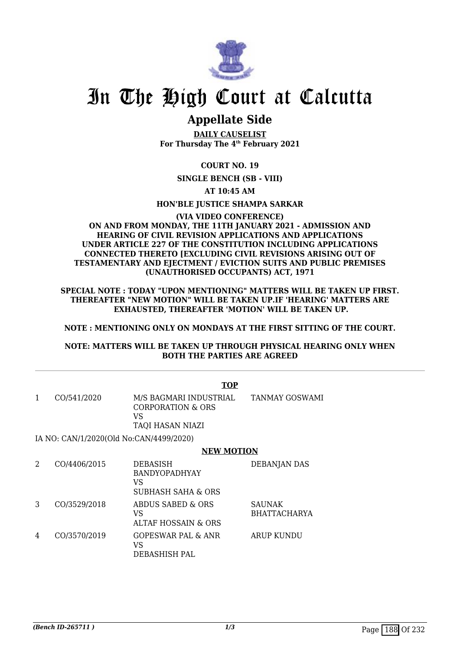

## **Appellate Side**

**DAILY CAUSELIST For Thursday The 4th February 2021**

**COURT NO. 19**

**SINGLE BENCH (SB - VIII)**

**AT 10:45 AM**

**HON'BLE JUSTICE SHAMPA SARKAR**

### **(VIA VIDEO CONFERENCE) ON AND FROM MONDAY, THE 11TH JANUARY 2021 - ADMISSION AND HEARING OF CIVIL REVISION APPLICATIONS AND APPLICATIONS UNDER ARTICLE 227 OF THE CONSTITUTION INCLUDING APPLICATIONS CONNECTED THERETO [EXCLUDING CIVIL REVISIONS ARISING OUT OF TESTAMENTARY AND EJECTMENT / EVICTION SUITS AND PUBLIC PREMISES (UNAUTHORISED OCCUPANTS) ACT, 1971**

**SPECIAL NOTE : TODAY "UPON MENTIONING" MATTERS WILL BE TAKEN UP FIRST. THEREAFTER "NEW MOTION" WILL BE TAKEN UP.IF 'HEARING' MATTERS ARE EXHAUSTED, THEREAFTER 'MOTION' WILL BE TAKEN UP.**

**NOTE : MENTIONING ONLY ON MONDAYS AT THE FIRST SITTING OF THE COURT.**

### **NOTE: MATTERS WILL BE TAKEN UP THROUGH PHYSICAL HEARING ONLY WHEN BOTH THE PARTIES ARE AGREED**

|   |              | <b>TOP</b>                                                                       |                                      |
|---|--------------|----------------------------------------------------------------------------------|--------------------------------------|
| 1 | CO/541/2020  | M/S BAGMARI INDUSTRIAL<br><b>CORPORATION &amp; ORS</b><br>VS<br>TAQI HASAN NIAZI | <b>TANMAY GOSWAMI</b>                |
|   |              | IA NO: CAN/1/2020(Old No:CAN/4499/2020)                                          |                                      |
|   |              | <b>NEW MOTION</b>                                                                |                                      |
| 2 | CO/4406/2015 | DEBASISH<br><b>BANDYOPADHYAY</b><br>VS<br>SUBHASH SAHA & ORS                     | <b>DEBANJAN DAS</b>                  |
| 3 | CO/3529/2018 | ABDUS SABED & ORS<br>VS<br><b>ALTAF HOSSAIN &amp; ORS</b>                        | <b>SAUNAK</b><br><b>BHATTACHARYA</b> |
| 4 | CO/3570/2019 | GOPESWAR PAL & ANR<br>VS                                                         | <b>ARUP KUNDU</b>                    |

DEBASHISH PAL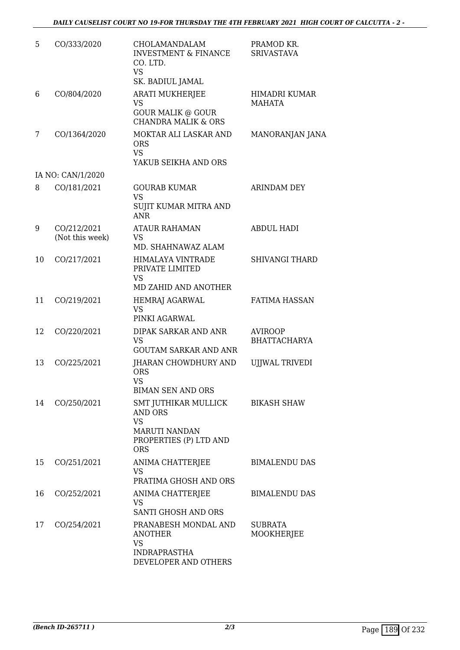| 5  | CO/333/2020                    | CHOLAMANDALAM<br><b>INVESTMENT &amp; FINANCE</b><br>CO. LTD.<br><b>VS</b><br>SK. BADIUL JAMAL                | PRAMOD KR.<br><b>SRIVASTAVA</b>       |
|----|--------------------------------|--------------------------------------------------------------------------------------------------------------|---------------------------------------|
| 6  | CO/804/2020                    | <b>ARATI MUKHERJEE</b><br><b>VS</b><br><b>GOUR MALIK @ GOUR</b><br><b>CHANDRA MALIK &amp; ORS</b>            | HIMADRI KUMAR<br><b>MAHATA</b>        |
| 7  | CO/1364/2020                   | MOKTAR ALI LASKAR AND<br><b>ORS</b><br><b>VS</b><br>YAKUB SEIKHA AND ORS                                     | MANORANJAN JANA                       |
|    | IA NO: CAN/1/2020              |                                                                                                              |                                       |
| 8  | CO/181/2021                    | <b>GOURAB KUMAR</b><br><b>VS</b><br>SUJIT KUMAR MITRA AND<br><b>ANR</b>                                      | <b>ARINDAM DEY</b>                    |
| 9  | CO/212/2021<br>(Not this week) | <b>ATAUR RAHAMAN</b><br><b>VS</b><br>MD. SHAHNAWAZ ALAM                                                      | <b>ABDUL HADI</b>                     |
| 10 | CO/217/2021                    | HIMALAYA VINTRADE<br>PRIVATE LIMITED<br>VS<br>MD ZAHID AND ANOTHER                                           | <b>SHIVANGI THARD</b>                 |
| 11 | CO/219/2021                    | <b>HEMRAJ AGARWAL</b><br><b>VS</b><br>PINKI AGARWAL                                                          | <b>FATIMA HASSAN</b>                  |
| 12 | CO/220/2021                    | DIPAK SARKAR AND ANR<br><b>VS</b><br><b>GOUTAM SARKAR AND ANR</b>                                            | <b>AVIROOP</b><br><b>BHATTACHARYA</b> |
| 13 | CO/225/2021                    | JHARAN CHOWDHURY AND<br><b>ORS</b><br><b>VS</b><br><b>BIMAN SEN AND ORS</b>                                  | <b>UIJWAL TRIVEDI</b>                 |
| 14 | CO/250/2021                    | SMT JUTHIKAR MULLICK<br><b>AND ORS</b><br><b>VS</b><br><b>MARUTI NANDAN</b><br>PROPERTIES (P) LTD AND<br>ORS | <b>BIKASH SHAW</b>                    |
| 15 | CO/251/2021                    | ANIMA CHATTERJEE<br><b>VS</b><br>PRATIMA GHOSH AND ORS                                                       | <b>BIMALENDU DAS</b>                  |
| 16 | CO/252/2021                    | ANIMA CHATTERJEE<br>VS<br>SANTI GHOSH AND ORS                                                                | <b>BIMALENDU DAS</b>                  |
| 17 | CO/254/2021                    | PRANABESH MONDAL AND<br><b>ANOTHER</b><br>VS<br><b>INDRAPRASTHA</b><br>DEVELOPER AND OTHERS                  | <b>SUBRATA</b><br>MOOKHERJEE          |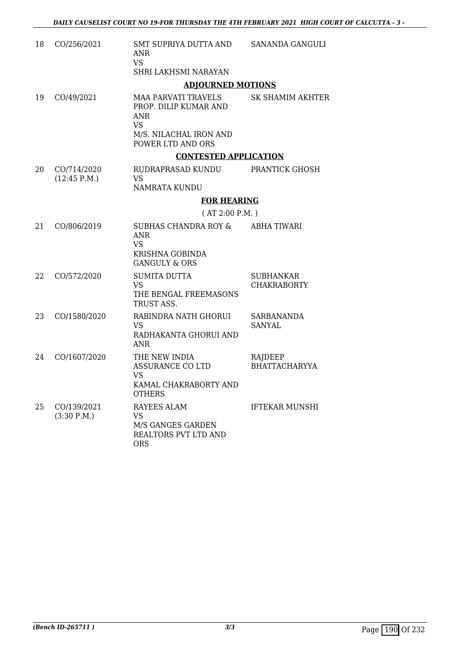| 18 | CO/256/2021                 | SMT SUPRIYA DUTTA AND<br><b>ANR</b><br><b>VS</b><br>SHRI LAKHSMI NARAYAN                                                      | SANANDA GANGULI                        |
|----|-----------------------------|-------------------------------------------------------------------------------------------------------------------------------|----------------------------------------|
|    |                             | <b>ADJOURNED MOTIONS</b>                                                                                                      |                                        |
| 19 | CO/49/2021                  | <b>MAA PARVATI TRAVELS</b><br>PROP. DILIP KUMAR AND<br><b>ANR</b><br><b>VS</b><br>M/S. NILACHAL IRON AND<br>POWER LTD AND ORS | SK SHAMIM AKHTER                       |
|    |                             | <b>CONTESTED APPLICATION</b>                                                                                                  |                                        |
| 20 | CO/714/2020<br>(12:45 P.M.) | RUDRAPRASAD KUNDU<br><b>VS</b><br>NAMRATA KUNDU                                                                               | PRANTICK GHOSH                         |
|    |                             | <b>FOR HEARING</b>                                                                                                            |                                        |
|    |                             | (AT 2:00 P.M. )                                                                                                               |                                        |
| 21 | CO/806/2019                 | <b>SUBHAS CHANDRA ROY &amp;</b><br><b>ANR</b><br><b>VS</b><br><b>KRISHNA GOBINDA</b><br><b>GANGULY &amp; ORS</b>              | <b>ABHA TIWARI</b>                     |
| 22 | CO/572/2020                 | <b>SUMITA DUTTA</b><br><b>VS</b><br>THE BENGAL FREEMASONS<br>TRUST ASS.                                                       | <b>SUBHANKAR</b><br><b>CHAKRABORTY</b> |
| 23 | CO/1580/2020                | RABINDRA NATH GHORUI<br><b>VS</b><br>RADHAKANTA GHORUI AND<br><b>ANR</b>                                                      | <b>SARBANANDA</b><br><b>SANYAL</b>     |
| 24 | CO/1607/2020                | THE NEW INDIA<br><b>ASSURANCE CO LTD</b><br><b>VS</b><br>KAMAL CHAKRABORTY AND<br><b>OTHERS</b>                               | RAJDEEP<br><b>BHATTACHARYYA</b>        |
| 25 | CO/139/2021<br>(3:30 P.M.)  | RAYEES ALAM<br><b>VS</b><br>M/S GANGES GARDEN<br>REALTORS PVT LTD AND<br><b>ORS</b>                                           | <b>IFTEKAR MUNSHI</b>                  |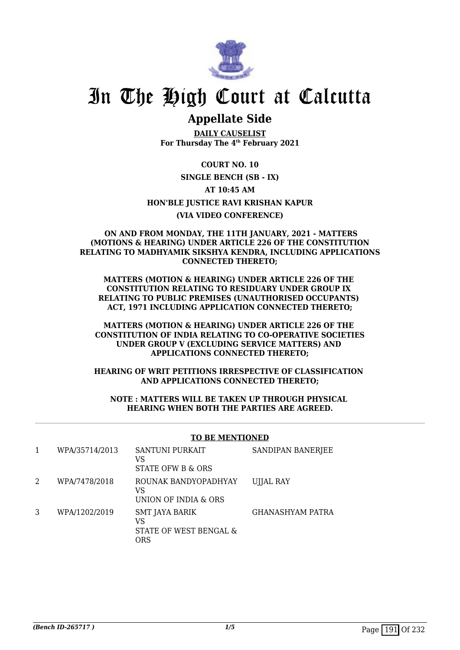

## **Appellate Side**

**DAILY CAUSELIST For Thursday The 4th February 2021**

**COURT NO. 10 SINGLE BENCH (SB - IX) AT 10:45 AM HON'BLE JUSTICE RAVI KRISHAN KAPUR (VIA VIDEO CONFERENCE)**

#### **ON AND FROM MONDAY, THE 11TH JANUARY, 2021 - MATTERS (MOTIONS & HEARING) UNDER ARTICLE 226 OF THE CONSTITUTION RELATING TO MADHYAMIK SIKSHYA KENDRA, INCLUDING APPLICATIONS CONNECTED THERETO;**

**MATTERS (MOTION & HEARING) UNDER ARTICLE 226 OF THE CONSTITUTION RELATING TO RESIDUARY UNDER GROUP IX RELATING TO PUBLIC PREMISES (UNAUTHORISED OCCUPANTS) ACT, 1971 INCLUDING APPLICATION CONNECTED THERETO;**

### **MATTERS (MOTION & HEARING) UNDER ARTICLE 226 OF THE CONSTITUTION OF INDIA RELATING TO CO-OPERATIVE SOCIETIES UNDER GROUP V (EXCLUDING SERVICE MATTERS) AND APPLICATIONS CONNECTED THERETO;**

### **HEARING OF WRIT PETITIONS IRRESPECTIVE OF CLASSIFICATION AND APPLICATIONS CONNECTED THERETO;**

### **NOTE : MATTERS WILL BE TAKEN UP THROUGH PHYSICAL HEARING WHEN BOTH THE PARTIES ARE AGREED.**

### **TO BE MENTIONED**

|   | WPA/35714/2013 | SANTUNI PURKAIT<br>VS<br>STATE OFW B & ORS                   | SANDIPAN BANERJEE |
|---|----------------|--------------------------------------------------------------|-------------------|
| 2 | WPA/7478/2018  | ROUNAK BANDYOPADHYAY<br>VS<br>UNION OF INDIA & ORS           | UJJAL RAY         |
| 3 | WPA/1202/2019  | <b>SMT JAYA BARIK</b><br>VS<br>STATE OF WEST BENGAL &<br>ORS | GHANASHYAM PATRA  |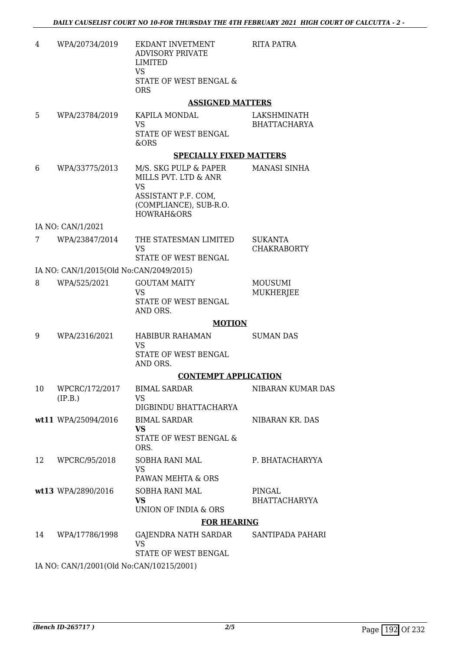RITA PATRA

| 4 | WPA/20734/2019 | EKDANT INVETMENT<br>ADVISORY PRIVATE<br>LIMITED<br>VS<br>STATE OF WEST BENGAL & |  |
|---|----------------|---------------------------------------------------------------------------------|--|
|   |                | ORS                                                                             |  |

#### **ASSIGNED MATTERS**

5 WPA/23784/2019 KAPILA MONDAL VS STATE OF WEST BENGAL &ORS LAKSHMINATH BHATTACHARYA

### **SPECIALLY FIXED MATTERS**

6 WPA/33775/2013 M/S. SKG PULP & PAPER MILLS PVT. LTD & ANR VS ASSISTANT P.F. COM, (COMPLIANCE), SUB-R.O. HOWRAH&ORS MANASI SINHA

IA NO: CAN/1/2021

7 WPA/23847/2014 THE STATESMAN LIMITED VS STATE OF WEST BENGAL SUKANTA CHAKRABORTY

IA NO: CAN/1/2015(Old No:CAN/2049/2015)

| 8 | WPA/525/2021 | GOUTAM MAITY         | MOUSUMI   |
|---|--------------|----------------------|-----------|
|   |              | VS.                  | MUKHERJEE |
|   |              | STATE OF WEST BENGAL |           |
|   |              | AND ORS.             |           |

#### **MOTION**

|    |                           | MOTION                                                      |                                |
|----|---------------------------|-------------------------------------------------------------|--------------------------------|
| 9  | WPA/2316/2021             | HABIBUR RAHAMAN<br>VS<br>STATE OF WEST BENGAL<br>AND ORS.   | <b>SUMAN DAS</b>               |
|    |                           | <b>CONTEMPT APPLICATION</b>                                 |                                |
| 10 | WPCRC/172/2017<br>(IP.B.) | <b>BIMAL SARDAR</b><br>VS.<br>DIGBINDU BHATTACHARYA         | NIBARAN KUMAR DAS              |
|    | $wt11$ WPA/25094/2016     | <b>BIMAL SARDAR</b><br>VS<br>STATE OF WEST BENGAL &<br>ORS. | NIBARAN KR. DAS                |
| 12 | WPCRC/95/2018             | SOBHA RANI MAL<br>VS<br>PAWAN MEHTA & ORS                   | P. BHATACHARYYA                |
|    | wt13 WPA/2890/2016        | SOBHA RANI MAL<br>VS.<br>UNION OF INDIA & ORS               | PINGAL<br><b>BHATTACHARYYA</b> |
|    |                           | <b>FOR HEARING</b>                                          |                                |
| 14 | WPA/17786/1998            | GAJENDRA NATH SARDAR<br>VS                                  | SANTIPADA PAHARI               |

STATE OF WEST BENGAL

IA NO: CAN/1/2001(Old No:CAN/10215/2001)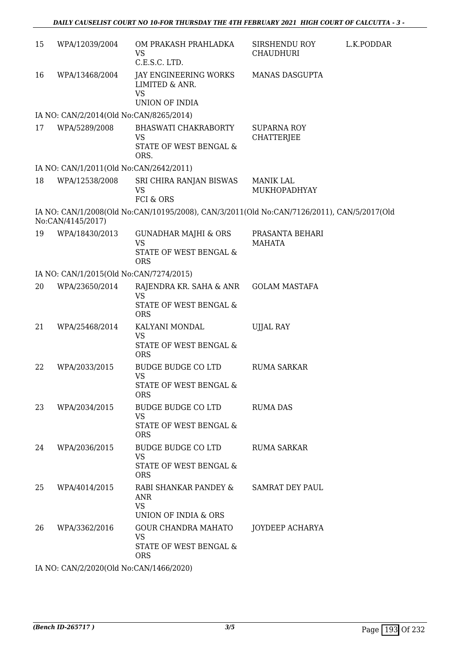| 15 | WPA/12039/2004                          | OM PRAKASH PRAHLADKA<br>VS.<br>C.E.S.C. LTD.                                               | SIRSHENDU ROY<br><b>CHAUDHURI</b>       | L.K.PODDAR |
|----|-----------------------------------------|--------------------------------------------------------------------------------------------|-----------------------------------------|------------|
| 16 | WPA/13468/2004                          | JAY ENGINEERING WORKS<br><b>LIMITED &amp; ANR.</b><br><b>VS</b><br>UNION OF INDIA          | <b>MANAS DASGUPTA</b>                   |            |
|    | IA NO: CAN/2/2014(Old No:CAN/8265/2014) |                                                                                            |                                         |            |
| 17 | WPA/5289/2008                           | <b>BHASWATI CHAKRABORTY</b><br><b>VS</b><br>STATE OF WEST BENGAL &<br>ORS.                 | <b>SUPARNA ROY</b><br><b>CHATTERJEE</b> |            |
|    | IA NO: CAN/1/2011(Old No:CAN/2642/2011) |                                                                                            |                                         |            |
| 18 | WPA/12538/2008                          | SRI CHIRA RANJAN BISWAS<br>VS<br>FCI & ORS                                                 | <b>MANIK LAL</b><br>MUKHOPADHYAY        |            |
|    | No:CAN/4145/2017)                       | IA NO: CAN/1/2008(Old No:CAN/10195/2008), CAN/3/2011(Old No:CAN/7126/2011), CAN/5/2017(Old |                                         |            |
| 19 | WPA/18430/2013                          | <b>GUNADHAR MAJHI &amp; ORS</b><br><b>VS</b><br>STATE OF WEST BENGAL &<br><b>ORS</b>       | PRASANTA BEHARI<br><b>MAHATA</b>        |            |
|    | IA NO: CAN/1/2015(Old No:CAN/7274/2015) |                                                                                            |                                         |            |
| 20 | WPA/23650/2014                          | RAJENDRA KR. SAHA & ANR<br><b>VS</b><br>STATE OF WEST BENGAL &<br><b>ORS</b>               | <b>GOLAM MASTAFA</b>                    |            |
| 21 | WPA/25468/2014                          | KALYANI MONDAL<br><b>VS</b><br>STATE OF WEST BENGAL &<br><b>ORS</b>                        | <b>UJJAL RAY</b>                        |            |
| 22 | WPA/2033/2015                           | <b>BUDGE BUDGE CO LTD</b><br><b>VS</b><br>STATE OF WEST BENGAL &<br><b>ORS</b>             | <b>RUMA SARKAR</b>                      |            |
| 23 | WPA/2034/2015                           | <b>BUDGE BUDGE CO LTD</b><br><b>VS</b><br>STATE OF WEST BENGAL &<br><b>ORS</b>             | <b>RUMA DAS</b>                         |            |
| 24 | WPA/2036/2015                           | <b>BUDGE BUDGE CO LTD</b><br><b>VS</b><br>STATE OF WEST BENGAL &<br><b>ORS</b>             | <b>RUMA SARKAR</b>                      |            |
| 25 | WPA/4014/2015                           | RABI SHANKAR PANDEY &<br>ANR<br><b>VS</b><br>UNION OF INDIA & ORS                          | <b>SAMRAT DEY PAUL</b>                  |            |
| 26 | WPA/3362/2016                           | <b>GOUR CHANDRA MAHATO</b><br>VS.<br>STATE OF WEST BENGAL &<br><b>ORS</b>                  | JOYDEEP ACHARYA                         |            |
|    |                                         | $\bigcap$ J NL $\bigcap$ ANTIA ACCIDADO                                                    |                                         |            |

IA NO: CAN/2/2020(Old No:CAN/1466/2020)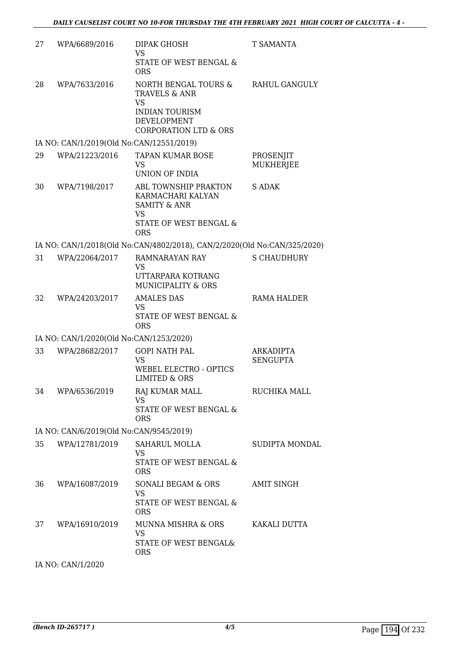| 27 | WPA/6689/2016                            | <b>DIPAK GHOSH</b><br>VS<br>STATE OF WEST BENGAL &<br><b>ORS</b>                                                                                 | T SAMANTA                     |
|----|------------------------------------------|--------------------------------------------------------------------------------------------------------------------------------------------------|-------------------------------|
| 28 | WPA/7633/2016                            | NORTH BENGAL TOURS &<br><b>TRAVELS &amp; ANR</b><br><b>VS</b><br><b>INDIAN TOURISM</b><br><b>DEVELOPMENT</b><br><b>CORPORATION LTD &amp; ORS</b> | RAHUL GANGULY                 |
|    | IA NO: CAN/1/2019(Old No:CAN/12551/2019) |                                                                                                                                                  |                               |
| 29 | WPA/21223/2016                           | <b>TAPAN KUMAR BOSE</b><br>VS<br><b>UNION OF INDIA</b>                                                                                           | PROSENJIT<br><b>MUKHERJEE</b> |
| 30 | WPA/7198/2017                            | ABL TOWNSHIP PRAKTON<br>KARMACHARI KALYAN<br><b>SAMITY &amp; ANR</b><br><b>VS</b><br>STATE OF WEST BENGAL &<br><b>ORS</b>                        | <b>S ADAK</b>                 |
|    |                                          | IA NO: CAN/1/2018(Old No:CAN/4802/2018), CAN/2/2020(Old No:CAN/325/2020)                                                                         |                               |
| 31 | WPA/22064/2017                           | <b>RAMNARAYAN RAY</b><br><b>VS</b><br>UTTARPARA KOTRANG                                                                                          | <b>S CHAUDHURY</b>            |
| 32 | WPA/24203/2017                           | <b>MUNICIPALITY &amp; ORS</b><br><b>AMALES DAS</b><br>VS<br>STATE OF WEST BENGAL &<br><b>ORS</b>                                                 | <b>RAMA HALDER</b>            |
|    | IA NO: CAN/1/2020(Old No:CAN/1253/2020)  |                                                                                                                                                  |                               |
| 33 | WPA/28682/2017                           | <b>GOPI NATH PAL</b><br><b>VS</b><br><b>WEBEL ELECTRO - OPTICS</b><br><b>LIMITED &amp; ORS</b>                                                   | ARKADIPTA<br><b>SENGUPTA</b>  |
| 34 | WPA/6536/2019                            | RAJ KUMAR MALL<br><b>VS</b><br><b>STATE OF WEST BENGAL &amp;</b><br><b>ORS</b>                                                                   | RUCHIKA MALL                  |
|    | IA NO: CAN/6/2019(Old No:CAN/9545/2019)  |                                                                                                                                                  |                               |
| 35 | WPA/12781/2019                           | SAHARUL MOLLA<br><b>VS</b><br>STATE OF WEST BENGAL &<br><b>ORS</b>                                                                               | SUDIPTA MONDAL                |
| 36 | WPA/16087/2019                           | SONALI BEGAM & ORS<br><b>VS</b><br>STATE OF WEST BENGAL &<br><b>ORS</b>                                                                          | AMIT SINGH                    |
| 37 | WPA/16910/2019                           | MUNNA MISHRA & ORS<br><b>VS</b><br>STATE OF WEST BENGAL&<br><b>ORS</b>                                                                           | KAKALI DUTTA                  |
|    | IA NO: CAN/1/2020                        |                                                                                                                                                  |                               |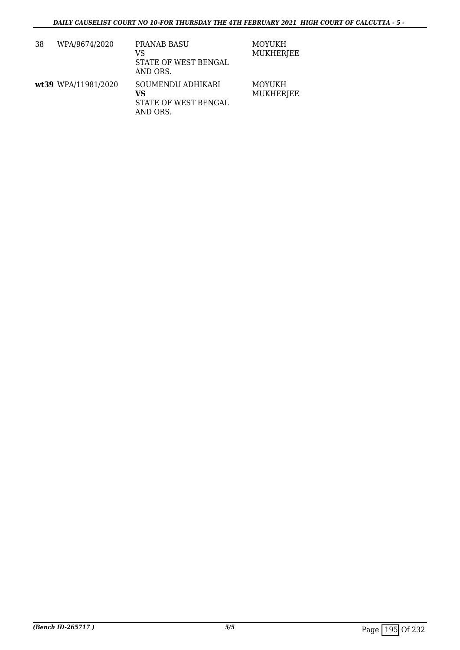| 38 | WPA/9674/2020       | PRANAB BASU<br>VS<br>STATE OF WEST BENGAL<br>AND ORS.       | <b>MOYUKH</b><br><b>MUKHERJEE</b> |
|----|---------------------|-------------------------------------------------------------|-----------------------------------|
|    | wt39 WPA/11981/2020 | SOUMENDU ADHIKARI<br>VS<br>STATE OF WEST BENGAL<br>AND ORS. | <b>MOYUKH</b><br><b>MUKHERJEE</b> |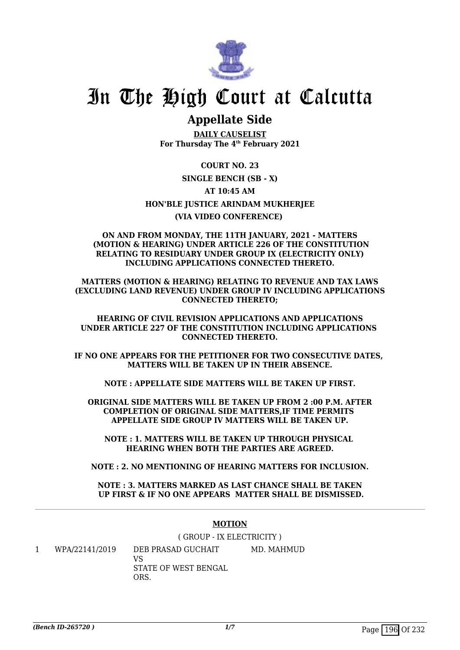

## **Appellate Side**

**DAILY CAUSELIST For Thursday The 4th February 2021**

**COURT NO. 23 SINGLE BENCH (SB - X) AT 10:45 AM HON'BLE JUSTICE ARINDAM MUKHERJEE (VIA VIDEO CONFERENCE)** 

### **ON AND FROM MONDAY, THE 11TH JANUARY, 2021 - MATTERS (MOTION & HEARING) UNDER ARTICLE 226 OF THE CONSTITUTION RELATING TO RESIDUARY UNDER GROUP IX (ELECTRICITY ONLY) INCLUDING APPLICATIONS CONNECTED THERETO.**

**MATTERS (MOTION & HEARING) RELATING TO REVENUE AND TAX LAWS (EXCLUDING LAND REVENUE) UNDER GROUP IV INCLUDING APPLICATIONS CONNECTED THERETO;**

**HEARING OF CIVIL REVISION APPLICATIONS AND APPLICATIONS UNDER ARTICLE 227 OF THE CONSTITUTION INCLUDING APPLICATIONS CONNECTED THERETO.**

**IF NO ONE APPEARS FOR THE PETITIONER FOR TWO CONSECUTIVE DATES, MATTERS WILL BE TAKEN UP IN THEIR ABSENCE.**

**NOTE : APPELLATE SIDE MATTERS WILL BE TAKEN UP FIRST.**

**ORIGINAL SIDE MATTERS WILL BE TAKEN UP FROM 2 :00 P.M. AFTER COMPLETION OF ORIGINAL SIDE MATTERS,IF TIME PERMITS APPELLATE SIDE GROUP IV MATTERS WILL BE TAKEN UP.**

**NOTE : 1. MATTERS WILL BE TAKEN UP THROUGH PHYSICAL HEARING WHEN BOTH THE PARTIES ARE AGREED.**

**NOTE : 2. NO MENTIONING OF HEARING MATTERS FOR INCLUSION.**

**NOTE : 3. MATTERS MARKED AS LAST CHANCE SHALL BE TAKEN UP FIRST & IF NO ONE APPEARS MATTER SHALL BE DISMISSED.**

### **MOTION**

( GROUP - IX ELECTRICITY )

1 WPA/22141/2019 DEB PRASAD GUCHAIT VS STATE OF WEST BENGAL **ORS** MD. MAHMUD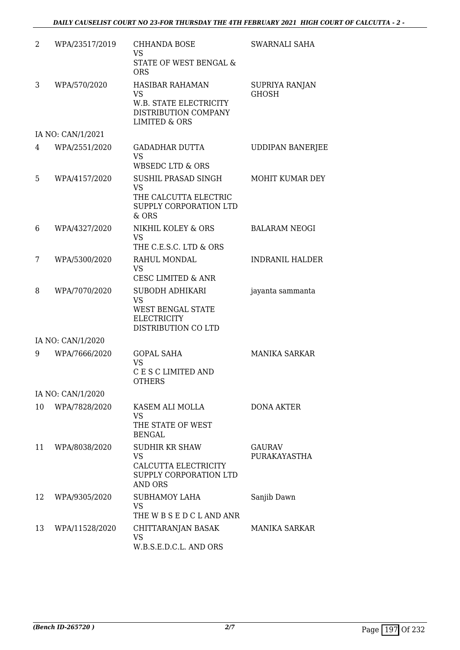| 2  | WPA/23517/2019    | <b>CHHANDA BOSE</b><br><b>VS</b><br><b>STATE OF WEST BENGAL &amp;</b><br><b>ORS</b>                               | SWARNALI SAHA                  |
|----|-------------------|-------------------------------------------------------------------------------------------------------------------|--------------------------------|
| 3  | WPA/570/2020      | <b>HASIBAR RAHAMAN</b><br><b>VS</b><br>W.B. STATE ELECTRICITY<br>DISTRIBUTION COMPANY<br><b>LIMITED &amp; ORS</b> | SUPRIYA RANJAN<br><b>GHOSH</b> |
|    | IA NO: CAN/1/2021 |                                                                                                                   |                                |
| 4  | WPA/2551/2020     | <b>GADADHAR DUTTA</b><br><b>VS</b><br><b>WBSEDC LTD &amp; ORS</b>                                                 | <b>UDDIPAN BANERJEE</b>        |
| 5  | WPA/4157/2020     | SUSHIL PRASAD SINGH<br><b>VS</b><br>THE CALCUTTA ELECTRIC<br>SUPPLY CORPORATION LTD<br>$&$ ORS                    | MOHIT KUMAR DEY                |
| 6  | WPA/4327/2020     | NIKHIL KOLEY & ORS<br><b>VS</b><br>THE C.E.S.C. LTD & ORS                                                         | <b>BALARAM NEOGI</b>           |
| 7  | WPA/5300/2020     | RAHUL MONDAL<br><b>VS</b><br><b>CESC LIMITED &amp; ANR</b>                                                        | <b>INDRANIL HALDER</b>         |
| 8  | WPA/7070/2020     | <b>SUBODH ADHIKARI</b><br><b>VS</b><br>WEST BENGAL STATE<br><b>ELECTRICITY</b><br>DISTRIBUTION CO LTD             | jayanta sammanta               |
|    | IA NO: CAN/1/2020 |                                                                                                                   |                                |
| 9  | WPA/7666/2020     | <b>GOPAL SAHA</b><br><b>VS</b><br>C E S C LIMITED AND<br><b>OTHERS</b>                                            | <b>MANIKA SARKAR</b>           |
|    | IA NO: CAN/1/2020 |                                                                                                                   |                                |
| 10 | WPA/7828/2020     | KASEM ALI MOLLA<br><b>VS</b><br>THE STATE OF WEST<br><b>BENGAL</b>                                                | <b>DONA AKTER</b>              |
| 11 | WPA/8038/2020     | <b>SUDHIR KR SHAW</b><br><b>VS</b><br>CALCUTTA ELECTRICITY<br>SUPPLY CORPORATION LTD<br><b>AND ORS</b>            | GAURAV<br>PURAKAYASTHA         |
| 12 | WPA/9305/2020     | <b>SUBHAMOY LAHA</b><br><b>VS</b><br>THE W B S E D C L AND ANR                                                    | Sanjib Dawn                    |
| 13 | WPA/11528/2020    | CHITTARANJAN BASAK<br><b>VS</b><br>W.B.S.E.D.C.L. AND ORS                                                         | <b>MANIKA SARKAR</b>           |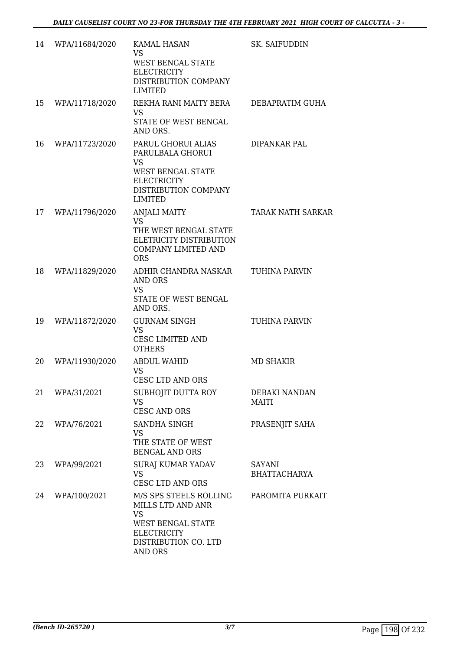| 14 | WPA/11684/2020 | KAMAL HASAN<br><b>VS</b><br>WEST BENGAL STATE<br><b>ELECTRICITY</b><br>DISTRIBUTION COMPANY<br><b>LIMITED</b>                                 | SK. SAIFUDDIN                        |
|----|----------------|-----------------------------------------------------------------------------------------------------------------------------------------------|--------------------------------------|
| 15 | WPA/11718/2020 | REKHA RANI MAITY BERA<br><b>VS</b><br>STATE OF WEST BENGAL<br>AND ORS.                                                                        | DEBAPRATIM GUHA                      |
| 16 | WPA/11723/2020 | PARUL GHORUI ALIAS<br>PARULBALA GHORUI<br><b>VS</b><br>WEST BENGAL STATE<br><b>ELECTRICITY</b><br>DISTRIBUTION COMPANY<br><b>LIMITED</b>      | DIPANKAR PAL                         |
| 17 | WPA/11796/2020 | <b>ANJALI MAITY</b><br><b>VS</b><br>THE WEST BENGAL STATE<br>ELETRICITY DISTRIBUTION<br><b>COMPANY LIMITED AND</b><br><b>ORS</b>              | <b>TARAK NATH SARKAR</b>             |
| 18 | WPA/11829/2020 | ADHIR CHANDRA NASKAR<br><b>AND ORS</b><br><b>VS</b><br>STATE OF WEST BENGAL<br>AND ORS.                                                       | <b>TUHINA PARVIN</b>                 |
| 19 | WPA/11872/2020 | <b>GURNAM SINGH</b><br><b>VS</b><br>CESC LIMITED AND<br><b>OTHERS</b>                                                                         | TUHINA PARVIN                        |
| 20 | WPA/11930/2020 | ABDUL WAHID<br><b>VS</b><br><b>CESC LTD AND ORS</b>                                                                                           | MD SHAKIR                            |
| 21 | WPA/31/2021    | SUBHOJIT DUTTA ROY<br><b>VS</b><br>CESC AND ORS                                                                                               | DEBAKI NANDAN<br>MAITI               |
| 22 | WPA/76/2021    | SANDHA SINGH<br><b>VS</b><br>THE STATE OF WEST<br><b>BENGAL AND ORS</b>                                                                       | PRASENJIT SAHA                       |
| 23 | WPA/99/2021    | SURAJ KUMAR YADAV<br><b>VS</b><br>CESC LTD AND ORS                                                                                            | <b>SAYANI</b><br><b>BHATTACHARYA</b> |
| 24 | WPA/100/2021   | M/S SPS STEELS ROLLING<br>MILLS LTD AND ANR<br><b>VS</b><br>WEST BENGAL STATE<br><b>ELECTRICITY</b><br>DISTRIBUTION CO. LTD<br><b>AND ORS</b> | PAROMITA PURKAIT                     |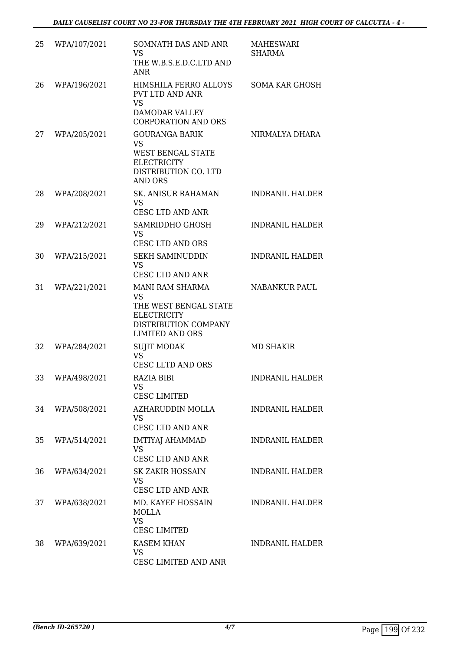| 25 | WPA/107/2021 | SOMNATH DAS AND ANR<br><b>VS</b><br>THE W.B.S.E.D.C.LTD AND<br><b>ANR</b>                                                            | <b>MAHESWARI</b><br><b>SHARMA</b> |
|----|--------------|--------------------------------------------------------------------------------------------------------------------------------------|-----------------------------------|
| 26 | WPA/196/2021 | HIMSHILA FERRO ALLOYS<br>PVT LTD AND ANR<br><b>VS</b><br><b>DAMODAR VALLEY</b><br><b>CORPORATION AND ORS</b>                         | <b>SOMA KAR GHOSH</b>             |
| 27 | WPA/205/2021 | <b>GOURANGA BARIK</b><br><b>VS</b><br>WEST BENGAL STATE<br><b>ELECTRICITY</b><br>DISTRIBUTION CO. LTD<br><b>AND ORS</b>              | NIRMALYA DHARA                    |
| 28 | WPA/208/2021 | <b>SK. ANISUR RAHAMAN</b><br><b>VS</b><br><b>CESC LTD AND ANR</b>                                                                    | <b>INDRANIL HALDER</b>            |
| 29 | WPA/212/2021 | SAMRIDDHO GHOSH<br><b>VS</b><br><b>CESC LTD AND ORS</b>                                                                              | <b>INDRANIL HALDER</b>            |
| 30 | WPA/215/2021 | <b>SEKH SAMINUDDIN</b><br><b>VS</b><br>CESC LTD AND ANR                                                                              | <b>INDRANIL HALDER</b>            |
| 31 | WPA/221/2021 | <b>MANI RAM SHARMA</b><br><b>VS</b><br>THE WEST BENGAL STATE<br><b>ELECTRICITY</b><br>DISTRIBUTION COMPANY<br><b>LIMITED AND ORS</b> | <b>NABANKUR PAUL</b>              |
| 32 | WPA/284/2021 | <b>SUJIT MODAK</b><br><b>VS</b><br><b>CESC LLTD AND ORS</b>                                                                          | MD SHAKIR                         |
| 33 | WPA/498/2021 | RAZIA BIBI<br>VS<br><b>CESC LIMITED</b>                                                                                              | <b>INDRANIL HALDER</b>            |
| 34 | WPA/508/2021 | AZHARUDDIN MOLLA<br>VS.<br>CESC LTD AND ANR                                                                                          | <b>INDRANIL HALDER</b>            |
| 35 | WPA/514/2021 | <b>IMTIYAJ AHAMMAD</b><br><b>VS</b><br>CESC LTD AND ANR                                                                              | <b>INDRANIL HALDER</b>            |
| 36 | WPA/634/2021 | SK ZAKIR HOSSAIN<br><b>VS</b><br>CESC LTD AND ANR                                                                                    | <b>INDRANIL HALDER</b>            |
| 37 | WPA/638/2021 | MD. KAYEF HOSSAIN<br>MOLLA<br><b>VS</b><br><b>CESC LIMITED</b>                                                                       | <b>INDRANIL HALDER</b>            |
| 38 | WPA/639/2021 | <b>KASEM KHAN</b><br><b>VS</b><br>CESC LIMITED AND ANR                                                                               | <b>INDRANIL HALDER</b>            |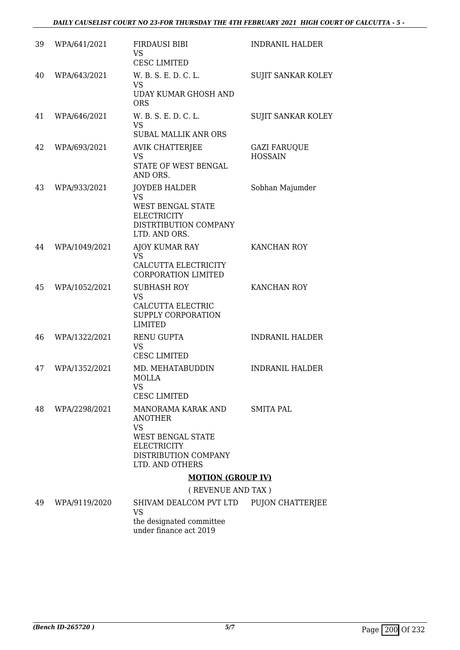### *DAILY CAUSELIST COURT NO 23-FOR THURSDAY THE 4TH FEBRUARY 2021 HIGH COURT OF CALCUTTA - 5 -*

| 39 | WPA/641/2021  | <b>FIRDAUSI BIBI</b><br><b>VS</b><br><b>CESC LIMITED</b>                                                                                                     | <b>INDRANIL HALDER</b>                |
|----|---------------|--------------------------------------------------------------------------------------------------------------------------------------------------------------|---------------------------------------|
| 40 | WPA/643/2021  | W. B. S. E. D. C. L.<br><b>VS</b><br><b>UDAY KUMAR GHOSH AND</b><br><b>ORS</b>                                                                               | <b>SUJIT SANKAR KOLEY</b>             |
| 41 | WPA/646/2021  | W. B. S. E. D. C. L.<br><b>VS</b><br><b>SUBAL MALLIK ANR ORS</b>                                                                                             | SUJIT SANKAR KOLEY                    |
| 42 | WPA/693/2021  | <b>AVIK CHATTERJEE</b><br><b>VS</b><br>STATE OF WEST BENGAL<br>AND ORS.                                                                                      | <b>GAZI FARUQUE</b><br><b>HOSSAIN</b> |
| 43 | WPA/933/2021  | <b>JOYDEB HALDER</b><br><b>VS</b><br>WEST BENGAL STATE<br>ELECTRICITY<br>DISTRTIBUTION COMPANY<br>LTD. AND ORS.                                              | Sobhan Majumder                       |
| 44 | WPA/1049/2021 | <b>AJOY KUMAR RAY</b><br><b>VS</b><br>CALCUTTA ELECTRICITY<br><b>CORPORATION LIMITED</b>                                                                     | <b>KANCHAN ROY</b>                    |
| 45 | WPA/1052/2021 | <b>SUBHASH ROY</b><br><b>VS</b><br>CALCUTTA ELECTRIC<br>SUPPLY CORPORATION<br><b>LIMITED</b>                                                                 | KANCHAN ROY                           |
| 46 | WPA/1322/2021 | <b>RENU GUPTA</b><br><b>VS</b><br><b>CESC LIMITED</b>                                                                                                        | <b>INDRANIL HALDER</b>                |
| 47 | WPA/1352/2021 | MD. MEHATABUDDIN<br>MOLLA<br>VS<br><b>CESC LIMITED</b>                                                                                                       | <b>INDRANIL HALDER</b>                |
| 48 | WPA/2298/2021 | MANORAMA KARAK AND<br><b>ANOTHER</b><br>VS<br>WEST BENGAL STATE<br><b>ELECTRICITY</b><br>DISTRIBUTION COMPANY<br>LTD. AND OTHERS<br><b>MOTION (GROUP IV)</b> | <b>SMITA PAL</b>                      |
|    |               | (REVENUE AND TAX)                                                                                                                                            |                                       |
| 49 | WPA/9119/2020 | SHIVAM DEALCOM PVT LTD<br>VS                                                                                                                                 | PUJON CHATTERJEE                      |

the designated committee under finance act 2019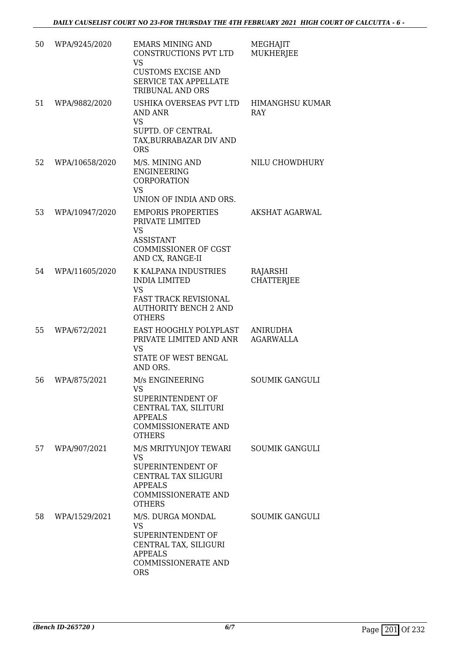| 50 | WPA/9245/2020  | <b>EMARS MINING AND</b><br>CONSTRUCTIONS PVT LTD<br><b>VS</b><br><b>CUSTOMS EXCISE AND</b><br><b>SERVICE TAX APPELLATE</b><br>TRIBUNAL AND ORS | MEGHAJIT<br><b>MUKHERJEE</b>        |
|----|----------------|------------------------------------------------------------------------------------------------------------------------------------------------|-------------------------------------|
| 51 | WPA/9882/2020  | USHIKA OVERSEAS PVT LTD<br>AND ANR<br><b>VS</b><br>SUPTD. OF CENTRAL<br>TAX, BURRABAZAR DIV AND<br><b>ORS</b>                                  | <b>HIMANGHSU KUMAR</b><br>RAY       |
| 52 | WPA/10658/2020 | M/S. MINING AND<br><b>ENGINEERING</b><br>CORPORATION<br><b>VS</b><br>UNION OF INDIA AND ORS.                                                   | NILU CHOWDHURY                      |
| 53 | WPA/10947/2020 | <b>EMPORIS PROPERTIES</b><br>PRIVATE LIMITED<br><b>VS</b><br><b>ASSISTANT</b><br><b>COMMISSIONER OF CGST</b><br>AND CX, RANGE-II               | AKSHAT AGARWAL                      |
| 54 | WPA/11605/2020 | K KALPANA INDUSTRIES<br><b>INDIA LIMITED</b><br><b>VS</b><br><b>FAST TRACK REVISIONAL</b><br><b>AUTHORITY BENCH 2 AND</b><br><b>OTHERS</b>     | RAJARSHI<br><b>CHATTERJEE</b>       |
| 55 | WPA/672/2021   | EAST HOOGHLY POLYPLAST<br>PRIVATE LIMITED AND ANR<br><b>VS</b><br>STATE OF WEST BENGAL<br>AND ORS.                                             | <b>ANIRUDHA</b><br><b>AGARWALLA</b> |
| 56 | WPA/875/2021   | M/s ENGINEERING<br><b>VS</b><br>SUPERINTENDENT OF<br>CENTRAL TAX, SILITURI<br><b>APPEALS</b><br><b>COMMISSIONERATE AND</b><br><b>OTHERS</b>    | <b>SOUMIK GANGULI</b>               |
| 57 | WPA/907/2021   | M/S MRITYUNJOY TEWARI<br>VS<br>SUPERINTENDENT OF<br>CENTRAL TAX SILIGURI<br><b>APPEALS</b><br><b>COMMISSIONERATE AND</b><br><b>OTHERS</b>      | <b>SOUMIK GANGULI</b>               |
| 58 | WPA/1529/2021  | M/S. DURGA MONDAL<br><b>VS</b><br>SUPERINTENDENT OF<br>CENTRAL TAX, SILIGURI<br><b>APPEALS</b><br><b>COMMISSIONERATE AND</b><br><b>ORS</b>     | <b>SOUMIK GANGULI</b>               |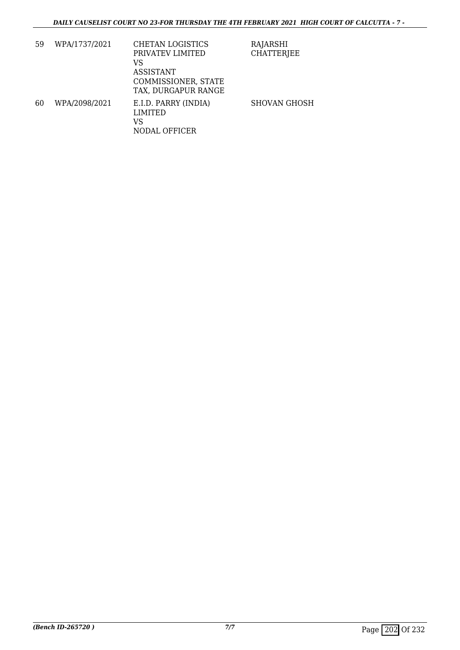| 59 | WPA/1737/2021 | CHETAN LOGISTICS                                       | RAJARSHI            |
|----|---------------|--------------------------------------------------------|---------------------|
|    |               | PRIVATEV LIMITED                                       | <b>CHATTERJEE</b>   |
|    |               | VS                                                     |                     |
|    |               | <b>ASSISTANT</b>                                       |                     |
|    |               | COMMISSIONER, STATE                                    |                     |
|    |               | TAX, DURGAPUR RANGE                                    |                     |
| 60 | WPA/2098/2021 | E.I.D. PARRY (INDIA)<br>LIMITED<br>VS<br>NODAL OFFICER | <b>SHOVAN GHOSH</b> |
|    |               |                                                        |                     |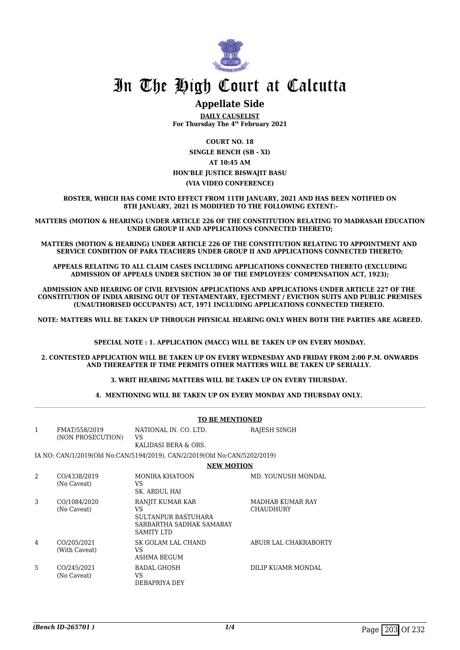

### **Appellate Side**

**DAILY CAUSELIST For Thursday The 4th February 2021**

**COURT NO. 18 SINGLE BENCH (SB - XI) AT 10:45 AM HON'BLE JUSTICE BISWAJIT BASU (VIA VIDEO CONFERENCE)**

**ROSTER, WHICH HAS COME INTO EFFECT FROM 11TH JANUARY, 2021 AND HAS BEEN NOTIFIED ON 8TH JANUARY, 2021 IS MODIFIED TO THE FOLLOWING EXTENT:-**

**MATTERS (MOTION & HEARING) UNDER ARTICLE 226 OF THE CONSTITUTION RELATING TO MADRASAH EDUCATION UNDER GROUP II AND APPLICATIONS CONNECTED THERETO;**

**MATTERS (MOTION & HEARING) UNDER ARTICLE 226 OF THE CONSTITUTION RELATING TO APPOINTMENT AND SERVICE CONDITION OF PARA TEACHERS UNDER GROUP II AND APPLICATIONS CONNECTED THERETO;**

**APPEALS RELATING TO ALL CLAIM CASES INCLUDING APPLICATIONS CONNECTED THERETO (EXCLUDING ADMISSION OF APPEALS UNDER SECTION 30 OF THE EMPLOYEES' COMPENSATION ACT, 1923);**

**ADMISSION AND HEARING OF CIVIL REVISION APPLICATIONS AND APPLICATIONS UNDER ARTICLE 227 OF THE CONSTITUTION OF INDIA ARISING OUT OF TESTAMENTARY, EJECTMENT / EVICTION SUITS AND PUBLIC PREMISES (UNAUTHORISED OCCUPANTS) ACT, 1971 INCLUDING APPLICATIONS CONNECTED THERETO.** 

**NOTE: MATTERS WILL BE TAKEN UP THROUGH PHYSICAL HEARING ONLY WHEN BOTH THE PARTIES ARE AGREED.**

**SPECIAL NOTE : 1. APPLICATION (MACC) WILL BE TAKEN UP ON EVERY MONDAY.**

**2. CONTESTED APPLICATION WILL BE TAKEN UP ON EVERY WEDNESDAY AND FRIDAY FROM 2:00 P.M. ONWARDS AND THEREAFTER IF TIME PERMITS OTHER MATTERS WILL BE TAKEN UP SERIALLY.** 

**3. WRIT HEARING MATTERS WILL BE TAKEN UP ON EVERY THURSDAY.** 

**4. MENTIONING WILL BE TAKEN UP ON EVERY MONDAY AND THURSDAY ONLY.** 

|    | <b>TO BE MENTIONED</b>             |                                                                                                              |                                      |  |  |
|----|------------------------------------|--------------------------------------------------------------------------------------------------------------|--------------------------------------|--|--|
| 1  | FMAT/558/2019<br>(NON PROSECUTION) | NATIONAL IN. CO. LTD.<br>VS<br>KALIDASI BERA & ORS.                                                          | RAJESH SINGH                         |  |  |
|    |                                    | IA NO: CAN/1/2019(Old No:CAN/5194/2019), CAN/2/2019(Old No:CAN/5202/2019)                                    |                                      |  |  |
|    |                                    | <b>NEW MOTION</b>                                                                                            |                                      |  |  |
| 2  | CO/4338/2019<br>(No Caveat)        | <b>MONIRA KHATOON</b><br>VS<br>SK. ABDUL HAI                                                                 | MD. YOUNUSH MONDAL                   |  |  |
| 3  | CO/1084/2020<br>(No Caveat)        | RANJIT KUMAR KAR<br><b>VS</b><br><b>SULTANPUR BASTUHARA</b><br>SARBARTHA SADHAK SAMABAY<br><b>SAMITY LTD</b> | MADHAB KUMAR RAY<br><b>CHAUDHURY</b> |  |  |
| 4  | CO/205/2021<br>(With Caveat)       | SK GOLAM LAL CHAND<br>VS<br><b>ASHMA BEGUM</b>                                                               | ABUIR LAL CHAKRABORTY                |  |  |
| 5. | CO/245/2021<br>(No Caveat)         | <b>BADAL GHOSH</b><br>VS<br>DEBAPRIYA DEY                                                                    | DILIP KUAMR MONDAL                   |  |  |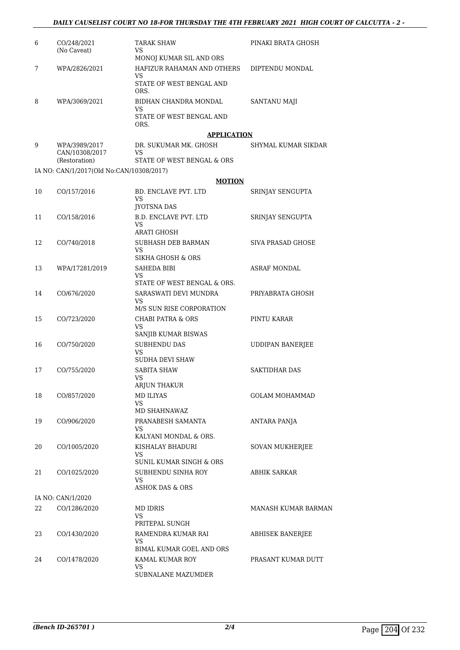| 6  | CO/248/2021<br>(No Caveat)               | <b>TARAK SHAW</b><br>VS                                      | PINAKI BRATA GHOSH       |
|----|------------------------------------------|--------------------------------------------------------------|--------------------------|
|    |                                          | MONOJ KUMAR SIL AND ORS                                      |                          |
| 7  | WPA/2826/2021                            | HAFIZUR RAHAMAN AND OTHERS<br>VS<br>STATE OF WEST BENGAL AND | DIPTENDU MONDAL          |
|    |                                          | ORS.                                                         |                          |
| 8  | WPA/3069/2021                            | BIDHAN CHANDRA MONDAL<br>VS                                  | <b>SANTANU MAJI</b>      |
|    |                                          | STATE OF WEST BENGAL AND<br>ORS.                             |                          |
|    |                                          | <b>APPLICATION</b>                                           |                          |
| 9  | WPA/3989/2017<br>CAN/10308/2017          | DR. SUKUMAR MK. GHOSH<br>VS                                  | SHYMAL KUMAR SIKDAR      |
|    | (Restoration)                            | STATE OF WEST BENGAL & ORS                                   |                          |
|    | IA NO: CAN/1/2017(Old No:CAN/10308/2017) |                                                              |                          |
|    |                                          | <b>MOTION</b>                                                |                          |
| 10 | CO/157/2016                              | BD. ENCLAVE PVT. LTD<br>VS<br><b>JYOTSNA DAS</b>             | SRINJAY SENGUPTA         |
| 11 | CO/158/2016                              | <b>B.D. ENCLAVE PVT. LTD</b>                                 | SRINJAY SENGUPTA         |
|    |                                          | VS                                                           |                          |
|    |                                          | ARATI GHOSH                                                  |                          |
| 12 | CO/740/2018                              | SUBHASH DEB BARMAN<br>VS                                     | <b>SIVA PRASAD GHOSE</b> |
|    |                                          | SIKHA GHOSH & ORS                                            |                          |
| 13 | WPA/17281/2019                           | <b>SAHEDA BIBI</b>                                           | <b>ASRAF MONDAL</b>      |
|    |                                          | VS<br>STATE OF WEST BENGAL & ORS.                            |                          |
| 14 | CO/676/2020                              | SARASWATI DEVI MUNDRA                                        | PRIYABRATA GHOSH         |
|    |                                          | VS<br>M/S SUN RISE CORPORATION                               |                          |
| 15 | CO/723/2020                              | <b>CHABI PATRA &amp; ORS</b>                                 | PINTU KARAR              |
|    |                                          | VS                                                           |                          |
| 16 | CO/750/2020                              | SANJIB KUMAR BISWAS<br><b>SUBHENDU DAS</b>                   | <b>UDDIPAN BANERJEE</b>  |
|    |                                          | VS<br>SUDHA DEVI SHAW                                        |                          |
| 17 | CO/755/2020                              | <b>SABITA SHAW</b>                                           | <b>SAKTIDHAR DAS</b>     |
|    |                                          | <b>VS</b>                                                    |                          |
|    |                                          | ARJUN THAKUR<br><b>MD ILIYAS</b>                             | <b>GOLAM MOHAMMAD</b>    |
| 18 | CO/857/2020                              | VS<br>MD SHAHNAWAZ                                           |                          |
| 19 | CO/906/2020                              | PRANABESH SAMANTA                                            | ANTARA PANJA             |
|    |                                          | VS                                                           |                          |
|    |                                          | KALYANI MONDAL & ORS.                                        |                          |
| 20 | CO/1005/2020                             | KISHALAY BHADURI<br>VS                                       | SOVAN MUKHERJEE          |
|    |                                          | SUNIL KUMAR SINGH & ORS                                      |                          |
| 21 | CO/1025/2020                             | SUBHENDU SINHA ROY                                           | ABHIK SARKAR             |
|    |                                          | VS<br>ASHOK DAS & ORS                                        |                          |
|    | IA NO: CAN/1/2020                        |                                                              |                          |
| 22 | CO/1286/2020                             | MD IDRIS                                                     | MANASH KUMAR BARMAN      |
|    |                                          | VS                                                           |                          |
|    |                                          | PRITEPAL SUNGH                                               |                          |
| 23 | CO/1430/2020                             | RAMENDRA KUMAR RAI<br>VS                                     | ABHISEK BANERJEE         |
|    |                                          | BIMAL KUMAR GOEL AND ORS                                     |                          |
| 24 | CO/1478/2020                             | KAMAL KUMAR ROY                                              | PRASANT KUMAR DUTT       |
|    |                                          | VS<br>SUBNALANE MAZUMDER                                     |                          |
|    |                                          |                                                              |                          |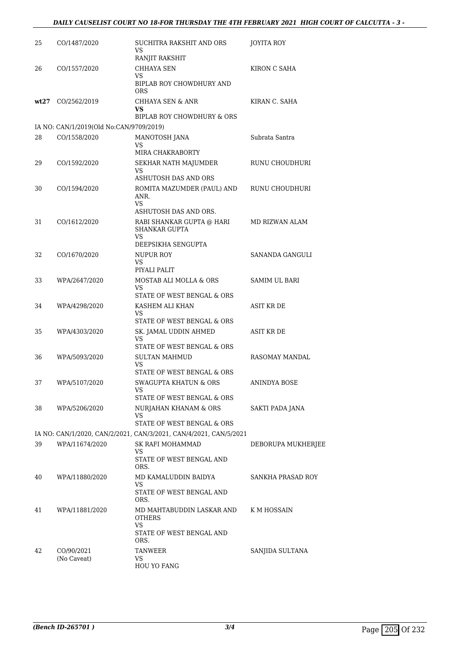| 25   | CO/1487/2020                            | SUCHITRA RAKSHIT AND ORS<br>VS<br>RANJIT RAKSHIT                  | <b>JOYITA ROY</b>  |
|------|-----------------------------------------|-------------------------------------------------------------------|--------------------|
| 26   | CO/1557/2020                            | CHHAYA SEN<br>VS.<br>BIPLAB ROY CHOWDHURY AND                     | KIRON C SAHA       |
| wt27 | CO/2562/2019                            | <b>ORS</b><br>CHHAYA SEN & ANR<br>VS                              | KIRAN C. SAHA      |
|      |                                         | BIPLAB ROY CHOWDHURY & ORS                                        |                    |
|      | IA NO: CAN/1/2019(Old No:CAN/9709/2019) |                                                                   |                    |
| 28   | CO/1558/2020                            | MANOTOSH JANA<br>VS                                               | Subrata Santra     |
|      |                                         | MIRA CHAKRABORTY                                                  |                    |
| 29   | CO/1592/2020                            | SEKHAR NATH MAJUMDER<br>VS                                        | RUNU CHOUDHURI     |
|      |                                         | ASHUTOSH DAS AND ORS                                              |                    |
| 30   | CO/1594/2020                            | ROMITA MAZUMDER (PAUL) AND<br>ANR.<br>VS                          | RUNU CHOUDHURI     |
|      |                                         | ASHUTOSH DAS AND ORS.                                             |                    |
| 31   | CO/1612/2020                            | RABI SHANKAR GUPTA @ HARI<br>SHANKAR GUPTA<br>VS                  | MD RIZWAN ALAM     |
|      |                                         | DEEPSIKHA SENGUPTA                                                |                    |
| 32   | CO/1670/2020                            | NUPUR ROY<br>VS.<br>PIYALI PALIT                                  | SANANDA GANGULI    |
| 33   | WPA/2647/2020                           | MOSTAB ALI MOLLA & ORS<br>VS<br>STATE OF WEST BENGAL & ORS        | SAMIM UL BARI      |
| 34   | WPA/4298/2020                           | KASHEM ALI KHAN<br>VS                                             | <b>ASIT KR DE</b>  |
|      |                                         | STATE OF WEST BENGAL & ORS                                        |                    |
| 35   | WPA/4303/2020                           | SK. JAMAL UDDIN AHMED<br>VS<br>STATE OF WEST BENGAL & ORS         | ASIT KR DE         |
| 36   | WPA/5093/2020                           | <b>SULTAN MAHMUD</b>                                              | RASOMAY MANDAL     |
|      |                                         | VS<br>STATE OF WEST BENGAL & ORS                                  |                    |
| 37   | WPA/5107/2020                           | SWAGUPTA KHATUN & ORS<br>VS                                       | ANINDYA BOSE       |
|      |                                         | STATE OF WEST BENGAL & ORS                                        |                    |
| 38   | WPA/5206/2020                           | NURJAHAN KHANAM & ORS<br>VS<br>STATE OF WEST BENGAL & ORS         | SAKTI PADA JANA    |
|      |                                         | IA NO: CAN/1/2020, CAN/2/2021, CAN/3/2021, CAN/4/2021, CAN/5/2021 |                    |
| 39   | WPA/11674/2020                          | SK RAFI MOHAMMAD                                                  | DEBORUPA MUKHERJEE |
|      |                                         | VS<br>STATE OF WEST BENGAL AND<br>ORS.                            |                    |
| 40   | WPA/11880/2020                          | MD KAMALUDDIN BAIDYA<br>VS                                        | SANKHA PRASAD ROY  |
|      |                                         | STATE OF WEST BENGAL AND<br>ORS.                                  |                    |
| 41   | WPA/11881/2020                          | MD MAHTABUDDIN LASKAR AND<br><b>OTHERS</b>                        | K M HOSSAIN        |
|      |                                         | VS<br>STATE OF WEST BENGAL AND<br>ORS.                            |                    |
| 42   | CO/90/2021                              | TANWEER                                                           | SANJIDA SULTANA    |
|      | (No Caveat)                             | VS<br><b>HOU YO FANG</b>                                          |                    |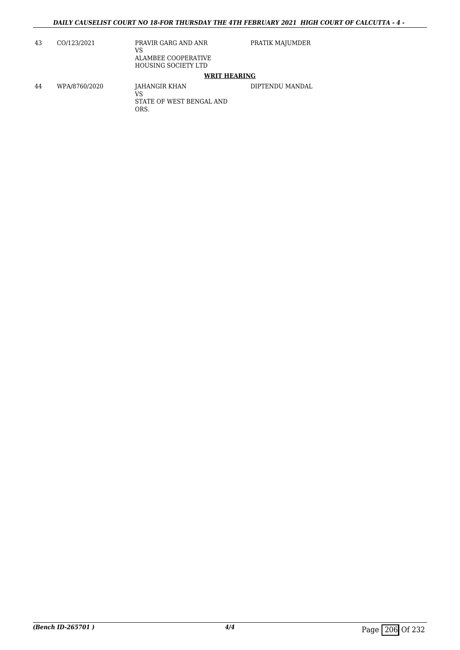| 43 | CO/123/2021   | PRAVIR GARG AND ANR<br>VS<br>ALAMBEE COOPERATIVE<br><b>HOUSING SOCIETY LTD</b> | PRATIK MAJUMDER |
|----|---------------|--------------------------------------------------------------------------------|-----------------|
|    |               | <b>WRIT HEARING</b>                                                            |                 |
| 44 | WPA/8760/2020 | JAHANGIR KHAN<br>VS<br>STATE OF WEST BENGAL AND<br>ORS.                        | DIPTENDU MANDAL |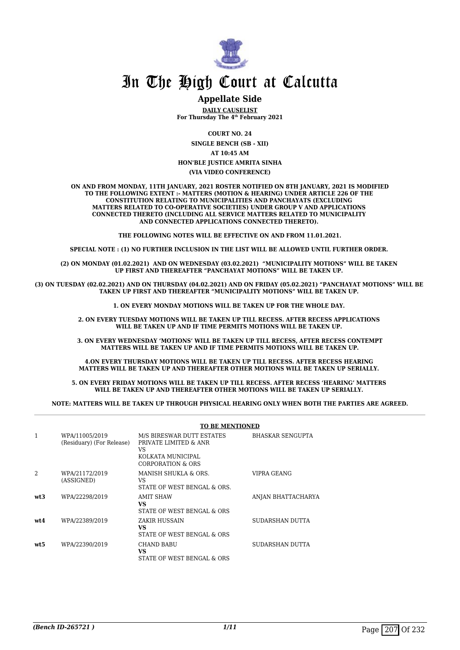

### **Appellate Side**

**DAILY CAUSELIST For Thursday The 4th February 2021**

**COURT NO. 24**

**SINGLE BENCH (SB - XII) AT 10:45 AM HON'BLE JUSTICE AMRITA SINHA**

### **(VIA VIDEO CONFERENCE)**

**ON AND FROM MONDAY, 11TH JANUARY, 2021 ROSTER NOTIFIED ON 8TH JANUARY, 2021 IS MODIFIED TO THE FOLLOWING EXTENT :- MATTERS (MOTION & HEARING) UNDER ARTICLE 226 OF THE CONSTITUTION RELATING TO MUNICIPALITIES AND PANCHAYATS (EXCLUDING MATTERS RELATED TO CO-OPERATIVE SOCIETIES) UNDER GROUP V AND APPLICATIONS CONNECTED THERETO (INCLUDING ALL SERVICE MATTERS RELATED TO MUNICIPALITY AND CONNECTED APPLICATIONS CONNECTED THERETO).** 

**THE FOLLOWING NOTES WILL BE EFFECTIVE ON AND FROM 11.01.2021.**

**SPECIAL NOTE : (1) NO FURTHER INCLUSION IN THE LIST WILL BE ALLOWED UNTIL FURTHER ORDER.** 

**(2) ON MONDAY (01.02.2021) AND ON WEDNESDAY (03.02.2021) "MUNICIPALITY MOTIONS" WILL BE TAKEN UP FIRST AND THEREAFTER "PANCHAYAT MOTIONS" WILL BE TAKEN UP.** 

**(3) ON TUESDAY (02.02.2021) AND ON THURSDAY (04.02.2021) AND ON FRIDAY (05.02.2021) "PANCHAYAT MOTIONS" WILL BE TAKEN UP FIRST AND THEREAFTER "MUNICIPALITY MOTIONS" WILL BE TAKEN UP.** 

**1. ON EVERY MONDAY MOTIONS WILL BE TAKEN UP FOR THE WHOLE DAY.** 

**2. ON EVERY TUESDAY MOTIONS WILL BE TAKEN UP TILL RECESS. AFTER RECESS APPLICATIONS**  WILL BE TAKEN UP AND IF TIME PERMITS MOTIONS WILL BE TAKEN UP.

**3. ON EVERY WEDNESDAY 'MOTIONS' WILL BE TAKEN UP TILL RECESS, AFTER RECESS CONTEMPT MATTERS WILL BE TAKEN UP AND IF TIME PERMITS MOTIONS WILL BE TAKEN UP.**

**4.ON EVERY THURSDAY MOTIONS WILL BE TAKEN UP TILL RECESS. AFTER RECESS HEARING MATTERS WILL BE TAKEN UP AND THEREAFTER OTHER MOTIONS WILL BE TAKEN UP SERIALLY.** 

**5. ON EVERY FRIDAY MOTIONS WILL BE TAKEN UP TILL RECESS. AFTER RECESS 'HEARING' MATTERS WILL BE TAKEN UP AND THEREAFTER OTHER MOTIONS WILL BE TAKEN UP SERIALLY.** 

**NOTE: MATTERS WILL BE TAKEN UP THROUGH PHYSICAL HEARING ONLY WHEN BOTH THE PARTIES ARE AGREED.**

|      |                                             | <b>TO BE MENTIONED</b>                                                                             |                         |  |
|------|---------------------------------------------|----------------------------------------------------------------------------------------------------|-------------------------|--|
| 1    | WPA/11005/2019<br>(Residuary) (For Release) | M/S BIRESWAR DUTT ESTATES<br>PRIVATE LIMITED & ANR<br>VS<br>KOLKATA MUNICIPAL<br>CORPORATION & ORS | <b>BHASKAR SENGUPTA</b> |  |
|      | WPA/21172/2019<br>(ASSIGNED)                | MANISH SHUKLA & ORS.<br>VS<br>STATE OF WEST BENGAL & ORS.                                          | VIPRA GEANG             |  |
| wt3  | WPA/22298/2019                              | <b>AMIT SHAW</b><br>VS<br>STATE OF WEST BENGAL & ORS                                               | ANJAN BHATTACHARYA      |  |
| wt.4 | WPA/22389/2019                              | ZAKIR HUSSAIN<br>VS<br>STATE OF WEST BENGAL & ORS                                                  | SUDARSHAN DUTTA         |  |
| wt5  | WPA/22390/2019                              | <b>CHAND BABU</b><br>VS<br>STATE OF WEST BENGAL & ORS                                              | SUDARSHAN DUTTA         |  |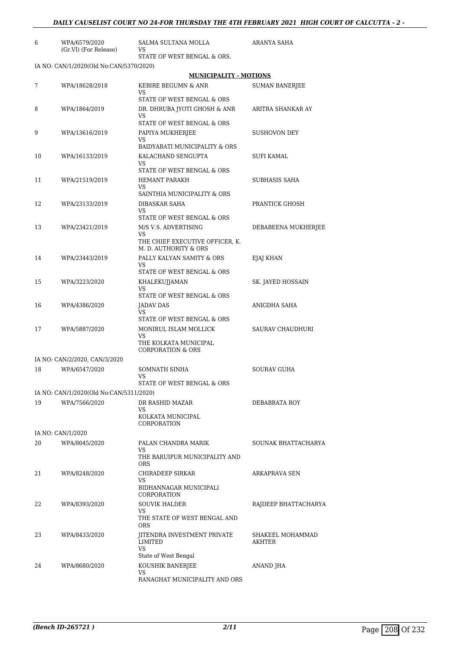| 6  | WPA/6579/2020<br>(Gr.VI) (For Release)  | SALMA SULTANA MOLLA<br>VS                                                                                          | ARANYA SAHA                |
|----|-----------------------------------------|--------------------------------------------------------------------------------------------------------------------|----------------------------|
|    | IA NO: CAN/1/2020(Old No:CAN/5370/2020) | STATE OF WEST BENGAL & ORS.                                                                                        |                            |
|    |                                         | <b>MUNICIPALITY - MOTIONS</b>                                                                                      |                            |
| 7  | WPA/18628/2018                          | KEBIRE BEGUMN & ANR<br>VS                                                                                          | <b>SUMAN BANERJEE</b>      |
| 8  | WPA/1864/2019                           | STATE OF WEST BENGAL & ORS<br>DR. DHRUBA JYOTI GHOSH & ANR                                                         | ARITRA SHANKAR AY          |
|    |                                         | VS<br>STATE OF WEST BENGAL & ORS                                                                                   |                            |
| 9  | WPA/13616/2019                          | PAPIYA MUKHERJEE<br>VS<br><b>BAIDYABATI MUNICIPALITY &amp; ORS</b>                                                 | SUSHOVON DEY               |
| 10 | WPA/16133/2019                          | KALACHAND SENGUPTA<br>VS<br>STATE OF WEST BENGAL & ORS                                                             | SUFI KAMAL                 |
| 11 | WPA/21519/2019                          | <b>HEMANT PARAKH</b><br>VS                                                                                         | SUBHASIS SAHA              |
| 12 | WPA/23133/2019                          | SAINTHIA MUNICIPALITY & ORS<br>DIBASKAR SAHA<br>VS                                                                 | PRANTICK GHOSH             |
| 13 | WPA/23421/2019                          | STATE OF WEST BENGAL & ORS<br>M/S V.S. ADVERTISING<br>VS<br>THE CHIEF EXECUTIVE OFFICER, K.                        | DEBABEENA MUKHERJEE        |
| 14 | WPA/23443/2019                          | M. D. AUTHORITY & ORS<br>PALLY KALYAN SAMITY & ORS<br>VS                                                           | EJAJ KHAN                  |
| 15 | WPA/3223/2020                           | STATE OF WEST BENGAL & ORS<br>KHALEKUJJAMAN<br>VS                                                                  | SK. JAYED HOSSAIN          |
| 16 | WPA/4386/2020                           | STATE OF WEST BENGAL & ORS<br><b>JADAV DAS</b><br>VS.                                                              | ANIGDHA SAHA               |
| 17 | WPA/5887/2020                           | STATE OF WEST BENGAL & ORS<br>MONIRUL ISLAM MOLLICK<br>VS<br>THE KOLKATA MUNICIPAL<br><b>CORPORATION &amp; ORS</b> | SAURAV CHAUDHURI           |
|    | IA NO: CAN/2/2020, CAN/3/2020           |                                                                                                                    |                            |
| 18 | WPA/6547/2020                           | SOMNATH SINHA<br>VS                                                                                                | <b>SOURAV GUHA</b>         |
|    | IA NO: CAN/1/2020(Old No:CAN/5311/2020) | STATE OF WEST BENGAL & ORS                                                                                         |                            |
| 19 | WPA/7566/2020                           | DR RASHID MAZAR                                                                                                    | DEBABRATA ROY              |
|    |                                         | VS<br>KOLKATA MUNICIPAL<br>CORPORATION                                                                             |                            |
|    | IA NO: CAN/1/2020                       |                                                                                                                    |                            |
| 20 | WPA/8045/2020                           | PALAN CHANDRA MARIK<br>VS.                                                                                         | SOUNAK BHATTACHARYA        |
|    |                                         | THE BARUIPUR MUNICIPALITY AND<br>ORS                                                                               |                            |
| 21 | WPA/8248/2020                           | CHIRADEEP SIRKAR<br>VS<br>BIDHANNAGAR MUNICIPALI                                                                   | ARKAPRAVA SEN              |
|    |                                         | CORPORATION                                                                                                        |                            |
| 22 | WPA/8393/2020                           | <b>SOUVIK HALDER</b><br>VS<br>THE STATE OF WEST BENGAL AND                                                         | RAJDEEP BHATTACHARYA       |
| 23 | WPA/8433/2020                           | <b>ORS</b><br>JITENDRA INVESTMENT PRIVATE<br>LIMITED<br>VS                                                         | SHAKEEL MOHAMMAD<br>AKHTER |
| 24 | WPA/8680/2020                           | State of West Bengal<br>KOUSHIK BANERJEE<br>VS<br>RANAGHAT MUNICIPALITY AND ORS                                    | ANAND JHA                  |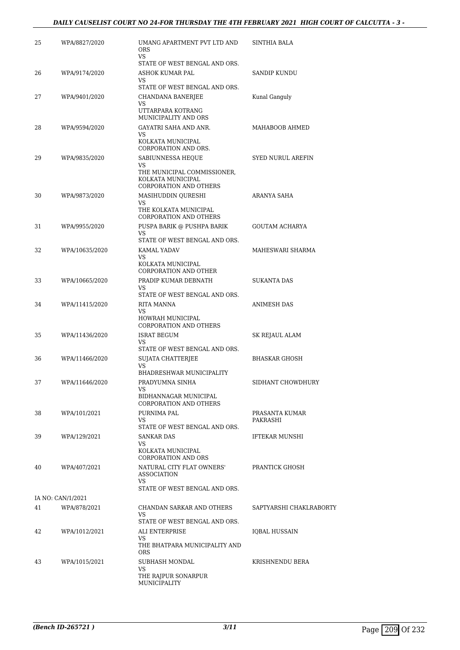| 25 | WPA/8827/2020                     | UMANG APARTMENT PVT LTD AND<br><b>ORS</b><br>VS                                                                                      | <b>SINTHIA BALA</b>        |
|----|-----------------------------------|--------------------------------------------------------------------------------------------------------------------------------------|----------------------------|
| 26 | WPA/9174/2020                     | STATE OF WEST BENGAL AND ORS.<br>ASHOK KUMAR PAL                                                                                     | SANDIP KUNDU               |
| 27 | WPA/9401/2020                     | VS<br>STATE OF WEST BENGAL AND ORS.<br>CHANDANA BANERJEE                                                                             | Kunal Ganguly              |
|    |                                   | VS<br>UTTARPARA KOTRANG<br>MUNICIPALITY AND ORS                                                                                      |                            |
| 28 | WPA/9594/2020                     | GAYATRI SAHA AND ANR.<br>VS<br>KOLKATA MUNICIPAL                                                                                     | MAHABOOB AHMED             |
| 29 | WPA/9835/2020                     | CORPORATION AND ORS.<br>SABIUNNESSA HEQUE<br>VS<br>THE MUNICIPAL COMMISSIONER,<br>KOLKATA MUNICIPAL<br><b>CORPORATION AND OTHERS</b> | <b>SYED NURUL AREFIN</b>   |
| 30 | WPA/9873/2020                     | MASIHUDDIN QURESHI<br>VS<br>THE KOLKATA MUNICIPAL<br><b>CORPORATION AND OTHERS</b>                                                   | ARANYA SAHA                |
| 31 | WPA/9955/2020                     | PUSPA BARIK @ PUSHPA BARIK<br>VS<br>STATE OF WEST BENGAL AND ORS.                                                                    | <b>GOUTAM ACHARYA</b>      |
| 32 | WPA/10635/2020                    | <b>KAMAL YADAV</b><br>VS<br>KOLKATA MUNICIPAL<br><b>CORPORATION AND OTHER</b>                                                        | MAHESWARI SHARMA           |
| 33 | WPA/10665/2020                    | PRADIP KUMAR DEBNATH<br>VS                                                                                                           | <b>SUKANTA DAS</b>         |
| 34 | WPA/11415/2020                    | STATE OF WEST BENGAL AND ORS.<br>RITA MANNA<br><b>VS</b><br>HOWRAH MUNICIPAL                                                         | ANIMESH DAS                |
| 35 | WPA/11436/2020                    | CORPORATION AND OTHERS<br>ISRAT BEGUM<br>VS                                                                                          | SK REJAUL ALAM             |
| 36 | WPA/11466/2020                    | STATE OF WEST BENGAL AND ORS.<br>SUJATA CHATTERJEE<br>VS                                                                             | <b>BHASKAR GHOSH</b>       |
| 37 | WPA/11646/2020                    | BHADRESHWAR MUNICIPALITY<br>PRADYUMNA SINHA<br>VS<br>BIDHANNAGAR MUNICIPAL                                                           | SIDHANT CHOWDHURY          |
| 38 | WPA/101/2021                      | <b>CORPORATION AND OTHERS</b><br>PURNIMA PAL<br>VS<br>STATE OF WEST BENGAL AND ORS.                                                  | PRASANTA KUMAR<br>PAKRASHI |
| 39 | WPA/129/2021                      | <b>SANKAR DAS</b><br>VS<br>KOLKATA MUNICIPAL<br><b>CORPORATION AND ORS</b>                                                           | <b>IFTEKAR MUNSHI</b>      |
| 40 | WPA/407/2021                      | NATURAL CITY FLAT OWNERS'<br><b>ASSOCIATION</b><br>VS                                                                                | PRANTICK GHOSH             |
|    |                                   | STATE OF WEST BENGAL AND ORS.                                                                                                        |                            |
| 41 | IA NO: CAN/1/2021<br>WPA/878/2021 | CHANDAN SARKAR AND OTHERS<br>VS<br>STATE OF WEST BENGAL AND ORS.                                                                     | SAPTYARSHI CHAKLRABORTY    |
| 42 | WPA/1012/2021                     | ALI ENTERPRISE<br>VS.<br>THE BHATPARA MUNICIPALITY AND<br><b>ORS</b>                                                                 | IQBAL HUSSAIN              |
| 43 | WPA/1015/2021                     | SUBHASH MONDAL<br>VS<br>THE RAJPUR SONARPUR<br>MUNICIPALITY                                                                          | KRISHNENDU BERA            |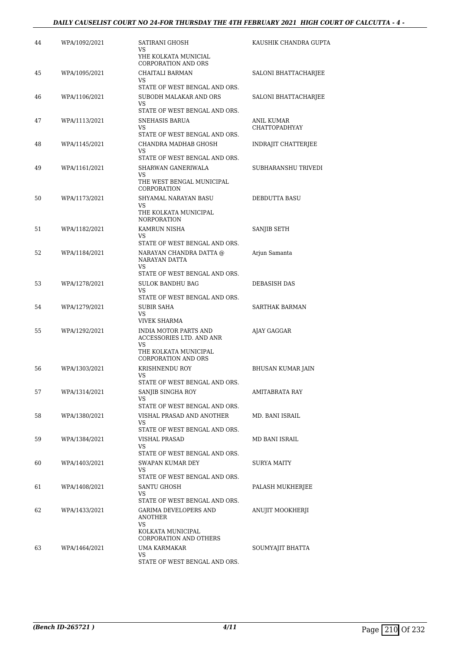| 44 | WPA/1092/2021 | SATIRANI GHOSH<br>VS<br>YHE KOLKATA MUNICIAL<br><b>CORPORATION AND ORS</b>                                             | KAUSHIK CHANDRA GUPTA              |
|----|---------------|------------------------------------------------------------------------------------------------------------------------|------------------------------------|
| 45 | WPA/1095/2021 | CHAITALI BARMAN<br>VS                                                                                                  | SALONI BHATTACHARJEE               |
| 46 | WPA/1106/2021 | STATE OF WEST BENGAL AND ORS.<br>SUBODH MALAKAR AND ORS<br>VS.                                                         | SALONI BHATTACHARJEE               |
| 47 | WPA/1113/2021 | STATE OF WEST BENGAL AND ORS.<br>SNEHASIS BARUA<br>VS<br>STATE OF WEST BENGAL AND ORS.                                 | <b>ANIL KUMAR</b><br>CHATTOPADHYAY |
| 48 | WPA/1145/2021 | CHANDRA MADHAB GHOSH<br>VS.<br>STATE OF WEST BENGAL AND ORS.                                                           | INDRAJIT CHATTERJEE                |
| 49 | WPA/1161/2021 | SHARWAN GANERIWALA<br>VS<br>THE WEST BENGAL MUNICIPAL<br>CORPORATION                                                   | SUBHARANSHU TRIVEDI                |
| 50 | WPA/1173/2021 | SHYAMAL NARAYAN BASU<br>VS.<br>THE KOLKATA MUNICIPAL<br><b>NORPORATION</b>                                             | DEBDUTTA BASU                      |
| 51 | WPA/1182/2021 | KAMRUN NISHA<br>VS                                                                                                     | SANJIB SETH                        |
| 52 | WPA/1184/2021 | STATE OF WEST BENGAL AND ORS.<br>NARAYAN CHANDRA DATTA @<br>NARAYAN DATTA<br>VS                                        | Arjun Samanta                      |
| 53 | WPA/1278/2021 | STATE OF WEST BENGAL AND ORS.<br><b>SULOK BANDHU BAG</b><br>VS<br>STATE OF WEST BENGAL AND ORS.                        | DEBASISH DAS                       |
| 54 | WPA/1279/2021 | SUBIR SAHA<br>VS<br>VIVEK SHARMA                                                                                       | SARTHAK BARMAN                     |
| 55 | WPA/1292/2021 | <b>INDIA MOTOR PARTS AND</b><br>ACCESSORIES LTD. AND ANR<br>VS.<br>THE KOLKATA MUNICIPAL<br><b>CORPORATION AND ORS</b> | AJAY GAGGAR                        |
| 56 | WPA/1303/2021 | KRISHNENDU ROY<br>VS                                                                                                   | <b>BHUSAN KUMAR JAIN</b>           |
| 57 | WPA/1314/2021 | STATE OF WEST BENGAL AND ORS.<br>SANJIB SINGHA ROY<br>VS                                                               | AMITABRATA RAY                     |
| 58 | WPA/1380/2021 | STATE OF WEST BENGAL AND ORS.<br>VISHAL PRASAD AND ANOTHER<br>VS.                                                      | MD. BANI ISRAIL                    |
| 59 | WPA/1384/2021 | STATE OF WEST BENGAL AND ORS.<br>VISHAL PRASAD<br>VS.<br>STATE OF WEST BENGAL AND ORS.                                 | MD BANI ISRAIL                     |
| 60 | WPA/1403/2021 | SWAPAN KUMAR DEY<br>VS<br>STATE OF WEST BENGAL AND ORS.                                                                | SURYA MAITY                        |
| 61 | WPA/1408/2021 | SANTU GHOSH<br>VS.<br>STATE OF WEST BENGAL AND ORS.                                                                    | PALASH MUKHERJEE                   |
| 62 | WPA/1433/2021 | GARIMA DEVELOPERS AND<br>ANOTHER<br>VS.<br>KOLKATA MUNICIPAL                                                           | ANUJIT MOOKHERJI                   |
| 63 | WPA/1464/2021 | CORPORATION AND OTHERS<br>UMA KARMAKAR<br>VS<br>STATE OF WEST BENGAL AND ORS.                                          | SOUMYAJIT BHATTA                   |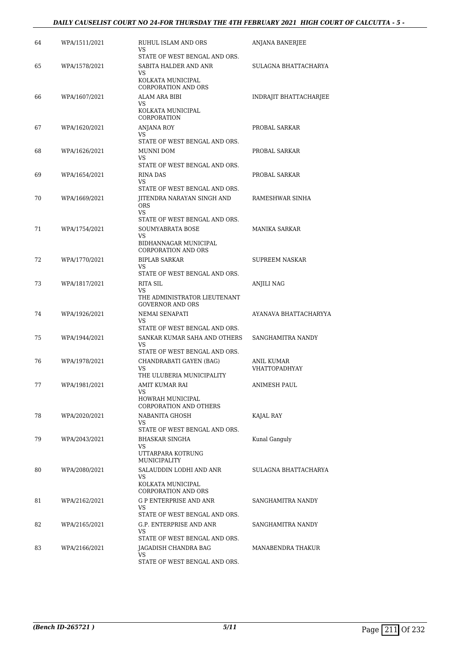| 64 | WPA/1511/2021 | RUHUL ISLAM AND ORS<br>VS<br>STATE OF WEST BENGAL AND ORS.                                                            | ANJANA BANERJEE                           |
|----|---------------|-----------------------------------------------------------------------------------------------------------------------|-------------------------------------------|
| 65 | WPA/1578/2021 | SABITA HALDER AND ANR<br>VS<br>KOLKATA MUNICIPAL<br><b>CORPORATION AND ORS</b>                                        | SULAGNA BHATTACHARYA                      |
| 66 | WPA/1607/2021 | ALAM ARA BIBI<br>VS<br>KOLKATA MUNICIPAL<br>CORPORATION                                                               | INDRAJIT BHATTACHARJEE                    |
| 67 | WPA/1620/2021 | <b>ANJANA ROY</b><br>VS<br>STATE OF WEST BENGAL AND ORS.                                                              | PROBAL SARKAR                             |
| 68 | WPA/1626/2021 | MUNNI DOM<br>VS<br>STATE OF WEST BENGAL AND ORS.                                                                      | PROBAL SARKAR                             |
| 69 | WPA/1654/2021 | <b>RINA DAS</b><br>VS<br>STATE OF WEST BENGAL AND ORS.                                                                | PROBAL SARKAR                             |
| 70 | WPA/1669/2021 | JITENDRA NARAYAN SINGH AND<br><b>ORS</b><br>VS                                                                        | RAMESHWAR SINHA                           |
| 71 | WPA/1754/2021 | STATE OF WEST BENGAL AND ORS.<br><b>SOUMYABRATA BOSE</b><br>VS<br>BIDHANNAGAR MUNICIPAL<br><b>CORPORATION AND ORS</b> | <b>MANIKA SARKAR</b>                      |
| 72 | WPA/1770/2021 | <b>BIPLAB SARKAR</b><br>VS<br>STATE OF WEST BENGAL AND ORS.                                                           | SUPREEM NASKAR                            |
| 73 | WPA/1817/2021 | RITA SIL<br>VS<br>THE ADMINISTRATOR LIEUTENANT<br><b>GOVERNOR AND ORS</b>                                             | ANJILI NAG                                |
| 74 | WPA/1926/2021 | NEMAI SENAPATI<br>VS                                                                                                  | AYANAVA BHATTACHARYYA                     |
| 75 | WPA/1944/2021 | STATE OF WEST BENGAL AND ORS.<br>SANKAR KUMAR SAHA AND OTHERS<br>VS<br>STATE OF WEST BENGAL AND ORS.                  | SANGHAMITRA NANDY                         |
| 76 | WPA/1978/2021 | CHANDRABATI GAYEN (BAG)<br>VS<br>THE ULUBERIA MUNICIPALITY                                                            | <b>ANIL KUMAR</b><br><b>VHATTOPADHYAY</b> |
| 77 | WPA/1981/2021 | AMIT KUMAR RAI<br>VS<br>HOWRAH MUNICIPAL<br><b>CORPORATION AND OTHERS</b>                                             | ANIMESH PAUL                              |
| 78 | WPA/2020/2021 | NABANITA GHOSH<br>VS.<br>STATE OF WEST BENGAL AND ORS.                                                                | KAJAL RAY                                 |
| 79 | WPA/2043/2021 | BHASKAR SINGHA<br>VS<br>UTTARPARA KOTRUNG<br><b>MUNICIPALITY</b>                                                      | Kunal Ganguly                             |
| 80 | WPA/2080/2021 | SALAUDDIN LODHI AND ANR<br>VS<br>KOLKATA MUNICIPAL<br><b>CORPORATION AND ORS</b>                                      | SULAGNA BHATTACHARYA                      |
| 81 | WPA/2162/2021 | G P ENTERPRISE AND ANR<br>VS<br>STATE OF WEST BENGAL AND ORS.                                                         | SANGHAMITRA NANDY                         |
| 82 | WPA/2165/2021 | G.P. ENTERPRISE AND ANR<br>VS.                                                                                        | SANGHAMITRA NANDY                         |
| 83 | WPA/2166/2021 | STATE OF WEST BENGAL AND ORS.<br>JAGADISH CHANDRA BAG<br>VS<br>STATE OF WEST BENGAL AND ORS.                          | MANABENDRA THAKUR                         |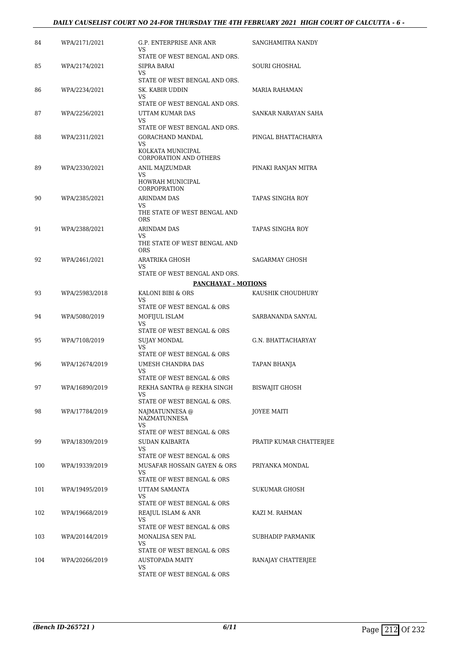### *DAILY CAUSELIST COURT NO 24-FOR THURSDAY THE 4TH FEBRUARY 2021 HIGH COURT OF CALCUTTA - 6 -*

| 84  | WPA/2171/2021  | G.P. ENTERPRISE ANR ANR                                          | SANGHAMITRA NANDY       |
|-----|----------------|------------------------------------------------------------------|-------------------------|
|     |                | VS.<br>STATE OF WEST BENGAL AND ORS.                             |                         |
| 85  | WPA/2174/2021  | SIPRA BARAI<br>VS                                                | <b>SOURI GHOSHAL</b>    |
| 86  | WPA/2234/2021  | STATE OF WEST BENGAL AND ORS.<br>SK. KABIR UDDIN                 | MARIA RAHAMAN           |
|     |                | VS<br>STATE OF WEST BENGAL AND ORS.                              |                         |
| 87  | WPA/2256/2021  | UTTAM KUMAR DAS<br>VS.                                           | SANKAR NARAYAN SAHA     |
|     |                | STATE OF WEST BENGAL AND ORS.                                    |                         |
| 88  | WPA/2311/2021  | GORACHAND MANDAL<br>VS<br>KOLKATA MUNICIPAL                      | PINGAL BHATTACHARYA     |
|     |                | <b>CORPORATION AND OTHERS</b>                                    |                         |
| 89  | WPA/2330/2021  | ANIL MAJZUMDAR                                                   | PINAKI RANJAN MITRA     |
|     |                | VS<br>HOWRAH MUNICIPAL<br><b>CORPOPRATION</b>                    |                         |
| 90  | WPA/2385/2021  | <b>ARINDAM DAS</b>                                               | TAPAS SINGHA ROY        |
|     |                | VS.<br>THE STATE OF WEST BENGAL AND<br><b>ORS</b>                |                         |
| 91  | WPA/2388/2021  | ARINDAM DAS                                                      | TAPAS SINGHA ROY        |
|     |                | VS<br>THE STATE OF WEST BENGAL AND<br><b>ORS</b>                 |                         |
| 92  | WPA/2461/2021  | ARATRIKA GHOSH<br>VS                                             | SAGARMAY GHOSH          |
|     |                | STATE OF WEST BENGAL AND ORS.                                    |                         |
|     |                | <b>PANCHAYAT - MOTIONS</b>                                       |                         |
| 93  | WPA/25983/2018 | KALONI BIBI & ORS<br>VS                                          | KAUSHIK CHOUDHURY       |
| 94  | WPA/5080/2019  | STATE OF WEST BENGAL & ORS<br>MOFIJUL ISLAM<br>VS                | SARBANANDA SANYAL       |
|     |                | STATE OF WEST BENGAL & ORS                                       |                         |
| 95  | WPA/7108/2019  | <b>SUJAY MONDAL</b><br>VS.                                       | G.N. BHATTACHARYAY      |
|     |                | STATE OF WEST BENGAL & ORS                                       |                         |
| 96  | WPA/12674/2019 | UMESH CHANDRA DAS<br>VS<br>STATE OF WEST BENGAL & ORS            | <b>TAPAN BHANJA</b>     |
| 97  | WPA/16890/2019 | REKHA SANTRA @ REKHA SINGH                                       | <b>BISWAJIT GHOSH</b>   |
|     |                | VS<br>STATE OF WEST BENGAL & ORS.                                |                         |
| 98  | WPA/17784/2019 | NAJMATUNNESA @<br>NAZMATUNNESA                                   | JOYEE MAITI             |
|     |                | VS<br>STATE OF WEST BENGAL & ORS                                 |                         |
| 99  | WPA/18309/2019 | SUDAN KAIBARTA                                                   | PRATIP KUMAR CHATTERJEE |
|     |                | VS                                                               |                         |
|     |                | STATE OF WEST BENGAL & ORS                                       |                         |
| 100 | WPA/19339/2019 | MUSAFAR HOSSAIN GAYEN & ORS<br>VS.<br>STATE OF WEST BENGAL & ORS | PRIYANKA MONDAL         |
| 101 | WPA/19495/2019 | UTTAM SAMANTA                                                    | SUKUMAR GHOSH           |
|     |                | VS                                                               |                         |
| 102 | WPA/19668/2019 | STATE OF WEST BENGAL & ORS<br>REAJUL ISLAM & ANR                 | KAZI M. RAHMAN          |
|     |                | VS                                                               |                         |
|     |                | STATE OF WEST BENGAL & ORS                                       |                         |
| 103 | WPA/20144/2019 | MONALISA SEN PAL<br>VS                                           | SUBHADIP PARMANIK       |
|     |                | STATE OF WEST BENGAL & ORS                                       |                         |
| 104 | WPA/20266/2019 | <b>AUSTOPADA MAITY</b><br>VS.                                    | RANAJAY CHATTERJEE      |
|     |                | STATE OF WEST BENGAL & ORS                                       |                         |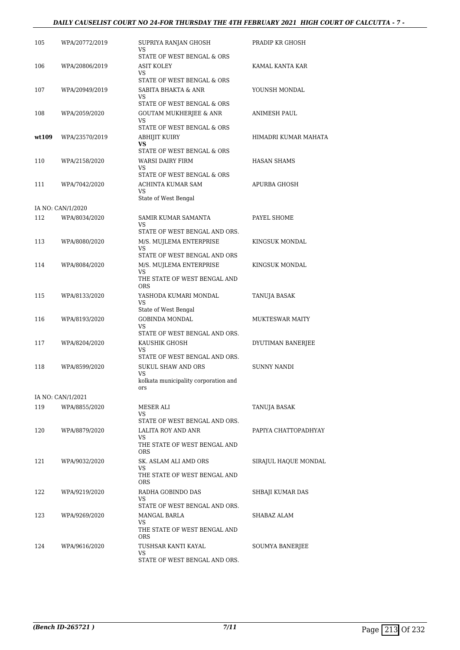### *DAILY CAUSELIST COURT NO 24-FOR THURSDAY THE 4TH FEBRUARY 2021 HIGH COURT OF CALCUTTA - 7 -*

| 105   | WPA/20772/2019    | SUPRIYA RANJAN GHOSH<br>VS                                                                        | PRADIP KR GHOSH        |
|-------|-------------------|---------------------------------------------------------------------------------------------------|------------------------|
| 106   | WPA/20806/2019    | STATE OF WEST BENGAL & ORS<br>ASIT KOLEY<br>VS                                                    | KAMAL KANTA KAR        |
| 107   | WPA/20949/2019    | STATE OF WEST BENGAL & ORS<br>SABITA BHAKTA & ANR<br>VS                                           | YOUNSH MONDAL          |
| 108   | WPA/2059/2020     | STATE OF WEST BENGAL & ORS<br><b>GOUTAM MUKHERJEE &amp; ANR</b><br>VS                             | ANIMESH PAUL           |
| wt109 | WPA/23570/2019    | STATE OF WEST BENGAL & ORS<br>ABHIJIT KUIRY<br>VS.                                                | HIMADRI KUMAR MAHATA   |
| 110   | WPA/2158/2020     | STATE OF WEST BENGAL & ORS<br>WARSI DAIRY FIRM<br>VS<br>STATE OF WEST BENGAL & ORS                | <b>HASAN SHAMS</b>     |
| 111   | WPA/7042/2020     | ACHINTA KUMAR SAM<br>VS                                                                           | APURBA GHOSH           |
|       | IA NO: CAN/1/2020 | State of West Bengal                                                                              |                        |
| 112   | WPA/8034/2020     | SAMIR KUMAR SAMANTA<br>VS                                                                         | PAYEL SHOME            |
| 113   | WPA/8080/2020     | STATE OF WEST BENGAL AND ORS.<br>M/S. MUJLEMA ENTERPRISE<br>VS<br>STATE OF WEST BENGAL AND ORS    | KINGSUK MONDAL         |
| 114   | WPA/8084/2020     | M/S. MUJLEMA ENTERPRISE<br>VS<br>THE STATE OF WEST BENGAL AND                                     | KINGSUK MONDAL         |
| 115   | WPA/8133/2020     | <b>ORS</b><br>YASHODA KUMARI MONDAL<br>VS                                                         | TANUJA BASAK           |
| 116   | WPA/8193/2020     | State of West Bengal<br><b>GOBINDA MONDAL</b><br>VS.<br>STATE OF WEST BENGAL AND ORS.             | <b>MUKTESWAR MAITY</b> |
| 117   | WPA/8204/2020     | KAUSHIK GHOSH<br>VS<br>STATE OF WEST BENGAL AND ORS.                                              | DYUTIMAN BANERJEE      |
| 118   | WPA/8599/2020     | <b>SUKUL SHAW AND ORS</b><br>VS<br>kolkata municipality corporation and<br>ors                    | <b>SUNNY NANDI</b>     |
|       | IA NO: CAN/1/2021 |                                                                                                   |                        |
| 119   | WPA/8855/2020     | MESER ALI<br>VS<br>STATE OF WEST BENGAL AND ORS.                                                  | TANUJA BASAK           |
| 120   | WPA/8879/2020     | LALITA ROY AND ANR<br>VS<br>THE STATE OF WEST BENGAL AND<br><b>ORS</b>                            | PAPIYA CHATTOPADHYAY   |
| 121   | WPA/9032/2020     | SK. ASLAM ALI AMD ORS<br>VS.<br>THE STATE OF WEST BENGAL AND<br><b>ORS</b>                        | SIRAJUL HAQUE MONDAL   |
| 122   | WPA/9219/2020     | RADHA GOBINDO DAS<br>VS                                                                           | SHBAJI KUMAR DAS       |
| 123   | WPA/9269/2020     | STATE OF WEST BENGAL AND ORS.<br>MANGAL BARLA<br>VS<br>THE STATE OF WEST BENGAL AND<br><b>ORS</b> | SHABAZ ALAM            |
| 124   | WPA/9616/2020     | TUSHSAR KANTI KAYAL<br>VS<br>STATE OF WEST BENGAL AND ORS.                                        | SOUMYA BANERJEE        |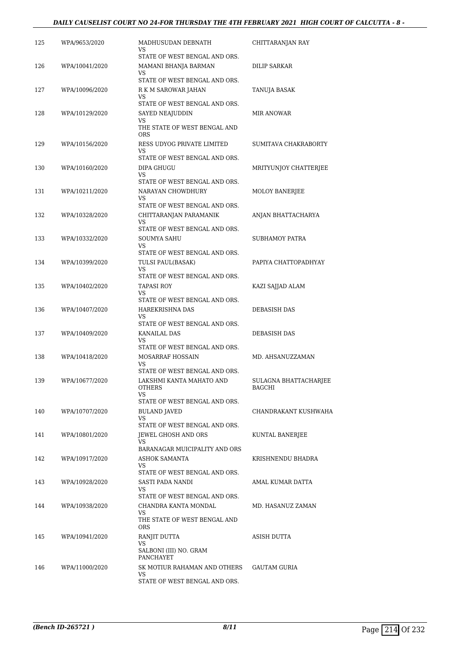### *DAILY CAUSELIST COURT NO 24-FOR THURSDAY THE 4TH FEBRUARY 2021 HIGH COURT OF CALCUTTA - 8 -*

| 125 | WPA/9653/2020  | MADHUSUDAN DEBNATH                                                                    | CHITTARANJAN RAY                       |
|-----|----------------|---------------------------------------------------------------------------------------|----------------------------------------|
|     |                | VS<br>STATE OF WEST BENGAL AND ORS.                                                   |                                        |
| 126 | WPA/10041/2020 | MAMANI BHANJA BARMAN<br>VS                                                            | DILIP SARKAR                           |
| 127 | WPA/10096/2020 | STATE OF WEST BENGAL AND ORS.<br>R K M SAROWAR JAHAN                                  | TANUJA BASAK                           |
|     |                | VS<br>STATE OF WEST BENGAL AND ORS.                                                   |                                        |
| 128 | WPA/10129/2020 | SAYED NEAJUDDIN<br>VS<br>THE STATE OF WEST BENGAL AND<br><b>ORS</b>                   | MIR ANOWAR                             |
| 129 | WPA/10156/2020 | RESS UDYOG PRIVATE LIMITED<br>VS                                                      | SUMITAVA CHAKRABORTY                   |
| 130 | WPA/10160/2020 | STATE OF WEST BENGAL AND ORS.<br>DIPA GHUGU<br>VS                                     | MRITYUNJOY CHATTERJEE                  |
| 131 | WPA/10211/2020 | STATE OF WEST BENGAL AND ORS.<br>NARAYAN CHOWDHURY<br>VS                              | <b>MOLOY BANERJEE</b>                  |
| 132 | WPA/10328/2020 | STATE OF WEST BENGAL AND ORS.<br>CHITTARANJAN PARAMANIK<br>VS                         | ANJAN BHATTACHARYA                     |
| 133 | WPA/10332/2020 | STATE OF WEST BENGAL AND ORS.<br><b>SOUMYA SAHU</b><br>VS                             | SUBHAMOY PATRA                         |
| 134 | WPA/10399/2020 | STATE OF WEST BENGAL AND ORS.<br>TULSI PAUL(BASAK)<br>VS                              | PAPIYA CHATTOPADHYAY                   |
| 135 | WPA/10402/2020 | STATE OF WEST BENGAL AND ORS.<br>TAPASI ROY<br>VS                                     | KAZI SAJJAD ALAM                       |
| 136 | WPA/10407/2020 | STATE OF WEST BENGAL AND ORS.<br>HAREKRISHNA DAS<br>VS                                | <b>DEBASISH DAS</b>                    |
| 137 | WPA/10409/2020 | STATE OF WEST BENGAL AND ORS.<br>KANAILAL DAS<br>VS                                   | <b>DEBASISH DAS</b>                    |
| 138 | WPA/10418/2020 | STATE OF WEST BENGAL AND ORS.<br>MOSARRAF HOSSAIN<br>VS                               | MD. AHSANUZZAMAN                       |
| 139 | WPA/10677/2020 | STATE OF WEST BENGAL AND ORS.<br>LAKSHMI KANTA MAHATO AND<br>OTHERS<br>VS.            | <b>SULAGNA BHATTACHARJEE</b><br>BAGCHI |
| 140 | WPA/10707/2020 | STATE OF WEST BENGAL AND ORS.<br><b>BULAND JAVED</b><br>VS                            | CHANDRAKANT KUSHWAHA                   |
| 141 | WPA/10801/2020 | STATE OF WEST BENGAL AND ORS.<br>JEWEL GHOSH AND ORS<br>VS                            | KUNTAL BANERJEE                        |
| 142 | WPA/10917/2020 | BARANAGAR MUICIPALITY AND ORS<br>ASHOK SAMANTA<br>VS<br>STATE OF WEST BENGAL AND ORS. | KRISHNENDU BHADRA                      |
| 143 | WPA/10928/2020 | SASTI PADA NANDI<br>VS.<br>STATE OF WEST BENGAL AND ORS.                              | AMAL KUMAR DATTA                       |
| 144 | WPA/10938/2020 | CHANDRA KANTA MONDAL<br>VS<br>THE STATE OF WEST BENGAL AND<br><b>ORS</b>              | MD. HASANUZ ZAMAN                      |
| 145 | WPA/10941/2020 | RANJIT DUTTA<br>VS<br>SALBONI (III) NO. GRAM<br>PANCHAYET                             | ASISH DUTTA                            |
| 146 | WPA/11000/2020 | SK MOTIUR RAHAMAN AND OTHERS<br>VS<br>STATE OF WEST BENGAL AND ORS.                   | GAUTAM GURIA                           |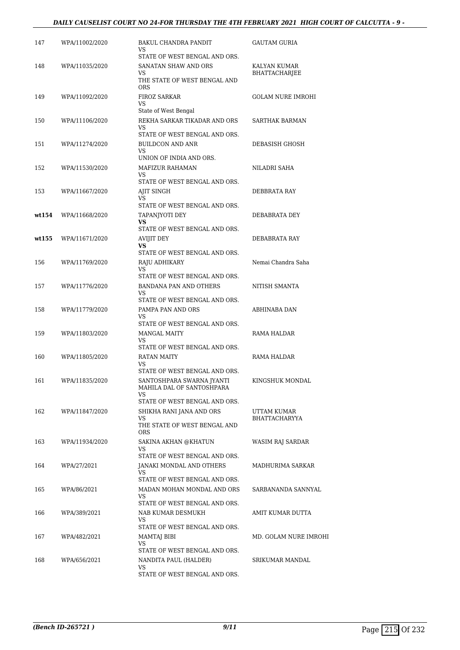## *DAILY CAUSELIST COURT NO 24-FOR THURSDAY THE 4TH FEBRUARY 2021 HIGH COURT OF CALCUTTA - 9 -*

| 147   | WPA/11002/2020 | BAKUL CHANDRA PANDIT                                          | <b>GAUTAM GURIA</b>      |
|-------|----------------|---------------------------------------------------------------|--------------------------|
|       |                | VS                                                            |                          |
| 148   | WPA/11035/2020 | STATE OF WEST BENGAL AND ORS.<br>SANATAN SHAW AND ORS         | KALYAN KUMAR             |
|       |                | VS<br>THE STATE OF WEST BENGAL AND                            | <b>BHATTACHARJEE</b>     |
|       |                | <b>ORS</b>                                                    |                          |
| 149   | WPA/11092/2020 | <b>FIROZ SARKAR</b><br>VS                                     | <b>GOLAM NURE IMROHI</b> |
|       |                | State of West Bengal                                          |                          |
| 150   | WPA/11106/2020 | REKHA SARKAR TIKADAR AND ORS<br>VS                            | <b>SARTHAK BARMAN</b>    |
|       |                | STATE OF WEST BENGAL AND ORS.                                 |                          |
| 151   | WPA/11274/2020 | BUILDCON AND ANR<br>VS                                        | DEBASISH GHOSH           |
|       |                | UNION OF INDIA AND ORS.                                       |                          |
| 152   | WPA/11530/2020 | MAFIZUR RAHAMAN<br>VS                                         | NILADRI SAHA             |
|       |                | STATE OF WEST BENGAL AND ORS.                                 |                          |
| 153   | WPA/11667/2020 | AJIT SINGH                                                    | DEBBRATA RAY             |
|       |                | VS<br>STATE OF WEST BENGAL AND ORS.                           |                          |
| wt154 | WPA/11668/2020 | TAPANJYOTI DEY                                                | DEBABRATA DEY            |
|       |                | VS<br>STATE OF WEST BENGAL AND ORS.                           |                          |
| wt155 | WPA/11671/2020 | AVIJIT DEY                                                    | DEBABRATA RAY            |
|       |                | <b>VS</b><br>STATE OF WEST BENGAL AND ORS.                    |                          |
| 156   | WPA/11769/2020 | RAJU ADHIKARY                                                 | Nemai Chandra Saha       |
|       |                | VS                                                            |                          |
| 157   | WPA/11776/2020 | STATE OF WEST BENGAL AND ORS.<br>BANDANA PAN AND OTHERS       | NITISH SMANTA            |
|       |                | VS                                                            |                          |
|       |                | STATE OF WEST BENGAL AND ORS.                                 |                          |
| 158   | WPA/11779/2020 | PAMPA PAN AND ORS<br>VS                                       | ABHINABA DAN             |
|       |                | STATE OF WEST BENGAL AND ORS.                                 |                          |
| 159   | WPA/11803/2020 | <b>MANGAL MAITY</b><br>VS                                     | RAMA HALDAR              |
|       |                | STATE OF WEST BENGAL AND ORS.                                 |                          |
| 160   | WPA/11805/2020 | RATAN MAITY<br>VS                                             | RAMA HALDAR              |
|       |                | STATE OF WEST BENGAL AND ORS.                                 |                          |
| 161   | WPA/11835/2020 | SANTOSHPARA SWARNA JYANTI<br>MAHILA DAL OF SANTOSHPARA<br>VS. | KINGSHUK MONDAL          |
|       |                | STATE OF WEST BENGAL AND ORS.                                 |                          |
| 162   | WPA/11847/2020 | SHIKHA RANI JANA AND ORS<br>VS.                               | UTTAM KUMAR              |
|       |                | THE STATE OF WEST BENGAL AND<br><b>ORS</b>                    | BHATTACHARYYA            |
| 163   | WPA/11934/2020 | SAKINA AKHAN @KHATUN                                          | <b>WASIM RAJ SARDAR</b>  |
|       |                | VS.<br>STATE OF WEST BENGAL AND ORS.                          |                          |
| 164   | WPA/27/2021    | JANAKI MONDAL AND OTHERS                                      | MADHURIMA SARKAR         |
|       |                | VS<br>STATE OF WEST BENGAL AND ORS.                           |                          |
| 165   | WPA/86/2021    | MADAN MOHAN MONDAL AND ORS                                    | SARBANANDA SANNYAL       |
|       |                | VS<br>STATE OF WEST BENGAL AND ORS.                           |                          |
| 166   | WPA/389/2021   | NAB KUMAR DESMUKH                                             | AMIT KUMAR DUTTA         |
|       |                | VS.<br>STATE OF WEST BENGAL AND ORS.                          |                          |
| 167   | WPA/482/2021   | MAMTAJ BIBI                                                   | MD. GOLAM NURE IMROHI    |
|       |                | VS<br>STATE OF WEST BENGAL AND ORS.                           |                          |
| 168   | WPA/656/2021   | NANDITA PAUL (HALDER)                                         | SRIKUMAR MANDAL          |
|       |                | VS                                                            |                          |
|       |                | STATE OF WEST BENGAL AND ORS.                                 |                          |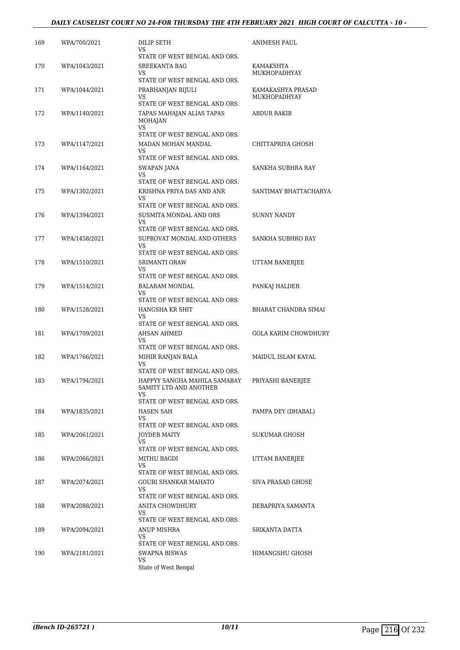## *DAILY CAUSELIST COURT NO 24-FOR THURSDAY THE 4TH FEBRUARY 2021 HIGH COURT OF CALCUTTA - 10 -*

| 169 | WPA/700/2021  | <b>DILIP SETH</b><br>VS.<br>STATE OF WEST BENGAL AND ORS.                                   | <b>ANIMESH PAUL</b>               |
|-----|---------------|---------------------------------------------------------------------------------------------|-----------------------------------|
| 170 | WPA/1043/2021 | <b>SREEKANTA BAG</b><br>VS<br>STATE OF WEST BENGAL AND ORS.                                 | KAMAKSHYA<br>MUKHOPADHYAY         |
| 171 | WPA/1044/2021 | PRABHANJAN BIJULI<br>VS<br>STATE OF WEST BENGAL AND ORS.                                    | KAMAKASHYA PRASAD<br>MUKHOPADHYAY |
| 172 | WPA/1140/2021 | TAPAS MAHAJAN ALIAS TAPAS<br><b>MOHAJAN</b><br>VS<br>STATE OF WEST BENGAL AND ORS.          | ABDUR RAKIB                       |
| 173 | WPA/1147/2021 | MADAN MOHAN MANDAL<br>VS.<br>STATE OF WEST BENGAL AND ORS.                                  | CHITTAPRIYA GHOSH                 |
| 174 | WPA/1164/2021 | SWAPAN JANA<br>VS<br>STATE OF WEST BENGAL AND ORS.                                          | SANKHA SUBHRA RAY                 |
| 175 | WPA/1302/2021 | KRISHNA PRIYA DAS AND ANR<br>VS<br>STATE OF WEST BENGAL AND ORS.                            | SANTIMAY BHATTACHARYA             |
| 176 | WPA/1394/2021 | SUSMITA MONDAL AND ORS<br>VS<br>STATE OF WEST BENGAL AND ORS.                               | <b>SUNNY NANDY</b>                |
| 177 | WPA/1458/2021 | SUPROVAT MONDAL AND OTHERS<br>VS<br>STATE OF WEST BENGAL AND ORS.                           | SANKHA SUBHRO RAY                 |
| 178 | WPA/1510/2021 | <b>SRIMANTI ORAW</b><br>VS<br>STATE OF WEST BENGAL AND ORS.                                 | UTTAM BANERJEE                    |
| 179 | WPA/1514/2021 | BALARAM MONDAL<br>VS<br>STATE OF WEST BENGAL AND ORS.                                       | PANKAJ HALDER                     |
| 180 | WPA/1528/2021 | HANGSHA KR SHIT<br>VS<br>STATE OF WEST BENGAL AND ORS.                                      | <b>BHARAT CHANDRA SIMAI</b>       |
| 181 | WPA/1709/2021 | AHSAN AHMED<br>VS<br>STATE OF WEST BENGAL AND ORS.                                          | <b>GOLA KARIM CHOWDHURY</b>       |
| 182 | WPA/1766/2021 | MIHIR RANJAN BALA<br>VS.<br>STATE OF WEST BENGAL AND ORS.                                   | MAIDUL ISLAM KAYAL                |
| 183 | WPA/1794/2021 | HAPPYY SANGHA MAHILA SAMABAY<br>SAMITY LTD AND ANOTHER<br>VS                                | PRIYASHI BANERJEE                 |
| 184 | WPA/1835/2021 | STATE OF WEST BENGAL AND ORS.<br>HASEN SAH<br>VS                                            | PAMPA DEY (DHABAL)                |
| 185 | WPA/2061/2021 | STATE OF WEST BENGAL AND ORS.<br><b>JOYDEB MAITY</b><br>VS<br>STATE OF WEST BENGAL AND ORS. | SUKUMAR GHOSH                     |
| 186 | WPA/2066/2021 | MITHU BAGDI<br>VS.<br>STATE OF WEST BENGAL AND ORS.                                         | UTTAM BANERJEE                    |
| 187 | WPA/2074/2021 | <b>GOURI SHANKAR MAHATO</b><br>VS.<br>STATE OF WEST BENGAL AND ORS.                         | <b>SIVA PRASAD GHOSE</b>          |
| 188 | WPA/2088/2021 | ANITA CHOWDHURY<br>VS.<br>STATE OF WEST BENGAL AND ORS.                                     | DEBAPRIYA SAMANTA                 |
| 189 | WPA/2094/2021 | ANUP MISHRA<br>VS.<br>STATE OF WEST BENGAL AND ORS.                                         | SRIKANTA DATTA                    |
| 190 | WPA/2181/2021 | SWAPNA BISWAS<br>VS<br>State of West Bengal                                                 | HIMANGSHU GHOSH                   |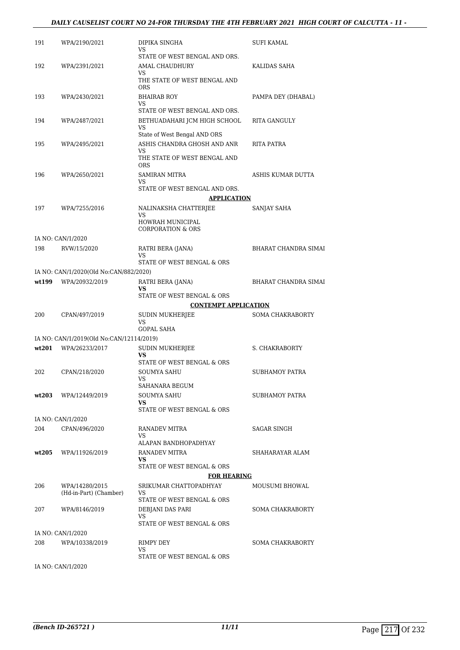#### *DAILY CAUSELIST COURT NO 24-FOR THURSDAY THE 4TH FEBRUARY 2021 HIGH COURT OF CALCUTTA - 11 -*

| 191   | WPA/2190/2021                            | DIPIKA SINGHA<br>VS.                                         | SUFI KAMAL              |
|-------|------------------------------------------|--------------------------------------------------------------|-------------------------|
|       |                                          | STATE OF WEST BENGAL AND ORS.                                |                         |
| 192   | WPA/2391/2021                            | AMAL CHAUDHURY<br>VS<br>THE STATE OF WEST BENGAL AND<br>ORS. | KALIDAS SAHA            |
| 193   | WPA/2430/2021                            | <b>BHAIRAB ROY</b><br>VS                                     | PAMPA DEY (DHABAL)      |
|       |                                          | STATE OF WEST BENGAL AND ORS.                                |                         |
| 194   | WPA/2487/2021                            | BETHUADAHARI JCM HIGH SCHOOL<br>VS                           | RITA GANGULY            |
| 195   | WPA/2495/2021                            | State of West Bengal AND ORS<br>ASHIS CHANDRA GHOSH AND ANR  | RITA PATRA              |
|       |                                          | VS<br>THE STATE OF WEST BENGAL AND<br><b>ORS</b>             |                         |
| 196   | WPA/2650/2021                            | <b>SAMIRAN MITRA</b><br>VS                                   | ASHIS KUMAR DUTTA       |
|       |                                          | STATE OF WEST BENGAL AND ORS.                                |                         |
|       |                                          | <b>APPLICATION</b>                                           |                         |
| 197   | WPA/7255/2016                            | NALINAKSHA CHATTERJEE                                        | SANJAY SAHA             |
|       |                                          | VS.<br>HOWRAH MUNICIPAL<br><b>CORPORATION &amp; ORS</b>      |                         |
|       | IA NO: CAN/1/2020                        |                                                              |                         |
| 198   | RVW/15/2020                              | RATRI BERA (JANA)                                            | BHARAT CHANDRA SIMAI    |
|       |                                          | VS<br>STATE OF WEST BENGAL & ORS                             |                         |
|       | IA NO: CAN/1/2020(Old No:CAN/882/2020)   |                                                              |                         |
| wt199 | WPA/20932/2019                           | RATRI BERA (JANA)<br>VS                                      | BHARAT CHANDRA SIMAI    |
|       |                                          | STATE OF WEST BENGAL & ORS                                   |                         |
|       |                                          | <b>CONTEMPT APPLICATION</b>                                  |                         |
| 200   | CPAN/497/2019                            | SUDIN MUKHERJEE<br>VS<br><b>GOPAL SAHA</b>                   | <b>SOMA CHAKRABORTY</b> |
|       | IA NO: CAN/1/2019(Old No:CAN/12114/2019) |                                                              |                         |
| wt201 | WPA/26233/2017                           | <b>SUDIN MUKHERJEE</b><br>VS                                 | S. CHAKRABORTY          |
|       |                                          | STATE OF WEST BENGAL & ORS                                   |                         |
| 202   | CPAN/218/2020                            | SOUMYA SAHU<br>VS                                            | SUBHAMOY PATRA          |
|       |                                          | SAHANARA BEGUM                                               |                         |
| wt203 | WPA/12449/2019                           | SOUMYA SAHU<br>VS                                            | SUBHAMOY PATRA          |
|       |                                          | STATE OF WEST BENGAL & ORS                                   |                         |
|       | IA NO: CAN/1/2020                        |                                                              |                         |
| 204   | CPAN/496/2020                            | RANADEV MITRA<br>VS                                          | SAGAR SINGH             |
|       |                                          | ALAPAN BANDHOPADHYAY                                         |                         |
| wt205 | WPA/11926/2019                           | RANADEV MITRA<br>VS                                          | SHAHARAYAR ALAM         |
|       |                                          | STATE OF WEST BENGAL & ORS<br><b>FOR HEARING</b>             |                         |
| 206   | WPA/14280/2015                           | SRIKUMAR CHATTOPADHYAY                                       | MOUSUMI BHOWAL          |
|       | (Hd-in-Part) (Chamber)                   | VS<br>STATE OF WEST BENGAL & ORS                             |                         |
| 207   | WPA/8146/2019                            | DEBJANI DAS PARI                                             | <b>SOMA CHAKRABORTY</b> |
|       |                                          | VS<br>STATE OF WEST BENGAL & ORS                             |                         |
|       | IA NO: CAN/1/2020                        |                                                              |                         |
| 208   | WPA/10338/2019                           | RIMPY DEY<br>VS                                              | <b>SOMA CHAKRABORTY</b> |
|       |                                          | STATE OF WEST BENGAL & ORS                                   |                         |
|       | IA NO: CAN/1/2020                        |                                                              |                         |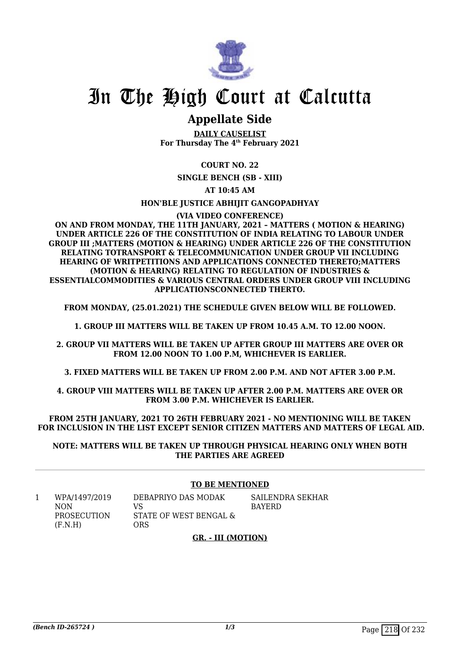

# In The High Court at Calcutta

# **Appellate Side**

**DAILY CAUSELIST For Thursday The 4th February 2021**

**COURT NO. 22**

**SINGLE BENCH (SB - XIII)**

**AT 10:45 AM**

**HON'BLE JUSTICE ABHIJIT GANGOPADHYAY**

#### **(VIA VIDEO CONFERENCE)**

**ON AND FROM MONDAY, THE 11TH JANUARY, 2021 – MATTERS ( MOTION & HEARING) UNDER ARTICLE 226 OF THE CONSTITUTION OF INDIA RELATING TO LABOUR UNDER GROUP III ;MATTERS (MOTION & HEARING) UNDER ARTICLE 226 OF THE CONSTITUTION RELATING TOTRANSPORT & TELECOMMUNICATION UNDER GROUP VII INCLUDING HEARING OF WRITPETITIONS AND APPLICATIONS CONNECTED THERETO;MATTERS (MOTION & HEARING) RELATING TO REGULATION OF INDUSTRIES & ESSENTIALCOMMODITIES & VARIOUS CENTRAL ORDERS UNDER GROUP VIII INCLUDING APPLICATIONSCONNECTED THERTO.**

**FROM MONDAY, (25.01.2021) THE SCHEDULE GIVEN BELOW WILL BE FOLLOWED.**

**1. GROUP III MATTERS WILL BE TAKEN UP FROM 10.45 A.M. TO 12.00 NOON.**

**2. GROUP VII MATTERS WILL BE TAKEN UP AFTER GROUP III MATTERS ARE OVER OR FROM 12.00 NOON TO 1.00 P.M, WHICHEVER IS EARLIER.**

**3. FIXED MATTERS WILL BE TAKEN UP FROM 2.00 P.M. AND NOT AFTER 3.00 P.M.**

**4. GROUP VIII MATTERS WILL BE TAKEN UP AFTER 2.00 P.M. MATTERS ARE OVER OR FROM 3.00 P.M. WHICHEVER IS EARLIER.**

**FROM 25TH JANUARY, 2021 TO 26TH FEBRUARY 2021 - NO MENTIONING WILL BE TAKEN FOR INCLUSION IN THE LIST EXCEPT SENIOR CITIZEN MATTERS AND MATTERS OF LEGAL AID.**

**NOTE: MATTERS WILL BE TAKEN UP THROUGH PHYSICAL HEARING ONLY WHEN BOTH THE PARTIES ARE AGREED**

#### **TO BE MENTIONED**

1 WPA/1497/2019 NON PROSECUTION  $(F.N.H)$ DEBAPRIYO DAS MODAK VS STATE OF WEST BENGAL & **ORS** SAILENDRA SEKHAR BAYERD

# **GR. - III (MOTION)**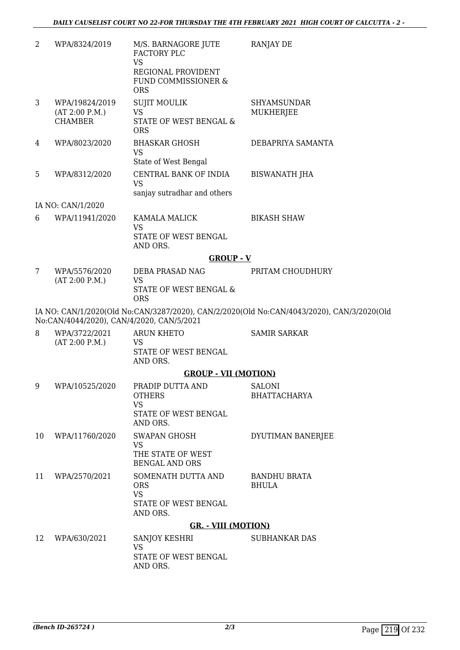| 2  | WPA/8324/2019                                      | M/S. BARNAGORE JUTE<br>FACTORY PLC<br><b>VS</b><br>REGIONAL PROVIDENT<br>FUND COMMISSIONER &<br><b>ORS</b> | <b>RANJAY DE</b>                                                                          |
|----|----------------------------------------------------|------------------------------------------------------------------------------------------------------------|-------------------------------------------------------------------------------------------|
| 3  | WPA/19824/2019<br>(AT 2:00 P.M.)<br><b>CHAMBER</b> | <b>SUJIT MOULIK</b><br><b>VS</b><br><b>STATE OF WEST BENGAL &amp;</b><br><b>ORS</b>                        | <b>SHYAMSUNDAR</b><br>MUKHERJEE                                                           |
| 4  | WPA/8023/2020                                      | <b>BHASKAR GHOSH</b><br><b>VS</b><br>State of West Bengal                                                  | DEBAPRIYA SAMANTA                                                                         |
| 5  | WPA/8312/2020                                      | CENTRAL BANK OF INDIA<br><b>VS</b><br>sanjay sutradhar and others                                          | <b>BISWANATH JHA</b>                                                                      |
|    | IA NO: CAN/1/2020                                  |                                                                                                            |                                                                                           |
| 6  | WPA/11941/2020                                     | <b>KAMALA MALICK</b><br><b>VS</b><br>STATE OF WEST BENGAL<br>AND ORS.                                      | <b>BIKASH SHAW</b>                                                                        |
|    |                                                    | $GROUP - V$                                                                                                |                                                                                           |
| 7  | WPA/5576/2020<br>(AT 2:00 P.M.)                    | DEBA PRASAD NAG<br><b>VS</b><br>STATE OF WEST BENGAL &<br><b>ORS</b>                                       | PRITAM CHOUDHURY                                                                          |
|    |                                                    | No:CAN/4044/2020), CAN/4/2020, CAN/5/2021                                                                  | IA NO: CAN/1/2020(Old No:CAN/3287/2020), CAN/2/2020(Old No:CAN/4043/2020), CAN/3/2020(Old |
| 8  | WPA/3722/2021<br>(AT 2:00 P.M.)                    | <b>ARUN KHETO</b><br>VS<br>STATE OF WEST BENGAL<br>AND ORS.                                                | <b>SAMIR SARKAR</b>                                                                       |
|    |                                                    | <b>GROUP - VII (MOTION)</b>                                                                                |                                                                                           |
| 9  | WPA/10525/2020                                     | PRADIP DUTTA AND<br><b>OTHERS</b><br><b>VS</b><br>STATE OF WEST BENGAL<br>AND ORS.                         | <b>SALONI</b><br><b>BHATTACHARYA</b>                                                      |
| 10 | WPA/11760/2020                                     | SWAPAN GHOSH<br><b>VS</b><br>THE STATE OF WEST<br><b>BENGAL AND ORS</b>                                    | DYUTIMAN BANERJEE                                                                         |
| 11 | WPA/2570/2021                                      | SOMENATH DUTTA AND<br><b>ORS</b><br><b>VS</b><br>STATE OF WEST BENGAL<br>AND ORS.                          | <b>BANDHU BRATA</b><br><b>BHULA</b>                                                       |
|    |                                                    | <b>GR. - VIII (MOTION)</b>                                                                                 |                                                                                           |
| 12 | WPA/630/2021                                       | SANJOY KESHRI<br>VS.<br>STATE OF WEST BENGAL<br>AND ORS.                                                   | <b>SUBHANKAR DAS</b>                                                                      |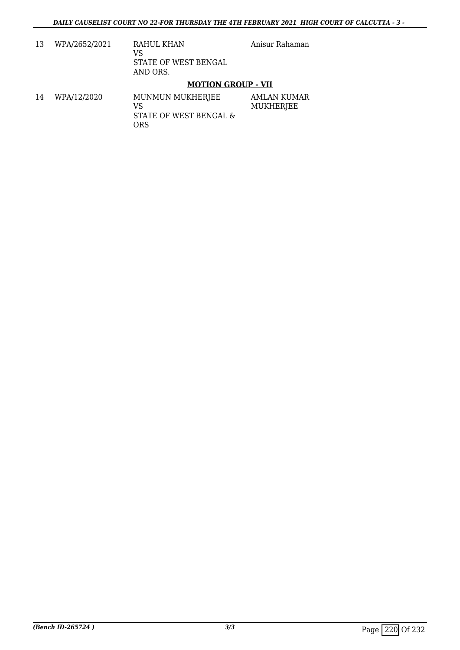Anisur Rahaman

13 WPA/2652/2021 RAHUL KHAN VS STATE OF WEST BENGAL AND ORS.

## **MOTION GROUP - VII**

14 WPA/12/2020 MUNMUN MUKHERJEE VS STATE OF WEST BENGAL & **ORS** AMLAN KUMAR MUKHERJEE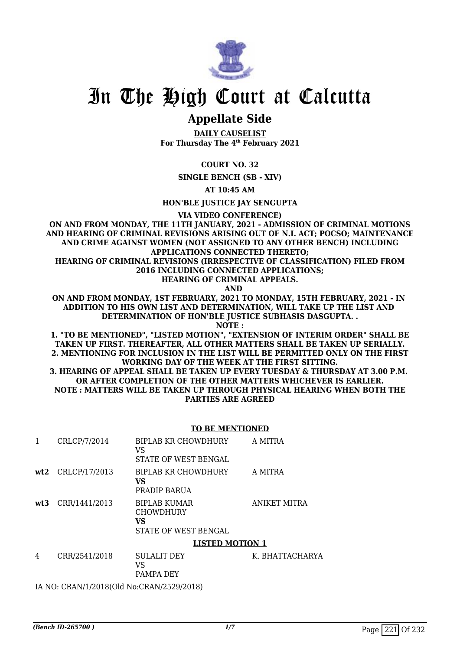

# In The High Court at Calcutta

# **Appellate Side**

**DAILY CAUSELIST For Thursday The 4th February 2021**

**COURT NO. 32**

**SINGLE BENCH (SB - XIV)**

**AT 10:45 AM**

**HON'BLE JUSTICE JAY SENGUPTA**

**VIA VIDEO CONFERENCE)**

**ON AND FROM MONDAY, THE 11TH JANUARY, 2021 - ADMISSION OF CRIMINAL MOTIONS AND HEARING OF CRIMINAL REVISIONS ARISING OUT OF N.I. ACT; POCSO; MAINTENANCE AND CRIME AGAINST WOMEN (NOT ASSIGNED TO ANY OTHER BENCH) INCLUDING APPLICATIONS CONNECTED THERETO; HEARING OF CRIMINAL REVISIONS (IRRESPECTIVE OF CLASSIFICATION) FILED FROM 2016 INCLUDING CONNECTED APPLICATIONS;**

**HEARING OF CRIMINAL APPEALS.**

 **AND**

**ON AND FROM MONDAY, 1ST FEBRUARY, 2021 TO MONDAY, 15TH FEBRUARY, 2021 - IN ADDITION TO HIS OWN LIST AND DETERMINATION, WILL TAKE UP THE LIST AND DETERMINATION OF HON'BLE JUSTICE SUBHASIS DASGUPTA. .**

**NOTE :**

**1. "TO BE MENTIONED", "LISTED MOTION", "EXTENSION OF INTERIM ORDER" SHALL BE TAKEN UP FIRST. THEREAFTER, ALL OTHER MATTERS SHALL BE TAKEN UP SERIALLY. 2. MENTIONING FOR INCLUSION IN THE LIST WILL BE PERMITTED ONLY ON THE FIRST WORKING DAY OF THE WEEK AT THE FIRST SITTING.**

**3. HEARING OF APPEAL SHALL BE TAKEN UP EVERY TUESDAY & THURSDAY AT 3.00 P.M. OR AFTER COMPLETION OF THE OTHER MATTERS WHICHEVER IS EARLIER. NOTE : MATTERS WILL BE TAKEN UP THROUGH PHYSICAL HEARING WHEN BOTH THE PARTIES ARE AGREED**

#### **TO BE MENTIONED**

| 1 | CRLCP/7/2014        | BIPLAB KR CHOWDHURY<br>VS<br>STATE OF WEST BENGAL                     | A MITRA         |
|---|---------------------|-----------------------------------------------------------------------|-----------------|
|   | $wt2$ CRLCP/17/2013 | BIPLAB KR CHOWDHURY<br><b>VS</b><br>PRADIP BARUA                      | A MITRA         |
|   | wt3 CRR/1441/2013   | <b>BIPLAB KUMAR</b><br><b>CHOWDHURY</b><br>VS<br>STATE OF WEST BENGAL | ANIKET MITRA    |
|   |                     | <b>LISTED MOTION 1</b>                                                |                 |
| 4 | CRR/2541/2018       | <b>SULALIT DEY</b>                                                    | K. BHATTACHARYA |

VS PAMPA DEY

IA NO: CRAN/1/2018(Old No:CRAN/2529/2018)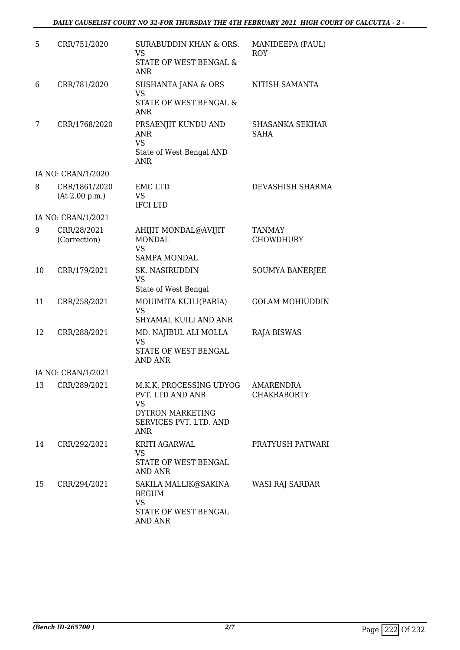# *DAILY CAUSELIST COURT NO 32-FOR THURSDAY THE 4TH FEBRUARY 2021 HIGH COURT OF CALCUTTA - 2 -*

| 5  | CRR/751/2020                | <b>SURABUDDIN KHAN &amp; ORS.</b>     | MANIDEEPA (PAUL)           |
|----|-----------------------------|---------------------------------------|----------------------------|
|    |                             | <b>VS</b>                             | <b>ROY</b>                 |
|    |                             | <b>STATE OF WEST BENGAL &amp;</b>     |                            |
|    |                             | <b>ANR</b>                            |                            |
| 6  | CRR/781/2020                | <b>SUSHANTA JANA &amp; ORS</b>        | NITISH SAMANTA             |
|    |                             | <b>VS</b><br>STATE OF WEST BENGAL &   |                            |
|    |                             | <b>ANR</b>                            |                            |
| 7  | CRR/1768/2020               | PRSAENJIT KUNDU AND                   | <b>SHASANKA SEKHAR</b>     |
|    |                             | ANR                                   | SAHA                       |
|    |                             | <b>VS</b><br>State of West Bengal AND |                            |
|    |                             | <b>ANR</b>                            |                            |
|    | IA NO: CRAN/1/2020          |                                       |                            |
| 8  | CRR/1861/2020               | <b>EMC LTD</b>                        | DEVASHISH SHARMA           |
|    | (At 2.00 p.m.)              | <b>VS</b><br><b>IFCILTD</b>           |                            |
|    | IA NO: CRAN/1/2021          |                                       |                            |
|    |                             |                                       |                            |
| 9  | CRR/28/2021<br>(Correction) | AHIJIT MONDAL@AVIJIT<br><b>MONDAL</b> | <b>TANMAY</b><br>CHOWDHURY |
|    |                             | <b>VS</b>                             |                            |
|    |                             | <b>SAMPA MONDAL</b>                   |                            |
| 10 | CRR/179/2021                | SK. NASIRUDDIN<br><b>VS</b>           | <b>SOUMYA BANERJEE</b>     |
|    |                             | State of West Bengal                  |                            |
| 11 | CRR/258/2021                | MOUIMITA KUILI(PARIA)                 | <b>GOLAM MOHIUDDIN</b>     |
|    |                             | <b>VS</b>                             |                            |
|    |                             | SHYAMAL KUILI AND ANR                 |                            |
| 12 | CRR/288/2021                | MD. NAJIBUL ALI MOLLA                 | <b>RAJA BISWAS</b>         |
|    |                             | <b>VS</b><br>STATE OF WEST BENGAL     |                            |
|    |                             | <b>AND ANR</b>                        |                            |
|    | IA NO: CRAN/1/2021          |                                       |                            |
| 13 | CRR/289/2021                | M.K.K. PROCESSING UDYOG               | <b>AMARENDRA</b>           |
|    |                             | PVT. LTD AND ANR<br><b>VS</b>         | <b>CHAKRABORTY</b>         |
|    |                             | <b>DYTRON MARKETING</b>               |                            |
|    |                             | SERVICES PVT. LTD. AND                |                            |
|    |                             | ANR                                   |                            |
| 14 | CRR/292/2021                | KRITI AGARWAL<br><b>VS</b>            | PRATYUSH PATWARI           |
|    |                             | STATE OF WEST BENGAL                  |                            |
|    |                             | AND ANR                               |                            |
| 15 | CRR/294/2021                | SAKILA MALLIK@SAKINA                  | WASI RAJ SARDAR            |
|    |                             | <b>BEGUM</b><br><b>VS</b>             |                            |
|    |                             | STATE OF WEST BENGAL                  |                            |
|    |                             | AND ANR                               |                            |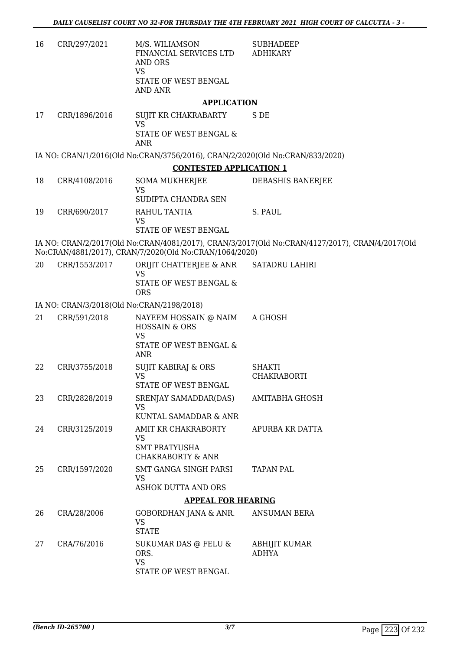| 16 | CRR/297/2021 | M/S. WILIAMSON<br>FINANCIAL SERVICES LTD<br>AND ORS<br>VS<br>STATE OF WEST BENGAL<br>AND ANR | <b>SUBHADEEP</b><br>ADHIKARY |
|----|--------------|----------------------------------------------------------------------------------------------|------------------------------|
|    |              |                                                                                              |                              |

#### **APPLICATION**

17 CRR/1896/2016 SUJIT KR CHAKRABARTY VS STATE OF WEST BENGAL & ANR S DE

IA NO: CRAN/1/2016(Old No:CRAN/3756/2016), CRAN/2/2020(Old No:CRAN/833/2020)

#### **CONTESTED APPLICATION 1**

18 CRR/4108/2016 SOMA MUKHERJEE VS SUDIPTA CHANDRA SEN DEBASHIS BANERJEE 19 CRR/690/2017 RAHUL TANTIA VS STATE OF WEST BENGAL S. PAUL

IA NO: CRAN/2/2017(Old No:CRAN/4081/2017), CRAN/3/2017(Old No:CRAN/4127/2017), CRAN/4/2017(Old No:CRAN/4881/2017), CRAN/7/2020(Old No:CRAN/1064/2020)

| 20 | CRR/1553/2017 | ORIJIT CHATTERJEE & ANR<br>STATE OF WEST BENGAL &<br>ORS | SATADRU LAHIRI |
|----|---------------|----------------------------------------------------------|----------------|
|    |               | IA NO CRANICIO ALLOCALE NA CRANICACIÓN                   |                |

#### IA NO: CRAN/3/2018(Old No:CRAN/2198/2018)

| 21 | CRR/591/2018  | NAYEEM HOSSAIN @ NAIM<br><b>HOSSAIN &amp; ORS</b><br>VS<br>STATE OF WEST BENGAL &<br>ANR | A GHOSH                       |
|----|---------------|------------------------------------------------------------------------------------------|-------------------------------|
| 22 | CRR/3755/2018 | <b>SUJIT KABIRAJ &amp; ORS</b><br>VS.<br>STATE OF WEST BENGAL                            | SHAKTI<br><b>CHAKRABORTI</b>  |
| 23 | CRR/2828/2019 | SRENJAY SAMADDAR(DAS)<br><b>VS</b><br>KUNTAL SAMADDAR & ANR                              | AMITABHA GHOSH                |
| 24 | CRR/3125/2019 | AMIT KR CHAKRABORTY<br>VS<br><b>SMT PRATYUSHA</b><br>CHAKRABORTY & ANR                   | APURBA KR DATTA               |
| 25 | CRR/1597/2020 | SMT GANGA SINGH PARSI<br>VS<br><b>ASHOK DUTTA AND ORS</b>                                | <b>TAPAN PAL</b>              |
|    |               | <b>APPEAL FOR HEARING</b>                                                                |                               |
| 26 | CRA/28/2006   | GOBORDHAN JANA & ANR.<br>VS.<br><b>STATE</b>                                             | <b>ANSUMAN BERA</b>           |
| 27 | CRA/76/2016   | SUKUMAR DAS @ FELU &<br>ORS.<br><b>VS</b><br>STATE OF WEST BENGAL                        | ABHIJIT KUMAR<br><b>ADHYA</b> |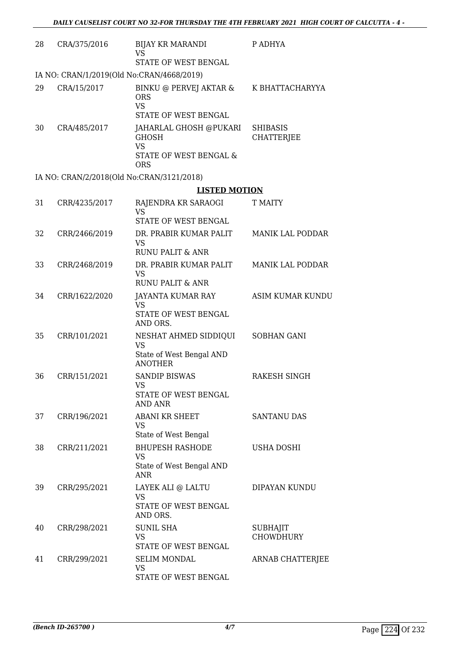| 28 | CRA/375/2016                              | <b>BIJAY KR MARANDI</b><br><b>VS</b><br>STATE OF WEST BENGAL                                | P ADHYA                              |
|----|-------------------------------------------|---------------------------------------------------------------------------------------------|--------------------------------------|
|    | IA NO: CRAN/1/2019(Old No:CRAN/4668/2019) |                                                                                             |                                      |
| 29 | CRA/15/2017                               | BINKU @ PERVEJ AKTAR &<br><b>ORS</b><br><b>VS</b><br>STATE OF WEST BENGAL                   | K BHATTACHARYYA                      |
| 30 | CRA/485/2017                              | JAHARLAL GHOSH @PUKARI<br><b>GHOSH</b><br><b>VS</b><br>STATE OF WEST BENGAL &<br><b>ORS</b> | <b>SHIBASIS</b><br><b>CHATTERJEE</b> |
|    | IA NO: CRAN/2/2018(Old No:CRAN/3121/2018) |                                                                                             |                                      |
|    |                                           | <b>LISTED MOTION</b>                                                                        |                                      |
| 31 | CRR/4235/2017                             | RAJENDRA KR SARAOGI<br><b>VS</b><br>STATE OF WEST BENGAL                                    | <b>T MAITY</b>                       |
| 32 | CRR/2466/2019                             | DR. PRABIR KUMAR PALIT<br><b>VS</b><br><b>RUNU PALIT &amp; ANR</b>                          | <b>MANIK LAL PODDAR</b>              |
| 33 | CRR/2468/2019                             | DR. PRABIR KUMAR PALIT<br>VS<br><b>RUNU PALIT &amp; ANR</b>                                 | <b>MANIK LAL PODDAR</b>              |
| 34 | CRR/1622/2020                             | JAYANTA KUMAR RAY<br>VS<br>STATE OF WEST BENGAL<br>AND ORS.                                 | <b>ASIM KUMAR KUNDU</b>              |
| 35 | CRR/101/2021                              | NESHAT AHMED SIDDIQUI<br><b>VS</b><br>State of West Bengal AND<br><b>ANOTHER</b>            | SOBHAN GANI                          |
| 36 | CRR/151/2021                              | <b>SANDIP BISWAS</b><br>vs<br>STATE OF WEST BENGAL<br><b>AND ANR</b>                        | <b>RAKESH SINGH</b>                  |
| 37 | CRR/196/2021                              | <b>ABANI KR SHEET</b><br>VS<br>State of West Bengal                                         | <b>SANTANU DAS</b>                   |
| 38 | CRR/211/2021                              | <b>BHUPESH RASHODE</b><br><b>VS</b><br>State of West Bengal AND<br><b>ANR</b>               | USHA DOSHI                           |
| 39 | CRR/295/2021                              | LAYEK ALI @ LALTU<br><b>VS</b><br>STATE OF WEST BENGAL<br>AND ORS.                          | DIPAYAN KUNDU                        |
| 40 | CRR/298/2021                              | SUNIL SHA<br><b>VS</b><br>STATE OF WEST BENGAL                                              | <b>SUBHAJIT</b><br><b>CHOWDHURY</b>  |
| 41 | CRR/299/2021                              | <b>SELIM MONDAL</b><br>VS<br>STATE OF WEST BENGAL                                           | ARNAB CHATTERJEE                     |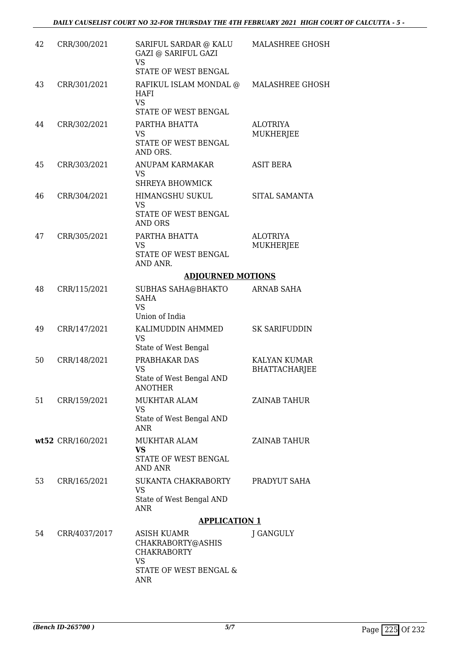| 42 | CRR/300/2021      | SARIFUL SARDAR @ KALU<br><b>GAZI @ SARIFUL GAZI</b><br><b>VS</b><br>STATE OF WEST BENGAL             | <b>MALASHREE GHOSH</b>                      |
|----|-------------------|------------------------------------------------------------------------------------------------------|---------------------------------------------|
| 43 | CRR/301/2021      | RAFIKUL ISLAM MONDAL @ MALASHREE GHOSH<br>HAFI<br><b>VS</b><br>STATE OF WEST BENGAL                  |                                             |
| 44 | CRR/302/2021      | PARTHA BHATTA<br><b>VS</b><br>STATE OF WEST BENGAL<br>AND ORS.                                       | <b>ALOTRIYA</b><br>MUKHERJEE                |
| 45 | CRR/303/2021      | ANUPAM KARMAKAR<br>VS<br><b>SHREYA BHOWMICK</b>                                                      | <b>ASIT BERA</b>                            |
| 46 | CRR/304/2021      | HIMANGSHU SUKUL<br><b>VS</b><br>STATE OF WEST BENGAL<br><b>AND ORS</b>                               | SITAL SAMANTA                               |
| 47 | CRR/305/2021      | PARTHA BHATTA<br><b>VS</b><br>STATE OF WEST BENGAL<br>AND ANR.                                       | <b>ALOTRIYA</b><br><b>MUKHERJEE</b>         |
|    |                   | <b>ADJOURNED MOTIONS</b>                                                                             |                                             |
| 48 | CRR/115/2021      | <b>SUBHAS SAHA@BHAKTO</b><br><b>SAHA</b><br>VS.<br>Union of India                                    | <b>ARNAB SAHA</b>                           |
| 49 | CRR/147/2021      | KALIMUDDIN AHMMED<br><b>VS</b><br>State of West Bengal                                               | <b>SK SARIFUDDIN</b>                        |
| 50 | CRR/148/2021      | PRABHAKAR DAS<br><b>VS</b><br>State of West Bengal AND<br><b>ANOTHER</b>                             | <b>KALYAN KUMAR</b><br><b>BHATTACHARJEE</b> |
| 51 | CRR/159/2021      | <b>MUKHTAR ALAM</b><br>VS<br>State of West Bengal AND<br><b>ANR</b>                                  | ZAINAB TAHUR                                |
|    | wt52 CRR/160/2021 | MUKHTAR ALAM<br><b>VS</b><br>STATE OF WEST BENGAL<br><b>AND ANR</b>                                  | ZAINAB TAHUR                                |
| 53 | CRR/165/2021      | SUKANTA CHAKRABORTY<br>VS<br>State of West Bengal AND<br>ANR                                         | PRADYUT SAHA                                |
|    |                   | <b>APPLICATION 1</b>                                                                                 |                                             |
| 54 | CRR/4037/2017     | <b>ASISH KUAMR</b><br>CHAKRABORTY@ASHIS<br><b>CHAKRABORTY</b><br><b>VS</b><br>STATE OF WEST BENGAL & | J GANGULY                                   |

ANR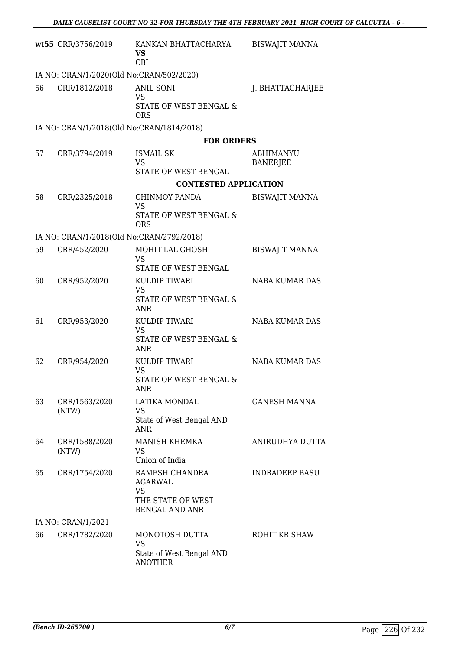|    | wt55 CRR/3756/2019                        | KANKAN BHATTACHARYA<br><b>VS</b><br><b>CBI</b>                                       | <b>BISWAJIT MANNA</b>        |
|----|-------------------------------------------|--------------------------------------------------------------------------------------|------------------------------|
|    | IA NO: CRAN/1/2020(Old No:CRAN/502/2020)  |                                                                                      |                              |
| 56 | CRR/1812/2018                             | <b>ANIL SONI</b><br><b>VS</b><br>STATE OF WEST BENGAL &<br><b>ORS</b>                | J. BHATTACHARJEE             |
|    | IA NO: CRAN/1/2018(Old No:CRAN/1814/2018) |                                                                                      |                              |
| 57 | CRR/3794/2019                             | <b>FOR ORDERS</b><br><b>ISMAIL SK</b><br><b>VS</b><br>STATE OF WEST BENGAL           | ABHIMANYU<br><b>BANERJEE</b> |
|    |                                           | <b>CONTESTED APPLICATION</b>                                                         |                              |
| 58 | CRR/2325/2018                             | <b>CHINMOY PANDA</b><br><b>VS</b><br>STATE OF WEST BENGAL &<br><b>ORS</b>            | <b>BISWAJIT MANNA</b>        |
|    | IA NO: CRAN/1/2018(Old No:CRAN/2792/2018) |                                                                                      |                              |
| 59 | CRR/452/2020                              | MOHIT LAL GHOSH<br><b>VS</b><br>STATE OF WEST BENGAL                                 | <b>BISWAJIT MANNA</b>        |
| 60 | CRR/952/2020                              | KULDIP TIWARI<br>VS<br>STATE OF WEST BENGAL &<br><b>ANR</b>                          | NABA KUMAR DAS               |
| 61 | CRR/953/2020                              | KULDIP TIWARI<br><b>VS</b><br>STATE OF WEST BENGAL &<br><b>ANR</b>                   | <b>NABA KUMAR DAS</b>        |
| 62 | CRR/954/2020                              | KULDIP TIWARI<br><b>VS</b><br>STATE OF WEST BENGAL &<br>ANR                          | NABA KUMAR DAS               |
| 63 | CRR/1563/2020<br>(NTW)                    | <b>LATIKA MONDAL</b><br><b>VS</b><br>State of West Bengal AND<br><b>ANR</b>          | <b>GANESH MANNA</b>          |
| 64 | CRR/1588/2020<br>(NTW)                    | MANISH KHEMKA<br>VS<br>Union of India                                                | ANIRUDHYA DUTTA              |
| 65 | CRR/1754/2020                             | RAMESH CHANDRA<br>AGARWAL<br><b>VS</b><br>THE STATE OF WEST<br><b>BENGAL AND ANR</b> | <b>INDRADEEP BASU</b>        |
|    | IA NO: CRAN/1/2021                        |                                                                                      |                              |
| 66 | CRR/1782/2020                             | MONOTOSH DUTTA<br><b>VS</b><br>State of West Bengal AND<br><b>ANOTHER</b>            | ROHIT KR SHAW                |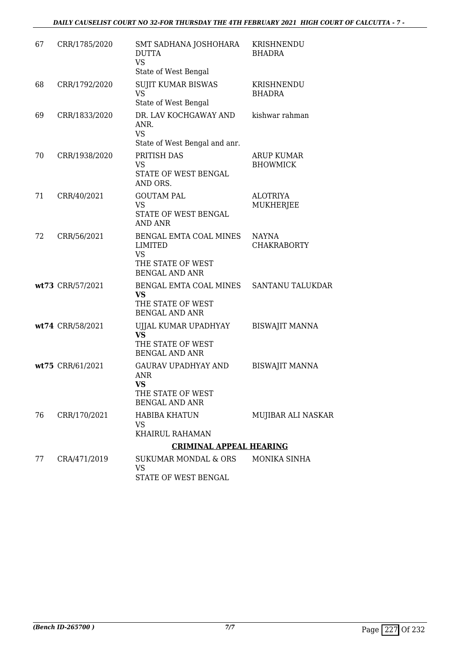# *DAILY CAUSELIST COURT NO 32-FOR THURSDAY THE 4TH FEBRUARY 2021 HIGH COURT OF CALCUTTA - 7 -*

| 67 | CRR/1785/2020    | SMT SADHANA JOSHOHARA<br><b>DUTTA</b><br><b>VS</b>                                                  | KRISHNENDU<br><b>BHADRA</b>          |
|----|------------------|-----------------------------------------------------------------------------------------------------|--------------------------------------|
|    |                  | State of West Bengal                                                                                |                                      |
| 68 | CRR/1792/2020    | <b>SUJIT KUMAR BISWAS</b><br><b>VS</b><br>State of West Bengal                                      | KRISHNENDU<br>BHADRA                 |
| 69 | CRR/1833/2020    | DR. LAV KOCHGAWAY AND<br>ANR.<br><b>VS</b>                                                          | kishwar rahman                       |
|    |                  | State of West Bengal and anr.                                                                       |                                      |
| 70 | CRR/1938/2020    | PRITISH DAS<br><b>VS</b><br>STATE OF WEST BENGAL                                                    | <b>ARUP KUMAR</b><br><b>BHOWMICK</b> |
|    |                  | AND ORS.                                                                                            |                                      |
| 71 | CRR/40/2021      | <b>GOUTAM PAL</b><br><b>VS</b><br>STATE OF WEST BENGAL<br><b>AND ANR</b>                            | <b>ALOTRIYA</b><br>MUKHERJEE         |
| 72 | CRR/56/2021      | BENGAL EMTA COAL MINES<br><b>LIMITED</b><br><b>VS</b><br>THE STATE OF WEST<br><b>BENGAL AND ANR</b> | NAYNA<br><b>CHAKRABORTY</b>          |
|    | wt73 CRR/57/2021 | BENGAL EMTA COAL MINES<br><b>VS</b><br>THE STATE OF WEST<br><b>BENGAL AND ANR</b>                   | SANTANU TALUKDAR                     |
|    | wt74 CRR/58/2021 | UJJAL KUMAR UPADHYAY<br><b>VS</b><br>THE STATE OF WEST<br><b>BENGAL AND ANR</b>                     | <b>BISWAJIT MANNA</b>                |
|    | wt75 CRR/61/2021 | <b>GAURAV UPADHYAY AND</b><br><b>ANR</b><br><b>VS</b><br>THE STATE OF WEST<br><b>BENGAL AND ANR</b> | <b>BISWAJIT MANNA</b>                |
| 76 | CRR/170/2021     | <b>HABIBA KHATUN</b><br>VS<br><b>KHAIRUL RAHAMAN</b>                                                | MUJIBAR ALI NASKAR                   |
|    |                  | <b>CRIMINAL APPEAL HEARING</b>                                                                      |                                      |
| 77 | CRA/471/2019     | SUKUMAR MONDAL & ORS<br><b>VS</b><br>STATE OF WEST BENGAL                                           | <b>MONIKA SINHA</b>                  |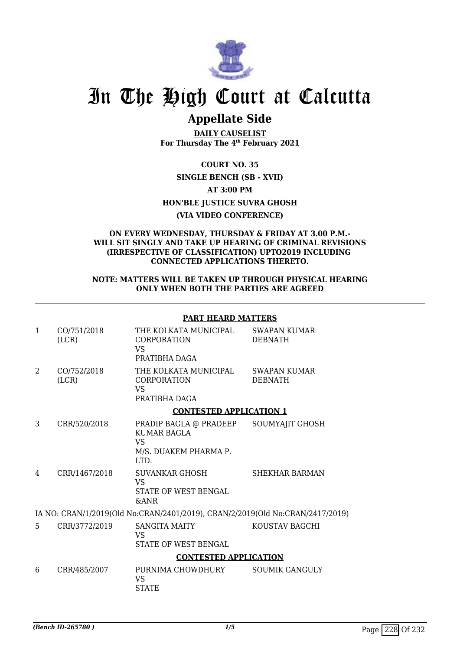

# In The High Court at Calcutta

# **Appellate Side**

**DAILY CAUSELIST For Thursday The 4th February 2021**

**COURT NO. 35 SINGLE BENCH (SB - XVII) AT 3:00 PM HON'BLE JUSTICE SUVRA GHOSH (VIA VIDEO CONFERENCE)**

#### **ON EVERY WEDNESDAY, THURSDAY & FRIDAY AT 3.00 P.M.- WILL SIT SINGLY AND TAKE UP HEARING OF CRIMINAL REVISIONS (IRRESPECTIVE OF CLASSIFICATION) UPTO2019 INCLUDING CONNECTED APPLICATIONS THERETO.**

### **NOTE: MATTERS WILL BE TAKEN UP THROUGH PHYSICAL HEARING ONLY WHEN BOTH THE PARTIES ARE AGREED**

# **PART HEARD MATTERS**

| $\mathbf{1}$                                                                  | CO/751/2018<br>(LCR) | THE KOLKATA MUNICIPAL<br><b>CORPORATION</b><br><b>VS</b><br>PRATIBHA DAGA           | <b>SWAPAN KUMAR</b><br><b>DEBNATH</b> |  |
|-------------------------------------------------------------------------------|----------------------|-------------------------------------------------------------------------------------|---------------------------------------|--|
| 2                                                                             | CO/752/2018<br>(LCR) | THE KOLKATA MUNICIPAL<br><b>CORPORATION</b><br><b>VS</b><br>PRATIBHA DAGA           | SWAPAN KUMAR<br><b>DEBNATH</b>        |  |
|                                                                               |                      | <b>CONTESTED APPLICATION 1</b>                                                      |                                       |  |
| 3                                                                             | CRR/520/2018         | PRADIP BAGLA @ PRADEEP<br>KUMAR BAGLA<br><b>VS</b><br>M/S. DUAKEM PHARMA P.<br>LTD. | SOUMYAJIT GHOSH                       |  |
| 4                                                                             | CRR/1467/2018        | SUVANKAR GHOSH<br><b>VS</b><br>STATE OF WEST BENGAL<br><b>&amp;ANR</b>              | SHEKHAR BARMAN                        |  |
| IA NO: CRAN/1/2019(Old No:CRAN/2401/2019), CRAN/2/2019(Old No:CRAN/2417/2019) |                      |                                                                                     |                                       |  |
| 5                                                                             | CRR/3772/2019        | <b>SANGITA MAITY</b><br>VS<br>STATE OF WEST BENGAL                                  | KOUSTAV BAGCHI                        |  |
|                                                                               |                      | <b>CONTESTED APPLICATION</b>                                                        |                                       |  |
| 6                                                                             | CRR/485/2007         | PURNIMA CHOWDHURY<br><b>VS</b><br><b>STATE</b>                                      | <b>SOUMIK GANGULY</b>                 |  |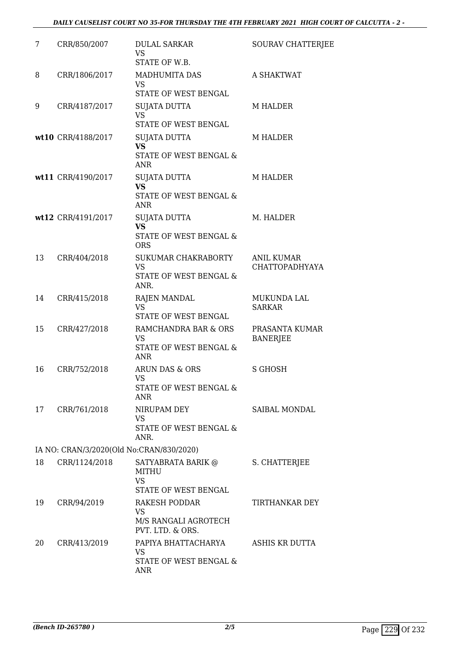| 7  | CRR/850/2007                             | <b>DULAL SARKAR</b><br>VS<br>STATE OF W.B.                                    | SOURAV CHATTERJEE                   |
|----|------------------------------------------|-------------------------------------------------------------------------------|-------------------------------------|
| 8  | CRR/1806/2017                            | <b>MADHUMITA DAS</b><br><b>VS</b><br>STATE OF WEST BENGAL                     | A SHAKTWAT                          |
| 9  | CRR/4187/2017                            | <b>SUJATA DUTTA</b><br><b>VS</b><br>STATE OF WEST BENGAL                      | M HALDER                            |
|    | wt10 CRR/4188/2017                       | <b>SUJATA DUTTA</b><br><b>VS</b><br>STATE OF WEST BENGAL &<br><b>ANR</b>      | M HALDER                            |
|    | wt11 CRR/4190/2017                       | SUJATA DUTTA<br><b>VS</b><br>STATE OF WEST BENGAL &<br><b>ANR</b>             | <b>M HALDER</b>                     |
|    | wt12 CRR/4191/2017                       | <b>SUJATA DUTTA</b><br><b>VS</b><br>STATE OF WEST BENGAL &<br><b>ORS</b>      | M. HALDER                           |
| 13 | CRR/404/2018                             | SUKUMAR CHAKRABORTY<br><b>VS</b><br>STATE OF WEST BENGAL &<br>ANR.            | ANIL KUMAR<br><b>CHATTOPADHYAYA</b> |
| 14 | CRR/415/2018                             | <b>RAJEN MANDAL</b><br><b>VS</b><br>STATE OF WEST BENGAL                      | <b>MUKUNDA LAL</b><br><b>SARKAR</b> |
| 15 | CRR/427/2018                             | RAMCHANDRA BAR & ORS<br>VS<br><b>STATE OF WEST BENGAL &amp;</b><br><b>ANR</b> | PRASANTA KUMAR<br><b>BANERJEE</b>   |
| 16 | CRR/752/2018                             | ARUN DAS & ORS<br><b>VS</b><br>STATE OF WEST BENGAL &<br><b>ANR</b>           | <b>S GHOSH</b>                      |
| 17 | CRR/761/2018                             | NIRUPAM DEY<br><b>VS</b><br>STATE OF WEST BENGAL &<br>ANR.                    | SAIBAL MONDAL                       |
|    | IA NO: CRAN/3/2020(Old No:CRAN/830/2020) |                                                                               |                                     |
| 18 | CRR/1124/2018                            | SATYABRATA BARIK @<br><b>MITHU</b><br><b>VS</b><br>STATE OF WEST BENGAL       | S. CHATTERJEE                       |
| 19 | CRR/94/2019                              | RAKESH PODDAR<br><b>VS</b><br>M/S RANGALI AGROTECH<br>PVT. LTD. & ORS.        | TIRTHANKAR DEY                      |
| 20 | CRR/413/2019                             | PAPIYA BHATTACHARYA<br>VS<br>STATE OF WEST BENGAL &<br>ANR                    | ASHIS KR DUTTA                      |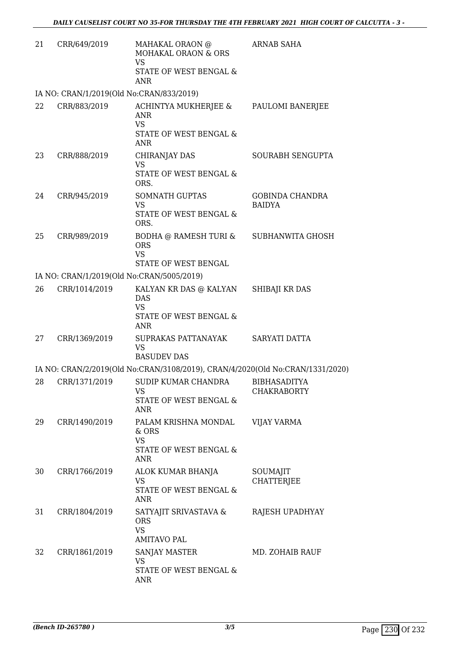| 21 | CRR/649/2019                              | MAHAKAL ORAON @<br>MOHAKAL ORAON & ORS                                                    | <b>ARNAB SAHA</b>                         |
|----|-------------------------------------------|-------------------------------------------------------------------------------------------|-------------------------------------------|
|    |                                           | <b>VS</b><br>STATE OF WEST BENGAL &<br><b>ANR</b>                                         |                                           |
|    | IA NO: CRAN/1/2019(Old No:CRAN/833/2019)  |                                                                                           |                                           |
| 22 | CRR/883/2019                              | ACHINTYA MUKHERJEE &<br><b>ANR</b><br><b>VS</b><br>STATE OF WEST BENGAL &<br><b>ANR</b>   | PAULOMI BANERJEE                          |
| 23 | CRR/888/2019                              | CHIRANJAY DAS<br><b>VS</b><br>STATE OF WEST BENGAL &<br>ORS.                              | SOURABH SENGUPTA                          |
| 24 | CRR/945/2019                              | <b>SOMNATH GUPTAS</b><br><b>VS</b><br><b>STATE OF WEST BENGAL &amp;</b><br>ORS.           | <b>GOBINDA CHANDRA</b><br><b>BAIDYA</b>   |
| 25 | CRR/989/2019                              | BODHA @ RAMESH TURI & SUBHANWITA GHOSH<br><b>ORS</b><br><b>VS</b><br>STATE OF WEST BENGAL |                                           |
|    | IA NO: CRAN/1/2019(Old No:CRAN/5005/2019) |                                                                                           |                                           |
| 26 | CRR/1014/2019                             | KALYAN KR DAS @ KALYAN<br><b>DAS</b><br><b>VS</b><br>STATE OF WEST BENGAL &<br><b>ANR</b> | SHIBAJI KR DAS                            |
| 27 | CRR/1369/2019                             | SUPRAKAS PATTANAYAK<br><b>VS</b><br><b>BASUDEV DAS</b>                                    | SARYATI DATTA                             |
|    |                                           | IA NO: CRAN/2/2019(Old No:CRAN/3108/2019), CRAN/4/2020(Old No:CRAN/1331/2020)             |                                           |
| 28 | CRR/1371/2019                             | SUDIP KUMAR CHANDRA<br>VS<br>STATE OF WEST BENGAL &<br>ANR                                | <b>BIBHASADITYA</b><br><b>CHAKRABORTY</b> |
| 29 | CRR/1490/2019                             | PALAM KRISHNA MONDAL<br>& ORS<br><b>VS</b><br>STATE OF WEST BENGAL &<br><b>ANR</b>        | VIJAY VARMA                               |
| 30 | CRR/1766/2019                             | ALOK KUMAR BHANJA<br><b>VS</b><br>STATE OF WEST BENGAL &<br><b>ANR</b>                    | SOUMAJIT<br><b>CHATTERJEE</b>             |
| 31 | CRR/1804/2019                             | SATYAJIT SRIVASTAVA &<br><b>ORS</b><br><b>VS</b><br><b>AMITAVO PAL</b>                    | RAJESH UPADHYAY                           |
| 32 | CRR/1861/2019                             | SANJAY MASTER<br>VS<br>STATE OF WEST BENGAL &<br>ANR                                      | MD. ZOHAIB RAUF                           |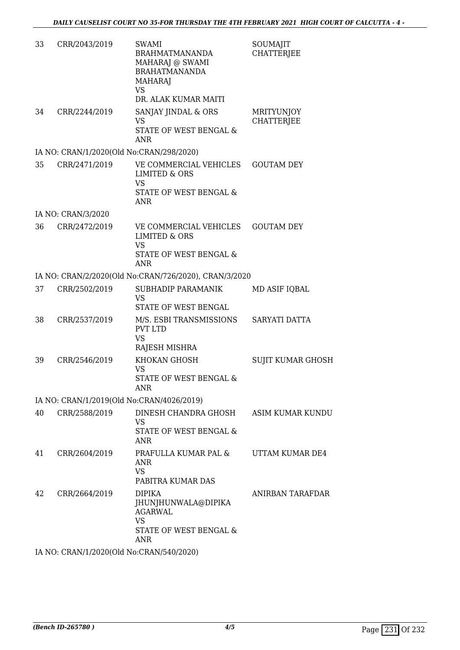| 33 | CRR/2043/2019                             | <b>SWAMI</b><br><b>BRAHMATMANANDA</b><br>MAHARAJ @ SWAMI<br><b>BRAHATMANANDA</b><br><b>MAHARAJ</b><br><b>VS</b><br>DR. ALAK KUMAR MAITI | SOUMAJIT<br><b>CHATTERJEE</b>          |
|----|-------------------------------------------|-----------------------------------------------------------------------------------------------------------------------------------------|----------------------------------------|
| 34 | CRR/2244/2019                             | SANJAY JINDAL & ORS<br><b>VS</b><br>STATE OF WEST BENGAL &<br>ANR                                                                       | <b>MRITYUNJOY</b><br><b>CHATTERJEE</b> |
|    | IA NO: CRAN/1/2020(Old No:CRAN/298/2020)  |                                                                                                                                         |                                        |
| 35 | CRR/2471/2019                             | VE COMMERCIAL VEHICLES<br><b>LIMITED &amp; ORS</b><br><b>VS</b><br>STATE OF WEST BENGAL &<br><b>ANR</b>                                 | <b>GOUTAM DEY</b>                      |
|    | IA NO: CRAN/3/2020                        |                                                                                                                                         |                                        |
| 36 | CRR/2472/2019                             | VE COMMERCIAL VEHICLES<br><b>LIMITED &amp; ORS</b><br><b>VS</b><br>STATE OF WEST BENGAL &<br><b>ANR</b>                                 | <b>GOUTAM DEY</b>                      |
|    |                                           | IA NO: CRAN/2/2020(Old No:CRAN/726/2020), CRAN/3/2020                                                                                   |                                        |
| 37 | CRR/2502/2019                             | SUBHADIP PARAMANIK<br><b>VS</b><br>STATE OF WEST BENGAL                                                                                 | MD ASIF IQBAL                          |
| 38 | CRR/2537/2019                             | M/S. ESBI TRANSMISSIONS<br><b>PVT LTD</b><br><b>VS</b><br>RAJESH MISHRA                                                                 | SARYATI DATTA                          |
| 39 | CRR/2546/2019                             | KHOKAN GHOSH<br>VS<br>STATE OF WEST BENGAL &<br>ANR                                                                                     | <b>SUJIT KUMAR GHOSH</b>               |
|    | IA NO: CRAN/1/2019(Old No:CRAN/4026/2019) |                                                                                                                                         |                                        |
| 40 | CRR/2588/2019                             | DINESH CHANDRA GHOSH<br>VS<br>STATE OF WEST BENGAL &<br><b>ANR</b>                                                                      | ASIM KUMAR KUNDU                       |
| 41 | CRR/2604/2019                             | PRAFULLA KUMAR PAL &<br><b>ANR</b><br><b>VS</b><br>PABITRA KUMAR DAS                                                                    | UTTAM KUMAR DE4                        |
| 42 | CRR/2664/2019                             | <b>DIPIKA</b><br>JHUNJHUNWALA@DIPIKA<br><b>AGARWAL</b><br><b>VS</b><br>STATE OF WEST BENGAL &<br><b>ANR</b>                             | ANIRBAN TARAFDAR                       |

IA NO: CRAN/1/2020(Old No:CRAN/540/2020)